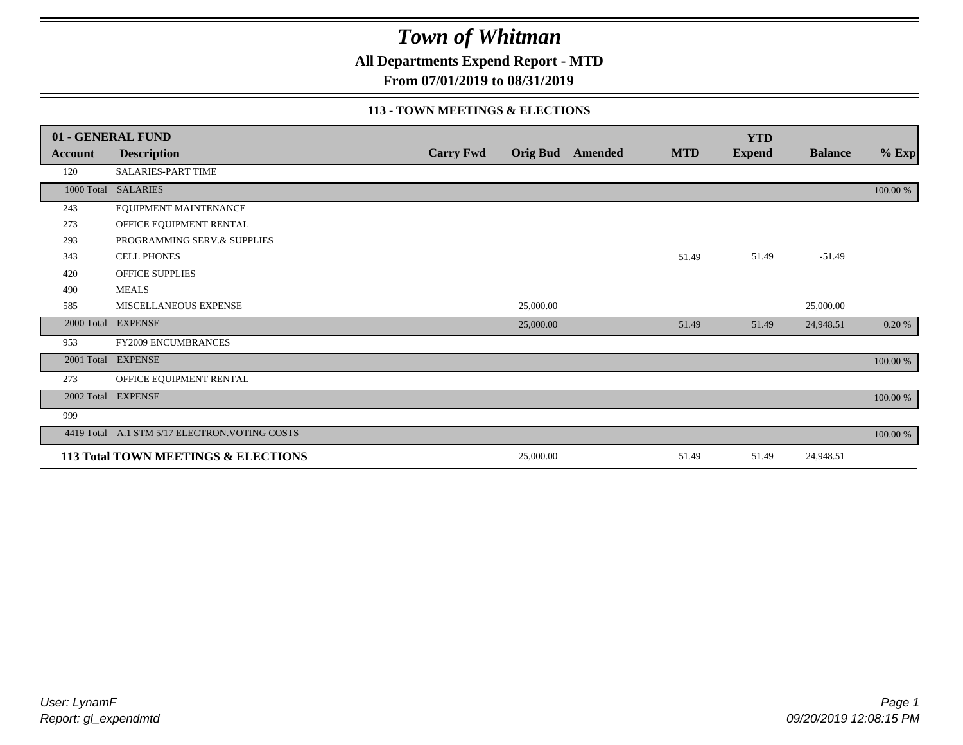**All Departments Expend Report - MTD**

**From 07/01/2019 to 08/31/2019**

#### **113 - TOWN MEETINGS & ELECTIONS**

|                | 01 - GENERAL FUND                              |                  |           |                  |            | <b>YTD</b>    |                |          |
|----------------|------------------------------------------------|------------------|-----------|------------------|------------|---------------|----------------|----------|
| <b>Account</b> | <b>Description</b>                             | <b>Carry Fwd</b> |           | Orig Bud Amended | <b>MTD</b> | <b>Expend</b> | <b>Balance</b> | $%$ Exp  |
| 120            | <b>SALARIES-PART TIME</b>                      |                  |           |                  |            |               |                |          |
|                | 1000 Total SALARIES                            |                  |           |                  |            |               |                | 100.00 % |
| 243            | EQUIPMENT MAINTENANCE                          |                  |           |                  |            |               |                |          |
| 273            | OFFICE EQUIPMENT RENTAL                        |                  |           |                  |            |               |                |          |
| 293            | PROGRAMMING SERV.& SUPPLIES                    |                  |           |                  |            |               |                |          |
| 343            | <b>CELL PHONES</b>                             |                  |           |                  | 51.49      | 51.49         | $-51.49$       |          |
| 420            | OFFICE SUPPLIES                                |                  |           |                  |            |               |                |          |
| 490            | <b>MEALS</b>                                   |                  |           |                  |            |               |                |          |
| 585            | MISCELLANEOUS EXPENSE                          |                  | 25,000.00 |                  |            |               | 25,000.00      |          |
|                | 2000 Total EXPENSE                             |                  | 25,000.00 |                  | 51.49      | 51.49         | 24,948.51      | 0.20%    |
| 953            | <b>FY2009 ENCUMBRANCES</b>                     |                  |           |                  |            |               |                |          |
|                | 2001 Total EXPENSE                             |                  |           |                  |            |               |                | 100.00 % |
| 273            | OFFICE EQUIPMENT RENTAL                        |                  |           |                  |            |               |                |          |
|                | 2002 Total EXPENSE                             |                  |           |                  |            |               |                | 100.00 % |
| 999            |                                                |                  |           |                  |            |               |                |          |
|                | 4419 Total A.1 STM 5/17 ELECTRON. VOTING COSTS |                  |           |                  |            |               |                | 100.00 % |
|                | 113 Total TOWN MEETINGS & ELECTIONS            |                  | 25,000.00 |                  | 51.49      | 51.49         | 24,948.51      |          |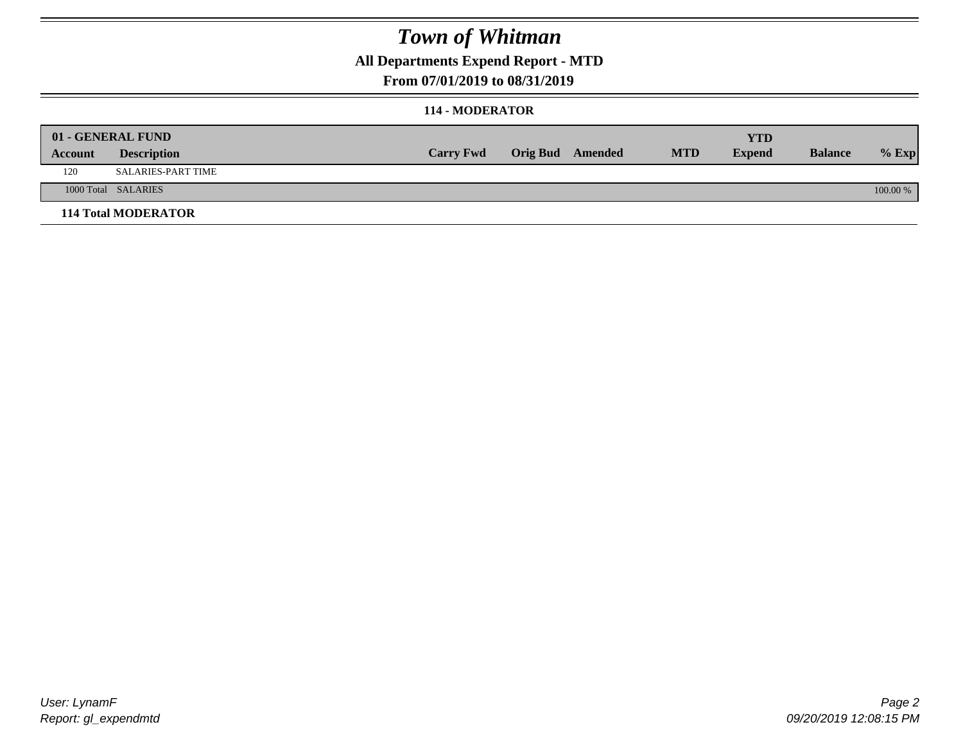### **All Departments Expend Report - MTD**

### **From 07/01/2019 to 08/31/2019**

### **114 - MODERATOR**

|         | 01 - GENERAL FUND          |                  |                  |            | <b>YTD</b>    |                |          |
|---------|----------------------------|------------------|------------------|------------|---------------|----------------|----------|
| Account | <b>Description</b>         | <b>Carry Fwd</b> | Orig Bud Amended | <b>MTD</b> | <b>Expend</b> | <b>Balance</b> | $%$ Exp  |
| 120     | <b>SALARIES-PART TIME</b>  |                  |                  |            |               |                |          |
|         | 1000 Total SALARIES        |                  |                  |            |               |                | 100.00 % |
|         | <b>114 Total MODERATOR</b> |                  |                  |            |               |                |          |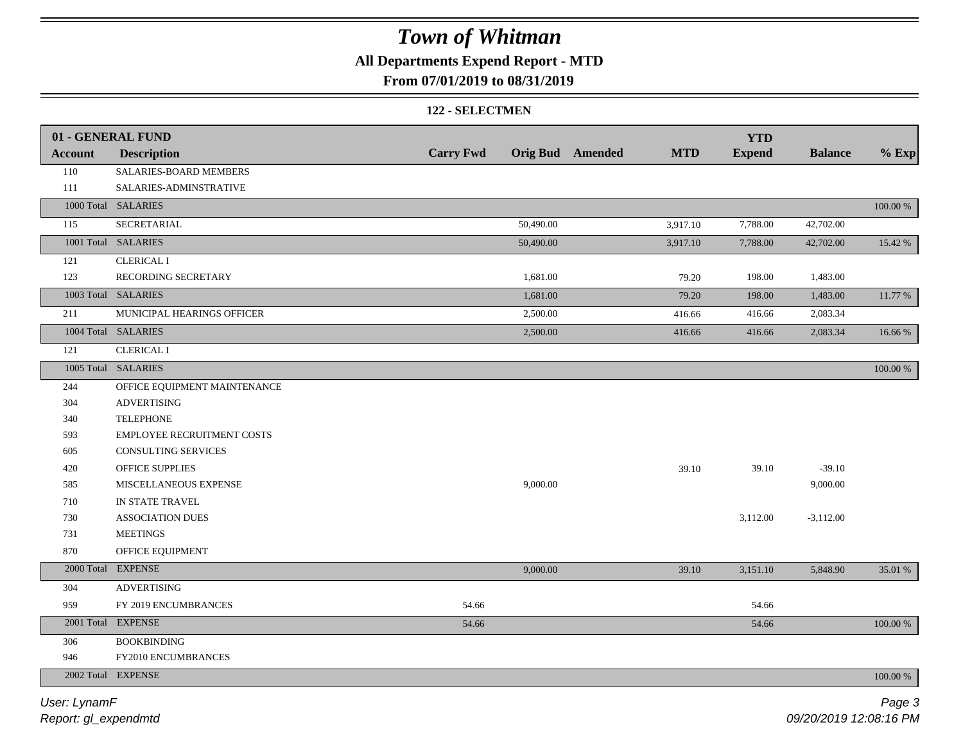## **All Departments Expend Report - MTD**

### **From 07/01/2019 to 08/31/2019**

#### **122 - SELECTMEN**

|                | 01 - GENERAL FUND            |                  |                                | <b>YTD</b>    |                |          |
|----------------|------------------------------|------------------|--------------------------------|---------------|----------------|----------|
| <b>Account</b> | <b>Description</b>           | <b>Carry Fwd</b> | Orig Bud Amended<br><b>MTD</b> | <b>Expend</b> | <b>Balance</b> | $%$ Exp  |
| 110            | SALARIES-BOARD MEMBERS       |                  |                                |               |                |          |
| 111            | SALARIES-ADMINSTRATIVE       |                  |                                |               |                |          |
|                | 1000 Total SALARIES          |                  |                                |               |                | 100.00 % |
| 115            | SECRETARIAL                  | 50,490.00        | 3,917.10                       | 7,788.00      | 42,702.00      |          |
|                | 1001 Total SALARIES          | 50,490.00        | 3,917.10                       | 7,788.00      | 42,702.00      | 15.42 %  |
| 121            | <b>CLERICAL I</b>            |                  |                                |               |                |          |
| 123            | RECORDING SECRETARY          | 1,681.00         | 79.20                          | 198.00        | 1,483.00       |          |
|                | 1003 Total SALARIES          | 1,681.00         | 79.20                          | 198.00        | 1,483.00       | 11.77 %  |
| 211            | MUNICIPAL HEARINGS OFFICER   | 2,500.00         | 416.66                         | 416.66        | 2,083.34       |          |
|                | 1004 Total SALARIES          | 2,500.00         | 416.66                         | 416.66        | 2,083.34       | 16.66 %  |
| 121            | <b>CLERICAL I</b>            |                  |                                |               |                |          |
|                | 1005 Total SALARIES          |                  |                                |               |                | 100.00 % |
| 244            | OFFICE EQUIPMENT MAINTENANCE |                  |                                |               |                |          |
| 304            | <b>ADVERTISING</b>           |                  |                                |               |                |          |
| 340            | <b>TELEPHONE</b>             |                  |                                |               |                |          |
| 593            | EMPLOYEE RECRUITMENT COSTS   |                  |                                |               |                |          |
| 605            | CONSULTING SERVICES          |                  |                                |               |                |          |
| 420            | <b>OFFICE SUPPLIES</b>       |                  | 39.10                          | 39.10         | $-39.10$       |          |
| 585            | MISCELLANEOUS EXPENSE        | 9,000.00         |                                |               | 9,000.00       |          |
| 710            | IN STATE TRAVEL              |                  |                                |               |                |          |
| 730            | <b>ASSOCIATION DUES</b>      |                  |                                | 3,112.00      | $-3,112.00$    |          |
| 731            | <b>MEETINGS</b>              |                  |                                |               |                |          |
| 870            | OFFICE EQUIPMENT             |                  |                                |               |                |          |
|                | 2000 Total EXPENSE           | 9,000.00         | 39.10                          | 3,151.10      | 5,848.90       | 35.01 %  |
| 304            | <b>ADVERTISING</b>           |                  |                                |               |                |          |
| 959            | FY 2019 ENCUMBRANCES         | 54.66            |                                | 54.66         |                |          |
|                | 2001 Total EXPENSE           | 54.66            |                                | 54.66         |                | 100.00 % |
| 306            | <b>BOOKBINDING</b>           |                  |                                |               |                |          |
| 946            | FY2010 ENCUMBRANCES          |                  |                                |               |                |          |
|                | 2002 Total EXPENSE           |                  |                                |               |                | 100.00 % |
|                |                              |                  |                                |               |                |          |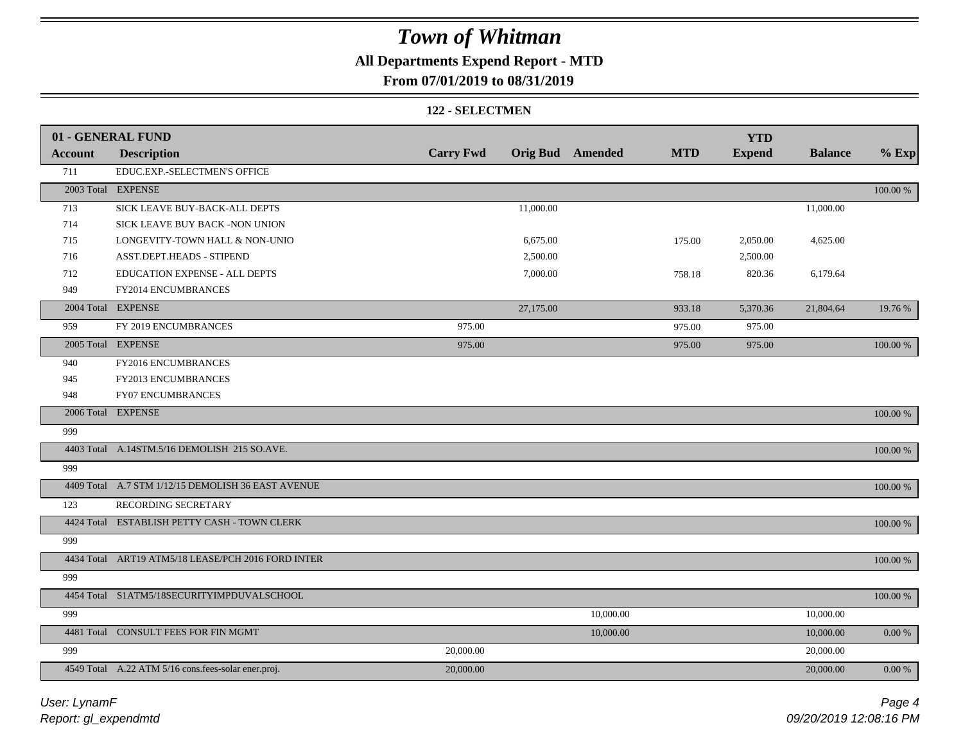## **All Departments Expend Report - MTD**

### **From 07/01/2019 to 08/31/2019**

#### **122 - SELECTMEN**

|         | 01 - GENERAL FUND                                   |                  |           |                         |            | <b>YTD</b>    |                |             |
|---------|-----------------------------------------------------|------------------|-----------|-------------------------|------------|---------------|----------------|-------------|
| Account | <b>Description</b>                                  | <b>Carry Fwd</b> |           | <b>Orig Bud</b> Amended | <b>MTD</b> | <b>Expend</b> | <b>Balance</b> | $%$ Exp     |
| 711     | EDUC.EXP.-SELECTMEN'S OFFICE                        |                  |           |                         |            |               |                |             |
|         | 2003 Total EXPENSE                                  |                  |           |                         |            |               |                | 100.00 %    |
| 713     | SICK LEAVE BUY-BACK-ALL DEPTS                       |                  | 11,000.00 |                         |            |               | 11,000.00      |             |
| 714     | SICK LEAVE BUY BACK -NON UNION                      |                  |           |                         |            |               |                |             |
| 715     | LONGEVITY-TOWN HALL & NON-UNIO                      |                  | 6,675.00  |                         | 175.00     | 2,050.00      | 4,625.00       |             |
| 716     | ASST.DEPT.HEADS - STIPEND                           |                  | 2,500.00  |                         |            | 2,500.00      |                |             |
| 712     | EDUCATION EXPENSE - ALL DEPTS                       |                  | 7,000.00  |                         | 758.18     | 820.36        | 6,179.64       |             |
| 949     | FY2014 ENCUMBRANCES                                 |                  |           |                         |            |               |                |             |
|         | 2004 Total EXPENSE                                  |                  | 27,175.00 |                         | 933.18     | 5,370.36      | 21,804.64      | 19.76 %     |
| 959     | FY 2019 ENCUMBRANCES                                | 975.00           |           |                         | 975.00     | 975.00        |                |             |
|         | 2005 Total EXPENSE                                  | 975.00           |           |                         | 975.00     | 975.00        |                | 100.00 %    |
| 940     | FY2016 ENCUMBRANCES                                 |                  |           |                         |            |               |                |             |
| 945     | FY2013 ENCUMBRANCES                                 |                  |           |                         |            |               |                |             |
| 948     | <b>FY07 ENCUMBRANCES</b>                            |                  |           |                         |            |               |                |             |
|         | 2006 Total EXPENSE                                  |                  |           |                         |            |               |                | 100.00 %    |
| 999     |                                                     |                  |           |                         |            |               |                |             |
|         | 4403 Total A.14STM.5/16 DEMOLISH 215 SO.AVE.        |                  |           |                         |            |               |                | $100.00~\%$ |
| 999     |                                                     |                  |           |                         |            |               |                |             |
|         | 4409 Total A.7 STM 1/12/15 DEMOLISH 36 EAST AVENUE  |                  |           |                         |            |               |                | 100.00 %    |
| 123     | RECORDING SECRETARY                                 |                  |           |                         |            |               |                |             |
|         | 4424 Total ESTABLISH PETTY CASH - TOWN CLERK        |                  |           |                         |            |               |                | $100.00~\%$ |
| 999     |                                                     |                  |           |                         |            |               |                |             |
|         | 4434 Total ART19 ATM5/18 LEASE/PCH 2016 FORD INTER  |                  |           |                         |            |               |                | 100.00 %    |
| 999     |                                                     |                  |           |                         |            |               |                |             |
|         | 4454 Total S1ATM5/18SECURITYIMPDUVALSCHOOL          |                  |           |                         |            |               |                | 100.00 %    |
| 999     |                                                     |                  |           | 10,000.00               |            |               | 10,000.00      |             |
|         | 4481 Total CONSULT FEES FOR FIN MGMT                |                  |           | 10,000.00               |            |               | 10,000.00      | $0.00~\%$   |
| 999     |                                                     | 20,000.00        |           |                         |            |               | 20,000.00      |             |
|         | 4549 Total A.22 ATM 5/16 cons.fees-solar ener.proj. | 20,000.00        |           |                         |            |               | 20,000.00      | $0.00\%$    |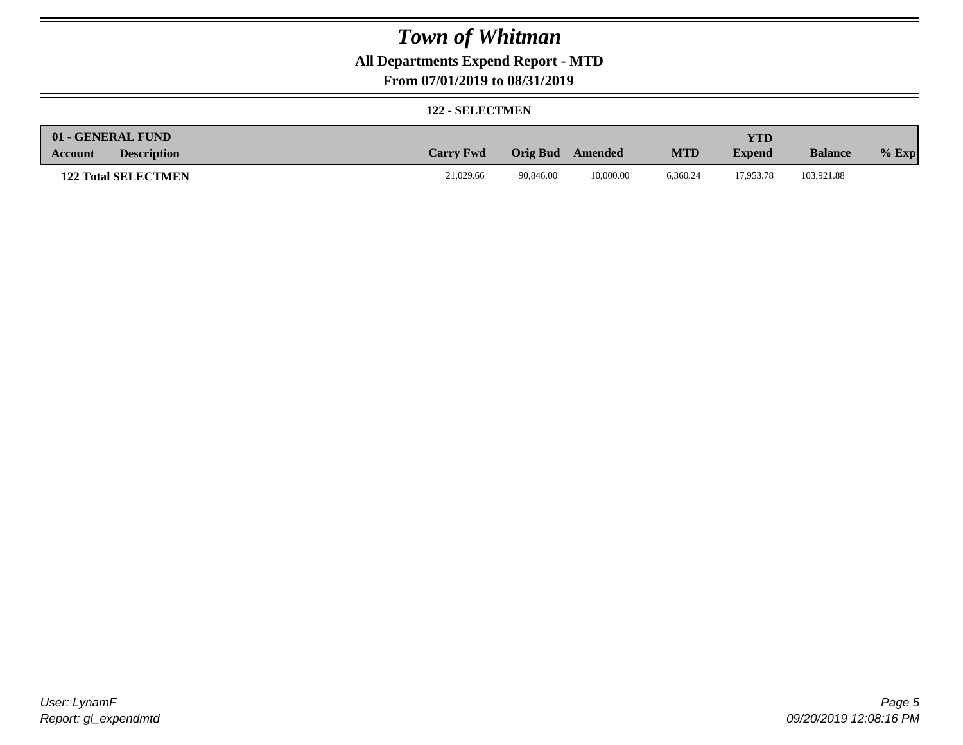## **All Departments Expend Report - MTD**

**From 07/01/2019 to 08/31/2019**

#### **122 - SELECTMEN**

| 01 - GENERAL FUND             |                  |                 |           |            | YTD           |                |         |
|-------------------------------|------------------|-----------------|-----------|------------|---------------|----------------|---------|
| <b>Description</b><br>Account | <b>Carry Fwd</b> | <b>Orig Bud</b> | Amended   | <b>MTD</b> | <b>Expend</b> | <b>Balance</b> | $%$ Exp |
| <b>122 Total SELECTMEN</b>    | 21,029.66        | 90.846.00       | 10,000.00 | 6.360.24   | 17,953.78     | 103,921.88     |         |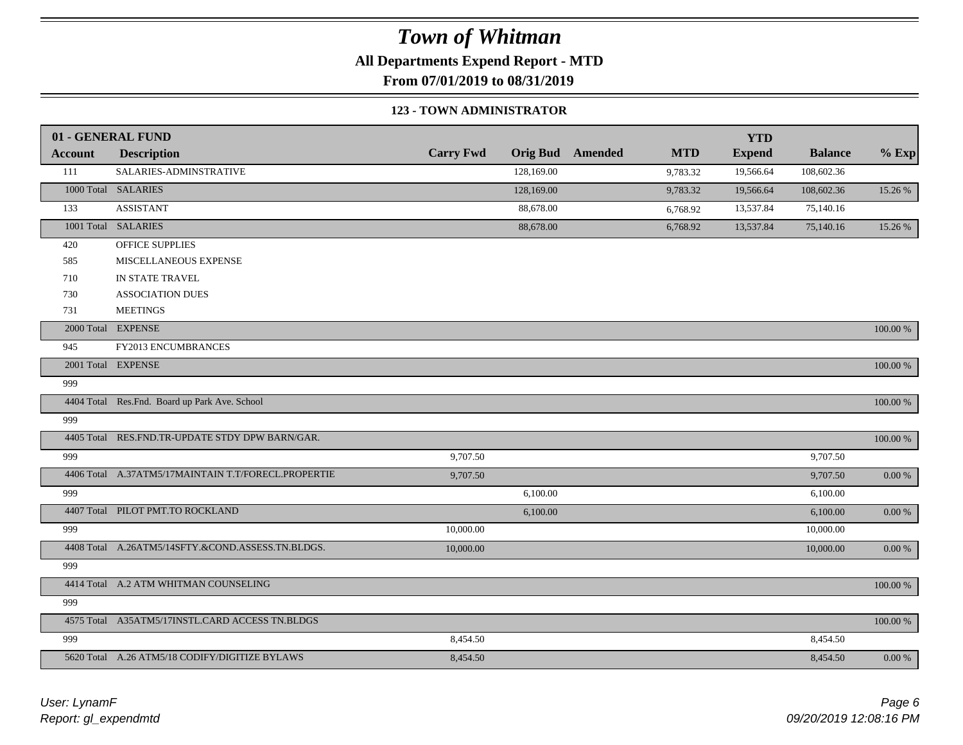**All Departments Expend Report - MTD**

**From 07/01/2019 to 08/31/2019**

#### **123 - TOWN ADMINISTRATOR**

|                | 01 - GENERAL FUND                                   |                  |            | <b>Orig Bud</b> Amended | <b>MTD</b> | <b>YTD</b>    | <b>Balance</b> |             |
|----------------|-----------------------------------------------------|------------------|------------|-------------------------|------------|---------------|----------------|-------------|
| <b>Account</b> | <b>Description</b>                                  | <b>Carry Fwd</b> |            |                         |            | <b>Expend</b> |                | $%$ Exp     |
| 111            | SALARIES-ADMINSTRATIVE                              |                  | 128,169.00 |                         | 9,783.32   | 19,566.64     | 108,602.36     |             |
|                | 1000 Total SALARIES                                 |                  | 128,169.00 |                         | 9,783.32   | 19,566.64     | 108,602.36     | 15.26 %     |
| 133            | <b>ASSISTANT</b>                                    |                  | 88,678.00  |                         | 6,768.92   | 13,537.84     | 75,140.16      |             |
|                | 1001 Total SALARIES                                 |                  | 88,678.00  |                         | 6,768.92   | 13,537.84     | 75,140.16      | 15.26 %     |
| 420            | OFFICE SUPPLIES                                     |                  |            |                         |            |               |                |             |
| 585            | MISCELLANEOUS EXPENSE                               |                  |            |                         |            |               |                |             |
| 710            | IN STATE TRAVEL                                     |                  |            |                         |            |               |                |             |
| 730            | <b>ASSOCIATION DUES</b>                             |                  |            |                         |            |               |                |             |
| 731            | <b>MEETINGS</b>                                     |                  |            |                         |            |               |                |             |
|                | 2000 Total EXPENSE                                  |                  |            |                         |            |               |                | 100.00 %    |
| 945            | FY2013 ENCUMBRANCES                                 |                  |            |                         |            |               |                |             |
|                | 2001 Total EXPENSE                                  |                  |            |                         |            |               |                | 100.00 %    |
| 999            |                                                     |                  |            |                         |            |               |                |             |
|                | 4404 Total Res.Fnd. Board up Park Ave. School       |                  |            |                         |            |               |                | $100.00~\%$ |
| 999            |                                                     |                  |            |                         |            |               |                |             |
|                | 4405 Total RES.FND.TR-UPDATE STDY DPW BARN/GAR.     |                  |            |                         |            |               |                | $100.00~\%$ |
| 999            |                                                     | 9,707.50         |            |                         |            |               | 9,707.50       |             |
|                | 4406 Total A.37ATM5/17MAINTAIN T.T/FORECL.PROPERTIE | 9,707.50         |            |                         |            |               | 9,707.50       | $0.00\ \%$  |
| 999            |                                                     |                  | 6,100.00   |                         |            |               | 6,100.00       |             |
|                | 4407 Total PILOT PMT.TO ROCKLAND                    |                  | 6,100.00   |                         |            |               | 6,100.00       | $0.00\ \%$  |
| 999            |                                                     | 10,000.00        |            |                         |            |               | 10,000.00      |             |
|                | 4408 Total A.26ATM5/14SFTY.&COND.ASSESS.TN.BLDGS.   | 10,000.00        |            |                         |            |               | 10,000.00      | $0.00 \%$   |
| 999            |                                                     |                  |            |                         |            |               |                |             |
|                | 4414 Total A.2 ATM WHITMAN COUNSELING               |                  |            |                         |            |               |                | 100.00 %    |
| 999            |                                                     |                  |            |                         |            |               |                |             |
|                | 4575 Total A35ATM5/17INSTL.CARD ACCESS TN.BLDGS     |                  |            |                         |            |               |                | 100.00 %    |
| 999            |                                                     | 8,454.50         |            |                         |            |               | 8,454.50       |             |
|                | 5620 Total A.26 ATM5/18 CODIFY/DIGITIZE BYLAWS      | 8,454.50         |            |                         |            |               | 8,454.50       | $0.00 \%$   |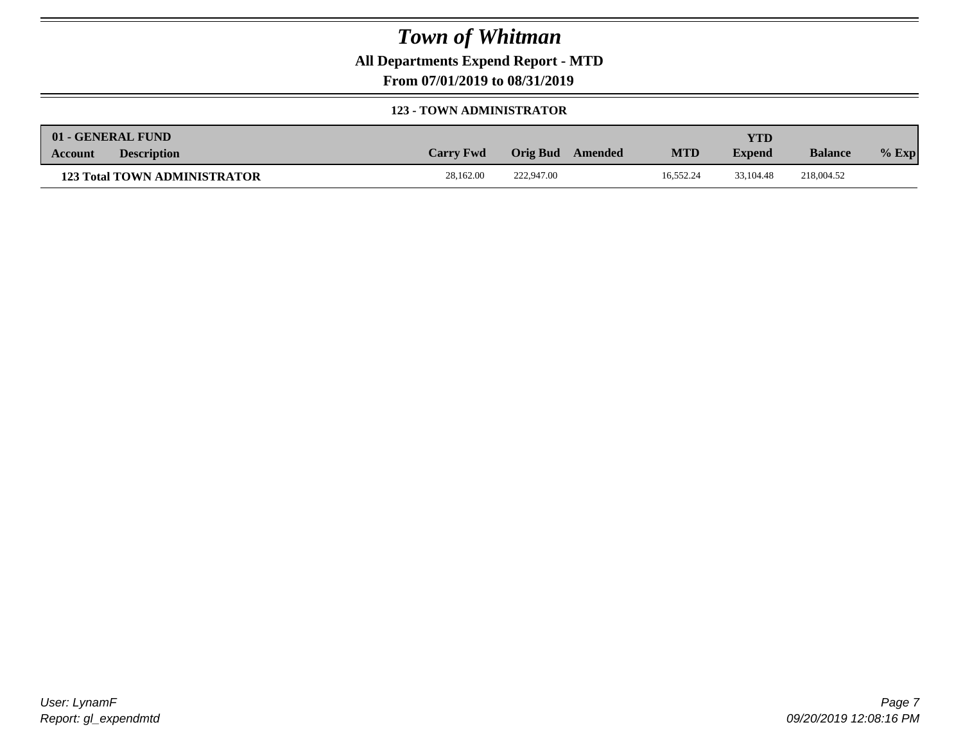**All Departments Expend Report - MTD**

**From 07/01/2019 to 08/31/2019**

#### **123 - TOWN ADMINISTRATOR**

|         | 01 - GENERAL FUND                   |                  |                     |            | <b>YTD</b>    |                |         |
|---------|-------------------------------------|------------------|---------------------|------------|---------------|----------------|---------|
| Account | <b>Description</b>                  | <b>Carry Fwd</b> | Orig Bud<br>Amended | <b>MTD</b> | <b>Expend</b> | <b>Balance</b> | $%$ Exp |
|         | <b>123 Total TOWN ADMINISTRATOR</b> | 28,162.00        | 222,947.00          | 16.552.24  | 33.104.48     | 218,004.52     |         |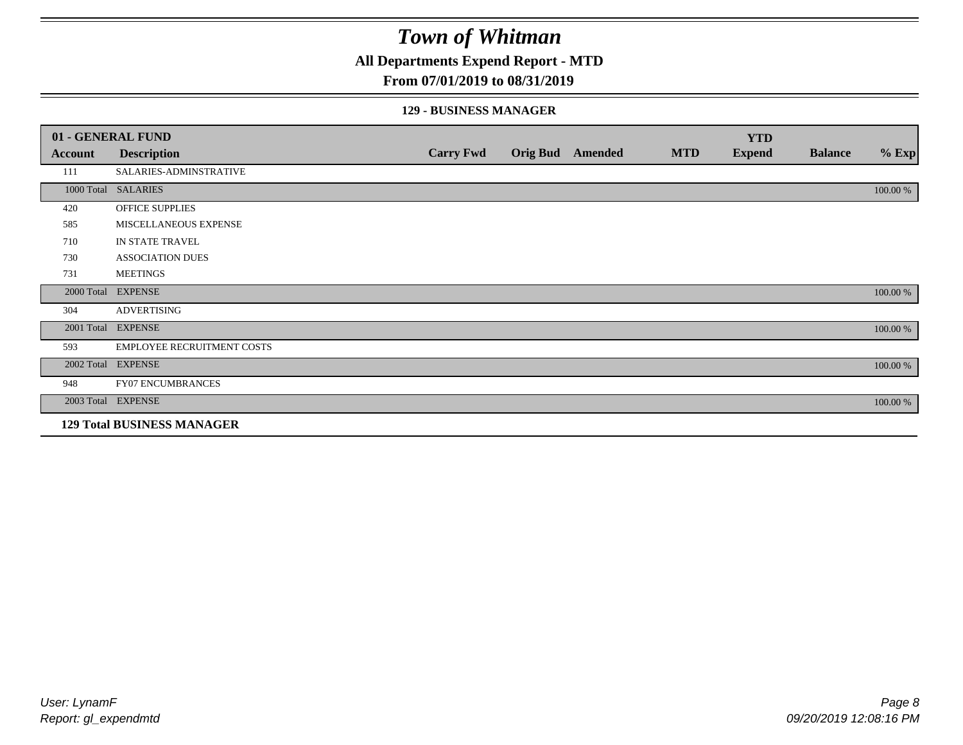**All Departments Expend Report - MTD**

### **From 07/01/2019 to 08/31/2019**

### **129 - BUSINESS MANAGER**

|            | 01 - GENERAL FUND                 |                  |                 |         |            | <b>YTD</b>    |                |          |
|------------|-----------------------------------|------------------|-----------------|---------|------------|---------------|----------------|----------|
| Account    | <b>Description</b>                | <b>Carry Fwd</b> | <b>Orig Bud</b> | Amended | <b>MTD</b> | <b>Expend</b> | <b>Balance</b> | $%$ Exp  |
| 111        | SALARIES-ADMINSTRATIVE            |                  |                 |         |            |               |                |          |
|            | 1000 Total SALARIES               |                  |                 |         |            |               |                | 100.00 % |
| 420        | OFFICE SUPPLIES                   |                  |                 |         |            |               |                |          |
| 585        | MISCELLANEOUS EXPENSE             |                  |                 |         |            |               |                |          |
| 710        | IN STATE TRAVEL                   |                  |                 |         |            |               |                |          |
| 730        | <b>ASSOCIATION DUES</b>           |                  |                 |         |            |               |                |          |
| 731        | <b>MEETINGS</b>                   |                  |                 |         |            |               |                |          |
| 2000 Total | <b>EXPENSE</b>                    |                  |                 |         |            |               |                | 100.00 % |
| 304        | <b>ADVERTISING</b>                |                  |                 |         |            |               |                |          |
| 2001 Total | <b>EXPENSE</b>                    |                  |                 |         |            |               |                | 100.00 % |
| 593        | <b>EMPLOYEE RECRUITMENT COSTS</b> |                  |                 |         |            |               |                |          |
|            | 2002 Total EXPENSE                |                  |                 |         |            |               |                | 100.00 % |
| 948        | <b>FY07 ENCUMBRANCES</b>          |                  |                 |         |            |               |                |          |
|            | 2003 Total EXPENSE                |                  |                 |         |            |               |                | 100.00 % |
|            | <b>129 Total BUSINESS MANAGER</b> |                  |                 |         |            |               |                |          |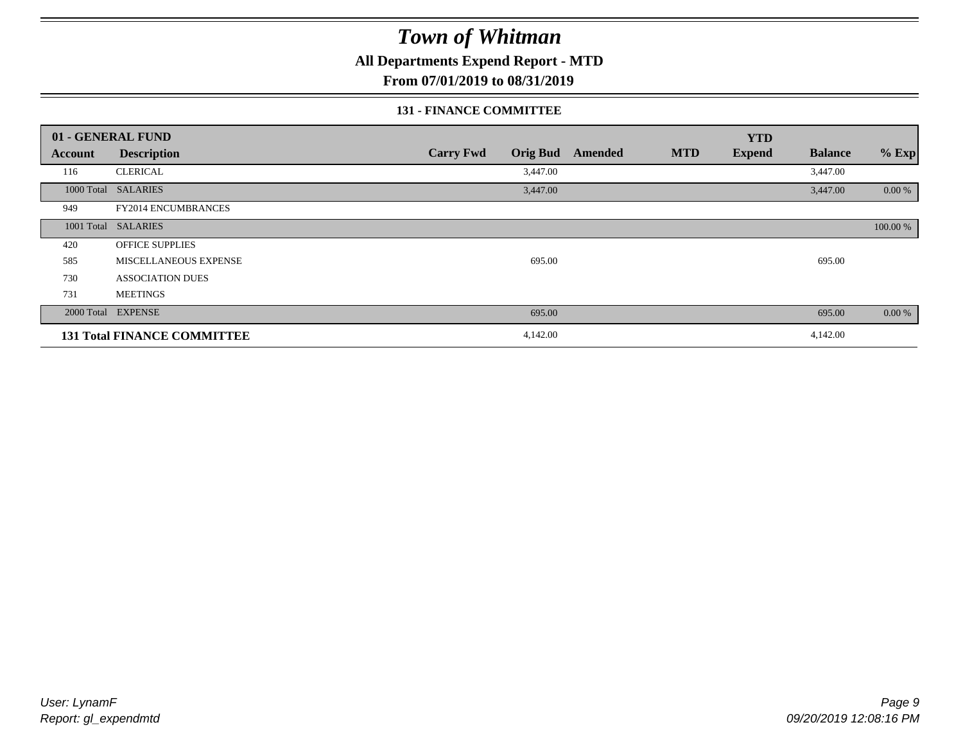**All Departments Expend Report - MTD**

**From 07/01/2019 to 08/31/2019**

### **131 - FINANCE COMMITTEE**

| 01 - GENERAL FUND |                                    |                                     |         |            | <b>YTD</b>    |                |          |
|-------------------|------------------------------------|-------------------------------------|---------|------------|---------------|----------------|----------|
| Account           | <b>Description</b>                 | <b>Carry Fwd</b><br><b>Orig Bud</b> | Amended | <b>MTD</b> | <b>Expend</b> | <b>Balance</b> | $%$ Exp  |
| 116               | <b>CLERICAL</b>                    | 3,447.00                            |         |            |               | 3,447.00       |          |
|                   | 1000 Total SALARIES                | 3,447.00                            |         |            |               | 3,447.00       | 0.00 %   |
| 949               | <b>FY2014 ENCUMBRANCES</b>         |                                     |         |            |               |                |          |
|                   | 1001 Total SALARIES                |                                     |         |            |               |                | 100.00 % |
| 420               | <b>OFFICE SUPPLIES</b>             |                                     |         |            |               |                |          |
| 585               | MISCELLANEOUS EXPENSE              | 695.00                              |         |            |               | 695.00         |          |
| 730               | <b>ASSOCIATION DUES</b>            |                                     |         |            |               |                |          |
| 731               | <b>MEETINGS</b>                    |                                     |         |            |               |                |          |
|                   | 2000 Total EXPENSE                 | 695.00                              |         |            |               | 695.00         | 0.00 %   |
|                   | <b>131 Total FINANCE COMMITTEE</b> | 4,142.00                            |         |            |               | 4,142.00       |          |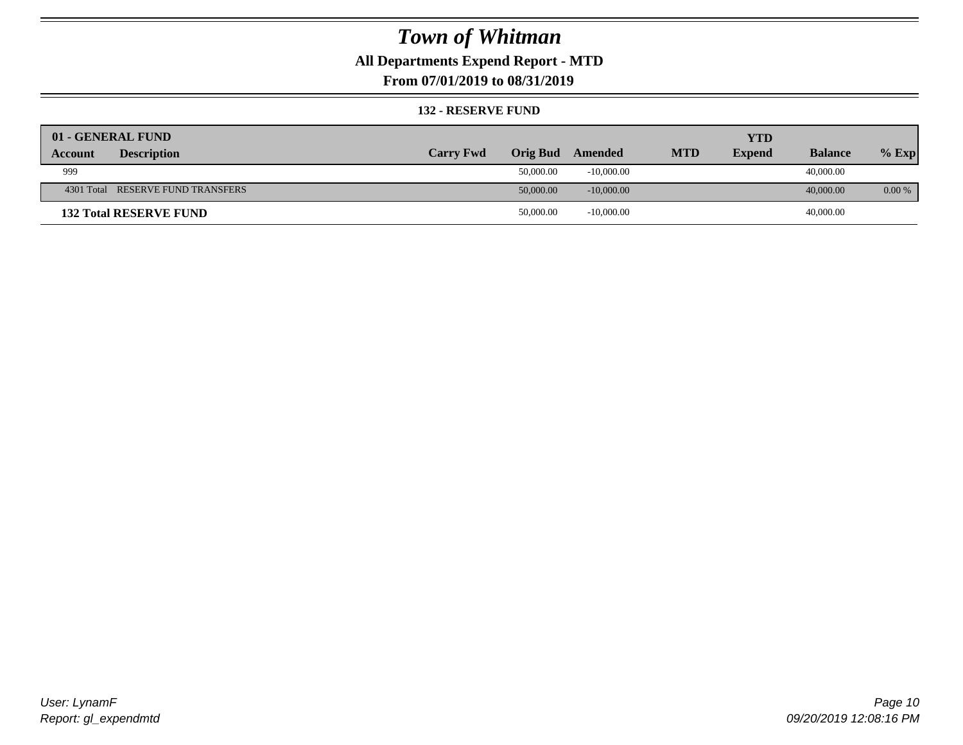## **All Departments Expend Report - MTD**

**From 07/01/2019 to 08/31/2019**

#### **132 - RESERVE FUND**

| 01 - GENERAL FUND                 |                  |           |              |            | <b>YTD</b>    |                |           |
|-----------------------------------|------------------|-----------|--------------|------------|---------------|----------------|-----------|
| <b>Description</b><br>Account     | <b>Carry Fwd</b> | Orig Bud  | Amended      | <b>MTD</b> | <b>Expend</b> | <b>Balance</b> | $%$ Exp   |
| 999                               |                  | 50,000.00 | $-10,000,00$ |            |               | 40,000.00      |           |
| 4301 Total RESERVE FUND TRANSFERS |                  | 50,000.00 | $-10,000,00$ |            |               | 40,000,00      | $0.00 \%$ |
| <b>132 Total RESERVE FUND</b>     |                  | 50,000.00 | $-10,000.00$ |            |               | 40,000.00      |           |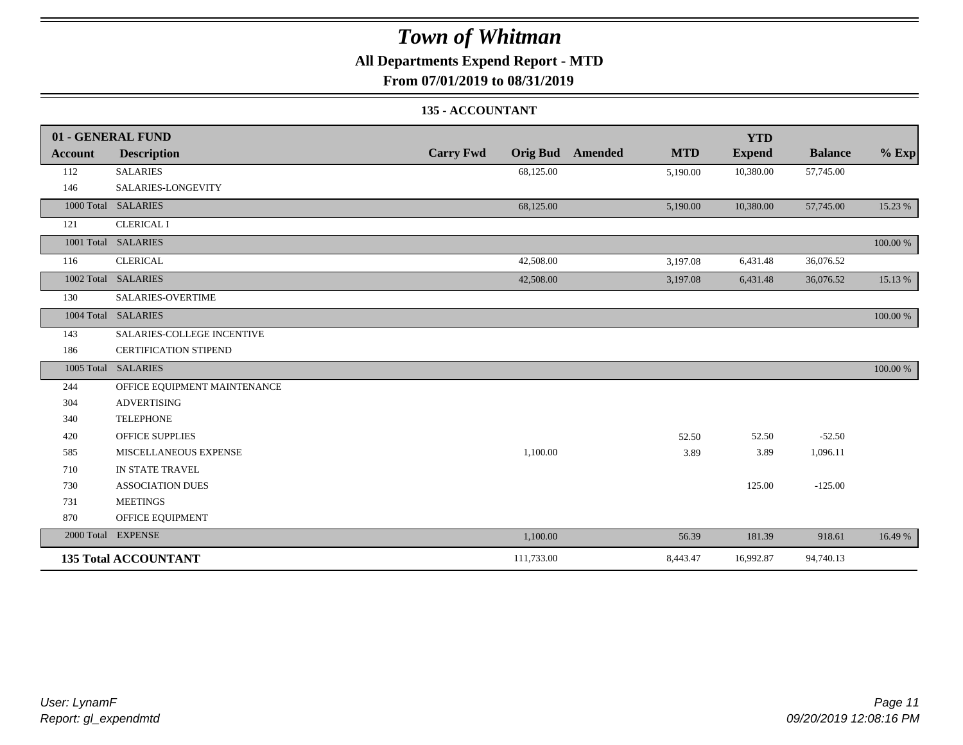### **All Departments Expend Report - MTD**

**From 07/01/2019 to 08/31/2019**

### **135 - ACCOUNTANT**

|                | 01 - GENERAL FUND            |                  |                                       | <b>YTD</b>    |                |          |
|----------------|------------------------------|------------------|---------------------------------------|---------------|----------------|----------|
| <b>Account</b> | <b>Description</b>           | <b>Carry Fwd</b> | <b>MTD</b><br><b>Orig Bud</b> Amended | <b>Expend</b> | <b>Balance</b> | $%$ Exp  |
| 112            | <b>SALARIES</b>              | 68,125.00        | 5,190.00                              | 10,380.00     | 57,745.00      |          |
| 146            | SALARIES-LONGEVITY           |                  |                                       |               |                |          |
|                | 1000 Total SALARIES          | 68,125.00        | 5,190.00                              | 10,380.00     | 57,745.00      | 15.23 %  |
| 121            | <b>CLERICAL I</b>            |                  |                                       |               |                |          |
|                | 1001 Total SALARIES          |                  |                                       |               |                | 100.00 % |
| 116            | <b>CLERICAL</b>              | 42,508.00        | 3,197.08                              | 6,431.48      | 36,076.52      |          |
|                | 1002 Total SALARIES          | 42,508.00        | 3,197.08                              | 6,431.48      | 36,076.52      | 15.13 %  |
| 130            | SALARIES-OVERTIME            |                  |                                       |               |                |          |
|                | 1004 Total SALARIES          |                  |                                       |               |                | 100.00 % |
| 143            | SALARIES-COLLEGE INCENTIVE   |                  |                                       |               |                |          |
| 186            | <b>CERTIFICATION STIPEND</b> |                  |                                       |               |                |          |
|                | 1005 Total SALARIES          |                  |                                       |               |                | 100.00 % |
| 244            | OFFICE EQUIPMENT MAINTENANCE |                  |                                       |               |                |          |
| 304            | <b>ADVERTISING</b>           |                  |                                       |               |                |          |
| 340            | <b>TELEPHONE</b>             |                  |                                       |               |                |          |
| 420            | <b>OFFICE SUPPLIES</b>       |                  | 52.50                                 | 52.50         | $-52.50$       |          |
| 585            | MISCELLANEOUS EXPENSE        | 1,100.00         | 3.89                                  | 3.89          | 1,096.11       |          |
| 710            | IN STATE TRAVEL              |                  |                                       |               |                |          |
| 730            | <b>ASSOCIATION DUES</b>      |                  |                                       | 125.00        | $-125.00$      |          |
| 731            | <b>MEETINGS</b>              |                  |                                       |               |                |          |
| 870            | OFFICE EQUIPMENT             |                  |                                       |               |                |          |
|                | 2000 Total EXPENSE           | 1,100.00         | 56.39                                 | 181.39        | 918.61         | 16.49 %  |
|                | <b>135 Total ACCOUNTANT</b>  | 111,733.00       | 8,443.47                              | 16,992.87     | 94,740.13      |          |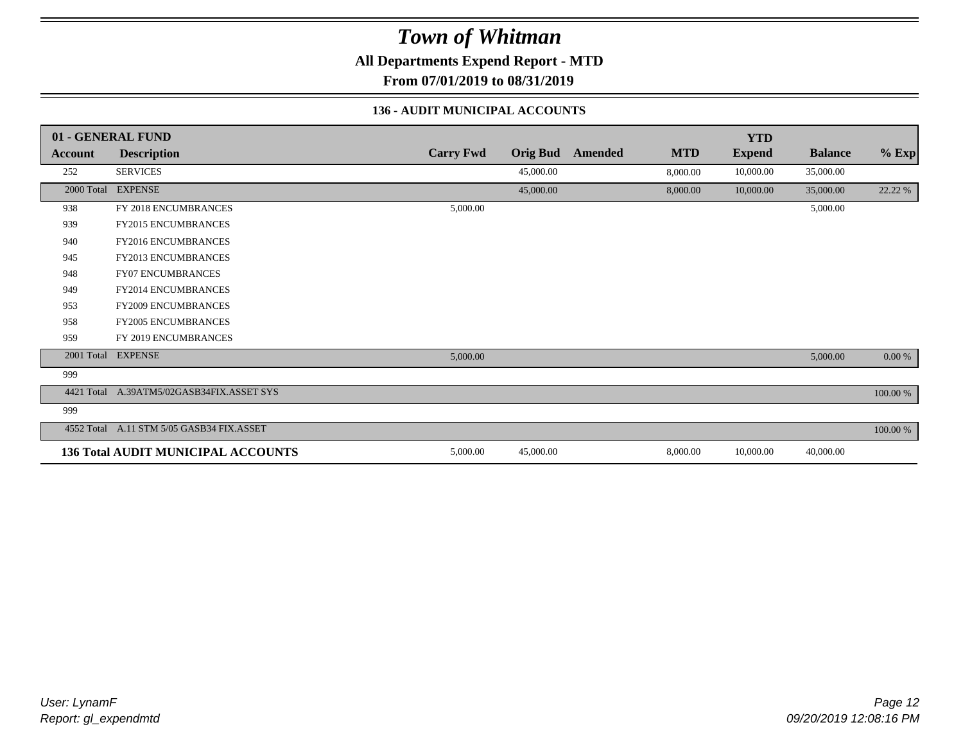**All Departments Expend Report - MTD**

**From 07/01/2019 to 08/31/2019**

### **136 - AUDIT MUNICIPAL ACCOUNTS**

|            | 01 - GENERAL FUND                         |                  |                 |         |            | <b>YTD</b>    |                |          |
|------------|-------------------------------------------|------------------|-----------------|---------|------------|---------------|----------------|----------|
| Account    | <b>Description</b>                        | <b>Carry Fwd</b> | <b>Orig Bud</b> | Amended | <b>MTD</b> | <b>Expend</b> | <b>Balance</b> | $%$ Exp  |
| 252        | <b>SERVICES</b>                           |                  | 45,000.00       |         | 8,000.00   | 10,000.00     | 35,000.00      |          |
| 2000 Total | <b>EXPENSE</b>                            |                  | 45,000.00       |         | 8,000.00   | 10,000.00     | 35,000.00      | 22.22 %  |
| 938        | FY 2018 ENCUMBRANCES                      | 5,000.00         |                 |         |            |               | 5,000.00       |          |
| 939        | <b>FY2015 ENCUMBRANCES</b>                |                  |                 |         |            |               |                |          |
| 940        | <b>FY2016 ENCUMBRANCES</b>                |                  |                 |         |            |               |                |          |
| 945        | FY2013 ENCUMBRANCES                       |                  |                 |         |            |               |                |          |
| 948        | <b>FY07 ENCUMBRANCES</b>                  |                  |                 |         |            |               |                |          |
| 949        | FY2014 ENCUMBRANCES                       |                  |                 |         |            |               |                |          |
| 953        | <b>FY2009 ENCUMBRANCES</b>                |                  |                 |         |            |               |                |          |
| 958        | <b>FY2005 ENCUMBRANCES</b>                |                  |                 |         |            |               |                |          |
| 959        | FY 2019 ENCUMBRANCES                      |                  |                 |         |            |               |                |          |
|            | 2001 Total EXPENSE                        | 5,000.00         |                 |         |            |               | 5,000.00       | 0.00 %   |
| 999        |                                           |                  |                 |         |            |               |                |          |
| 4421 Total | A.39ATM5/02GASB34FIX.ASSET SYS            |                  |                 |         |            |               |                | 100.00 % |
| 999        |                                           |                  |                 |         |            |               |                |          |
| 4552 Total | A.11 STM 5/05 GASB34 FIX.ASSET            |                  |                 |         |            |               |                | 100.00 % |
|            | <b>136 Total AUDIT MUNICIPAL ACCOUNTS</b> | 5,000.00         | 45,000.00       |         | 8,000.00   | 10,000.00     | 40,000.00      |          |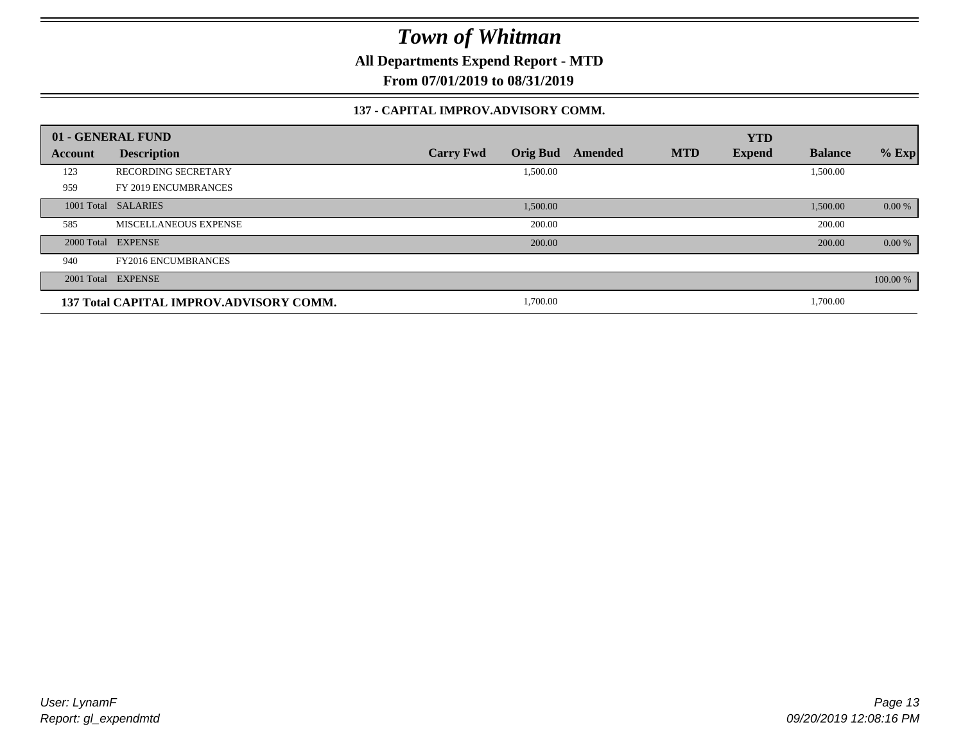**All Departments Expend Report - MTD**

**From 07/01/2019 to 08/31/2019**

### **137 - CAPITAL IMPROV.ADVISORY COMM.**

|         | 01 - GENERAL FUND                       |                                     |         |            | <b>YTD</b>    |                |          |
|---------|-----------------------------------------|-------------------------------------|---------|------------|---------------|----------------|----------|
| Account | <b>Description</b>                      | <b>Orig Bud</b><br><b>Carry Fwd</b> | Amended | <b>MTD</b> | <b>Expend</b> | <b>Balance</b> | $%$ Exp  |
| 123     | <b>RECORDING SECRETARY</b>              | 1,500.00                            |         |            |               | 1,500.00       |          |
| 959     | FY 2019 ENCUMBRANCES                    |                                     |         |            |               |                |          |
|         | 1001 Total SALARIES                     | 1,500.00                            |         |            |               | 1,500.00       | 0.00 %   |
| 585     | MISCELLANEOUS EXPENSE                   | 200.00                              |         |            |               | 200.00         |          |
|         | 2000 Total EXPENSE                      | 200.00                              |         |            |               | 200.00         | 0.00 %   |
| 940     | <b>FY2016 ENCUMBRANCES</b>              |                                     |         |            |               |                |          |
|         | 2001 Total EXPENSE                      |                                     |         |            |               |                | 100.00 % |
|         | 137 Total CAPITAL IMPROV.ADVISORY COMM. | 1,700.00                            |         |            |               | 1,700.00       |          |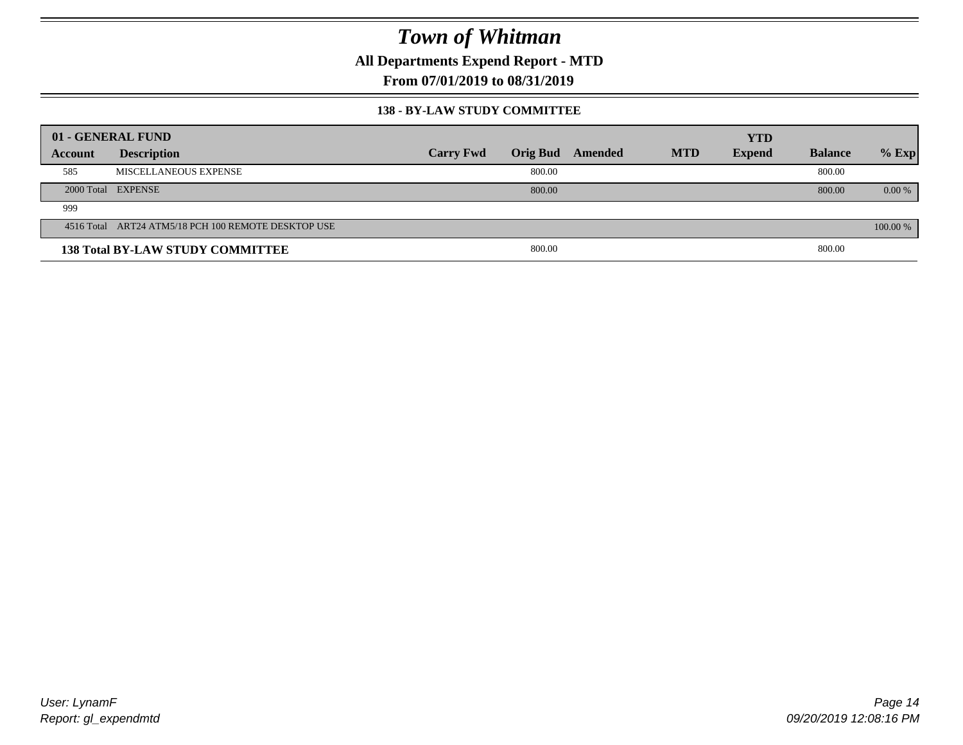**All Departments Expend Report - MTD**

**From 07/01/2019 to 08/31/2019**

### **138 - BY-LAW STUDY COMMITTEE**

|         | 01 - GENERAL FUND                                   |                  |        |                  |            | <b>YTD</b>    |                |          |
|---------|-----------------------------------------------------|------------------|--------|------------------|------------|---------------|----------------|----------|
| Account | <b>Description</b>                                  | <b>Carry Fwd</b> |        | Orig Bud Amended | <b>MTD</b> | <b>Expend</b> | <b>Balance</b> | $%$ Exp  |
| 585     | MISCELLANEOUS EXPENSE                               |                  | 800.00 |                  |            |               | 800.00         |          |
|         | 2000 Total EXPENSE                                  |                  | 800.00 |                  |            |               | 800.00         | $0.00\%$ |
| 999     |                                                     |                  |        |                  |            |               |                |          |
|         | 4516 Total ART24 ATM5/18 PCH 100 REMOTE DESKTOP USE |                  |        |                  |            |               |                | 100.00 % |
|         | <b>138 Total BY-LAW STUDY COMMITTEE</b>             |                  | 800.00 |                  |            |               | 800.00         |          |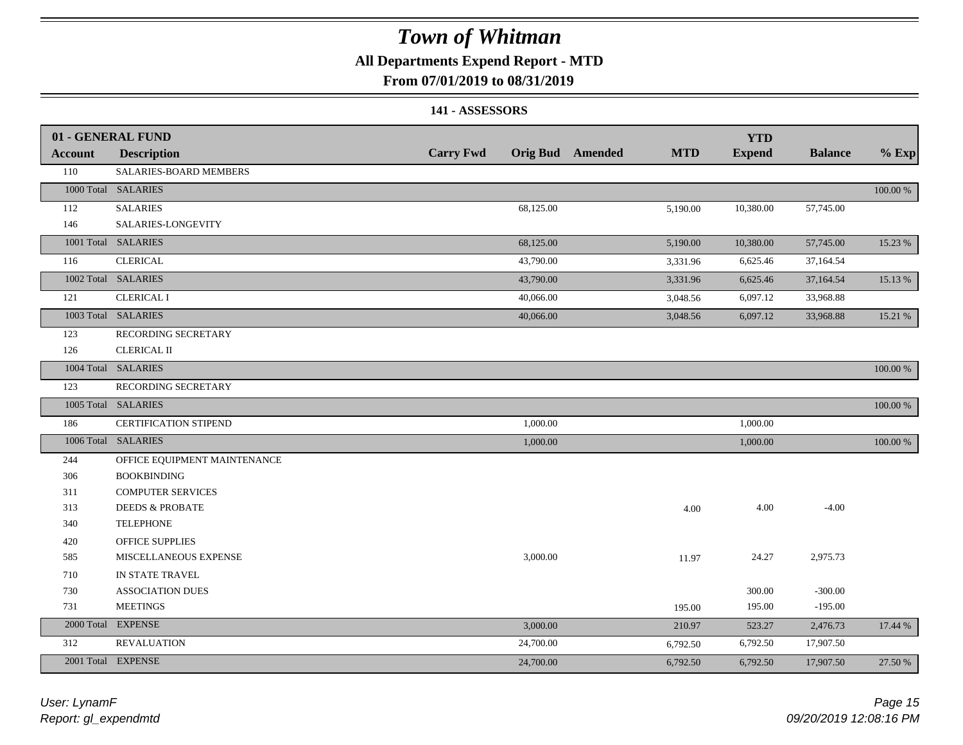### **All Departments Expend Report - MTD**

### **From 07/01/2019 to 08/31/2019**

#### **141 - ASSESSORS**

|                | 01 - GENERAL FUND            |                  |                                       | <b>YTD</b>    |                |             |
|----------------|------------------------------|------------------|---------------------------------------|---------------|----------------|-------------|
| <b>Account</b> | <b>Description</b>           | <b>Carry Fwd</b> | <b>Orig Bud</b> Amended<br><b>MTD</b> | <b>Expend</b> | <b>Balance</b> | $%$ Exp     |
| 110            | SALARIES-BOARD MEMBERS       |                  |                                       |               |                |             |
|                | 1000 Total SALARIES          |                  |                                       |               |                | 100.00 %    |
| 112            | <b>SALARIES</b>              | 68,125.00        | 5,190.00                              | 10,380.00     | 57,745.00      |             |
| 146            | SALARIES-LONGEVITY           |                  |                                       |               |                |             |
|                | 1001 Total SALARIES          | 68,125.00        | 5,190.00                              | 10,380.00     | 57,745.00      | 15.23 %     |
| 116            | <b>CLERICAL</b>              | 43,790.00        | 3,331.96                              | 6,625.46      | 37,164.54      |             |
|                | 1002 Total SALARIES          | 43,790.00        | 3,331.96                              | 6,625.46      | 37,164.54      | 15.13 %     |
| 121            | <b>CLERICAL I</b>            | 40,066.00        | 3,048.56                              | 6,097.12      | 33,968.88      |             |
|                | 1003 Total SALARIES          | 40,066.00        | 3,048.56                              | 6,097.12      | 33,968.88      | 15.21 %     |
| 123            | RECORDING SECRETARY          |                  |                                       |               |                |             |
| 126            | <b>CLERICAL II</b>           |                  |                                       |               |                |             |
|                | 1004 Total SALARIES          |                  |                                       |               |                | 100.00 %    |
| 123            | RECORDING SECRETARY          |                  |                                       |               |                |             |
|                | 1005 Total SALARIES          |                  |                                       |               |                | $100.00~\%$ |
| 186            | <b>CERTIFICATION STIPEND</b> | 1,000.00         |                                       | 1,000.00      |                |             |
|                | 1006 Total SALARIES          | 1,000.00         |                                       | 1,000.00      |                | 100.00 %    |
| 244            | OFFICE EQUIPMENT MAINTENANCE |                  |                                       |               |                |             |
| 306            | <b>BOOKBINDING</b>           |                  |                                       |               |                |             |
| 311            | <b>COMPUTER SERVICES</b>     |                  |                                       |               |                |             |
| 313            | <b>DEEDS &amp; PROBATE</b>   |                  | 4.00                                  | 4.00          | $-4.00$        |             |
| 340            | <b>TELEPHONE</b>             |                  |                                       |               |                |             |
| 420            | OFFICE SUPPLIES              |                  |                                       |               |                |             |
| 585            | MISCELLANEOUS EXPENSE        | 3,000.00         | 11.97                                 | 24.27         | 2,975.73       |             |
| 710            | IN STATE TRAVEL              |                  |                                       |               |                |             |
| 730            | <b>ASSOCIATION DUES</b>      |                  |                                       | 300.00        | $-300.00$      |             |
| 731            | <b>MEETINGS</b>              |                  | 195.00                                | 195.00        | $-195.00$      |             |
| 2000 Total     | <b>EXPENSE</b>               | 3,000.00         | 210.97                                | 523.27        | 2,476.73       | 17.44 %     |
| 312            | <b>REVALUATION</b>           | 24,700.00        | 6,792.50                              | 6,792.50      | 17,907.50      |             |
|                | 2001 Total EXPENSE           | 24,700.00        | 6,792.50                              | 6,792.50      | 17,907.50      | 27.50 %     |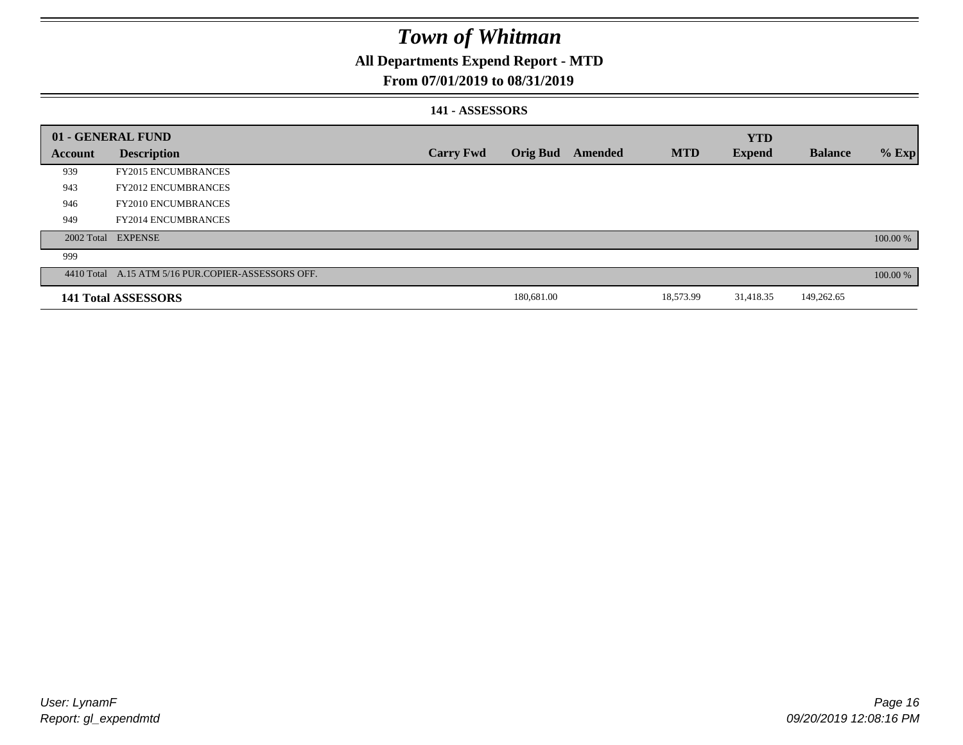### **All Departments Expend Report - MTD**

### **From 07/01/2019 to 08/31/2019**

### **141 - ASSESSORS**

|         | 01 - GENERAL FUND                                  |                  |                 |         |            | <b>YTD</b>    |                |          |
|---------|----------------------------------------------------|------------------|-----------------|---------|------------|---------------|----------------|----------|
| Account | <b>Description</b>                                 | <b>Carry Fwd</b> | <b>Orig Bud</b> | Amended | <b>MTD</b> | <b>Expend</b> | <b>Balance</b> | $%$ Exp  |
| 939     | <b>FY2015 ENCUMBRANCES</b>                         |                  |                 |         |            |               |                |          |
| 943     | <b>FY2012 ENCUMBRANCES</b>                         |                  |                 |         |            |               |                |          |
| 946     | <b>FY2010 ENCUMBRANCES</b>                         |                  |                 |         |            |               |                |          |
| 949     | <b>FY2014 ENCUMBRANCES</b>                         |                  |                 |         |            |               |                |          |
|         | 2002 Total EXPENSE                                 |                  |                 |         |            |               |                | 100.00 % |
| 999     |                                                    |                  |                 |         |            |               |                |          |
|         | 4410 Total A.15 ATM 5/16 PUR.COPIER-ASSESSORS OFF. |                  |                 |         |            |               |                | 100.00 % |
|         | 141 Total ASSESSORS                                |                  | 180,681.00      |         | 18,573.99  | 31,418.35     | 149,262.65     |          |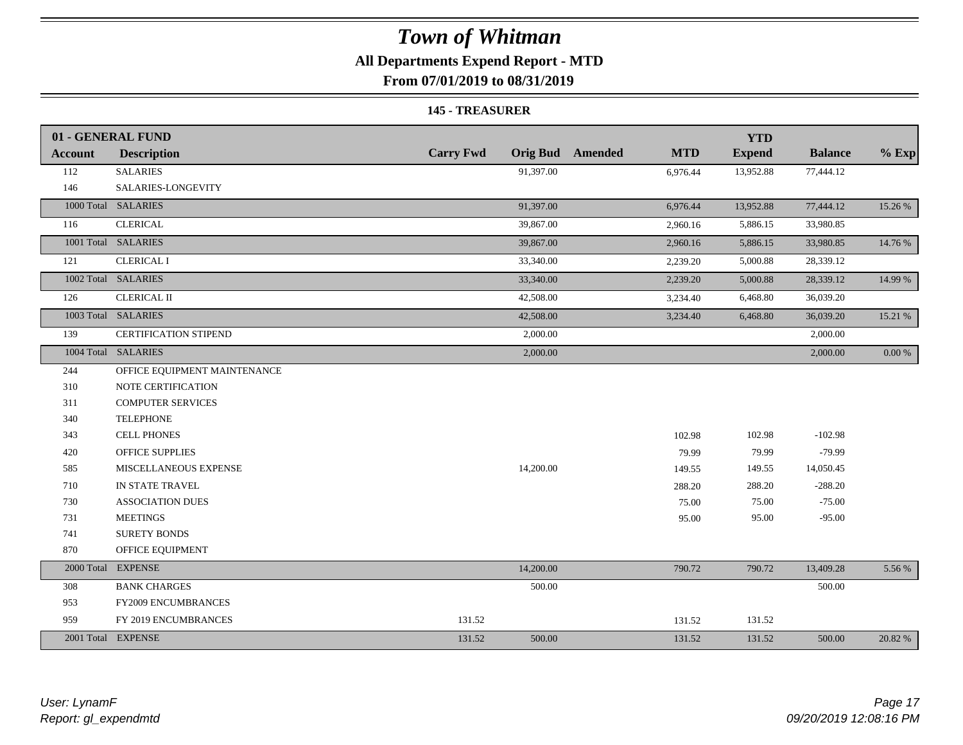## **All Departments Expend Report - MTD**

**From 07/01/2019 to 08/31/2019**

#### **145 - TREASURER**

|                | 01 - GENERAL FUND            |                  |                                | <b>YTD</b>    |                |            |
|----------------|------------------------------|------------------|--------------------------------|---------------|----------------|------------|
| <b>Account</b> | <b>Description</b>           | <b>Carry Fwd</b> | Orig Bud Amended<br><b>MTD</b> | <b>Expend</b> | <b>Balance</b> | $%$ Exp    |
| 112            | <b>SALARIES</b>              | 91,397.00        | 6,976.44                       | 13,952.88     | 77,444.12      |            |
| 146            | SALARIES-LONGEVITY           |                  |                                |               |                |            |
|                | 1000 Total SALARIES          | 91,397.00        | 6,976.44                       | 13,952.88     | 77,444.12      | 15.26 %    |
| 116            | <b>CLERICAL</b>              | 39,867.00        | 2,960.16                       | 5,886.15      | 33,980.85      |            |
|                | 1001 Total SALARIES          | 39,867.00        | 2,960.16                       | 5,886.15      | 33,980.85      | 14.76 %    |
| 121            | <b>CLERICAL I</b>            | 33,340.00        | 2,239.20                       | 5,000.88      | 28,339.12      |            |
|                | 1002 Total SALARIES          | 33,340.00        | 2,239.20                       | 5,000.88      | 28,339.12      | 14.99 %    |
| 126            | <b>CLERICAL II</b>           | 42,508.00        | 3,234.40                       | 6,468.80      | 36,039.20      |            |
|                | 1003 Total SALARIES          | 42,508.00        | 3,234.40                       | 6,468.80      | 36,039.20      | 15.21 %    |
| 139            | CERTIFICATION STIPEND        | 2,000.00         |                                |               | 2,000.00       |            |
|                | 1004 Total SALARIES          | 2,000.00         |                                |               | 2,000.00       | $0.00\ \%$ |
| 244            | OFFICE EQUIPMENT MAINTENANCE |                  |                                |               |                |            |
| 310            | NOTE CERTIFICATION           |                  |                                |               |                |            |
| 311            | <b>COMPUTER SERVICES</b>     |                  |                                |               |                |            |
| 340            | <b>TELEPHONE</b>             |                  |                                |               |                |            |
| 343            | <b>CELL PHONES</b>           |                  | 102.98                         | 102.98        | $-102.98$      |            |
| 420            | <b>OFFICE SUPPLIES</b>       |                  | 79.99                          | 79.99         | $-79.99$       |            |
| 585            | MISCELLANEOUS EXPENSE        | 14,200.00        | 149.55                         | 149.55        | 14,050.45      |            |
| 710            | IN STATE TRAVEL              |                  | 288.20                         | 288.20        | $-288.20$      |            |
| 730            | <b>ASSOCIATION DUES</b>      |                  | 75.00                          | 75.00         | $-75.00$       |            |
| 731            | <b>MEETINGS</b>              |                  | 95.00                          | 95.00         | $-95.00$       |            |
| 741            | <b>SURETY BONDS</b>          |                  |                                |               |                |            |
| 870            | OFFICE EQUIPMENT             |                  |                                |               |                |            |
|                | 2000 Total EXPENSE           | 14,200.00        | 790.72                         | 790.72        | 13,409.28      | 5.56 %     |
| 308            | <b>BANK CHARGES</b>          | 500.00           |                                |               | 500.00         |            |
| 953            | FY2009 ENCUMBRANCES          |                  |                                |               |                |            |
| 959            | FY 2019 ENCUMBRANCES         | 131.52           | 131.52                         | 131.52        |                |            |
|                | 2001 Total EXPENSE           | 131.52<br>500.00 | 131.52                         | 131.52        | 500.00         | 20.82 %    |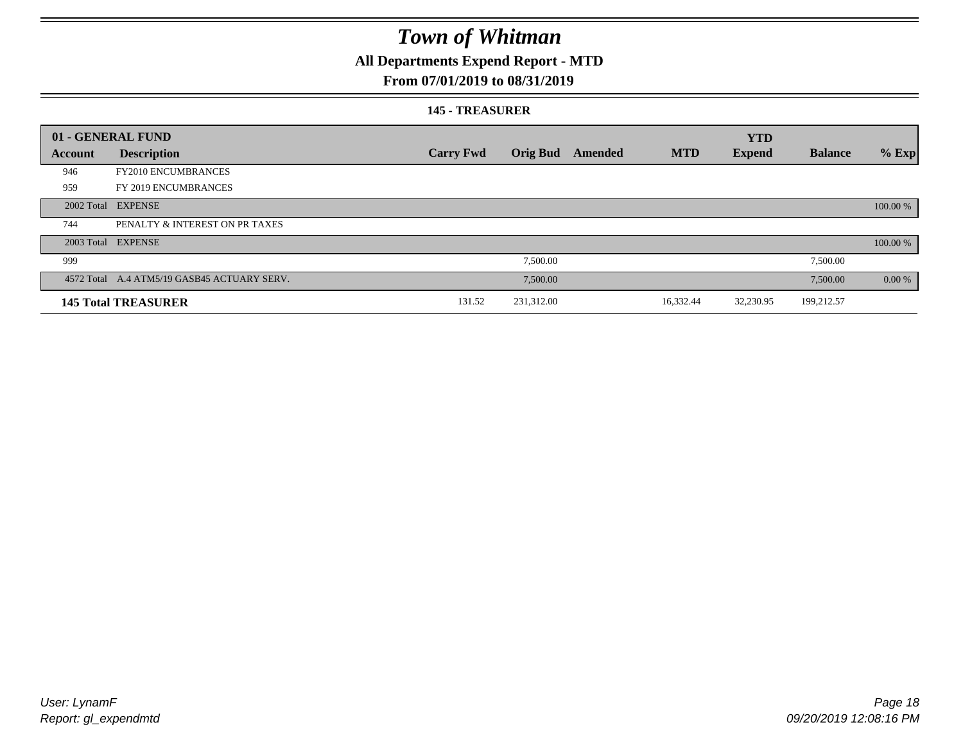## **All Departments Expend Report - MTD**

### **From 07/01/2019 to 08/31/2019**

#### **145 - TREASURER**

|         | 01 - GENERAL FUND                           |                  |                 |         |            | <b>YTD</b>    |                |           |
|---------|---------------------------------------------|------------------|-----------------|---------|------------|---------------|----------------|-----------|
| Account | <b>Description</b>                          | <b>Carry Fwd</b> | <b>Orig Bud</b> | Amended | <b>MTD</b> | <b>Expend</b> | <b>Balance</b> | $%$ Exp   |
| 946     | <b>FY2010 ENCUMBRANCES</b>                  |                  |                 |         |            |               |                |           |
| 959     | FY 2019 ENCUMBRANCES                        |                  |                 |         |            |               |                |           |
|         | 2002 Total EXPENSE                          |                  |                 |         |            |               |                | 100.00 %  |
| 744     | PENALTY & INTEREST ON PR TAXES              |                  |                 |         |            |               |                |           |
|         | 2003 Total EXPENSE                          |                  |                 |         |            |               |                | 100.00 %  |
| 999     |                                             |                  | 7,500.00        |         |            |               | 7,500.00       |           |
|         | 4572 Total A.4 ATM5/19 GASB45 ACTUARY SERV. |                  | 7,500.00        |         |            |               | 7,500.00       | $0.00 \%$ |
|         | <b>145 Total TREASURER</b>                  | 131.52           | 231,312.00      |         | 16,332.44  | 32,230.95     | 199,212.57     |           |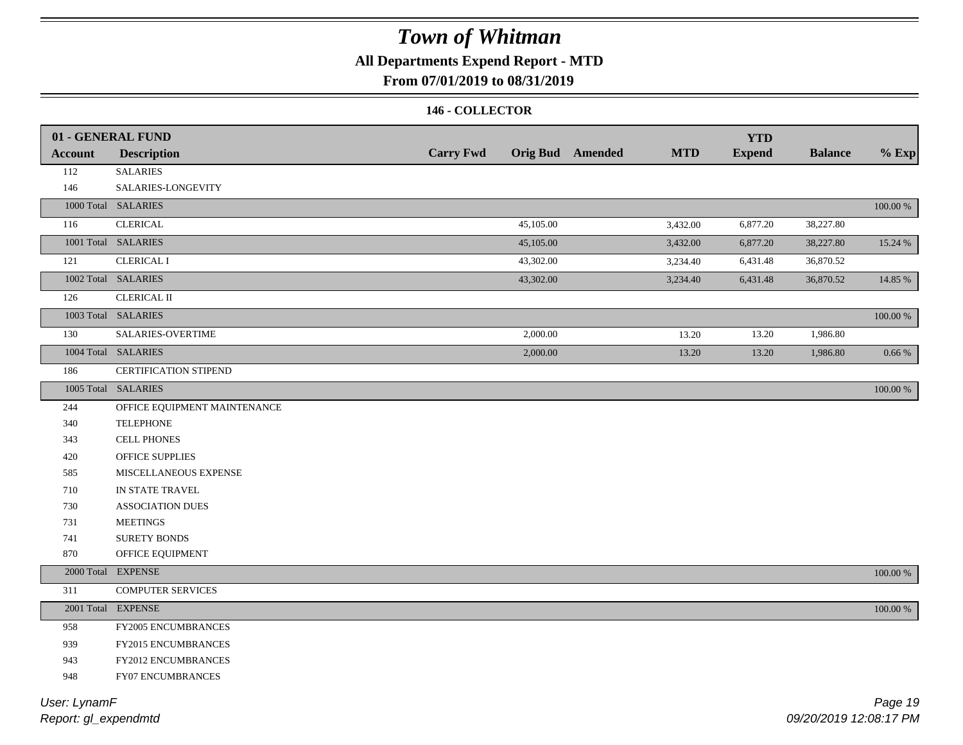## **All Departments Expend Report - MTD**

### **From 07/01/2019 to 08/31/2019**

### **146 - COLLECTOR**

|                | 01 - GENERAL FUND<br><b>Description</b> | <b>Carry Fwd</b> |           | <b>Orig Bud</b> Amended | <b>MTD</b> | <b>YTD</b><br><b>Expend</b> | <b>Balance</b> | $%$ Exp     |
|----------------|-----------------------------------------|------------------|-----------|-------------------------|------------|-----------------------------|----------------|-------------|
| <b>Account</b> |                                         |                  |           |                         |            |                             |                |             |
| 112<br>146     | <b>SALARIES</b><br>SALARIES-LONGEVITY   |                  |           |                         |            |                             |                |             |
|                | 1000 Total SALARIES                     |                  |           |                         |            |                             |                |             |
|                |                                         |                  |           |                         |            |                             |                | $100.00~\%$ |
| 116            | <b>CLERICAL</b>                         |                  | 45,105.00 |                         | 3,432.00   | 6,877.20                    | 38,227.80      |             |
|                | 1001 Total SALARIES                     |                  | 45,105.00 |                         | 3,432.00   | 6,877.20                    | 38,227.80      | 15.24 %     |
| 121            | <b>CLERICAL I</b>                       |                  | 43,302.00 |                         | 3,234.40   | 6,431.48                    | 36,870.52      |             |
|                | 1002 Total SALARIES                     |                  | 43,302.00 |                         | 3,234.40   | 6,431.48                    | 36,870.52      | 14.85 %     |
| 126            | <b>CLERICAL II</b>                      |                  |           |                         |            |                             |                |             |
|                | 1003 Total SALARIES                     |                  |           |                         |            |                             |                | 100.00 %    |
| 130            | SALARIES-OVERTIME                       |                  | 2,000.00  |                         | 13.20      | 13.20                       | 1,986.80       |             |
|                | 1004 Total SALARIES                     |                  | 2,000.00  |                         | 13.20      | 13.20                       | 1,986.80       | $0.66~\%$   |
| 186            | <b>CERTIFICATION STIPEND</b>            |                  |           |                         |            |                             |                |             |
|                | 1005 Total SALARIES                     |                  |           |                         |            |                             |                | 100.00 %    |
| 244            | OFFICE EQUIPMENT MAINTENANCE            |                  |           |                         |            |                             |                |             |
| 340            | <b>TELEPHONE</b>                        |                  |           |                         |            |                             |                |             |
| 343            | <b>CELL PHONES</b>                      |                  |           |                         |            |                             |                |             |
| 420            | OFFICE SUPPLIES                         |                  |           |                         |            |                             |                |             |
| 585            | MISCELLANEOUS EXPENSE                   |                  |           |                         |            |                             |                |             |
| 710            | IN STATE TRAVEL                         |                  |           |                         |            |                             |                |             |
| 730            | <b>ASSOCIATION DUES</b>                 |                  |           |                         |            |                             |                |             |
| 731            | <b>MEETINGS</b>                         |                  |           |                         |            |                             |                |             |
| 741            | <b>SURETY BONDS</b>                     |                  |           |                         |            |                             |                |             |
| 870            | OFFICE EQUIPMENT                        |                  |           |                         |            |                             |                |             |
|                | 2000 Total EXPENSE                      |                  |           |                         |            |                             |                | 100.00 %    |
| 311            | <b>COMPUTER SERVICES</b>                |                  |           |                         |            |                             |                |             |
|                | 2001 Total EXPENSE                      |                  |           |                         |            |                             |                | $100.00~\%$ |
| 958            | FY2005 ENCUMBRANCES                     |                  |           |                         |            |                             |                |             |
| 939            | FY2015 ENCUMBRANCES                     |                  |           |                         |            |                             |                |             |
| 943            | FY2012 ENCUMBRANCES                     |                  |           |                         |            |                             |                |             |
| 948            | FY07 ENCUMBRANCES                       |                  |           |                         |            |                             |                |             |
|                |                                         |                  |           |                         |            |                             |                |             |

*Report: gl\_expendmtd User: LynamF*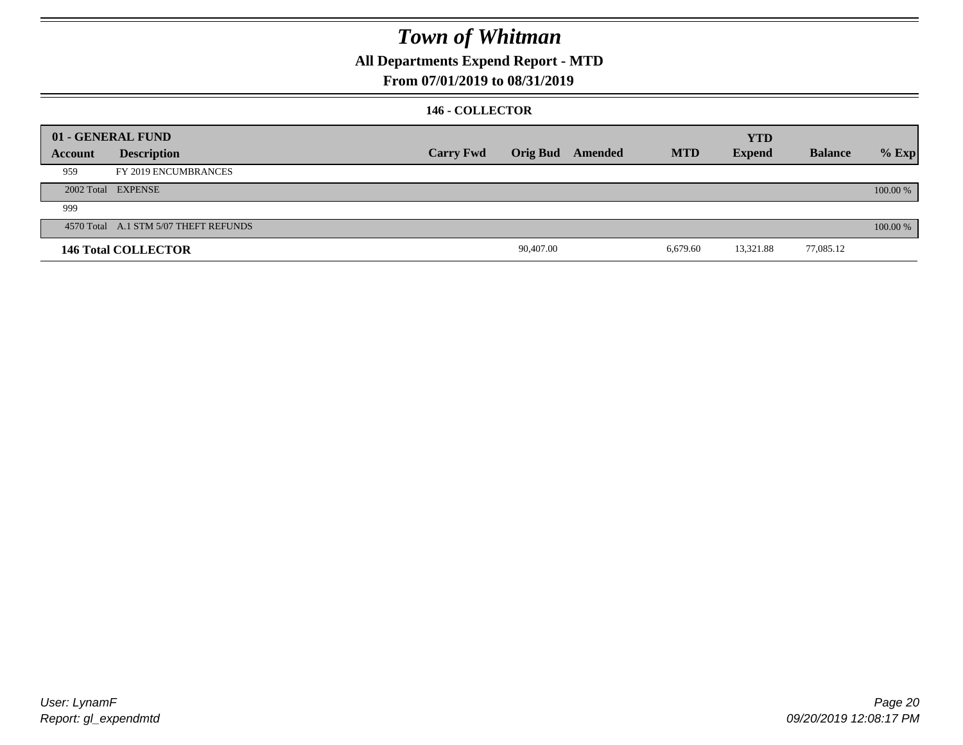### **All Departments Expend Report - MTD**

### **From 07/01/2019 to 08/31/2019**

### **146 - COLLECTOR**

|         | 01 - GENERAL FUND                     |                  |           |                  |            | <b>YTD</b>    |                |          |
|---------|---------------------------------------|------------------|-----------|------------------|------------|---------------|----------------|----------|
| Account | <b>Description</b>                    | <b>Carry Fwd</b> |           | Orig Bud Amended | <b>MTD</b> | <b>Expend</b> | <b>Balance</b> | $%$ Exp  |
| 959     | FY 2019 ENCUMBRANCES                  |                  |           |                  |            |               |                |          |
|         | 2002 Total EXPENSE                    |                  |           |                  |            |               |                | 100.00 % |
| 999     |                                       |                  |           |                  |            |               |                |          |
|         | 4570 Total A.1 STM 5/07 THEFT REFUNDS |                  |           |                  |            |               |                | 100.00 % |
|         | <b>146 Total COLLECTOR</b>            |                  | 90,407.00 |                  | 6,679.60   | 13,321.88     | 77,085.12      |          |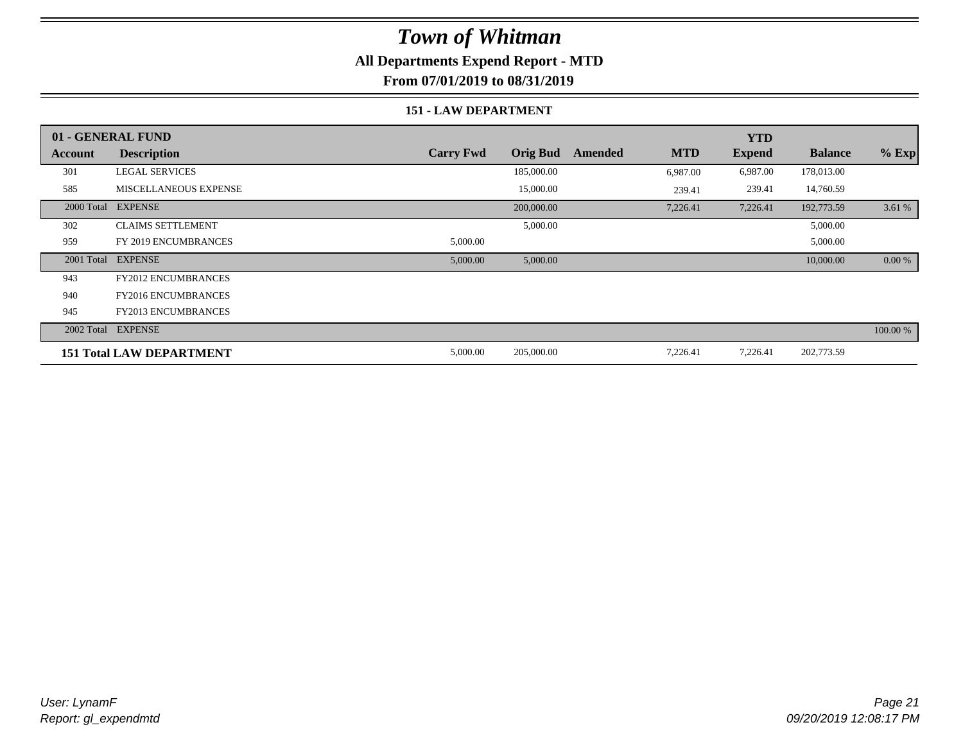### **All Departments Expend Report - MTD**

**From 07/01/2019 to 08/31/2019**

### **151 - LAW DEPARTMENT**

|            | 01 - GENERAL FUND               |                  |                 |         |            | <b>YTD</b>    |                |          |
|------------|---------------------------------|------------------|-----------------|---------|------------|---------------|----------------|----------|
| Account    | <b>Description</b>              | <b>Carry Fwd</b> | <b>Orig Bud</b> | Amended | <b>MTD</b> | <b>Expend</b> | <b>Balance</b> | $%$ Exp  |
| 301        | <b>LEGAL SERVICES</b>           |                  | 185,000.00      |         | 6,987.00   | 6,987.00      | 178,013.00     |          |
| 585        | <b>MISCELLANEOUS EXPENSE</b>    |                  | 15,000.00       |         | 239.41     | 239.41        | 14,760.59      |          |
| 2000 Total | <b>EXPENSE</b>                  |                  | 200,000.00      |         | 7,226.41   | 7,226.41      | 192,773.59     | 3.61 %   |
| 302        | <b>CLAIMS SETTLEMENT</b>        |                  | 5,000.00        |         |            |               | 5,000.00       |          |
| 959        | FY 2019 ENCUMBRANCES            | 5,000.00         |                 |         |            |               | 5,000.00       |          |
| 2001 Total | <b>EXPENSE</b>                  | 5,000.00         | 5,000.00        |         |            |               | 10,000.00      | 0.00 %   |
| 943        | <b>FY2012 ENCUMBRANCES</b>      |                  |                 |         |            |               |                |          |
| 940        | <b>FY2016 ENCUMBRANCES</b>      |                  |                 |         |            |               |                |          |
| 945        | <b>FY2013 ENCUMBRANCES</b>      |                  |                 |         |            |               |                |          |
| 2002 Total | <b>EXPENSE</b>                  |                  |                 |         |            |               |                | 100.00 % |
|            | <b>151 Total LAW DEPARTMENT</b> | 5,000.00         | 205,000.00      |         | 7,226.41   | 7,226.41      | 202,773.59     |          |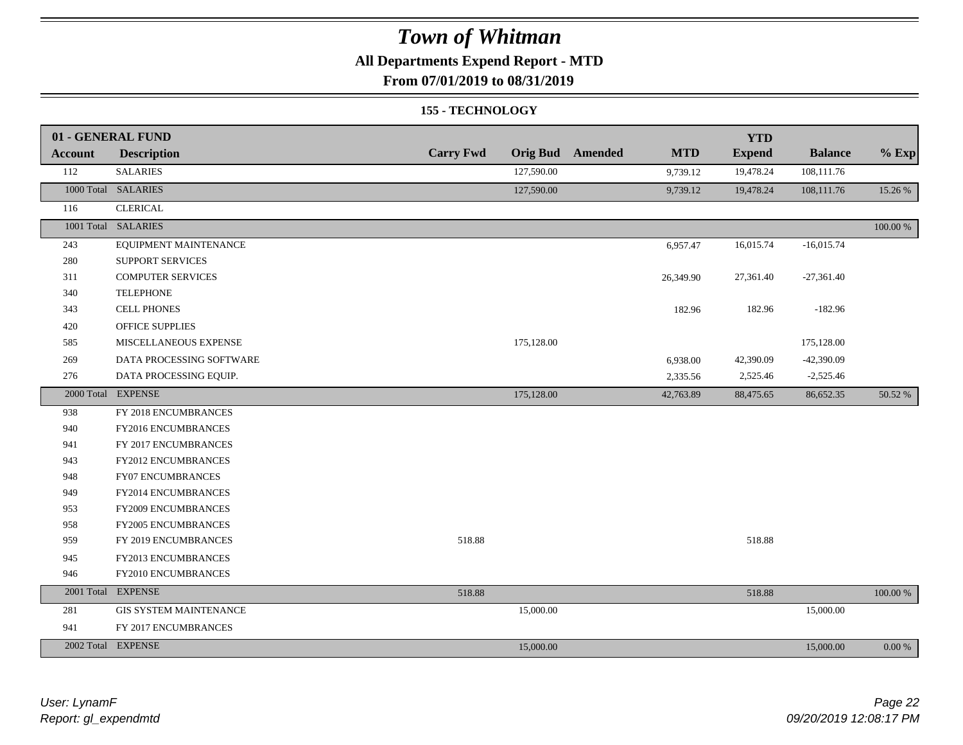### **All Departments Expend Report - MTD**

**From 07/01/2019 to 08/31/2019**

#### **155 - TECHNOLOGY**

|         | 01 - GENERAL FUND             |                  |                 |         |            | <b>YTD</b>    |                |            |
|---------|-------------------------------|------------------|-----------------|---------|------------|---------------|----------------|------------|
| Account | <b>Description</b>            | <b>Carry Fwd</b> | <b>Orig Bud</b> | Amended | <b>MTD</b> | <b>Expend</b> | <b>Balance</b> | $%$ Exp    |
| 112     | <b>SALARIES</b>               |                  | 127,590.00      |         | 9,739.12   | 19,478.24     | 108,111.76     |            |
|         | 1000 Total SALARIES           |                  | 127,590.00      |         | 9,739.12   | 19,478.24     | 108,111.76     | 15.26 %    |
| 116     | <b>CLERICAL</b>               |                  |                 |         |            |               |                |            |
|         | 1001 Total SALARIES           |                  |                 |         |            |               |                | 100.00 %   |
| 243     | EQUIPMENT MAINTENANCE         |                  |                 |         | 6,957.47   | 16,015.74     | $-16,015.74$   |            |
| 280     | SUPPORT SERVICES              |                  |                 |         |            |               |                |            |
| 311     | <b>COMPUTER SERVICES</b>      |                  |                 |         | 26,349.90  | 27,361.40     | $-27,361.40$   |            |
| 340     | <b>TELEPHONE</b>              |                  |                 |         |            |               |                |            |
| 343     | CELL PHONES                   |                  |                 |         | 182.96     | 182.96        | $-182.96$      |            |
| 420     | OFFICE SUPPLIES               |                  |                 |         |            |               |                |            |
| 585     | MISCELLANEOUS EXPENSE         |                  | 175,128.00      |         |            |               | 175,128.00     |            |
| 269     | DATA PROCESSING SOFTWARE      |                  |                 |         | 6,938.00   | 42,390.09     | $-42,390.09$   |            |
| 276     | DATA PROCESSING EQUIP.        |                  |                 |         | 2,335.56   | 2,525.46      | $-2,525.46$    |            |
|         | 2000 Total EXPENSE            |                  | 175,128.00      |         | 42,763.89  | 88,475.65     | 86,652.35      | 50.52 %    |
| 938     | FY 2018 ENCUMBRANCES          |                  |                 |         |            |               |                |            |
| 940     | FY2016 ENCUMBRANCES           |                  |                 |         |            |               |                |            |
| 941     | FY 2017 ENCUMBRANCES          |                  |                 |         |            |               |                |            |
| 943     | FY2012 ENCUMBRANCES           |                  |                 |         |            |               |                |            |
| 948     | <b>FY07 ENCUMBRANCES</b>      |                  |                 |         |            |               |                |            |
| 949     | FY2014 ENCUMBRANCES           |                  |                 |         |            |               |                |            |
| 953     | FY2009 ENCUMBRANCES           |                  |                 |         |            |               |                |            |
| 958     | <b>FY2005 ENCUMBRANCES</b>    |                  |                 |         |            |               |                |            |
| 959     | FY 2019 ENCUMBRANCES          | 518.88           |                 |         |            | 518.88        |                |            |
| 945     | FY2013 ENCUMBRANCES           |                  |                 |         |            |               |                |            |
| 946     | FY2010 ENCUMBRANCES           |                  |                 |         |            |               |                |            |
|         | 2001 Total EXPENSE            | 518.88           |                 |         |            | 518.88        |                | 100.00 %   |
| 281     | <b>GIS SYSTEM MAINTENANCE</b> |                  | 15,000.00       |         |            |               | 15,000.00      |            |
| 941     | FY 2017 ENCUMBRANCES          |                  |                 |         |            |               |                |            |
|         | 2002 Total EXPENSE            |                  | 15,000.00       |         |            |               | 15,000.00      | $0.00\ \%$ |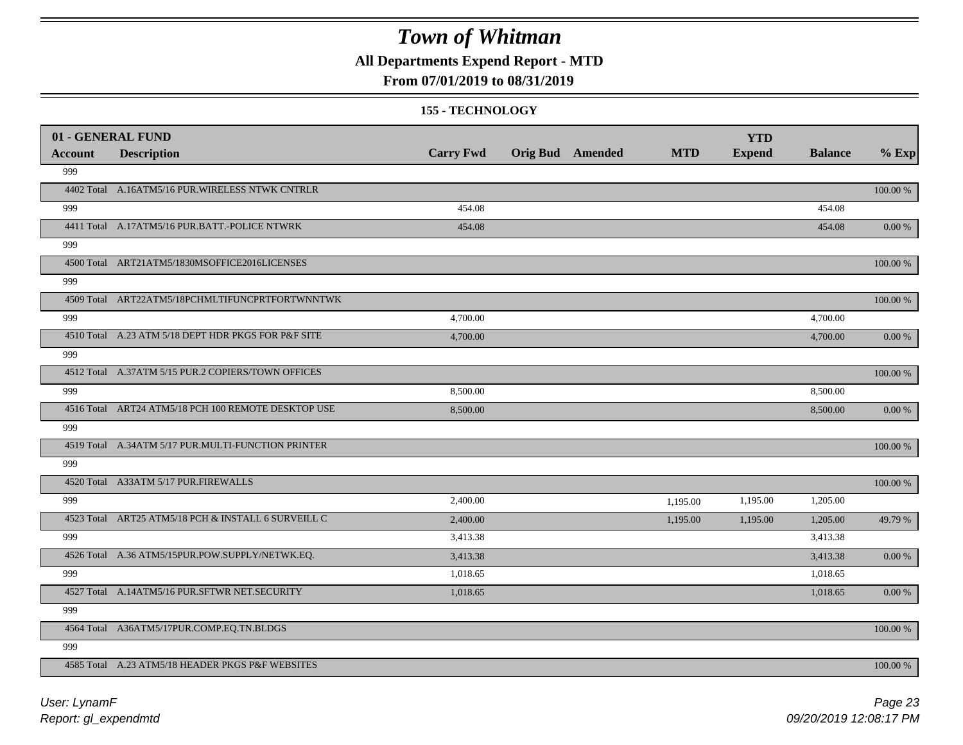**All Departments Expend Report - MTD**

### **From 07/01/2019 to 08/31/2019**

#### **155 - TECHNOLOGY**

| 01 - GENERAL FUND |                                                     |                  |                         |            | <b>YTD</b>    |                |             |
|-------------------|-----------------------------------------------------|------------------|-------------------------|------------|---------------|----------------|-------------|
| <b>Account</b>    | <b>Description</b>                                  | <b>Carry Fwd</b> | <b>Orig Bud</b> Amended | <b>MTD</b> | <b>Expend</b> | <b>Balance</b> | $%$ Exp     |
| 999               |                                                     |                  |                         |            |               |                |             |
|                   | 4402 Total A.16ATM5/16 PUR.WIRELESS NTWK CNTRLR     |                  |                         |            |               |                | 100.00 %    |
| 999               |                                                     | 454.08           |                         |            |               | 454.08         |             |
|                   | 4411 Total A.17ATM5/16 PUR.BATT.-POLICE NTWRK       | 454.08           |                         |            |               | 454.08         | 0.00 %      |
| 999               |                                                     |                  |                         |            |               |                |             |
|                   | 4500 Total ART21ATM5/1830MSOFFICE2016LICENSES       |                  |                         |            |               |                | 100.00 %    |
| 999               |                                                     |                  |                         |            |               |                |             |
|                   | 4509 Total ART22ATM5/18PCHMLTIFUNCPRTFORTWNNTWK     |                  |                         |            |               |                | 100.00 %    |
| 999               |                                                     | 4,700.00         |                         |            |               | 4,700.00       |             |
|                   | 4510 Total A.23 ATM 5/18 DEPT HDR PKGS FOR P&F SITE | 4,700.00         |                         |            |               | 4,700.00       | 0.00 %      |
| 999               |                                                     |                  |                         |            |               |                |             |
|                   | 4512 Total A.37ATM 5/15 PUR.2 COPIERS/TOWN OFFICES  |                  |                         |            |               |                | $100.00~\%$ |
| 999               |                                                     | 8,500.00         |                         |            |               | 8,500.00       |             |
|                   | 4516 Total ART24 ATM5/18 PCH 100 REMOTE DESKTOP USE | 8,500.00         |                         |            |               | 8,500.00       | 0.00 %      |
| 999               |                                                     |                  |                         |            |               |                |             |
|                   | 4519 Total A.34ATM 5/17 PUR.MULTI-FUNCTION PRINTER  |                  |                         |            |               |                | 100.00 %    |
| 999               |                                                     |                  |                         |            |               |                |             |
|                   | 4520 Total A33ATM 5/17 PUR.FIREWALLS                |                  |                         |            |               |                | 100.00 %    |
| 999               |                                                     | 2,400.00         |                         | 1,195.00   | 1,195.00      | 1,205.00       |             |
|                   | 4523 Total ART25 ATM5/18 PCH & INSTALL 6 SURVEILL C | 2,400.00         |                         | 1,195.00   | 1,195.00      | 1,205.00       | 49.79 %     |
| 999               |                                                     | 3,413.38         |                         |            |               | 3,413.38       |             |
|                   | 4526 Total A.36 ATM5/15PUR.POW.SUPPLY/NETWK.EQ.     | 3,413.38         |                         |            |               | 3,413.38       | $0.00 \%$   |
| 999               |                                                     | 1,018.65         |                         |            |               | 1,018.65       |             |
|                   | 4527 Total A.14ATM5/16 PUR.SFTWR NET.SECURITY       | 1,018.65         |                         |            |               | 1,018.65       | 0.00 %      |
| 999               |                                                     |                  |                         |            |               |                |             |
|                   | 4564 Total A36ATM5/17PUR.COMP.EQ.TN.BLDGS           |                  |                         |            |               |                | 100.00 %    |
| 999               |                                                     |                  |                         |            |               |                |             |
|                   | 4585 Total A.23 ATM5/18 HEADER PKGS P&F WEBSITES    |                  |                         |            |               |                | 100.00 %    |
|                   |                                                     |                  |                         |            |               |                |             |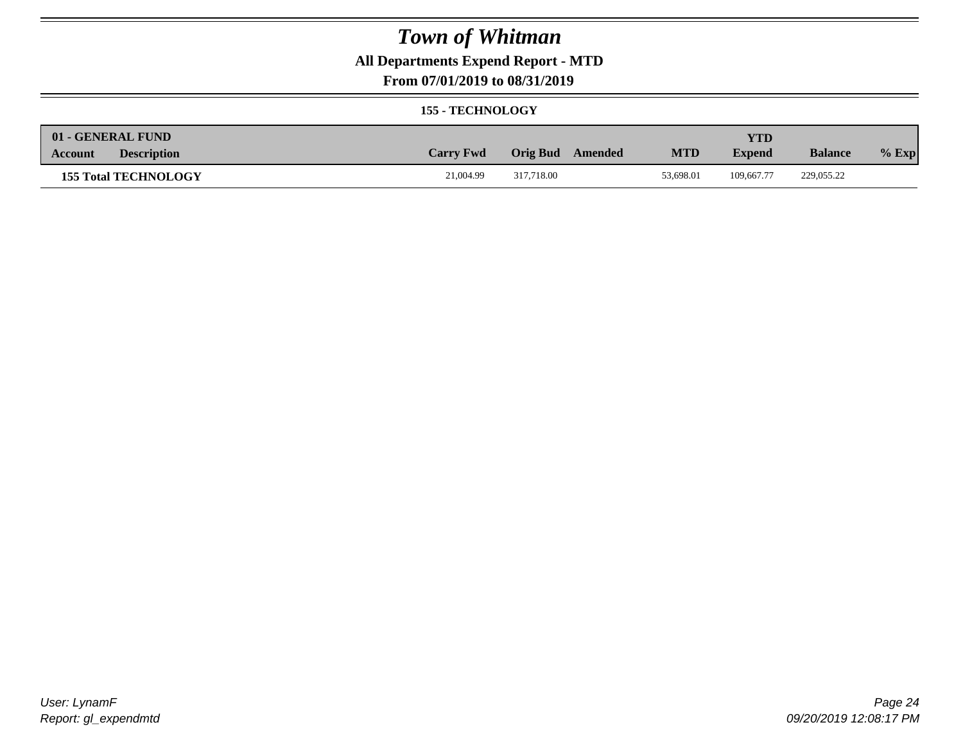## **All Departments Expend Report - MTD**

### **From 07/01/2019 to 08/31/2019**

#### **155 - TECHNOLOGY**

| 01 - GENERAL FUND             |                  |                     |            | <b>YTD</b>    |                |         |
|-------------------------------|------------------|---------------------|------------|---------------|----------------|---------|
| <b>Description</b><br>Account | <b>Carry Fwd</b> | Orig Bud<br>Amended | <b>MTD</b> | <b>Expend</b> | <b>Balance</b> | $%$ Exp |
| <b>155 Total TECHNOLOGY</b>   | 21,004.99        | 317.718.00          | 53,698.01  | 109,667.77    | 229,055.22     |         |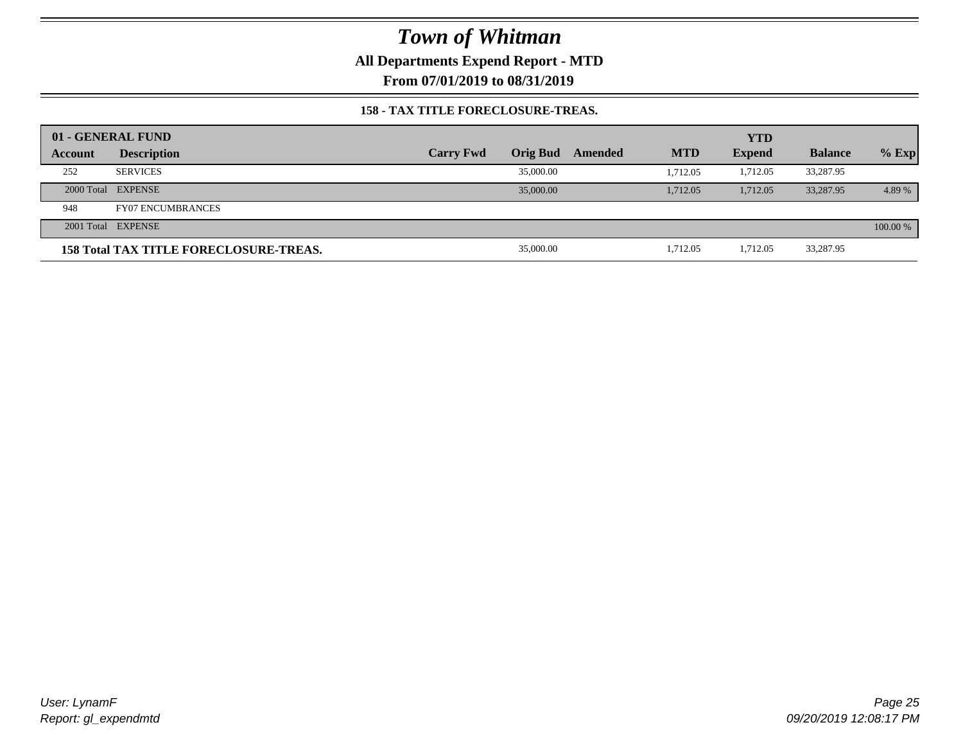**All Departments Expend Report - MTD**

**From 07/01/2019 to 08/31/2019**

### **158 - TAX TITLE FORECLOSURE-TREAS.**

|         | 01 - GENERAL FUND                             |                  |                 |         |            | <b>YTD</b>    |                |          |
|---------|-----------------------------------------------|------------------|-----------------|---------|------------|---------------|----------------|----------|
| Account | <b>Description</b>                            | <b>Carry Fwd</b> | <b>Orig Bud</b> | Amended | <b>MTD</b> | <b>Expend</b> | <b>Balance</b> | $%$ Exp  |
| 252     | <b>SERVICES</b>                               |                  | 35,000.00       |         | 1.712.05   | 1,712.05      | 33,287.95      |          |
|         | 2000 Total EXPENSE                            |                  | 35,000.00       |         | 1.712.05   | 1.712.05      | 33,287.95      | 4.89 %   |
| 948     | <b>FY07 ENCUMBRANCES</b>                      |                  |                 |         |            |               |                |          |
|         | 2001 Total EXPENSE                            |                  |                 |         |            |               |                | 100.00 % |
|         | <b>158 Total TAX TITLE FORECLOSURE-TREAS.</b> |                  | 35,000.00       |         | 1,712.05   | 1,712.05      | 33,287.95      |          |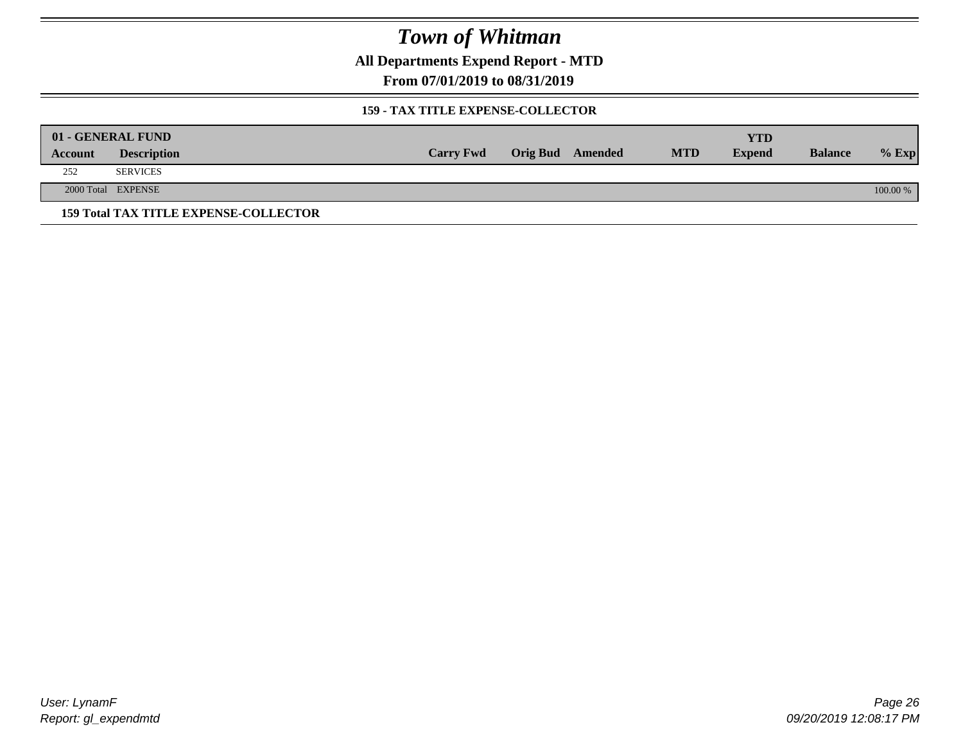**All Departments Expend Report - MTD**

**From 07/01/2019 to 08/31/2019**

### **159 - TAX TITLE EXPENSE-COLLECTOR**

|         | 01 - GENERAL FUND                            |                  |                         |            | YTD           |                |          |
|---------|----------------------------------------------|------------------|-------------------------|------------|---------------|----------------|----------|
| Account | <b>Description</b>                           | <b>Carry Fwd</b> | <b>Orig Bud</b> Amended | <b>MTD</b> | <b>Expend</b> | <b>Balance</b> | $%$ Exp  |
| 252     | <b>SERVICES</b>                              |                  |                         |            |               |                |          |
|         | 2000 Total EXPENSE                           |                  |                         |            |               |                | 100.00 % |
|         | <b>159 Total TAX TITLE EXPENSE-COLLECTOR</b> |                  |                         |            |               |                |          |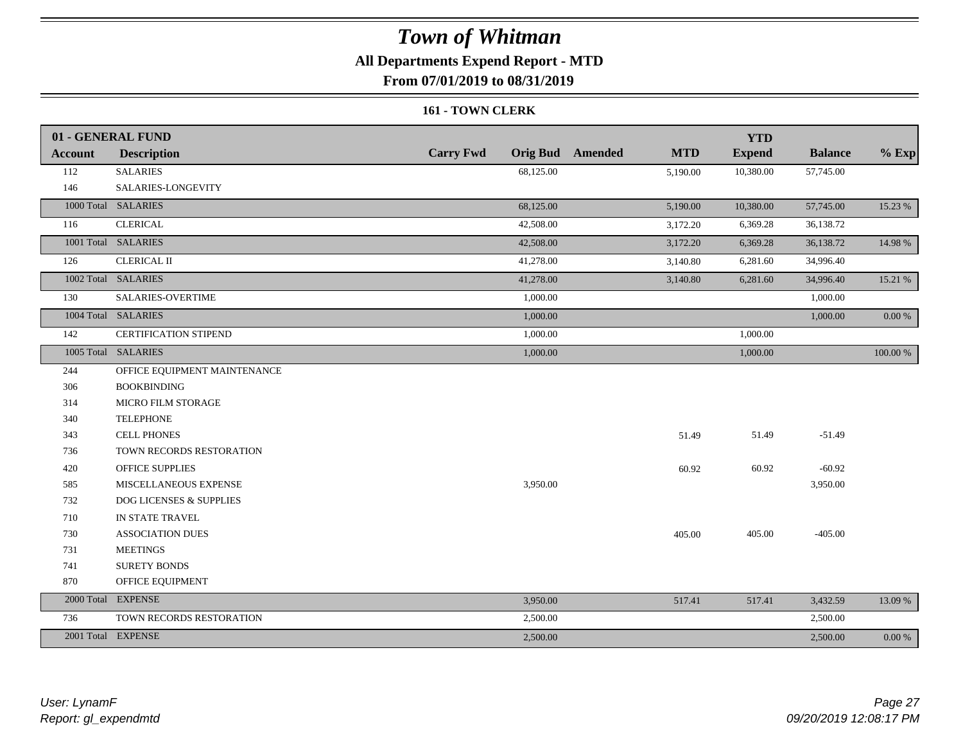## **All Departments Expend Report - MTD**

**From 07/01/2019 to 08/31/2019**

#### **161 - TOWN CLERK**

|                | 01 - GENERAL FUND            |                  |                                       | <b>YTD</b>    |                |          |
|----------------|------------------------------|------------------|---------------------------------------|---------------|----------------|----------|
| <b>Account</b> | <b>Description</b>           | <b>Carry Fwd</b> | <b>Orig Bud</b> Amended<br><b>MTD</b> | <b>Expend</b> | <b>Balance</b> | $%$ Exp  |
| 112            | <b>SALARIES</b>              | 68,125.00        | 5,190.00                              | 10,380.00     | 57,745.00      |          |
| 146            | SALARIES-LONGEVITY           |                  |                                       |               |                |          |
|                | 1000 Total SALARIES          | 68,125.00        | 5,190.00                              | 10,380.00     | 57,745.00      | 15.23 %  |
| 116            | <b>CLERICAL</b>              | 42,508.00        | 3,172.20                              | 6,369.28      | 36,138.72      |          |
|                | 1001 Total SALARIES          | 42,508.00        | 3,172.20                              | 6,369.28      | 36,138.72      | 14.98 %  |
| 126            | <b>CLERICAL II</b>           | 41,278.00        | 3,140.80                              | 6,281.60      | 34,996.40      |          |
|                | 1002 Total SALARIES          | 41,278.00        | 3,140.80                              | 6,281.60      | 34,996.40      | 15.21 %  |
| 130            | <b>SALARIES-OVERTIME</b>     | 1,000.00         |                                       |               | 1,000.00       |          |
|                | 1004 Total SALARIES          | 1,000.00         |                                       |               | 1,000.00       | 0.00 %   |
| 142            | <b>CERTIFICATION STIPEND</b> | 1,000.00         |                                       | 1,000.00      |                |          |
|                | 1005 Total SALARIES          | 1,000.00         |                                       | 1,000.00      |                | 100.00 % |
| 244            | OFFICE EQUIPMENT MAINTENANCE |                  |                                       |               |                |          |
| 306            | <b>BOOKBINDING</b>           |                  |                                       |               |                |          |
| 314            | MICRO FILM STORAGE           |                  |                                       |               |                |          |
| 340            | <b>TELEPHONE</b>             |                  |                                       |               |                |          |
| 343            | <b>CELL PHONES</b>           |                  | 51.49                                 | 51.49         | $-51.49$       |          |
| 736            | TOWN RECORDS RESTORATION     |                  |                                       |               |                |          |
| 420            | <b>OFFICE SUPPLIES</b>       |                  | 60.92                                 | 60.92         | $-60.92$       |          |
| 585            | MISCELLANEOUS EXPENSE        | 3,950.00         |                                       |               | 3,950.00       |          |
| 732            | DOG LICENSES & SUPPLIES      |                  |                                       |               |                |          |
| 710            | IN STATE TRAVEL              |                  |                                       |               |                |          |
| 730            | <b>ASSOCIATION DUES</b>      |                  | 405.00                                | 405.00        | $-405.00$      |          |
| 731            | <b>MEETINGS</b>              |                  |                                       |               |                |          |
| 741            | <b>SURETY BONDS</b>          |                  |                                       |               |                |          |
| 870            | OFFICE EQUIPMENT             |                  |                                       |               |                |          |
|                | 2000 Total EXPENSE           | 3,950.00         | 517.41                                | 517.41        | 3,432.59       | 13.09 %  |
| 736            | TOWN RECORDS RESTORATION     | 2,500.00         |                                       |               | 2,500.00       |          |
|                | 2001 Total EXPENSE           | 2,500.00         |                                       |               | 2,500.00       | 0.00 %   |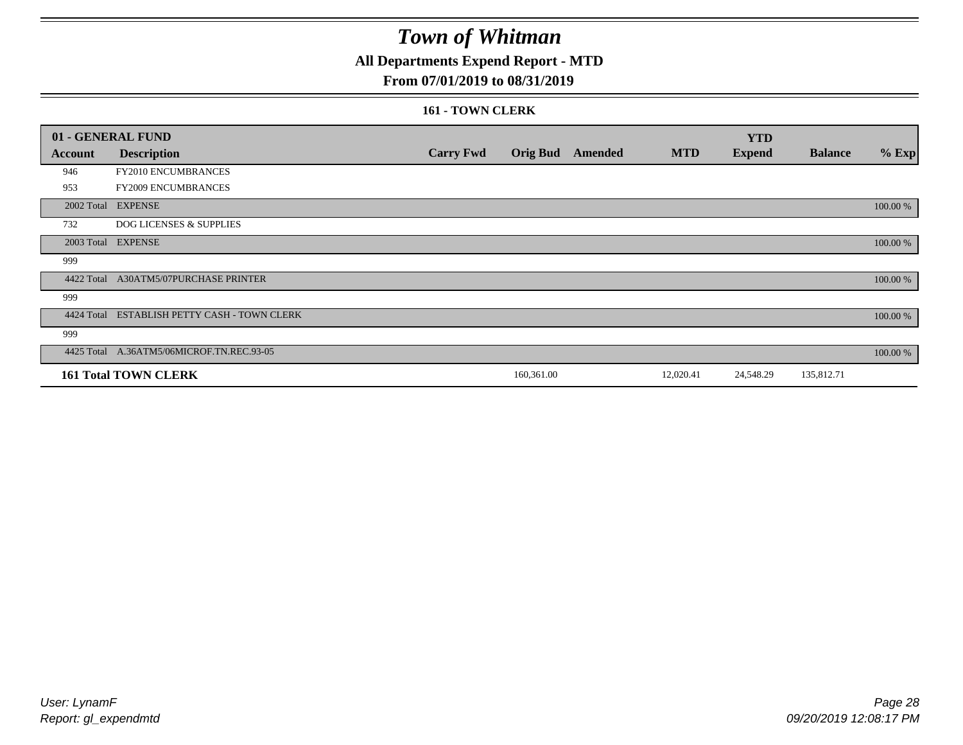## **All Departments Expend Report - MTD**

### **From 07/01/2019 to 08/31/2019**

#### **161 - TOWN CLERK**

|            | 01 - GENERAL FUND                            |                  |            |                         |            | <b>YTD</b>    |                |          |
|------------|----------------------------------------------|------------------|------------|-------------------------|------------|---------------|----------------|----------|
| Account    | <b>Description</b>                           | <b>Carry Fwd</b> |            | <b>Orig Bud</b> Amended | <b>MTD</b> | <b>Expend</b> | <b>Balance</b> | $%$ Exp  |
| 946        | FY2010 ENCUMBRANCES                          |                  |            |                         |            |               |                |          |
| 953        | FY2009 ENCUMBRANCES                          |                  |            |                         |            |               |                |          |
|            | 2002 Total EXPENSE                           |                  |            |                         |            |               |                | 100.00 % |
| 732        | <b>DOG LICENSES &amp; SUPPLIES</b>           |                  |            |                         |            |               |                |          |
|            | 2003 Total EXPENSE                           |                  |            |                         |            |               |                | 100.00 % |
| 999        |                                              |                  |            |                         |            |               |                |          |
| 4422 Total | <b>A30ATM5/07PURCHASE PRINTER</b>            |                  |            |                         |            |               |                | 100.00 % |
| 999        |                                              |                  |            |                         |            |               |                |          |
|            | 4424 Total ESTABLISH PETTY CASH - TOWN CLERK |                  |            |                         |            |               |                | 100.00 % |
| 999        |                                              |                  |            |                         |            |               |                |          |
|            | 4425 Total A.36ATM5/06MICROF.TN.REC.93-05    |                  |            |                         |            |               |                | 100.00 % |
|            | <b>161 Total TOWN CLERK</b>                  |                  | 160,361.00 |                         | 12,020.41  | 24,548.29     | 135,812.71     |          |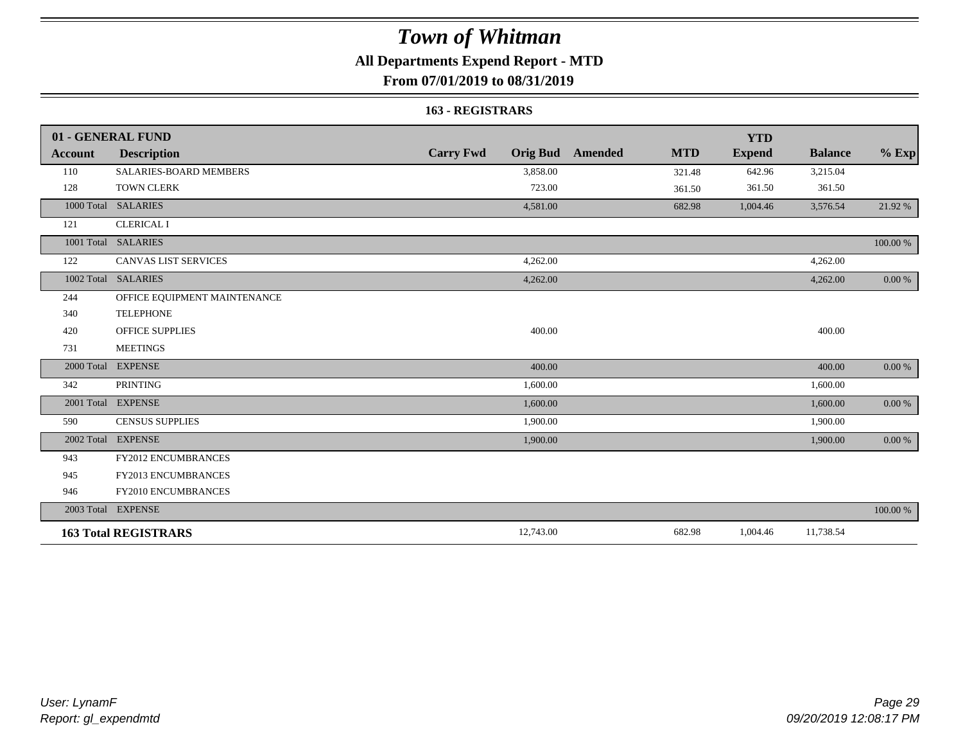## **All Departments Expend Report - MTD**

**From 07/01/2019 to 08/31/2019**

#### **163 - REGISTRARS**

|                | 01 - GENERAL FUND            |                                     |                              | <b>YTD</b>    |                |            |
|----------------|------------------------------|-------------------------------------|------------------------------|---------------|----------------|------------|
| <b>Account</b> | <b>Description</b>           | <b>Carry Fwd</b><br><b>Orig Bud</b> | <b>MTD</b><br><b>Amended</b> | <b>Expend</b> | <b>Balance</b> | $%$ Exp    |
| 110            | SALARIES-BOARD MEMBERS       | 3,858.00                            | 321.48                       | 642.96        | 3,215.04       |            |
| 128            | <b>TOWN CLERK</b>            | 723.00                              | 361.50                       | 361.50        | 361.50         |            |
| 1000 Total     | <b>SALARIES</b>              | 4,581.00                            | 682.98                       | 1,004.46      | 3,576.54       | 21.92 %    |
| 121            | <b>CLERICAL I</b>            |                                     |                              |               |                |            |
|                | 1001 Total SALARIES          |                                     |                              |               |                | 100.00 %   |
| 122            | <b>CANVAS LIST SERVICES</b>  | 4,262.00                            |                              |               | 4,262.00       |            |
| 1002 Total     | <b>SALARIES</b>              | 4,262.00                            |                              |               | 4,262.00       | 0.00 %     |
| 244            | OFFICE EQUIPMENT MAINTENANCE |                                     |                              |               |                |            |
| 340            | <b>TELEPHONE</b>             |                                     |                              |               |                |            |
| 420            | <b>OFFICE SUPPLIES</b>       | 400.00                              |                              |               | 400.00         |            |
| 731            | <b>MEETINGS</b>              |                                     |                              |               |                |            |
| 2000 Total     | <b>EXPENSE</b>               | 400.00                              |                              |               | 400.00         | 0.00 %     |
| 342            | <b>PRINTING</b>              | 1,600.00                            |                              |               | 1,600.00       |            |
|                | 2001 Total EXPENSE           | 1,600.00                            |                              |               | 1,600.00       | 0.00 %     |
| 590            | <b>CENSUS SUPPLIES</b>       | 1,900.00                            |                              |               | 1,900.00       |            |
| 2002 Total     | <b>EXPENSE</b>               | 1,900.00                            |                              |               | 1,900.00       | $0.00\ \%$ |
| 943            | <b>FY2012 ENCUMBRANCES</b>   |                                     |                              |               |                |            |
| 945            | <b>FY2013 ENCUMBRANCES</b>   |                                     |                              |               |                |            |
| 946            | FY2010 ENCUMBRANCES          |                                     |                              |               |                |            |
|                | 2003 Total EXPENSE           |                                     |                              |               |                | 100.00 %   |
|                | <b>163 Total REGISTRARS</b>  | 12,743.00                           | 682.98                       | 1,004.46      | 11,738.54      |            |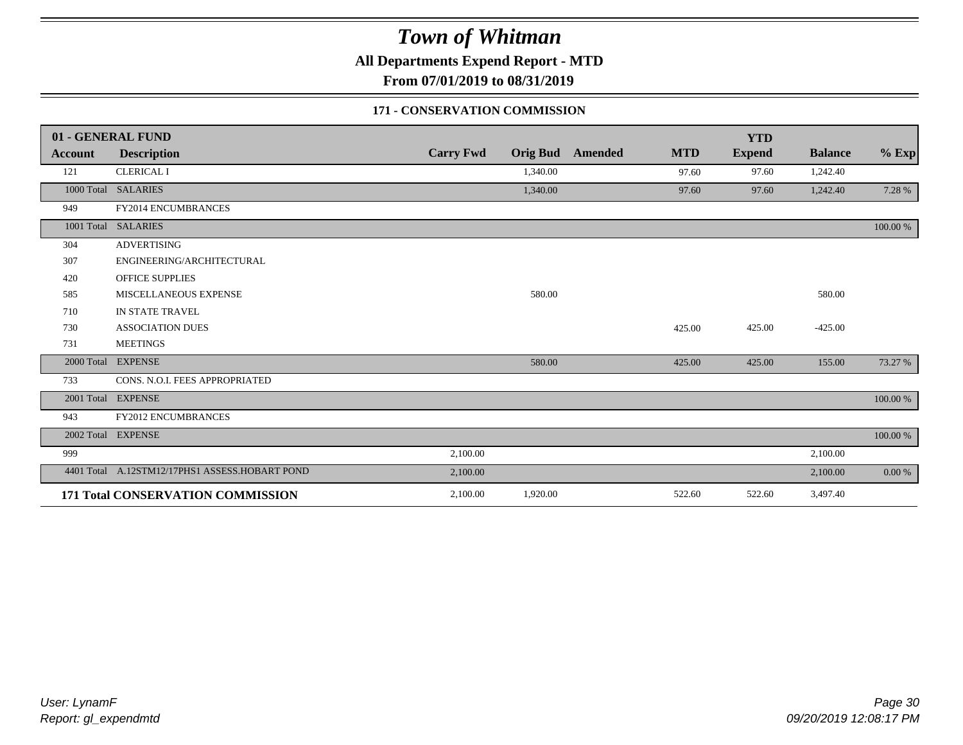**All Departments Expend Report - MTD**

**From 07/01/2019 to 08/31/2019**

### **171 - CONSERVATION COMMISSION**

|            | 01 - GENERAL FUND                              |                  |                 |                |            | <b>YTD</b>    |                |           |
|------------|------------------------------------------------|------------------|-----------------|----------------|------------|---------------|----------------|-----------|
| Account    | <b>Description</b>                             | <b>Carry Fwd</b> | <b>Orig Bud</b> | <b>Amended</b> | <b>MTD</b> | <b>Expend</b> | <b>Balance</b> | $%$ Exp   |
| 121        | <b>CLERICAL I</b>                              |                  | 1,340.00        |                | 97.60      | 97.60         | 1,242.40       |           |
|            | 1000 Total SALARIES                            |                  | 1,340.00        |                | 97.60      | 97.60         | 1,242.40       | 7.28 %    |
| 949        | FY2014 ENCUMBRANCES                            |                  |                 |                |            |               |                |           |
|            | 1001 Total SALARIES                            |                  |                 |                |            |               |                | 100.00 %  |
| 304        | <b>ADVERTISING</b>                             |                  |                 |                |            |               |                |           |
| 307        | ENGINEERING/ARCHITECTURAL                      |                  |                 |                |            |               |                |           |
| 420        | <b>OFFICE SUPPLIES</b>                         |                  |                 |                |            |               |                |           |
| 585        | MISCELLANEOUS EXPENSE                          |                  | 580.00          |                |            |               | 580.00         |           |
| 710        | IN STATE TRAVEL                                |                  |                 |                |            |               |                |           |
| 730        | <b>ASSOCIATION DUES</b>                        |                  |                 |                | 425.00     | 425.00        | $-425.00$      |           |
| 731        | <b>MEETINGS</b>                                |                  |                 |                |            |               |                |           |
| 2000 Total | <b>EXPENSE</b>                                 |                  | 580.00          |                | 425.00     | 425.00        | 155.00         | 73.27 %   |
| 733        | CONS. N.O.I. FEES APPROPRIATED                 |                  |                 |                |            |               |                |           |
|            | 2001 Total EXPENSE                             |                  |                 |                |            |               |                | 100.00 %  |
| 943        | FY2012 ENCUMBRANCES                            |                  |                 |                |            |               |                |           |
|            | 2002 Total EXPENSE                             |                  |                 |                |            |               |                | 100.00 %  |
| 999        |                                                | 2,100.00         |                 |                |            |               | 2,100.00       |           |
|            | 4401 Total A.12STM12/17PHS1 ASSESS.HOBART POND | 2,100.00         |                 |                |            |               | 2,100.00       | $0.00 \%$ |
|            | 171 Total CONSERVATION COMMISSION              | 2,100.00         | 1,920.00        |                | 522.60     | 522.60        | 3,497.40       |           |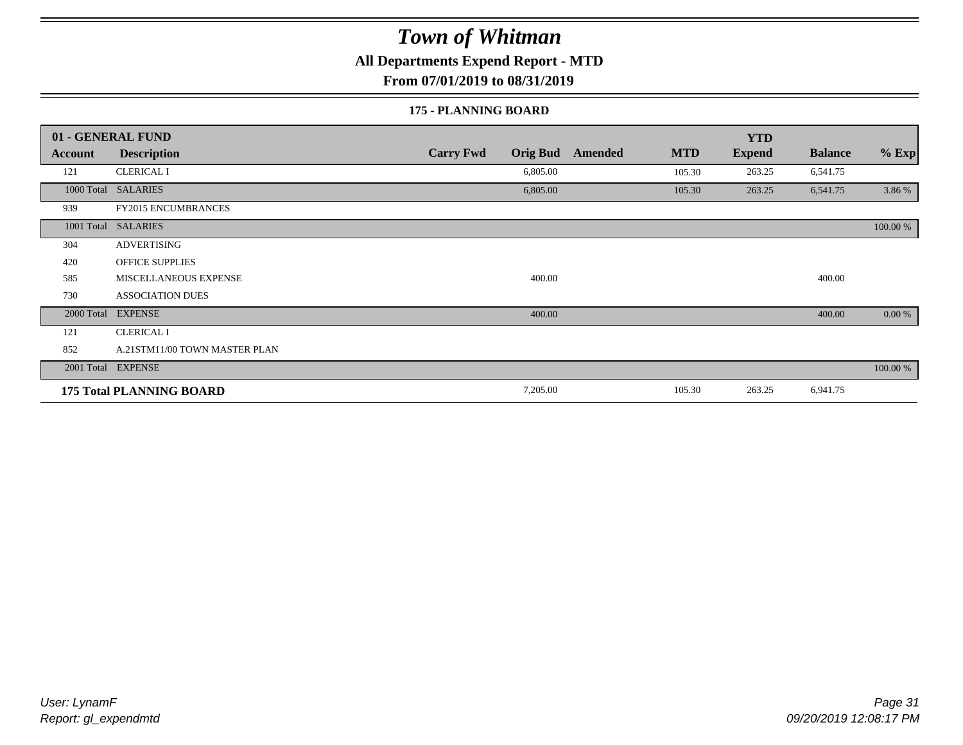**All Departments Expend Report - MTD**

**From 07/01/2019 to 08/31/2019**

#### **175 - PLANNING BOARD**

|            | 01 - GENERAL FUND               |                                     |                       | <b>YTD</b>    |                |          |
|------------|---------------------------------|-------------------------------------|-----------------------|---------------|----------------|----------|
| Account    | <b>Description</b>              | <b>Carry Fwd</b><br><b>Orig Bud</b> | <b>MTD</b><br>Amended | <b>Expend</b> | <b>Balance</b> | $%$ Exp  |
| 121        | <b>CLERICAL I</b>               | 6,805.00                            | 105.30                | 263.25        | 6,541.75       |          |
|            | 1000 Total SALARIES             | 6,805.00                            | 105.30                | 263.25        | 6,541.75       | 3.86 %   |
| 939        | <b>FY2015 ENCUMBRANCES</b>      |                                     |                       |               |                |          |
|            | 1001 Total SALARIES             |                                     |                       |               |                | 100.00 % |
| 304        | <b>ADVERTISING</b>              |                                     |                       |               |                |          |
| 420        | <b>OFFICE SUPPLIES</b>          |                                     |                       |               |                |          |
| 585        | MISCELLANEOUS EXPENSE           | 400.00                              |                       |               | 400.00         |          |
| 730        | <b>ASSOCIATION DUES</b>         |                                     |                       |               |                |          |
| 2000 Total | <b>EXPENSE</b>                  | 400.00                              |                       |               | 400.00         | 0.00 %   |
| 121        | <b>CLERICAL I</b>               |                                     |                       |               |                |          |
| 852        | A.21STM11/00 TOWN MASTER PLAN   |                                     |                       |               |                |          |
|            | 2001 Total EXPENSE              |                                     |                       |               |                | 100.00 % |
|            | <b>175 Total PLANNING BOARD</b> | 7,205.00                            | 105.30                | 263.25        | 6,941.75       |          |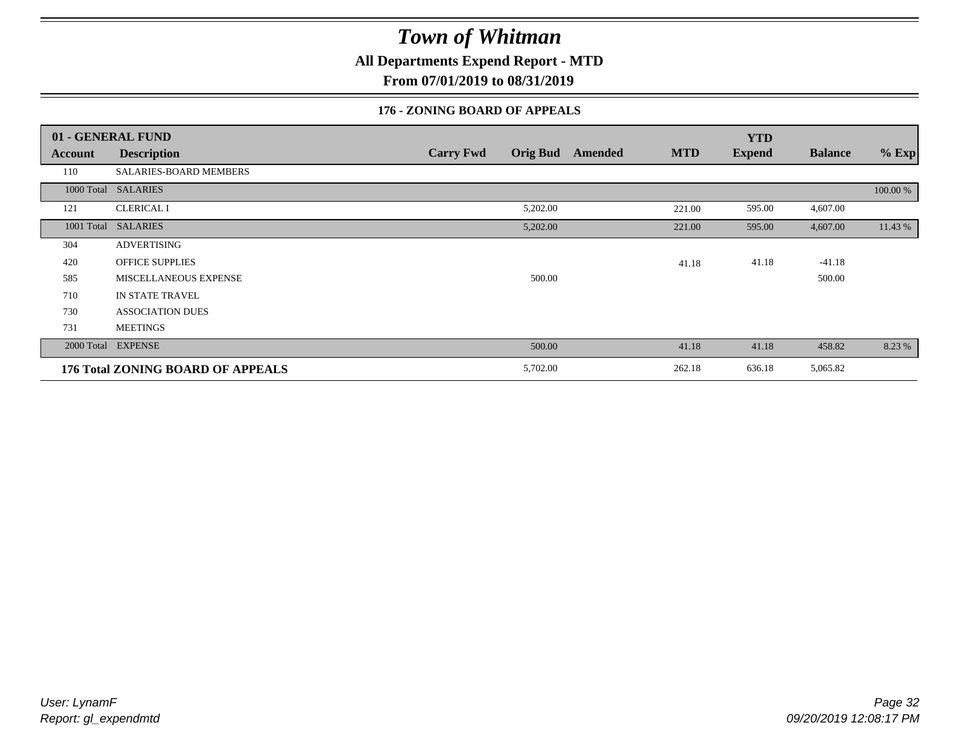**All Departments Expend Report - MTD**

**From 07/01/2019 to 08/31/2019**

### **176 - ZONING BOARD OF APPEALS**

|            | 01 - GENERAL FUND                        |                                     |                              | <b>YTD</b>    |                |          |
|------------|------------------------------------------|-------------------------------------|------------------------------|---------------|----------------|----------|
| Account    | <b>Description</b>                       | <b>Orig Bud</b><br><b>Carry Fwd</b> | <b>MTD</b><br><b>Amended</b> | <b>Expend</b> | <b>Balance</b> | $%$ Exp  |
| 110        | SALARIES-BOARD MEMBERS                   |                                     |                              |               |                |          |
|            | 1000 Total SALARIES                      |                                     |                              |               |                | 100.00 % |
| 121        | <b>CLERICAL I</b>                        | 5,202.00                            | 221.00                       | 595.00        | 4,607.00       |          |
| 1001 Total | <b>SALARIES</b>                          | 5,202.00                            | 221.00                       | 595.00        | 4,607.00       | 11.43 %  |
| 304        | <b>ADVERTISING</b>                       |                                     |                              |               |                |          |
| 420        | <b>OFFICE SUPPLIES</b>                   |                                     | 41.18                        | 41.18         | $-41.18$       |          |
| 585        | <b>MISCELLANEOUS EXPENSE</b>             | 500.00                              |                              |               | 500.00         |          |
| 710        | IN STATE TRAVEL                          |                                     |                              |               |                |          |
| 730        | <b>ASSOCIATION DUES</b>                  |                                     |                              |               |                |          |
| 731        | <b>MEETINGS</b>                          |                                     |                              |               |                |          |
|            | 2000 Total EXPENSE                       | 500.00                              | 41.18                        | 41.18         | 458.82         | 8.23 %   |
|            | <b>176 Total ZONING BOARD OF APPEALS</b> | 5,702.00                            | 262.18                       | 636.18        | 5,065.82       |          |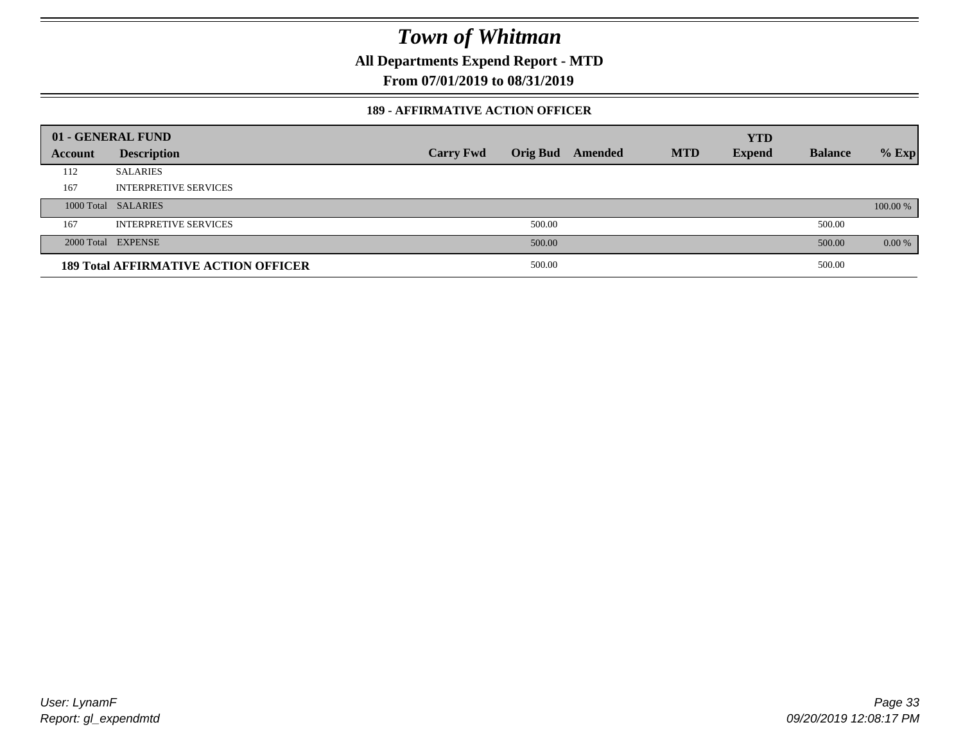**All Departments Expend Report - MTD**

**From 07/01/2019 to 08/31/2019**

### **189 - AFFIRMATIVE ACTION OFFICER**

|         | 01 - GENERAL FUND                           |                  |                 |         |            | <b>YTD</b>    |                |          |
|---------|---------------------------------------------|------------------|-----------------|---------|------------|---------------|----------------|----------|
| Account | <b>Description</b>                          | <b>Carry Fwd</b> | <b>Orig Bud</b> | Amended | <b>MTD</b> | <b>Expend</b> | <b>Balance</b> | $%$ Exp  |
| 112     | <b>SALARIES</b>                             |                  |                 |         |            |               |                |          |
| 167     | <b>INTERPRETIVE SERVICES</b>                |                  |                 |         |            |               |                |          |
|         | 1000 Total SALARIES                         |                  |                 |         |            |               |                | 100.00 % |
| 167     | <b>INTERPRETIVE SERVICES</b>                |                  | 500.00          |         |            |               | 500.00         |          |
|         | 2000 Total EXPENSE                          |                  | 500.00          |         |            |               | 500.00         | 0.00 %   |
|         | <b>189 Total AFFIRMATIVE ACTION OFFICER</b> |                  | 500.00          |         |            |               | 500.00         |          |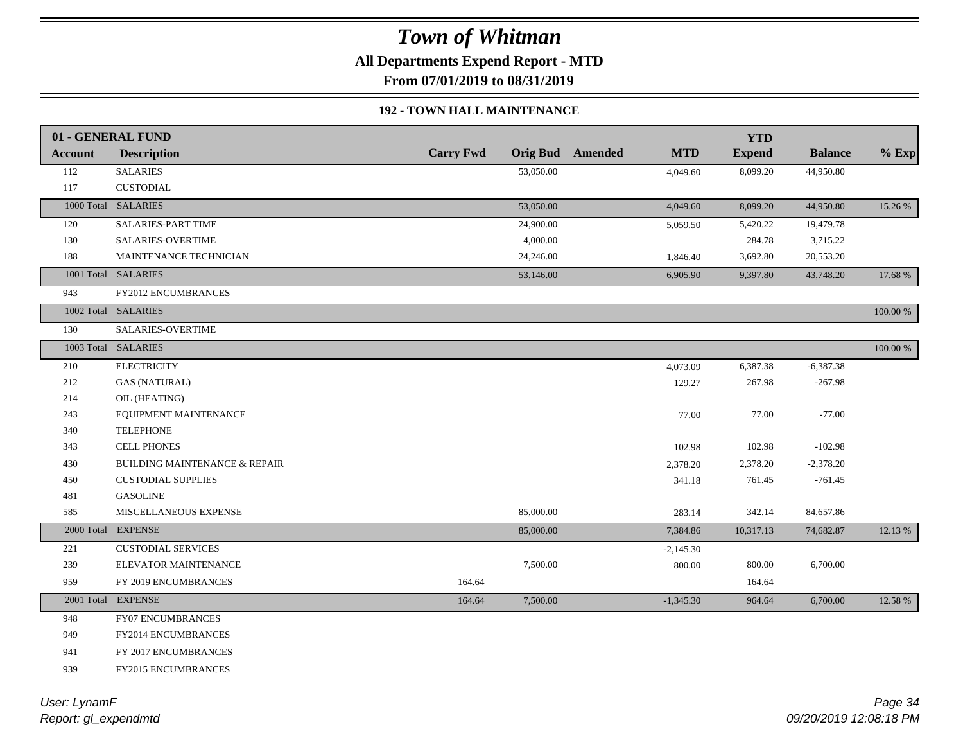**All Departments Expend Report - MTD**

**From 07/01/2019 to 08/31/2019**

### **192 - TOWN HALL MAINTENANCE**

|         | 01 - GENERAL FUND                        |                  |           |                         |             | <b>YTD</b>    |                |          |
|---------|------------------------------------------|------------------|-----------|-------------------------|-------------|---------------|----------------|----------|
| Account | <b>Description</b>                       | <b>Carry Fwd</b> |           | <b>Orig Bud</b> Amended | <b>MTD</b>  | <b>Expend</b> | <b>Balance</b> | $%$ Exp  |
| 112     | <b>SALARIES</b>                          |                  | 53,050.00 |                         | 4,049.60    | 8,099.20      | 44,950.80      |          |
| 117     | CUSTODIAL                                |                  |           |                         |             |               |                |          |
|         | 1000 Total SALARIES                      |                  | 53,050.00 |                         | 4,049.60    | 8,099.20      | 44,950.80      | 15.26 %  |
| 120     | <b>SALARIES-PART TIME</b>                |                  | 24,900.00 |                         | 5,059.50    | 5,420.22      | 19,479.78      |          |
| 130     | <b>SALARIES-OVERTIME</b>                 |                  | 4,000.00  |                         |             | 284.78        | 3,715.22       |          |
| 188     | MAINTENANCE TECHNICIAN                   |                  | 24,246.00 |                         | 1,846.40    | 3,692.80      | 20,553.20      |          |
|         | 1001 Total SALARIES                      |                  | 53,146.00 |                         | 6,905.90    | 9,397.80      | 43,748.20      | 17.68 %  |
| 943     | FY2012 ENCUMBRANCES                      |                  |           |                         |             |               |                |          |
|         | 1002 Total SALARIES                      |                  |           |                         |             |               |                | 100.00 % |
| 130     | <b>SALARIES-OVERTIME</b>                 |                  |           |                         |             |               |                |          |
|         | 1003 Total SALARIES                      |                  |           |                         |             |               |                | 100.00 % |
| 210     | <b>ELECTRICITY</b>                       |                  |           |                         | 4,073.09    | 6,387.38      | $-6,387.38$    |          |
| 212     | <b>GAS (NATURAL)</b>                     |                  |           |                         | 129.27      | 267.98        | $-267.98$      |          |
| 214     | OIL (HEATING)                            |                  |           |                         |             |               |                |          |
| 243     | EQUIPMENT MAINTENANCE                    |                  |           |                         | 77.00       | 77.00         | $-77.00$       |          |
| 340     | <b>TELEPHONE</b>                         |                  |           |                         |             |               |                |          |
| 343     | <b>CELL PHONES</b>                       |                  |           |                         | 102.98      | 102.98        | $-102.98$      |          |
| 430     | <b>BUILDING MAINTENANCE &amp; REPAIR</b> |                  |           |                         | 2,378.20    | 2,378.20      | $-2,378.20$    |          |
| 450     | <b>CUSTODIAL SUPPLIES</b>                |                  |           |                         | 341.18      | 761.45        | $-761.45$      |          |
| 481     | <b>GASOLINE</b>                          |                  |           |                         |             |               |                |          |
| 585     | MISCELLANEOUS EXPENSE                    |                  | 85,000.00 |                         | 283.14      | 342.14        | 84,657.86      |          |
|         | 2000 Total EXPENSE                       |                  | 85,000.00 |                         | 7,384.86    | 10,317.13     | 74,682.87      | 12.13 %  |
| 221     | <b>CUSTODIAL SERVICES</b>                |                  |           |                         | $-2,145.30$ |               |                |          |
| 239     | ELEVATOR MAINTENANCE                     |                  | 7,500.00  |                         | 800.00      | 800.00        | 6,700.00       |          |
| 959     | FY 2019 ENCUMBRANCES                     | 164.64           |           |                         |             | 164.64        |                |          |
|         | 2001 Total EXPENSE                       | 164.64           | 7,500.00  |                         | $-1,345.30$ | 964.64        | 6,700.00       | 12.58 %  |
| 948     | <b>FY07 ENCUMBRANCES</b>                 |                  |           |                         |             |               |                |          |
| 949     | FY2014 ENCUMBRANCES                      |                  |           |                         |             |               |                |          |
| 941     | FY 2017 ENCUMBRANCES                     |                  |           |                         |             |               |                |          |
| 939     | FY2015 ENCUMBRANCES                      |                  |           |                         |             |               |                |          |
|         |                                          |                  |           |                         |             |               |                |          |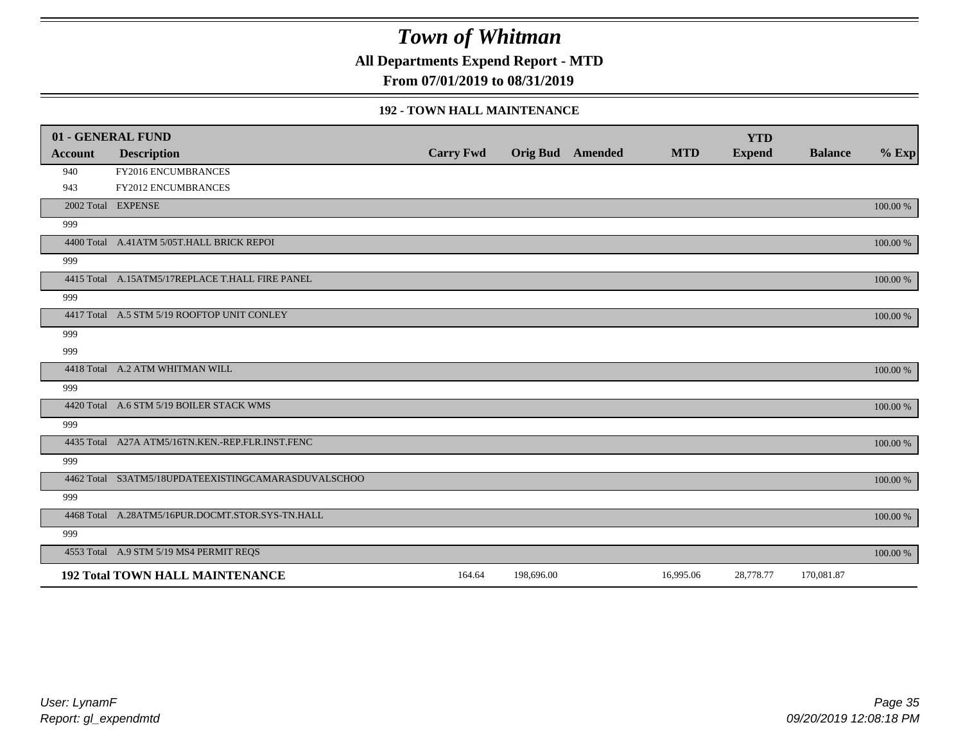**All Departments Expend Report - MTD**

**From 07/01/2019 to 08/31/2019**

#### **192 - TOWN HALL MAINTENANCE**

| 01 - GENERAL FUND |                                                     |                  |            |                         |            | <b>YTD</b>    |                |          |
|-------------------|-----------------------------------------------------|------------------|------------|-------------------------|------------|---------------|----------------|----------|
| <b>Account</b>    | <b>Description</b>                                  | <b>Carry Fwd</b> |            | <b>Orig Bud</b> Amended | <b>MTD</b> | <b>Expend</b> | <b>Balance</b> | $%$ Exp  |
| 940               | FY2016 ENCUMBRANCES                                 |                  |            |                         |            |               |                |          |
| 943               | <b>FY2012 ENCUMBRANCES</b>                          |                  |            |                         |            |               |                |          |
|                   | 2002 Total EXPENSE                                  |                  |            |                         |            |               |                | 100.00 % |
| 999               |                                                     |                  |            |                         |            |               |                |          |
|                   | 4400 Total A.41ATM 5/05T.HALL BRICK REPOI           |                  |            |                         |            |               |                | 100.00 % |
| 999               |                                                     |                  |            |                         |            |               |                |          |
|                   | 4415 Total A.15ATM5/17REPLACE T.HALL FIRE PANEL     |                  |            |                         |            |               |                | 100.00 % |
| 999               |                                                     |                  |            |                         |            |               |                |          |
|                   | 4417 Total A.5 STM 5/19 ROOFTOP UNIT CONLEY         |                  |            |                         |            |               |                | 100.00 % |
| 999               |                                                     |                  |            |                         |            |               |                |          |
| 999               |                                                     |                  |            |                         |            |               |                |          |
|                   | 4418 Total A.2 ATM WHITMAN WILL                     |                  |            |                         |            |               |                | 100.00 % |
| 999               |                                                     |                  |            |                         |            |               |                |          |
|                   | 4420 Total A.6 STM 5/19 BOILER STACK WMS            |                  |            |                         |            |               |                | 100.00 % |
| 999               |                                                     |                  |            |                         |            |               |                |          |
|                   | 4435 Total A27A ATM5/16TN.KEN.-REP.FLR.INST.FENC    |                  |            |                         |            |               |                | 100.00 % |
| 999               |                                                     |                  |            |                         |            |               |                |          |
|                   | 4462 Total S3ATM5/18UPDATEEXISTINGCAMARASDUVALSCHOO |                  |            |                         |            |               |                | 100.00 % |
| 999               |                                                     |                  |            |                         |            |               |                |          |
|                   | 4468 Total A.28ATM5/16PUR.DOCMT.STOR.SYS-TN.HALL    |                  |            |                         |            |               |                | 100.00 % |
| 999               |                                                     |                  |            |                         |            |               |                |          |
|                   | 4553 Total A.9 STM 5/19 MS4 PERMIT REQS             |                  |            |                         |            |               |                | 100.00 % |
|                   | <b>192 Total TOWN HALL MAINTENANCE</b>              | 164.64           | 198,696.00 |                         | 16,995.06  | 28,778.77     | 170,081.87     |          |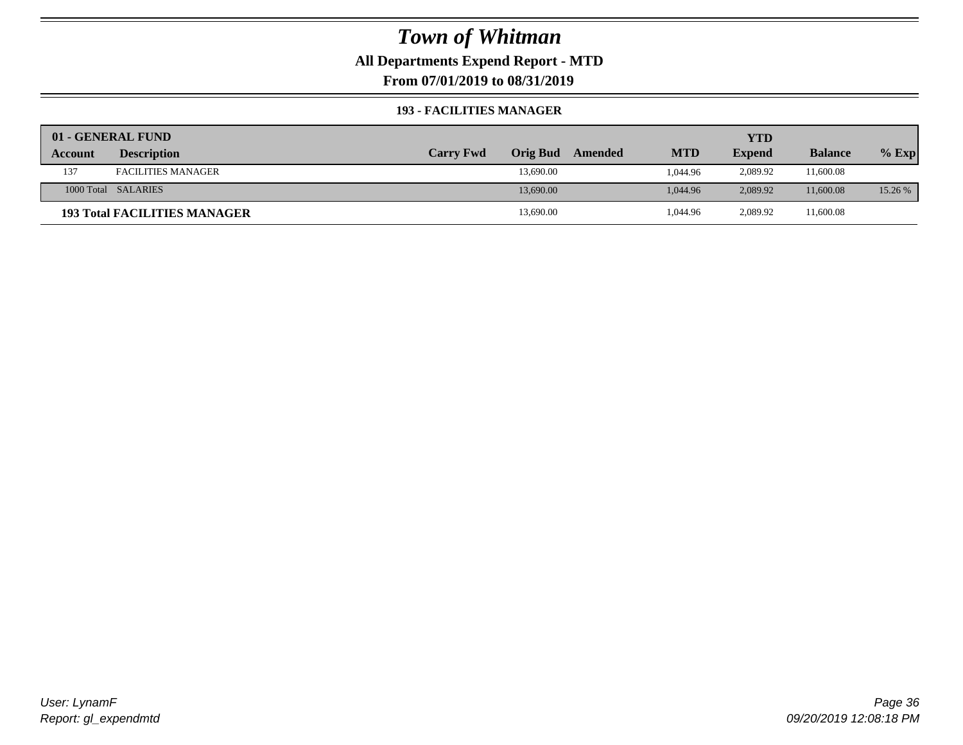**All Departments Expend Report - MTD**

**From 07/01/2019 to 08/31/2019**

#### **193 - FACILITIES MANAGER**

|                | 01 - GENERAL FUND                   |                  |                 |         |            | YTD           |                |         |
|----------------|-------------------------------------|------------------|-----------------|---------|------------|---------------|----------------|---------|
| <b>Account</b> | <b>Description</b>                  | <b>Carry Fwd</b> | <b>Orig Bud</b> | Amended | <b>MTD</b> | <b>Expend</b> | <b>Balance</b> | $%$ Exp |
| 137            | <b>FACILITIES MANAGER</b>           |                  | 13,690.00       |         | 1.044.96   | 2,089.92      | 11,600.08      |         |
|                | 1000 Total SALARIES                 |                  | 13,690.00       |         | 1.044.96   | 2.089.92      | 11,600.08      | 15.26 % |
|                | <b>193 Total FACILITIES MANAGER</b> |                  | 13,690.00       |         | 1,044.96   | 2,089.92      | 11,600.08      |         |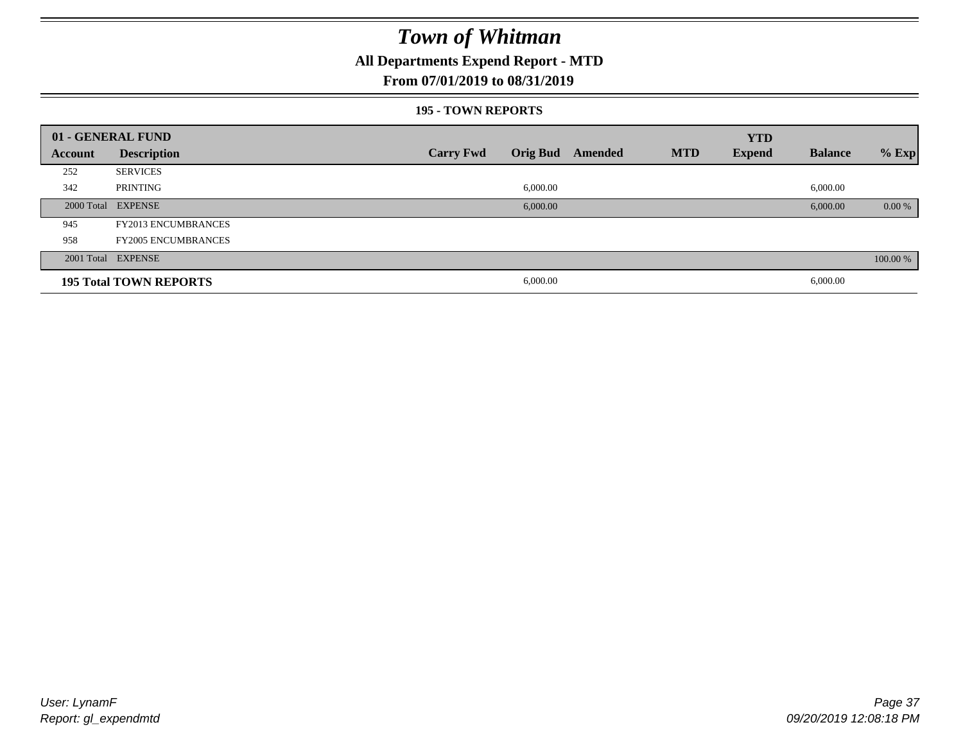### **All Departments Expend Report - MTD**

#### **From 07/01/2019 to 08/31/2019**

#### **195 - TOWN REPORTS**

|         | 01 - GENERAL FUND             |                  |          |                  |            | <b>YTD</b>    |                |          |
|---------|-------------------------------|------------------|----------|------------------|------------|---------------|----------------|----------|
| Account | <b>Description</b>            | <b>Carry Fwd</b> |          | Orig Bud Amended | <b>MTD</b> | <b>Expend</b> | <b>Balance</b> | $%$ Exp  |
| 252     | <b>SERVICES</b>               |                  |          |                  |            |               |                |          |
| 342     | PRINTING                      |                  | 6,000.00 |                  |            |               | 6,000.00       |          |
|         | 2000 Total EXPENSE            |                  | 6,000.00 |                  |            |               | 6,000.00       | 0.00 %   |
| 945     | <b>FY2013 ENCUMBRANCES</b>    |                  |          |                  |            |               |                |          |
| 958     | <b>FY2005 ENCUMBRANCES</b>    |                  |          |                  |            |               |                |          |
|         | 2001 Total EXPENSE            |                  |          |                  |            |               |                | 100.00 % |
|         | <b>195 Total TOWN REPORTS</b> |                  | 6,000.00 |                  |            |               | 6,000.00       |          |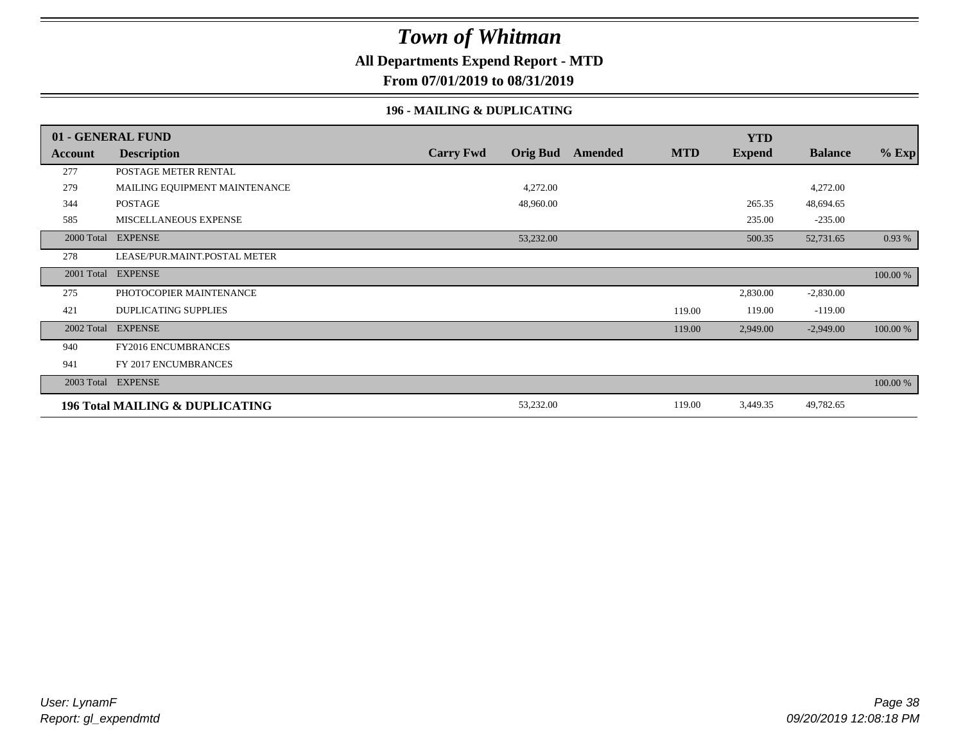### **All Departments Expend Report - MTD**

**From 07/01/2019 to 08/31/2019**

#### **196 - MAILING & DUPLICATING**

|            | 01 - GENERAL FUND               |                  |                 |         |            | <b>YTD</b>    |                |          |
|------------|---------------------------------|------------------|-----------------|---------|------------|---------------|----------------|----------|
| Account    | <b>Description</b>              | <b>Carry Fwd</b> | <b>Orig Bud</b> | Amended | <b>MTD</b> | <b>Expend</b> | <b>Balance</b> | $%$ Exp  |
| 277        | POSTAGE METER RENTAL            |                  |                 |         |            |               |                |          |
| 279        | MAILING EQUIPMENT MAINTENANCE   |                  | 4,272.00        |         |            |               | 4,272.00       |          |
| 344        | <b>POSTAGE</b>                  |                  | 48,960.00       |         |            | 265.35        | 48,694.65      |          |
| 585        | MISCELLANEOUS EXPENSE           |                  |                 |         |            | 235.00        | $-235.00$      |          |
| 2000 Total | <b>EXPENSE</b>                  |                  | 53,232.00       |         |            | 500.35        | 52,731.65      | 0.93%    |
| 278        | LEASE/PUR.MAINT.POSTAL METER    |                  |                 |         |            |               |                |          |
| 2001 Total | <b>EXPENSE</b>                  |                  |                 |         |            |               |                | 100.00 % |
| 275        | PHOTOCOPIER MAINTENANCE         |                  |                 |         |            | 2,830.00      | $-2,830.00$    |          |
| 421        | <b>DUPLICATING SUPPLIES</b>     |                  |                 |         | 119.00     | 119.00        | $-119.00$      |          |
| 2002 Total | <b>EXPENSE</b>                  |                  |                 |         | 119.00     | 2,949.00      | $-2,949.00$    | 100.00 % |
| 940        | <b>FY2016 ENCUMBRANCES</b>      |                  |                 |         |            |               |                |          |
| 941        | FY 2017 ENCUMBRANCES            |                  |                 |         |            |               |                |          |
|            | 2003 Total EXPENSE              |                  |                 |         |            |               |                | 100.00 % |
|            | 196 Total MAILING & DUPLICATING |                  | 53,232.00       |         | 119.00     | 3,449.35      | 49,782.65      |          |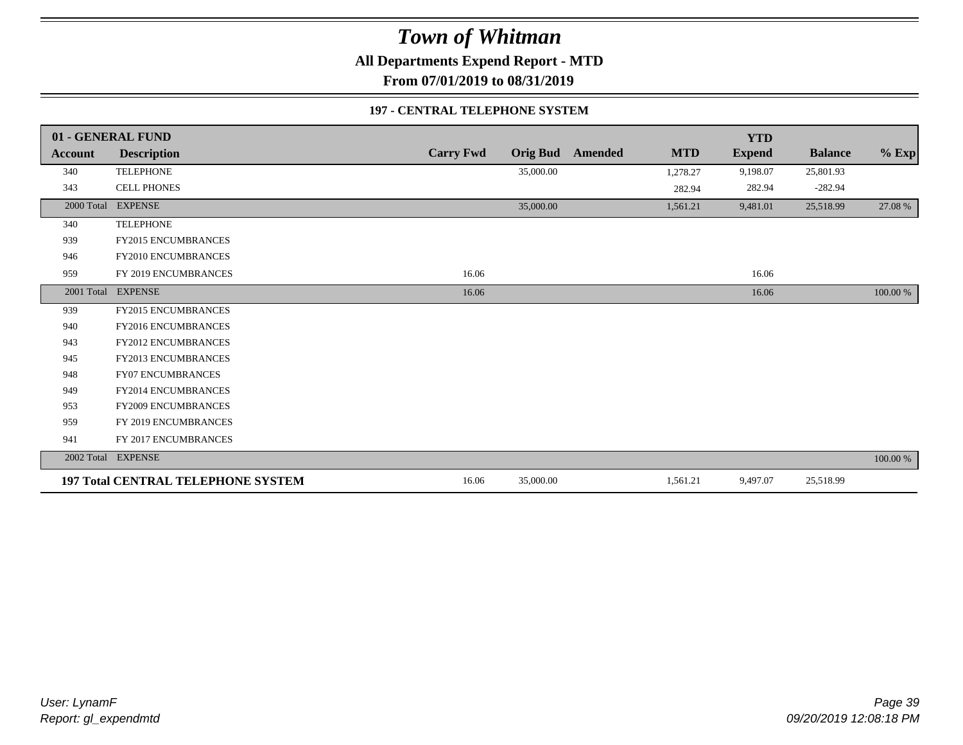**All Departments Expend Report - MTD**

**From 07/01/2019 to 08/31/2019**

#### **197 - CENTRAL TELEPHONE SYSTEM**

|                | 01 - GENERAL FUND                         |                  |                 |         |            | <b>YTD</b>    |                |          |
|----------------|-------------------------------------------|------------------|-----------------|---------|------------|---------------|----------------|----------|
| <b>Account</b> | <b>Description</b>                        | <b>Carry Fwd</b> | <b>Orig Bud</b> | Amended | <b>MTD</b> | <b>Expend</b> | <b>Balance</b> | $%$ Exp  |
| 340            | <b>TELEPHONE</b>                          |                  | 35,000.00       |         | 1,278.27   | 9,198.07      | 25,801.93      |          |
| 343            | <b>CELL PHONES</b>                        |                  |                 |         | 282.94     | 282.94        | $-282.94$      |          |
|                | 2000 Total EXPENSE                        |                  | 35,000.00       |         | 1,561.21   | 9,481.01      | 25,518.99      | 27.08 %  |
| 340            | <b>TELEPHONE</b>                          |                  |                 |         |            |               |                |          |
| 939            | <b>FY2015 ENCUMBRANCES</b>                |                  |                 |         |            |               |                |          |
| 946            | FY2010 ENCUMBRANCES                       |                  |                 |         |            |               |                |          |
| 959            | FY 2019 ENCUMBRANCES                      | 16.06            |                 |         |            | 16.06         |                |          |
|                | 2001 Total EXPENSE                        | 16.06            |                 |         |            | 16.06         |                | 100.00 % |
| 939            | <b>FY2015 ENCUMBRANCES</b>                |                  |                 |         |            |               |                |          |
| 940            | <b>FY2016 ENCUMBRANCES</b>                |                  |                 |         |            |               |                |          |
| 943            | FY2012 ENCUMBRANCES                       |                  |                 |         |            |               |                |          |
| 945            | <b>FY2013 ENCUMBRANCES</b>                |                  |                 |         |            |               |                |          |
| 948            | <b>FY07 ENCUMBRANCES</b>                  |                  |                 |         |            |               |                |          |
| 949            | FY2014 ENCUMBRANCES                       |                  |                 |         |            |               |                |          |
| 953            | FY2009 ENCUMBRANCES                       |                  |                 |         |            |               |                |          |
| 959            | FY 2019 ENCUMBRANCES                      |                  |                 |         |            |               |                |          |
| 941            | FY 2017 ENCUMBRANCES                      |                  |                 |         |            |               |                |          |
|                | 2002 Total EXPENSE                        |                  |                 |         |            |               |                | 100.00 % |
|                | <b>197 Total CENTRAL TELEPHONE SYSTEM</b> | 16.06            | 35,000.00       |         | 1,561.21   | 9,497.07      | 25,518.99      |          |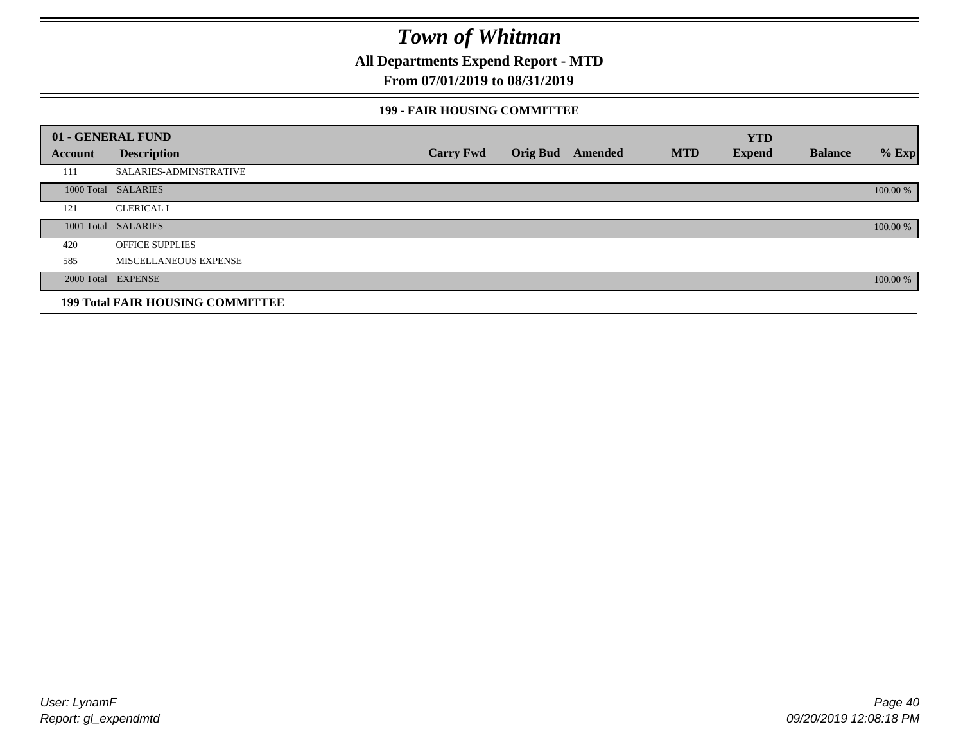**All Departments Expend Report - MTD**

### **From 07/01/2019 to 08/31/2019**

#### **199 - FAIR HOUSING COMMITTEE**

|         | 01 - GENERAL FUND                       |                  |                  |            | <b>YTD</b>    |                |          |
|---------|-----------------------------------------|------------------|------------------|------------|---------------|----------------|----------|
| Account | <b>Description</b>                      | <b>Carry Fwd</b> | Orig Bud Amended | <b>MTD</b> | <b>Expend</b> | <b>Balance</b> | $%$ Exp  |
| 111     | <b>SALARIES-ADMINSTRATIVE</b>           |                  |                  |            |               |                |          |
|         | 1000 Total SALARIES                     |                  |                  |            |               |                | 100.00 % |
| 121     | <b>CLERICAL I</b>                       |                  |                  |            |               |                |          |
|         | 1001 Total SALARIES                     |                  |                  |            |               |                | 100.00 % |
| 420     | <b>OFFICE SUPPLIES</b>                  |                  |                  |            |               |                |          |
| 585     | MISCELLANEOUS EXPENSE                   |                  |                  |            |               |                |          |
|         | 2000 Total EXPENSE                      |                  |                  |            |               |                | 100.00 % |
|         | <b>199 Total FAIR HOUSING COMMITTEE</b> |                  |                  |            |               |                |          |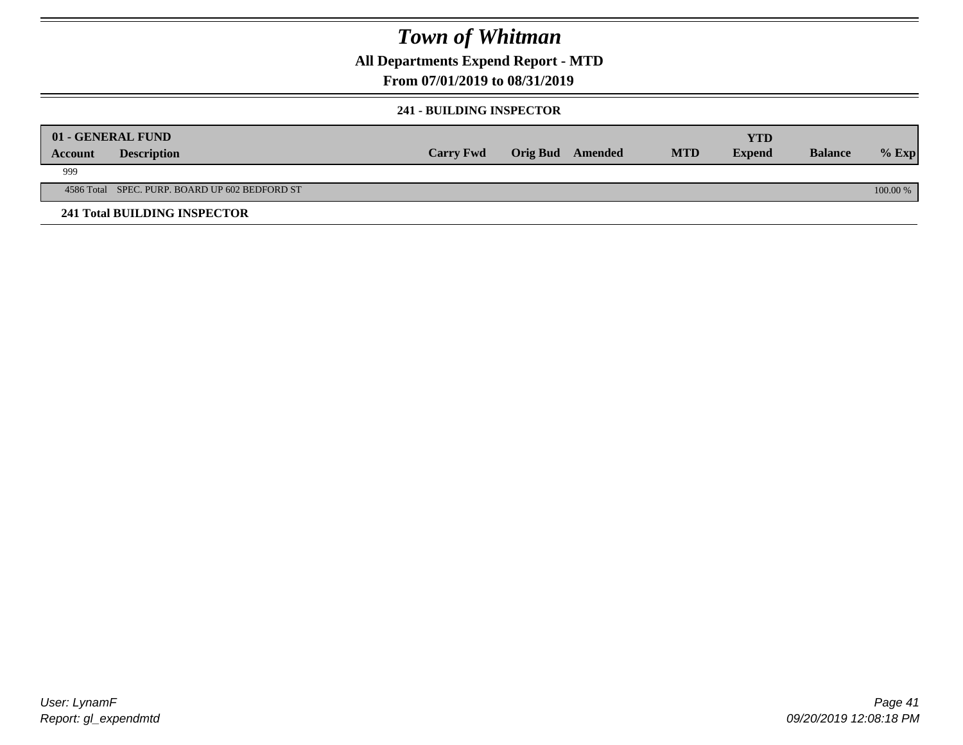### **All Departments Expend Report - MTD**

### **From 07/01/2019 to 08/31/2019**

#### **241 - BUILDING INSPECTOR**

|         | 01 - GENERAL FUND                              |                  |                         |            | <b>YTD</b>    |                |          |
|---------|------------------------------------------------|------------------|-------------------------|------------|---------------|----------------|----------|
| Account | <b>Description</b>                             | <b>Carry Fwd</b> | <b>Orig Bud</b> Amended | <b>MTD</b> | <b>Expend</b> | <b>Balance</b> | $%$ Exp  |
| 999     |                                                |                  |                         |            |               |                |          |
|         | 4586 Total SPEC. PURP. BOARD UP 602 BEDFORD ST |                  |                         |            |               |                | 100.00 % |
|         | <b>241 Total BUILDING INSPECTOR</b>            |                  |                         |            |               |                |          |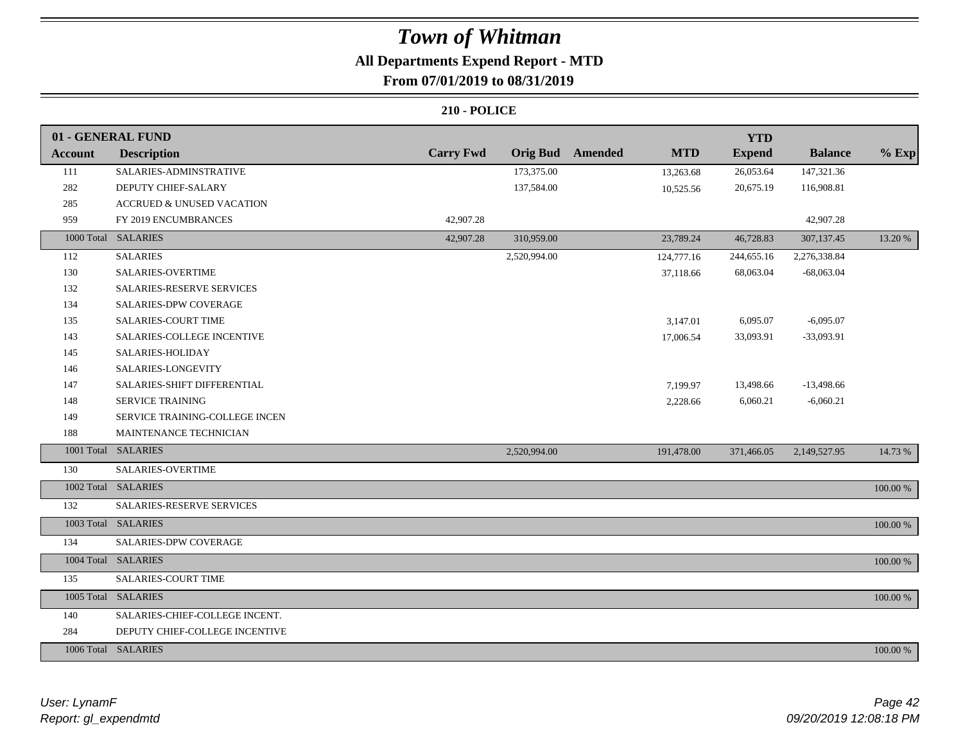# **All Departments Expend Report - MTD**

### **From 07/01/2019 to 08/31/2019**

|                | 01 - GENERAL FUND                     |                  |                 |         |            | <b>YTD</b>    |                |          |
|----------------|---------------------------------------|------------------|-----------------|---------|------------|---------------|----------------|----------|
| <b>Account</b> | <b>Description</b>                    | <b>Carry Fwd</b> | <b>Orig Bud</b> | Amended | <b>MTD</b> | <b>Expend</b> | <b>Balance</b> | $%$ Exp  |
| 111            | SALARIES-ADMINSTRATIVE                |                  | 173,375.00      |         | 13,263.68  | 26,053.64     | 147,321.36     |          |
| 282            | DEPUTY CHIEF-SALARY                   |                  | 137,584.00      |         | 10,525.56  | 20,675.19     | 116,908.81     |          |
| 285            | <b>ACCRUED &amp; UNUSED VACATION</b>  |                  |                 |         |            |               |                |          |
| 959            | FY 2019 ENCUMBRANCES                  | 42,907.28        |                 |         |            |               | 42,907.28      |          |
|                | 1000 Total SALARIES                   | 42,907.28        | 310,959.00      |         | 23,789.24  | 46,728.83     | 307,137.45     | 13.20 %  |
| 112            | <b>SALARIES</b>                       |                  | 2,520,994.00    |         | 124,777.16 | 244,655.16    | 2,276,338.84   |          |
| 130            | SALARIES-OVERTIME                     |                  |                 |         | 37,118.66  | 68,063.04     | $-68,063.04$   |          |
| 132            | SALARIES-RESERVE SERVICES             |                  |                 |         |            |               |                |          |
| 134            | SALARIES-DPW COVERAGE                 |                  |                 |         |            |               |                |          |
| 135            | <b>SALARIES-COURT TIME</b>            |                  |                 |         | 3,147.01   | 6,095.07      | $-6,095.07$    |          |
| 143            | SALARIES-COLLEGE INCENTIVE            |                  |                 |         | 17,006.54  | 33,093.91     | $-33,093.91$   |          |
| 145            | SALARIES-HOLIDAY                      |                  |                 |         |            |               |                |          |
| 146            | SALARIES-LONGEVITY                    |                  |                 |         |            |               |                |          |
| 147            | SALARIES-SHIFT DIFFERENTIAL           |                  |                 |         | 7,199.97   | 13,498.66     | $-13,498.66$   |          |
| 148            | <b>SERVICE TRAINING</b>               |                  |                 |         | 2,228.66   | 6,060.21      | $-6,060.21$    |          |
| 149            | <b>SERVICE TRAINING-COLLEGE INCEN</b> |                  |                 |         |            |               |                |          |
| 188            | MAINTENANCE TECHNICIAN                |                  |                 |         |            |               |                |          |
|                | 1001 Total SALARIES                   |                  | 2,520,994.00    |         | 191,478.00 | 371,466.05    | 2,149,527.95   | 14.73 %  |
| 130            | SALARIES-OVERTIME                     |                  |                 |         |            |               |                |          |
|                | 1002 Total SALARIES                   |                  |                 |         |            |               |                | 100.00 % |
| 132            | SALARIES-RESERVE SERVICES             |                  |                 |         |            |               |                |          |
|                | 1003 Total SALARIES                   |                  |                 |         |            |               |                | 100.00 % |
| 134            | SALARIES-DPW COVERAGE                 |                  |                 |         |            |               |                |          |
|                | 1004 Total SALARIES                   |                  |                 |         |            |               |                | 100.00 % |
| 135            | <b>SALARIES-COURT TIME</b>            |                  |                 |         |            |               |                |          |
|                | 1005 Total SALARIES                   |                  |                 |         |            |               |                | 100.00 % |
| 140            | SALARIES-CHIEF-COLLEGE INCENT.        |                  |                 |         |            |               |                |          |
| 284            | DEPUTY CHIEF-COLLEGE INCENTIVE        |                  |                 |         |            |               |                |          |
|                | 1006 Total SALARIES                   |                  |                 |         |            |               |                | 100.00 % |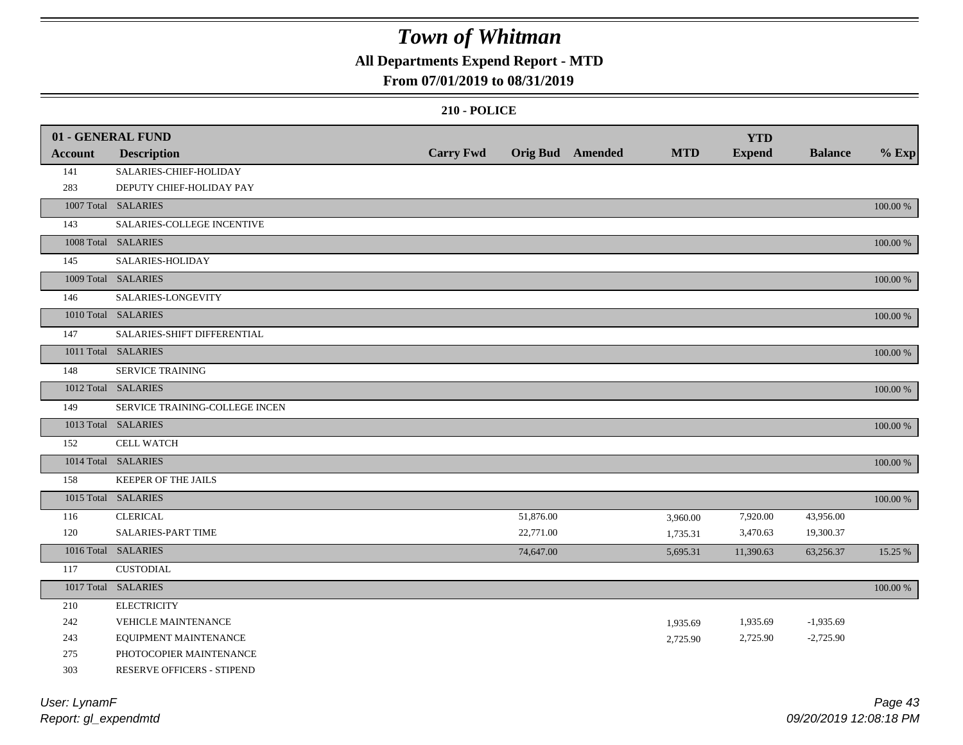## **All Departments Expend Report - MTD**

#### **From 07/01/2019 to 08/31/2019**

|                | 01 - GENERAL FUND              |                  |           |                         |            | <b>YTD</b>    |                |          |
|----------------|--------------------------------|------------------|-----------|-------------------------|------------|---------------|----------------|----------|
| <b>Account</b> | <b>Description</b>             | <b>Carry Fwd</b> |           | <b>Orig Bud</b> Amended | <b>MTD</b> | <b>Expend</b> | <b>Balance</b> | $%$ Exp  |
| 141            | SALARIES-CHIEF-HOLIDAY         |                  |           |                         |            |               |                |          |
| 283            | DEPUTY CHIEF-HOLIDAY PAY       |                  |           |                         |            |               |                |          |
|                | 1007 Total SALARIES            |                  |           |                         |            |               |                | 100.00 % |
| 143            | SALARIES-COLLEGE INCENTIVE     |                  |           |                         |            |               |                |          |
|                | 1008 Total SALARIES            |                  |           |                         |            |               |                | 100.00 % |
| 145            | SALARIES-HOLIDAY               |                  |           |                         |            |               |                |          |
|                | 1009 Total SALARIES            |                  |           |                         |            |               |                | 100.00 % |
| 146            | SALARIES-LONGEVITY             |                  |           |                         |            |               |                |          |
|                | 1010 Total SALARIES            |                  |           |                         |            |               |                | 100.00 % |
| 147            | SALARIES-SHIFT DIFFERENTIAL    |                  |           |                         |            |               |                |          |
|                | 1011 Total SALARIES            |                  |           |                         |            |               |                | 100.00 % |
| 148            | <b>SERVICE TRAINING</b>        |                  |           |                         |            |               |                |          |
|                | 1012 Total SALARIES            |                  |           |                         |            |               |                | 100.00 % |
| 149            | SERVICE TRAINING-COLLEGE INCEN |                  |           |                         |            |               |                |          |
|                | 1013 Total SALARIES            |                  |           |                         |            |               |                | 100.00 % |
| 152            | <b>CELL WATCH</b>              |                  |           |                         |            |               |                |          |
|                | 1014 Total SALARIES            |                  |           |                         |            |               |                | 100.00 % |
| 158            | KEEPER OF THE JAILS            |                  |           |                         |            |               |                |          |
|                | 1015 Total SALARIES            |                  |           |                         |            |               |                | 100.00 % |
| 116            | <b>CLERICAL</b>                |                  | 51,876.00 |                         | 3,960.00   | 7,920.00      | 43,956.00      |          |
| 120            | <b>SALARIES-PART TIME</b>      |                  | 22,771.00 |                         | 1,735.31   | 3,470.63      | 19,300.37      |          |
|                | 1016 Total SALARIES            |                  | 74,647.00 |                         | 5,695.31   | 11,390.63     | 63,256.37      | 15.25 %  |
| 117            | <b>CUSTODIAL</b>               |                  |           |                         |            |               |                |          |
|                | 1017 Total SALARIES            |                  |           |                         |            |               |                | 100.00 % |
| 210            | <b>ELECTRICITY</b>             |                  |           |                         |            |               |                |          |
| 242            | <b>VEHICLE MAINTENANCE</b>     |                  |           |                         | 1,935.69   | 1,935.69      | $-1,935.69$    |          |
| 243            | EQUIPMENT MAINTENANCE          |                  |           |                         | 2,725.90   | 2,725.90      | $-2,725.90$    |          |
| 275            | PHOTOCOPIER MAINTENANCE        |                  |           |                         |            |               |                |          |
| 303            | RESERVE OFFICERS - STIPEND     |                  |           |                         |            |               |                |          |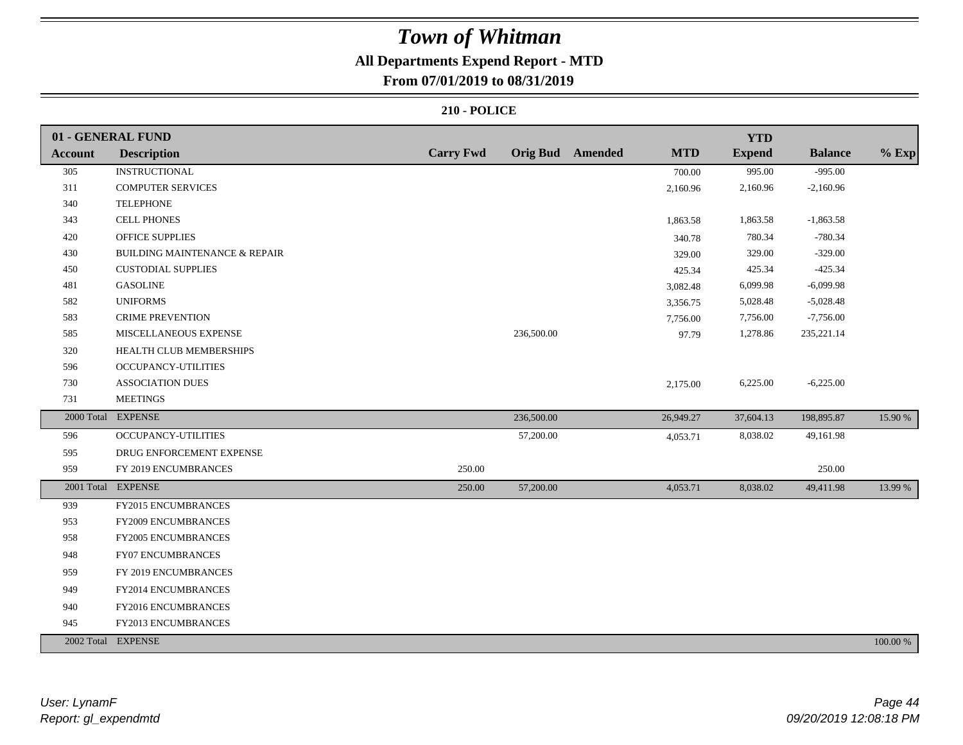### **All Departments Expend Report - MTD**

### **From 07/01/2019 to 08/31/2019**

|                | 01 - GENERAL FUND                        |                  |            |                         |            | <b>YTD</b>    |                |          |
|----------------|------------------------------------------|------------------|------------|-------------------------|------------|---------------|----------------|----------|
| <b>Account</b> | <b>Description</b>                       | <b>Carry Fwd</b> |            | <b>Orig Bud</b> Amended | <b>MTD</b> | <b>Expend</b> | <b>Balance</b> | $%$ Exp  |
| 305            | <b>INSTRUCTIONAL</b>                     |                  |            |                         | 700.00     | 995.00        | $-995.00$      |          |
| 311            | <b>COMPUTER SERVICES</b>                 |                  |            |                         | 2,160.96   | 2,160.96      | $-2,160.96$    |          |
| 340            | <b>TELEPHONE</b>                         |                  |            |                         |            |               |                |          |
| 343            | CELL PHONES                              |                  |            |                         | 1,863.58   | 1,863.58      | $-1,863.58$    |          |
| 420            | <b>OFFICE SUPPLIES</b>                   |                  |            |                         | 340.78     | 780.34        | $-780.34$      |          |
| 430            | <b>BUILDING MAINTENANCE &amp; REPAIR</b> |                  |            |                         | 329.00     | 329.00        | $-329.00$      |          |
| 450            | <b>CUSTODIAL SUPPLIES</b>                |                  |            |                         | 425.34     | 425.34        | $-425.34$      |          |
| 481            | <b>GASOLINE</b>                          |                  |            |                         | 3,082.48   | 6,099.98      | $-6,099.98$    |          |
| 582            | <b>UNIFORMS</b>                          |                  |            |                         | 3,356.75   | 5,028.48      | $-5,028.48$    |          |
| 583            | <b>CRIME PREVENTION</b>                  |                  |            |                         | 7,756.00   | 7,756.00      | $-7,756.00$    |          |
| 585            | MISCELLANEOUS EXPENSE                    |                  | 236,500.00 |                         | 97.79      | 1,278.86      | 235, 221.14    |          |
| 320            | HEALTH CLUB MEMBERSHIPS                  |                  |            |                         |            |               |                |          |
| 596            | OCCUPANCY-UTILITIES                      |                  |            |                         |            |               |                |          |
| 730            | <b>ASSOCIATION DUES</b>                  |                  |            |                         | 2,175.00   | 6,225.00      | $-6,225.00$    |          |
| 731            | <b>MEETINGS</b>                          |                  |            |                         |            |               |                |          |
|                | 2000 Total EXPENSE                       |                  | 236,500.00 |                         | 26,949.27  | 37,604.13     | 198,895.87     | 15.90 %  |
| 596            | OCCUPANCY-UTILITIES                      |                  | 57,200.00  |                         | 4,053.71   | 8,038.02      | 49,161.98      |          |
| 595            | DRUG ENFORCEMENT EXPENSE                 |                  |            |                         |            |               |                |          |
| 959            | FY 2019 ENCUMBRANCES                     | 250.00           |            |                         |            |               | 250.00         |          |
|                | 2001 Total EXPENSE                       | 250.00           | 57,200.00  |                         | 4,053.71   | 8,038.02      | 49,411.98      | 13.99 %  |
| 939            | FY2015 ENCUMBRANCES                      |                  |            |                         |            |               |                |          |
| 953            | <b>FY2009 ENCUMBRANCES</b>               |                  |            |                         |            |               |                |          |
| 958            | FY2005 ENCUMBRANCES                      |                  |            |                         |            |               |                |          |
| 948            | FY07 ENCUMBRANCES                        |                  |            |                         |            |               |                |          |
| 959            | FY 2019 ENCUMBRANCES                     |                  |            |                         |            |               |                |          |
| 949            | FY2014 ENCUMBRANCES                      |                  |            |                         |            |               |                |          |
| 940            | FY2016 ENCUMBRANCES                      |                  |            |                         |            |               |                |          |
| 945            | FY2013 ENCUMBRANCES                      |                  |            |                         |            |               |                |          |
|                | 2002 Total EXPENSE                       |                  |            |                         |            |               |                | 100.00 % |
|                |                                          |                  |            |                         |            |               |                |          |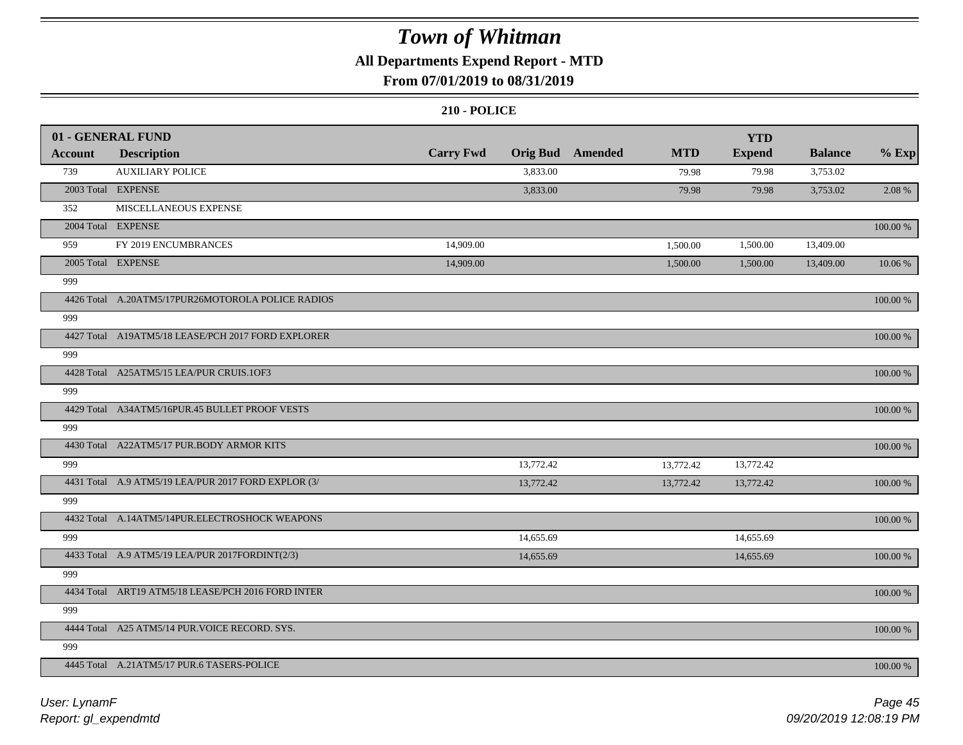### **All Departments Expend Report - MTD**

### **From 07/01/2019 to 08/31/2019**

|                | 01 - GENERAL FUND                                   |                  |                 |                |            | <b>YTD</b>    |                |             |
|----------------|-----------------------------------------------------|------------------|-----------------|----------------|------------|---------------|----------------|-------------|
| <b>Account</b> | <b>Description</b>                                  | <b>Carry Fwd</b> | <b>Orig Bud</b> | <b>Amended</b> | <b>MTD</b> | <b>Expend</b> | <b>Balance</b> | $%$ Exp     |
| 739            | <b>AUXILIARY POLICE</b>                             |                  | 3,833.00        |                | 79.98      | 79.98         | 3,753.02       |             |
|                | 2003 Total EXPENSE                                  |                  | 3,833.00        |                | 79.98      | 79.98         | 3,753.02       | 2.08 %      |
| 352            | MISCELLANEOUS EXPENSE                               |                  |                 |                |            |               |                |             |
|                | 2004 Total EXPENSE                                  |                  |                 |                |            |               |                | 100.00 %    |
| 959            | FY 2019 ENCUMBRANCES                                | 14,909.00        |                 |                | 1,500.00   | 1,500.00      | 13,409.00      |             |
|                | 2005 Total EXPENSE                                  | 14,909.00        |                 |                | 1,500.00   | 1,500.00      | 13,409.00      | 10.06 %     |
| 999            |                                                     |                  |                 |                |            |               |                |             |
|                | 4426 Total A.20ATM5/17PUR26MOTOROLA POLICE RADIOS   |                  |                 |                |            |               |                | 100.00 %    |
| 999            |                                                     |                  |                 |                |            |               |                |             |
|                | 4427 Total A19ATM5/18 LEASE/PCH 2017 FORD EXPLORER  |                  |                 |                |            |               |                | $100.00~\%$ |
| 999            |                                                     |                  |                 |                |            |               |                |             |
|                | 4428 Total A25ATM5/15 LEA/PUR CRUIS.1OF3            |                  |                 |                |            |               |                | $100.00~\%$ |
| 999            |                                                     |                  |                 |                |            |               |                |             |
|                | 4429 Total A34ATM5/16PUR.45 BULLET PROOF VESTS      |                  |                 |                |            |               |                | 100.00 %    |
| 999            |                                                     |                  |                 |                |            |               |                |             |
|                | 4430 Total A22ATM5/17 PUR.BODY ARMOR KITS           |                  |                 |                |            |               |                | 100.00 %    |
| 999            |                                                     |                  | 13,772.42       |                | 13,772.42  | 13,772.42     |                |             |
|                | 4431 Total A.9 ATM5/19 LEA/PUR 2017 FORD EXPLOR (3/ |                  | 13,772.42       |                | 13,772.42  | 13,772.42     |                | 100.00 %    |
| 999            |                                                     |                  |                 |                |            |               |                |             |
|                | 4432 Total A.14ATM5/14PUR.ELECTROSHOCK WEAPONS      |                  |                 |                |            |               |                | $100.00~\%$ |
| 999            |                                                     |                  | 14,655.69       |                |            | 14,655.69     |                |             |
|                | 4433 Total A.9 ATM5/19 LEA/PUR 2017FORDINT(2/3)     |                  | 14,655.69       |                |            | 14,655.69     |                | $100.00~\%$ |
| 999            |                                                     |                  |                 |                |            |               |                |             |
|                | 4434 Total ART19 ATM5/18 LEASE/PCH 2016 FORD INTER  |                  |                 |                |            |               |                | 100.00 %    |
| 999            |                                                     |                  |                 |                |            |               |                |             |
|                | 4444 Total A25 ATM5/14 PUR. VOICE RECORD. SYS.      |                  |                 |                |            |               |                | 100.00 %    |
| 999            |                                                     |                  |                 |                |            |               |                |             |
|                | 4445 Total A.21ATM5/17 PUR.6 TASERS-POLICE          |                  |                 |                |            |               |                | 100.00 %    |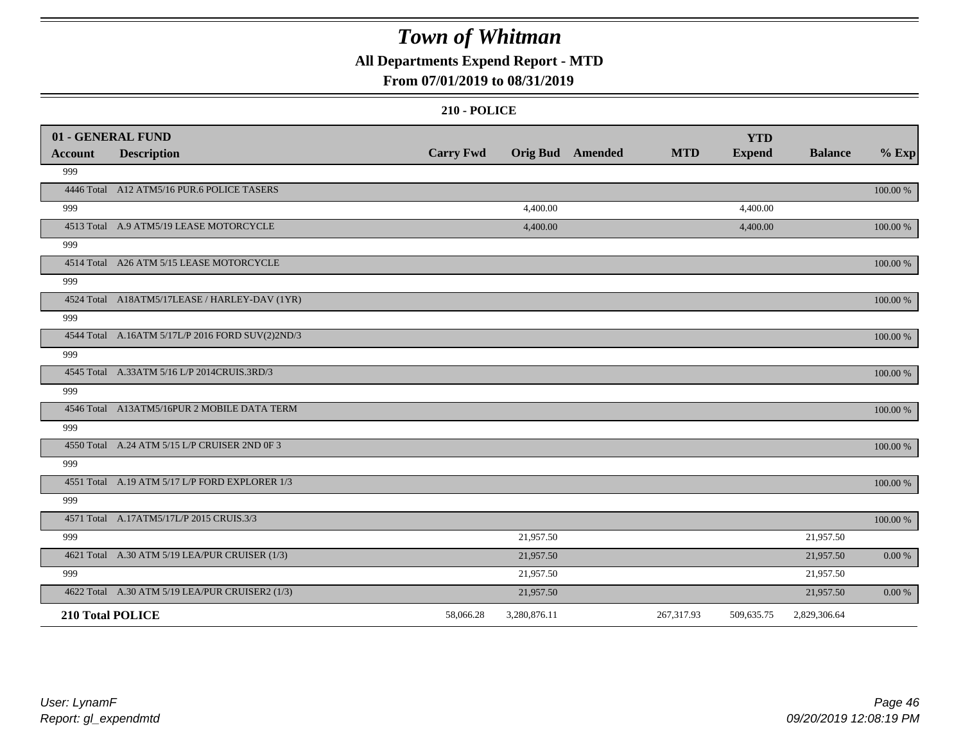### **All Departments Expend Report - MTD**

### **From 07/01/2019 to 08/31/2019**

|         | 01 - GENERAL FUND                                |                  |                         |            | <b>YTD</b>    |                |             |
|---------|--------------------------------------------------|------------------|-------------------------|------------|---------------|----------------|-------------|
| Account | <b>Description</b>                               | <b>Carry Fwd</b> | <b>Orig Bud</b> Amended | <b>MTD</b> | <b>Expend</b> | <b>Balance</b> | $%$ Exp     |
| 999     |                                                  |                  |                         |            |               |                |             |
|         | 4446 Total A12 ATM5/16 PUR.6 POLICE TASERS       |                  |                         |            |               |                | 100.00 %    |
| 999     |                                                  |                  | 4,400.00                |            | 4,400.00      |                |             |
|         | 4513 Total A.9 ATM5/19 LEASE MOTORCYCLE          |                  | 4,400.00                |            | 4,400.00      |                | 100.00 %    |
| 999     |                                                  |                  |                         |            |               |                |             |
|         | 4514 Total A26 ATM 5/15 LEASE MOTORCYCLE         |                  |                         |            |               |                | 100.00 %    |
| 999     |                                                  |                  |                         |            |               |                |             |
|         | 4524 Total A18ATM5/17LEASE / HARLEY-DAV (1YR)    |                  |                         |            |               |                | 100.00 %    |
| 999     |                                                  |                  |                         |            |               |                |             |
|         | 4544 Total A.16ATM 5/17L/P 2016 FORD SUV(2)2ND/3 |                  |                         |            |               |                | 100.00 %    |
| 999     |                                                  |                  |                         |            |               |                |             |
|         | 4545 Total A.33ATM 5/16 L/P 2014CRUIS.3RD/3      |                  |                         |            |               |                | $100.00~\%$ |
| 999     |                                                  |                  |                         |            |               |                |             |
|         | 4546 Total A13ATM5/16PUR 2 MOBILE DATA TERM      |                  |                         |            |               |                | 100.00 %    |
| 999     |                                                  |                  |                         |            |               |                |             |
|         | 4550 Total A.24 ATM 5/15 L/P CRUISER 2ND 0F 3    |                  |                         |            |               |                | 100.00 %    |
| 999     |                                                  |                  |                         |            |               |                |             |
|         | 4551 Total A.19 ATM 5/17 L/P FORD EXPLORER 1/3   |                  |                         |            |               |                | 100.00 %    |
| 999     |                                                  |                  |                         |            |               |                |             |
|         | 4571 Total A.17ATM5/17L/P 2015 CRUIS.3/3         |                  |                         |            |               |                | 100.00 %    |
| 999     |                                                  |                  | 21,957.50               |            |               | 21,957.50      |             |
|         | 4621 Total A.30 ATM 5/19 LEA/PUR CRUISER (1/3)   |                  | 21,957.50               |            |               | 21,957.50      | $0.00\ \%$  |
| 999     |                                                  |                  | 21,957.50               |            |               | 21,957.50      |             |
|         | 4622 Total A.30 ATM 5/19 LEA/PUR CRUISER2 (1/3)  |                  | 21,957.50               |            |               | 21,957.50      | 0.00 %      |
|         | 210 Total POLICE                                 | 58,066.28        | 3,280,876.11            | 267,317.93 | 509,635.75    | 2,829,306.64   |             |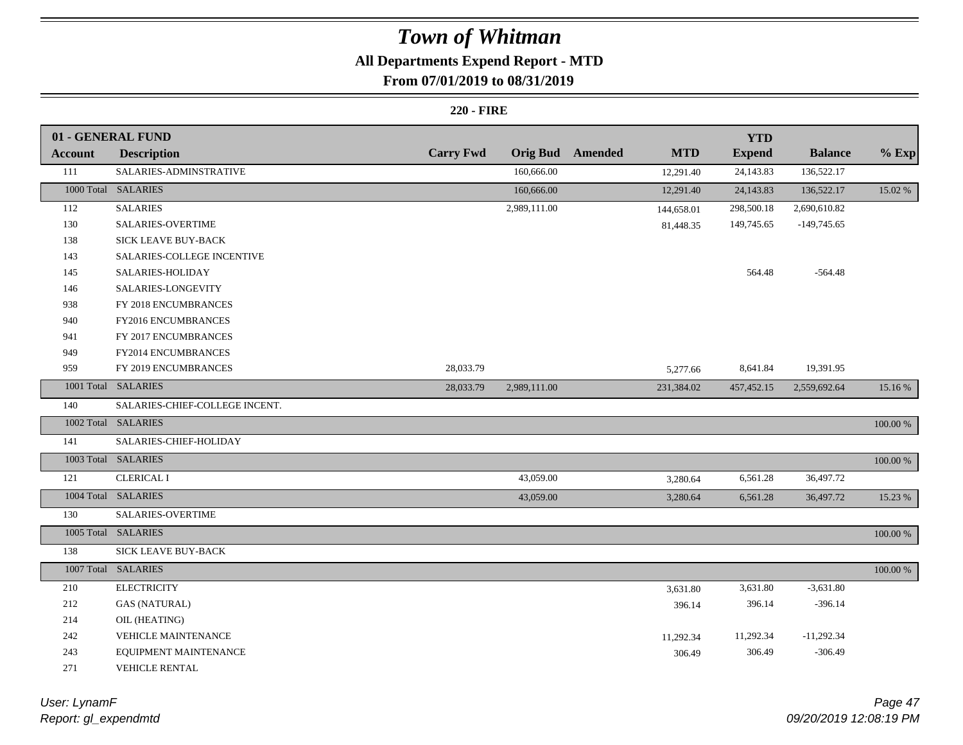## **All Departments Expend Report - MTD**

### **From 07/01/2019 to 08/31/2019**

#### **220 - FIRE**

|                | 01 - GENERAL FUND              |                  |              |                         |            | <b>YTD</b>    |                |          |
|----------------|--------------------------------|------------------|--------------|-------------------------|------------|---------------|----------------|----------|
| <b>Account</b> | <b>Description</b>             | <b>Carry Fwd</b> |              | <b>Orig Bud</b> Amended | <b>MTD</b> | <b>Expend</b> | <b>Balance</b> | $%$ Exp  |
| 111            | SALARIES-ADMINSTRATIVE         |                  | 160,666.00   |                         | 12,291.40  | 24,143.83     | 136,522.17     |          |
|                | 1000 Total SALARIES            |                  | 160,666.00   |                         | 12,291.40  | 24,143.83     | 136,522.17     | 15.02 %  |
| 112            | <b>SALARIES</b>                |                  | 2,989,111.00 |                         | 144,658.01 | 298,500.18    | 2,690,610.82   |          |
| 130            | <b>SALARIES-OVERTIME</b>       |                  |              |                         | 81,448.35  | 149,745.65    | $-149,745.65$  |          |
| 138            | SICK LEAVE BUY-BACK            |                  |              |                         |            |               |                |          |
| 143            | SALARIES-COLLEGE INCENTIVE     |                  |              |                         |            |               |                |          |
| 145            | SALARIES-HOLIDAY               |                  |              |                         |            | 564.48        | $-564.48$      |          |
| 146            | SALARIES-LONGEVITY             |                  |              |                         |            |               |                |          |
| 938            | FY 2018 ENCUMBRANCES           |                  |              |                         |            |               |                |          |
| 940            | <b>FY2016 ENCUMBRANCES</b>     |                  |              |                         |            |               |                |          |
| 941            | FY 2017 ENCUMBRANCES           |                  |              |                         |            |               |                |          |
| 949            | FY2014 ENCUMBRANCES            |                  |              |                         |            |               |                |          |
| 959            | FY 2019 ENCUMBRANCES           | 28,033.79        |              |                         | 5,277.66   | 8,641.84      | 19,391.95      |          |
|                | 1001 Total SALARIES            | 28,033.79        | 2,989,111.00 |                         | 231,384.02 | 457, 452.15   | 2,559,692.64   | 15.16%   |
| 140            | SALARIES-CHIEF-COLLEGE INCENT. |                  |              |                         |            |               |                |          |
|                | 1002 Total SALARIES            |                  |              |                         |            |               |                | 100.00 % |
| 141            | SALARIES-CHIEF-HOLIDAY         |                  |              |                         |            |               |                |          |
|                | 1003 Total SALARIES            |                  |              |                         |            |               |                | 100.00 % |
| 121            | <b>CLERICAL I</b>              |                  | 43,059.00    |                         | 3,280.64   | 6,561.28      | 36,497.72      |          |
|                | 1004 Total SALARIES            |                  | 43,059.00    |                         | 3,280.64   | 6,561.28      | 36,497.72      | 15.23 %  |
| 130            | SALARIES-OVERTIME              |                  |              |                         |            |               |                |          |
|                | 1005 Total SALARIES            |                  |              |                         |            |               |                | 100.00 % |
| 138            | <b>SICK LEAVE BUY-BACK</b>     |                  |              |                         |            |               |                |          |
|                | 1007 Total SALARIES            |                  |              |                         |            |               |                | 100.00 % |
| 210            | <b>ELECTRICITY</b>             |                  |              |                         | 3,631.80   | 3,631.80      | $-3,631.80$    |          |
| 212            | <b>GAS (NATURAL)</b>           |                  |              |                         | 396.14     | 396.14        | $-396.14$      |          |
| 214            | OIL (HEATING)                  |                  |              |                         |            |               |                |          |
| 242            | <b>VEHICLE MAINTENANCE</b>     |                  |              |                         | 11,292.34  | 11,292.34     | $-11,292.34$   |          |
| 243            | EQUIPMENT MAINTENANCE          |                  |              |                         | 306.49     | 306.49        | $-306.49$      |          |
| 271            | VEHICLE RENTAL                 |                  |              |                         |            |               |                |          |

*Report: gl\_expendmtd User: LynamF*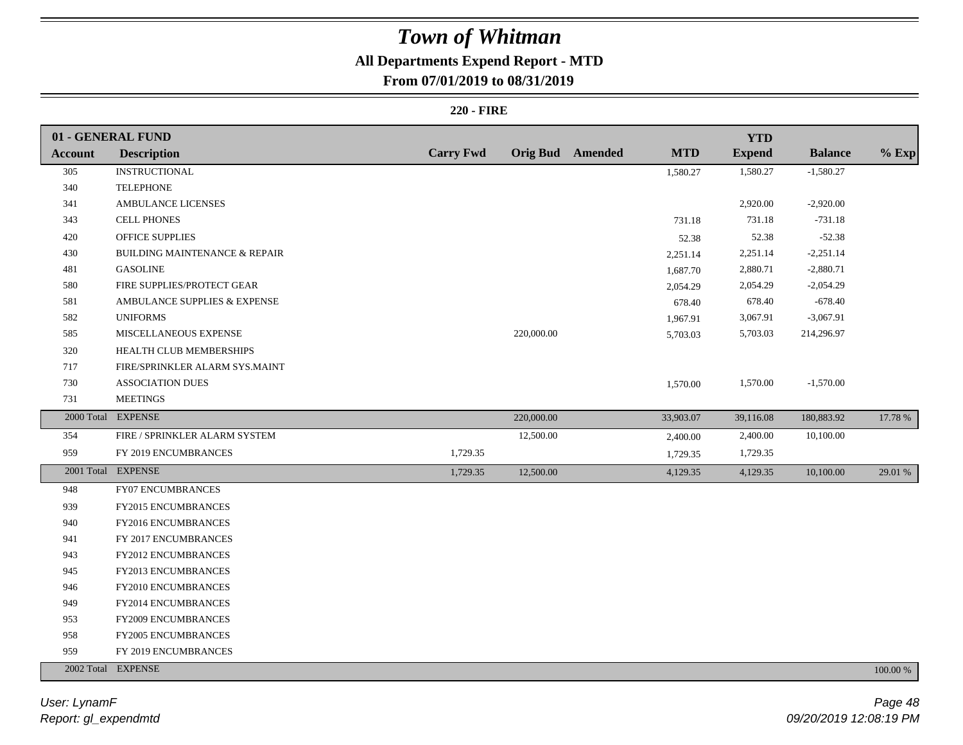### **All Departments Expend Report - MTD**

### **From 07/01/2019 to 08/31/2019**

#### **220 - FIRE**

|                | 01 - GENERAL FUND              |                  |            |                         |            | <b>YTD</b>    |                |          |
|----------------|--------------------------------|------------------|------------|-------------------------|------------|---------------|----------------|----------|
| <b>Account</b> | <b>Description</b>             | <b>Carry Fwd</b> |            | <b>Orig Bud</b> Amended | <b>MTD</b> | <b>Expend</b> | <b>Balance</b> | $%$ Exp  |
| 305            | <b>INSTRUCTIONAL</b>           |                  |            |                         | 1,580.27   | 1,580.27      | $-1,580.27$    |          |
| 340            | <b>TELEPHONE</b>               |                  |            |                         |            |               |                |          |
| 341            | AMBULANCE LICENSES             |                  |            |                         |            | 2,920.00      | $-2,920.00$    |          |
| 343            | <b>CELL PHONES</b>             |                  |            |                         | 731.18     | 731.18        | $-731.18$      |          |
| 420            | OFFICE SUPPLIES                |                  |            |                         | 52.38      | 52.38         | $-52.38$       |          |
| 430            | BUILDING MAINTENANCE & REPAIR  |                  |            |                         | 2,251.14   | 2,251.14      | $-2,251.14$    |          |
| 481            | <b>GASOLINE</b>                |                  |            |                         | 1,687.70   | 2,880.71      | $-2,880.71$    |          |
| 580            | FIRE SUPPLIES/PROTECT GEAR     |                  |            |                         | 2,054.29   | 2,054.29      | $-2,054.29$    |          |
| 581            | AMBULANCE SUPPLIES & EXPENSE   |                  |            |                         | 678.40     | 678.40        | $-678.40$      |          |
| 582            | <b>UNIFORMS</b>                |                  |            |                         | 1,967.91   | 3,067.91      | $-3,067.91$    |          |
| 585            | MISCELLANEOUS EXPENSE          |                  | 220,000.00 |                         | 5,703.03   | 5,703.03      | 214,296.97     |          |
| 320            | HEALTH CLUB MEMBERSHIPS        |                  |            |                         |            |               |                |          |
| 717            | FIRE/SPRINKLER ALARM SYS.MAINT |                  |            |                         |            |               |                |          |
| 730            | <b>ASSOCIATION DUES</b>        |                  |            |                         | 1,570.00   | 1,570.00      | $-1,570.00$    |          |
| 731            | <b>MEETINGS</b>                |                  |            |                         |            |               |                |          |
|                | 2000 Total EXPENSE             |                  | 220,000.00 |                         | 33,903.07  | 39,116.08     | 180,883.92     | 17.78 %  |
| 354            | FIRE / SPRINKLER ALARM SYSTEM  |                  | 12,500.00  |                         | 2,400.00   | 2,400.00      | 10,100.00      |          |
| 959            | FY 2019 ENCUMBRANCES           | 1,729.35         |            |                         | 1,729.35   | 1,729.35      |                |          |
|                | 2001 Total EXPENSE             | 1,729.35         | 12,500.00  |                         | 4,129.35   | 4,129.35      | 10,100.00      | 29.01 %  |
| 948            | FY07 ENCUMBRANCES              |                  |            |                         |            |               |                |          |
| 939            | FY2015 ENCUMBRANCES            |                  |            |                         |            |               |                |          |
| 940            | FY2016 ENCUMBRANCES            |                  |            |                         |            |               |                |          |
| 941            | FY 2017 ENCUMBRANCES           |                  |            |                         |            |               |                |          |
| 943            | FY2012 ENCUMBRANCES            |                  |            |                         |            |               |                |          |
| 945            | FY2013 ENCUMBRANCES            |                  |            |                         |            |               |                |          |
| 946            | FY2010 ENCUMBRANCES            |                  |            |                         |            |               |                |          |
| 949            | <b>FY2014 ENCUMBRANCES</b>     |                  |            |                         |            |               |                |          |
| 953            | FY2009 ENCUMBRANCES            |                  |            |                         |            |               |                |          |
| 958            | FY2005 ENCUMBRANCES            |                  |            |                         |            |               |                |          |
| 959            | FY 2019 ENCUMBRANCES           |                  |            |                         |            |               |                |          |
|                | 2002 Total EXPENSE             |                  |            |                         |            |               |                | 100.00 % |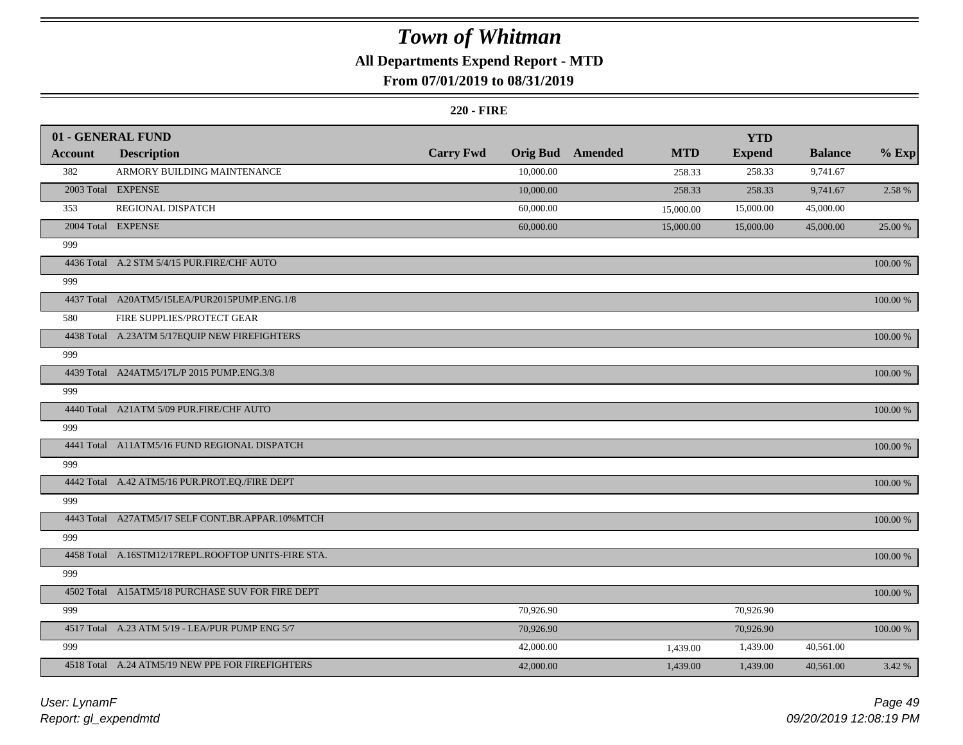## **All Departments Expend Report - MTD**

### **From 07/01/2019 to 08/31/2019**

#### **220 - FIRE**

|         | 01 - GENERAL FUND                                   |                  |                 |         |            | <b>YTD</b>    |                |               |
|---------|-----------------------------------------------------|------------------|-----------------|---------|------------|---------------|----------------|---------------|
| Account | <b>Description</b>                                  | <b>Carry Fwd</b> | <b>Orig Bud</b> | Amended | <b>MTD</b> | <b>Expend</b> | <b>Balance</b> | $%$ Exp       |
| 382     | ARMORY BUILDING MAINTENANCE                         |                  | 10,000.00       |         | 258.33     | 258.33        | 9,741.67       |               |
|         | 2003 Total EXPENSE                                  |                  | 10,000.00       |         | 258.33     | 258.33        | 9,741.67       | 2.58 %        |
| 353     | REGIONAL DISPATCH                                   |                  | 60,000.00       |         | 15,000.00  | 15,000.00     | 45,000.00      |               |
|         | 2004 Total EXPENSE                                  |                  | 60,000.00       |         | 15,000.00  | 15,000.00     | 45,000.00      | 25.00 %       |
| 999     |                                                     |                  |                 |         |            |               |                |               |
|         | 4436 Total A.2 STM 5/4/15 PUR.FIRE/CHF AUTO         |                  |                 |         |            |               |                | 100.00 %      |
| 999     |                                                     |                  |                 |         |            |               |                |               |
|         | 4437 Total A20ATM5/15LEA/PUR2015PUMP.ENG.1/8        |                  |                 |         |            |               |                | 100.00 %      |
| 580     | FIRE SUPPLIES/PROTECT GEAR                          |                  |                 |         |            |               |                |               |
|         | 4438 Total A.23ATM 5/17EQUIP NEW FIREFIGHTERS       |                  |                 |         |            |               |                | 100.00 %      |
| 999     |                                                     |                  |                 |         |            |               |                |               |
|         | 4439 Total A24ATM5/17L/P 2015 PUMP.ENG.3/8          |                  |                 |         |            |               |                | $100.00$ $\%$ |
| 999     |                                                     |                  |                 |         |            |               |                |               |
|         | 4440 Total A21ATM 5/09 PUR.FIRE/CHF AUTO            |                  |                 |         |            |               |                | $100.00\%$    |
| 999     |                                                     |                  |                 |         |            |               |                |               |
|         | 4441 Total A11ATM5/16 FUND REGIONAL DISPATCH        |                  |                 |         |            |               |                | 100.00 %      |
| 999     |                                                     |                  |                 |         |            |               |                |               |
|         | 4442 Total A.42 ATM5/16 PUR.PROT.EQ./FIRE DEPT      |                  |                 |         |            |               |                | $100.00~\%$   |
| 999     |                                                     |                  |                 |         |            |               |                |               |
|         | 4443 Total A27ATM5/17 SELF CONT.BR.APPAR.10%MTCH    |                  |                 |         |            |               |                | 100.00 %      |
| 999     |                                                     |                  |                 |         |            |               |                |               |
|         | 4458 Total A.16STM12/17REPL.ROOFTOP UNITS-FIRE STA. |                  |                 |         |            |               |                | 100.00 %      |
| 999     |                                                     |                  |                 |         |            |               |                |               |
|         | 4502 Total A15ATM5/18 PURCHASE SUV FOR FIRE DEPT    |                  |                 |         |            |               |                | $100.00~\%$   |
| 999     |                                                     |                  | 70,926.90       |         |            | 70,926.90     |                |               |
|         | 4517 Total A.23 ATM 5/19 - LEA/PUR PUMP ENG 5/7     |                  | 70,926.90       |         |            | 70,926.90     |                | 100.00 %      |
| 999     |                                                     |                  | 42,000.00       |         | 1,439.00   | 1,439.00      | 40,561.00      |               |
|         | 4518 Total A.24 ATM5/19 NEW PPE FOR FIREFIGHTERS    |                  | 42,000.00       |         | 1,439.00   | 1,439.00      | 40,561.00      | 3.42 %        |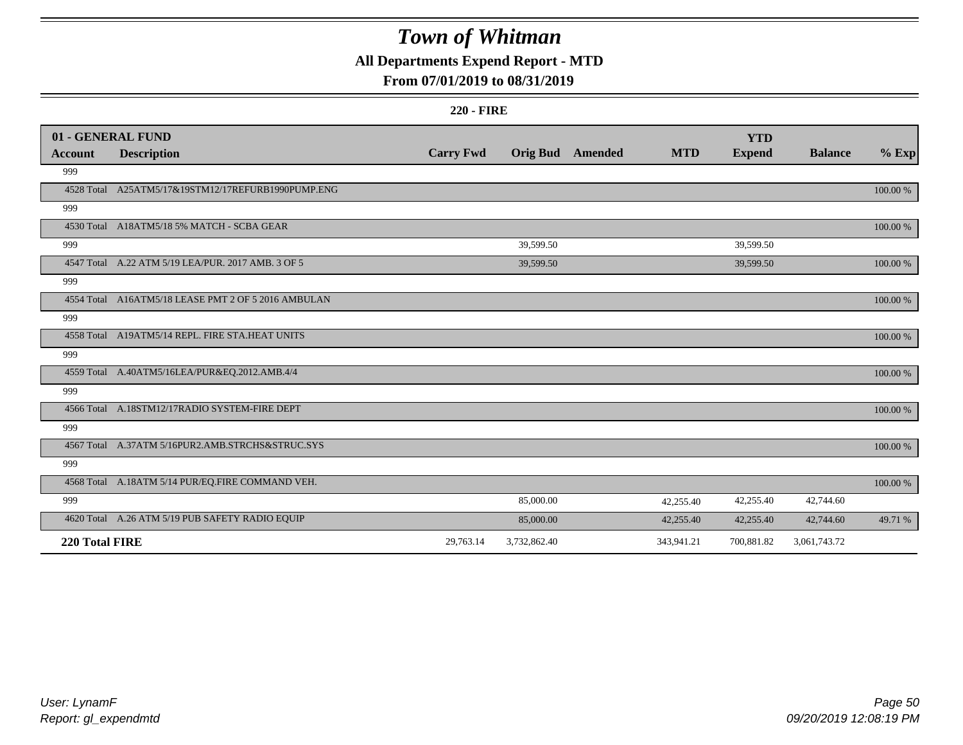### **All Departments Expend Report - MTD**

### **From 07/01/2019 to 08/31/2019**

#### **220 - FIRE**

|                | 01 - GENERAL FUND                                   |                  |                 |                |            | <b>YTD</b>    |                |          |
|----------------|-----------------------------------------------------|------------------|-----------------|----------------|------------|---------------|----------------|----------|
| <b>Account</b> | <b>Description</b>                                  | <b>Carry Fwd</b> | <b>Orig Bud</b> | <b>Amended</b> | <b>MTD</b> | <b>Expend</b> | <b>Balance</b> | $%$ Exp  |
| 999            |                                                     |                  |                 |                |            |               |                |          |
|                | 4528 Total A25ATM5/17&19STM12/17REFURB1990PUMP.ENG  |                  |                 |                |            |               |                | 100.00 % |
| 999            |                                                     |                  |                 |                |            |               |                |          |
|                | 4530 Total A18ATM5/18 5% MATCH - SCBA GEAR          |                  |                 |                |            |               |                | 100.00 % |
| 999            |                                                     |                  | 39,599.50       |                |            | 39,599.50     |                |          |
|                | 4547 Total A.22 ATM 5/19 LEA/PUR. 2017 AMB. 3 OF 5  |                  | 39,599.50       |                |            | 39,599.50     |                | 100.00 % |
| 999            |                                                     |                  |                 |                |            |               |                |          |
|                | 4554 Total A16ATM5/18 LEASE PMT 2 OF 5 2016 AMBULAN |                  |                 |                |            |               |                | 100.00 % |
| 999            |                                                     |                  |                 |                |            |               |                |          |
|                | 4558 Total A19ATM5/14 REPL. FIRE STA.HEAT UNITS     |                  |                 |                |            |               |                | 100.00 % |
| 999            |                                                     |                  |                 |                |            |               |                |          |
|                | 4559 Total A.40ATM5/16LEA/PUR&EQ.2012.AMB.4/4       |                  |                 |                |            |               |                | 100.00 % |
| 999            |                                                     |                  |                 |                |            |               |                |          |
|                | 4566 Total A.18STM12/17RADIO SYSTEM-FIRE DEPT       |                  |                 |                |            |               |                | 100.00 % |
| 999            |                                                     |                  |                 |                |            |               |                |          |
|                | 4567 Total A.37ATM 5/16PUR2.AMB.STRCHS&STRUC.SYS    |                  |                 |                |            |               |                | 100.00 % |
| 999            |                                                     |                  |                 |                |            |               |                |          |
|                | 4568 Total A.18ATM 5/14 PUR/EQ.FIRE COMMAND VEH.    |                  |                 |                |            |               |                | 100.00 % |
| 999            |                                                     |                  | 85,000.00       |                | 42,255.40  | 42,255.40     | 42,744.60      |          |
|                | 4620 Total A.26 ATM 5/19 PUB SAFETY RADIO EQUIP     |                  | 85,000.00       |                | 42,255.40  | 42,255.40     | 42,744.60      | 49.71 %  |
| 220 Total FIRE |                                                     | 29,763.14        | 3,732,862.40    |                | 343,941.21 | 700,881.82    | 3,061,743.72   |          |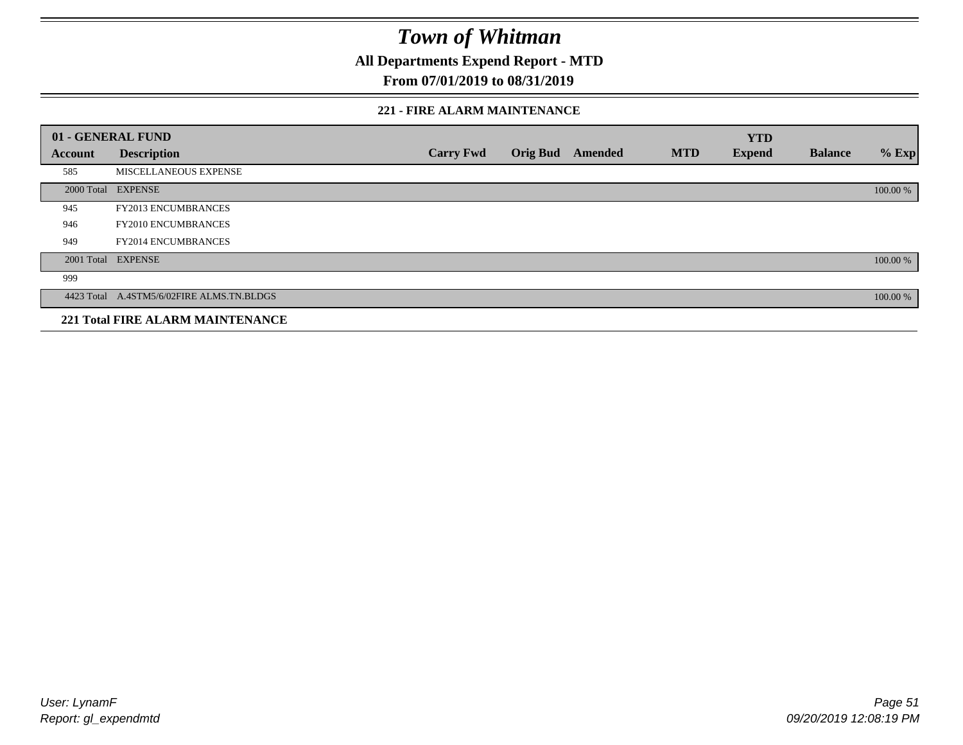**All Departments Expend Report - MTD**

### **From 07/01/2019 to 08/31/2019**

#### **221 - FIRE ALARM MAINTENANCE**

|         | 01 - GENERAL FUND                         |                  |                 |         |            | <b>YTD</b>    |                |          |
|---------|-------------------------------------------|------------------|-----------------|---------|------------|---------------|----------------|----------|
| Account | <b>Description</b>                        | <b>Carry Fwd</b> | <b>Orig Bud</b> | Amended | <b>MTD</b> | <b>Expend</b> | <b>Balance</b> | $%$ Exp  |
| 585     | MISCELLANEOUS EXPENSE                     |                  |                 |         |            |               |                |          |
|         | 2000 Total EXPENSE                        |                  |                 |         |            |               |                | 100.00 % |
| 945     | <b>FY2013 ENCUMBRANCES</b>                |                  |                 |         |            |               |                |          |
| 946     | <b>FY2010 ENCUMBRANCES</b>                |                  |                 |         |            |               |                |          |
| 949     | <b>FY2014 ENCUMBRANCES</b>                |                  |                 |         |            |               |                |          |
|         | 2001 Total EXPENSE                        |                  |                 |         |            |               |                | 100.00 % |
| 999     |                                           |                  |                 |         |            |               |                |          |
|         | 4423 Total A.4STM5/6/02FIRE ALMS.TN.BLDGS |                  |                 |         |            |               |                | 100.00 % |
|         | <b>221 Total FIRE ALARM MAINTENANCE</b>   |                  |                 |         |            |               |                |          |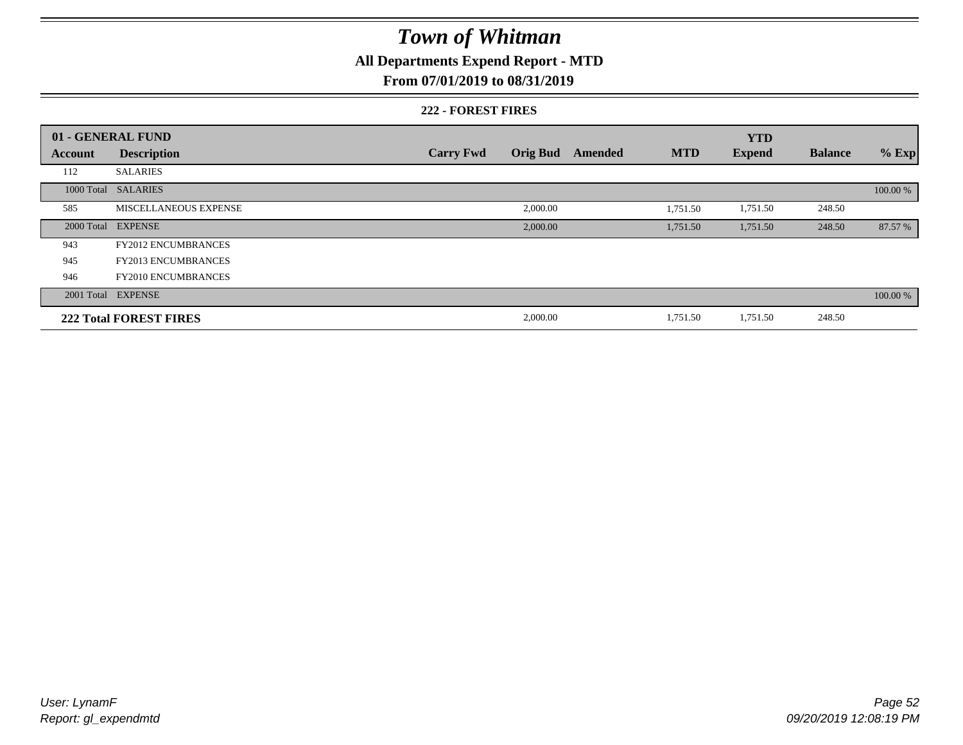## **All Departments Expend Report - MTD**

### **From 07/01/2019 to 08/31/2019**

#### **222 - FOREST FIRES**

|                | 01 - GENERAL FUND             |                  |                 |         |            | <b>YTD</b>    |                |          |
|----------------|-------------------------------|------------------|-----------------|---------|------------|---------------|----------------|----------|
| <b>Account</b> | <b>Description</b>            | <b>Carry Fwd</b> | <b>Orig Bud</b> | Amended | <b>MTD</b> | <b>Expend</b> | <b>Balance</b> | $%$ Exp  |
| 112            | <b>SALARIES</b>               |                  |                 |         |            |               |                |          |
| 1000 Total     | <b>SALARIES</b>               |                  |                 |         |            |               |                | 100.00 % |
| 585            | MISCELLANEOUS EXPENSE         |                  | 2,000.00        |         | 1,751.50   | 1,751.50      | 248.50         |          |
| 2000 Total     | <b>EXPENSE</b>                |                  | 2,000.00        |         | 1,751.50   | 1,751.50      | 248.50         | 87.57 %  |
| 943            | <b>FY2012 ENCUMBRANCES</b>    |                  |                 |         |            |               |                |          |
| 945            | <b>FY2013 ENCUMBRANCES</b>    |                  |                 |         |            |               |                |          |
| 946            | <b>FY2010 ENCUMBRANCES</b>    |                  |                 |         |            |               |                |          |
|                | 2001 Total EXPENSE            |                  |                 |         |            |               |                | 100.00 % |
|                | <b>222 Total FOREST FIRES</b> |                  | 2,000.00        |         | 1,751.50   | 1,751.50      | 248.50         |          |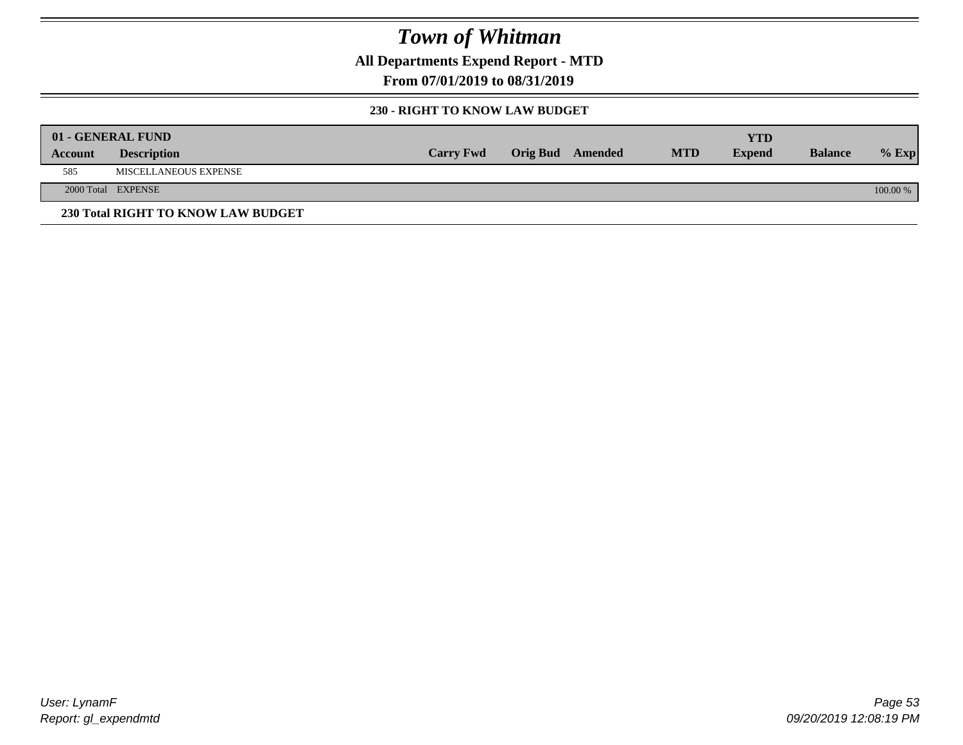**All Departments Expend Report - MTD**

**From 07/01/2019 to 08/31/2019**

### **230 - RIGHT TO KNOW LAW BUDGET**

|         | 01 - GENERAL FUND                  |                  |                         |            | YTD           |                |          |
|---------|------------------------------------|------------------|-------------------------|------------|---------------|----------------|----------|
| Account | <b>Description</b>                 | <b>Carry Fwd</b> | <b>Orig Bud</b> Amended | <b>MTD</b> | <b>Expend</b> | <b>Balance</b> | $%$ Exp  |
| 585     | <b>MISCELLANEOUS EXPENSE</b>       |                  |                         |            |               |                |          |
|         | 2000 Total EXPENSE                 |                  |                         |            |               |                | 100.00 % |
|         | 230 Total RIGHT TO KNOW LAW BUDGET |                  |                         |            |               |                |          |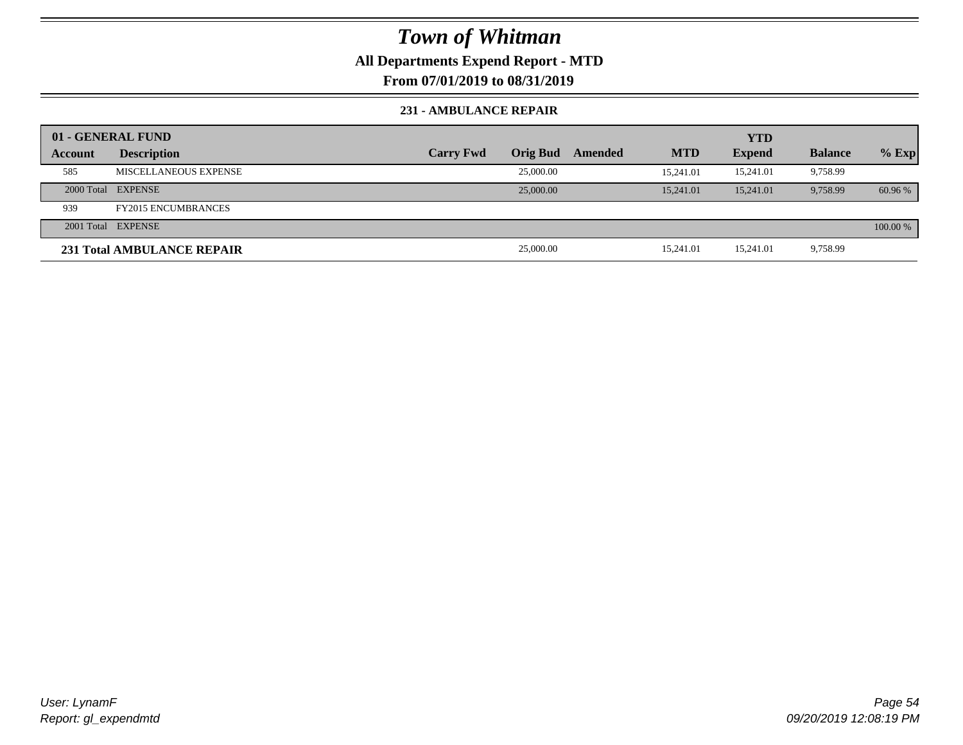**All Departments Expend Report - MTD**

**From 07/01/2019 to 08/31/2019**

#### **231 - AMBULANCE REPAIR**

|         | 01 - GENERAL FUND          |                  |                 |         |            | <b>YTD</b>    |                |          |
|---------|----------------------------|------------------|-----------------|---------|------------|---------------|----------------|----------|
| Account | <b>Description</b>         | <b>Carry Fwd</b> | <b>Orig Bud</b> | Amended | <b>MTD</b> | <b>Expend</b> | <b>Balance</b> | $%$ Exp  |
| 585     | MISCELLANEOUS EXPENSE      |                  | 25,000.00       |         | 15.241.01  | 15.241.01     | 9,758.99       |          |
|         | 2000 Total EXPENSE         |                  | 25,000.00       |         | 15.241.01  | 15,241.01     | 9.758.99       | 60.96 %  |
| 939     | <b>FY2015 ENCUMBRANCES</b> |                  |                 |         |            |               |                |          |
|         | 2001 Total EXPENSE         |                  |                 |         |            |               |                | 100.00 % |
|         | 231 Total AMBULANCE REPAIR |                  | 25,000.00       |         | 15,241.01  | 15,241.01     | 9,758.99       |          |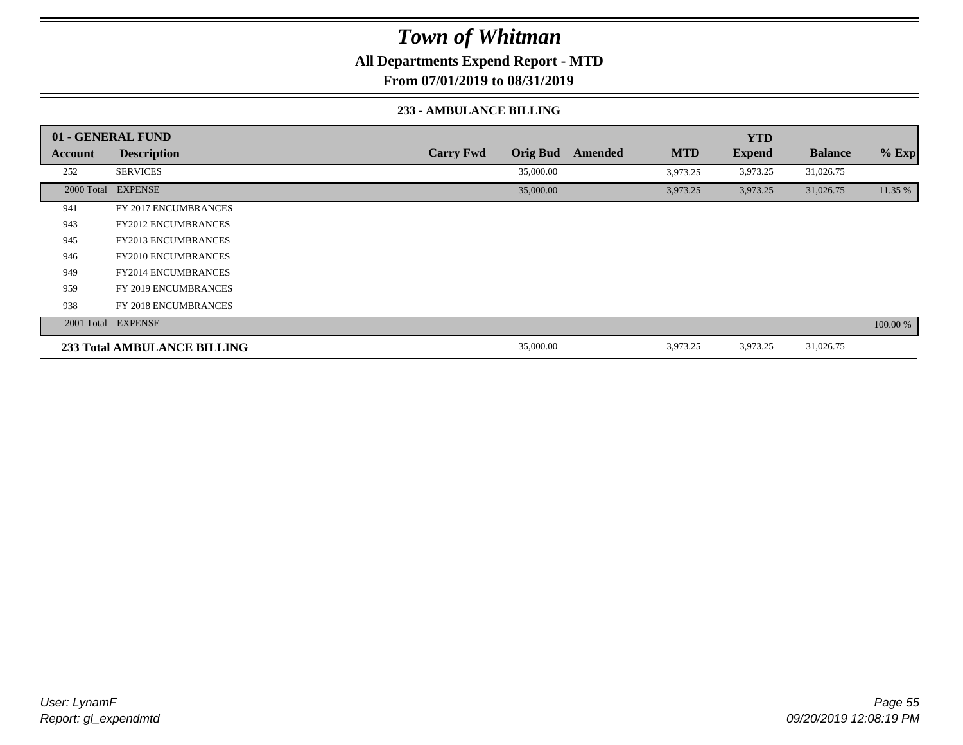**All Departments Expend Report - MTD**

**From 07/01/2019 to 08/31/2019**

#### **233 - AMBULANCE BILLING**

|                | 01 - GENERAL FUND           |                  |                 |         |            | <b>YTD</b>    |                |          |
|----------------|-----------------------------|------------------|-----------------|---------|------------|---------------|----------------|----------|
| <b>Account</b> | <b>Description</b>          | <b>Carry Fwd</b> | <b>Orig Bud</b> | Amended | <b>MTD</b> | <b>Expend</b> | <b>Balance</b> | $%$ Exp  |
| 252            | <b>SERVICES</b>             |                  | 35,000.00       |         | 3,973.25   | 3,973.25      | 31,026.75      |          |
|                | 2000 Total EXPENSE          |                  | 35,000.00       |         | 3,973.25   | 3,973.25      | 31,026.75      | 11.35 %  |
| 941            | FY 2017 ENCUMBRANCES        |                  |                 |         |            |               |                |          |
| 943            | <b>FY2012 ENCUMBRANCES</b>  |                  |                 |         |            |               |                |          |
| 945            | <b>FY2013 ENCUMBRANCES</b>  |                  |                 |         |            |               |                |          |
| 946            | <b>FY2010 ENCUMBRANCES</b>  |                  |                 |         |            |               |                |          |
| 949            | <b>FY2014 ENCUMBRANCES</b>  |                  |                 |         |            |               |                |          |
| 959            | FY 2019 ENCUMBRANCES        |                  |                 |         |            |               |                |          |
| 938            | FY 2018 ENCUMBRANCES        |                  |                 |         |            |               |                |          |
|                | 2001 Total EXPENSE          |                  |                 |         |            |               |                | 100.00 % |
|                | 233 Total AMBULANCE BILLING |                  | 35,000.00       |         | 3,973.25   | 3,973.25      | 31,026.75      |          |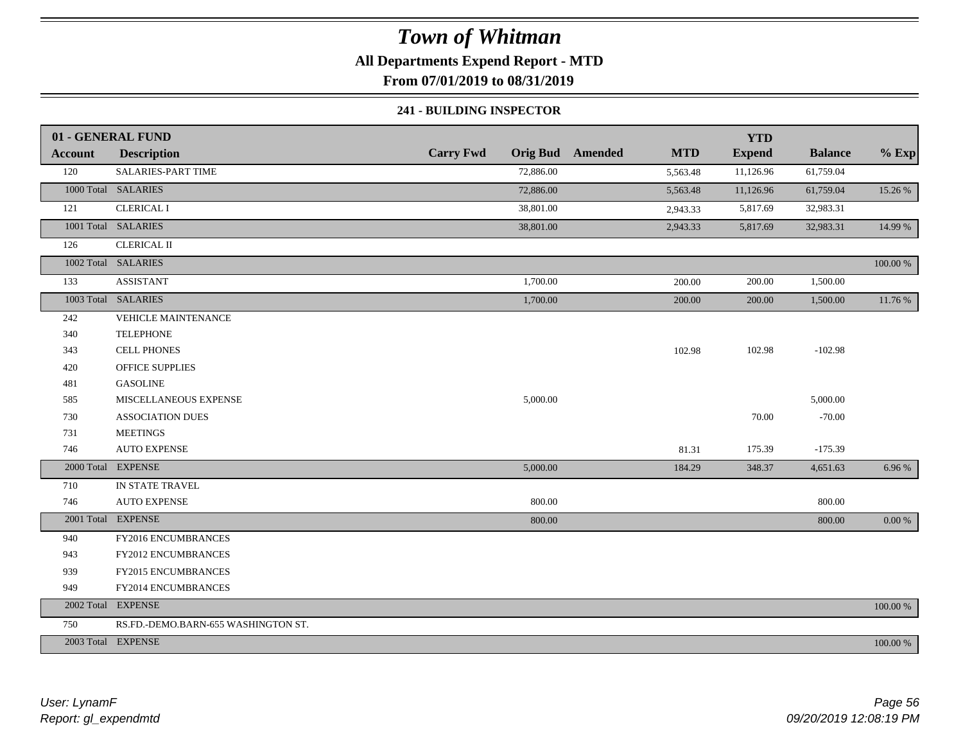### **All Departments Expend Report - MTD**

**From 07/01/2019 to 08/31/2019**

#### **241 - BUILDING INSPECTOR**

|                | 01 - GENERAL FUND                   |                  |                                       | <b>YTD</b>    |                |          |
|----------------|-------------------------------------|------------------|---------------------------------------|---------------|----------------|----------|
| <b>Account</b> | <b>Description</b>                  | <b>Carry Fwd</b> | <b>Orig Bud</b> Amended<br><b>MTD</b> | <b>Expend</b> | <b>Balance</b> | $%$ Exp  |
| 120            | SALARIES-PART TIME                  | 72,886.00        | 5,563.48                              | 11,126.96     | 61,759.04      |          |
|                | 1000 Total SALARIES                 | 72,886.00        | 5,563.48                              | 11,126.96     | 61,759.04      | 15.26 %  |
| 121            | <b>CLERICAL I</b>                   | 38,801.00        | 2,943.33                              | 5,817.69      | 32,983.31      |          |
|                | 1001 Total SALARIES                 | 38,801.00        | 2,943.33                              | 5,817.69      | 32,983.31      | 14.99 %  |
| 126            | <b>CLERICAL II</b>                  |                  |                                       |               |                |          |
|                | 1002 Total SALARIES                 |                  |                                       |               |                | 100.00 % |
| 133            | <b>ASSISTANT</b>                    | 1,700.00         | 200.00                                | 200.00        | 1,500.00       |          |
|                | 1003 Total SALARIES                 | 1,700.00         | 200.00                                | 200.00        | 1,500.00       | 11.76 %  |
| 242            | VEHICLE MAINTENANCE                 |                  |                                       |               |                |          |
| 340            | <b>TELEPHONE</b>                    |                  |                                       |               |                |          |
| 343            | <b>CELL PHONES</b>                  |                  | 102.98                                | 102.98        | $-102.98$      |          |
| 420            | <b>OFFICE SUPPLIES</b>              |                  |                                       |               |                |          |
| 481            | <b>GASOLINE</b>                     |                  |                                       |               |                |          |
| 585            | MISCELLANEOUS EXPENSE               | 5,000.00         |                                       |               | 5,000.00       |          |
| 730            | <b>ASSOCIATION DUES</b>             |                  |                                       | 70.00         | $-70.00$       |          |
| 731            | <b>MEETINGS</b>                     |                  |                                       |               |                |          |
| 746            | <b>AUTO EXPENSE</b>                 |                  | 81.31                                 | 175.39        | $-175.39$      |          |
|                | 2000 Total EXPENSE                  | 5,000.00         | 184.29                                | 348.37        | 4,651.63       | 6.96 %   |
| 710            | IN STATE TRAVEL                     |                  |                                       |               |                |          |
| 746            | <b>AUTO EXPENSE</b>                 | 800.00           |                                       |               | 800.00         |          |
|                | 2001 Total EXPENSE                  | 800.00           |                                       |               | 800.00         | $0.00\%$ |
| 940            | FY2016 ENCUMBRANCES                 |                  |                                       |               |                |          |
| 943            | FY2012 ENCUMBRANCES                 |                  |                                       |               |                |          |
| 939            | FY2015 ENCUMBRANCES                 |                  |                                       |               |                |          |
| 949            | FY2014 ENCUMBRANCES                 |                  |                                       |               |                |          |
|                | 2002 Total EXPENSE                  |                  |                                       |               |                | 100.00 % |
| 750            | RS.FD.-DEMO.BARN-655 WASHINGTON ST. |                  |                                       |               |                |          |
|                | 2003 Total EXPENSE                  |                  |                                       |               |                | 100.00 % |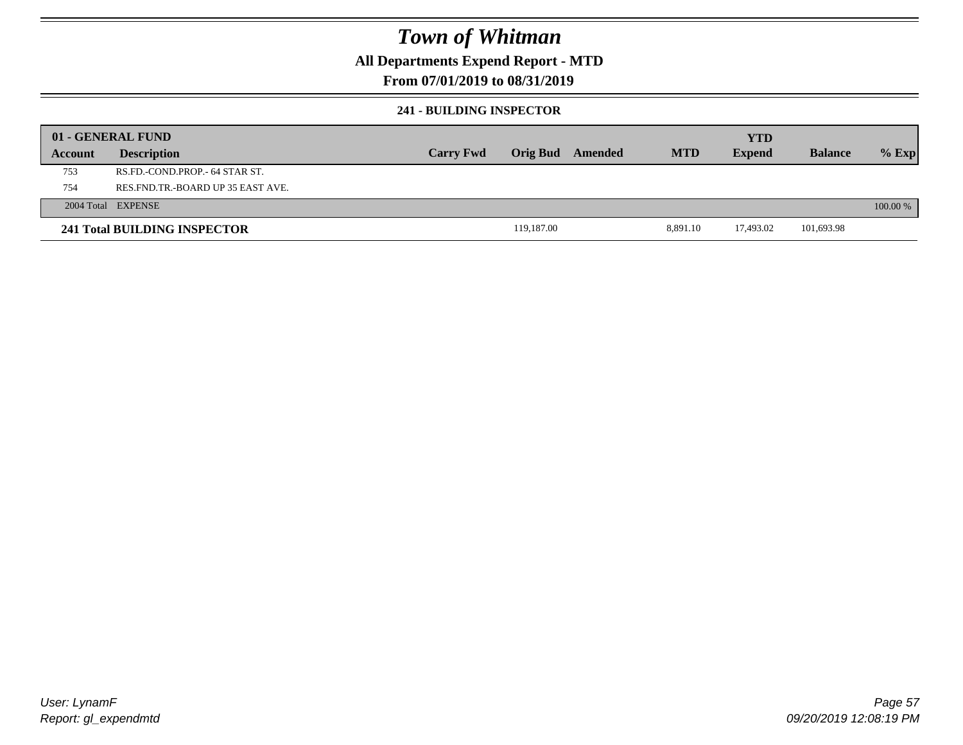### **All Departments Expend Report - MTD**

### **From 07/01/2019 to 08/31/2019**

#### **241 - BUILDING INSPECTOR**

|         | 01 - GENERAL FUND                     |                  |            |                         |            | <b>YTD</b>    |                |            |
|---------|---------------------------------------|------------------|------------|-------------------------|------------|---------------|----------------|------------|
| Account | <b>Description</b>                    | <b>Carry Fwd</b> |            | <b>Orig Bud</b> Amended | <b>MTD</b> | <b>Expend</b> | <b>Balance</b> | $%$ Exp    |
| 753     | RS.FD.-COND.PROP.- 64 STAR ST.        |                  |            |                         |            |               |                |            |
| 754     | RES. FND. TR. - BOARD UP 35 EAST AVE. |                  |            |                         |            |               |                |            |
|         | 2004 Total EXPENSE                    |                  |            |                         |            |               |                | $100.00\%$ |
|         | 241 Total BUILDING INSPECTOR          |                  | 119,187.00 |                         | 8,891.10   | 17,493.02     | 101,693.98     |            |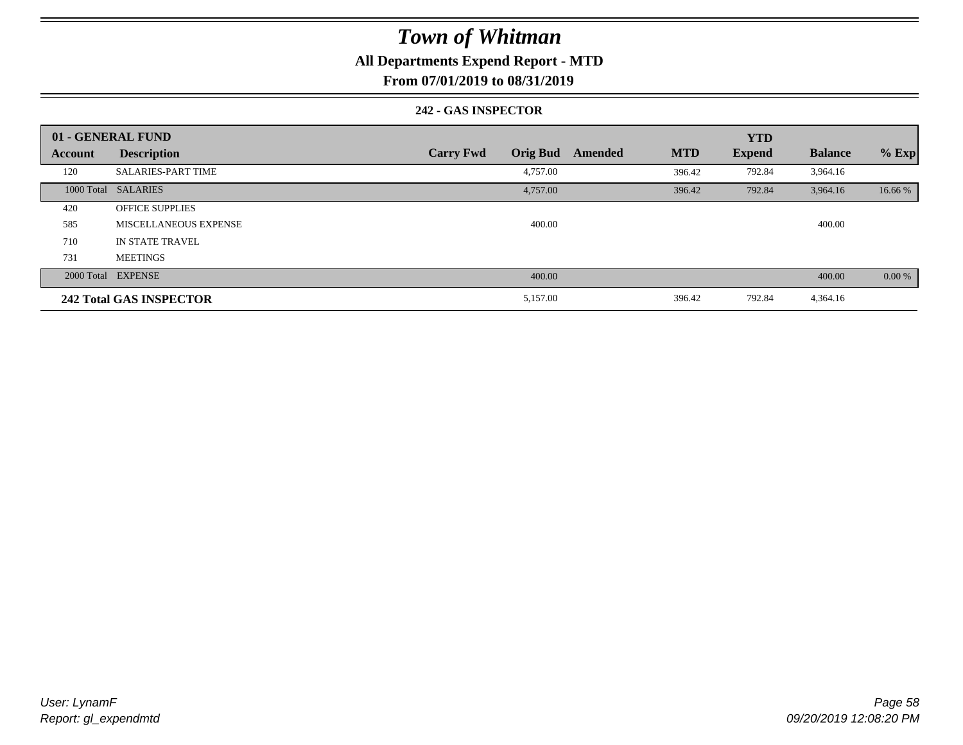### **All Departments Expend Report - MTD**

**From 07/01/2019 to 08/31/2019**

#### **242 - GAS INSPECTOR**

|         | 01 - GENERAL FUND              |                                     |                       | <b>YTD</b>    |                |          |
|---------|--------------------------------|-------------------------------------|-----------------------|---------------|----------------|----------|
| Account | <b>Description</b>             | <b>Orig Bud</b><br><b>Carry Fwd</b> | <b>MTD</b><br>Amended | <b>Expend</b> | <b>Balance</b> | $%$ Exp  |
| 120     | <b>SALARIES-PART TIME</b>      | 4,757.00                            | 396.42                | 792.84        | 3,964.16       |          |
|         | 1000 Total SALARIES            | 4,757.00                            | 396.42                | 792.84        | 3,964.16       | 16.66 %  |
| 420     | <b>OFFICE SUPPLIES</b>         |                                     |                       |               |                |          |
| 585     | MISCELLANEOUS EXPENSE          | 400.00                              |                       |               | 400.00         |          |
| 710     | IN STATE TRAVEL                |                                     |                       |               |                |          |
| 731     | <b>MEETINGS</b>                |                                     |                       |               |                |          |
|         | 2000 Total EXPENSE             | 400.00                              |                       |               | 400.00         | $0.00\%$ |
|         | <b>242 Total GAS INSPECTOR</b> | 5,157.00                            | 396.42                | 792.84        | 4,364.16       |          |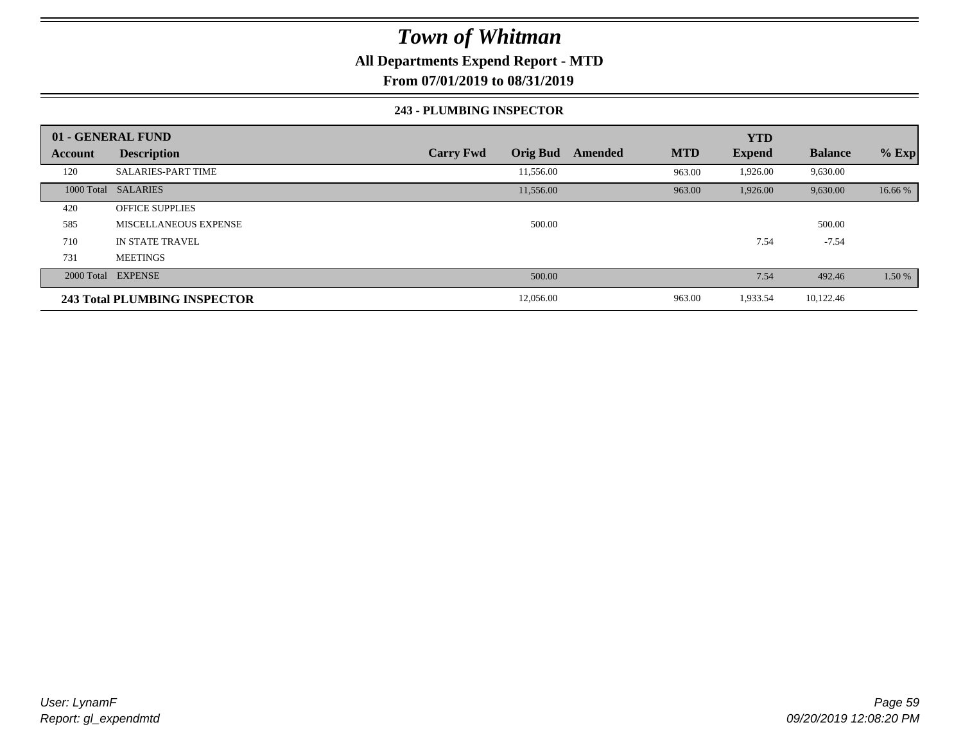### **All Departments Expend Report - MTD**

**From 07/01/2019 to 08/31/2019**

#### **243 - PLUMBING INSPECTOR**

|                | 01 - GENERAL FUND            |                                     |                       | <b>YTD</b>    |                |         |
|----------------|------------------------------|-------------------------------------|-----------------------|---------------|----------------|---------|
| <b>Account</b> | <b>Description</b>           | <b>Orig Bud</b><br><b>Carry Fwd</b> | <b>MTD</b><br>Amended | <b>Expend</b> | <b>Balance</b> | $%$ Exp |
| 120            | <b>SALARIES-PART TIME</b>    | 11,556.00                           | 963.00                | 1,926.00      | 9,630.00       |         |
|                | 1000 Total SALARIES          | 11,556.00                           | 963.00                | 1,926.00      | 9,630.00       | 16.66 % |
| 420            | <b>OFFICE SUPPLIES</b>       |                                     |                       |               |                |         |
| 585            | MISCELLANEOUS EXPENSE        | 500.00                              |                       |               | 500.00         |         |
| 710            | <b>IN STATE TRAVEL</b>       |                                     |                       | 7.54          | $-7.54$        |         |
| 731            | <b>MEETINGS</b>              |                                     |                       |               |                |         |
|                | 2000 Total EXPENSE           | 500.00                              |                       | 7.54          | 492.46         | 1.50 %  |
|                | 243 Total PLUMBING INSPECTOR | 12,056.00                           | 963.00                | 1,933.54      | 10,122.46      |         |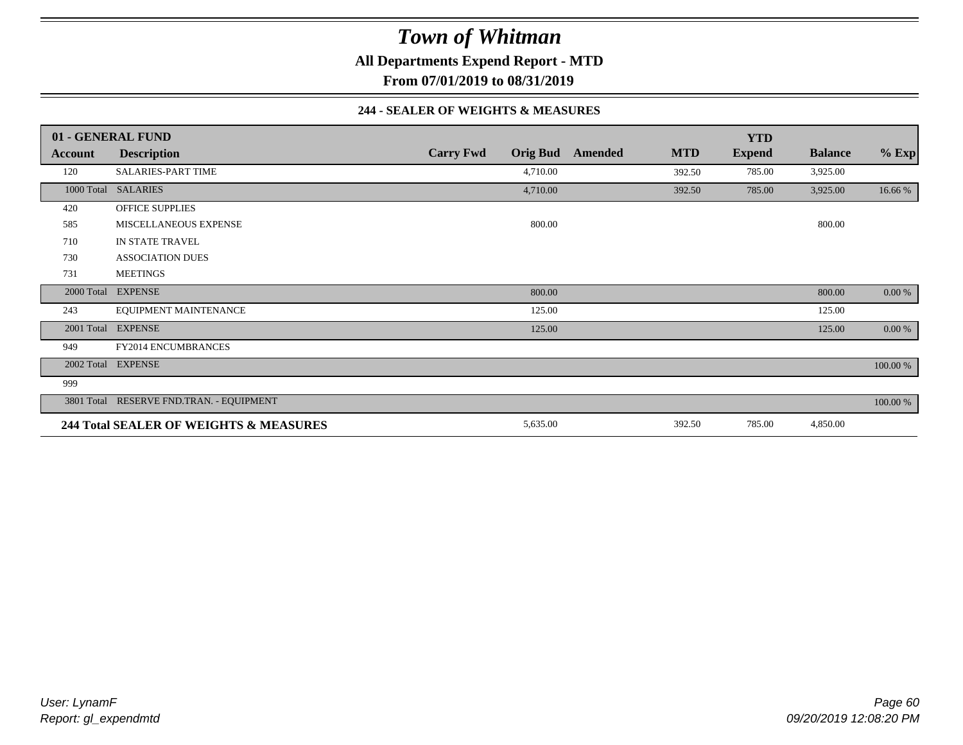**All Departments Expend Report - MTD**

**From 07/01/2019 to 08/31/2019**

#### **244 - SEALER OF WEIGHTS & MEASURES**

|         | 01 - GENERAL FUND                        |                  |                 |         |            | <b>YTD</b>    |                |          |
|---------|------------------------------------------|------------------|-----------------|---------|------------|---------------|----------------|----------|
| Account | <b>Description</b>                       | <b>Carry Fwd</b> | <b>Orig Bud</b> | Amended | <b>MTD</b> | <b>Expend</b> | <b>Balance</b> | $%$ Exp  |
| 120     | <b>SALARIES-PART TIME</b>                |                  | 4,710.00        |         | 392.50     | 785.00        | 3,925.00       |          |
|         | 1000 Total SALARIES                      |                  | 4,710.00        |         | 392.50     | 785.00        | 3,925.00       | 16.66 %  |
| 420     | <b>OFFICE SUPPLIES</b>                   |                  |                 |         |            |               |                |          |
| 585     | MISCELLANEOUS EXPENSE                    |                  | 800.00          |         |            |               | 800.00         |          |
| 710     | IN STATE TRAVEL                          |                  |                 |         |            |               |                |          |
| 730     | <b>ASSOCIATION DUES</b>                  |                  |                 |         |            |               |                |          |
| 731     | <b>MEETINGS</b>                          |                  |                 |         |            |               |                |          |
|         | 2000 Total EXPENSE                       |                  | 800.00          |         |            |               | 800.00         | 0.00 %   |
| 243     | EQUIPMENT MAINTENANCE                    |                  | 125.00          |         |            |               | 125.00         |          |
|         | 2001 Total EXPENSE                       |                  | 125.00          |         |            |               | 125.00         | 0.00 %   |
| 949     | <b>FY2014 ENCUMBRANCES</b>               |                  |                 |         |            |               |                |          |
|         | 2002 Total EXPENSE                       |                  |                 |         |            |               |                | 100.00 % |
| 999     |                                          |                  |                 |         |            |               |                |          |
|         | 3801 Total RESERVE FND.TRAN. - EQUIPMENT |                  |                 |         |            |               |                | 100.00 % |
|         | 244 Total SEALER OF WEIGHTS & MEASURES   |                  | 5,635.00        |         | 392.50     | 785.00        | 4,850.00       |          |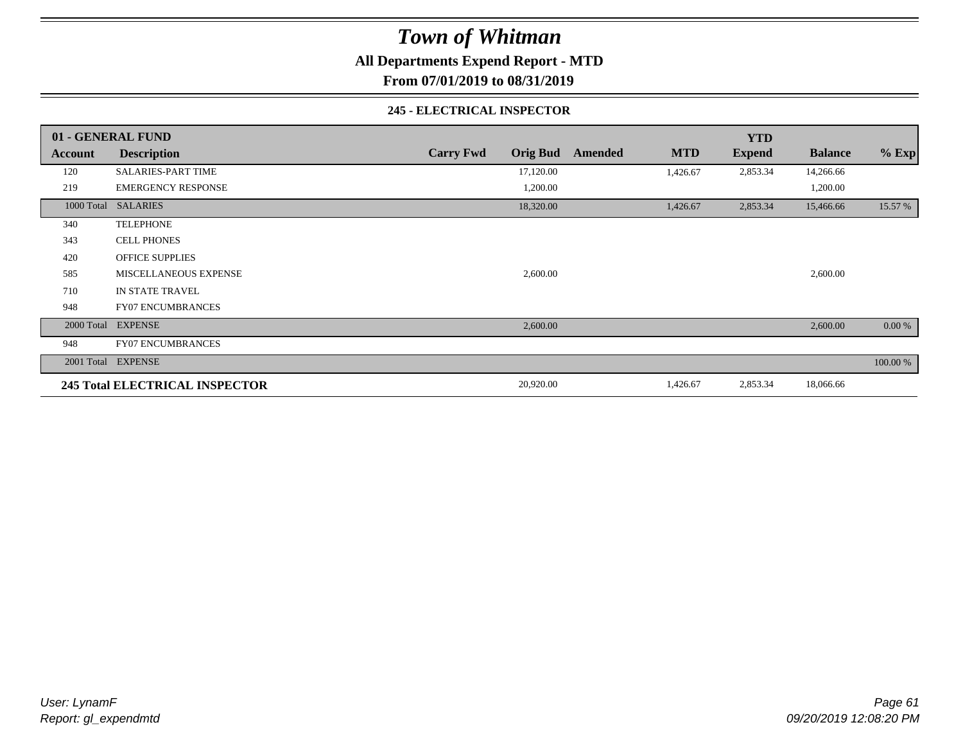**All Departments Expend Report - MTD**

**From 07/01/2019 to 08/31/2019**

#### **245 - ELECTRICAL INSPECTOR**

|         | 01 - GENERAL FUND                     |                  |                 |         |            | <b>YTD</b>    |                |            |
|---------|---------------------------------------|------------------|-----------------|---------|------------|---------------|----------------|------------|
| Account | <b>Description</b>                    | <b>Carry Fwd</b> | <b>Orig Bud</b> | Amended | <b>MTD</b> | <b>Expend</b> | <b>Balance</b> | $%$ Exp    |
| 120     | <b>SALARIES-PART TIME</b>             |                  | 17,120.00       |         | 1,426.67   | 2,853.34      | 14,266.66      |            |
| 219     | <b>EMERGENCY RESPONSE</b>             |                  | 1,200.00        |         |            |               | 1,200.00       |            |
|         | 1000 Total SALARIES                   |                  | 18,320.00       |         | 1,426.67   | 2,853.34      | 15,466.66      | 15.57 %    |
| 340     | <b>TELEPHONE</b>                      |                  |                 |         |            |               |                |            |
| 343     | <b>CELL PHONES</b>                    |                  |                 |         |            |               |                |            |
| 420     | <b>OFFICE SUPPLIES</b>                |                  |                 |         |            |               |                |            |
| 585     | MISCELLANEOUS EXPENSE                 |                  | 2,600.00        |         |            |               | 2,600.00       |            |
| 710     | IN STATE TRAVEL                       |                  |                 |         |            |               |                |            |
| 948     | <b>FY07 ENCUMBRANCES</b>              |                  |                 |         |            |               |                |            |
|         | 2000 Total EXPENSE                    |                  | 2,600.00        |         |            |               | 2,600.00       | $0.00\,\%$ |
| 948     | <b>FY07 ENCUMBRANCES</b>              |                  |                 |         |            |               |                |            |
|         | 2001 Total EXPENSE                    |                  |                 |         |            |               |                | 100.00 %   |
|         | <b>245 Total ELECTRICAL INSPECTOR</b> |                  | 20,920.00       |         | 1,426.67   | 2,853.34      | 18,066.66      |            |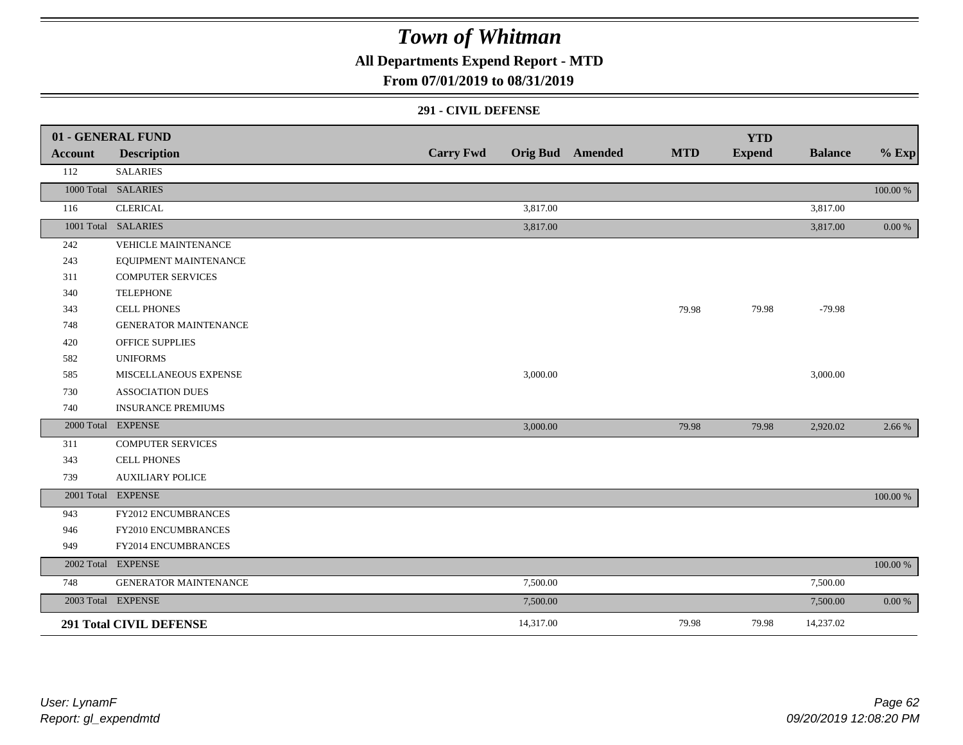**All Departments Expend Report - MTD**

### **From 07/01/2019 to 08/31/2019**

#### **291 - CIVIL DEFENSE**

|         | 01 - GENERAL FUND              |                  |           |                         |            | <b>YTD</b>    |                |            |
|---------|--------------------------------|------------------|-----------|-------------------------|------------|---------------|----------------|------------|
| Account | <b>Description</b>             | <b>Carry Fwd</b> |           | <b>Orig Bud</b> Amended | <b>MTD</b> | <b>Expend</b> | <b>Balance</b> | $%$ Exp    |
| 112     | <b>SALARIES</b>                |                  |           |                         |            |               |                |            |
|         | 1000 Total SALARIES            |                  |           |                         |            |               |                | 100.00 %   |
| 116     | <b>CLERICAL</b>                |                  | 3,817.00  |                         |            |               | 3,817.00       |            |
|         | 1001 Total SALARIES            |                  | 3,817.00  |                         |            |               | 3,817.00       | $0.00\,\%$ |
| 242     | VEHICLE MAINTENANCE            |                  |           |                         |            |               |                |            |
| 243     | EQUIPMENT MAINTENANCE          |                  |           |                         |            |               |                |            |
| 311     | <b>COMPUTER SERVICES</b>       |                  |           |                         |            |               |                |            |
| 340     | <b>TELEPHONE</b>               |                  |           |                         |            |               |                |            |
| 343     | CELL PHONES                    |                  |           |                         | 79.98      | 79.98         | $-79.98$       |            |
| 748     | <b>GENERATOR MAINTENANCE</b>   |                  |           |                         |            |               |                |            |
| 420     | <b>OFFICE SUPPLIES</b>         |                  |           |                         |            |               |                |            |
| 582     | <b>UNIFORMS</b>                |                  |           |                         |            |               |                |            |
| 585     | MISCELLANEOUS EXPENSE          |                  | 3,000.00  |                         |            |               | 3,000.00       |            |
| 730     | <b>ASSOCIATION DUES</b>        |                  |           |                         |            |               |                |            |
| 740     | <b>INSURANCE PREMIUMS</b>      |                  |           |                         |            |               |                |            |
|         | 2000 Total EXPENSE             |                  | 3,000.00  |                         | 79.98      | 79.98         | 2,920.02       | 2.66 %     |
| 311     | <b>COMPUTER SERVICES</b>       |                  |           |                         |            |               |                |            |
| 343     | <b>CELL PHONES</b>             |                  |           |                         |            |               |                |            |
| 739     | <b>AUXILIARY POLICE</b>        |                  |           |                         |            |               |                |            |
|         | 2001 Total EXPENSE             |                  |           |                         |            |               |                | 100.00 %   |
| 943     | FY2012 ENCUMBRANCES            |                  |           |                         |            |               |                |            |
| 946     | FY2010 ENCUMBRANCES            |                  |           |                         |            |               |                |            |
| 949     | FY2014 ENCUMBRANCES            |                  |           |                         |            |               |                |            |
|         | 2002 Total EXPENSE             |                  |           |                         |            |               |                | 100.00 %   |
| 748     | GENERATOR MAINTENANCE          |                  | 7,500.00  |                         |            |               | 7,500.00       |            |
|         | 2003 Total EXPENSE             |                  | 7,500.00  |                         |            |               | 7,500.00       | 0.00 %     |
|         | <b>291 Total CIVIL DEFENSE</b> |                  | 14,317.00 |                         | 79.98      | 79.98         | 14,237.02      |            |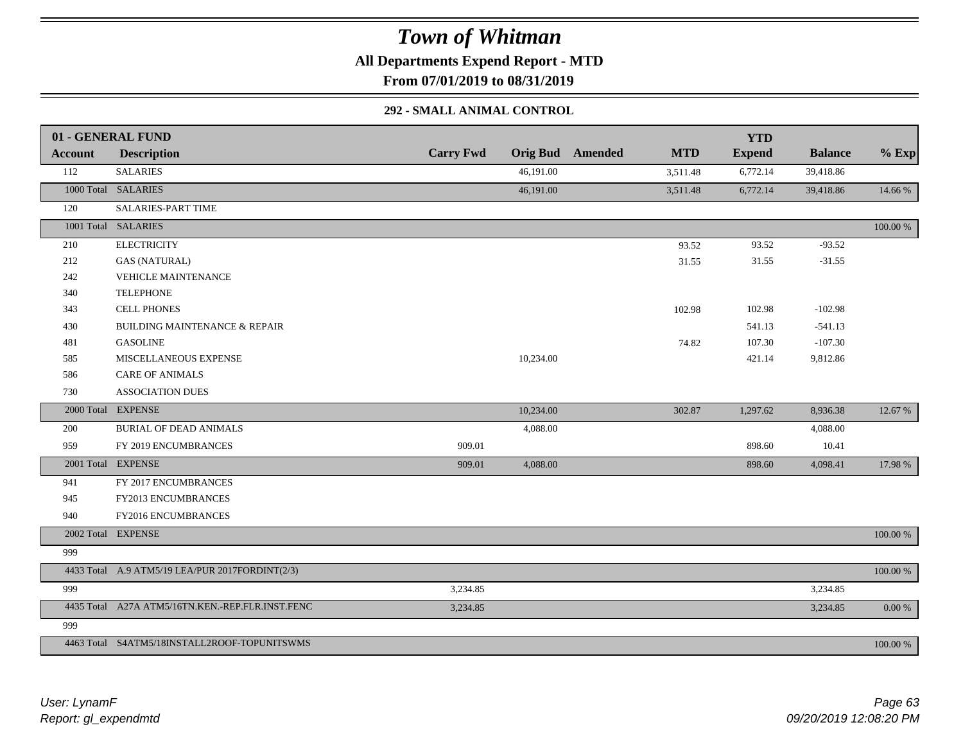**All Departments Expend Report - MTD**

**From 07/01/2019 to 08/31/2019**

### **292 - SMALL ANIMAL CONTROL**

|                | 01 - GENERAL FUND                                |                  |           |                         |            | <b>YTD</b>    |                |             |
|----------------|--------------------------------------------------|------------------|-----------|-------------------------|------------|---------------|----------------|-------------|
| <b>Account</b> | <b>Description</b>                               | <b>Carry Fwd</b> |           | <b>Orig Bud</b> Amended | <b>MTD</b> | <b>Expend</b> | <b>Balance</b> | $%$ Exp     |
| 112            | <b>SALARIES</b>                                  |                  | 46,191.00 |                         | 3,511.48   | 6,772.14      | 39,418.86      |             |
|                | 1000 Total SALARIES                              |                  | 46,191.00 |                         | 3,511.48   | 6,772.14      | 39,418.86      | 14.66 %     |
| 120            | <b>SALARIES-PART TIME</b>                        |                  |           |                         |            |               |                |             |
|                | 1001 Total SALARIES                              |                  |           |                         |            |               |                | 100.00 %    |
| 210            | <b>ELECTRICITY</b>                               |                  |           |                         | 93.52      | 93.52         | $-93.52$       |             |
| 212            | <b>GAS (NATURAL)</b>                             |                  |           |                         | 31.55      | 31.55         | $-31.55$       |             |
| 242            | <b>VEHICLE MAINTENANCE</b>                       |                  |           |                         |            |               |                |             |
| 340            | <b>TELEPHONE</b>                                 |                  |           |                         |            |               |                |             |
| 343            | CELL PHONES                                      |                  |           |                         | 102.98     | 102.98        | $-102.98$      |             |
| 430            | <b>BUILDING MAINTENANCE &amp; REPAIR</b>         |                  |           |                         |            | 541.13        | $-541.13$      |             |
| 481            | <b>GASOLINE</b>                                  |                  |           |                         | 74.82      | 107.30        | $-107.30$      |             |
| 585            | MISCELLANEOUS EXPENSE                            |                  | 10,234.00 |                         |            | 421.14        | 9,812.86       |             |
| 586            | <b>CARE OF ANIMALS</b>                           |                  |           |                         |            |               |                |             |
| 730            | <b>ASSOCIATION DUES</b>                          |                  |           |                         |            |               |                |             |
|                | 2000 Total EXPENSE                               |                  | 10,234.00 |                         | 302.87     | 1,297.62      | 8,936.38       | 12.67 %     |
| 200            | BURIAL OF DEAD ANIMALS                           |                  | 4,088.00  |                         |            |               | 4,088.00       |             |
| 959            | FY 2019 ENCUMBRANCES                             | 909.01           |           |                         |            | 898.60        | 10.41          |             |
|                | 2001 Total EXPENSE                               | 909.01           | 4,088.00  |                         |            | 898.60        | 4,098.41       | 17.98 %     |
| 941            | FY 2017 ENCUMBRANCES                             |                  |           |                         |            |               |                |             |
| 945            | FY2013 ENCUMBRANCES                              |                  |           |                         |            |               |                |             |
| 940            | FY2016 ENCUMBRANCES                              |                  |           |                         |            |               |                |             |
|                | 2002 Total EXPENSE                               |                  |           |                         |            |               |                | 100.00 %    |
| 999            |                                                  |                  |           |                         |            |               |                |             |
|                | 4433 Total A.9 ATM5/19 LEA/PUR 2017FORDINT(2/3)  |                  |           |                         |            |               |                | $100.00~\%$ |
| 999            |                                                  | 3,234.85         |           |                         |            |               | 3,234.85       |             |
|                | 4435 Total A27A ATM5/16TN.KEN.-REP.FLR.INST.FENC | 3,234.85         |           |                         |            |               | 3,234.85       | $0.00 \%$   |
| 999            |                                                  |                  |           |                         |            |               |                |             |
|                | 4463 Total S4ATM5/18INSTALL2ROOF-TOPUNITSWMS     |                  |           |                         |            |               |                | 100.00 %    |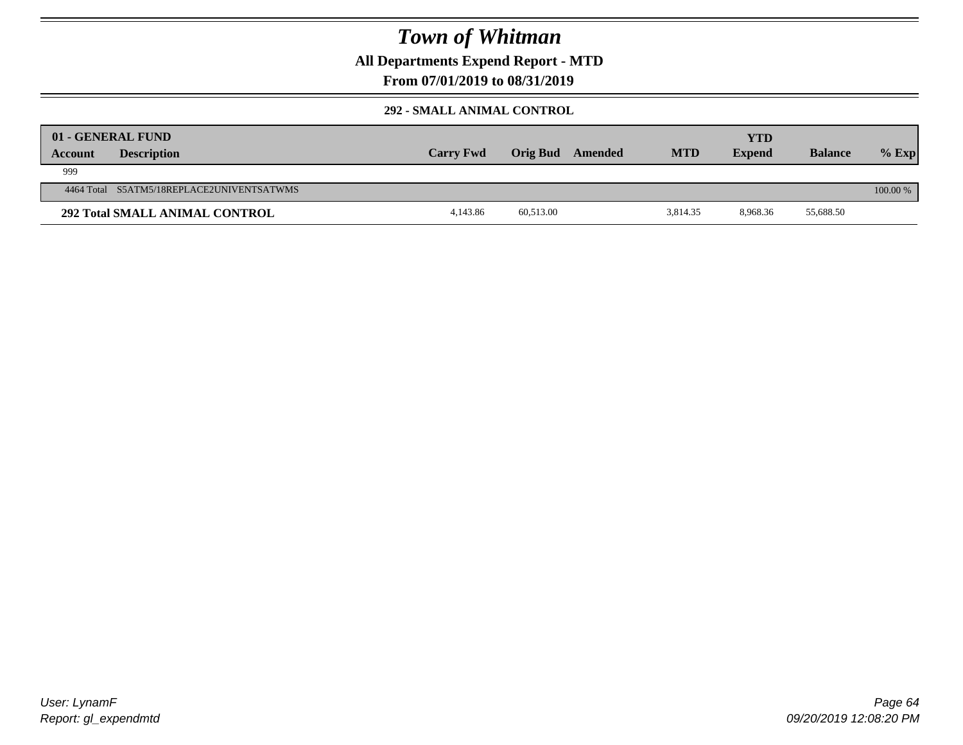**All Departments Expend Report - MTD**

### **From 07/01/2019 to 08/31/2019**

#### **292 - SMALL ANIMAL CONTROL**

| Account | 01 - GENERAL FUND<br><b>Description</b>   | <b>Carry Fwd</b> | <b>Orig Bud</b> | Amended | <b>MTD</b> | <b>YTD</b><br><b>Expend</b> | <b>Balance</b> | $%$ Exp  |
|---------|-------------------------------------------|------------------|-----------------|---------|------------|-----------------------------|----------------|----------|
| 999     |                                           |                  |                 |         |            |                             |                |          |
|         | 4464 Total S5ATM5/18REPLACE2UNIVENTSATWMS |                  |                 |         |            |                             |                | 100.00 % |
|         | <b>292 Total SMALL ANIMAL CONTROL</b>     | 4.143.86         | 60,513.00       |         | 3,814.35   | 8.968.36                    | 55,688.50      |          |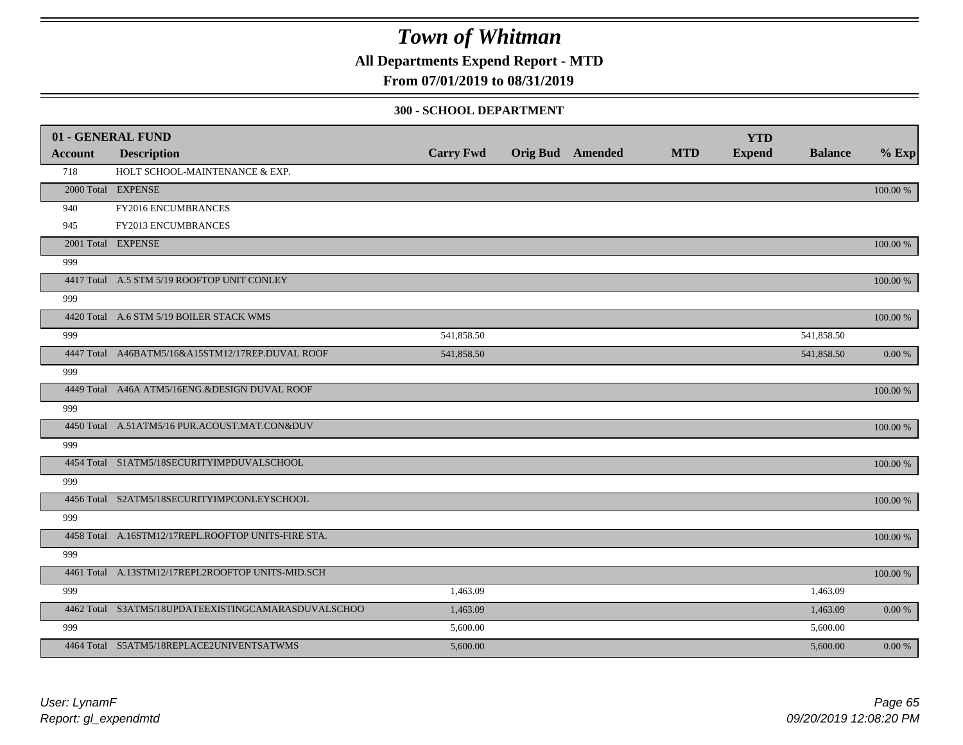**All Departments Expend Report - MTD**

### **From 07/01/2019 to 08/31/2019**

#### **300 - SCHOOL DEPARTMENT**

|         | 01 - GENERAL FUND                                   |                  |                         |            | <b>YTD</b>    |                |             |
|---------|-----------------------------------------------------|------------------|-------------------------|------------|---------------|----------------|-------------|
| Account | <b>Description</b>                                  | <b>Carry Fwd</b> | <b>Orig Bud</b> Amended | <b>MTD</b> | <b>Expend</b> | <b>Balance</b> | $%$ Exp     |
| 718     | HOLT SCHOOL-MAINTENANCE & EXP.                      |                  |                         |            |               |                |             |
|         | 2000 Total EXPENSE                                  |                  |                         |            |               |                | 100.00 %    |
| 940     | FY2016 ENCUMBRANCES                                 |                  |                         |            |               |                |             |
| 945     | FY2013 ENCUMBRANCES                                 |                  |                         |            |               |                |             |
|         | 2001 Total EXPENSE                                  |                  |                         |            |               |                | 100.00 %    |
| 999     |                                                     |                  |                         |            |               |                |             |
|         | 4417 Total A.5 STM 5/19 ROOFTOP UNIT CONLEY         |                  |                         |            |               |                | 100.00 %    |
| 999     |                                                     |                  |                         |            |               |                |             |
|         | 4420 Total A.6 STM 5/19 BOILER STACK WMS            |                  |                         |            |               |                | 100.00 %    |
| 999     |                                                     | 541,858.50       |                         |            |               | 541,858.50     |             |
|         | 4447 Total A46BATM5/16&A15STM12/17REP.DUVAL ROOF    | 541,858.50       |                         |            |               | 541,858.50     | 0.00 %      |
| 999     |                                                     |                  |                         |            |               |                |             |
|         | 4449 Total A46A ATM5/16ENG.&DESIGN DUVAL ROOF       |                  |                         |            |               |                | 100.00 %    |
| 999     |                                                     |                  |                         |            |               |                |             |
|         | 4450 Total A.51ATM5/16 PUR.ACOUST.MAT.CON&DUV       |                  |                         |            |               |                | 100.00 %    |
| 999     |                                                     |                  |                         |            |               |                |             |
|         | 4454 Total S1ATM5/18SECURITYIMPDUVALSCHOOL          |                  |                         |            |               |                | 100.00 %    |
| 999     |                                                     |                  |                         |            |               |                |             |
|         | 4456 Total S2ATM5/18SECURITYIMPCONLEYSCHOOL         |                  |                         |            |               |                | 100.00 %    |
| 999     |                                                     |                  |                         |            |               |                |             |
|         | 4458 Total A.16STM12/17REPL.ROOFTOP UNITS-FIRE STA. |                  |                         |            |               |                | $100.00~\%$ |
| 999     |                                                     |                  |                         |            |               |                |             |
|         | 4461 Total A.13STM12/17REPL2ROOFTOP UNITS-MID.SCH   |                  |                         |            |               |                | 100.00 %    |
| 999     |                                                     | 1,463.09         |                         |            |               | 1,463.09       |             |
|         | 4462 Total S3ATM5/18UPDATEEXISTINGCAMARASDUVALSCHOO | 1,463.09         |                         |            |               | 1,463.09       | 0.00 %      |
| 999     |                                                     | 5,600.00         |                         |            |               | 5,600.00       |             |
|         | 4464 Total S5ATM5/18REPLACE2UNIVENTSATWMS           | 5,600.00         |                         |            |               | 5,600.00       | $0.00\,\%$  |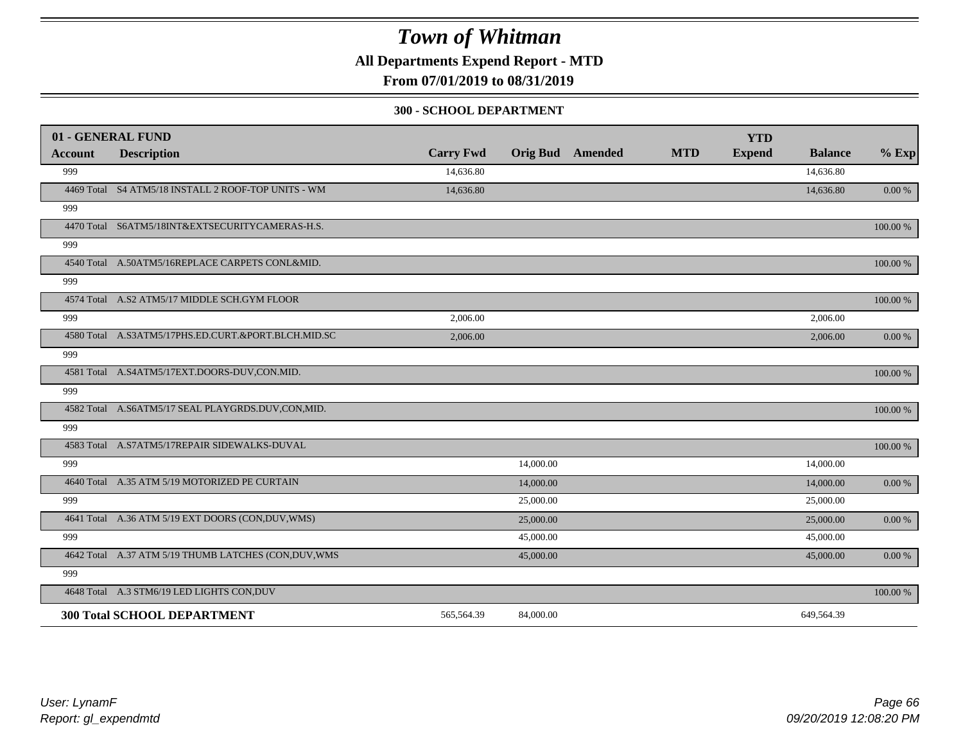**All Departments Expend Report - MTD**

**From 07/01/2019 to 08/31/2019**

#### **300 - SCHOOL DEPARTMENT**

|                | 01 - GENERAL FUND                                     |                  |           |                         |            | <b>YTD</b>    |                |           |
|----------------|-------------------------------------------------------|------------------|-----------|-------------------------|------------|---------------|----------------|-----------|
| <b>Account</b> | <b>Description</b>                                    | <b>Carry Fwd</b> |           | <b>Orig Bud</b> Amended | <b>MTD</b> | <b>Expend</b> | <b>Balance</b> | $%$ Exp   |
| 999            |                                                       | 14,636.80        |           |                         |            |               | 14,636.80      |           |
|                | 4469 Total S4 ATM5/18 INSTALL 2 ROOF-TOP UNITS - WM   | 14,636.80        |           |                         |            |               | 14,636.80      | $0.00 \%$ |
| 999            |                                                       |                  |           |                         |            |               |                |           |
|                | 4470 Total S6ATM5/18INT&EXTSECURITYCAMERAS-H.S.       |                  |           |                         |            |               |                | 100.00 %  |
| 999            |                                                       |                  |           |                         |            |               |                |           |
|                | 4540 Total A.50ATM5/16REPLACE CARPETS CONL&MID.       |                  |           |                         |            |               |                | 100.00 %  |
| 999            |                                                       |                  |           |                         |            |               |                |           |
|                | 4574 Total A.S2 ATM5/17 MIDDLE SCH.GYM FLOOR          |                  |           |                         |            |               |                | 100.00 %  |
| 999            |                                                       | 2,006.00         |           |                         |            |               | 2,006.00       |           |
|                | 4580 Total A.S3ATM5/17PHS.ED.CURT.&PORT.BLCH.MID.SC   | 2,006.00         |           |                         |            |               | 2,006.00       | 0.00 %    |
| 999            |                                                       |                  |           |                         |            |               |                |           |
|                | 4581 Total A.S4ATM5/17EXT.DOORS-DUV,CON.MID.          |                  |           |                         |            |               |                | 100.00 %  |
| 999            |                                                       |                  |           |                         |            |               |                |           |
|                | 4582 Total A.S6ATM5/17 SEAL PLAYGRDS.DUV,CON,MID.     |                  |           |                         |            |               |                | 100.00 %  |
| 999            |                                                       |                  |           |                         |            |               |                |           |
|                | 4583 Total A.S7ATM5/17REPAIR SIDEWALKS-DUVAL          |                  |           |                         |            |               |                | 100.00 %  |
| 999            |                                                       |                  | 14,000.00 |                         |            |               | 14,000.00      |           |
|                | 4640 Total A.35 ATM 5/19 MOTORIZED PE CURTAIN         |                  | 14,000.00 |                         |            |               | 14,000.00      | 0.00 %    |
| 999            |                                                       |                  | 25,000.00 |                         |            |               | 25,000.00      |           |
|                | 4641 Total A.36 ATM 5/19 EXT DOORS (CON, DUV, WMS)    |                  | 25,000.00 |                         |            |               | 25,000.00      | 0.00 %    |
| 999            |                                                       |                  | 45,000.00 |                         |            |               | 45,000.00      |           |
|                | 4642 Total A.37 ATM 5/19 THUMB LATCHES (CON, DUV, WMS |                  | 45,000.00 |                         |            |               | 45,000.00      | $0.00 \%$ |
| 999            |                                                       |                  |           |                         |            |               |                |           |
|                | 4648 Total A.3 STM6/19 LED LIGHTS CON, DUV            |                  |           |                         |            |               |                | 100.00 %  |
|                | <b>300 Total SCHOOL DEPARTMENT</b>                    | 565,564.39       | 84,000.00 |                         |            |               | 649,564.39     |           |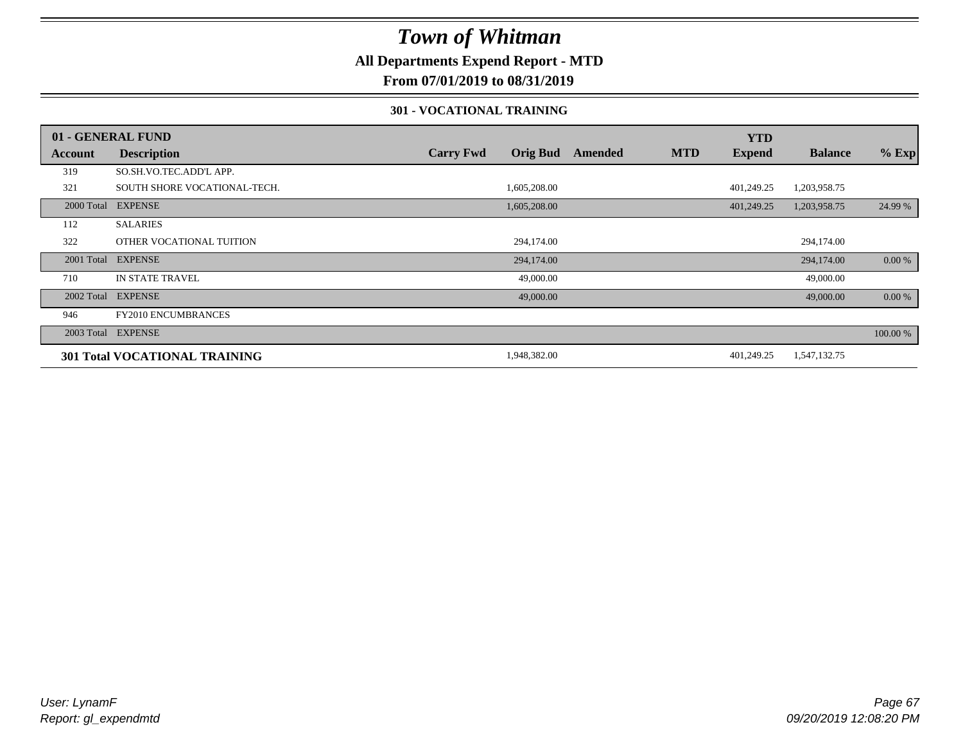### **All Departments Expend Report - MTD**

**From 07/01/2019 to 08/31/2019**

#### **301 - VOCATIONAL TRAINING**

|         | 01 - GENERAL FUND                    |                                     |         |            | <b>YTD</b>    |                |          |
|---------|--------------------------------------|-------------------------------------|---------|------------|---------------|----------------|----------|
| Account | <b>Description</b>                   | <b>Orig Bud</b><br><b>Carry Fwd</b> | Amended | <b>MTD</b> | <b>Expend</b> | <b>Balance</b> | $%$ Exp  |
| 319     | SO.SH.VO.TEC.ADD'L APP.              |                                     |         |            |               |                |          |
| 321     | SOUTH SHORE VOCATIONAL-TECH.         | 1,605,208.00                        |         |            | 401,249.25    | 1,203,958.75   |          |
|         | 2000 Total EXPENSE                   | 1,605,208.00                        |         |            | 401,249.25    | 1,203,958.75   | 24.99 %  |
| 112     | <b>SALARIES</b>                      |                                     |         |            |               |                |          |
| 322     | OTHER VOCATIONAL TUITION             | 294,174.00                          |         |            |               | 294,174.00     |          |
|         | 2001 Total EXPENSE                   | 294,174.00                          |         |            |               | 294,174.00     | 0.00 %   |
| 710     | IN STATE TRAVEL                      | 49,000.00                           |         |            |               | 49,000.00      |          |
|         | 2002 Total EXPENSE                   | 49,000.00                           |         |            |               | 49,000.00      | 0.00 %   |
| 946     | <b>FY2010 ENCUMBRANCES</b>           |                                     |         |            |               |                |          |
|         | 2003 Total EXPENSE                   |                                     |         |            |               |                | 100.00 % |
|         | <b>301 Total VOCATIONAL TRAINING</b> | 1,948,382.00                        |         |            | 401,249.25    | 1,547,132.75   |          |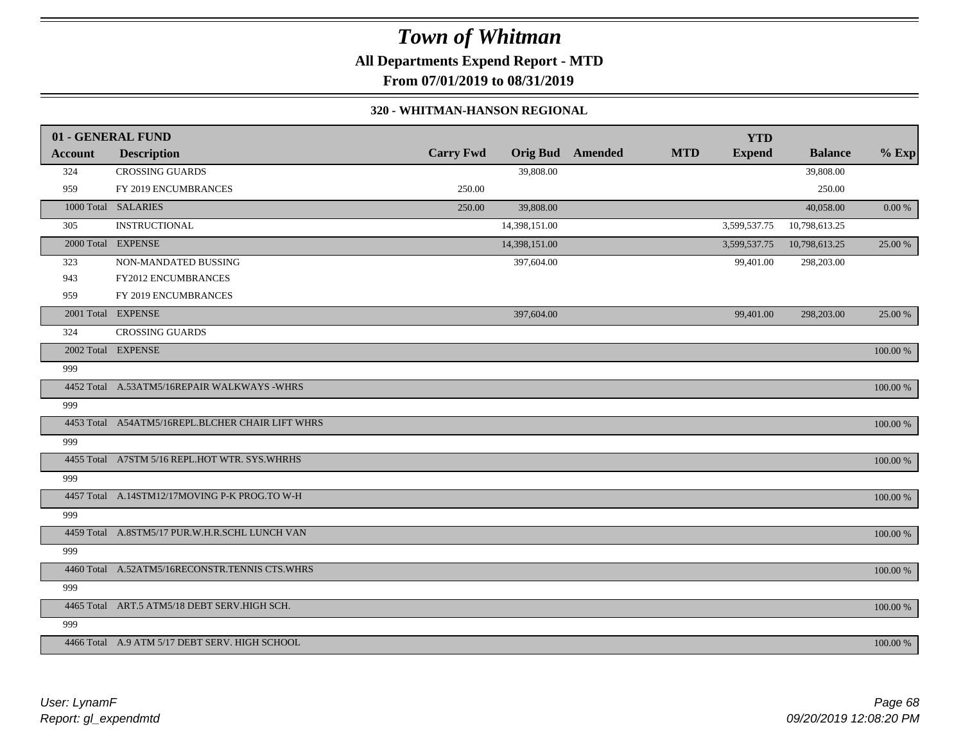**All Departments Expend Report - MTD**

**From 07/01/2019 to 08/31/2019**

#### **320 - WHITMAN-HANSON REGIONAL**

|                | 01 - GENERAL FUND                                |                  |                         |            | <b>YTD</b>    |                |          |
|----------------|--------------------------------------------------|------------------|-------------------------|------------|---------------|----------------|----------|
| <b>Account</b> | <b>Description</b>                               | <b>Carry Fwd</b> | <b>Orig Bud</b> Amended | <b>MTD</b> | <b>Expend</b> | <b>Balance</b> | $%$ Exp  |
| 324            | <b>CROSSING GUARDS</b>                           |                  | 39,808.00               |            |               | 39,808.00      |          |
| 959            | FY 2019 ENCUMBRANCES                             | 250.00           |                         |            |               | 250.00         |          |
|                | 1000 Total SALARIES                              | 250.00           | 39,808.00               |            |               | 40,058.00      | 0.00 %   |
| 305            | <b>INSTRUCTIONAL</b>                             |                  | 14,398,151.00           |            | 3,599,537.75  | 10,798,613.25  |          |
|                | 2000 Total EXPENSE                               |                  | 14,398,151.00           |            | 3,599,537.75  | 10,798,613.25  | 25.00 %  |
| 323            | NON-MANDATED BUSSING                             |                  | 397,604.00              |            | 99,401.00     | 298,203.00     |          |
| 943            | FY2012 ENCUMBRANCES                              |                  |                         |            |               |                |          |
| 959            | FY 2019 ENCUMBRANCES                             |                  |                         |            |               |                |          |
|                | 2001 Total EXPENSE                               |                  | 397,604.00              |            | 99,401.00     | 298,203.00     | 25.00 %  |
| 324            | <b>CROSSING GUARDS</b>                           |                  |                         |            |               |                |          |
|                | 2002 Total EXPENSE                               |                  |                         |            |               |                | 100.00 % |
| 999            |                                                  |                  |                         |            |               |                |          |
|                | 4452 Total A.53ATM5/16REPAIR WALKWAYS -WHRS      |                  |                         |            |               |                | 100.00 % |
| 999            |                                                  |                  |                         |            |               |                |          |
|                | 4453 Total A54ATM5/16REPL.BLCHER CHAIR LIFT WHRS |                  |                         |            |               |                | 100.00 % |
| 999            |                                                  |                  |                         |            |               |                |          |
|                | 4455 Total A7STM 5/16 REPL.HOT WTR. SYS.WHRHS    |                  |                         |            |               |                | 100.00 % |
| 999            |                                                  |                  |                         |            |               |                |          |
|                | 4457 Total A.14STM12/17MOVING P-K PROG.TO W-H    |                  |                         |            |               |                | 100.00 % |
| 999            |                                                  |                  |                         |            |               |                |          |
|                | 4459 Total A.8STM5/17 PUR.W.H.R.SCHL LUNCH VAN   |                  |                         |            |               |                | 100.00 % |
| 999            |                                                  |                  |                         |            |               |                |          |
|                | 4460 Total A.52ATM5/16RECONSTR.TENNIS CTS.WHRS   |                  |                         |            |               |                | 100.00 % |
| 999            |                                                  |                  |                         |            |               |                |          |
|                | 4465 Total ART.5 ATM5/18 DEBT SERV.HIGH SCH.     |                  |                         |            |               |                | 100.00 % |
| 999            |                                                  |                  |                         |            |               |                |          |
|                | 4466 Total A.9 ATM 5/17 DEBT SERV. HIGH SCHOOL   |                  |                         |            |               |                | 100.00 % |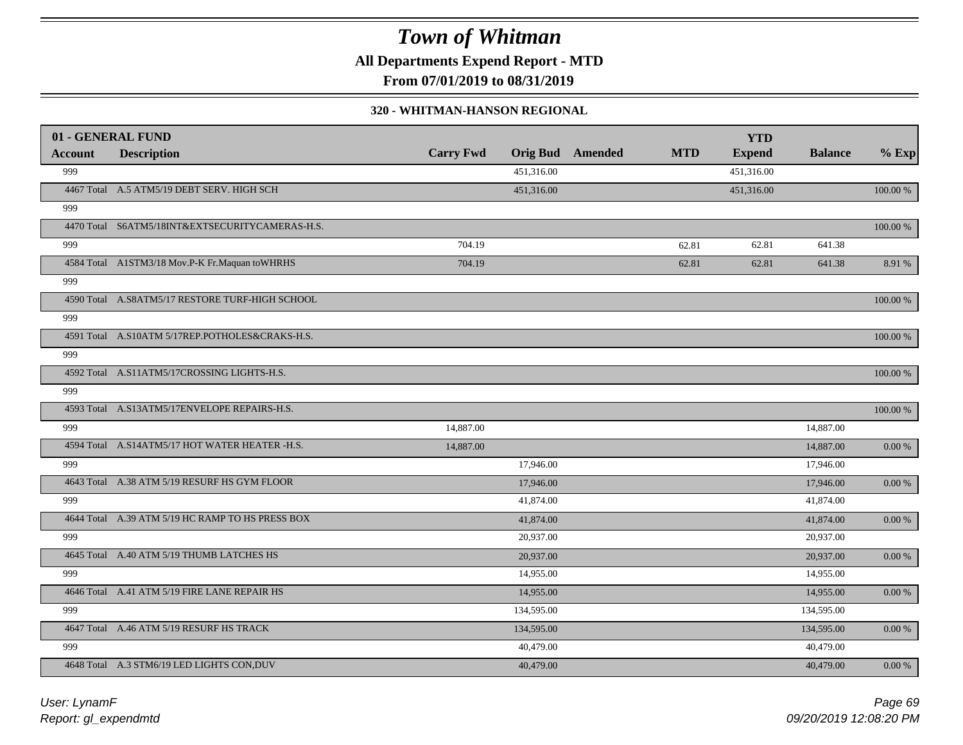**All Departments Expend Report - MTD**

**From 07/01/2019 to 08/31/2019**

#### **320 - WHITMAN-HANSON REGIONAL**

|                | 01 - GENERAL FUND                                |                  |            |                         |            | <b>YTD</b>    |                |            |
|----------------|--------------------------------------------------|------------------|------------|-------------------------|------------|---------------|----------------|------------|
| <b>Account</b> | <b>Description</b>                               | <b>Carry Fwd</b> |            | <b>Orig Bud</b> Amended | <b>MTD</b> | <b>Expend</b> | <b>Balance</b> | $%$ Exp    |
| 999            |                                                  |                  | 451.316.00 |                         |            | 451,316.00    |                |            |
|                | 4467 Total A.5 ATM5/19 DEBT SERV. HIGH SCH       |                  | 451,316.00 |                         |            | 451,316.00    |                | 100.00 %   |
| 999            |                                                  |                  |            |                         |            |               |                |            |
|                | 4470 Total S6ATM5/18INT&EXTSECURITYCAMERAS-H.S.  |                  |            |                         |            |               |                | 100.00 %   |
| 999            |                                                  | 704.19           |            |                         | 62.81      | 62.81         | 641.38         |            |
|                | 4584 Total A1STM3/18 Mov.P-K Fr.Maquan to WHRHS  | 704.19           |            |                         | 62.81      | 62.81         | 641.38         | 8.91 %     |
| 999            |                                                  |                  |            |                         |            |               |                |            |
|                | 4590 Total A.S8ATM5/17 RESTORE TURF-HIGH SCHOOL  |                  |            |                         |            |               |                | 100.00 %   |
| 999            |                                                  |                  |            |                         |            |               |                |            |
|                | 4591 Total A.S10ATM 5/17REP.POTHOLES&CRAKS-H.S.  |                  |            |                         |            |               |                | 100.00 %   |
| 999            |                                                  |                  |            |                         |            |               |                |            |
|                | 4592 Total A.S11ATM5/17CROSSING LIGHTS-H.S.      |                  |            |                         |            |               |                | 100.00 %   |
| 999            |                                                  |                  |            |                         |            |               |                |            |
|                | 4593 Total A.S13ATM5/17ENVELOPE REPAIRS-H.S.     |                  |            |                         |            |               |                | 100.00 %   |
| 999            |                                                  | 14,887.00        |            |                         |            |               | 14,887.00      |            |
|                | 4594 Total A.S14ATM5/17 HOT WATER HEATER -H.S.   | 14,887.00        |            |                         |            |               | 14,887.00      | $0.00\,\%$ |
| 999            |                                                  |                  | 17,946.00  |                         |            |               | 17,946.00      |            |
|                | 4643 Total A.38 ATM 5/19 RESURF HS GYM FLOOR     |                  | 17,946.00  |                         |            |               | 17,946.00      | 0.00 %     |
| 999            |                                                  |                  | 41,874.00  |                         |            |               | 41,874.00      |            |
|                | 4644 Total A.39 ATM 5/19 HC RAMP TO HS PRESS BOX |                  | 41,874.00  |                         |            |               | 41,874.00      | 0.00 %     |
| 999            |                                                  |                  | 20,937.00  |                         |            |               | 20,937.00      |            |
|                | 4645 Total A.40 ATM 5/19 THUMB LATCHES HS        |                  | 20,937.00  |                         |            |               | 20,937.00      | $0.00\,\%$ |
| 999            |                                                  |                  | 14,955.00  |                         |            |               | 14,955.00      |            |
|                | 4646 Total A.41 ATM 5/19 FIRE LANE REPAIR HS     |                  | 14,955.00  |                         |            |               | 14,955.00      | 0.00 %     |
| 999            |                                                  |                  | 134,595.00 |                         |            |               | 134,595.00     |            |
|                | 4647 Total A.46 ATM 5/19 RESURF HS TRACK         |                  | 134,595.00 |                         |            |               | 134,595.00     | 0.00 %     |
| 999            |                                                  |                  | 40,479.00  |                         |            |               | 40,479.00      |            |
|                | 4648 Total A.3 STM6/19 LED LIGHTS CON, DUV       |                  | 40,479.00  |                         |            |               | 40,479.00      | $0.00 \%$  |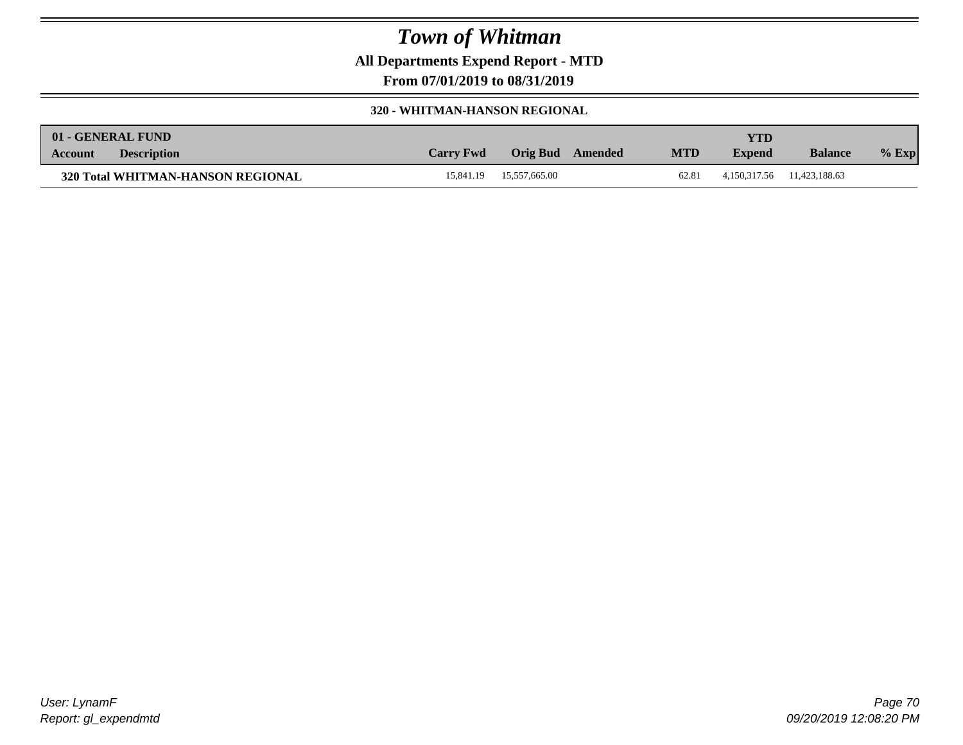**All Departments Expend Report - MTD**

**From 07/01/2019 to 08/31/2019**

#### **320 - WHITMAN-HANSON REGIONAL**

|         | 01 - GENERAL FUND                 |                  |                 |         |            | YTD           |                            |         |
|---------|-----------------------------------|------------------|-----------------|---------|------------|---------------|----------------------------|---------|
| Account | <b>Description</b>                | <b>Carry Fwd</b> | <b>Orig Bud</b> | Amended | <b>MTD</b> | <b>Expend</b> | <b>Balance</b>             | $%$ Exp |
|         | 320 Total WHITMAN-HANSON REGIONAL | 15.841.19        | 15,557,665.00   |         | 62.81      |               | 4,150,317.56 11,423,188.63 |         |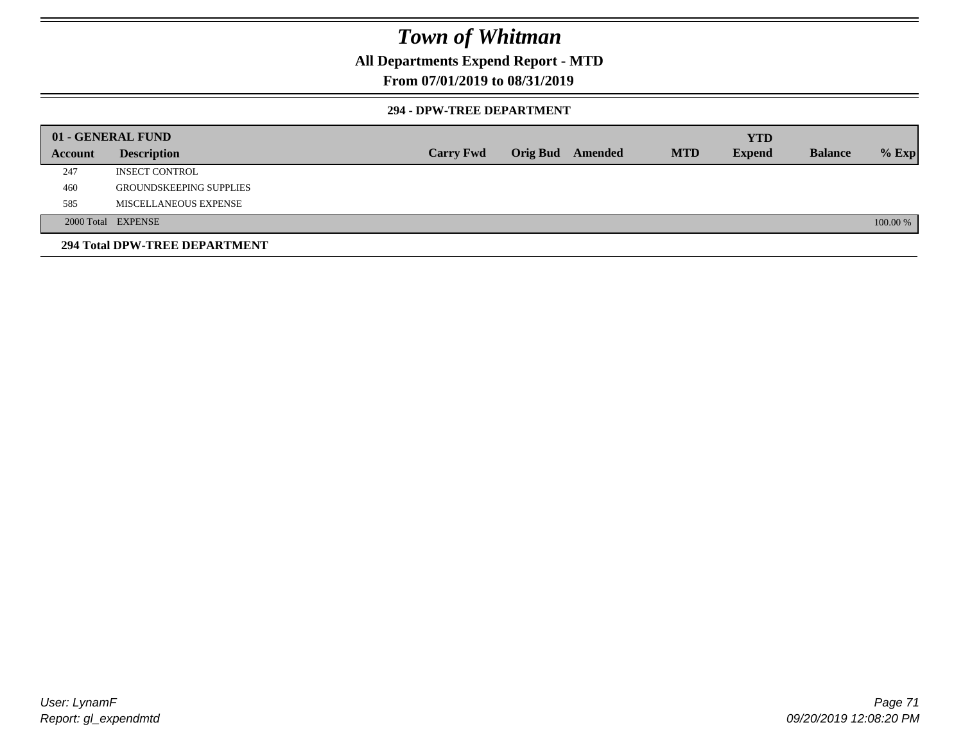### **All Departments Expend Report - MTD**

### **From 07/01/2019 to 08/31/2019**

#### **294 - DPW-TREE DEPARTMENT**

|         | 01 - GENERAL FUND              |                  |                  |            | <b>YTD</b>    |                |          |
|---------|--------------------------------|------------------|------------------|------------|---------------|----------------|----------|
| Account | <b>Description</b>             | <b>Carry Fwd</b> | Orig Bud Amended | <b>MTD</b> | <b>Expend</b> | <b>Balance</b> | $%$ Exp  |
| 247     | <b>INSECT CONTROL</b>          |                  |                  |            |               |                |          |
| 460     | <b>GROUNDSKEEPING SUPPLIES</b> |                  |                  |            |               |                |          |
| 585     | MISCELLANEOUS EXPENSE          |                  |                  |            |               |                |          |
|         | 2000 Total EXPENSE             |                  |                  |            |               |                | 100.00 % |
|         | 294 Total DPW-TREE DEPARTMENT  |                  |                  |            |               |                |          |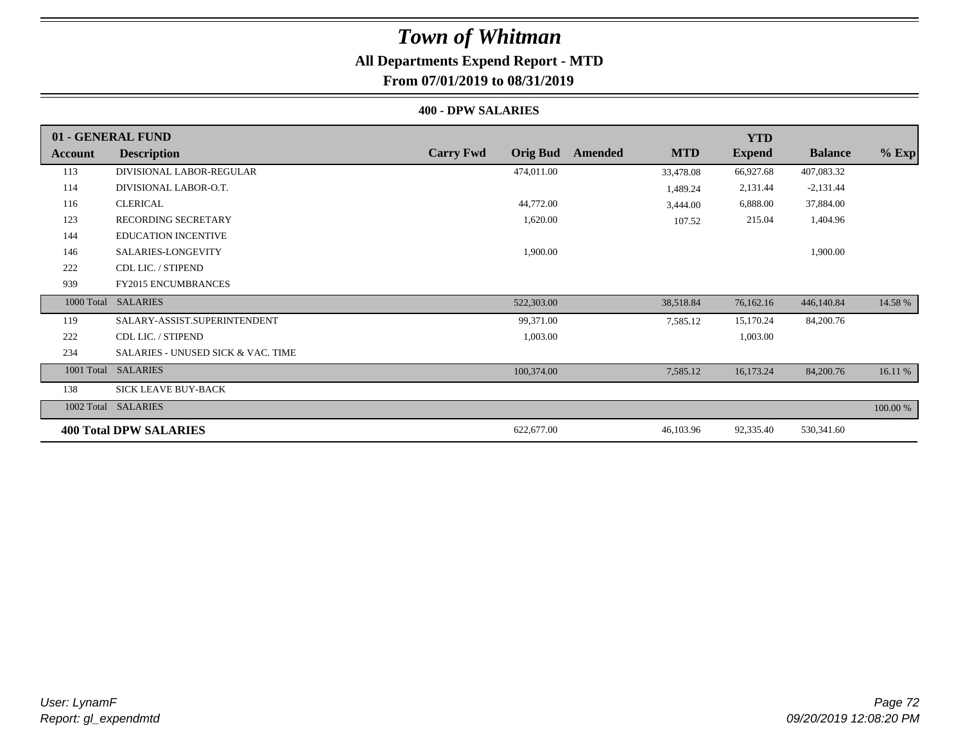## **All Departments Expend Report - MTD**

### **From 07/01/2019 to 08/31/2019**

#### **400 - DPW SALARIES**

|                | 01 - GENERAL FUND                             |                                     |                       | <b>YTD</b>    |                |          |
|----------------|-----------------------------------------------|-------------------------------------|-----------------------|---------------|----------------|----------|
| <b>Account</b> | <b>Description</b>                            | <b>Carry Fwd</b><br><b>Orig Bud</b> | <b>MTD</b><br>Amended | <b>Expend</b> | <b>Balance</b> | $%$ Exp  |
| 113            | DIVISIONAL LABOR-REGULAR                      | 474,011.00                          | 33,478.08             | 66,927.68     | 407,083.32     |          |
| 114            | DIVISIONAL LABOR-O.T.                         |                                     | 1,489.24              | 2,131.44      | $-2,131.44$    |          |
| 116            | <b>CLERICAL</b>                               | 44,772.00                           | 3,444.00              | 6,888.00      | 37,884.00      |          |
| 123            | <b>RECORDING SECRETARY</b>                    | 1,620.00                            | 107.52                | 215.04        | 1,404.96       |          |
| 144            | <b>EDUCATION INCENTIVE</b>                    |                                     |                       |               |                |          |
| 146            | SALARIES-LONGEVITY                            | 1,900.00                            |                       |               | 1,900.00       |          |
| 222            | CDL LIC. / STIPEND                            |                                     |                       |               |                |          |
| 939            | <b>FY2015 ENCUMBRANCES</b>                    |                                     |                       |               |                |          |
| 1000 Total     | <b>SALARIES</b>                               | 522,303.00                          | 38,518.84             | 76,162.16     | 446,140.84     | 14.58 %  |
| 119            | SALARY-ASSIST.SUPERINTENDENT                  | 99,371.00                           | 7,585.12              | 15,170.24     | 84,200.76      |          |
| 222            | CDL LIC. / STIPEND                            | 1,003.00                            |                       | 1,003.00      |                |          |
| 234            | <b>SALARIES - UNUSED SICK &amp; VAC. TIME</b> |                                     |                       |               |                |          |
| 1001 Total     | <b>SALARIES</b>                               | 100,374.00                          | 7,585.12              | 16,173.24     | 84,200.76      | 16.11 %  |
| 138            | <b>SICK LEAVE BUY-BACK</b>                    |                                     |                       |               |                |          |
| 1002 Total     | <b>SALARIES</b>                               |                                     |                       |               |                | 100.00 % |
|                | <b>400 Total DPW SALARIES</b>                 | 622,677.00                          | 46,103.96             | 92,335.40     | 530,341.60     |          |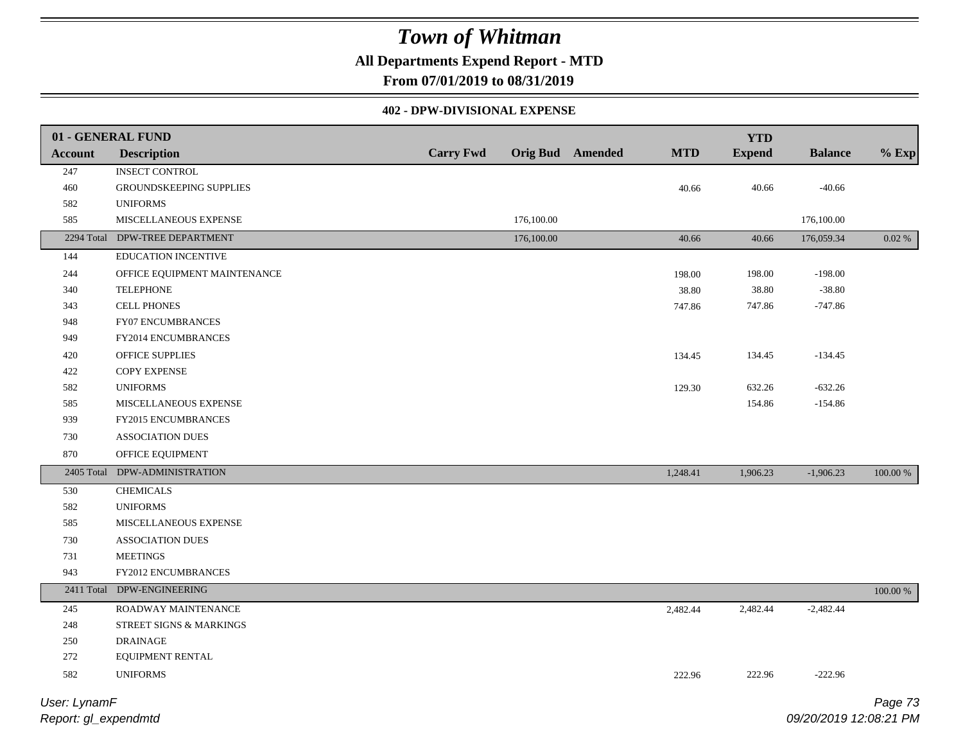**All Departments Expend Report - MTD**

**From 07/01/2019 to 08/31/2019**

#### **402 - DPW-DIVISIONAL EXPENSE**

|                | 01 - GENERAL FUND              |                  |            |                         |            | <b>YTD</b>    |                |             |
|----------------|--------------------------------|------------------|------------|-------------------------|------------|---------------|----------------|-------------|
| <b>Account</b> | <b>Description</b>             | <b>Carry Fwd</b> |            | <b>Orig Bud</b> Amended | <b>MTD</b> | <b>Expend</b> | <b>Balance</b> | $%$ Exp     |
| 247            | <b>INSECT CONTROL</b>          |                  |            |                         |            |               |                |             |
| 460            | GROUNDSKEEPING SUPPLIES        |                  |            |                         | 40.66      | 40.66         | $-40.66$       |             |
| 582            | <b>UNIFORMS</b>                |                  |            |                         |            |               |                |             |
| 585            | MISCELLANEOUS EXPENSE          |                  | 176,100.00 |                         |            |               | 176,100.00     |             |
|                | 2294 Total DPW-TREE DEPARTMENT |                  | 176,100.00 |                         | 40.66      | 40.66         | 176,059.34     | 0.02 %      |
| 144            | <b>EDUCATION INCENTIVE</b>     |                  |            |                         |            |               |                |             |
| 244            | OFFICE EQUIPMENT MAINTENANCE   |                  |            |                         | 198.00     | 198.00        | $-198.00$      |             |
| 340            | <b>TELEPHONE</b>               |                  |            |                         | 38.80      | 38.80         | $-38.80$       |             |
| 343            | <b>CELL PHONES</b>             |                  |            |                         | 747.86     | 747.86        | $-747.86$      |             |
| 948            | FY07 ENCUMBRANCES              |                  |            |                         |            |               |                |             |
| 949            | FY2014 ENCUMBRANCES            |                  |            |                         |            |               |                |             |
| 420            | OFFICE SUPPLIES                |                  |            |                         | 134.45     | 134.45        | $-134.45$      |             |
| 422            | <b>COPY EXPENSE</b>            |                  |            |                         |            |               |                |             |
| 582            | <b>UNIFORMS</b>                |                  |            |                         | 129.30     | 632.26        | $-632.26$      |             |
| 585            | MISCELLANEOUS EXPENSE          |                  |            |                         |            | 154.86        | $-154.86$      |             |
| 939            | <b>FY2015 ENCUMBRANCES</b>     |                  |            |                         |            |               |                |             |
| 730            | <b>ASSOCIATION DUES</b>        |                  |            |                         |            |               |                |             |
| 870            | OFFICE EQUIPMENT               |                  |            |                         |            |               |                |             |
| 2405 Total     | DPW-ADMINISTRATION             |                  |            |                         | 1,248.41   | 1,906.23      | $-1,906.23$    | $100.00~\%$ |
| 530            | <b>CHEMICALS</b>               |                  |            |                         |            |               |                |             |
| 582            | <b>UNIFORMS</b>                |                  |            |                         |            |               |                |             |
| 585            | MISCELLANEOUS EXPENSE          |                  |            |                         |            |               |                |             |
| 730            | <b>ASSOCIATION DUES</b>        |                  |            |                         |            |               |                |             |
| 731            | <b>MEETINGS</b>                |                  |            |                         |            |               |                |             |
| 943            | FY2012 ENCUMBRANCES            |                  |            |                         |            |               |                |             |
| 2411 Total     | DPW-ENGINEERING                |                  |            |                         |            |               |                | 100.00 %    |
| 245            | ROADWAY MAINTENANCE            |                  |            |                         | 2,482.44   | 2,482.44      | $-2,482.44$    |             |
| $248\,$        | STREET SIGNS & MARKINGS        |                  |            |                         |            |               |                |             |
| 250            | <b>DRAINAGE</b>                |                  |            |                         |            |               |                |             |
| 272            | EQUIPMENT RENTAL               |                  |            |                         |            |               |                |             |
| 582            | <b>UNIFORMS</b>                |                  |            |                         | 222.96     | 222.96        | $-222.96$      |             |
| User: LynamF   |                                |                  |            |                         |            |               |                | Page 73     |

*Report: gl\_expendmtd*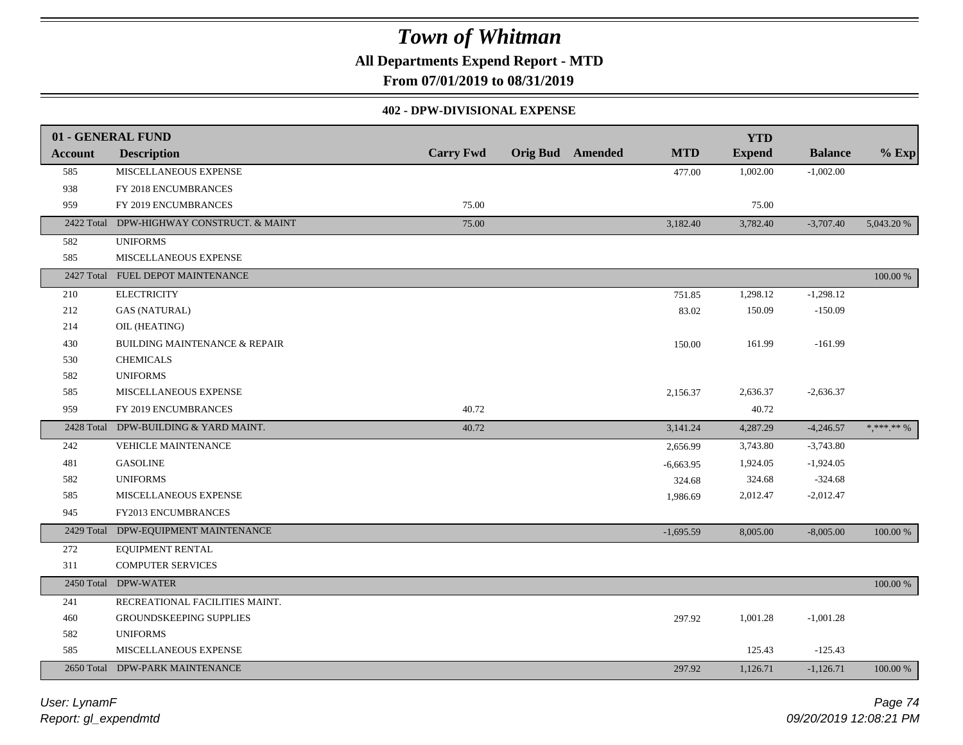**All Departments Expend Report - MTD**

**From 07/01/2019 to 08/31/2019**

#### **402 - DPW-DIVISIONAL EXPENSE**

|                | 01 - GENERAL FUND                         |                  |                         |             | <b>YTD</b>    |                |                                |
|----------------|-------------------------------------------|------------------|-------------------------|-------------|---------------|----------------|--------------------------------|
| <b>Account</b> | <b>Description</b>                        | <b>Carry Fwd</b> | <b>Orig Bud</b> Amended | <b>MTD</b>  | <b>Expend</b> | <b>Balance</b> | $%$ Exp                        |
| 585            | MISCELLANEOUS EXPENSE                     |                  |                         | 477.00      | 1,002.00      | $-1,002.00$    |                                |
| 938            | FY 2018 ENCUMBRANCES                      |                  |                         |             |               |                |                                |
| 959            | FY 2019 ENCUMBRANCES                      | 75.00            |                         |             | 75.00         |                |                                |
|                | 2422 Total DPW-HIGHWAY CONSTRUCT. & MAINT | 75.00            |                         | 3,182.40    | 3,782.40      | $-3,707.40$    | 5,043.20 %                     |
| 582            | <b>UNIFORMS</b>                           |                  |                         |             |               |                |                                |
| 585            | MISCELLANEOUS EXPENSE                     |                  |                         |             |               |                |                                |
| 2427 Total     | FUEL DEPOT MAINTENANCE                    |                  |                         |             |               |                | 100.00 %                       |
| 210            | <b>ELECTRICITY</b>                        |                  |                         | 751.85      | 1,298.12      | $-1,298.12$    |                                |
| 212            | <b>GAS (NATURAL)</b>                      |                  |                         | 83.02       | 150.09        | $-150.09$      |                                |
| 214            | OIL (HEATING)                             |                  |                         |             |               |                |                                |
| 430            | <b>BUILDING MAINTENANCE &amp; REPAIR</b>  |                  |                         | 150.00      | 161.99        | $-161.99$      |                                |
| 530            | <b>CHEMICALS</b>                          |                  |                         |             |               |                |                                |
| 582            | <b>UNIFORMS</b>                           |                  |                         |             |               |                |                                |
| 585            | MISCELLANEOUS EXPENSE                     |                  |                         | 2,156.37    | 2,636.37      | $-2,636.37$    |                                |
| 959            | FY 2019 ENCUMBRANCES                      | 40.72            |                         |             | 40.72         |                |                                |
|                | 2428 Total DPW-BUILDING & YARD MAINT.     | 40.72            |                         | 3,141.24    | 4,287.29      | $-4,246.57$    | $\ast, \ast\ast\ast\ast\ast\%$ |
| 242            | VEHICLE MAINTENANCE                       |                  |                         | 2,656.99    | 3,743.80      | $-3,743.80$    |                                |
| 481            | <b>GASOLINE</b>                           |                  |                         | $-6,663.95$ | 1,924.05      | $-1,924.05$    |                                |
| 582            | <b>UNIFORMS</b>                           |                  |                         | 324.68      | 324.68        | $-324.68$      |                                |
| 585            | MISCELLANEOUS EXPENSE                     |                  |                         | 1,986.69    | 2,012.47      | $-2,012.47$    |                                |
| 945            | FY2013 ENCUMBRANCES                       |                  |                         |             |               |                |                                |
|                | 2429 Total DPW-EQUIPMENT MAINTENANCE      |                  |                         | $-1,695.59$ | 8,005.00      | $-8,005.00$    | 100.00 %                       |
| 272            | EQUIPMENT RENTAL                          |                  |                         |             |               |                |                                |
| 311            | <b>COMPUTER SERVICES</b>                  |                  |                         |             |               |                |                                |
|                | 2450 Total DPW-WATER                      |                  |                         |             |               |                | 100.00 %                       |
| 241            | RECREATIONAL FACILITIES MAINT.            |                  |                         |             |               |                |                                |
| 460            | GROUNDSKEEPING SUPPLIES                   |                  |                         | 297.92      | 1,001.28      | $-1,001.28$    |                                |
| 582            | <b>UNIFORMS</b>                           |                  |                         |             |               |                |                                |
| 585            | MISCELLANEOUS EXPENSE                     |                  |                         |             | 125.43        | $-125.43$      |                                |
|                | 2650 Total DPW-PARK MAINTENANCE           |                  |                         | 297.92      | 1,126.71      | $-1,126.71$    | 100.00 %                       |

*Report: gl\_expendmtd User: LynamF*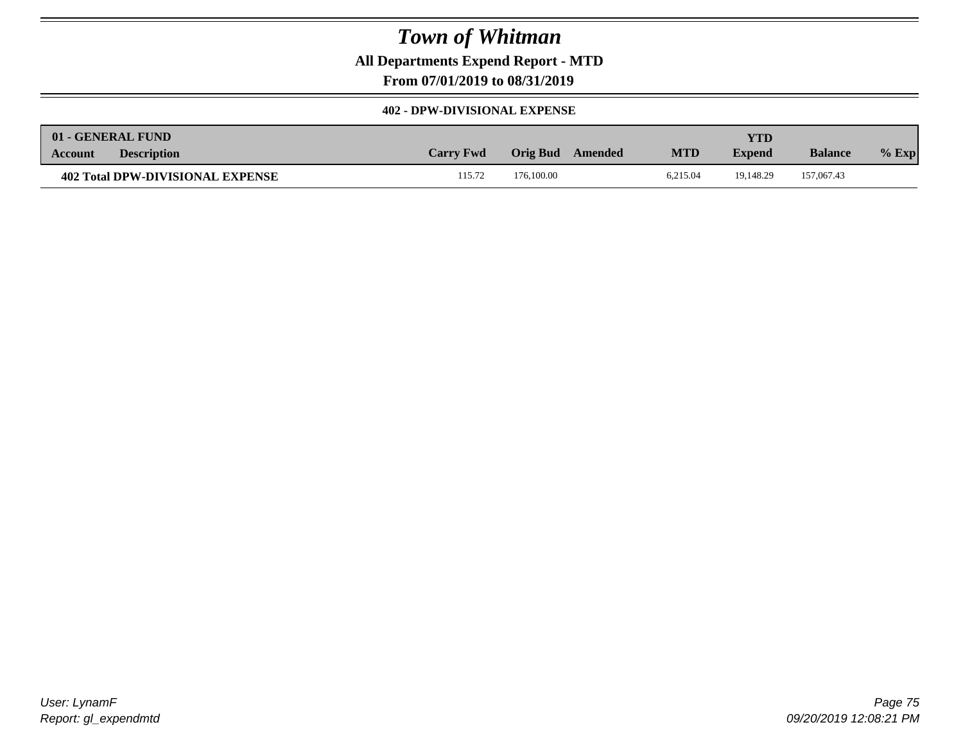**All Departments Expend Report - MTD**

**From 07/01/2019 to 08/31/2019**

#### **402 - DPW-DIVISIONAL EXPENSE**

|         | 01 - GENERAL FUND                |                  |                     |            | <b>YTD</b>    |                |         |
|---------|----------------------------------|------------------|---------------------|------------|---------------|----------------|---------|
| Account | <b>Description</b>               | <b>Carry Fwd</b> | Orig Bud<br>Amended | <b>MTD</b> | <b>Expend</b> | <b>Balance</b> | $%$ Exp |
|         | 402 Total DPW-DIVISIONAL EXPENSE | 115.72           | 176,100.00          | 6.215.04   | 19.148.29     | 157,067.43     |         |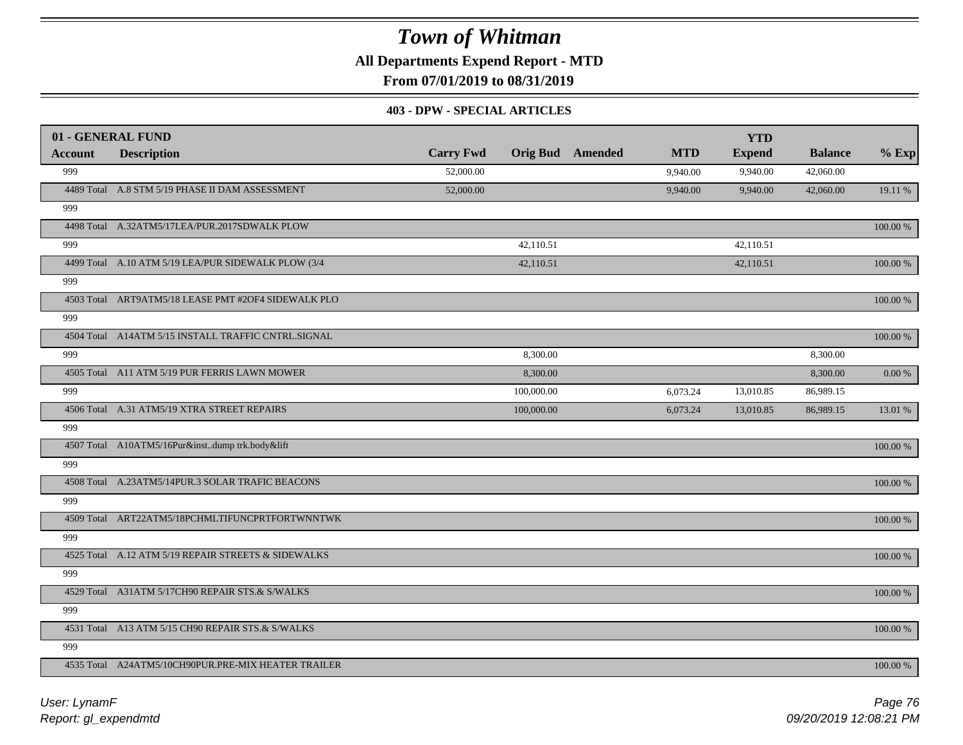**All Departments Expend Report - MTD**

**From 07/01/2019 to 08/31/2019**

#### **403 - DPW - SPECIAL ARTICLES**

|                | 01 - GENERAL FUND                                   |                  |            |                         |            | <b>YTD</b>    |                |             |
|----------------|-----------------------------------------------------|------------------|------------|-------------------------|------------|---------------|----------------|-------------|
| <b>Account</b> | <b>Description</b>                                  | <b>Carry Fwd</b> |            | <b>Orig Bud</b> Amended | <b>MTD</b> | <b>Expend</b> | <b>Balance</b> | $%$ Exp     |
| 999            |                                                     | 52,000.00        |            |                         | 9,940.00   | 9,940.00      | 42,060.00      |             |
|                | 4489 Total A.8 STM 5/19 PHASE II DAM ASSESSMENT     | 52,000.00        |            |                         | 9,940.00   | 9,940.00      | 42,060.00      | 19.11 %     |
| 999            |                                                     |                  |            |                         |            |               |                |             |
|                | 4498 Total A.32ATM5/17LEA/PUR.2017SDWALK PLOW       |                  |            |                         |            |               |                | 100.00 %    |
| 999            |                                                     |                  | 42.110.51  |                         |            | 42.110.51     |                |             |
|                | 4499 Total A.10 ATM 5/19 LEA/PUR SIDEWALK PLOW (3/4 |                  | 42,110.51  |                         |            | 42,110.51     |                | 100.00 %    |
| 999            |                                                     |                  |            |                         |            |               |                |             |
|                | 4503 Total ART9ATM5/18 LEASE PMT #2OF4 SIDEWALK PLO |                  |            |                         |            |               |                | 100.00 %    |
| 999            |                                                     |                  |            |                         |            |               |                |             |
|                | 4504 Total A14ATM 5/15 INSTALL TRAFFIC CNTRL.SIGNAL |                  |            |                         |            |               |                | 100.00 %    |
| 999            |                                                     |                  | 8,300.00   |                         |            |               | 8,300.00       |             |
|                | 4505 Total A11 ATM 5/19 PUR FERRIS LAWN MOWER       |                  | 8,300.00   |                         |            |               | 8,300.00       | $0.00\,\%$  |
| 999            |                                                     |                  | 100,000.00 |                         | 6,073.24   | 13,010.85     | 86,989.15      |             |
|                | 4506 Total A.31 ATM5/19 XTRA STREET REPAIRS         |                  | 100,000.00 |                         | 6,073.24   | 13,010.85     | 86,989.15      | 13.01 %     |
| 999            |                                                     |                  |            |                         |            |               |                |             |
|                | 4507 Total A10ATM5/16Pur&instdump trk.body&lift     |                  |            |                         |            |               |                | $100.00~\%$ |
| 999            |                                                     |                  |            |                         |            |               |                |             |
|                | 4508 Total A.23ATM5/14PUR.3 SOLAR TRAFIC BEACONS    |                  |            |                         |            |               |                | 100.00 %    |
| 999            |                                                     |                  |            |                         |            |               |                |             |
|                | 4509 Total ART22ATM5/18PCHMLTIFUNCPRTFORTWNNTWK     |                  |            |                         |            |               |                | 100.00 %    |
| 999            |                                                     |                  |            |                         |            |               |                |             |
|                | 4525 Total A.12 ATM 5/19 REPAIR STREETS & SIDEWALKS |                  |            |                         |            |               |                | 100.00 %    |
| 999            |                                                     |                  |            |                         |            |               |                |             |
|                | 4529 Total A31ATM 5/17CH90 REPAIR STS.& S/WALKS     |                  |            |                         |            |               |                | 100.00 %    |
| 999            |                                                     |                  |            |                         |            |               |                |             |
|                | 4531 Total A13 ATM 5/15 CH90 REPAIR STS.& S/WALKS   |                  |            |                         |            |               |                | 100.00 %    |
| 999            |                                                     |                  |            |                         |            |               |                |             |
|                | 4535 Total A24ATM5/10CH90PUR.PRE-MIX HEATER TRAILER |                  |            |                         |            |               |                | $100.00~\%$ |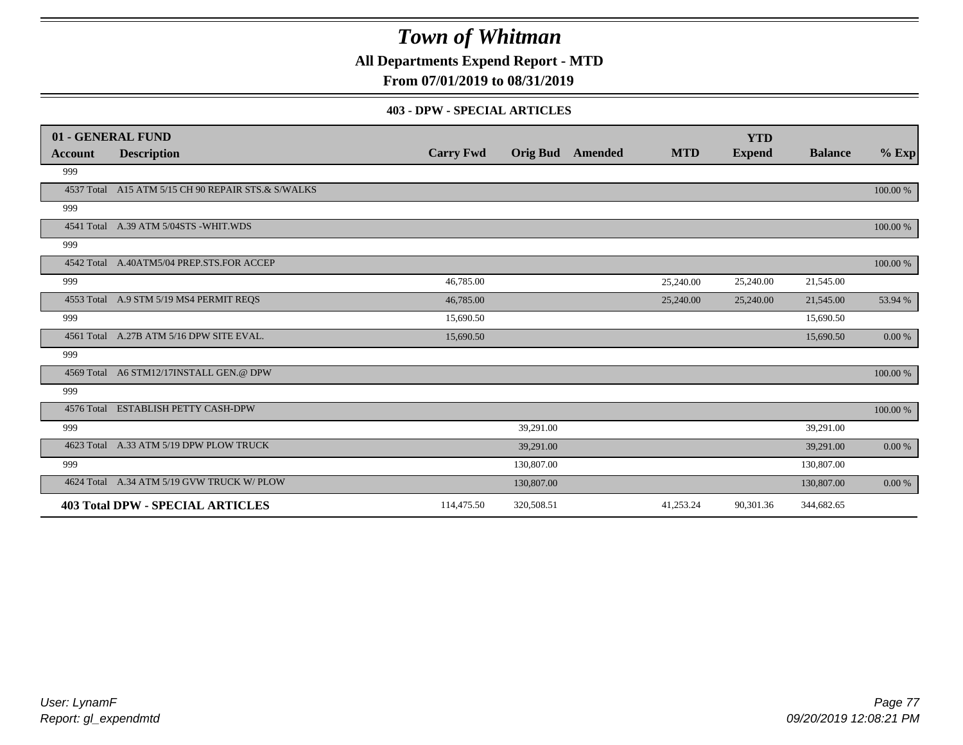**All Departments Expend Report - MTD**

**From 07/01/2019 to 08/31/2019**

#### **403 - DPW - SPECIAL ARTICLES**

|         | 01 - GENERAL FUND                                  |                  |                 |         |            | <b>YTD</b>    |                |          |
|---------|----------------------------------------------------|------------------|-----------------|---------|------------|---------------|----------------|----------|
| Account | <b>Description</b>                                 | <b>Carry Fwd</b> | <b>Orig Bud</b> | Amended | <b>MTD</b> | <b>Expend</b> | <b>Balance</b> | $%$ Exp  |
| 999     |                                                    |                  |                 |         |            |               |                |          |
|         | 4537 Total A15 ATM 5/15 CH 90 REPAIR STS.& S/WALKS |                  |                 |         |            |               |                | 100.00 % |
| 999     |                                                    |                  |                 |         |            |               |                |          |
|         | 4541 Total A.39 ATM 5/04STS -WHIT.WDS              |                  |                 |         |            |               |                | 100.00 % |
| 999     |                                                    |                  |                 |         |            |               |                |          |
|         | 4542 Total A.40ATM5/04 PREP.STS.FOR ACCEP          |                  |                 |         |            |               |                | 100.00 % |
| 999     |                                                    | 46,785.00        |                 |         | 25,240.00  | 25,240.00     | 21,545.00      |          |
|         | 4553 Total A.9 STM 5/19 MS4 PERMIT REQS            | 46,785.00        |                 |         | 25,240.00  | 25,240.00     | 21,545.00      | 53.94 %  |
| 999     |                                                    | 15,690.50        |                 |         |            |               | 15,690.50      |          |
|         | 4561 Total A.27B ATM 5/16 DPW SITE EVAL.           | 15,690.50        |                 |         |            |               | 15,690.50      | 0.00 %   |
| 999     |                                                    |                  |                 |         |            |               |                |          |
|         | 4569 Total A6 STM12/17INSTALL GEN.@ DPW            |                  |                 |         |            |               |                | 100.00 % |
| 999     |                                                    |                  |                 |         |            |               |                |          |
|         | 4576 Total ESTABLISH PETTY CASH-DPW                |                  |                 |         |            |               |                | 100.00 % |
| 999     |                                                    |                  | 39,291.00       |         |            |               | 39,291.00      |          |
|         | 4623 Total A.33 ATM 5/19 DPW PLOW TRUCK            |                  | 39,291.00       |         |            |               | 39,291.00      | 0.00 %   |
| 999     |                                                    |                  | 130,807.00      |         |            |               | 130,807.00     |          |
|         | 4624 Total A.34 ATM 5/19 GVW TRUCK W/ PLOW         |                  | 130,807.00      |         |            |               | 130,807.00     | 0.00 %   |
|         | <b>403 Total DPW - SPECIAL ARTICLES</b>            | 114,475.50       | 320,508.51      |         | 41,253.24  | 90,301.36     | 344,682.65     |          |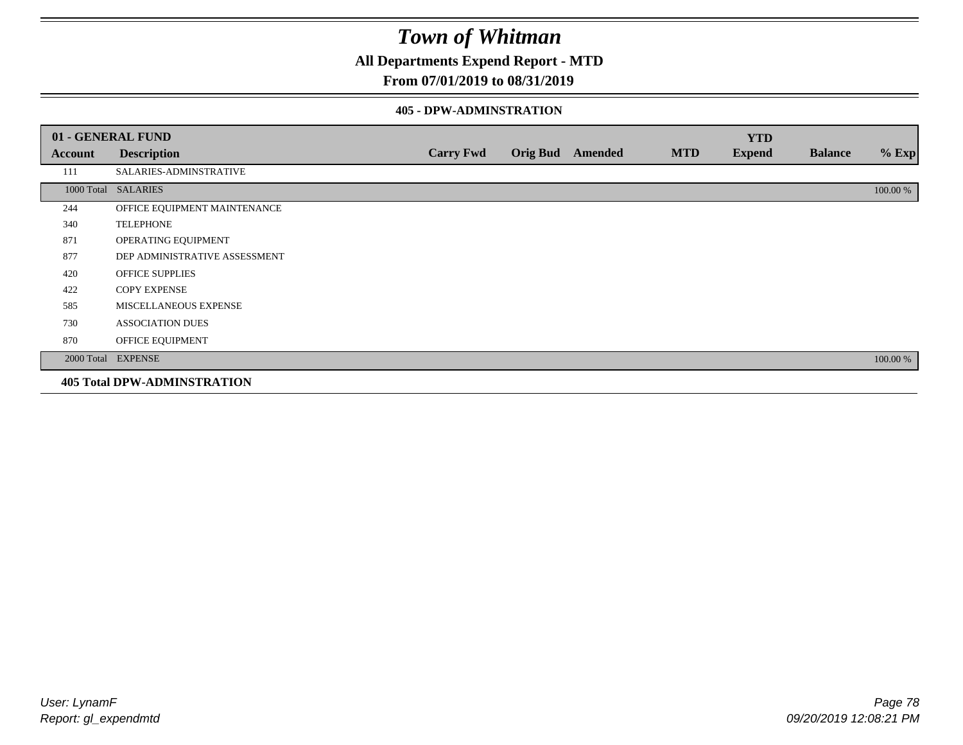**All Departments Expend Report - MTD**

### **From 07/01/2019 to 08/31/2019**

#### **405 - DPW-ADMINSTRATION**

|         | 01 - GENERAL FUND                  |                  |                  |            | <b>YTD</b>    |                |          |
|---------|------------------------------------|------------------|------------------|------------|---------------|----------------|----------|
| Account | <b>Description</b>                 | <b>Carry Fwd</b> | Orig Bud Amended | <b>MTD</b> | <b>Expend</b> | <b>Balance</b> | $%$ Exp  |
| 111     | SALARIES-ADMINSTRATIVE             |                  |                  |            |               |                |          |
|         | 1000 Total SALARIES                |                  |                  |            |               |                | 100.00 % |
| 244     | OFFICE EQUIPMENT MAINTENANCE       |                  |                  |            |               |                |          |
| 340     | <b>TELEPHONE</b>                   |                  |                  |            |               |                |          |
| 871     | OPERATING EQUIPMENT                |                  |                  |            |               |                |          |
| 877     | DEP ADMINISTRATIVE ASSESSMENT      |                  |                  |            |               |                |          |
| 420     | <b>OFFICE SUPPLIES</b>             |                  |                  |            |               |                |          |
| 422     | <b>COPY EXPENSE</b>                |                  |                  |            |               |                |          |
| 585     | MISCELLANEOUS EXPENSE              |                  |                  |            |               |                |          |
| 730     | <b>ASSOCIATION DUES</b>            |                  |                  |            |               |                |          |
| 870     | OFFICE EQUIPMENT                   |                  |                  |            |               |                |          |
|         | 2000 Total EXPENSE                 |                  |                  |            |               |                | 100.00 % |
|         | <b>405 Total DPW-ADMINSTRATION</b> |                  |                  |            |               |                |          |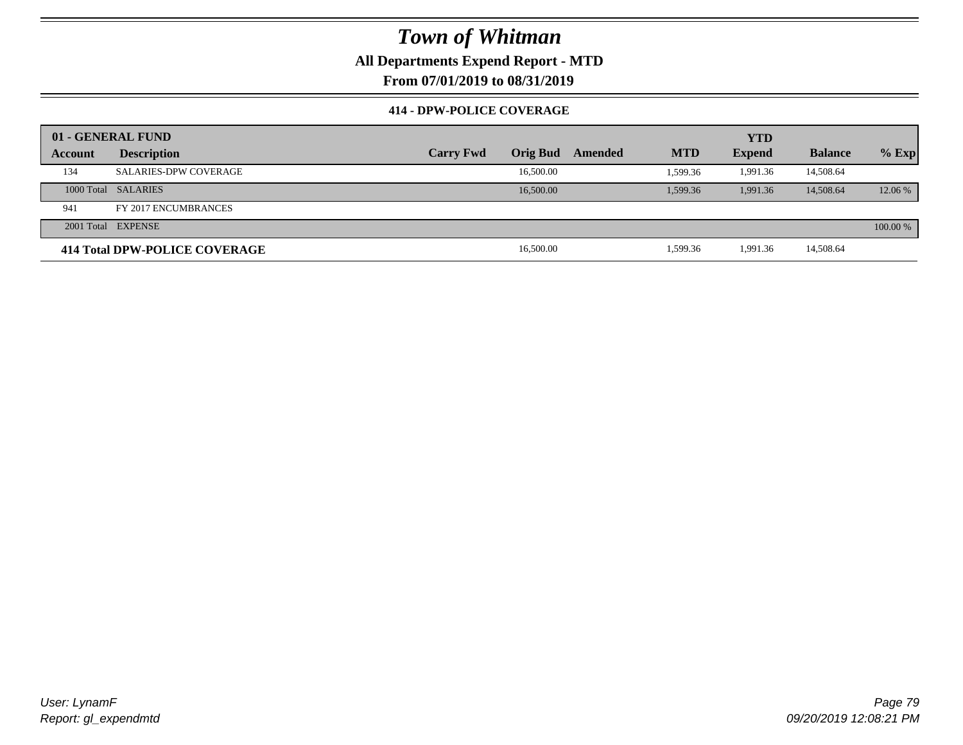**All Departments Expend Report - MTD**

**From 07/01/2019 to 08/31/2019**

#### **414 - DPW-POLICE COVERAGE**

|         | 01 - GENERAL FUND             |                  |                 |         | <b>YTD</b> |               |                |          |
|---------|-------------------------------|------------------|-----------------|---------|------------|---------------|----------------|----------|
| Account | <b>Description</b>            | <b>Carry Fwd</b> | <b>Orig Bud</b> | Amended | <b>MTD</b> | <b>Expend</b> | <b>Balance</b> | $%$ Exp  |
| 134     | <b>SALARIES-DPW COVERAGE</b>  |                  | 16,500.00       |         | 1.599.36   | 1.991.36      | 14,508.64      |          |
|         | 1000 Total SALARIES           |                  | 16,500.00       |         | 1.599.36   | 1.991.36      | 14,508.64      | 12.06 %  |
| 941     | FY 2017 ENCUMBRANCES          |                  |                 |         |            |               |                |          |
|         | 2001 Total EXPENSE            |                  |                 |         |            |               |                | 100.00 % |
|         | 414 Total DPW-POLICE COVERAGE |                  | 16,500.00       |         | 1,599.36   | 1,991.36      | 14,508.64      |          |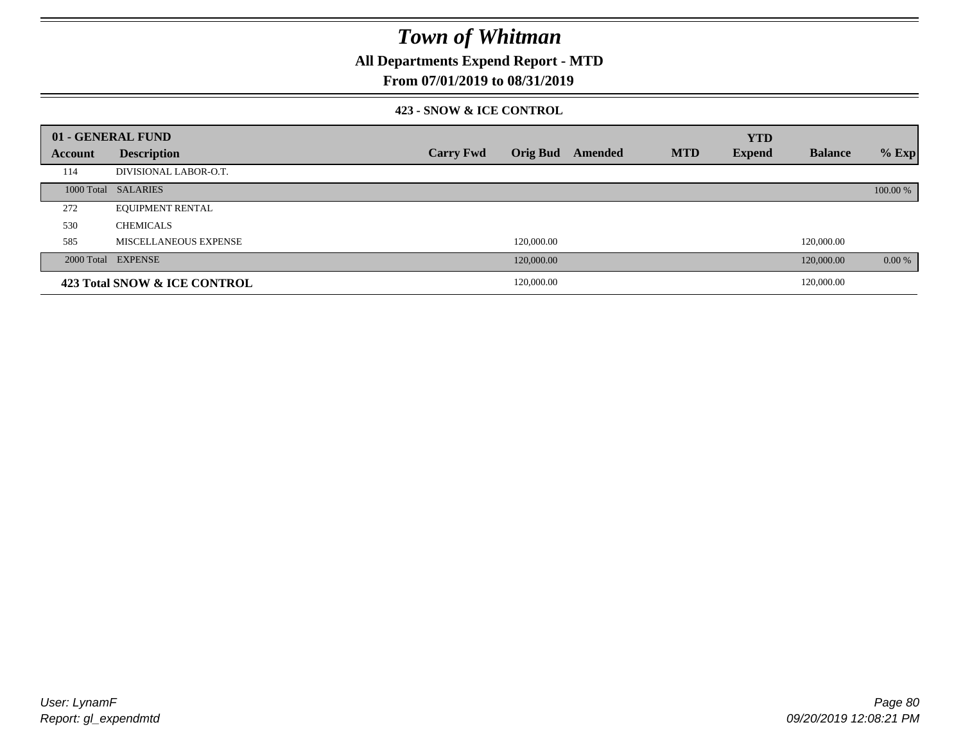**All Departments Expend Report - MTD**

### **From 07/01/2019 to 08/31/2019**

#### **423 - SNOW & ICE CONTROL**

|         | 01 - GENERAL FUND            |                  |            |                         |            | <b>YTD</b>    |                |          |
|---------|------------------------------|------------------|------------|-------------------------|------------|---------------|----------------|----------|
| Account | <b>Description</b>           | <b>Carry Fwd</b> |            | <b>Orig Bud</b> Amended | <b>MTD</b> | <b>Expend</b> | <b>Balance</b> | $%$ Exp  |
| 114     | DIVISIONAL LABOR-O.T.        |                  |            |                         |            |               |                |          |
|         | 1000 Total SALARIES          |                  |            |                         |            |               |                | 100.00 % |
| 272     | <b>EQUIPMENT RENTAL</b>      |                  |            |                         |            |               |                |          |
| 530     | <b>CHEMICALS</b>             |                  |            |                         |            |               |                |          |
| 585     | <b>MISCELLANEOUS EXPENSE</b> |                  | 120,000.00 |                         |            |               | 120,000.00     |          |
|         | 2000 Total EXPENSE           |                  | 120,000.00 |                         |            |               | 120,000.00     | $0.00\%$ |
|         | 423 Total SNOW & ICE CONTROL |                  | 120,000.00 |                         |            |               | 120,000.00     |          |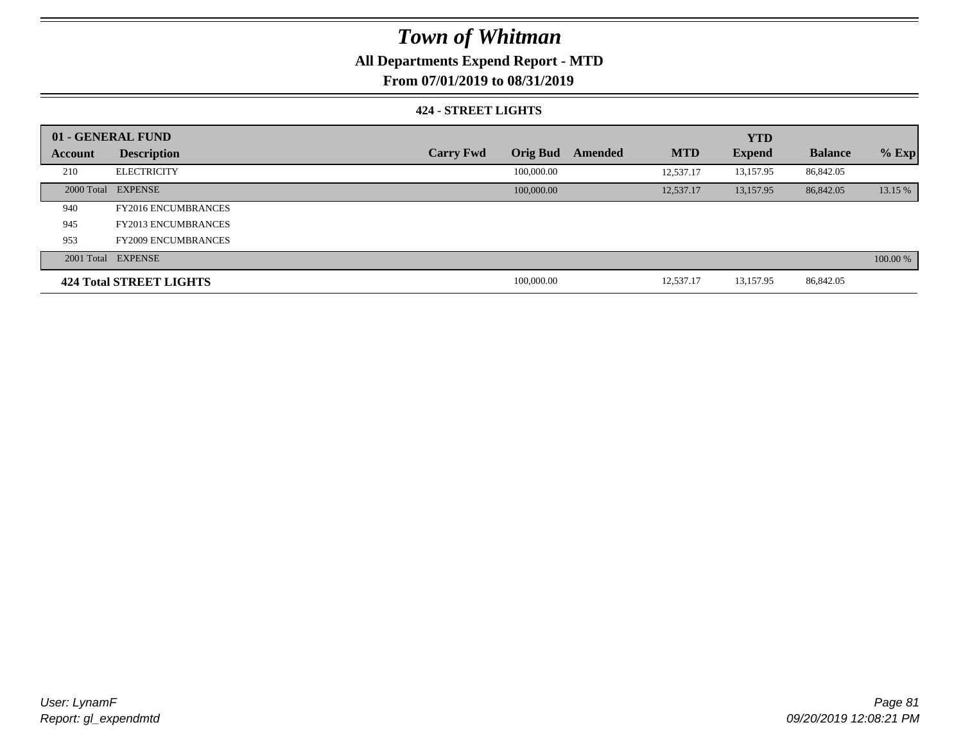### **All Departments Expend Report - MTD**

**From 07/01/2019 to 08/31/2019**

#### **424 - STREET LIGHTS**

|         | 01 - GENERAL FUND          |                  |                 |         |            | <b>YTD</b>    |                |          |
|---------|----------------------------|------------------|-----------------|---------|------------|---------------|----------------|----------|
| Account | <b>Description</b>         | <b>Carry Fwd</b> | <b>Orig Bud</b> | Amended | <b>MTD</b> | <b>Expend</b> | <b>Balance</b> | $%$ Exp  |
| 210     | <b>ELECTRICITY</b>         |                  | 100,000.00      |         | 12.537.17  | 13,157.95     | 86,842.05      |          |
|         | 2000 Total EXPENSE         |                  | 100,000.00      |         | 12,537.17  | 13,157.95     | 86,842.05      | 13.15 %  |
| 940     | <b>FY2016 ENCUMBRANCES</b> |                  |                 |         |            |               |                |          |
| 945     | <b>FY2013 ENCUMBRANCES</b> |                  |                 |         |            |               |                |          |
| 953     | <b>FY2009 ENCUMBRANCES</b> |                  |                 |         |            |               |                |          |
|         | 2001 Total EXPENSE         |                  |                 |         |            |               |                | 100.00 % |
|         | 424 Total STREET LIGHTS    |                  | 100,000.00      |         | 12,537.17  | 13,157.95     | 86,842.05      |          |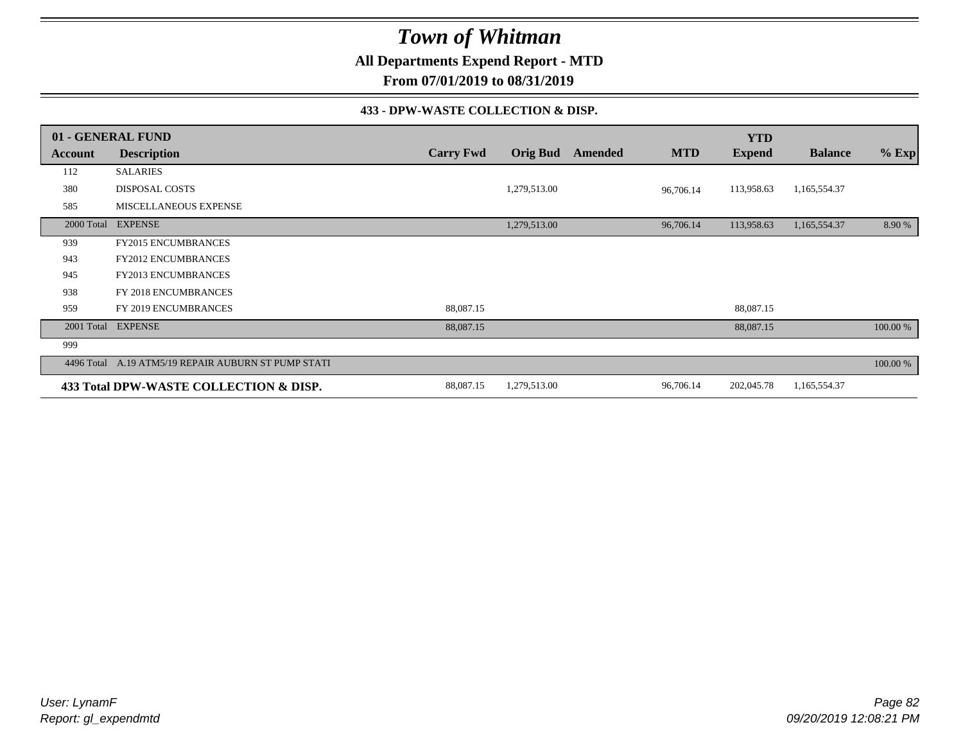**All Departments Expend Report - MTD**

**From 07/01/2019 to 08/31/2019**

#### **433 - DPW-WASTE COLLECTION & DISP.**

|            | 01 - GENERAL FUND                                   |                  |                 |         |            | <b>YTD</b>    |                |          |
|------------|-----------------------------------------------------|------------------|-----------------|---------|------------|---------------|----------------|----------|
| Account    | <b>Description</b>                                  | <b>Carry Fwd</b> | <b>Orig Bud</b> | Amended | <b>MTD</b> | <b>Expend</b> | <b>Balance</b> | $%$ Exp  |
| 112        | <b>SALARIES</b>                                     |                  |                 |         |            |               |                |          |
| 380        | <b>DISPOSAL COSTS</b>                               |                  | 1,279,513.00    |         | 96,706.14  | 113,958.63    | 1,165,554.37   |          |
| 585        | MISCELLANEOUS EXPENSE                               |                  |                 |         |            |               |                |          |
| 2000 Total | <b>EXPENSE</b>                                      |                  | 1,279,513.00    |         | 96,706.14  | 113,958.63    | 1,165,554.37   | 8.90 %   |
| 939        | <b>FY2015 ENCUMBRANCES</b>                          |                  |                 |         |            |               |                |          |
| 943        | <b>FY2012 ENCUMBRANCES</b>                          |                  |                 |         |            |               |                |          |
| 945        | FY2013 ENCUMBRANCES                                 |                  |                 |         |            |               |                |          |
| 938        | FY 2018 ENCUMBRANCES                                |                  |                 |         |            |               |                |          |
| 959        | FY 2019 ENCUMBRANCES                                | 88,087.15        |                 |         |            | 88,087.15     |                |          |
| 2001 Total | <b>EXPENSE</b>                                      | 88,087.15        |                 |         |            | 88,087.15     |                | 100.00 % |
| 999        |                                                     |                  |                 |         |            |               |                |          |
|            | 4496 Total A.19 ATM5/19 REPAIR AUBURN ST PUMP STATI |                  |                 |         |            |               |                | 100.00 % |
|            | 433 Total DPW-WASTE COLLECTION & DISP.              | 88,087.15        | 1,279,513.00    |         | 96,706.14  | 202,045.78    | 1,165,554.37   |          |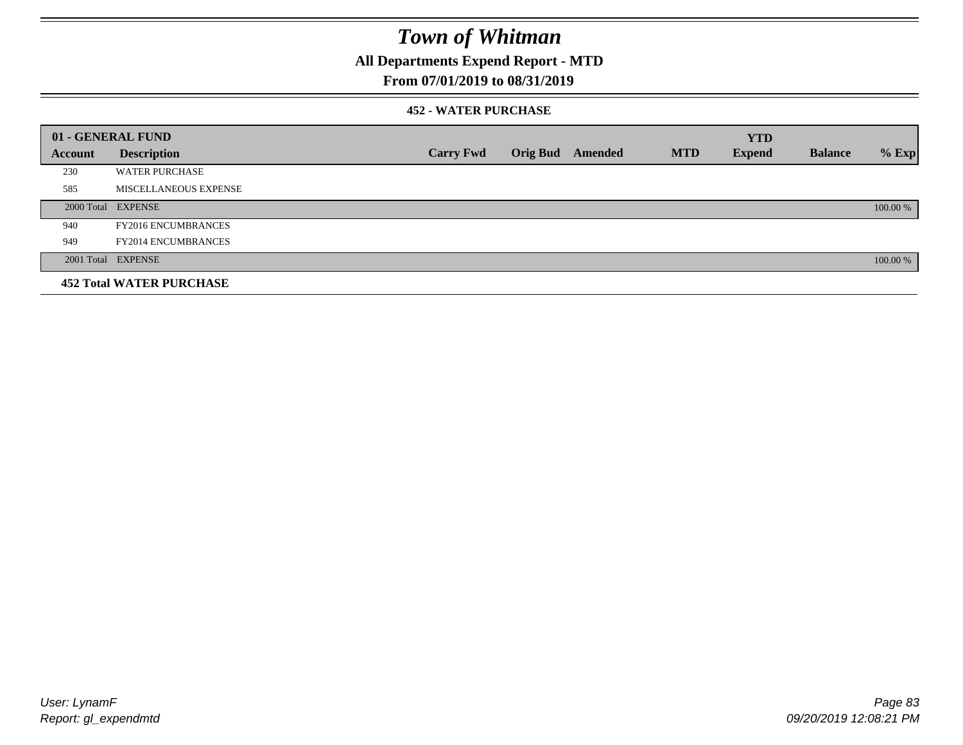**All Departments Expend Report - MTD**

### **From 07/01/2019 to 08/31/2019**

#### **452 - WATER PURCHASE**

|         | 01 - GENERAL FUND               |                  |                 |         |            | <b>YTD</b>    |                |          |
|---------|---------------------------------|------------------|-----------------|---------|------------|---------------|----------------|----------|
| Account | <b>Description</b>              | <b>Carry Fwd</b> | <b>Orig Bud</b> | Amended | <b>MTD</b> | <b>Expend</b> | <b>Balance</b> | $%$ Exp  |
| 230     | <b>WATER PURCHASE</b>           |                  |                 |         |            |               |                |          |
| 585     | MISCELLANEOUS EXPENSE           |                  |                 |         |            |               |                |          |
|         | 2000 Total EXPENSE              |                  |                 |         |            |               |                | 100.00 % |
| 940     | <b>FY2016 ENCUMBRANCES</b>      |                  |                 |         |            |               |                |          |
| 949     | <b>FY2014 ENCUMBRANCES</b>      |                  |                 |         |            |               |                |          |
|         | 2001 Total EXPENSE              |                  |                 |         |            |               |                | 100.00 % |
|         | <b>452 Total WATER PURCHASE</b> |                  |                 |         |            |               |                |          |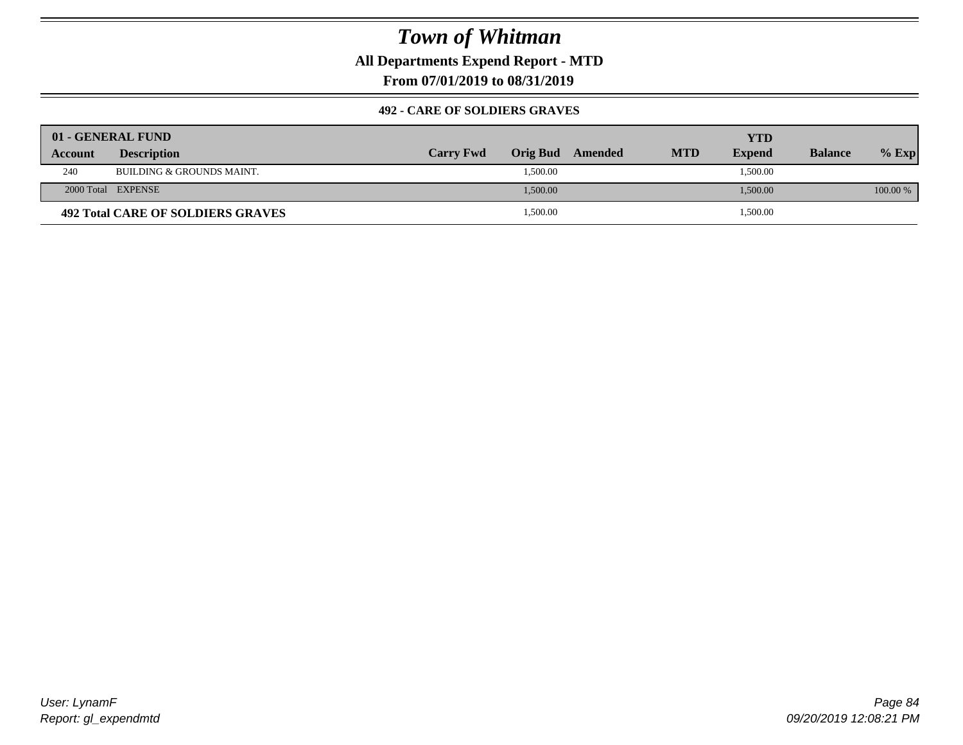**All Departments Expend Report - MTD**

**From 07/01/2019 to 08/31/2019**

#### **492 - CARE OF SOLDIERS GRAVES**

|         | 01 - GENERAL FUND                        |                  |          |         |            | YTD           |                |          |
|---------|------------------------------------------|------------------|----------|---------|------------|---------------|----------------|----------|
| Account | <b>Description</b>                       | <b>Carry Fwd</b> | Orig Bud | Amended | <b>MTD</b> | <b>Expend</b> | <b>Balance</b> | $%$ Exp  |
| 240     | BUILDING & GROUNDS MAINT.                |                  | 1,500.00 |         |            | 1,500.00      |                |          |
|         | 2000 Total EXPENSE                       |                  | 1,500.00 |         |            | 1,500.00      |                | 100.00 % |
|         | <b>492 Total CARE OF SOLDIERS GRAVES</b> |                  | 1,500.00 |         |            | 1,500.00      |                |          |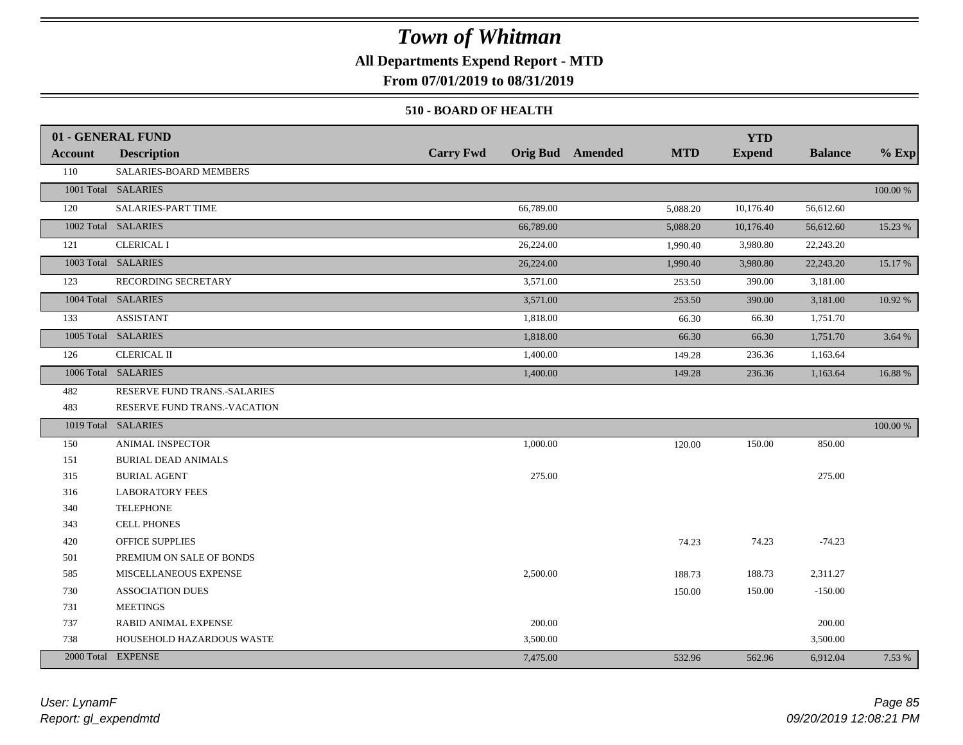### **All Departments Expend Report - MTD**

**From 07/01/2019 to 08/31/2019**

#### **510 - BOARD OF HEALTH**

|         | 01 - GENERAL FUND            |                  |                                       | <b>YTD</b>    |                |          |
|---------|------------------------------|------------------|---------------------------------------|---------------|----------------|----------|
| Account | <b>Description</b>           | <b>Carry Fwd</b> | <b>Orig Bud</b> Amended<br><b>MTD</b> | <b>Expend</b> | <b>Balance</b> | $%$ Exp  |
| 110     | SALARIES-BOARD MEMBERS       |                  |                                       |               |                |          |
|         | 1001 Total SALARIES          |                  |                                       |               |                | 100.00 % |
| 120     | SALARIES-PART TIME           | 66,789.00        | 5,088.20                              | 10,176.40     | 56,612.60      |          |
|         | 1002 Total SALARIES          | 66,789.00        | 5,088.20                              | 10,176.40     | 56,612.60      | 15.23 %  |
| 121     | <b>CLERICAL I</b>            | 26,224.00        | 1,990.40                              | 3,980.80      | 22,243.20      |          |
|         | 1003 Total SALARIES          | 26,224.00        | 1,990.40                              | 3,980.80      | 22,243.20      | 15.17 %  |
| 123     | RECORDING SECRETARY          | 3,571.00         | 253.50                                | 390.00        | 3,181.00       |          |
|         | 1004 Total SALARIES          | 3,571.00         | 253.50                                | 390.00        | 3,181.00       | 10.92 %  |
| 133     | <b>ASSISTANT</b>             | 1,818.00         | 66.30                                 | 66.30         | 1,751.70       |          |
|         | 1005 Total SALARIES          | 1,818.00         | 66.30                                 | 66.30         | 1,751.70       | 3.64%    |
| 126     | <b>CLERICAL II</b>           | 1,400.00         | 149.28                                | 236.36        | 1,163.64       |          |
|         | 1006 Total SALARIES          | 1,400.00         | 149.28                                | 236.36        | 1,163.64       | 16.88%   |
| 482     | RESERVE FUND TRANS.-SALARIES |                  |                                       |               |                |          |
| 483     | RESERVE FUND TRANS.-VACATION |                  |                                       |               |                |          |
|         | 1019 Total SALARIES          |                  |                                       |               |                | 100.00 % |
| 150     | ANIMAL INSPECTOR             | 1,000.00         | 120.00                                | 150.00        | 850.00         |          |
| 151     | <b>BURIAL DEAD ANIMALS</b>   |                  |                                       |               |                |          |
| 315     | <b>BURIAL AGENT</b>          | 275.00           |                                       |               | 275.00         |          |
| 316     | <b>LABORATORY FEES</b>       |                  |                                       |               |                |          |
| 340     | <b>TELEPHONE</b>             |                  |                                       |               |                |          |
| 343     | <b>CELL PHONES</b>           |                  |                                       |               |                |          |
| 420     | <b>OFFICE SUPPLIES</b>       |                  | 74.23                                 | 74.23         | $-74.23$       |          |
| 501     | PREMIUM ON SALE OF BONDS     |                  |                                       |               |                |          |
| 585     | MISCELLANEOUS EXPENSE        | 2,500.00         | 188.73                                | 188.73        | 2,311.27       |          |
| 730     | <b>ASSOCIATION DUES</b>      |                  | 150.00                                | 150.00        | $-150.00$      |          |
| 731     | <b>MEETINGS</b>              |                  |                                       |               |                |          |
| 737     | <b>RABID ANIMAL EXPENSE</b>  | 200.00           |                                       |               | 200.00         |          |
| 738     | HOUSEHOLD HAZARDOUS WASTE    | 3,500.00         |                                       |               | 3,500.00       |          |
|         | 2000 Total EXPENSE           | 7,475.00         | 532.96                                | 562.96        | 6,912.04       | 7.53 %   |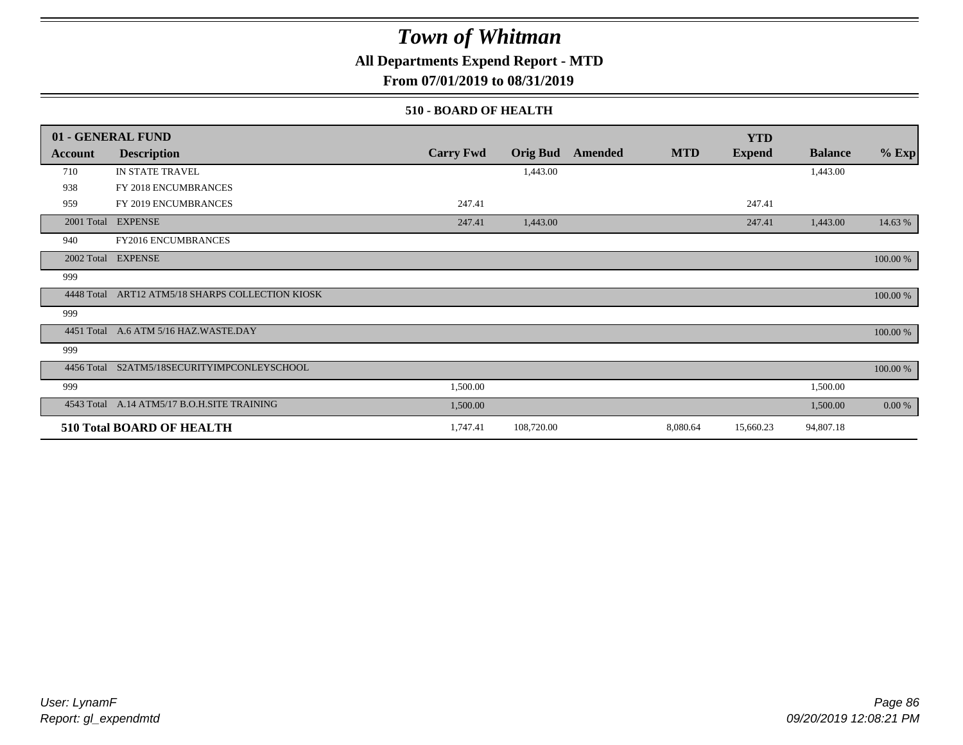### **All Departments Expend Report - MTD**

**From 07/01/2019 to 08/31/2019**

#### **510 - BOARD OF HEALTH**

|                | 01 - GENERAL FUND                           |                  |                 |         |            | <b>YTD</b>    |                |          |
|----------------|---------------------------------------------|------------------|-----------------|---------|------------|---------------|----------------|----------|
| <b>Account</b> | <b>Description</b>                          | <b>Carry Fwd</b> | <b>Orig Bud</b> | Amended | <b>MTD</b> | <b>Expend</b> | <b>Balance</b> | $%$ Exp  |
| 710            | IN STATE TRAVEL                             |                  | 1,443.00        |         |            |               | 1,443.00       |          |
| 938            | FY 2018 ENCUMBRANCES                        |                  |                 |         |            |               |                |          |
| 959            | FY 2019 ENCUMBRANCES                        | 247.41           |                 |         |            | 247.41        |                |          |
| 2001 Total     | <b>EXPENSE</b>                              | 247.41           | 1,443.00        |         |            | 247.41        | 1,443.00       | 14.63 %  |
| 940            | FY2016 ENCUMBRANCES                         |                  |                 |         |            |               |                |          |
|                | 2002 Total EXPENSE                          |                  |                 |         |            |               |                | 100.00 % |
| 999            |                                             |                  |                 |         |            |               |                |          |
| 4448 Total     | ART12 ATM5/18 SHARPS COLLECTION KIOSK       |                  |                 |         |            |               |                | 100.00 % |
| 999            |                                             |                  |                 |         |            |               |                |          |
| 4451 Total     | A.6 ATM 5/16 HAZ.WASTE.DAY                  |                  |                 |         |            |               |                | 100.00 % |
| 999            |                                             |                  |                 |         |            |               |                |          |
| 4456 Total     | S2ATM5/18SECURITYIMPCONLEYSCHOOL            |                  |                 |         |            |               |                | 100.00 % |
| 999            |                                             | 1,500.00         |                 |         |            |               | 1,500.00       |          |
|                | 4543 Total A.14 ATM5/17 B.O.H.SITE TRAINING | 1,500.00         |                 |         |            |               | 1,500.00       | 0.00 %   |
|                | <b>510 Total BOARD OF HEALTH</b>            | 1,747.41         | 108,720.00      |         | 8,080.64   | 15,660.23     | 94,807.18      |          |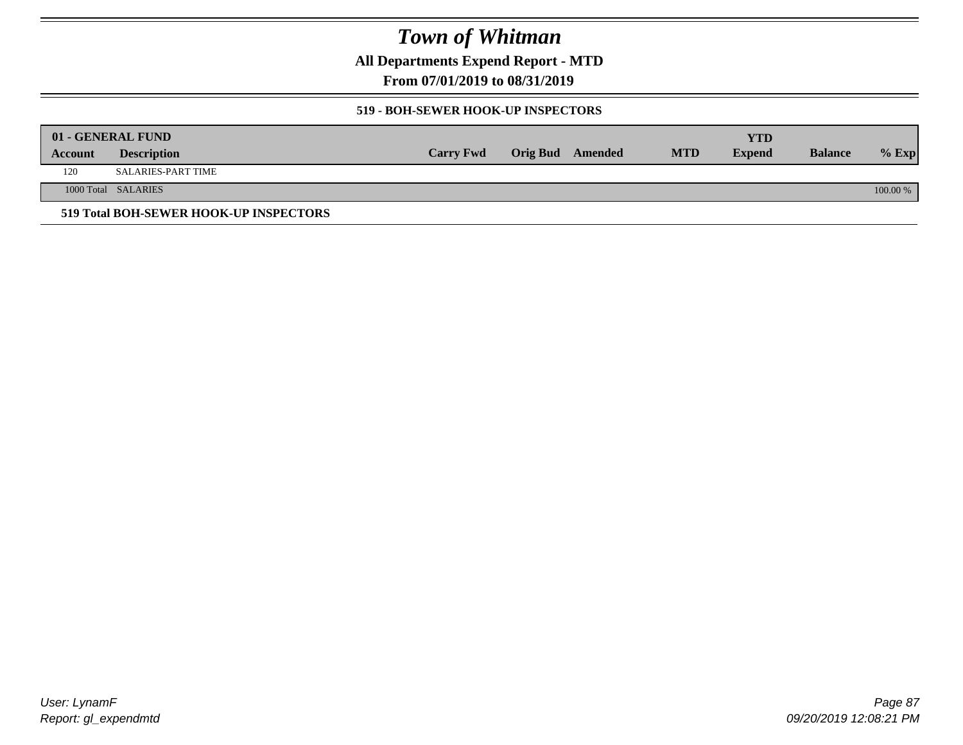**All Departments Expend Report - MTD**

**From 07/01/2019 to 08/31/2019**

#### **519 - BOH-SEWER HOOK-UP INSPECTORS**

|         | 01 - GENERAL FUND                      |                  |                         |            | YTD           |                |          |
|---------|----------------------------------------|------------------|-------------------------|------------|---------------|----------------|----------|
| Account | <b>Description</b>                     | <b>Carry Fwd</b> | <b>Orig Bud</b> Amended | <b>MTD</b> | <b>Expend</b> | <b>Balance</b> | $%$ Exp  |
| 120     | SALARIES-PART TIME                     |                  |                         |            |               |                |          |
|         | 1000 Total SALARIES                    |                  |                         |            |               |                | 100.00 % |
|         | 519 Total BOH-SEWER HOOK-UP INSPECTORS |                  |                         |            |               |                |          |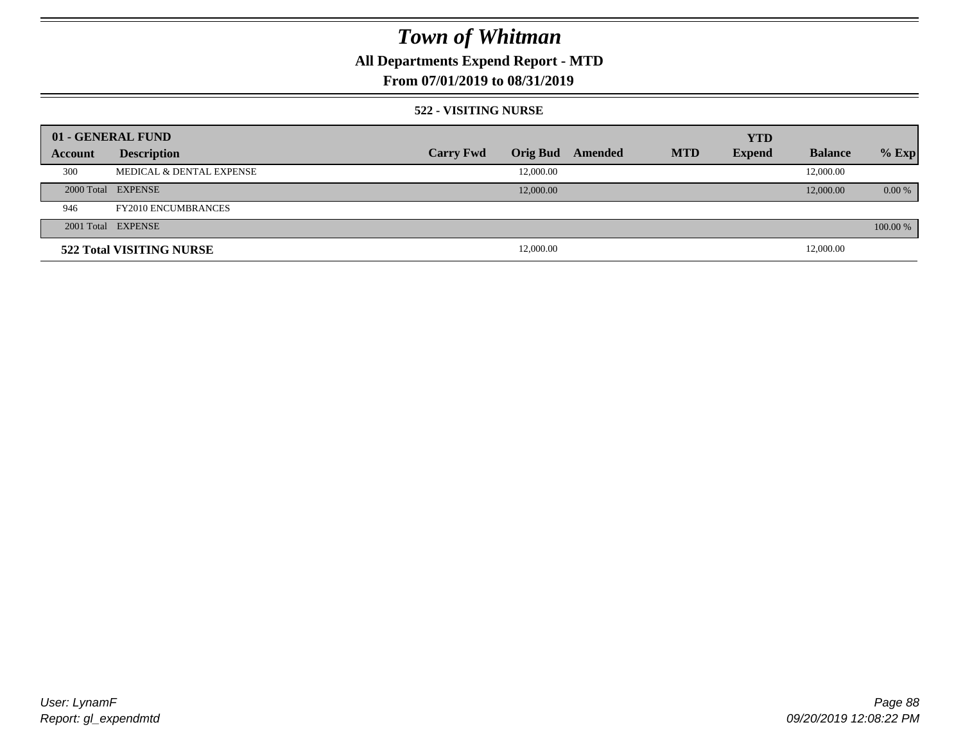### **All Departments Expend Report - MTD**

### **From 07/01/2019 to 08/31/2019**

#### **522 - VISITING NURSE**

| 01 - GENERAL FUND |                            |                  |                 |         |            | <b>YTD</b>    |                |          |
|-------------------|----------------------------|------------------|-----------------|---------|------------|---------------|----------------|----------|
| Account           | <b>Description</b>         | <b>Carry Fwd</b> | <b>Orig Bud</b> | Amended | <b>MTD</b> | <b>Expend</b> | <b>Balance</b> | $%$ Exp  |
| 300               | MEDICAL & DENTAL EXPENSE   |                  | 12,000.00       |         |            |               | 12,000.00      |          |
|                   | 2000 Total EXPENSE         |                  | 12,000.00       |         |            |               | 12,000.00      | $0.00\%$ |
| 946               | <b>FY2010 ENCUMBRANCES</b> |                  |                 |         |            |               |                |          |
|                   | 2001 Total EXPENSE         |                  |                 |         |            |               |                | 100.00 % |
|                   | 522 Total VISITING NURSE   |                  | 12,000.00       |         |            |               | 12,000.00      |          |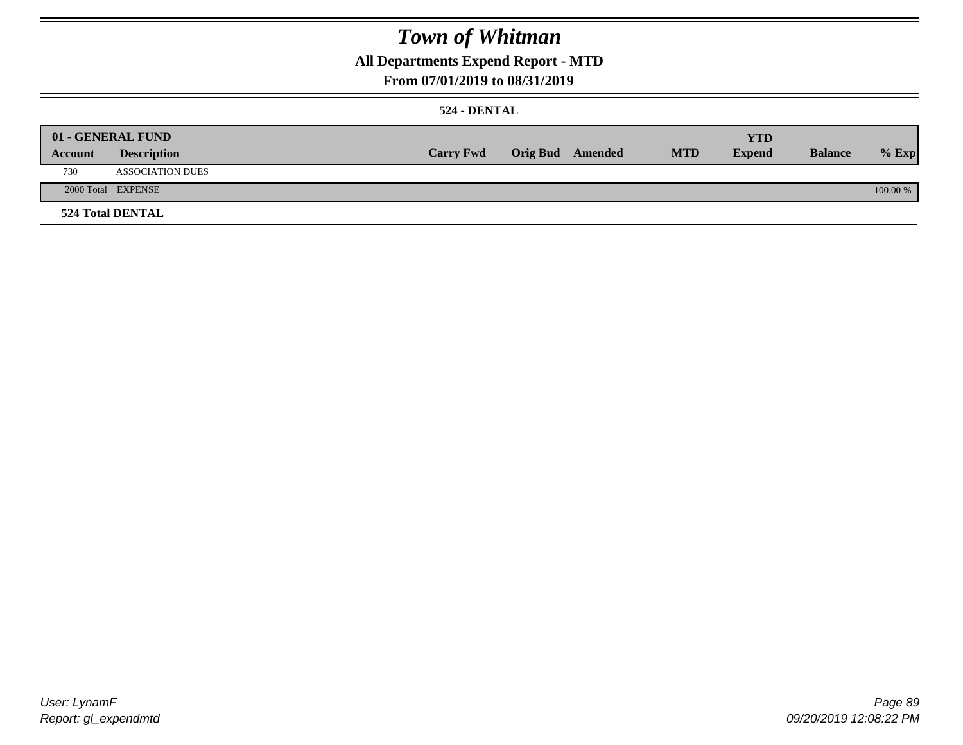### **All Departments Expend Report - MTD**

### **From 07/01/2019 to 08/31/2019**

#### **524 - DENTAL**

|         | 01 - GENERAL FUND       |                  |                  |            | <b>YTD</b>    |                |          |
|---------|-------------------------|------------------|------------------|------------|---------------|----------------|----------|
| Account | <b>Description</b>      | <b>Carry Fwd</b> | Orig Bud Amended | <b>MTD</b> | <b>Expend</b> | <b>Balance</b> | $%$ Exp  |
| 730     | <b>ASSOCIATION DUES</b> |                  |                  |            |               |                |          |
|         | 2000 Total EXPENSE      |                  |                  |            |               |                | 100.00 % |
|         | <b>524 Total DENTAL</b> |                  |                  |            |               |                |          |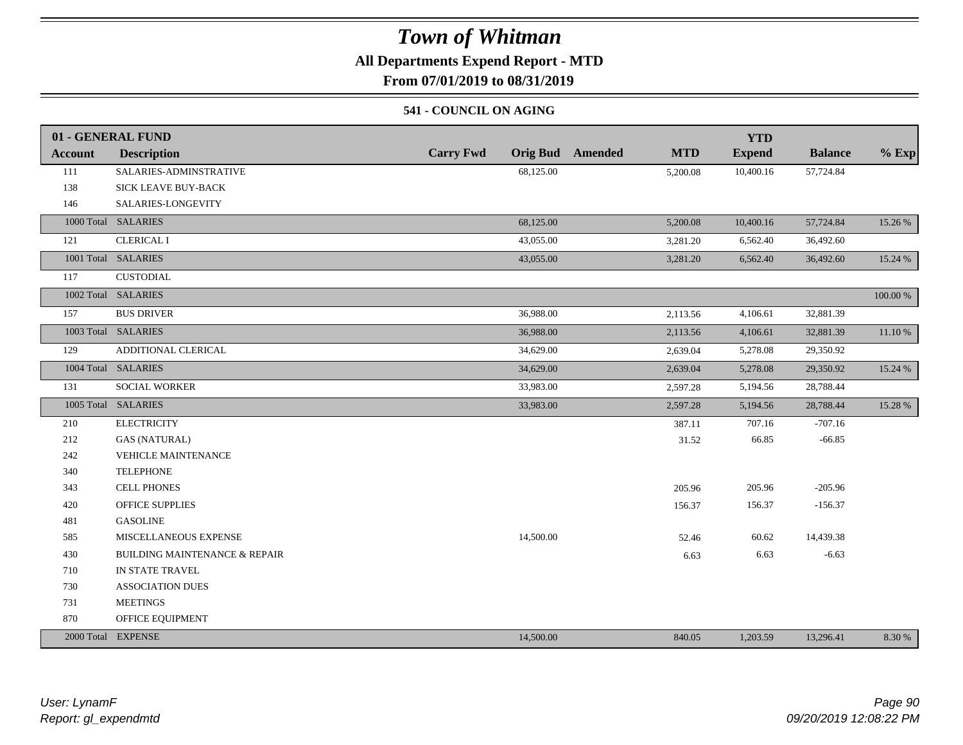### **All Departments Expend Report - MTD**

**From 07/01/2019 to 08/31/2019**

#### **541 - COUNCIL ON AGING**

|                | 01 - GENERAL FUND                        |                                     |                              | <b>YTD</b>    |                |          |
|----------------|------------------------------------------|-------------------------------------|------------------------------|---------------|----------------|----------|
| <b>Account</b> | <b>Description</b>                       | <b>Orig Bud</b><br><b>Carry Fwd</b> | <b>Amended</b><br><b>MTD</b> | <b>Expend</b> | <b>Balance</b> | $%$ Exp  |
| 111            | SALARIES-ADMINSTRATIVE                   | 68,125.00                           | 5,200.08                     | 10,400.16     | 57,724.84      |          |
| 138            | <b>SICK LEAVE BUY-BACK</b>               |                                     |                              |               |                |          |
| 146            | SALARIES-LONGEVITY                       |                                     |                              |               |                |          |
|                | 1000 Total SALARIES                      | 68,125.00                           | 5,200.08                     | 10,400.16     | 57,724.84      | 15.26 %  |
| 121            | <b>CLERICAL I</b>                        | 43,055.00                           | 3,281.20                     | 6,562.40      | 36,492.60      |          |
|                | 1001 Total SALARIES                      | 43,055.00                           | 3,281.20                     | 6,562.40      | 36,492.60      | 15.24 %  |
| 117            | <b>CUSTODIAL</b>                         |                                     |                              |               |                |          |
|                | 1002 Total SALARIES                      |                                     |                              |               |                | 100.00 % |
| 157            | <b>BUS DRIVER</b>                        | 36,988.00                           | 2,113.56                     | 4,106.61      | 32,881.39      |          |
|                | 1003 Total SALARIES                      | 36,988.00                           | 2,113.56                     | 4,106.61      | 32,881.39      | 11.10 %  |
| 129            | ADDITIONAL CLERICAL                      | 34,629.00                           | 2,639.04                     | 5,278.08      | 29,350.92      |          |
|                | 1004 Total SALARIES                      | 34,629.00                           | 2,639.04                     | 5,278.08      | 29,350.92      | 15.24 %  |
| 131            | SOCIAL WORKER                            | 33,983.00                           | 2,597.28                     | 5,194.56      | 28,788.44      |          |
|                | 1005 Total SALARIES                      | 33,983.00                           | 2,597.28                     | 5,194.56      | 28,788.44      | 15.28 %  |
| 210            | <b>ELECTRICITY</b>                       |                                     | 387.11                       | 707.16        | $-707.16$      |          |
| 212            | <b>GAS (NATURAL)</b>                     |                                     | 31.52                        | 66.85         | $-66.85$       |          |
| 242            | <b>VEHICLE MAINTENANCE</b>               |                                     |                              |               |                |          |
| 340            | <b>TELEPHONE</b>                         |                                     |                              |               |                |          |
| 343            | <b>CELL PHONES</b>                       |                                     | 205.96                       | 205.96        | $-205.96$      |          |
| 420            | <b>OFFICE SUPPLIES</b>                   |                                     | 156.37                       | 156.37        | $-156.37$      |          |
| 481            | <b>GASOLINE</b>                          |                                     |                              |               |                |          |
| 585            | MISCELLANEOUS EXPENSE                    | 14,500.00                           | 52.46                        | 60.62         | 14,439.38      |          |
| 430            | <b>BUILDING MAINTENANCE &amp; REPAIR</b> |                                     | 6.63                         | 6.63          | $-6.63$        |          |
| 710            | IN STATE TRAVEL                          |                                     |                              |               |                |          |
| 730            | ASSOCIATION DUES                         |                                     |                              |               |                |          |
| 731            | <b>MEETINGS</b>                          |                                     |                              |               |                |          |
| 870            | OFFICE EQUIPMENT                         |                                     |                              |               |                |          |
|                | 2000 Total EXPENSE                       | 14,500.00                           | 840.05                       | 1,203.59      | 13,296.41      | 8.30 %   |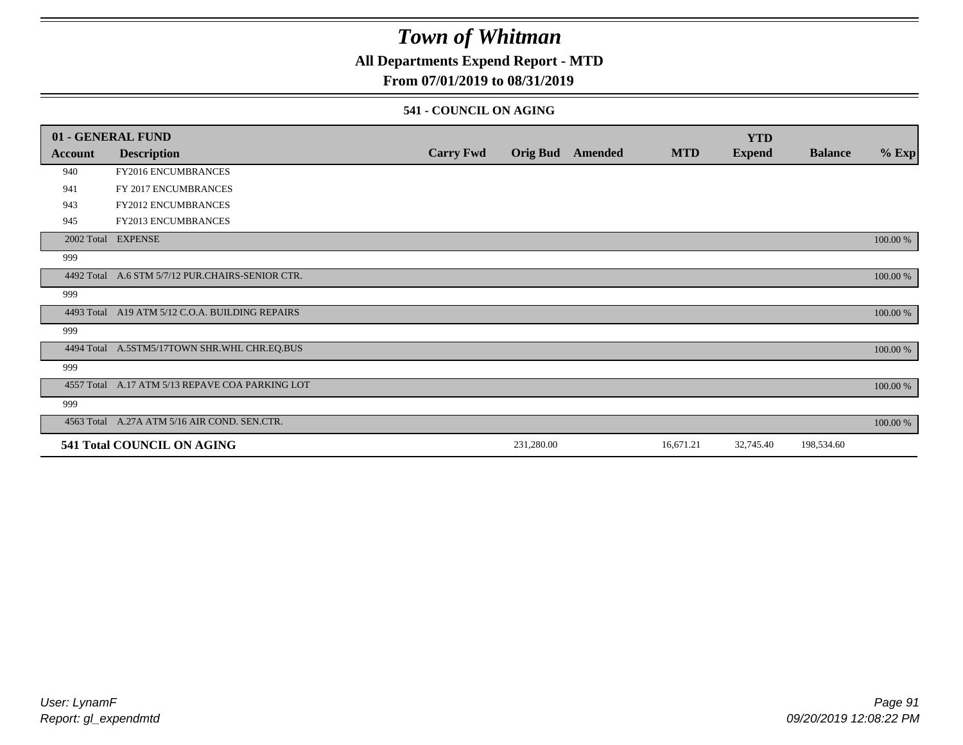### **All Departments Expend Report - MTD**

### **From 07/01/2019 to 08/31/2019**

#### **541 - COUNCIL ON AGING**

|                | 01 - GENERAL FUND                                |                  |                 |         |            | <b>YTD</b>    |                |          |
|----------------|--------------------------------------------------|------------------|-----------------|---------|------------|---------------|----------------|----------|
| <b>Account</b> | <b>Description</b>                               | <b>Carry Fwd</b> | <b>Orig Bud</b> | Amended | <b>MTD</b> | <b>Expend</b> | <b>Balance</b> | $%$ Exp  |
| 940            | FY2016 ENCUMBRANCES                              |                  |                 |         |            |               |                |          |
| 941            | FY 2017 ENCUMBRANCES                             |                  |                 |         |            |               |                |          |
| 943            | <b>FY2012 ENCUMBRANCES</b>                       |                  |                 |         |            |               |                |          |
| 945            | <b>FY2013 ENCUMBRANCES</b>                       |                  |                 |         |            |               |                |          |
|                | 2002 Total EXPENSE                               |                  |                 |         |            |               |                | 100.00 % |
| 999            |                                                  |                  |                 |         |            |               |                |          |
|                | 4492 Total A.6 STM 5/7/12 PUR.CHAIRS-SENIOR CTR. |                  |                 |         |            |               |                | 100.00 % |
| 999            |                                                  |                  |                 |         |            |               |                |          |
|                | 4493 Total A19 ATM 5/12 C.O.A. BUILDING REPAIRS  |                  |                 |         |            |               |                | 100.00 % |
| 999            |                                                  |                  |                 |         |            |               |                |          |
|                | 4494 Total A.5STM5/17TOWN SHR.WHL CHR.EQ.BUS     |                  |                 |         |            |               |                | 100.00 % |
| 999            |                                                  |                  |                 |         |            |               |                |          |
|                | 4557 Total A.17 ATM 5/13 REPAVE COA PARKING LOT  |                  |                 |         |            |               |                | 100.00 % |
| 999            |                                                  |                  |                 |         |            |               |                |          |
|                | 4563 Total A.27A ATM 5/16 AIR COND. SEN.CTR.     |                  |                 |         |            |               |                | 100.00 % |
|                | 541 Total COUNCIL ON AGING                       |                  | 231,280.00      |         | 16,671.21  | 32,745.40     | 198,534.60     |          |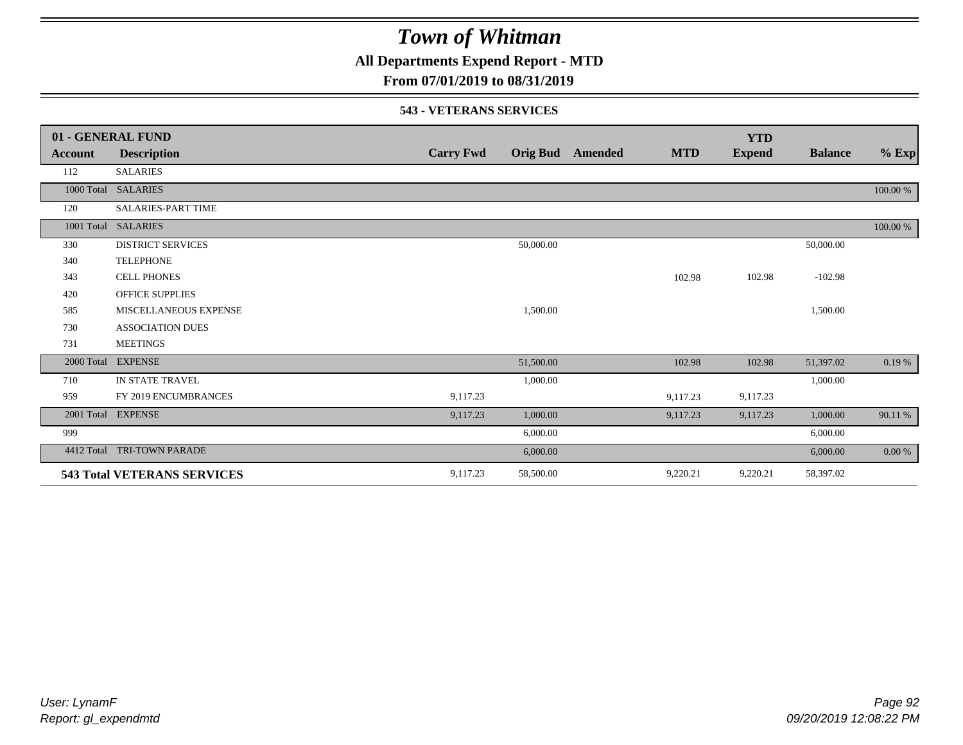**All Departments Expend Report - MTD**

### **From 07/01/2019 to 08/31/2019**

#### **543 - VETERANS SERVICES**

|            | 01 - GENERAL FUND                  |                  |                 |         |            | <b>YTD</b>    |                |             |
|------------|------------------------------------|------------------|-----------------|---------|------------|---------------|----------------|-------------|
| Account    | <b>Description</b>                 | <b>Carry Fwd</b> | <b>Orig Bud</b> | Amended | <b>MTD</b> | <b>Expend</b> | <b>Balance</b> | $%$ Exp     |
| 112        | <b>SALARIES</b>                    |                  |                 |         |            |               |                |             |
|            | 1000 Total SALARIES                |                  |                 |         |            |               |                | $100.00~\%$ |
| 120        | <b>SALARIES-PART TIME</b>          |                  |                 |         |            |               |                |             |
|            | 1001 Total SALARIES                |                  |                 |         |            |               |                | 100.00 %    |
| 330        | <b>DISTRICT SERVICES</b>           |                  | 50,000.00       |         |            |               | 50,000.00      |             |
| 340        | <b>TELEPHONE</b>                   |                  |                 |         |            |               |                |             |
| 343        | <b>CELL PHONES</b>                 |                  |                 |         | 102.98     | 102.98        | $-102.98$      |             |
| 420        | <b>OFFICE SUPPLIES</b>             |                  |                 |         |            |               |                |             |
| 585        | MISCELLANEOUS EXPENSE              |                  | 1,500.00        |         |            |               | 1,500.00       |             |
| 730        | <b>ASSOCIATION DUES</b>            |                  |                 |         |            |               |                |             |
| 731        | <b>MEETINGS</b>                    |                  |                 |         |            |               |                |             |
|            | 2000 Total EXPENSE                 |                  | 51,500.00       |         | 102.98     | 102.98        | 51,397.02      | 0.19 %      |
| 710        | IN STATE TRAVEL                    |                  | 1,000.00        |         |            |               | 1,000.00       |             |
| 959        | FY 2019 ENCUMBRANCES               | 9,117.23         |                 |         | 9,117.23   | 9,117.23      |                |             |
|            | 2001 Total EXPENSE                 | 9,117.23         | 1,000.00        |         | 9,117.23   | 9,117.23      | 1,000.00       | 90.11 %     |
| 999        |                                    |                  | 6,000.00        |         |            |               | 6,000.00       |             |
| 4412 Total | <b>TRI-TOWN PARADE</b>             |                  | 6,000.00        |         |            |               | 6,000.00       | $0.00 \%$   |
|            | <b>543 Total VETERANS SERVICES</b> | 9,117.23         | 58,500.00       |         | 9,220.21   | 9,220.21      | 58,397.02      |             |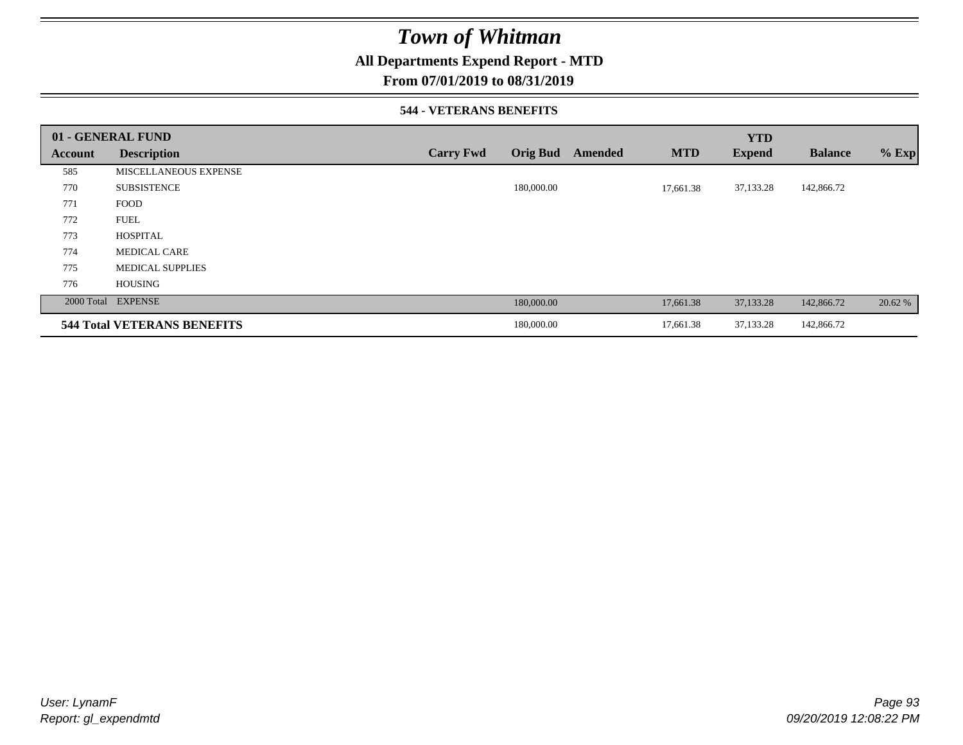### **All Departments Expend Report - MTD**

#### **From 07/01/2019 to 08/31/2019**

#### **544 - VETERANS BENEFITS**

|         | 01 - GENERAL FUND                  |                  |                 |         |            | <b>YTD</b>    |                |         |
|---------|------------------------------------|------------------|-----------------|---------|------------|---------------|----------------|---------|
| Account | <b>Description</b>                 | <b>Carry Fwd</b> | <b>Orig Bud</b> | Amended | <b>MTD</b> | <b>Expend</b> | <b>Balance</b> | $%$ Exp |
| 585     | <b>MISCELLANEOUS EXPENSE</b>       |                  |                 |         |            |               |                |         |
| 770     | <b>SUBSISTENCE</b>                 |                  | 180,000.00      |         | 17,661.38  | 37,133.28     | 142,866.72     |         |
| 771     | <b>FOOD</b>                        |                  |                 |         |            |               |                |         |
| 772     | <b>FUEL</b>                        |                  |                 |         |            |               |                |         |
| 773     | <b>HOSPITAL</b>                    |                  |                 |         |            |               |                |         |
| 774     | <b>MEDICAL CARE</b>                |                  |                 |         |            |               |                |         |
| 775     | <b>MEDICAL SUPPLIES</b>            |                  |                 |         |            |               |                |         |
| 776     | <b>HOUSING</b>                     |                  |                 |         |            |               |                |         |
|         | 2000 Total EXPENSE                 |                  | 180,000.00      |         | 17,661.38  | 37,133.28     | 142,866.72     | 20.62 % |
|         | <b>544 Total VETERANS BENEFITS</b> |                  | 180,000.00      |         | 17,661.38  | 37,133.28     | 142,866.72     |         |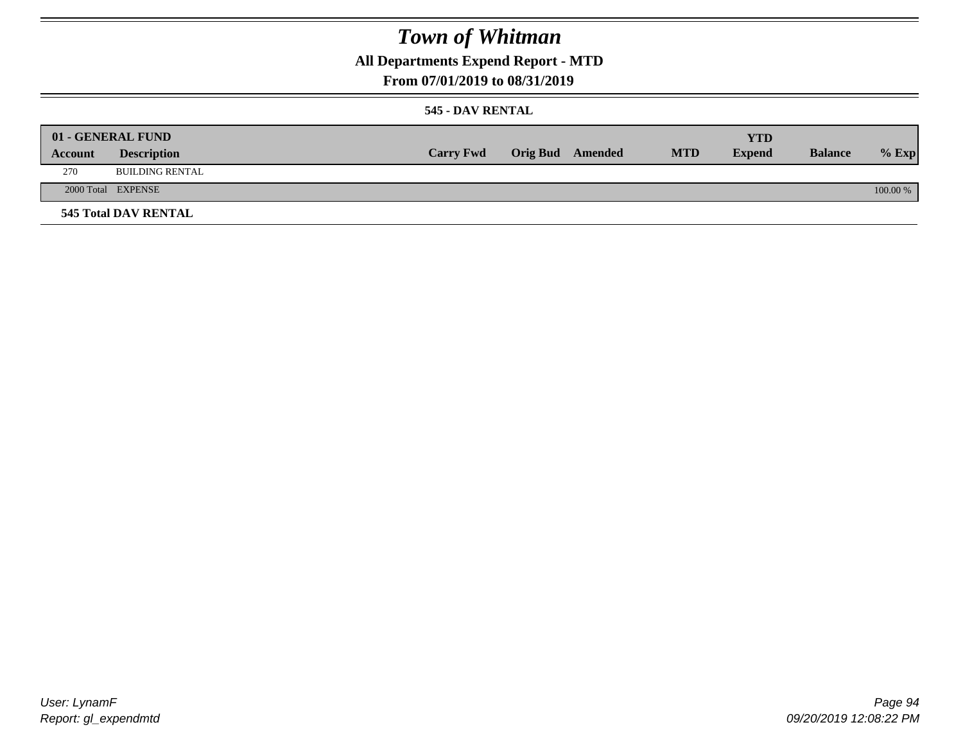**All Departments Expend Report - MTD**

### **From 07/01/2019 to 08/31/2019**

#### **545 - DAV RENTAL**

|         | 01 - GENERAL FUND           |                  |                         |            | <b>YTD</b>    |                |          |
|---------|-----------------------------|------------------|-------------------------|------------|---------------|----------------|----------|
| Account | <b>Description</b>          | <b>Carry Fwd</b> | <b>Orig Bud</b> Amended | <b>MTD</b> | <b>Expend</b> | <b>Balance</b> | $%$ Exp  |
| 270     | <b>BUILDING RENTAL</b>      |                  |                         |            |               |                |          |
|         | 2000 Total EXPENSE          |                  |                         |            |               |                | 100.00 % |
|         | <b>545 Total DAV RENTAL</b> |                  |                         |            |               |                |          |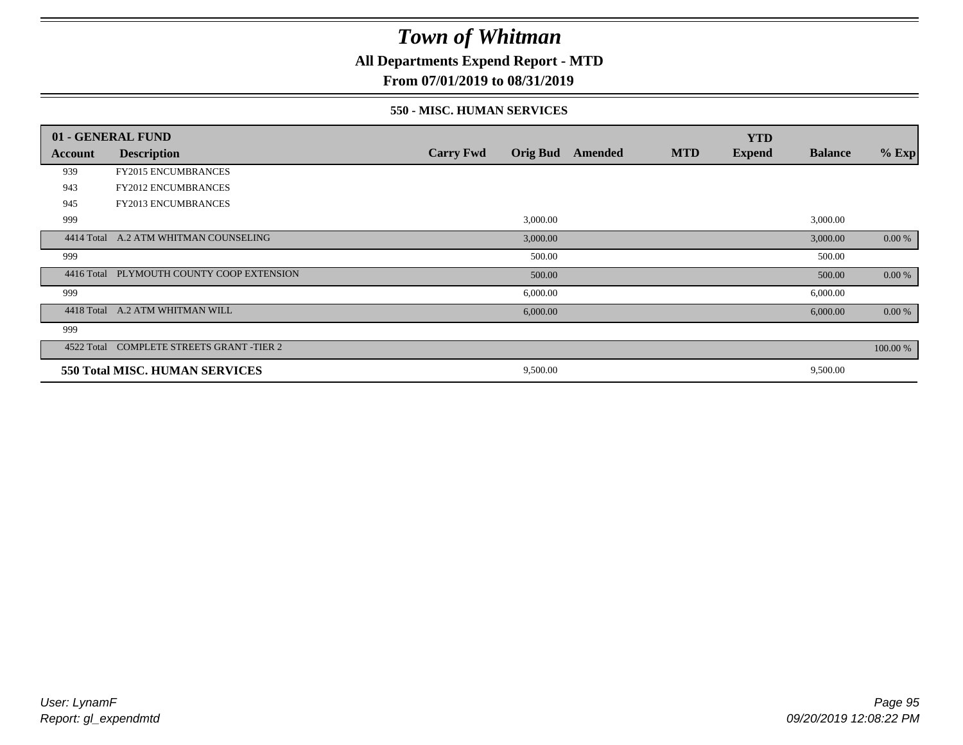**All Departments Expend Report - MTD**

### **From 07/01/2019 to 08/31/2019**

#### **550 - MISC. HUMAN SERVICES**

|                | 01 - GENERAL FUND                         |                  |                 |         |            | <b>YTD</b>    |                |          |
|----------------|-------------------------------------------|------------------|-----------------|---------|------------|---------------|----------------|----------|
| <b>Account</b> | <b>Description</b>                        | <b>Carry Fwd</b> | <b>Orig Bud</b> | Amended | <b>MTD</b> | <b>Expend</b> | <b>Balance</b> | $%$ Exp  |
| 939            | <b>FY2015 ENCUMBRANCES</b>                |                  |                 |         |            |               |                |          |
| 943            | <b>FY2012 ENCUMBRANCES</b>                |                  |                 |         |            |               |                |          |
| 945            | <b>FY2013 ENCUMBRANCES</b>                |                  |                 |         |            |               |                |          |
| 999            |                                           |                  | 3,000.00        |         |            |               | 3,000.00       |          |
| 4414 Total     | A.2 ATM WHITMAN COUNSELING                |                  | 3,000.00        |         |            |               | 3,000.00       | 0.00 %   |
| 999            |                                           |                  | 500.00          |         |            |               | 500.00         |          |
|                | 4416 Total PLYMOUTH COUNTY COOP EXTENSION |                  | 500.00          |         |            |               | 500.00         | 0.00 %   |
| 999            |                                           |                  | 6,000.00        |         |            |               | 6,000.00       |          |
| 4418 Total     | A.2 ATM WHITMAN WILL                      |                  | 6,000.00        |         |            |               | 6,000.00       | 0.00 %   |
| 999            |                                           |                  |                 |         |            |               |                |          |
| 4522 Total     | <b>COMPLETE STREETS GRANT -TIER 2</b>     |                  |                 |         |            |               |                | 100.00 % |
|                | 550 Total MISC. HUMAN SERVICES            |                  | 9,500.00        |         |            |               | 9,500.00       |          |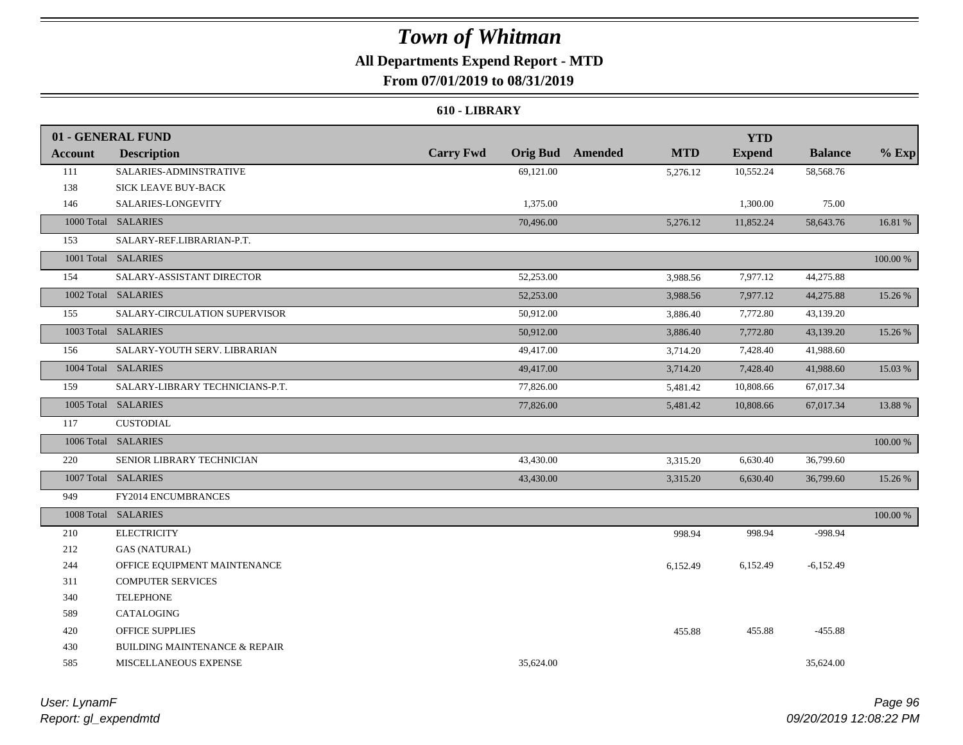### **All Departments Expend Report - MTD**

**From 07/01/2019 to 08/31/2019**

#### **610 - LIBRARY**

|                | 01 - GENERAL FUND                        |                  |           |                         |            | <b>YTD</b>    |                |          |
|----------------|------------------------------------------|------------------|-----------|-------------------------|------------|---------------|----------------|----------|
| <b>Account</b> | <b>Description</b>                       | <b>Carry Fwd</b> |           | <b>Orig Bud</b> Amended | <b>MTD</b> | <b>Expend</b> | <b>Balance</b> | $%$ Exp  |
| 111            | SALARIES-ADMINSTRATIVE                   |                  | 69,121.00 |                         | 5,276.12   | 10,552.24     | 58,568.76      |          |
| 138            | SICK LEAVE BUY-BACK                      |                  |           |                         |            |               |                |          |
| 146            | SALARIES-LONGEVITY                       |                  | 1,375.00  |                         |            | 1,300.00      | 75.00          |          |
|                | 1000 Total SALARIES                      |                  | 70,496.00 |                         | 5,276.12   | 11,852.24     | 58,643.76      | 16.81 %  |
| 153            | SALARY-REF.LIBRARIAN-P.T.                |                  |           |                         |            |               |                |          |
|                | 1001 Total SALARIES                      |                  |           |                         |            |               |                | 100.00 % |
| 154            | SALARY-ASSISTANT DIRECTOR                |                  | 52,253.00 |                         | 3,988.56   | 7,977.12      | 44,275.88      |          |
|                | 1002 Total SALARIES                      |                  | 52,253.00 |                         | 3,988.56   | 7,977.12      | 44,275.88      | 15.26 %  |
| 155            | SALARY-CIRCULATION SUPERVISOR            |                  | 50,912.00 |                         | 3,886.40   | 7,772.80      | 43,139.20      |          |
|                | 1003 Total SALARIES                      |                  | 50,912.00 |                         | 3,886.40   | 7,772.80      | 43,139.20      | 15.26 %  |
| 156            | SALARY-YOUTH SERV. LIBRARIAN             |                  | 49,417.00 |                         | 3,714.20   | 7,428.40      | 41,988.60      |          |
|                | 1004 Total SALARIES                      |                  | 49,417.00 |                         | 3,714.20   | 7,428.40      | 41,988.60      | 15.03 %  |
| 159            | SALARY-LIBRARY TECHNICIANS-P.T.          |                  | 77,826.00 |                         | 5,481.42   | 10,808.66     | 67,017.34      |          |
|                | 1005 Total SALARIES                      |                  | 77,826.00 |                         | 5,481.42   | 10,808.66     | 67,017.34      | 13.88 %  |
| 117            | <b>CUSTODIAL</b>                         |                  |           |                         |            |               |                |          |
|                | 1006 Total SALARIES                      |                  |           |                         |            |               |                | 100.00 % |
| 220            | SENIOR LIBRARY TECHNICIAN                |                  | 43,430.00 |                         | 3,315.20   | 6,630.40      | 36,799.60      |          |
|                | 1007 Total SALARIES                      |                  | 43,430.00 |                         | 3,315.20   | 6,630.40      | 36,799.60      | 15.26 %  |
| 949            | FY2014 ENCUMBRANCES                      |                  |           |                         |            |               |                |          |
|                | 1008 Total SALARIES                      |                  |           |                         |            |               |                | 100.00 % |
| 210            | <b>ELECTRICITY</b>                       |                  |           |                         | 998.94     | 998.94        | -998.94        |          |
| 212            | <b>GAS (NATURAL)</b>                     |                  |           |                         |            |               |                |          |
| 244            | OFFICE EQUIPMENT MAINTENANCE             |                  |           |                         | 6,152.49   | 6,152.49      | $-6,152.49$    |          |
| 311            | <b>COMPUTER SERVICES</b>                 |                  |           |                         |            |               |                |          |
| 340            | <b>TELEPHONE</b>                         |                  |           |                         |            |               |                |          |
| 589            | CATALOGING                               |                  |           |                         |            |               |                |          |
| 420            | <b>OFFICE SUPPLIES</b>                   |                  |           |                         | 455.88     | 455.88        | $-455.88$      |          |
| 430            | <b>BUILDING MAINTENANCE &amp; REPAIR</b> |                  |           |                         |            |               |                |          |
| 585            | MISCELLANEOUS EXPENSE                    |                  | 35,624.00 |                         |            |               | 35,624.00      |          |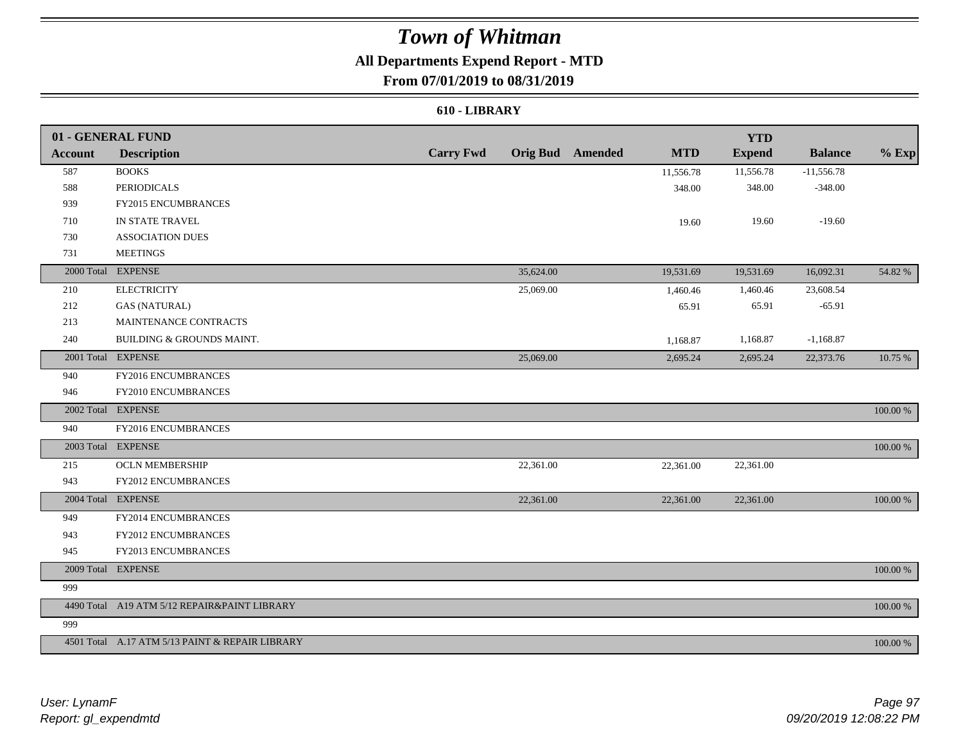### **All Departments Expend Report - MTD**

### **From 07/01/2019 to 08/31/2019**

#### **610 - LIBRARY**

|         | 01 - GENERAL FUND                               |                  |           |                         |            | <b>YTD</b>    |                |             |
|---------|-------------------------------------------------|------------------|-----------|-------------------------|------------|---------------|----------------|-------------|
| Account | <b>Description</b>                              | <b>Carry Fwd</b> |           | <b>Orig Bud</b> Amended | <b>MTD</b> | <b>Expend</b> | <b>Balance</b> | $%$ Exp     |
| 587     | <b>BOOKS</b>                                    |                  |           |                         | 11,556.78  | 11,556.78     | $-11,556.78$   |             |
| 588     | <b>PERIODICALS</b>                              |                  |           |                         | 348.00     | 348.00        | $-348.00$      |             |
| 939     | FY2015 ENCUMBRANCES                             |                  |           |                         |            |               |                |             |
| 710     | IN STATE TRAVEL                                 |                  |           |                         | 19.60      | 19.60         | $-19.60$       |             |
| 730     | <b>ASSOCIATION DUES</b>                         |                  |           |                         |            |               |                |             |
| 731     | <b>MEETINGS</b>                                 |                  |           |                         |            |               |                |             |
|         | 2000 Total EXPENSE                              |                  | 35,624.00 |                         | 19,531.69  | 19,531.69     | 16,092.31      | 54.82 %     |
| 210     | <b>ELECTRICITY</b>                              |                  | 25,069.00 |                         | 1,460.46   | 1,460.46      | 23,608.54      |             |
| 212     | <b>GAS (NATURAL)</b>                            |                  |           |                         | 65.91      | 65.91         | $-65.91$       |             |
| 213     | MAINTENANCE CONTRACTS                           |                  |           |                         |            |               |                |             |
| 240     | BUILDING & GROUNDS MAINT.                       |                  |           |                         | 1,168.87   | 1,168.87      | $-1,168.87$    |             |
|         | 2001 Total EXPENSE                              |                  | 25,069.00 |                         | 2,695.24   | 2,695.24      | 22,373.76      | 10.75 %     |
| 940     | FY2016 ENCUMBRANCES                             |                  |           |                         |            |               |                |             |
| 946     | FY2010 ENCUMBRANCES                             |                  |           |                         |            |               |                |             |
|         | 2002 Total EXPENSE                              |                  |           |                         |            |               |                | 100.00 %    |
| 940     | <b>FY2016 ENCUMBRANCES</b>                      |                  |           |                         |            |               |                |             |
|         | 2003 Total EXPENSE                              |                  |           |                         |            |               |                | 100.00 %    |
| 215     | <b>OCLN MEMBERSHIP</b>                          |                  | 22,361.00 |                         | 22,361.00  | 22,361.00     |                |             |
| 943     | FY2012 ENCUMBRANCES                             |                  |           |                         |            |               |                |             |
|         | 2004 Total EXPENSE                              |                  | 22,361.00 |                         | 22,361.00  | 22,361.00     |                | 100.00 %    |
| 949     | FY2014 ENCUMBRANCES                             |                  |           |                         |            |               |                |             |
| 943     | FY2012 ENCUMBRANCES                             |                  |           |                         |            |               |                |             |
| 945     | FY2013 ENCUMBRANCES                             |                  |           |                         |            |               |                |             |
|         | 2009 Total EXPENSE                              |                  |           |                         |            |               |                | 100.00 %    |
| 999     |                                                 |                  |           |                         |            |               |                |             |
|         | 4490 Total A19 ATM 5/12 REPAIR&PAINT LIBRARY    |                  |           |                         |            |               |                | $100.00~\%$ |
| 999     |                                                 |                  |           |                         |            |               |                |             |
|         | 4501 Total A.17 ATM 5/13 PAINT & REPAIR LIBRARY |                  |           |                         |            |               |                | 100.00 %    |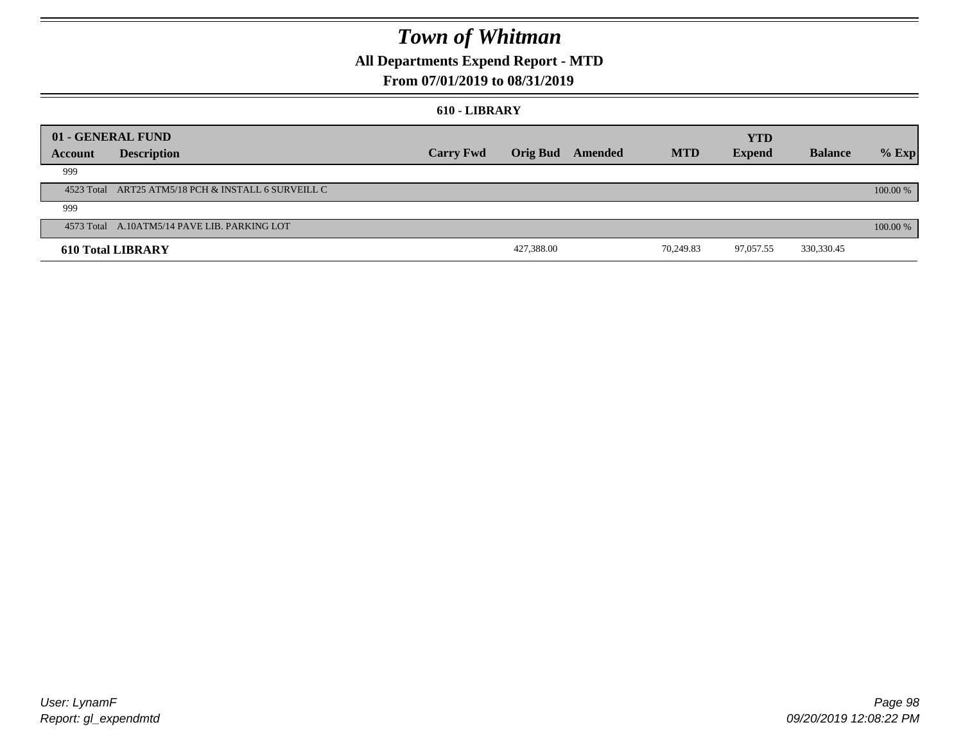### **All Departments Expend Report - MTD**

### **From 07/01/2019 to 08/31/2019**

#### **610 - LIBRARY**

|         | 01 - GENERAL FUND                                   |                  |                 |         |            | <b>YTD</b>    |                |          |
|---------|-----------------------------------------------------|------------------|-----------------|---------|------------|---------------|----------------|----------|
| Account | <b>Description</b>                                  | <b>Carry Fwd</b> | <b>Orig Bud</b> | Amended | <b>MTD</b> | <b>Expend</b> | <b>Balance</b> | $%$ Exp  |
| 999     |                                                     |                  |                 |         |            |               |                |          |
|         | 4523 Total ART25 ATM5/18 PCH & INSTALL 6 SURVEILL C |                  |                 |         |            |               |                | 100.00 % |
| 999     |                                                     |                  |                 |         |            |               |                |          |
|         | 4573 Total A.10ATM5/14 PAVE LIB. PARKING LOT        |                  |                 |         |            |               |                | 100.00 % |
|         | <b>610 Total LIBRARY</b>                            |                  | 427,388.00      |         | 70.249.83  | 97,057.55     | 330,330.45     |          |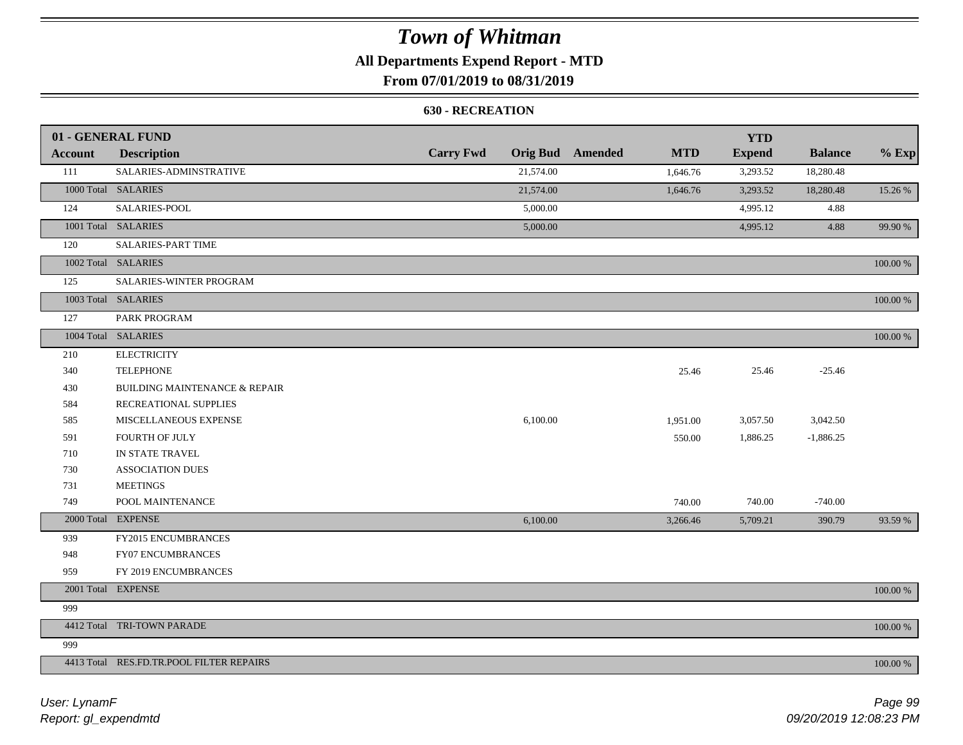### **All Departments Expend Report - MTD**

### **From 07/01/2019 to 08/31/2019**

#### **630 - RECREATION**

|         | 01 - GENERAL FUND                        |                  |           |                         |            | <b>YTD</b>    |                |          |
|---------|------------------------------------------|------------------|-----------|-------------------------|------------|---------------|----------------|----------|
| Account | <b>Description</b>                       | <b>Carry Fwd</b> |           | <b>Orig Bud</b> Amended | <b>MTD</b> | <b>Expend</b> | <b>Balance</b> | $%$ Exp  |
| 111     | SALARIES-ADMINSTRATIVE                   |                  | 21,574.00 |                         | 1,646.76   | 3,293.52      | 18,280.48      |          |
|         | 1000 Total SALARIES                      |                  | 21,574.00 |                         | 1,646.76   | 3,293.52      | 18,280.48      | 15.26 %  |
| 124     | SALARIES-POOL                            |                  | 5,000.00  |                         |            | 4,995.12      | 4.88           |          |
|         | 1001 Total SALARIES                      |                  | 5,000.00  |                         |            | 4,995.12      | 4.88           | 99.90 %  |
| 120     | <b>SALARIES-PART TIME</b>                |                  |           |                         |            |               |                |          |
|         | 1002 Total SALARIES                      |                  |           |                         |            |               |                | 100.00 % |
| 125     | SALARIES-WINTER PROGRAM                  |                  |           |                         |            |               |                |          |
|         | 1003 Total SALARIES                      |                  |           |                         |            |               |                | 100.00 % |
| 127     | PARK PROGRAM                             |                  |           |                         |            |               |                |          |
|         | 1004 Total SALARIES                      |                  |           |                         |            |               |                | 100.00 % |
| 210     | <b>ELECTRICITY</b>                       |                  |           |                         |            |               |                |          |
| 340     | <b>TELEPHONE</b>                         |                  |           |                         | 25.46      | 25.46         | $-25.46$       |          |
| 430     | <b>BUILDING MAINTENANCE &amp; REPAIR</b> |                  |           |                         |            |               |                |          |
| 584     | RECREATIONAL SUPPLIES                    |                  |           |                         |            |               |                |          |
| 585     | MISCELLANEOUS EXPENSE                    |                  | 6,100.00  |                         | 1,951.00   | 3,057.50      | 3,042.50       |          |
| 591     | <b>FOURTH OF JULY</b>                    |                  |           |                         | 550.00     | 1,886.25      | $-1,886.25$    |          |
| 710     | IN STATE TRAVEL                          |                  |           |                         |            |               |                |          |
| 730     | <b>ASSOCIATION DUES</b>                  |                  |           |                         |            |               |                |          |
| 731     | <b>MEETINGS</b>                          |                  |           |                         |            |               |                |          |
| 749     | POOL MAINTENANCE                         |                  |           |                         | 740.00     | 740.00        | $-740.00$      |          |
|         | 2000 Total EXPENSE                       |                  | 6,100.00  |                         | 3,266.46   | 5,709.21      | 390.79         | 93.59 %  |
| 939     | FY2015 ENCUMBRANCES                      |                  |           |                         |            |               |                |          |
| 948     | <b>FY07 ENCUMBRANCES</b>                 |                  |           |                         |            |               |                |          |
| 959     | FY 2019 ENCUMBRANCES                     |                  |           |                         |            |               |                |          |
|         | 2001 Total EXPENSE                       |                  |           |                         |            |               |                | 100.00 % |
| 999     |                                          |                  |           |                         |            |               |                |          |
|         | 4412 Total TRI-TOWN PARADE               |                  |           |                         |            |               |                | 100.00 % |
| 999     |                                          |                  |           |                         |            |               |                |          |
|         | 4413 Total RES.FD.TR.POOL FILTER REPAIRS |                  |           |                         |            |               |                | 100.00 % |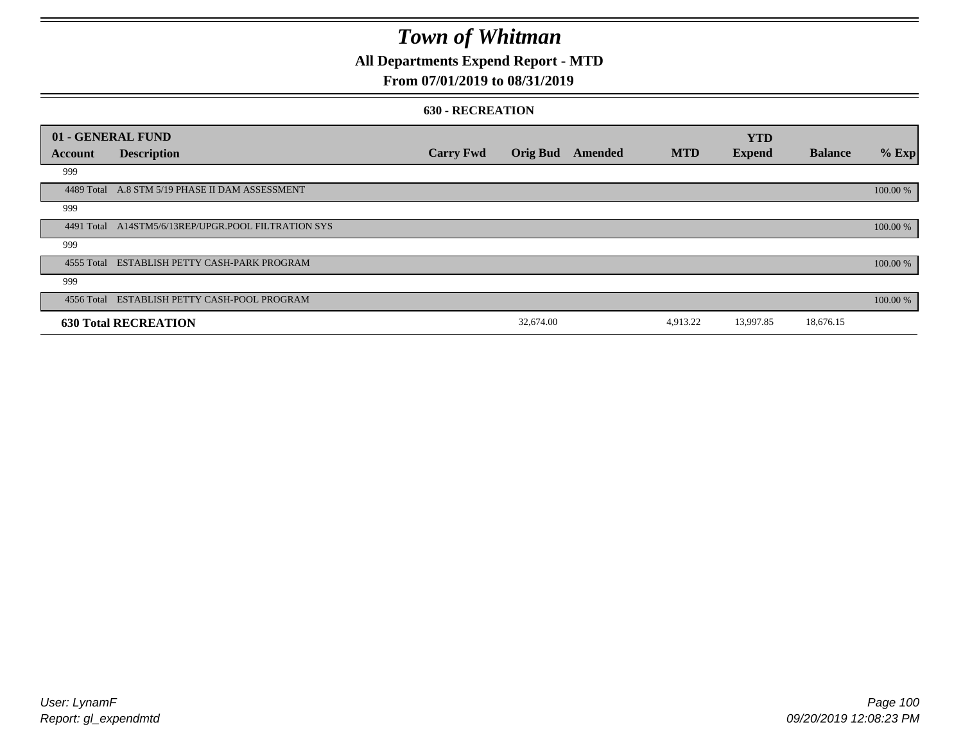### **All Departments Expend Report - MTD**

### **From 07/01/2019 to 08/31/2019**

#### **630 - RECREATION**

| 01 - GENERAL FUND |                                                     |                  |                 |         |            | <b>YTD</b>    |                |          |
|-------------------|-----------------------------------------------------|------------------|-----------------|---------|------------|---------------|----------------|----------|
| Account           | <b>Description</b>                                  | <b>Carry Fwd</b> | <b>Orig Bud</b> | Amended | <b>MTD</b> | <b>Expend</b> | <b>Balance</b> | $%$ Exp  |
| 999               |                                                     |                  |                 |         |            |               |                |          |
|                   | 4489 Total A.8 STM 5/19 PHASE II DAM ASSESSMENT     |                  |                 |         |            |               |                | 100.00 % |
| 999               |                                                     |                  |                 |         |            |               |                |          |
|                   | 4491 Total A14STM5/6/13REP/UPGR.POOL FILTRATION SYS |                  |                 |         |            |               |                | 100.00 % |
| 999               |                                                     |                  |                 |         |            |               |                |          |
|                   | 4555 Total ESTABLISH PETTY CASH-PARK PROGRAM        |                  |                 |         |            |               |                | 100.00 % |
| 999               |                                                     |                  |                 |         |            |               |                |          |
|                   | 4556 Total ESTABLISH PETTY CASH-POOL PROGRAM        |                  |                 |         |            |               |                | 100.00 % |
|                   | <b>630 Total RECREATION</b>                         |                  | 32,674.00       |         | 4,913.22   | 13,997.85     | 18,676.15      |          |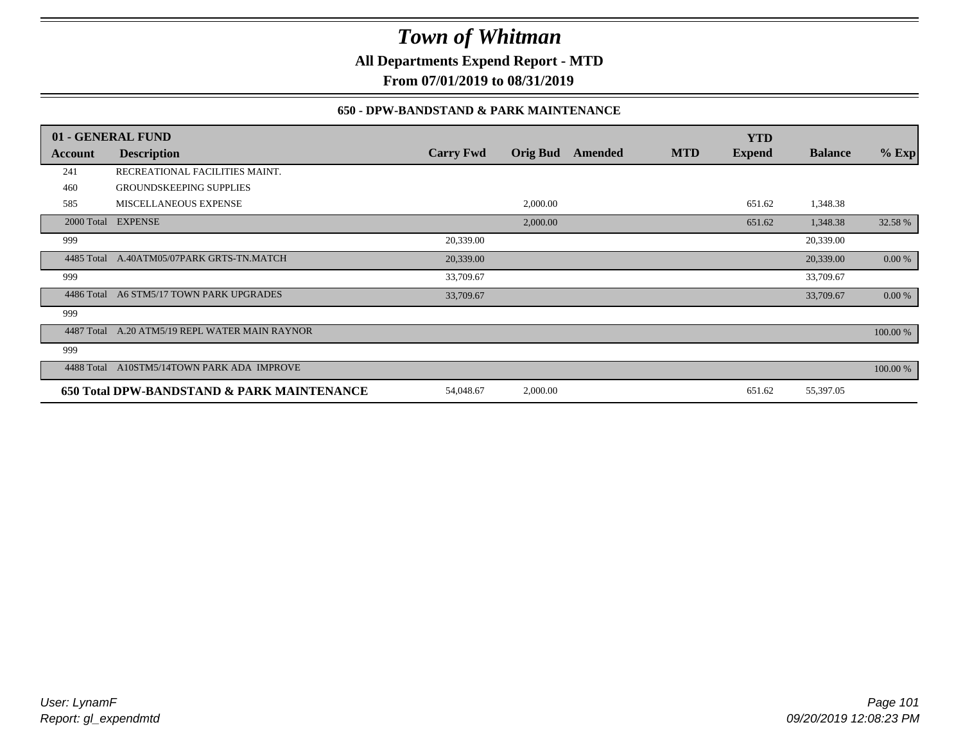**All Departments Expend Report - MTD**

**From 07/01/2019 to 08/31/2019**

### **650 - DPW-BANDSTAND & PARK MAINTENANCE**

|            | 01 - GENERAL FUND                          |                  |                 |         |            | <b>YTD</b>    |                |           |
|------------|--------------------------------------------|------------------|-----------------|---------|------------|---------------|----------------|-----------|
| Account    | <b>Description</b>                         | <b>Carry Fwd</b> | <b>Orig Bud</b> | Amended | <b>MTD</b> | <b>Expend</b> | <b>Balance</b> | $%$ Exp   |
| 241        | RECREATIONAL FACILITIES MAINT.             |                  |                 |         |            |               |                |           |
| 460        | <b>GROUNDSKEEPING SUPPLIES</b>             |                  |                 |         |            |               |                |           |
| 585        | <b>MISCELLANEOUS EXPENSE</b>               |                  | 2,000.00        |         |            | 651.62        | 1,348.38       |           |
|            | 2000 Total EXPENSE                         |                  | 2,000.00        |         |            | 651.62        | 1,348.38       | 32.58 %   |
| 999        |                                            | 20,339.00        |                 |         |            |               | 20,339.00      |           |
| 4485 Total | A.40ATM05/07PARK GRTS-TN.MATCH             | 20,339.00        |                 |         |            |               | 20,339.00      | 0.00 %    |
| 999        |                                            | 33,709.67        |                 |         |            |               | 33,709.67      |           |
| 4486 Total | A6 STM5/17 TOWN PARK UPGRADES              | 33,709.67        |                 |         |            |               | 33,709.67      | $0.00 \%$ |
| 999        |                                            |                  |                 |         |            |               |                |           |
| 4487 Total | A.20 ATM5/19 REPL WATER MAIN RAYNOR        |                  |                 |         |            |               |                | 100.00 %  |
| 999        |                                            |                  |                 |         |            |               |                |           |
| 4488 Total | A10STM5/14TOWN PARK ADA IMPROVE            |                  |                 |         |            |               |                | 100.00 %  |
|            | 650 Total DPW-BANDSTAND & PARK MAINTENANCE | 54,048.67        | 2,000.00        |         |            | 651.62        | 55,397.05      |           |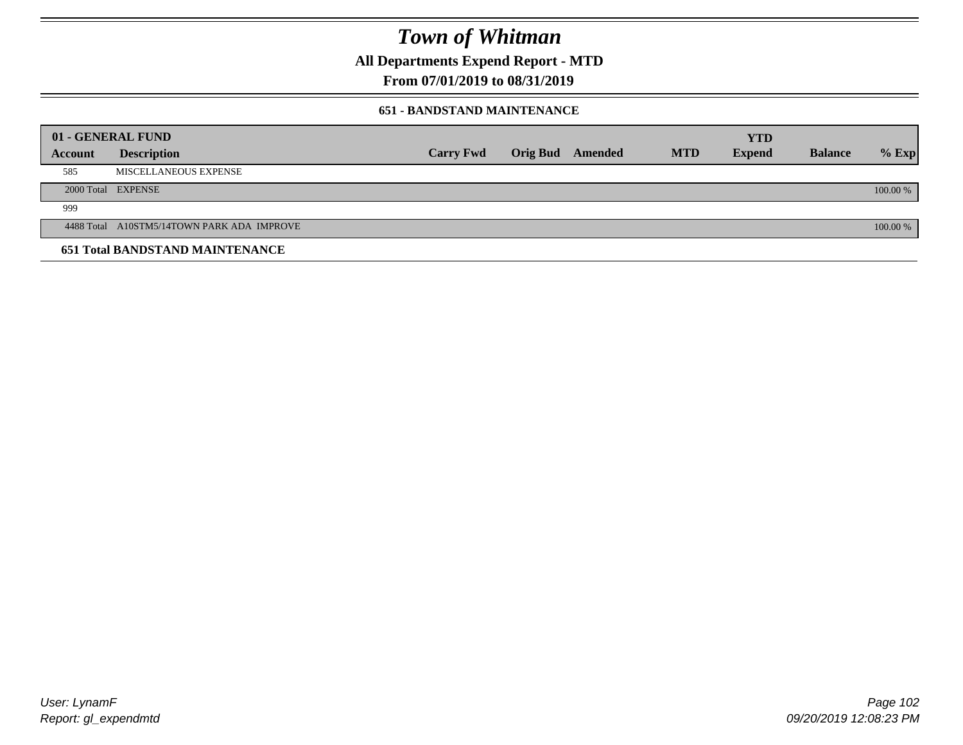**All Departments Expend Report - MTD**

**From 07/01/2019 to 08/31/2019**

#### **651 - BANDSTAND MAINTENANCE**

| 01 - GENERAL FUND |                                            |                  |                         |            | <b>YTD</b>    |                |          |
|-------------------|--------------------------------------------|------------------|-------------------------|------------|---------------|----------------|----------|
| <b>Account</b>    | <b>Description</b>                         | <b>Carry Fwd</b> | <b>Orig Bud</b> Amended | <b>MTD</b> | <b>Expend</b> | <b>Balance</b> | $%$ Exp  |
| 585               | MISCELLANEOUS EXPENSE                      |                  |                         |            |               |                |          |
|                   | 2000 Total EXPENSE                         |                  |                         |            |               |                | 100.00 % |
| 999               |                                            |                  |                         |            |               |                |          |
|                   | 4488 Total A10STM5/14TOWN PARK ADA IMPROVE |                  |                         |            |               |                | 100.00 % |
|                   | <b>651 Total BANDSTAND MAINTENANCE</b>     |                  |                         |            |               |                |          |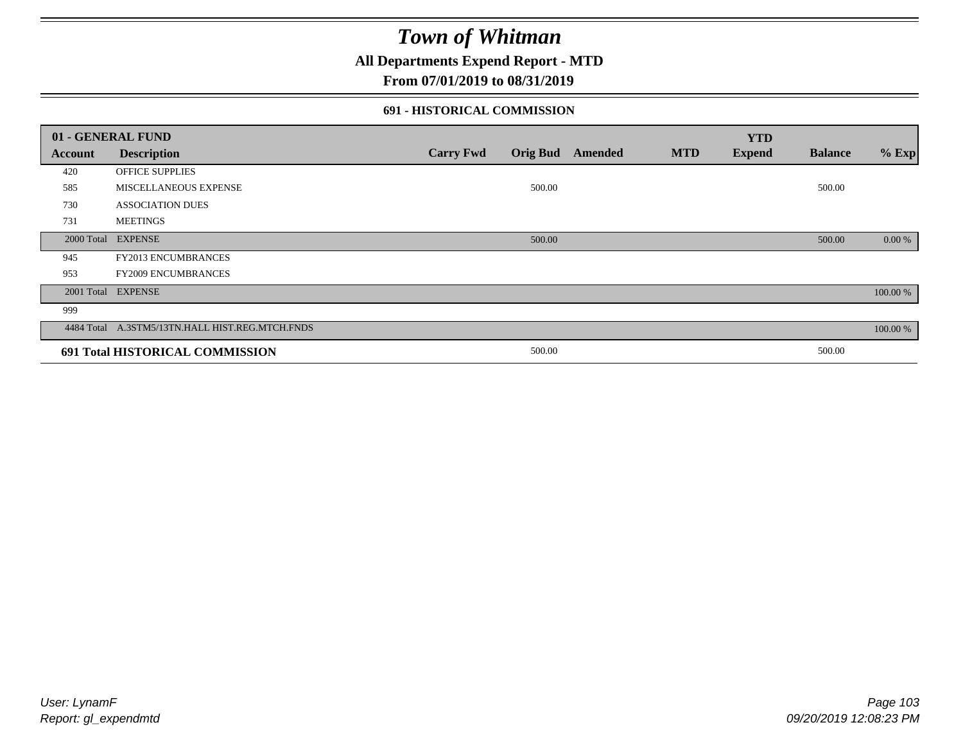**All Departments Expend Report - MTD**

### **From 07/01/2019 to 08/31/2019**

#### **691 - HISTORICAL COMMISSION**

| 01 - GENERAL FUND |                                                 |                  |                 |         |            | <b>YTD</b>    |                |          |
|-------------------|-------------------------------------------------|------------------|-----------------|---------|------------|---------------|----------------|----------|
| Account           | <b>Description</b>                              | <b>Carry Fwd</b> | <b>Orig Bud</b> | Amended | <b>MTD</b> | <b>Expend</b> | <b>Balance</b> | $%$ Exp  |
| 420               | OFFICE SUPPLIES                                 |                  |                 |         |            |               |                |          |
| 585               | MISCELLANEOUS EXPENSE                           |                  | 500.00          |         |            |               | 500.00         |          |
| 730               | <b>ASSOCIATION DUES</b>                         |                  |                 |         |            |               |                |          |
| 731               | <b>MEETINGS</b>                                 |                  |                 |         |            |               |                |          |
| 2000 Total        | <b>EXPENSE</b>                                  |                  | 500.00          |         |            |               | 500.00         | 0.00 %   |
| 945               | <b>FY2013 ENCUMBRANCES</b>                      |                  |                 |         |            |               |                |          |
| 953               | <b>FY2009 ENCUMBRANCES</b>                      |                  |                 |         |            |               |                |          |
|                   | 2001 Total EXPENSE                              |                  |                 |         |            |               |                | 100.00 % |
| 999               |                                                 |                  |                 |         |            |               |                |          |
|                   | 4484 Total A.3STM5/13TN.HALL HIST.REG.MTCH.FNDS |                  |                 |         |            |               |                | 100.00 % |
|                   | 691 Total HISTORICAL COMMISSION                 |                  | 500.00          |         |            |               | 500.00         |          |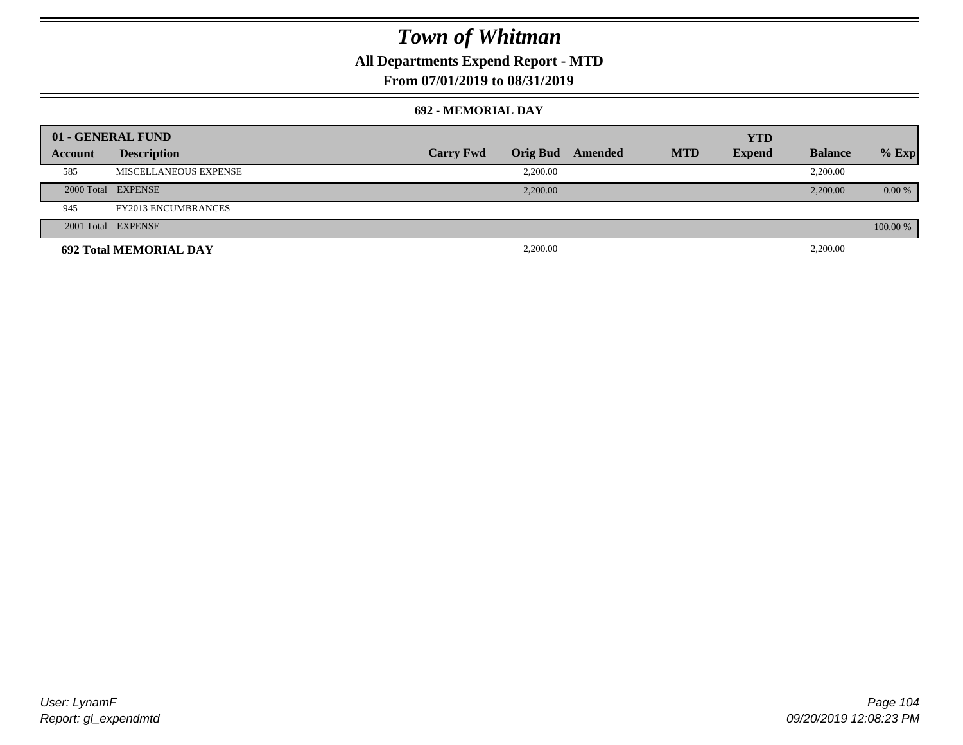### **All Departments Expend Report - MTD**

### **From 07/01/2019 to 08/31/2019**

#### **692 - MEMORIAL DAY**

| 01 - GENERAL FUND |                               |                  |                 |         |            | <b>YTD</b>    |                |          |
|-------------------|-------------------------------|------------------|-----------------|---------|------------|---------------|----------------|----------|
| Account           | <b>Description</b>            | <b>Carry Fwd</b> | <b>Orig Bud</b> | Amended | <b>MTD</b> | <b>Expend</b> | <b>Balance</b> | $%$ Exp  |
| 585               | MISCELLANEOUS EXPENSE         |                  | 2,200.00        |         |            |               | 2,200.00       |          |
|                   | 2000 Total EXPENSE            |                  | 2,200.00        |         |            |               | 2,200.00       | $0.00\%$ |
| 945               | <b>FY2013 ENCUMBRANCES</b>    |                  |                 |         |            |               |                |          |
|                   | 2001 Total EXPENSE            |                  |                 |         |            |               |                | 100.00 % |
|                   | <b>692 Total MEMORIAL DAY</b> |                  | 2,200.00        |         |            |               | 2,200.00       |          |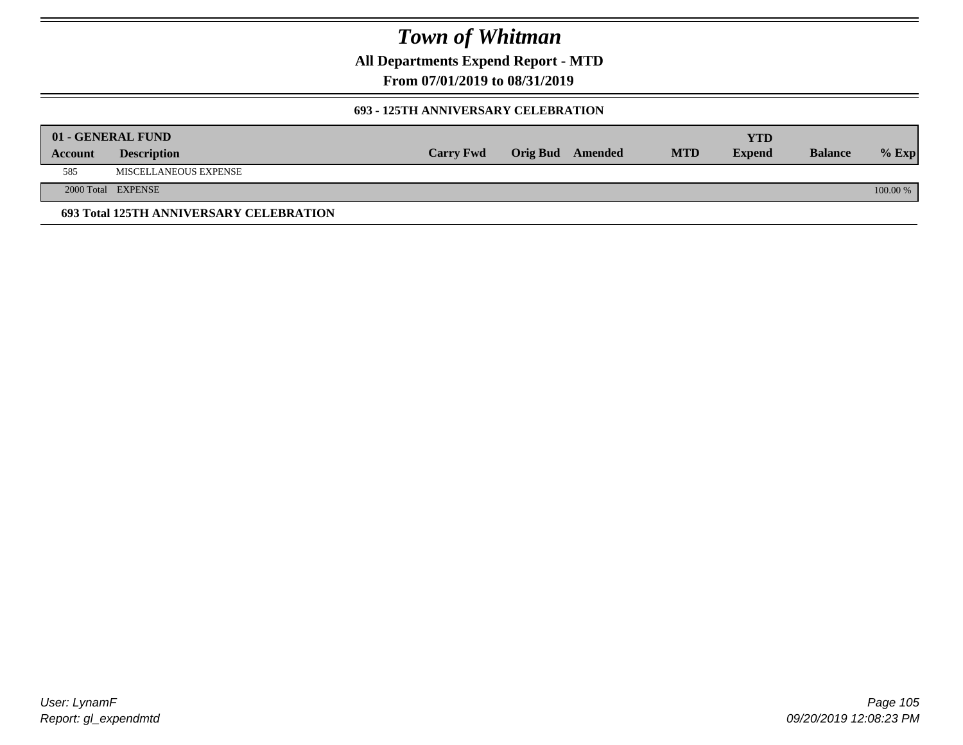**All Departments Expend Report - MTD**

**From 07/01/2019 to 08/31/2019**

#### **693 - 125TH ANNIVERSARY CELEBRATION**

|         | 01 - GENERAL FUND                       |                  |                         |            | YTD           |                |          |
|---------|-----------------------------------------|------------------|-------------------------|------------|---------------|----------------|----------|
| Account | <b>Description</b>                      | <b>Carry Fwd</b> | <b>Orig Bud</b> Amended | <b>MTD</b> | <b>Expend</b> | <b>Balance</b> | $%$ Exp  |
| 585     | MISCELLANEOUS EXPENSE                   |                  |                         |            |               |                |          |
|         | 2000 Total EXPENSE                      |                  |                         |            |               |                | 100.00 % |
|         | 693 Total 125TH ANNIVERSARY CELEBRATION |                  |                         |            |               |                |          |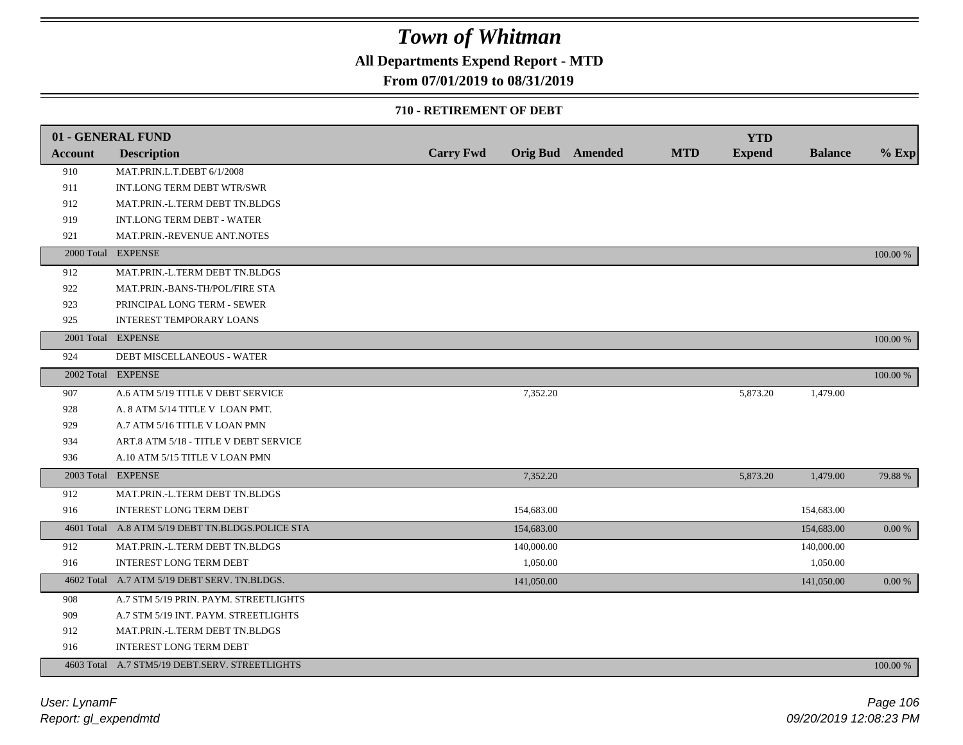### **All Departments Expend Report - MTD**

### **From 07/01/2019 to 08/31/2019**

#### **710 - RETIREMENT OF DEBT**

|                | 01 - GENERAL FUND                                |                  |                         |            | <b>YTD</b>    |                |          |
|----------------|--------------------------------------------------|------------------|-------------------------|------------|---------------|----------------|----------|
| <b>Account</b> | <b>Description</b>                               | <b>Carry Fwd</b> | <b>Orig Bud</b> Amended | <b>MTD</b> | <b>Expend</b> | <b>Balance</b> | $%$ Exp  |
| 910            | MAT.PRIN.L.T.DEBT 6/1/2008                       |                  |                         |            |               |                |          |
| 911            | INT.LONG TERM DEBT WTR/SWR                       |                  |                         |            |               |                |          |
| 912            | MAT.PRIN.-L.TERM DEBT TN.BLDGS                   |                  |                         |            |               |                |          |
| 919            | <b>INT.LONG TERM DEBT - WATER</b>                |                  |                         |            |               |                |          |
| 921            | MAT.PRIN.-REVENUE ANT.NOTES                      |                  |                         |            |               |                |          |
|                | 2000 Total EXPENSE                               |                  |                         |            |               |                | 100.00 % |
| 912            | MAT.PRIN.-L.TERM DEBT TN.BLDGS                   |                  |                         |            |               |                |          |
| 922            | MAT.PRIN.-BANS-TH/POL/FIRE STA                   |                  |                         |            |               |                |          |
| 923            | PRINCIPAL LONG TERM - SEWER                      |                  |                         |            |               |                |          |
| 925            | <b>INTEREST TEMPORARY LOANS</b>                  |                  |                         |            |               |                |          |
|                | 2001 Total EXPENSE                               |                  |                         |            |               |                | 100.00 % |
| 924            | DEBT MISCELLANEOUS - WATER                       |                  |                         |            |               |                |          |
|                | 2002 Total EXPENSE                               |                  |                         |            |               |                | 100.00 % |
| 907            | A.6 ATM 5/19 TITLE V DEBT SERVICE                |                  | 7,352.20                |            | 5,873.20      | 1,479.00       |          |
| 928            | A. 8 ATM 5/14 TITLE V LOAN PMT.                  |                  |                         |            |               |                |          |
| 929            | A.7 ATM 5/16 TITLE V LOAN PMN                    |                  |                         |            |               |                |          |
| 934            | ART.8 ATM 5/18 - TITLE V DEBT SERVICE            |                  |                         |            |               |                |          |
| 936            | A.10 ATM 5/15 TITLE V LOAN PMN                   |                  |                         |            |               |                |          |
|                | 2003 Total EXPENSE                               |                  | 7,352.20                |            | 5,873.20      | 1,479.00       | 79.88 %  |
| 912            | MAT.PRIN.-L.TERM DEBT TN.BLDGS                   |                  |                         |            |               |                |          |
| 916            | <b>INTEREST LONG TERM DEBT</b>                   |                  | 154,683.00              |            |               | 154,683.00     |          |
|                | 4601 Total A.8 ATM 5/19 DEBT TN.BLDGS.POLICE STA |                  | 154,683.00              |            |               | 154,683.00     | 0.00 %   |
| 912            | MAT.PRIN.-L.TERM DEBT TN.BLDGS                   |                  | 140,000.00              |            |               | 140,000.00     |          |
| 916            | <b>INTEREST LONG TERM DEBT</b>                   |                  | 1,050.00                |            |               | 1,050.00       |          |
|                | 4602 Total A.7 ATM 5/19 DEBT SERV. TN.BLDGS.     |                  | 141,050.00              |            |               | 141,050.00     | 0.00 %   |
| 908            | A.7 STM 5/19 PRIN. PAYM. STREETLIGHTS            |                  |                         |            |               |                |          |
| 909            | A.7 STM 5/19 INT. PAYM. STREETLIGHTS             |                  |                         |            |               |                |          |
| 912            | MAT.PRIN.-L.TERM DEBT TN.BLDGS                   |                  |                         |            |               |                |          |
| 916            | <b>INTEREST LONG TERM DEBT</b>                   |                  |                         |            |               |                |          |
|                | 4603 Total A.7 STM5/19 DEBT.SERV. STREETLIGHTS   |                  |                         |            |               |                | 100.00 % |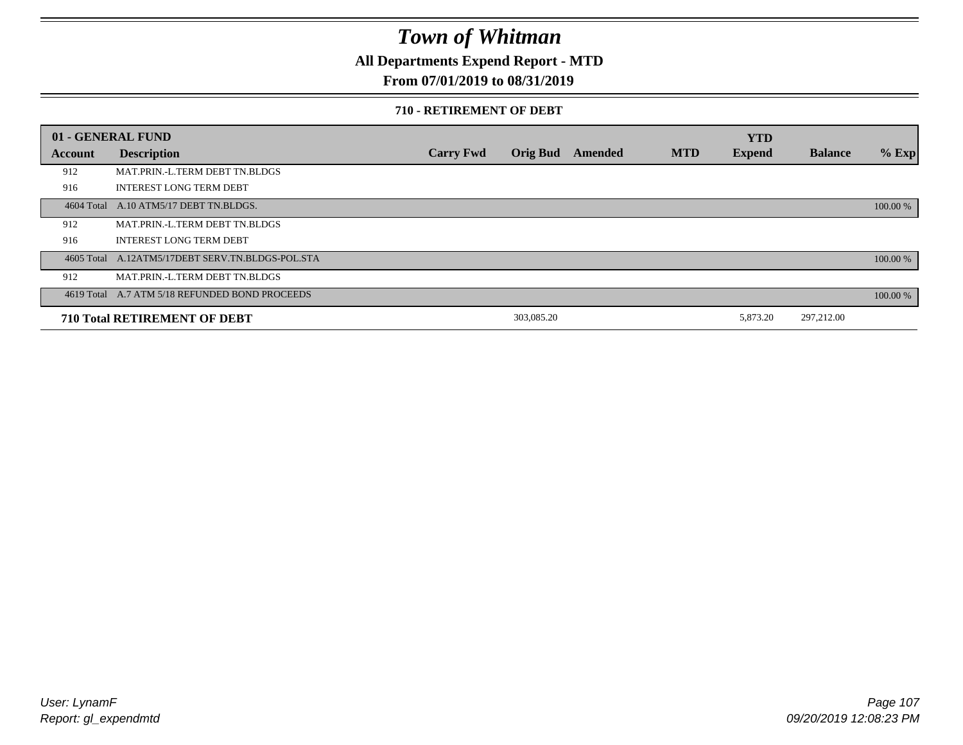**All Departments Expend Report - MTD**

### **From 07/01/2019 to 08/31/2019**

#### **710 - RETIREMENT OF DEBT**

|         | 01 - GENERAL FUND                                |                  |                 |         |            | <b>YTD</b>    |                |          |
|---------|--------------------------------------------------|------------------|-----------------|---------|------------|---------------|----------------|----------|
| Account | <b>Description</b>                               | <b>Carry Fwd</b> | <b>Orig Bud</b> | Amended | <b>MTD</b> | <b>Expend</b> | <b>Balance</b> | $%$ Exp  |
| 912     | MAT.PRIN.-L.TERM DEBT TN.BLDGS                   |                  |                 |         |            |               |                |          |
| 916     | <b>INTEREST LONG TERM DEBT</b>                   |                  |                 |         |            |               |                |          |
|         | 4604 Total A.10 ATM5/17 DEBT TN.BLDGS.           |                  |                 |         |            |               |                | 100.00 % |
| 912     | MAT.PRIN.-L.TERM DEBT TN.BLDGS                   |                  |                 |         |            |               |                |          |
| 916     | <b>INTEREST LONG TERM DEBT</b>                   |                  |                 |         |            |               |                |          |
|         | 4605 Total A.12ATM5/17DEBT SERV.TN.BLDGS-POL.STA |                  |                 |         |            |               |                | 100.00 % |
| 912     | MAT.PRIN.-L.TERM DEBT TN.BLDGS                   |                  |                 |         |            |               |                |          |
|         | 4619 Total A.7 ATM 5/18 REFUNDED BOND PROCEEDS   |                  |                 |         |            |               |                | 100.00 % |
|         | <b>710 Total RETIREMENT OF DEBT</b>              |                  | 303,085.20      |         |            | 5,873.20      | 297,212.00     |          |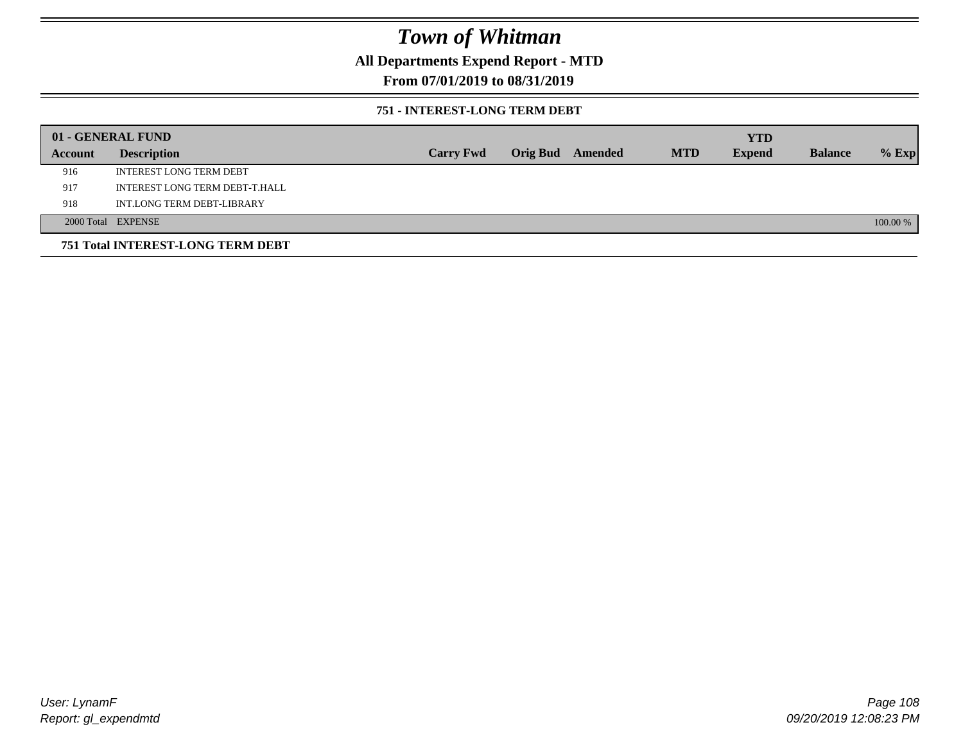### **All Departments Expend Report - MTD**

### **From 07/01/2019 to 08/31/2019**

#### **751 - INTEREST-LONG TERM DEBT**

|         | 01 - GENERAL FUND                 |                  |                  |            | <b>YTD</b>    |                |          |
|---------|-----------------------------------|------------------|------------------|------------|---------------|----------------|----------|
| Account | <b>Description</b>                | <b>Carry Fwd</b> | Orig Bud Amended | <b>MTD</b> | <b>Expend</b> | <b>Balance</b> | $%$ Exp  |
| 916     | <b>INTEREST LONG TERM DEBT</b>    |                  |                  |            |               |                |          |
| 917     | INTEREST LONG TERM DEBT-T.HALL    |                  |                  |            |               |                |          |
| 918     | INT.LONG TERM DEBT-LIBRARY        |                  |                  |            |               |                |          |
|         | 2000 Total EXPENSE                |                  |                  |            |               |                | 100.00 % |
|         | 751 Total INTEREST-LONG TERM DEBT |                  |                  |            |               |                |          |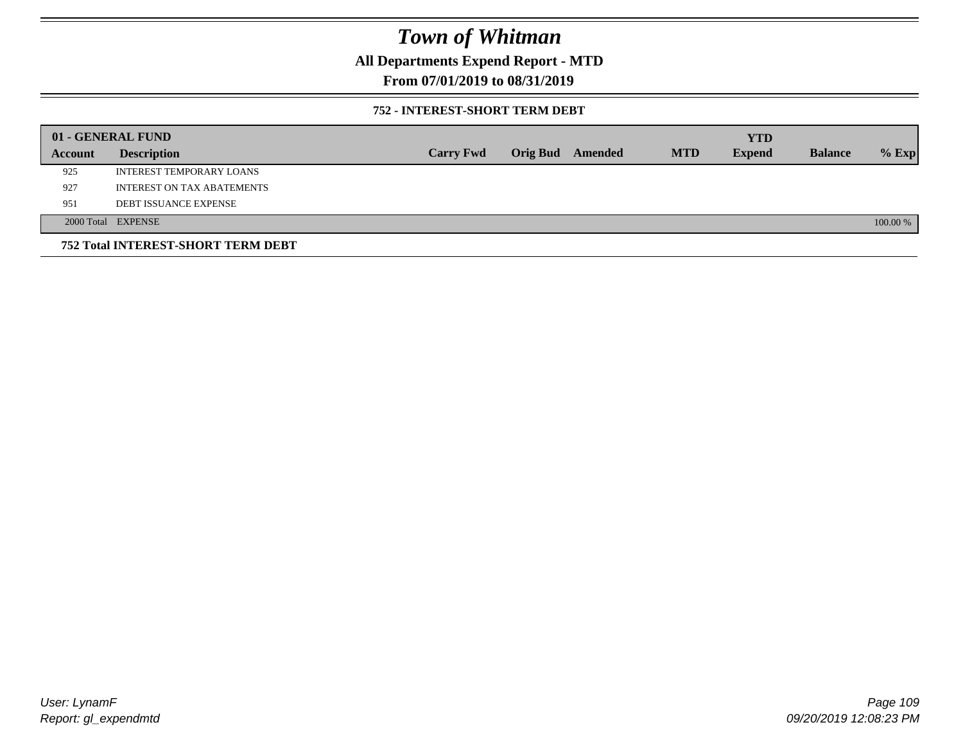**All Departments Expend Report - MTD**

**From 07/01/2019 to 08/31/2019**

### **752 - INTEREST-SHORT TERM DEBT**

|         | 01 - GENERAL FUND                         |                  |                 |         |            | <b>YTD</b>    |                |          |
|---------|-------------------------------------------|------------------|-----------------|---------|------------|---------------|----------------|----------|
| Account | <b>Description</b>                        | <b>Carry Fwd</b> | <b>Orig Bud</b> | Amended | <b>MTD</b> | <b>Expend</b> | <b>Balance</b> | $%$ Exp  |
| 925     | INTEREST TEMPORARY LOANS                  |                  |                 |         |            |               |                |          |
| 927     | INTEREST ON TAX ABATEMENTS                |                  |                 |         |            |               |                |          |
| 951     | <b>DEBT ISSUANCE EXPENSE</b>              |                  |                 |         |            |               |                |          |
|         | 2000 Total EXPENSE                        |                  |                 |         |            |               |                | 100.00 % |
|         | <b>752 Total INTEREST-SHORT TERM DEBT</b> |                  |                 |         |            |               |                |          |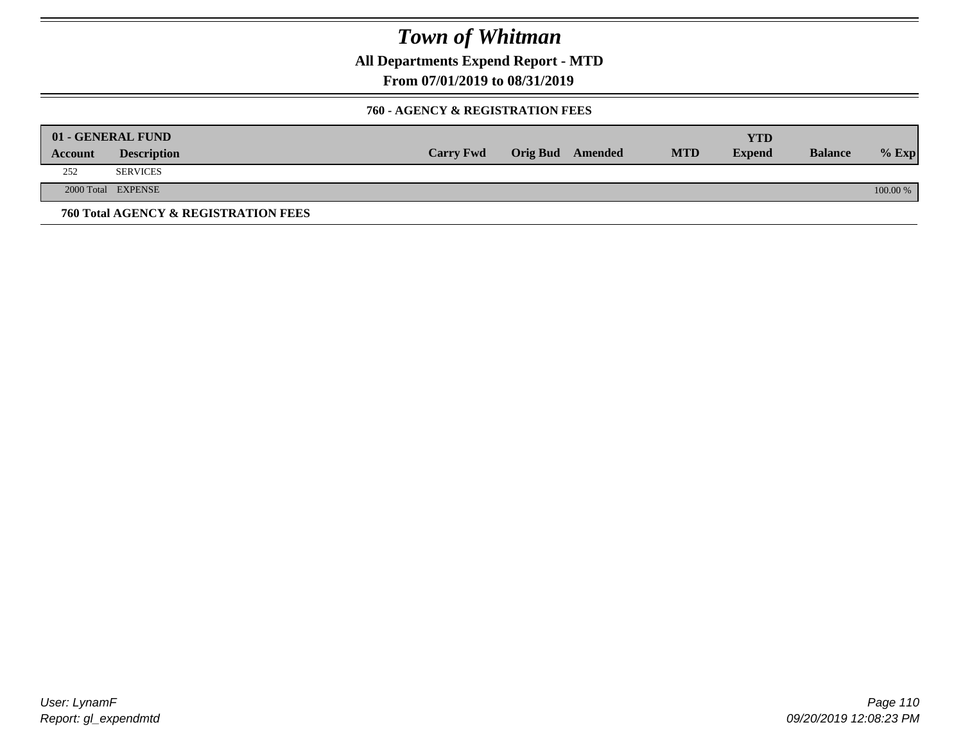**All Departments Expend Report - MTD**

**From 07/01/2019 to 08/31/2019**

### **760 - AGENCY & REGISTRATION FEES**

|         | 01 - GENERAL FUND                    |                  |                  |            | YTD           |                |          |
|---------|--------------------------------------|------------------|------------------|------------|---------------|----------------|----------|
| Account | <b>Description</b>                   | <b>Carry Fwd</b> | Orig Bud Amended | <b>MTD</b> | <b>Expend</b> | <b>Balance</b> | $%$ Exp  |
| 252     | <b>SERVICES</b>                      |                  |                  |            |               |                |          |
|         | 2000 Total EXPENSE                   |                  |                  |            |               |                | 100.00 % |
|         | 760 Total AGENCY & REGISTRATION FEES |                  |                  |            |               |                |          |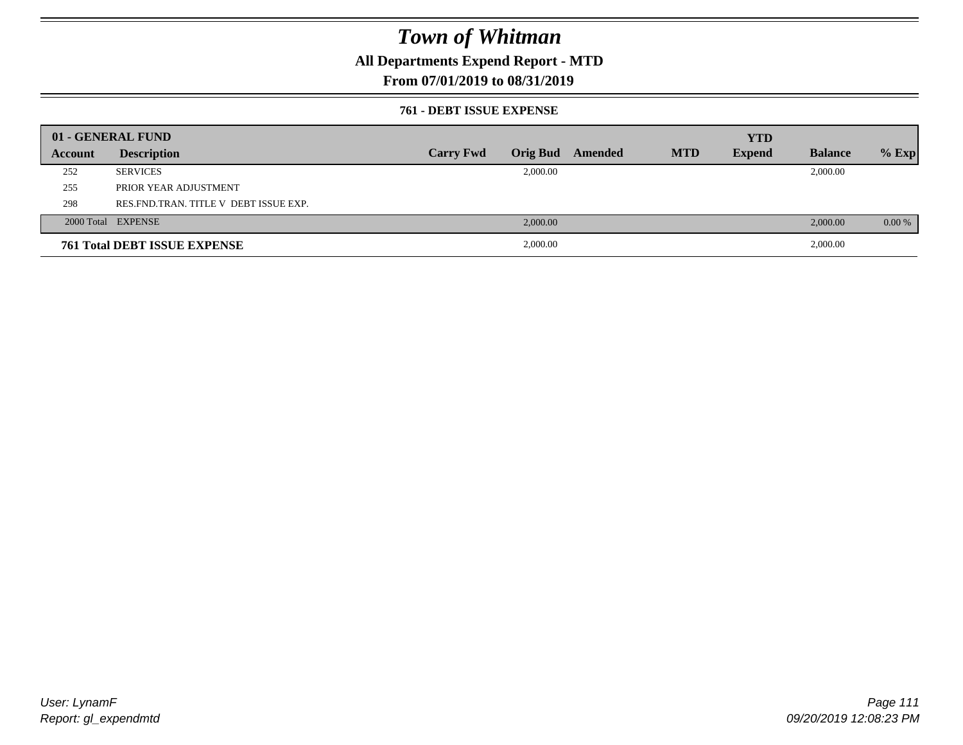### **All Departments Expend Report - MTD**

### **From 07/01/2019 to 08/31/2019**

#### **761 - DEBT ISSUE EXPENSE**

|         | 01 - GENERAL FUND                       |                  |          |                  |            | <b>YTD</b>    |                |          |
|---------|-----------------------------------------|------------------|----------|------------------|------------|---------------|----------------|----------|
| Account | <b>Description</b>                      | <b>Carry Fwd</b> |          | Orig Bud Amended | <b>MTD</b> | <b>Expend</b> | <b>Balance</b> | $%$ Exp  |
| 252     | <b>SERVICES</b>                         |                  | 2,000.00 |                  |            |               | 2,000.00       |          |
| 255     | PRIOR YEAR ADJUSTMENT                   |                  |          |                  |            |               |                |          |
| 298     | RES. FND. TRAN. TITLE V DEBT ISSUE EXP. |                  |          |                  |            |               |                |          |
|         | 2000 Total EXPENSE                      |                  | 2,000.00 |                  |            |               | 2,000.00       | $0.00\%$ |
|         | <b>761 Total DEBT ISSUE EXPENSE</b>     |                  | 2,000.00 |                  |            |               | 2,000.00       |          |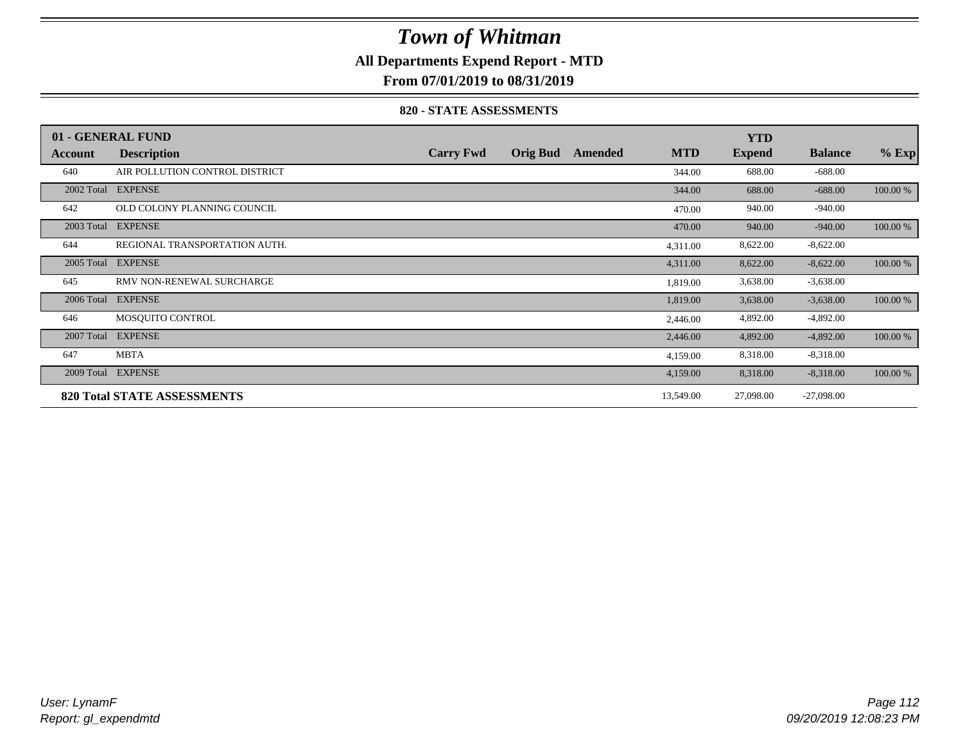### **All Departments Expend Report - MTD**

**From 07/01/2019 to 08/31/2019**

#### **820 - STATE ASSESSMENTS**

|            | 01 - GENERAL FUND                  |                  |                 |         |            | <b>YTD</b>    |                |          |
|------------|------------------------------------|------------------|-----------------|---------|------------|---------------|----------------|----------|
| Account    | <b>Description</b>                 | <b>Carry Fwd</b> | <b>Orig Bud</b> | Amended | <b>MTD</b> | <b>Expend</b> | <b>Balance</b> | $%$ Exp  |
| 640        | AIR POLLUTION CONTROL DISTRICT     |                  |                 |         | 344.00     | 688.00        | $-688.00$      |          |
| 2002 Total | <b>EXPENSE</b>                     |                  |                 |         | 344.00     | 688.00        | $-688.00$      | 100.00 % |
| 642        | OLD COLONY PLANNING COUNCIL        |                  |                 |         | 470.00     | 940.00        | $-940.00$      |          |
| 2003 Total | <b>EXPENSE</b>                     |                  |                 |         | 470.00     | 940.00        | $-940.00$      | 100.00 % |
| 644        | REGIONAL TRANSPORTATION AUTH.      |                  |                 |         | 4,311.00   | 8,622.00      | $-8,622.00$    |          |
| 2005 Total | <b>EXPENSE</b>                     |                  |                 |         | 4,311.00   | 8,622.00      | $-8,622.00$    | 100.00 % |
| 645        | RMV NON-RENEWAL SURCHARGE          |                  |                 |         | 1,819.00   | 3,638.00      | $-3,638.00$    |          |
| 2006 Total | <b>EXPENSE</b>                     |                  |                 |         | 1,819.00   | 3,638.00      | $-3,638.00$    | 100.00 % |
| 646        | MOSOUITO CONTROL                   |                  |                 |         | 2,446.00   | 4,892.00      | $-4,892.00$    |          |
| 2007 Total | <b>EXPENSE</b>                     |                  |                 |         | 2,446.00   | 4,892.00      | $-4,892.00$    | 100.00 % |
| 647        | <b>MBTA</b>                        |                  |                 |         | 4,159.00   | 8,318.00      | $-8,318.00$    |          |
| 2009 Total | <b>EXPENSE</b>                     |                  |                 |         | 4,159.00   | 8,318.00      | $-8,318.00$    | 100.00 % |
|            | <b>820 Total STATE ASSESSMENTS</b> |                  |                 |         | 13,549.00  | 27,098.00     | $-27,098.00$   |          |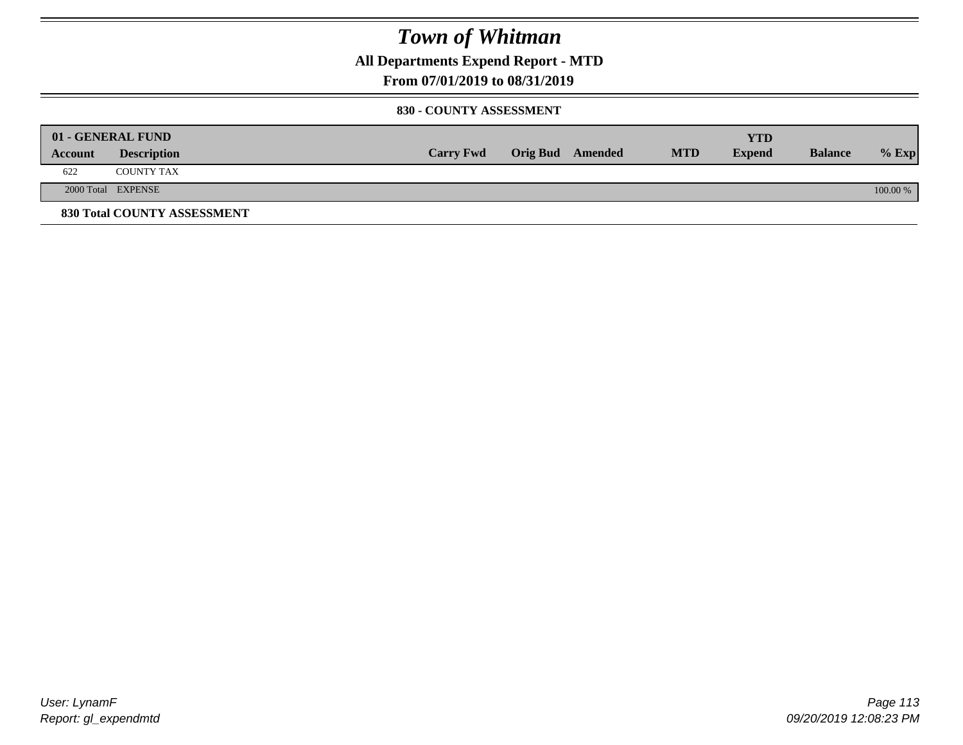**All Departments Expend Report - MTD**

### **From 07/01/2019 to 08/31/2019**

#### **830 - COUNTY ASSESSMENT**

| 01 - GENERAL FUND |                             |                  |                         |            | YTD           |                |          |
|-------------------|-----------------------------|------------------|-------------------------|------------|---------------|----------------|----------|
| Account           | <b>Description</b>          | <b>Carry Fwd</b> | <b>Orig Bud</b> Amended | <b>MTD</b> | <b>Expend</b> | <b>Balance</b> | $%$ Exp  |
| 622               | COUNTY TAX                  |                  |                         |            |               |                |          |
|                   | 2000 Total EXPENSE          |                  |                         |            |               |                | 100.00 % |
|                   | 830 Total COUNTY ASSESSMENT |                  |                         |            |               |                |          |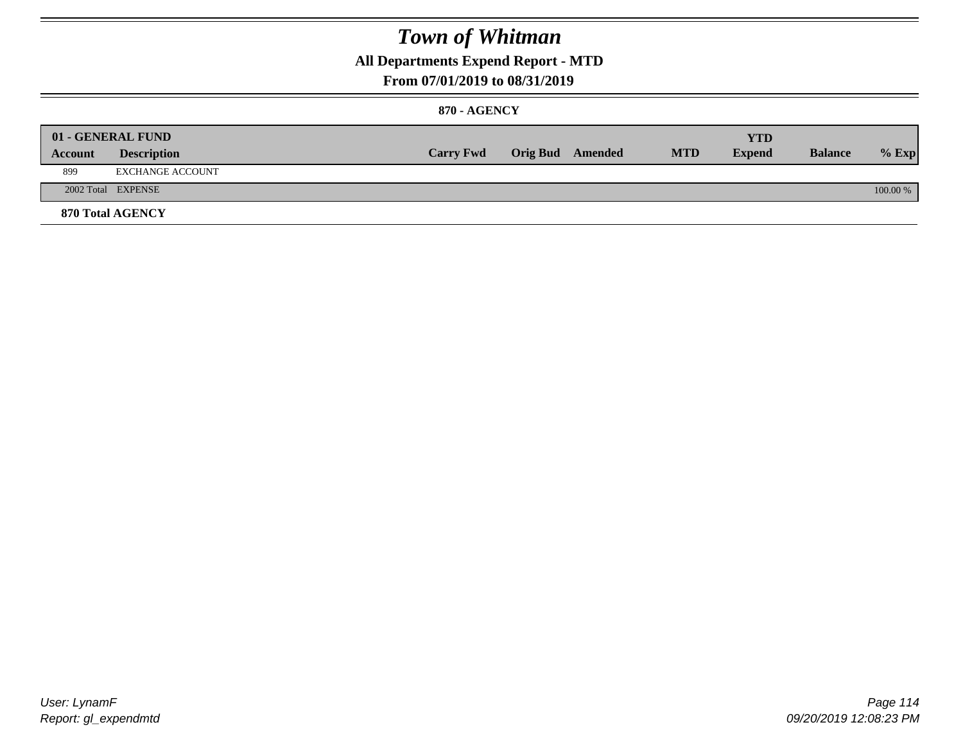### **All Departments Expend Report - MTD**

### **From 07/01/2019 to 08/31/2019**

### **870 - AGENCY**

| Account | 01 - GENERAL FUND<br><b>Description</b> | <b>Carry Fwd</b> | <b>Orig Bud</b> Amended | <b>MTD</b> | <b>YTD</b><br><b>Expend</b> | <b>Balance</b> | $%$ Exp  |
|---------|-----------------------------------------|------------------|-------------------------|------------|-----------------------------|----------------|----------|
| 899     | EXCHANGE ACCOUNT                        |                  |                         |            |                             |                |          |
|         | 2002 Total EXPENSE                      |                  |                         |            |                             |                | 100.00 % |
|         | <b>870 Total AGENCY</b>                 |                  |                         |            |                             |                |          |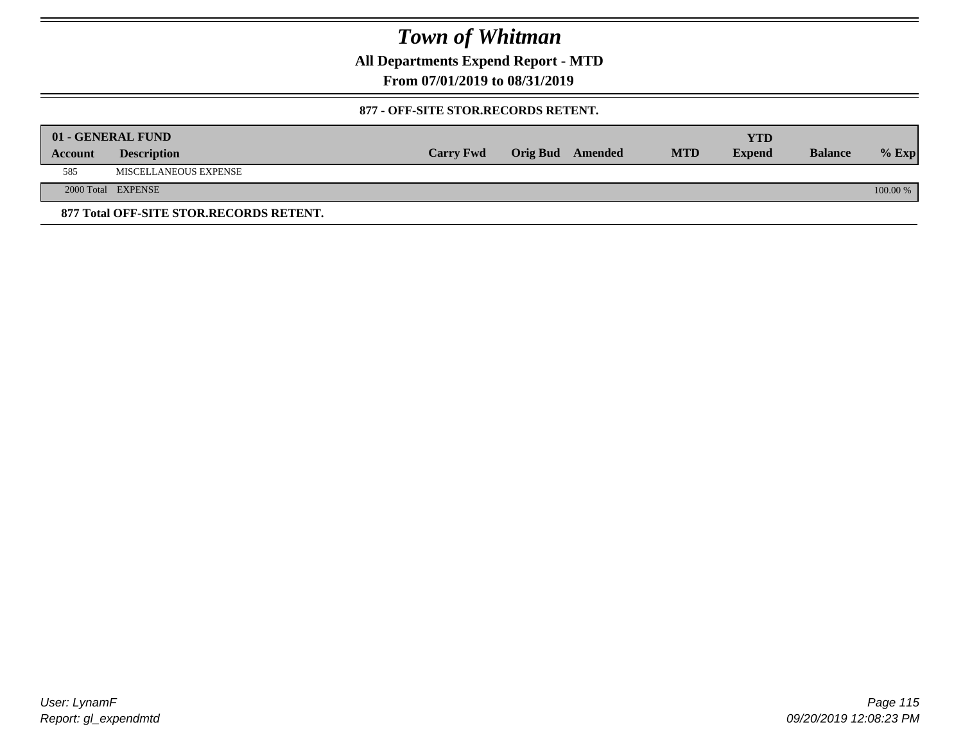**All Departments Expend Report - MTD**

**From 07/01/2019 to 08/31/2019**

### **877 - OFF-SITE STOR.RECORDS RETENT.**

|         | 01 - GENERAL FUND                       |                  |                         |            | YTD           |                |          |
|---------|-----------------------------------------|------------------|-------------------------|------------|---------------|----------------|----------|
| Account | <b>Description</b>                      | <b>Carry Fwd</b> | <b>Orig Bud</b> Amended | <b>MTD</b> | <b>Expend</b> | <b>Balance</b> | $%$ Exp  |
| 585     | MISCELLANEOUS EXPENSE                   |                  |                         |            |               |                |          |
|         | 2000 Total EXPENSE                      |                  |                         |            |               |                | 100.00 % |
|         | 877 Total OFF-SITE STOR.RECORDS RETENT. |                  |                         |            |               |                |          |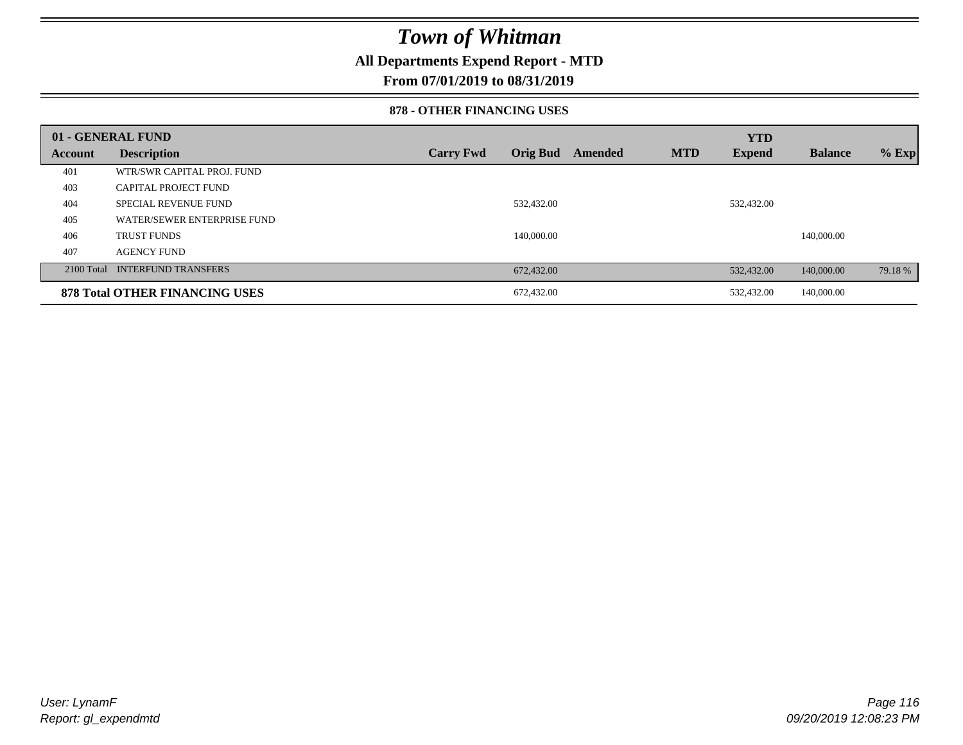### **All Departments Expend Report - MTD**

**From 07/01/2019 to 08/31/2019**

### **878 - OTHER FINANCING USES**

|         | 01 - GENERAL FUND                     |                  |                 |         |            | <b>YTD</b>    |                |         |
|---------|---------------------------------------|------------------|-----------------|---------|------------|---------------|----------------|---------|
| Account | <b>Description</b>                    | <b>Carry Fwd</b> | <b>Orig Bud</b> | Amended | <b>MTD</b> | <b>Expend</b> | <b>Balance</b> | $%$ Exp |
| 401     | WTR/SWR CAPITAL PROJ. FUND            |                  |                 |         |            |               |                |         |
| 403     | <b>CAPITAL PROJECT FUND</b>           |                  |                 |         |            |               |                |         |
| 404     | <b>SPECIAL REVENUE FUND</b>           |                  | 532,432.00      |         |            | 532,432.00    |                |         |
| 405     | WATER/SEWER ENTERPRISE FUND           |                  |                 |         |            |               |                |         |
| 406     | <b>TRUST FUNDS</b>                    |                  | 140,000.00      |         |            |               | 140,000.00     |         |
| 407     | <b>AGENCY FUND</b>                    |                  |                 |         |            |               |                |         |
|         | 2100 Total INTERFUND TRANSFERS        |                  | 672,432.00      |         |            | 532,432.00    | 140,000.00     | 79.18 % |
|         | <b>878 Total OTHER FINANCING USES</b> |                  | 672,432.00      |         |            | 532,432.00    | 140,000.00     |         |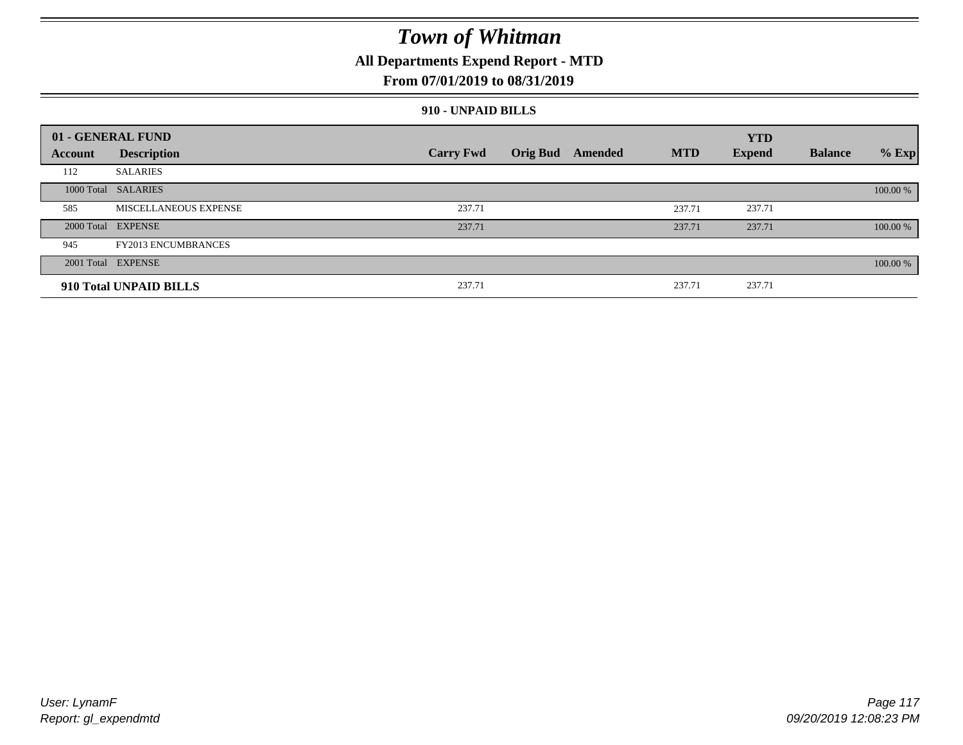### **All Departments Expend Report - MTD**

### **From 07/01/2019 to 08/31/2019**

### **910 - UNPAID BILLS**

|         | 01 - GENERAL FUND            |                  |                  |            | <b>YTD</b>    |                |          |
|---------|------------------------------|------------------|------------------|------------|---------------|----------------|----------|
| Account | <b>Description</b>           | <b>Carry Fwd</b> | Orig Bud Amended | <b>MTD</b> | <b>Expend</b> | <b>Balance</b> | $%$ Exp  |
| 112     | <b>SALARIES</b>              |                  |                  |            |               |                |          |
|         | 1000 Total SALARIES          |                  |                  |            |               |                | 100.00 % |
| 585     | <b>MISCELLANEOUS EXPENSE</b> | 237.71           |                  | 237.71     | 237.71        |                |          |
|         | 2000 Total EXPENSE           | 237.71           |                  | 237.71     | 237.71        |                | 100.00 % |
| 945     | <b>FY2013 ENCUMBRANCES</b>   |                  |                  |            |               |                |          |
|         | 2001 Total EXPENSE           |                  |                  |            |               |                | 100.00 % |
|         | 910 Total UNPAID BILLS       | 237.71           |                  | 237.71     | 237.71        |                |          |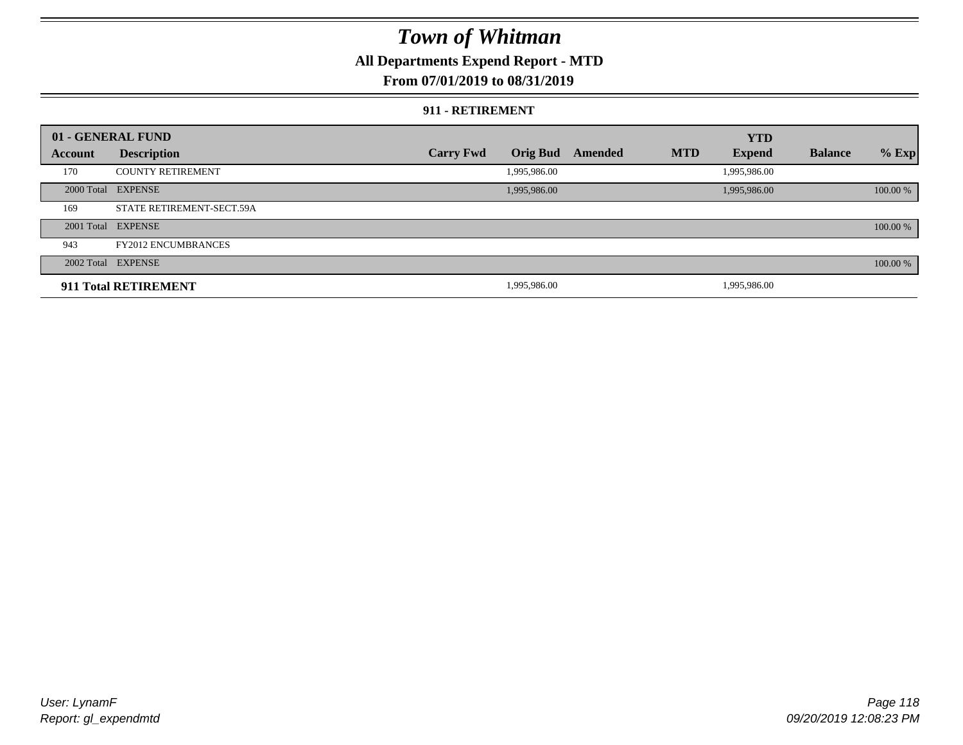## **All Departments Expend Report - MTD**

### **From 07/01/2019 to 08/31/2019**

#### **911 - RETIREMENT**

|         | 01 - GENERAL FUND          |                  |                 |         |            | <b>YTD</b>    |                |          |
|---------|----------------------------|------------------|-----------------|---------|------------|---------------|----------------|----------|
| Account | <b>Description</b>         | <b>Carry Fwd</b> | <b>Orig Bud</b> | Amended | <b>MTD</b> | <b>Expend</b> | <b>Balance</b> | $%$ Exp  |
| 170     | <b>COUNTY RETIREMENT</b>   |                  | 1,995,986.00    |         |            | 1,995,986.00  |                |          |
|         | 2000 Total EXPENSE         |                  | 1,995,986.00    |         |            | 1,995,986.00  |                | 100.00 % |
| 169     | STATE RETIREMENT-SECT.59A  |                  |                 |         |            |               |                |          |
|         | 2001 Total EXPENSE         |                  |                 |         |            |               |                | 100.00 % |
| 943     | <b>FY2012 ENCUMBRANCES</b> |                  |                 |         |            |               |                |          |
|         | 2002 Total EXPENSE         |                  |                 |         |            |               |                | 100.00 % |
|         | 911 Total RETIREMENT       |                  | 1,995,986.00    |         |            | 1,995,986.00  |                |          |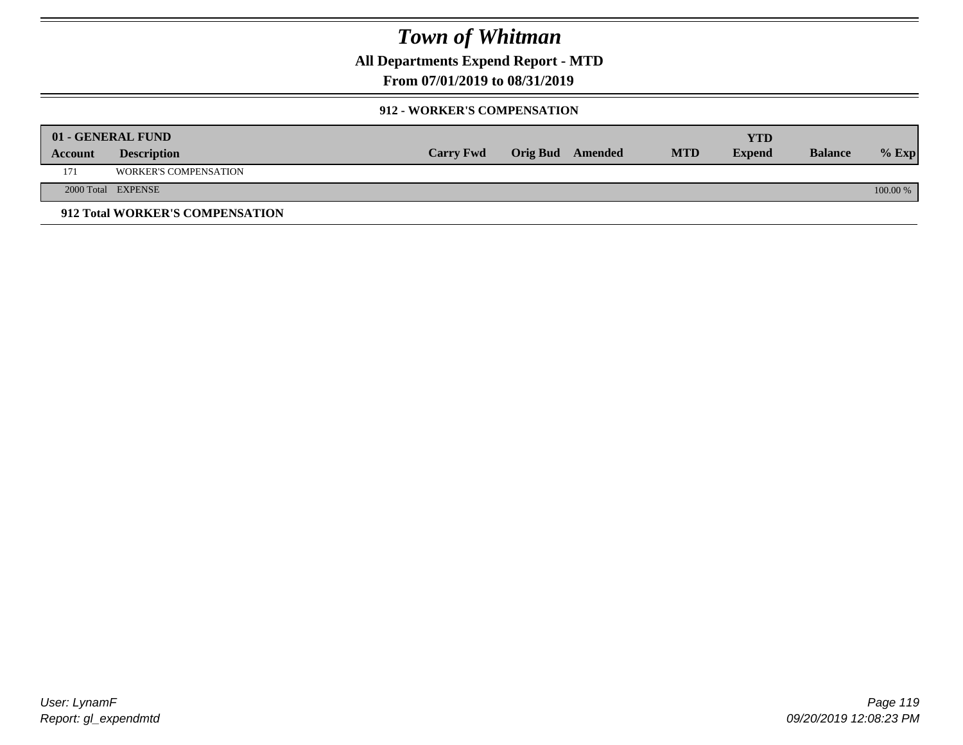**All Departments Expend Report - MTD**

**From 07/01/2019 to 08/31/2019**

### **912 - WORKER'S COMPENSATION**

|         | 01 - GENERAL FUND               |                  |                         |            | <b>YTD</b>    |                |          |
|---------|---------------------------------|------------------|-------------------------|------------|---------------|----------------|----------|
| Account | <b>Description</b>              | <b>Carry Fwd</b> | <b>Orig Bud</b> Amended | <b>MTD</b> | <b>Expend</b> | <b>Balance</b> | $%$ Exp  |
| 171     | <b>WORKER'S COMPENSATION</b>    |                  |                         |            |               |                |          |
|         | 2000 Total EXPENSE              |                  |                         |            |               |                | 100.00 % |
|         | 912 Total WORKER'S COMPENSATION |                  |                         |            |               |                |          |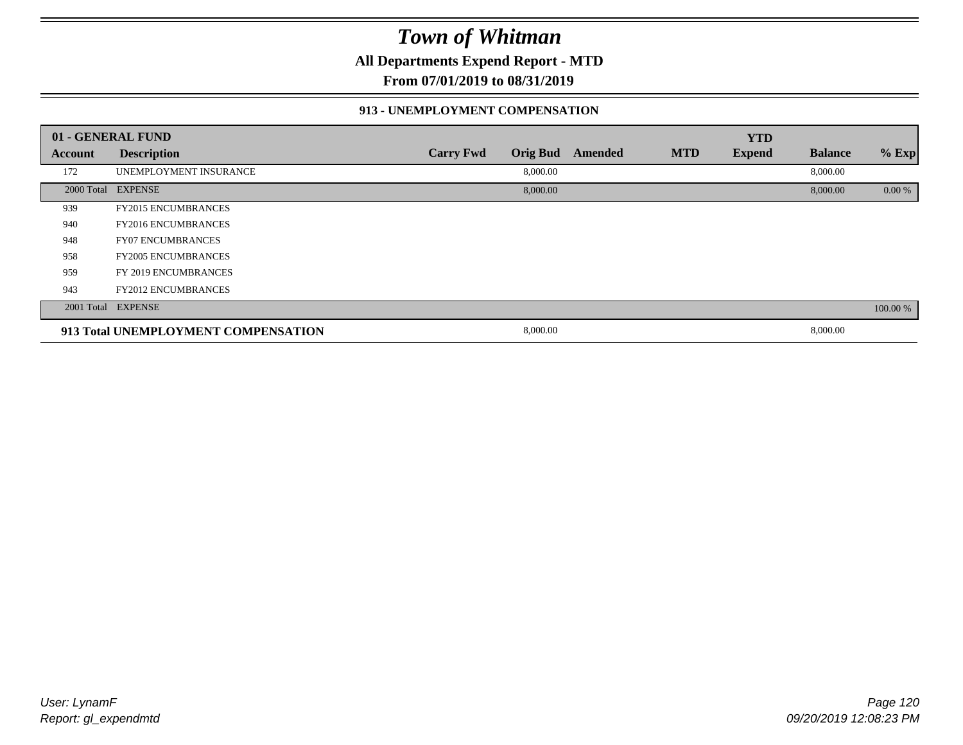**All Departments Expend Report - MTD**

**From 07/01/2019 to 08/31/2019**

### **913 - UNEMPLOYMENT COMPENSATION**

|         | 01 - GENERAL FUND                   |                  |                 |         |            | <b>YTD</b>    |                |          |
|---------|-------------------------------------|------------------|-----------------|---------|------------|---------------|----------------|----------|
| Account | <b>Description</b>                  | <b>Carry Fwd</b> | <b>Orig Bud</b> | Amended | <b>MTD</b> | <b>Expend</b> | <b>Balance</b> | % Exp    |
| 172     | UNEMPLOYMENT INSURANCE              |                  | 8,000.00        |         |            |               | 8,000.00       |          |
|         | 2000 Total EXPENSE                  |                  | 8,000.00        |         |            |               | 8,000.00       | 0.00 %   |
| 939     | <b>FY2015 ENCUMBRANCES</b>          |                  |                 |         |            |               |                |          |
| 940     | <b>FY2016 ENCUMBRANCES</b>          |                  |                 |         |            |               |                |          |
| 948     | <b>FY07 ENCUMBRANCES</b>            |                  |                 |         |            |               |                |          |
| 958     | <b>FY2005 ENCUMBRANCES</b>          |                  |                 |         |            |               |                |          |
| 959     | FY 2019 ENCUMBRANCES                |                  |                 |         |            |               |                |          |
| 943     | <b>FY2012 ENCUMBRANCES</b>          |                  |                 |         |            |               |                |          |
|         | 2001 Total EXPENSE                  |                  |                 |         |            |               |                | 100.00 % |
|         | 913 Total UNEMPLOYMENT COMPENSATION |                  | 8,000.00        |         |            |               | 8,000.00       |          |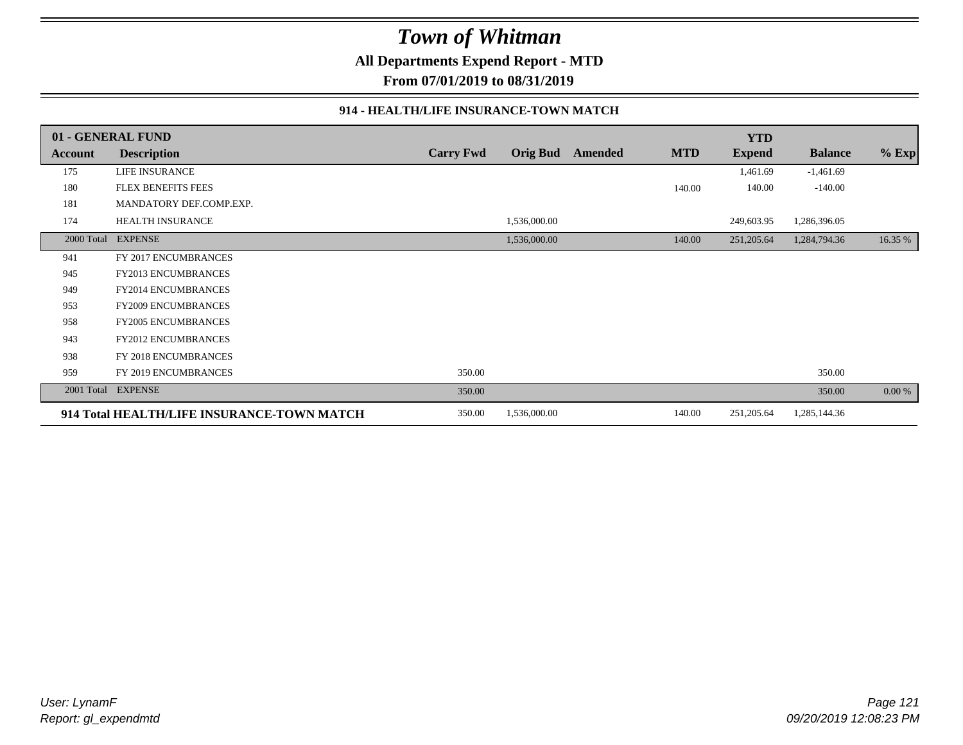**All Departments Expend Report - MTD**

**From 07/01/2019 to 08/31/2019**

### **914 - HEALTH/LIFE INSURANCE-TOWN MATCH**

|            | 01 - GENERAL FUND                          |                  |              |                  |            | <b>YTD</b>    |                |         |
|------------|--------------------------------------------|------------------|--------------|------------------|------------|---------------|----------------|---------|
| Account    | <b>Description</b>                         | <b>Carry Fwd</b> |              | Orig Bud Amended | <b>MTD</b> | <b>Expend</b> | <b>Balance</b> | $%$ Exp |
| 175        | LIFE INSURANCE                             |                  |              |                  |            | 1,461.69      | $-1,461.69$    |         |
| 180        | <b>FLEX BENEFITS FEES</b>                  |                  |              |                  | 140.00     | 140.00        | $-140.00$      |         |
| 181        | MANDATORY DEF.COMP.EXP.                    |                  |              |                  |            |               |                |         |
| 174        | <b>HEALTH INSURANCE</b>                    |                  | 1,536,000.00 |                  |            | 249,603.95    | 1,286,396.05   |         |
| 2000 Total | <b>EXPENSE</b>                             |                  | 1,536,000.00 |                  | 140.00     | 251,205.64    | 1,284,794.36   | 16.35 % |
| 941        | FY 2017 ENCUMBRANCES                       |                  |              |                  |            |               |                |         |
| 945        | FY2013 ENCUMBRANCES                        |                  |              |                  |            |               |                |         |
| 949        | <b>FY2014 ENCUMBRANCES</b>                 |                  |              |                  |            |               |                |         |
| 953        | FY2009 ENCUMBRANCES                        |                  |              |                  |            |               |                |         |
| 958        | <b>FY2005 ENCUMBRANCES</b>                 |                  |              |                  |            |               |                |         |
| 943        | FY2012 ENCUMBRANCES                        |                  |              |                  |            |               |                |         |
| 938        | FY 2018 ENCUMBRANCES                       |                  |              |                  |            |               |                |         |
| 959        | FY 2019 ENCUMBRANCES                       | 350.00           |              |                  |            |               | 350.00         |         |
| 2001 Total | <b>EXPENSE</b>                             | 350.00           |              |                  |            |               | 350.00         | 0.00 %  |
|            | 914 Total HEALTH/LIFE INSURANCE-TOWN MATCH | 350.00           | 1,536,000.00 |                  | 140.00     | 251,205.64    | 1,285,144.36   |         |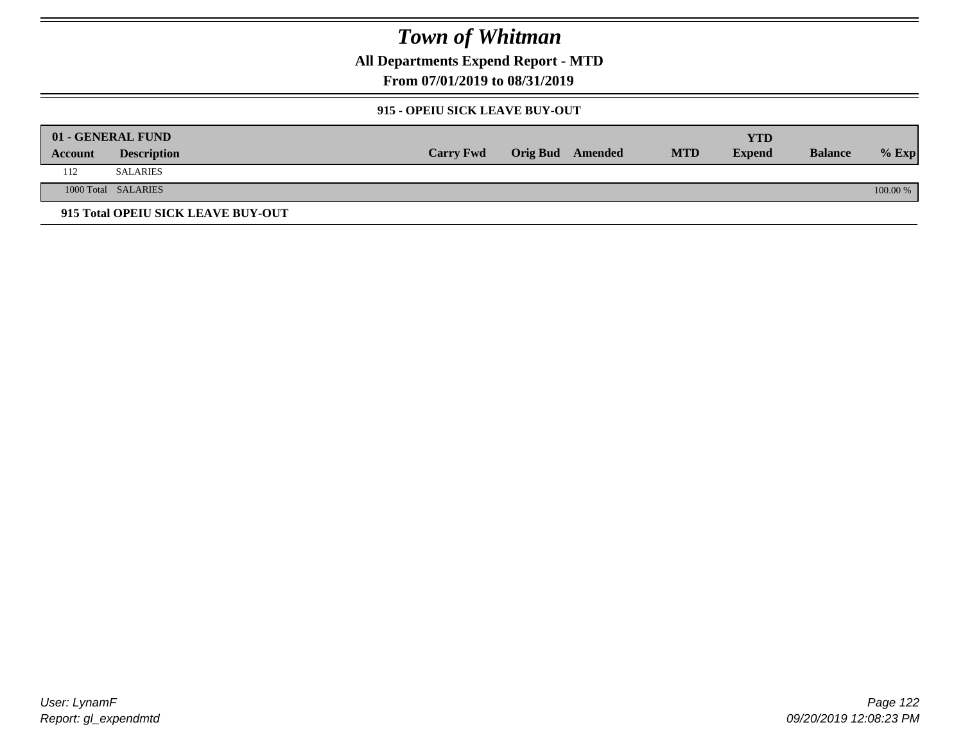**All Departments Expend Report - MTD**

**From 07/01/2019 to 08/31/2019**

### **915 - OPEIU SICK LEAVE BUY-OUT**

|         | 01 - GENERAL FUND                  |                  |                  |            | YTD           |                |          |
|---------|------------------------------------|------------------|------------------|------------|---------------|----------------|----------|
| Account | <b>Description</b>                 | <b>Carry Fwd</b> | Orig Bud Amended | <b>MTD</b> | <b>Expend</b> | <b>Balance</b> | $%$ Exp  |
| 112     | SALARIES                           |                  |                  |            |               |                |          |
|         | 1000 Total SALARIES                |                  |                  |            |               |                | 100.00 % |
|         | 915 Total OPEIU SICK LEAVE BUY-OUT |                  |                  |            |               |                |          |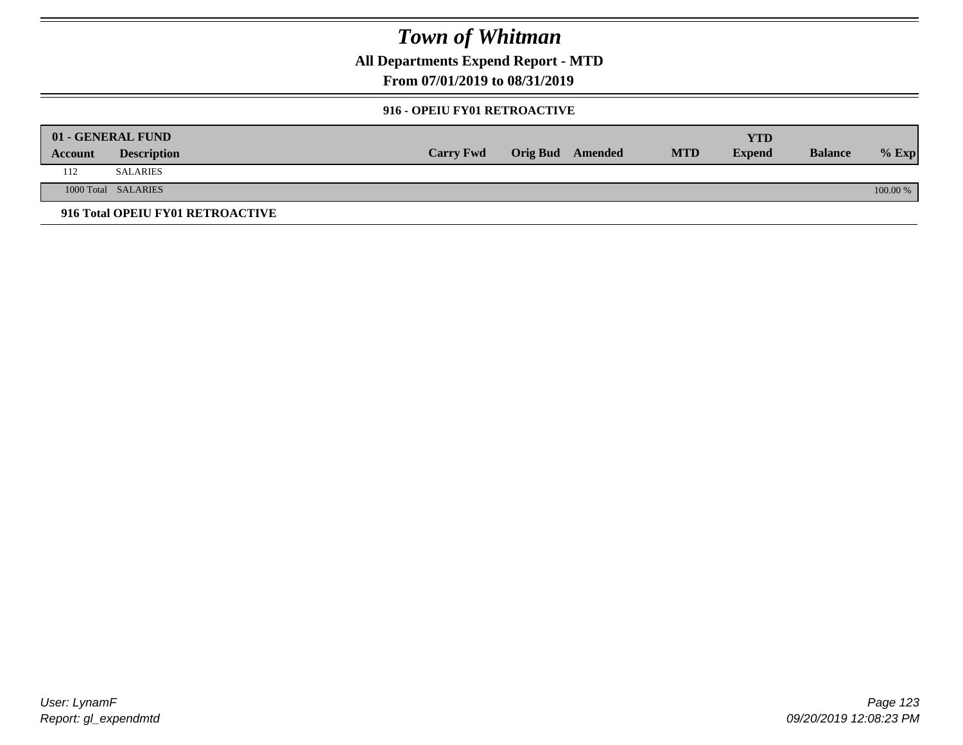**All Departments Expend Report - MTD**

**From 07/01/2019 to 08/31/2019**

### **916 - OPEIU FY01 RETROACTIVE**

|         | 01 - GENERAL FUND                |                  |                  |            | YTD           |                |          |
|---------|----------------------------------|------------------|------------------|------------|---------------|----------------|----------|
| Account | <b>Description</b>               | <b>Carry Fwd</b> | Orig Bud Amended | <b>MTD</b> | <b>Expend</b> | <b>Balance</b> | $%$ Exp  |
| 112     | <b>SALARIES</b>                  |                  |                  |            |               |                |          |
|         | 1000 Total SALARIES              |                  |                  |            |               |                | 100.00 % |
|         | 916 Total OPEIU FY01 RETROACTIVE |                  |                  |            |               |                |          |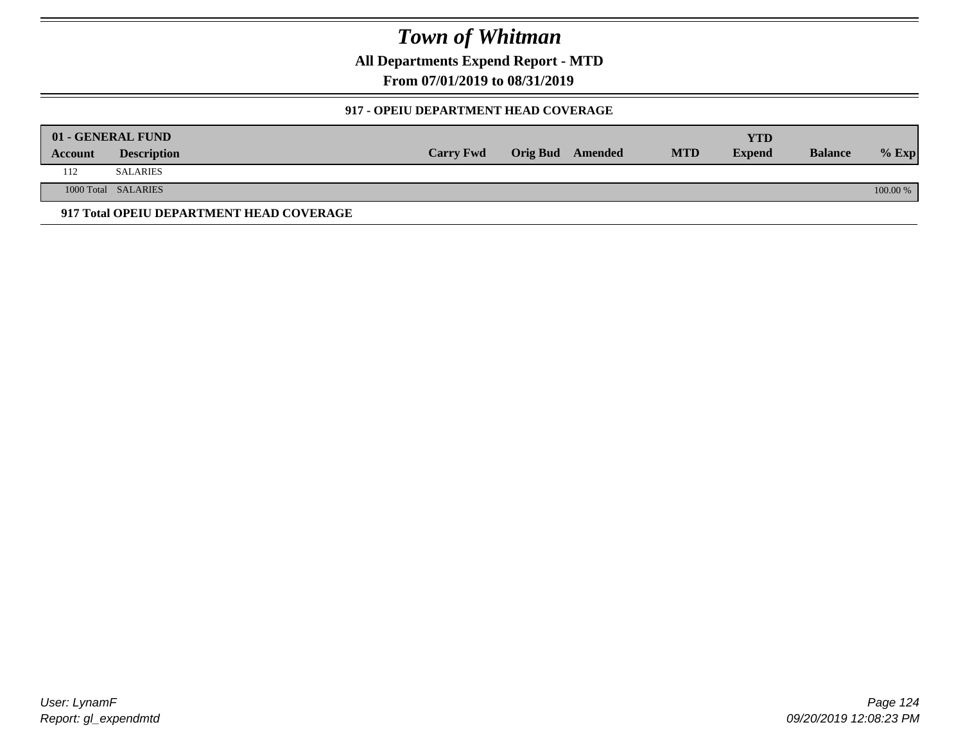**All Departments Expend Report - MTD**

**From 07/01/2019 to 08/31/2019**

### **917 - OPEIU DEPARTMENT HEAD COVERAGE**

|         | 01 - GENERAL FUND                        |                  |                         |            | <b>YTD</b>    |                |          |
|---------|------------------------------------------|------------------|-------------------------|------------|---------------|----------------|----------|
| Account | <b>Description</b>                       | <b>Carry Fwd</b> | <b>Orig Bud</b> Amended | <b>MTD</b> | <b>Expend</b> | <b>Balance</b> | $%$ Exp  |
| 112     | <b>SALARIES</b>                          |                  |                         |            |               |                |          |
|         | 1000 Total SALARIES                      |                  |                         |            |               |                | 100.00 % |
|         | 917 Total OPEIU DEPARTMENT HEAD COVERAGE |                  |                         |            |               |                |          |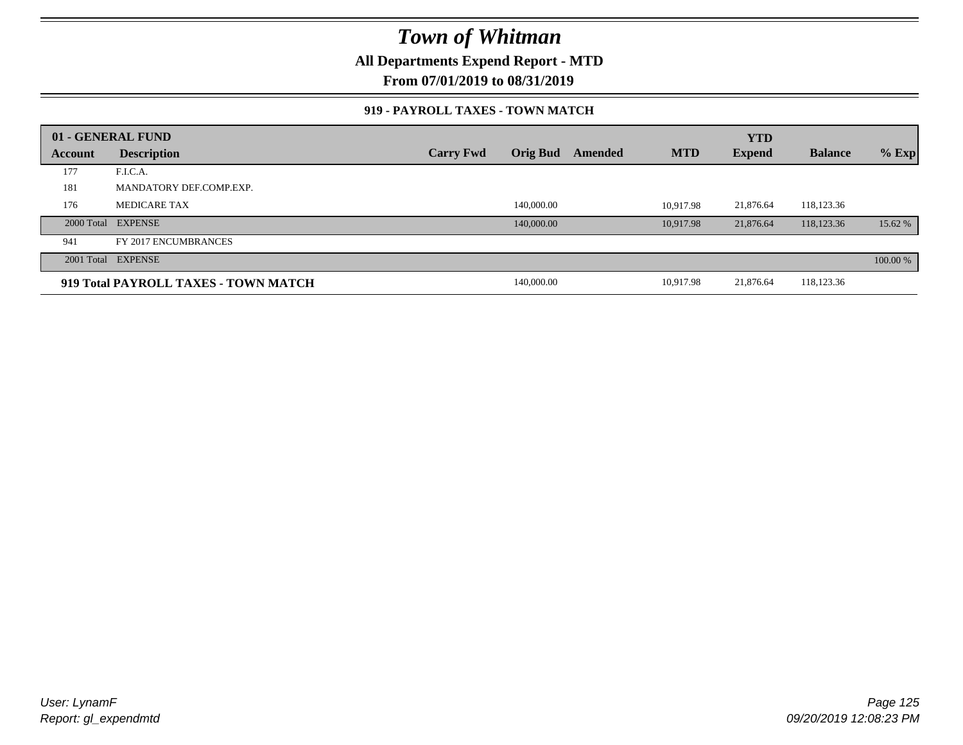**All Departments Expend Report - MTD**

**From 07/01/2019 to 08/31/2019**

### **919 - PAYROLL TAXES - TOWN MATCH**

|         | 01 - GENERAL FUND                    |                  |                 |         |            | <b>YTD</b>    |                |          |
|---------|--------------------------------------|------------------|-----------------|---------|------------|---------------|----------------|----------|
| Account | <b>Description</b>                   | <b>Carry Fwd</b> | <b>Orig Bud</b> | Amended | <b>MTD</b> | <b>Expend</b> | <b>Balance</b> | $%$ Exp  |
| 177     | F.I.C.A.                             |                  |                 |         |            |               |                |          |
| 181     | MANDATORY DEF.COMP.EXP.              |                  |                 |         |            |               |                |          |
| 176     | <b>MEDICARE TAX</b>                  |                  | 140,000.00      |         | 10.917.98  | 21,876.64     | 118,123.36     |          |
|         | 2000 Total EXPENSE                   |                  | 140,000.00      |         | 10.917.98  | 21,876.64     | 118,123.36     | 15.62 %  |
| 941     | FY 2017 ENCUMBRANCES                 |                  |                 |         |            |               |                |          |
|         | 2001 Total EXPENSE                   |                  |                 |         |            |               |                | 100.00 % |
|         | 919 Total PAYROLL TAXES - TOWN MATCH |                  | 140,000.00      |         | 10,917.98  | 21,876.64     | 118,123.36     |          |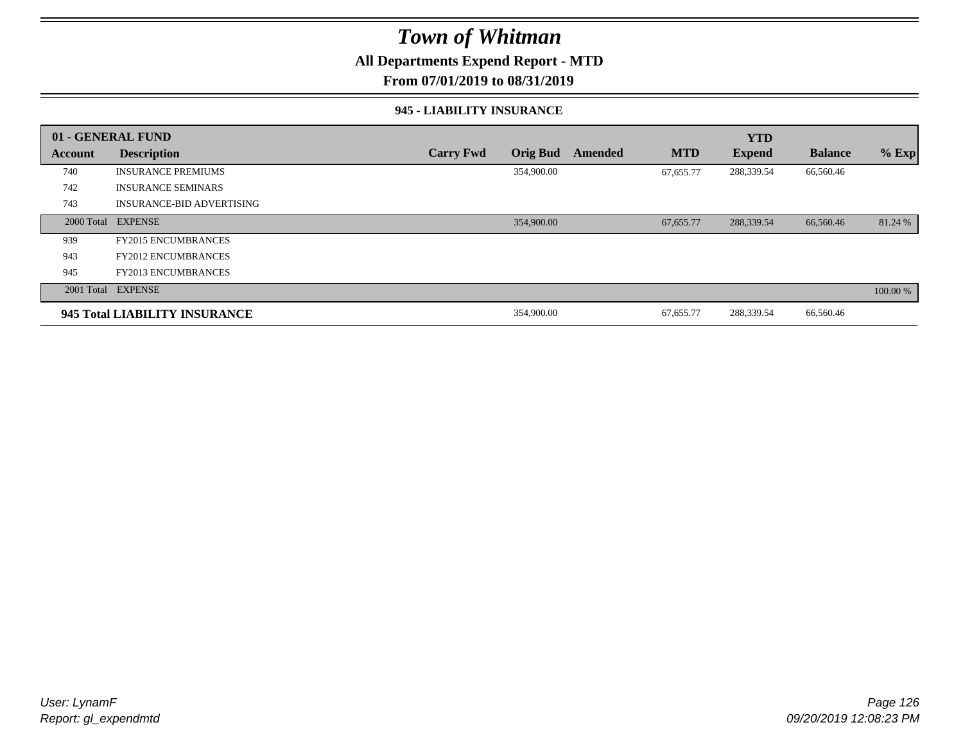### **All Departments Expend Report - MTD**

**From 07/01/2019 to 08/31/2019**

#### **945 - LIABILITY INSURANCE**

|         | 01 - GENERAL FUND                |                  |                 |         |            | <b>YTD</b>    |                |          |
|---------|----------------------------------|------------------|-----------------|---------|------------|---------------|----------------|----------|
| Account | <b>Description</b>               | <b>Carry Fwd</b> | <b>Orig Bud</b> | Amended | <b>MTD</b> | <b>Expend</b> | <b>Balance</b> | $%$ Exp  |
| 740     | <b>INSURANCE PREMIUMS</b>        |                  | 354,900.00      |         | 67,655.77  | 288,339.54    | 66,560.46      |          |
| 742     | <b>INSURANCE SEMINARS</b>        |                  |                 |         |            |               |                |          |
| 743     | <b>INSURANCE-BID ADVERTISING</b> |                  |                 |         |            |               |                |          |
|         | 2000 Total EXPENSE               |                  | 354,900.00      |         | 67,655.77  | 288,339.54    | 66,560.46      | 81.24 %  |
| 939     | <b>FY2015 ENCUMBRANCES</b>       |                  |                 |         |            |               |                |          |
| 943     | <b>FY2012 ENCUMBRANCES</b>       |                  |                 |         |            |               |                |          |
| 945     | <b>FY2013 ENCUMBRANCES</b>       |                  |                 |         |            |               |                |          |
|         | 2001 Total EXPENSE               |                  |                 |         |            |               |                | 100.00 % |
|         | 945 Total LIABILITY INSURANCE    |                  | 354,900.00      |         | 67,655.77  | 288,339.54    | 66,560.46      |          |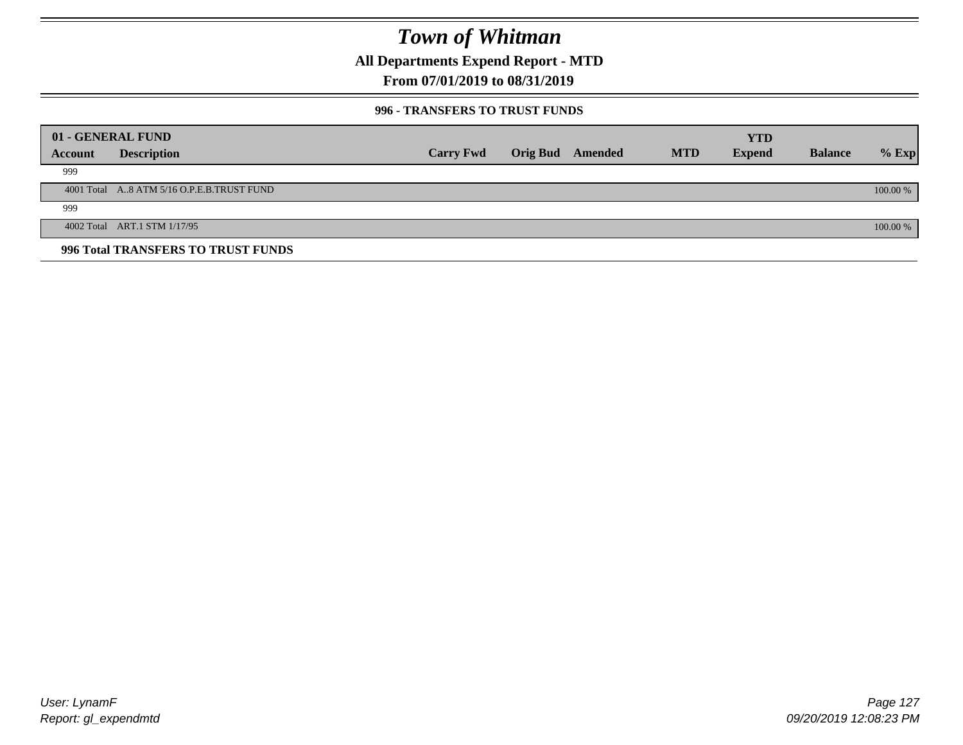**All Departments Expend Report - MTD**

### **From 07/01/2019 to 08/31/2019**

### **996 - TRANSFERS TO TRUST FUNDS**

|         | 01 - GENERAL FUND                         |                  |                         |            | <b>YTD</b>    |                |            |
|---------|-------------------------------------------|------------------|-------------------------|------------|---------------|----------------|------------|
| Account | <b>Description</b>                        | <b>Carry Fwd</b> | <b>Orig Bud</b> Amended | <b>MTD</b> | <b>Expend</b> | <b>Balance</b> | $%$ Exp    |
| 999     |                                           |                  |                         |            |               |                |            |
|         | 4001 Total A8 ATM 5/16 O.P.E.B.TRUST FUND |                  |                         |            |               |                | $100.00\%$ |
| 999     |                                           |                  |                         |            |               |                |            |
|         | 4002 Total ART.1 STM 1/17/95              |                  |                         |            |               |                | 100.00 %   |
|         | 996 Total TRANSFERS TO TRUST FUNDS        |                  |                         |            |               |                |            |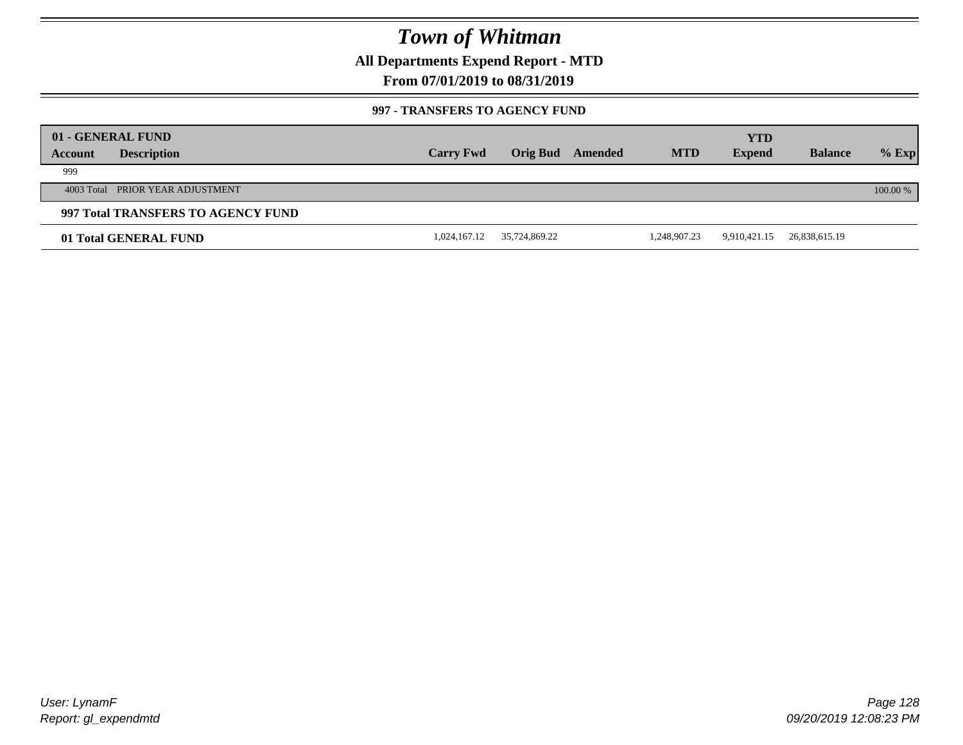**All Departments Expend Report - MTD**

**From 07/01/2019 to 08/31/2019**

### **997 - TRANSFERS TO AGENCY FUND**

|         | 01 - GENERAL FUND                  |                  |                 |         |              | <b>YTD</b>    |                |            |
|---------|------------------------------------|------------------|-----------------|---------|--------------|---------------|----------------|------------|
| Account | <b>Description</b>                 | <b>Carry Fwd</b> | <b>Orig Bud</b> | Amended | <b>MTD</b>   | <b>Expend</b> | <b>Balance</b> | $%$ Exp    |
| 999     |                                    |                  |                 |         |              |               |                |            |
|         | 4003 Total PRIOR YEAR ADJUSTMENT   |                  |                 |         |              |               |                | $100.00\%$ |
|         | 997 Total TRANSFERS TO AGENCY FUND |                  |                 |         |              |               |                |            |
|         | 01 Total GENERAL FUND              | 1,024,167.12     | 35,724,869.22   |         | 1,248,907.23 | 9,910,421.15  | 26,838,615.19  |            |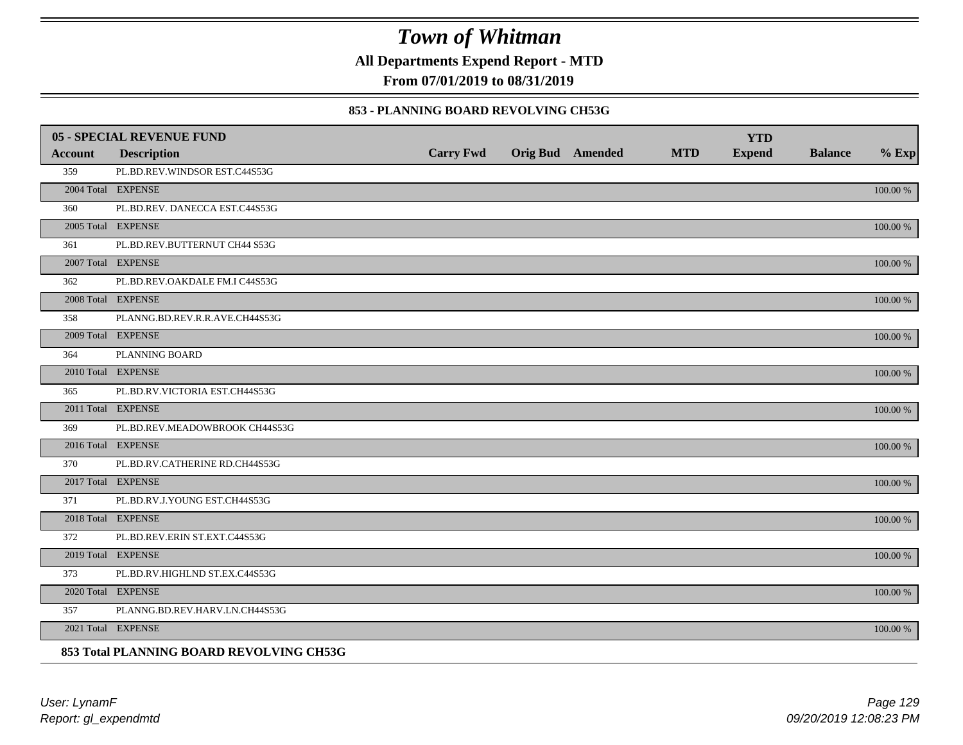**All Departments Expend Report - MTD**

**From 07/01/2019 to 08/31/2019**

### **853 - PLANNING BOARD REVOLVING CH53G**

|                | <b>05 - SPECIAL REVENUE FUND</b>         |                  |                  |            | <b>YTD</b>    |                |             |
|----------------|------------------------------------------|------------------|------------------|------------|---------------|----------------|-------------|
| <b>Account</b> | <b>Description</b>                       | <b>Carry Fwd</b> | Orig Bud Amended | <b>MTD</b> | <b>Expend</b> | <b>Balance</b> | $%$ Exp     |
| 359            | PL.BD.REV.WINDSOR EST.C44S53G            |                  |                  |            |               |                |             |
|                | 2004 Total EXPENSE                       |                  |                  |            |               |                | 100.00 %    |
| 360            | PL.BD.REV. DANECCA EST.C44S53G           |                  |                  |            |               |                |             |
|                | 2005 Total EXPENSE                       |                  |                  |            |               |                | 100.00 %    |
| 361            | PL.BD.REV.BUTTERNUT CH44 S53G            |                  |                  |            |               |                |             |
|                | 2007 Total EXPENSE                       |                  |                  |            |               |                | 100.00 %    |
| 362            | PL.BD.REV.OAKDALE FM.I C44S53G           |                  |                  |            |               |                |             |
|                | 2008 Total EXPENSE                       |                  |                  |            |               |                | 100.00 %    |
| 358            | PLANNG.BD.REV.R.R.AVE.CH44S53G           |                  |                  |            |               |                |             |
|                | 2009 Total EXPENSE                       |                  |                  |            |               |                | $100.00~\%$ |
| 364            | PLANNING BOARD                           |                  |                  |            |               |                |             |
|                | 2010 Total EXPENSE                       |                  |                  |            |               |                | $100.00~\%$ |
| 365            | PL.BD.RV.VICTORIA EST.CH44S53G           |                  |                  |            |               |                |             |
|                | 2011 Total EXPENSE                       |                  |                  |            |               |                | 100.00 %    |
| 369            | PL.BD.REV.MEADOWBROOK CH44S53G           |                  |                  |            |               |                |             |
|                | 2016 Total EXPENSE                       |                  |                  |            |               |                | 100.00 %    |
| 370            | PL.BD.RV.CATHERINE RD.CH44S53G           |                  |                  |            |               |                |             |
|                | 2017 Total EXPENSE                       |                  |                  |            |               |                | 100.00 %    |
| 371            | PL.BD.RV.J.YOUNG EST.CH44S53G            |                  |                  |            |               |                |             |
|                | 2018 Total EXPENSE                       |                  |                  |            |               |                | 100.00 %    |
| 372            | PL.BD.REV.ERIN ST.EXT.C44S53G            |                  |                  |            |               |                |             |
|                | 2019 Total EXPENSE                       |                  |                  |            |               |                | $100.00~\%$ |
| 373            | PL.BD.RV.HIGHLND ST.EX.C44S53G           |                  |                  |            |               |                |             |
|                | 2020 Total EXPENSE                       |                  |                  |            |               |                | 100.00 %    |
| 357            | PLANNG.BD.REV.HARV.LN.CH44S53G           |                  |                  |            |               |                |             |
|                | 2021 Total EXPENSE                       |                  |                  |            |               |                | 100.00 %    |
|                | 853 Total PLANNING BOARD REVOLVING CH53G |                  |                  |            |               |                |             |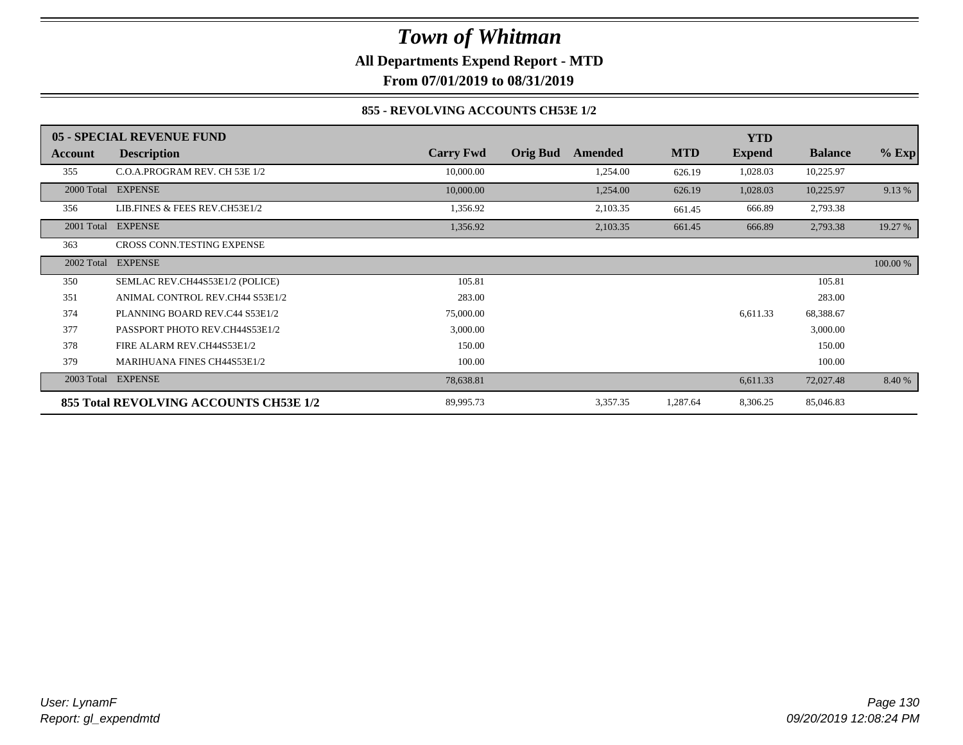**All Departments Expend Report - MTD**

**From 07/01/2019 to 08/31/2019**

### **855 - REVOLVING ACCOUNTS CH53E 1/2**

|            | 05 - SPECIAL REVENUE FUND              |                  |                            |            | <b>YTD</b>    |                |          |
|------------|----------------------------------------|------------------|----------------------------|------------|---------------|----------------|----------|
| Account    | <b>Description</b>                     | <b>Carry Fwd</b> | <b>Orig Bud</b><br>Amended | <b>MTD</b> | <b>Expend</b> | <b>Balance</b> | $%$ Exp  |
| 355        | C.O.A.PROGRAM REV. CH 53E 1/2          | 10,000.00        | 1,254.00                   | 626.19     | 1,028.03      | 10,225.97      |          |
| 2000 Total | <b>EXPENSE</b>                         | 10,000.00        | 1,254.00                   | 626.19     | 1,028.03      | 10,225.97      | 9.13 %   |
| 356        | LIB.FINES & FEES REV.CH53E1/2          | 1,356.92         | 2,103.35                   | 661.45     | 666.89        | 2,793.38       |          |
| 2001 Total | <b>EXPENSE</b>                         | 1,356.92         | 2,103.35                   | 661.45     | 666.89        | 2,793.38       | 19.27 %  |
| 363        | CROSS CONN.TESTING EXPENSE             |                  |                            |            |               |                |          |
| 2002 Total | <b>EXPENSE</b>                         |                  |                            |            |               |                | 100.00 % |
| 350        | SEMLAC REV.CH44S53E1/2 (POLICE)        | 105.81           |                            |            |               | 105.81         |          |
| 351        | ANIMAL CONTROL REV.CH44 S53E1/2        | 283.00           |                            |            |               | 283.00         |          |
| 374        | PLANNING BOARD REV.C44 S53E1/2         | 75,000.00        |                            |            | 6,611.33      | 68,388.67      |          |
| 377        | PASSPORT PHOTO REV.CH44S53E1/2         | 3,000.00         |                            |            |               | 3,000.00       |          |
| 378        | FIRE ALARM REV.CH44S53E1/2             | 150.00           |                            |            |               | 150.00         |          |
| 379        | MARIHUANA FINES CH44S53E1/2            | 100.00           |                            |            |               | 100.00         |          |
| 2003 Total | <b>EXPENSE</b>                         | 78,638.81        |                            |            | 6,611.33      | 72,027.48      | 8.40 %   |
|            | 855 Total REVOLVING ACCOUNTS CH53E 1/2 | 89,995.73        | 3,357.35                   | 1,287.64   | 8,306.25      | 85,046.83      |          |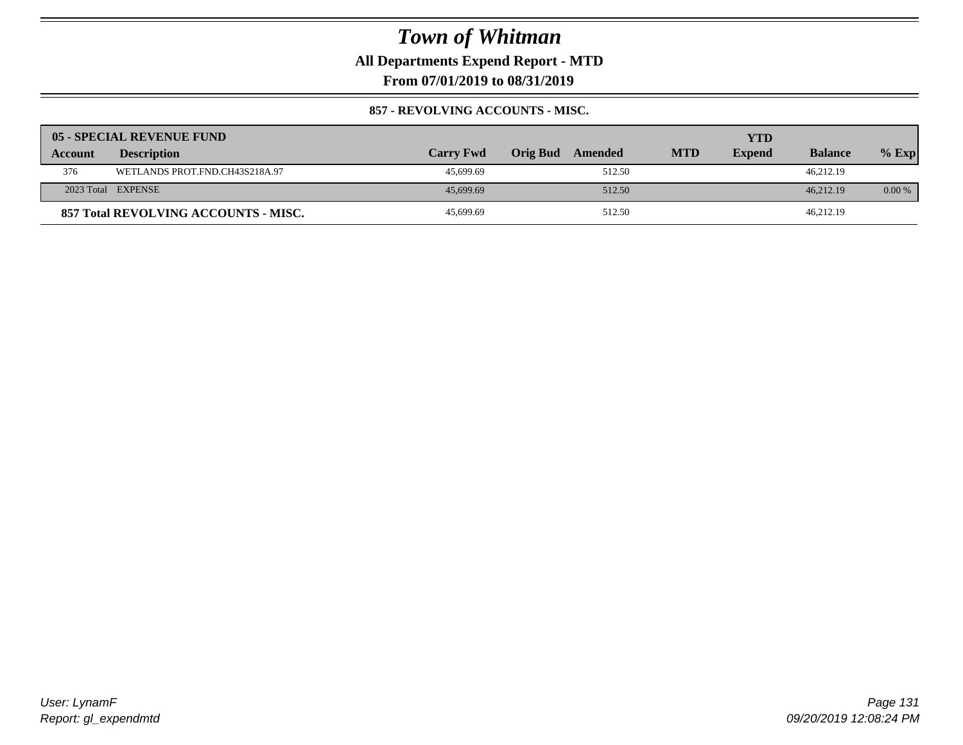**All Departments Expend Report - MTD**

**From 07/01/2019 to 08/31/2019**

### **857 - REVOLVING ACCOUNTS - MISC.**

|         | 05 - SPECIAL REVENUE FUND            |                  |                            |            | YTD           |                |          |
|---------|--------------------------------------|------------------|----------------------------|------------|---------------|----------------|----------|
| Account | <b>Description</b>                   | <b>Carry Fwd</b> | <b>Orig Bud</b><br>Amended | <b>MTD</b> | <b>Expend</b> | <b>Balance</b> | $%$ Exp  |
| 376     | WETLANDS PROT.FND.CH43S218A.97       | 45,699.69        | 512.50                     |            |               | 46.212.19      |          |
|         | 2023 Total EXPENSE                   | 45,699.69        | 512.50                     |            |               | 46.212.19      | $0.00\%$ |
|         | 857 Total REVOLVING ACCOUNTS - MISC. | 45,699.69        | 512.50                     |            |               | 46,212.19      |          |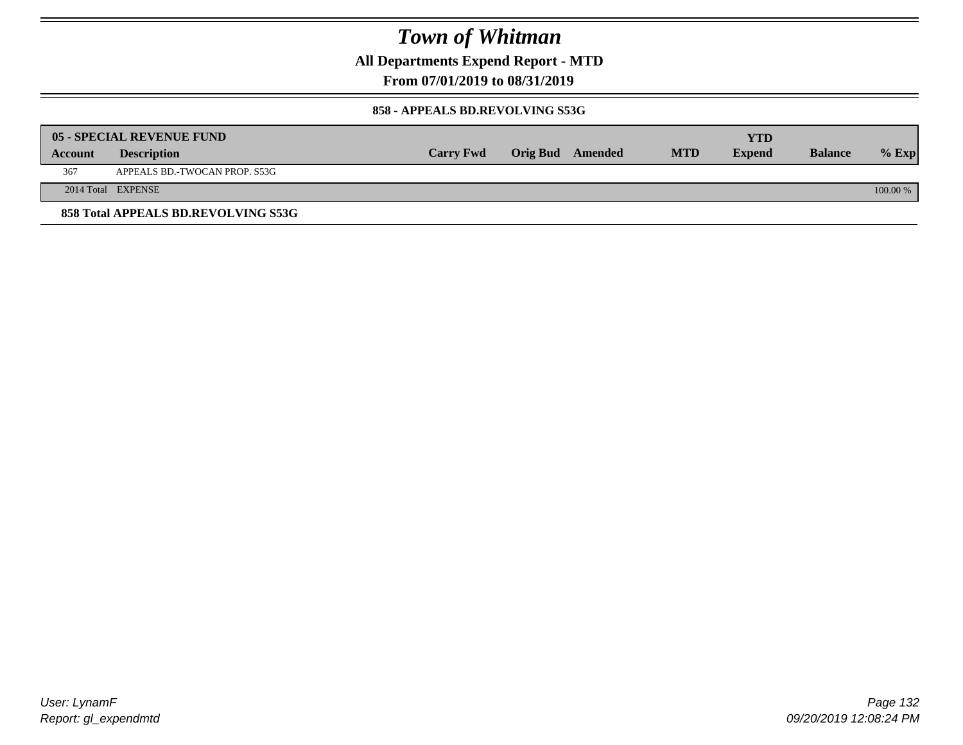**All Departments Expend Report - MTD**

**From 07/01/2019 to 08/31/2019**

#### **858 - APPEALS BD.REVOLVING S53G**

|         | 05 - SPECIAL REVENUE FUND           |                  |                  |            | YTD           |                |            |
|---------|-------------------------------------|------------------|------------------|------------|---------------|----------------|------------|
| Account | <b>Description</b>                  | <b>Carry Fwd</b> | Orig Bud Amended | <b>MTD</b> | <b>Expend</b> | <b>Balance</b> | $\%$ Exp   |
| 367     | APPEALS BD.-TWOCAN PROP. S53G       |                  |                  |            |               |                |            |
|         | 2014 Total EXPENSE                  |                  |                  |            |               |                | $100.00\%$ |
|         | 858 Total APPEALS BD.REVOLVING S53G |                  |                  |            |               |                |            |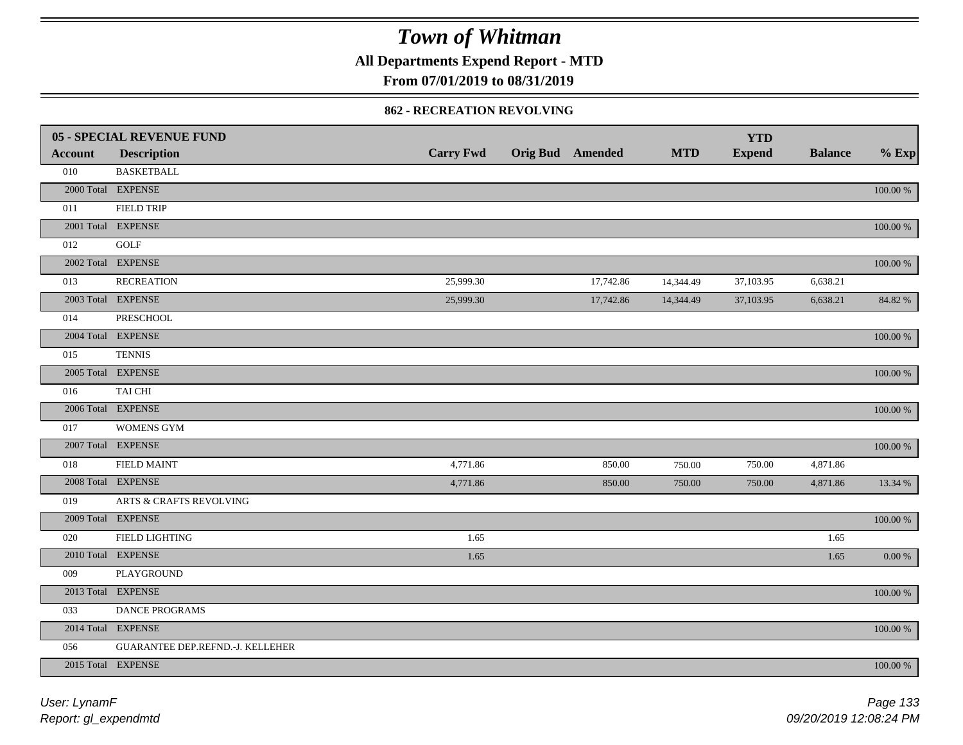**All Departments Expend Report - MTD**

**From 07/01/2019 to 08/31/2019**

### **862 - RECREATION REVOLVING**

|                | <b>05 - SPECIAL REVENUE FUND</b>   |                  |                         |            | <b>YTD</b>    |                |             |
|----------------|------------------------------------|------------------|-------------------------|------------|---------------|----------------|-------------|
| <b>Account</b> | <b>Description</b>                 | <b>Carry Fwd</b> | <b>Orig Bud</b> Amended | <b>MTD</b> | <b>Expend</b> | <b>Balance</b> | $%$ Exp     |
| 010            | <b>BASKETBALL</b>                  |                  |                         |            |               |                |             |
|                | 2000 Total EXPENSE                 |                  |                         |            |               |                | $100.00~\%$ |
| 011            | <b>FIELD TRIP</b>                  |                  |                         |            |               |                |             |
|                | 2001 Total EXPENSE                 |                  |                         |            |               |                | 100.00 %    |
| 012            | GOLF                               |                  |                         |            |               |                |             |
|                | 2002 Total EXPENSE                 |                  |                         |            |               |                | $100.00~\%$ |
| 013            | <b>RECREATION</b>                  | 25,999.30        | 17,742.86               | 14,344.49  | 37,103.95     | 6,638.21       |             |
|                | 2003 Total EXPENSE                 | 25,999.30        | 17,742.86               | 14,344.49  | 37,103.95     | 6,638.21       | 84.82 %     |
| 014            | PRESCHOOL                          |                  |                         |            |               |                |             |
|                | 2004 Total EXPENSE                 |                  |                         |            |               |                | 100.00 %    |
| 015            | <b>TENNIS</b>                      |                  |                         |            |               |                |             |
|                | 2005 Total EXPENSE                 |                  |                         |            |               |                | $100.00~\%$ |
| 016            | TAI CHI                            |                  |                         |            |               |                |             |
|                | 2006 Total EXPENSE                 |                  |                         |            |               |                | 100.00 %    |
| 017            | <b>WOMENS GYM</b>                  |                  |                         |            |               |                |             |
|                | 2007 Total EXPENSE                 |                  |                         |            |               |                | $100.00~\%$ |
| 018            | <b>FIELD MAINT</b>                 | 4,771.86         | 850.00                  | 750.00     | 750.00        | 4,871.86       |             |
|                | 2008 Total EXPENSE                 | 4,771.86         | 850.00                  | 750.00     | 750.00        | 4,871.86       | 13.34 %     |
| 019            | <b>ARTS &amp; CRAFTS REVOLVING</b> |                  |                         |            |               |                |             |
|                | 2009 Total EXPENSE                 |                  |                         |            |               |                | $100.00~\%$ |
| 020            | <b>FIELD LIGHTING</b>              | 1.65             |                         |            |               | 1.65           |             |
|                | 2010 Total EXPENSE                 | 1.65             |                         |            |               | 1.65           | $0.00\ \%$  |
| 009            | PLAYGROUND                         |                  |                         |            |               |                |             |
|                | 2013 Total EXPENSE                 |                  |                         |            |               |                | $100.00~\%$ |
| 033            | DANCE PROGRAMS                     |                  |                         |            |               |                |             |
|                | 2014 Total EXPENSE                 |                  |                         |            |               |                | 100.00 %    |
| 056            | GUARANTEE DEP.REFND.-J. KELLEHER   |                  |                         |            |               |                |             |
|                | 2015 Total EXPENSE                 |                  |                         |            |               |                | 100.00 %    |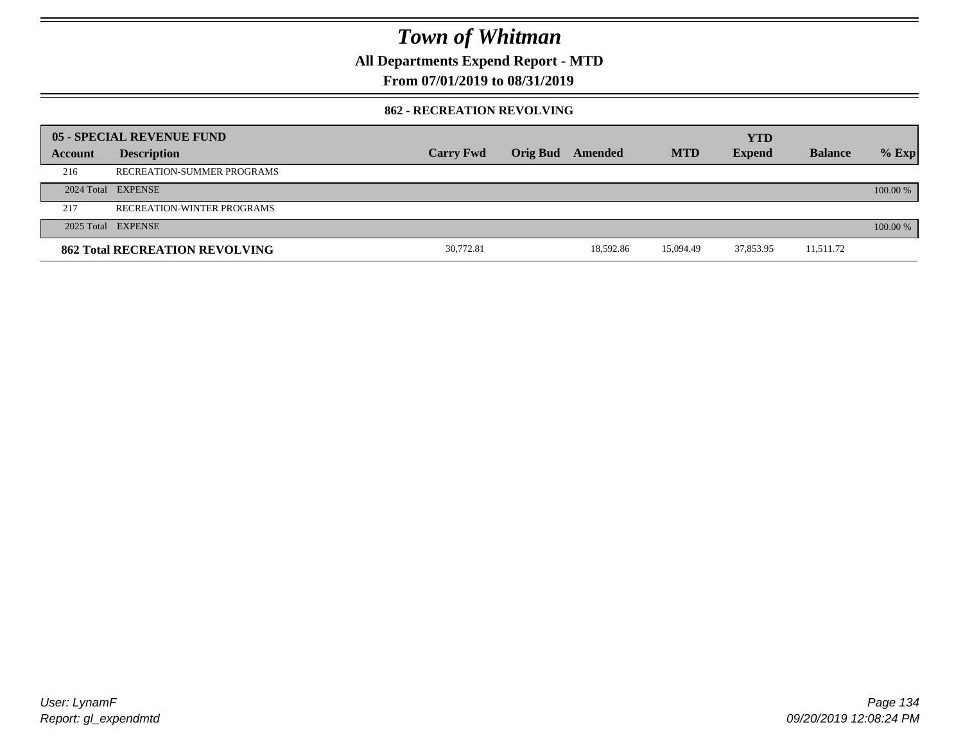**All Departments Expend Report - MTD**

**From 07/01/2019 to 08/31/2019**

### **862 - RECREATION REVOLVING**

|         | 05 - SPECIAL REVENUE FUND             |                  |                         |           |            | <b>YTD</b>    |                |          |
|---------|---------------------------------------|------------------|-------------------------|-----------|------------|---------------|----------------|----------|
| Account | <b>Description</b>                    | <b>Carry Fwd</b> | <b>Orig Bud</b> Amended |           | <b>MTD</b> | <b>Expend</b> | <b>Balance</b> | $%$ Exp  |
| 216     | RECREATION-SUMMER PROGRAMS            |                  |                         |           |            |               |                |          |
|         | 2024 Total EXPENSE                    |                  |                         |           |            |               |                | 100.00 % |
| 217     | <b>RECREATION-WINTER PROGRAMS</b>     |                  |                         |           |            |               |                |          |
|         | 2025 Total EXPENSE                    |                  |                         |           |            |               |                | 100.00 % |
|         | <b>862 Total RECREATION REVOLVING</b> | 30,772.81        |                         | 18.592.86 | 15.094.49  | 37,853.95     | 11,511.72      |          |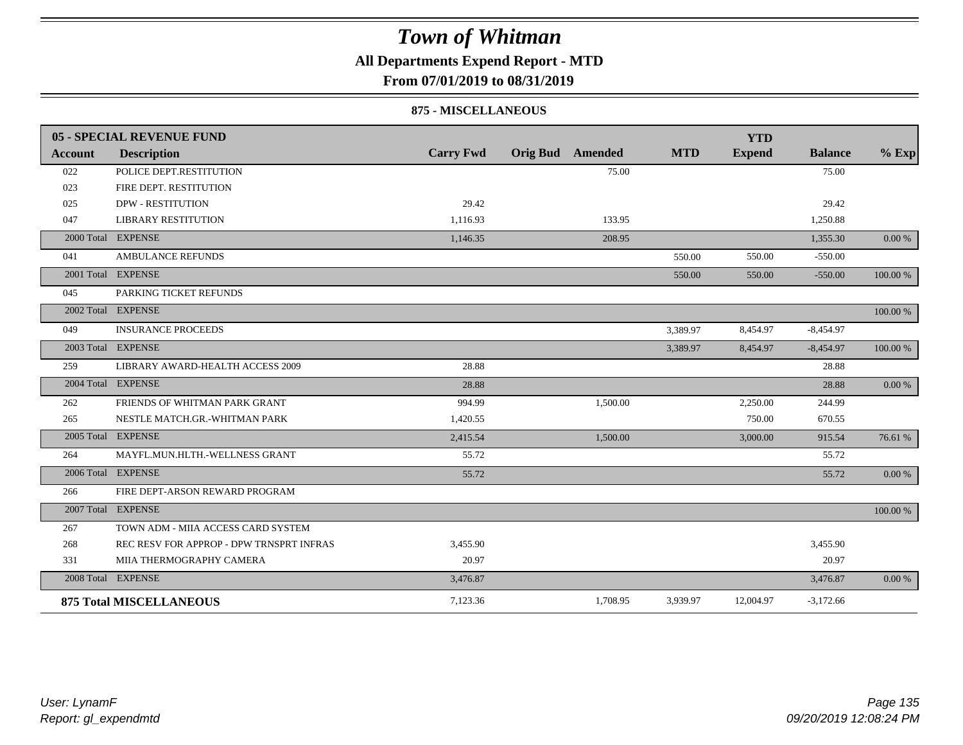### **All Departments Expend Report - MTD**

**From 07/01/2019 to 08/31/2019**

#### **875 - MISCELLANEOUS**

|            | <b>05 - SPECIAL REVENUE FUND</b>         |                  |                         |          |            | <b>YTD</b>    |                |           |
|------------|------------------------------------------|------------------|-------------------------|----------|------------|---------------|----------------|-----------|
| Account    | <b>Description</b>                       | <b>Carry Fwd</b> | <b>Orig Bud</b> Amended |          | <b>MTD</b> | <b>Expend</b> | <b>Balance</b> | $%$ Exp   |
| 022        | POLICE DEPT.RESTITUTION                  |                  |                         | 75.00    |            |               | 75.00          |           |
| 023        | FIRE DEPT. RESTITUTION                   |                  |                         |          |            |               |                |           |
| 025        | <b>DPW - RESTITUTION</b>                 | 29.42            |                         |          |            |               | 29.42          |           |
| 047        | <b>LIBRARY RESTITUTION</b>               | 1,116.93         |                         | 133.95   |            |               | 1,250.88       |           |
|            | 2000 Total EXPENSE                       | 1,146.35         |                         | 208.95   |            |               | 1,355.30       | 0.00 %    |
| 041        | <b>AMBULANCE REFUNDS</b>                 |                  |                         |          | 550.00     | 550.00        | $-550.00$      |           |
|            | 2001 Total EXPENSE                       |                  |                         |          | 550.00     | 550.00        | $-550.00$      | 100.00 %  |
| 045        | PARKING TICKET REFUNDS                   |                  |                         |          |            |               |                |           |
| 2002 Total | <b>EXPENSE</b>                           |                  |                         |          |            |               |                | 100.00 %  |
| 049        | <b>INSURANCE PROCEEDS</b>                |                  |                         |          | 3,389.97   | 8,454.97      | $-8,454.97$    |           |
|            | 2003 Total EXPENSE                       |                  |                         |          | 3,389.97   | 8,454.97      | $-8,454.97$    | 100.00 %  |
| 259        | LIBRARY AWARD-HEALTH ACCESS 2009         | 28.88            |                         |          |            |               | 28.88          |           |
|            | 2004 Total EXPENSE                       | 28.88            |                         |          |            |               | 28.88          | $0.00\%$  |
| 262        | FRIENDS OF WHITMAN PARK GRANT            | 994.99           |                         | 1,500.00 |            | 2,250.00      | 244.99         |           |
| 265        | NESTLE MATCH.GR.-WHITMAN PARK            | 1,420.55         |                         |          |            | 750.00        | 670.55         |           |
|            | 2005 Total EXPENSE                       | 2.415.54         |                         | 1,500.00 |            | 3,000.00      | 915.54         | 76.61 %   |
| 264        | MAYFL.MUN.HLTH.-WELLNESS GRANT           | 55.72            |                         |          |            |               | 55.72          |           |
|            | 2006 Total EXPENSE                       | 55.72            |                         |          |            |               | 55.72          | 0.00 %    |
| 266        | FIRE DEPT-ARSON REWARD PROGRAM           |                  |                         |          |            |               |                |           |
|            | 2007 Total EXPENSE                       |                  |                         |          |            |               |                | 100.00 %  |
| 267        | TOWN ADM - MIIA ACCESS CARD SYSTEM       |                  |                         |          |            |               |                |           |
| 268        | REC RESV FOR APPROP - DPW TRNSPRT INFRAS | 3,455.90         |                         |          |            |               | 3,455.90       |           |
| 331        | MIIA THERMOGRAPHY CAMERA                 | 20.97            |                         |          |            |               | 20.97          |           |
|            | 2008 Total EXPENSE                       | 3,476.87         |                         |          |            |               | 3,476.87       | $0.00 \%$ |
|            | <b>875 Total MISCELLANEOUS</b>           | 7,123.36         |                         | 1,708.95 | 3,939.97   | 12,004.97     | $-3,172.66$    |           |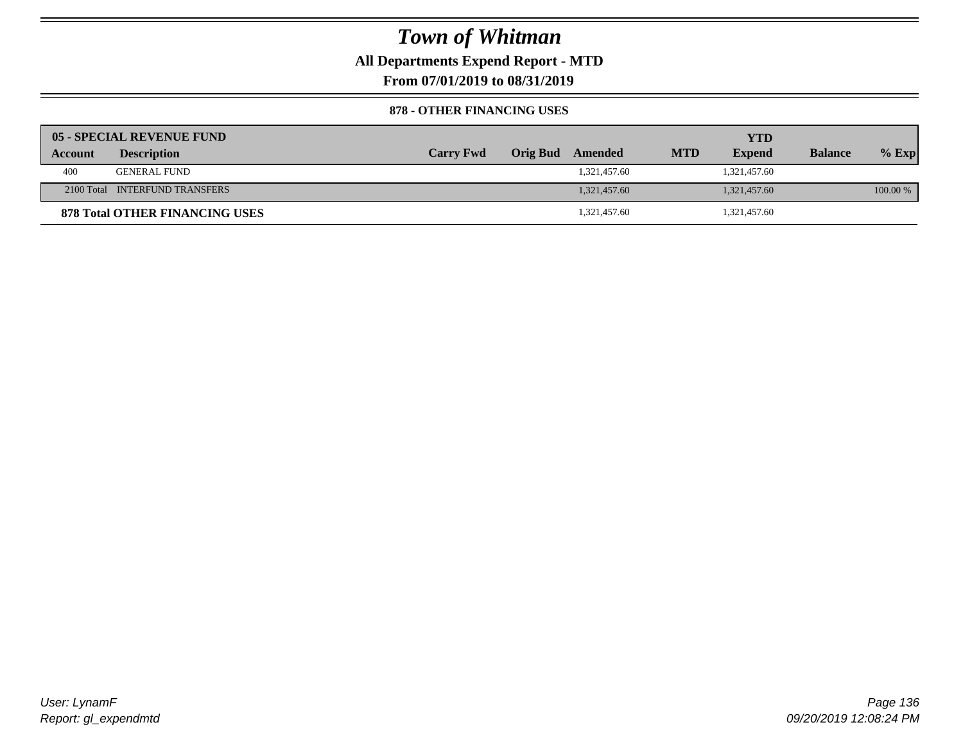**All Departments Expend Report - MTD**

**From 07/01/2019 to 08/31/2019**

### **878 - OTHER FINANCING USES**

|         | 05 - SPECIAL REVENUE FUND             |                  |                  |            | <b>YTD</b>    |                |          |
|---------|---------------------------------------|------------------|------------------|------------|---------------|----------------|----------|
| Account | <b>Description</b>                    | <b>Carry Fwd</b> | Orig Bud Amended | <b>MTD</b> | <b>Expend</b> | <b>Balance</b> | $%$ Exp  |
| 400     | <b>GENERAL FUND</b>                   |                  | 1,321,457.60     |            | 1,321,457.60  |                |          |
|         | 2100 Total INTERFUND TRANSFERS        |                  | 1.321.457.60     |            | 1,321,457.60  |                | 100.00 % |
|         | <b>878 Total OTHER FINANCING USES</b> |                  | 1,321,457.60     |            | 1,321,457.60  |                |          |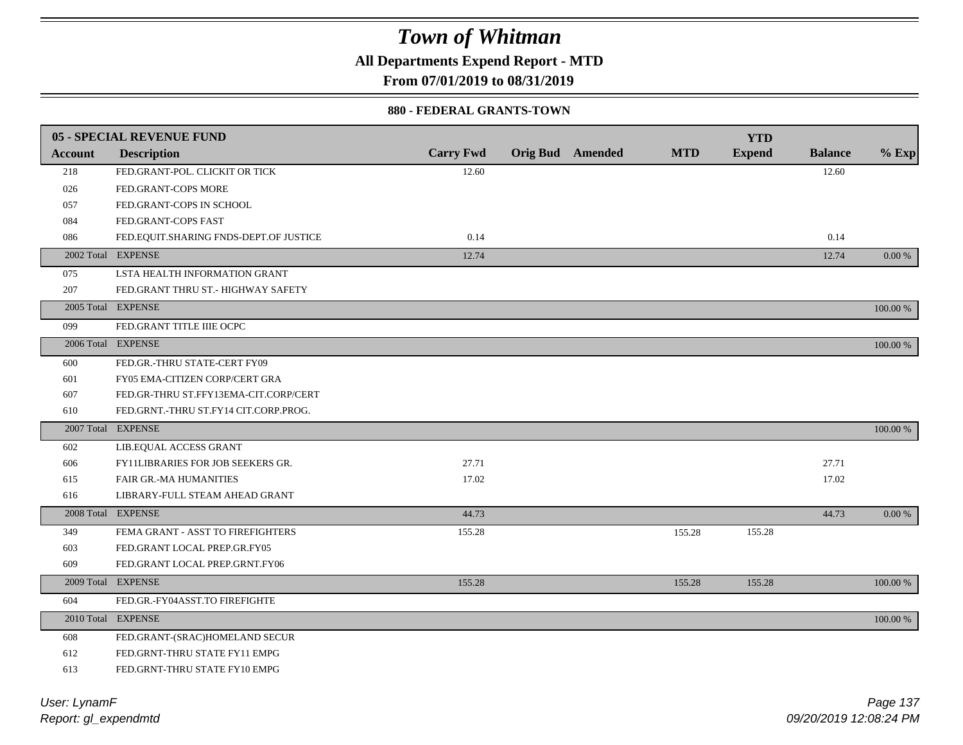**All Departments Expend Report - MTD**

**From 07/01/2019 to 08/31/2019**

### **880 - FEDERAL GRANTS-TOWN**

|         | <b>05 - SPECIAL REVENUE FUND</b>       |                  |                         |            | <b>YTD</b>    |                |             |
|---------|----------------------------------------|------------------|-------------------------|------------|---------------|----------------|-------------|
| Account | <b>Description</b>                     | <b>Carry Fwd</b> | <b>Orig Bud</b> Amended | <b>MTD</b> | <b>Expend</b> | <b>Balance</b> | $%$ Exp     |
| 218     | FED.GRANT-POL. CLICKIT OR TICK         | 12.60            |                         |            |               | 12.60          |             |
| 026     | FED.GRANT-COPS MORE                    |                  |                         |            |               |                |             |
| 057     | FED.GRANT-COPS IN SCHOOL               |                  |                         |            |               |                |             |
| 084     | FED.GRANT-COPS FAST                    |                  |                         |            |               |                |             |
| 086     | FED.EQUIT.SHARING FNDS-DEPT.OF JUSTICE | 0.14             |                         |            |               | 0.14           |             |
|         | 2002 Total EXPENSE                     | 12.74            |                         |            |               | 12.74          | 0.00 %      |
| 075     | LSTA HEALTH INFORMATION GRANT          |                  |                         |            |               |                |             |
| 207     | FED.GRANT THRU ST.- HIGHWAY SAFETY     |                  |                         |            |               |                |             |
|         | 2005 Total EXPENSE                     |                  |                         |            |               |                | 100.00 %    |
| 099     | FED.GRANT TITLE IIIE OCPC              |                  |                         |            |               |                |             |
|         | 2006 Total EXPENSE                     |                  |                         |            |               |                | 100.00 %    |
| 600     | FED.GR.-THRU STATE-CERT FY09           |                  |                         |            |               |                |             |
| 601     | FY05 EMA-CITIZEN CORP/CERT GRA         |                  |                         |            |               |                |             |
| 607     | FED.GR-THRU ST.FFY13EMA-CIT.CORP/CERT  |                  |                         |            |               |                |             |
| 610     | FED.GRNT.-THRU ST.FY14 CIT.CORP.PROG.  |                  |                         |            |               |                |             |
|         | 2007 Total EXPENSE                     |                  |                         |            |               |                | 100.00 %    |
| 602     | LIB.EQUAL ACCESS GRANT                 |                  |                         |            |               |                |             |
| 606     | FY11LIBRARIES FOR JOB SEEKERS GR.      | 27.71            |                         |            |               | 27.71          |             |
| 615     | FAIR GR.-MA HUMANITIES                 | 17.02            |                         |            |               | 17.02          |             |
| 616     | LIBRARY-FULL STEAM AHEAD GRANT         |                  |                         |            |               |                |             |
|         | 2008 Total EXPENSE                     | 44.73            |                         |            |               | 44.73          | $0.00 \%$   |
| 349     | FEMA GRANT - ASST TO FIREFIGHTERS      | 155.28           |                         | 155.28     | 155.28        |                |             |
| 603     | FED.GRANT LOCAL PREP.GR.FY05           |                  |                         |            |               |                |             |
| 609     | FED.GRANT LOCAL PREP.GRNT.FY06         |                  |                         |            |               |                |             |
|         | 2009 Total EXPENSE                     | 155.28           |                         | 155.28     | 155.28        |                | 100.00 %    |
| 604     | FED.GR.-FY04ASST.TO FIREFIGHTE         |                  |                         |            |               |                |             |
|         | 2010 Total EXPENSE                     |                  |                         |            |               |                | $100.00~\%$ |
| 608     | FED.GRANT-(SRAC)HOMELAND SECUR         |                  |                         |            |               |                |             |
| 612     | FED.GRNT-THRU STATE FY11 EMPG          |                  |                         |            |               |                |             |
| 613     | FED.GRNT-THRU STATE FY10 EMPG          |                  |                         |            |               |                |             |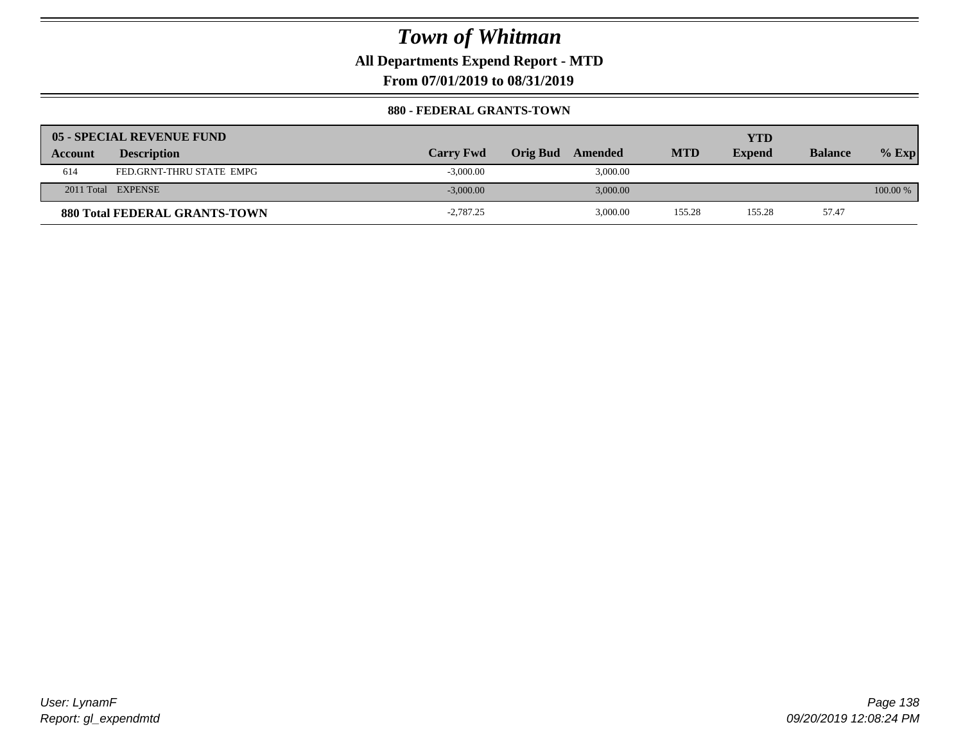**All Departments Expend Report - MTD**

**From 07/01/2019 to 08/31/2019**

### **880 - FEDERAL GRANTS-TOWN**

|                | 05 - SPECIAL REVENUE FUND            |                  |                     |            | YTD           |                |          |
|----------------|--------------------------------------|------------------|---------------------|------------|---------------|----------------|----------|
| <b>Account</b> | <b>Description</b>                   | <b>Carry Fwd</b> | Orig Bud<br>Amended | <b>MTD</b> | <b>Expend</b> | <b>Balance</b> | $%$ Exp  |
| 614            | FED.GRNT-THRU STATE EMPG             | $-3,000.00$      | 3,000.00            |            |               |                |          |
|                | 2011 Total EXPENSE                   | $-3,000.00$      | 3,000.00            |            |               |                | 100.00 % |
|                | <b>880 Total FEDERAL GRANTS-TOWN</b> | $-2,787.25$      | 3,000.00            | 155.28     | 155.28        | 57.47          |          |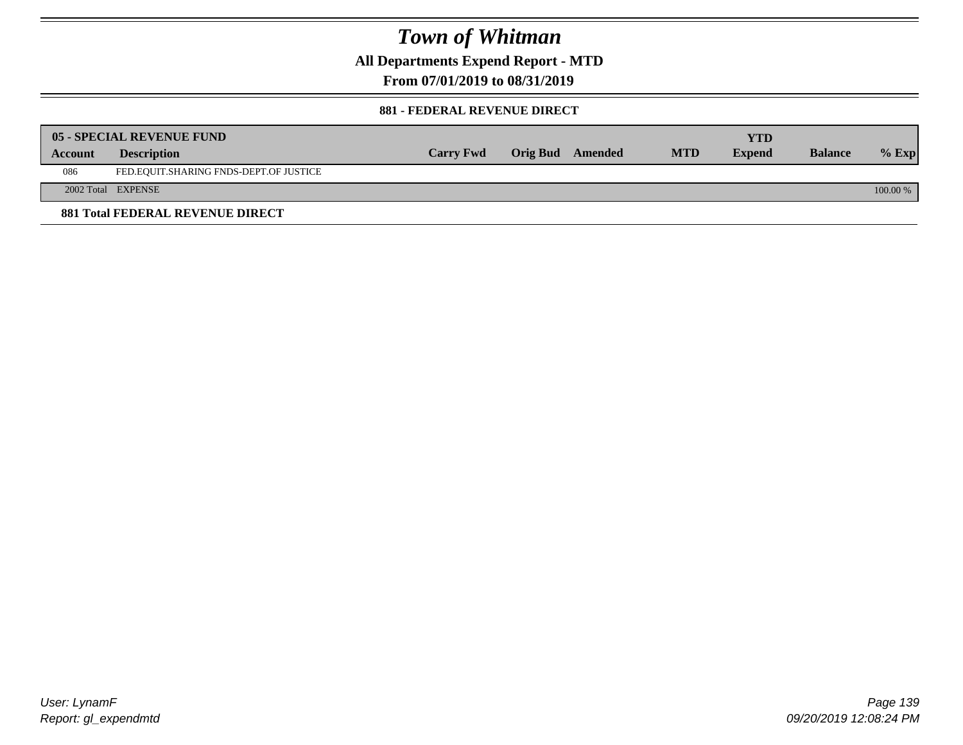**All Departments Expend Report - MTD**

**From 07/01/2019 to 08/31/2019**

### **881 - FEDERAL REVENUE DIRECT**

|         | <b>05 - SPECIAL REVENUE FUND</b>        |                  |                  |            | YTD           |                |          |
|---------|-----------------------------------------|------------------|------------------|------------|---------------|----------------|----------|
| Account | <b>Description</b>                      | <b>Carry Fwd</b> | Orig Bud Amended | <b>MTD</b> | <b>Expend</b> | <b>Balance</b> | $%$ Exp  |
| 086     | FED.EQUIT.SHARING FNDS-DEPT.OF JUSTICE  |                  |                  |            |               |                |          |
|         | 2002 Total EXPENSE                      |                  |                  |            |               |                | 100.00 % |
|         | <b>881 Total FEDERAL REVENUE DIRECT</b> |                  |                  |            |               |                |          |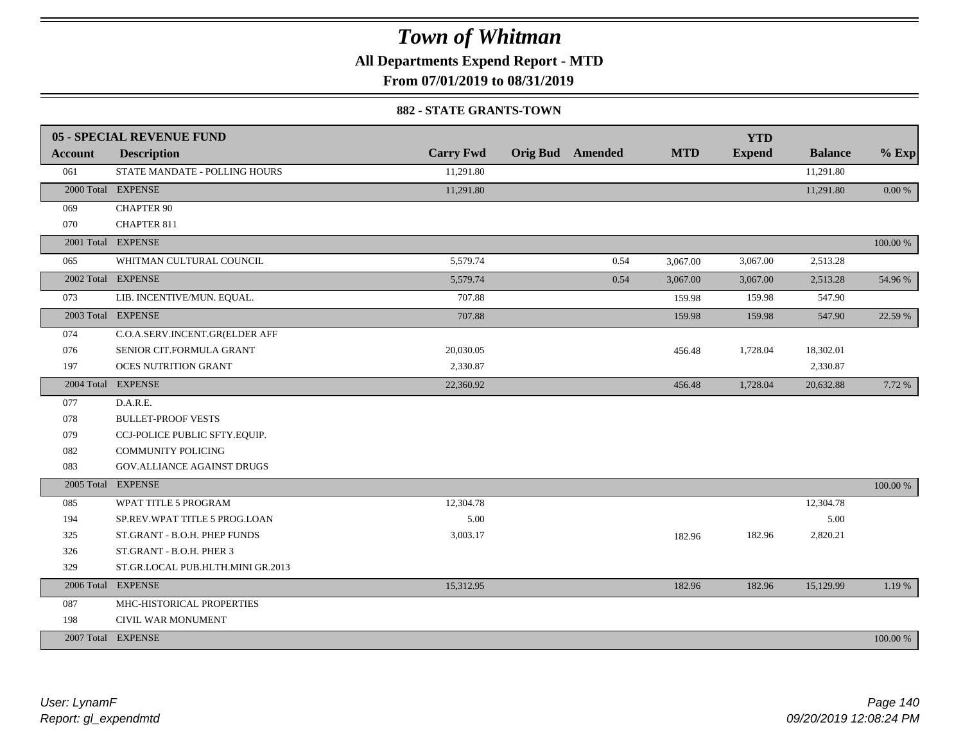**All Departments Expend Report - MTD**

### **From 07/01/2019 to 08/31/2019**

#### **882 - STATE GRANTS-TOWN**

|         | <b>05 - SPECIAL REVENUE FUND</b>  |                  |                         |            | <b>YTD</b>    |                |          |
|---------|-----------------------------------|------------------|-------------------------|------------|---------------|----------------|----------|
| Account | <b>Description</b>                | <b>Carry Fwd</b> | <b>Orig Bud</b> Amended | <b>MTD</b> | <b>Expend</b> | <b>Balance</b> | $%$ Exp  |
| 061     | STATE MANDATE - POLLING HOURS     | 11,291.80        |                         |            |               | 11,291.80      |          |
|         | 2000 Total EXPENSE                | 11,291.80        |                         |            |               | 11,291.80      | 0.00 %   |
| 069     | <b>CHAPTER 90</b>                 |                  |                         |            |               |                |          |
| 070     | CHAPTER 811                       |                  |                         |            |               |                |          |
|         | 2001 Total EXPENSE                |                  |                         |            |               |                | 100.00 % |
| 065     | WHITMAN CULTURAL COUNCIL          | 5,579.74         | 0.54                    | 3,067.00   | 3,067.00      | 2,513.28       |          |
|         | 2002 Total EXPENSE                | 5,579.74         | 0.54                    | 3,067.00   | 3,067.00      | 2,513.28       | 54.96 %  |
| 073     | LIB. INCENTIVE/MUN. EQUAL.        | 707.88           |                         | 159.98     | 159.98        | 547.90         |          |
|         | 2003 Total EXPENSE                | 707.88           |                         | 159.98     | 159.98        | 547.90         | 22.59 %  |
| 074     | C.O.A.SERV.INCENT.GR(ELDER AFF    |                  |                         |            |               |                |          |
| 076     | SENIOR CIT.FORMULA GRANT          | 20,030.05        |                         | 456.48     | 1,728.04      | 18,302.01      |          |
| 197     | OCES NUTRITION GRANT              | 2,330.87         |                         |            |               | 2,330.87       |          |
|         | 2004 Total EXPENSE                | 22,360.92        |                         | 456.48     | 1,728.04      | 20,632.88      | 7.72 %   |
| 077     | D.A.R.E.                          |                  |                         |            |               |                |          |
| 078     | <b>BULLET-PROOF VESTS</b>         |                  |                         |            |               |                |          |
| 079     | CCJ-POLICE PUBLIC SFTY.EQUIP.     |                  |                         |            |               |                |          |
| 082     | <b>COMMUNITY POLICING</b>         |                  |                         |            |               |                |          |
| 083     | GOV.ALLIANCE AGAINST DRUGS        |                  |                         |            |               |                |          |
|         | 2005 Total EXPENSE                |                  |                         |            |               |                | 100.00 % |
| 085     | WPAT TITLE 5 PROGRAM              | 12,304.78        |                         |            |               | 12,304.78      |          |
| 194     | SP.REV.WPAT TITLE 5 PROG.LOAN     | 5.00             |                         |            |               | 5.00           |          |
| 325     | ST.GRANT - B.O.H. PHEP FUNDS      | 3,003.17         |                         | 182.96     | 182.96        | 2,820.21       |          |
| 326     | ST.GRANT - B.O.H. PHER 3          |                  |                         |            |               |                |          |
| 329     | ST.GR.LOCAL PUB.HLTH.MINI GR.2013 |                  |                         |            |               |                |          |
|         | 2006 Total EXPENSE                | 15,312.95        |                         | 182.96     | 182.96        | 15,129.99      | 1.19 %   |
| 087     | MHC-HISTORICAL PROPERTIES         |                  |                         |            |               |                |          |
| 198     | CIVIL WAR MONUMENT                |                  |                         |            |               |                |          |
|         | 2007 Total EXPENSE                |                  |                         |            |               |                | 100.00 % |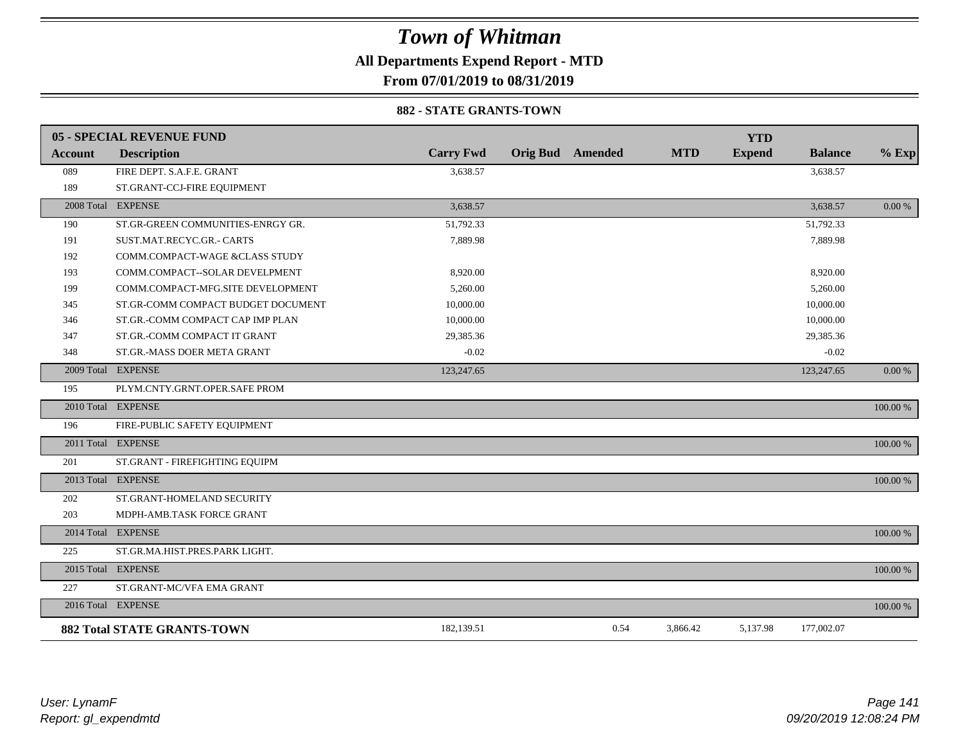**All Departments Expend Report - MTD**

**From 07/01/2019 to 08/31/2019**

### **882 - STATE GRANTS-TOWN**

|         | <b>05 - SPECIAL REVENUE FUND</b>   |                  |                         |            | <b>YTD</b>    |                |          |
|---------|------------------------------------|------------------|-------------------------|------------|---------------|----------------|----------|
| Account | <b>Description</b>                 | <b>Carry Fwd</b> | <b>Orig Bud</b> Amended | <b>MTD</b> | <b>Expend</b> | <b>Balance</b> | $%$ Exp  |
| 089     | FIRE DEPT. S.A.F.E. GRANT          | 3,638.57         |                         |            |               | 3,638.57       |          |
| 189     | ST.GRANT-CCJ-FIRE EQUIPMENT        |                  |                         |            |               |                |          |
|         | 2008 Total EXPENSE                 | 3,638.57         |                         |            |               | 3,638.57       | 0.00 %   |
| 190     | ST.GR-GREEN COMMUNITIES-ENRGY GR.  | 51,792.33        |                         |            |               | 51,792.33      |          |
| 191     | SUST.MAT.RECYC.GR.- CARTS          | 7,889.98         |                         |            |               | 7,889.98       |          |
| 192     | COMM.COMPACT-WAGE &CLASS STUDY     |                  |                         |            |               |                |          |
| 193     | COMM.COMPACT--SOLAR DEVELPMENT     | 8,920.00         |                         |            |               | 8,920.00       |          |
| 199     | COMM.COMPACT-MFG.SITE DEVELOPMENT  | 5,260.00         |                         |            |               | 5,260.00       |          |
| 345     | ST.GR-COMM COMPACT BUDGET DOCUMENT | 10,000.00        |                         |            |               | 10,000.00      |          |
| 346     | ST.GR.-COMM COMPACT CAP IMP PLAN   | 10,000.00        |                         |            |               | 10,000.00      |          |
| 347     | ST.GR.-COMM COMPACT IT GRANT       | 29,385.36        |                         |            |               | 29,385.36      |          |
| 348     | ST.GR.-MASS DOER META GRANT        | $-0.02$          |                         |            |               | $-0.02$        |          |
|         | 2009 Total EXPENSE                 | 123,247.65       |                         |            |               | 123,247.65     | 0.00 %   |
| 195     | PLYM.CNTY.GRNT.OPER.SAFE PROM      |                  |                         |            |               |                |          |
|         | 2010 Total EXPENSE                 |                  |                         |            |               |                | 100.00 % |
| 196     | FIRE-PUBLIC SAFETY EQUIPMENT       |                  |                         |            |               |                |          |
|         | 2011 Total EXPENSE                 |                  |                         |            |               |                | 100.00 % |
| 201     | ST.GRANT - FIREFIGHTING EQUIPM     |                  |                         |            |               |                |          |
|         | 2013 Total EXPENSE                 |                  |                         |            |               |                | 100.00 % |
| 202     | ST.GRANT-HOMELAND SECURITY         |                  |                         |            |               |                |          |
| 203     | MDPH-AMB.TASK FORCE GRANT          |                  |                         |            |               |                |          |
|         | 2014 Total EXPENSE                 |                  |                         |            |               |                | 100.00 % |
| 225     | ST.GR.MA.HIST.PRES.PARK LIGHT.     |                  |                         |            |               |                |          |
|         | 2015 Total EXPENSE                 |                  |                         |            |               |                | 100.00 % |
| 227     | ST.GRANT-MC/VFA EMA GRANT          |                  |                         |            |               |                |          |
|         | 2016 Total EXPENSE                 |                  |                         |            |               |                | 100.00 % |
|         | <b>882 Total STATE GRANTS-TOWN</b> | 182,139.51       | 0.54                    | 3,866.42   | 5,137.98      | 177,002.07     |          |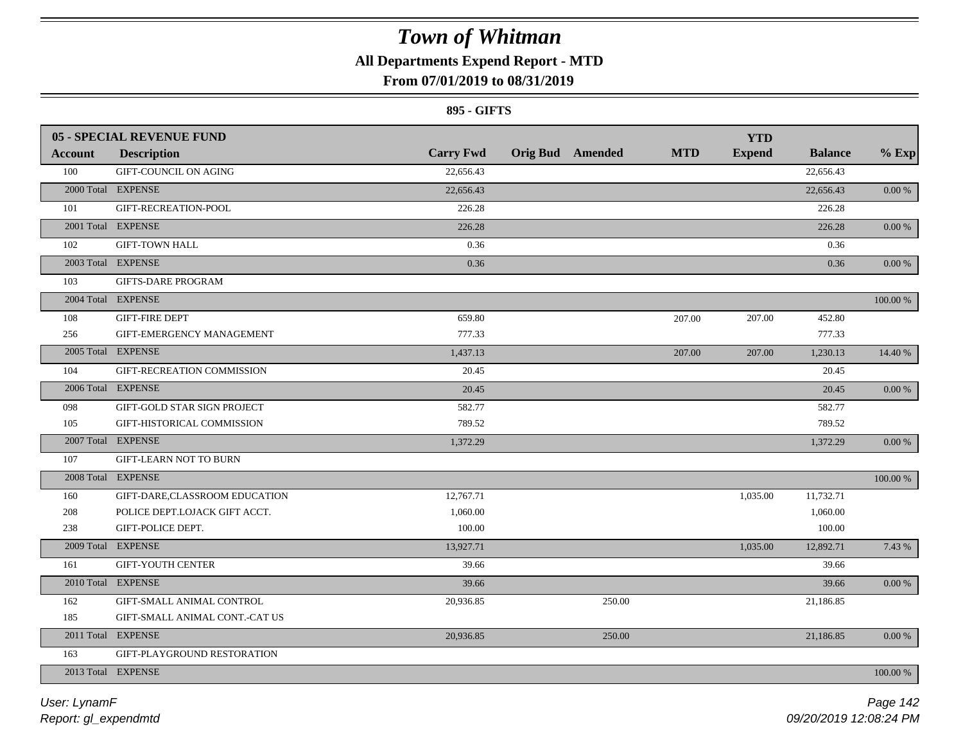## **All Departments Expend Report - MTD**

### **From 07/01/2019 to 08/31/2019**

### **895 - GIFTS**

|                | <b>05 - SPECIAL REVENUE FUND</b> | <b>Carry Fwd</b> | <b>Orig Bud</b> Amended | <b>MTD</b> | <b>YTD</b><br><b>Expend</b> | <b>Balance</b> |            |
|----------------|----------------------------------|------------------|-------------------------|------------|-----------------------------|----------------|------------|
| <b>Account</b> | <b>Description</b>               |                  |                         |            |                             |                | $%$ Exp    |
| 100            | <b>GIFT-COUNCIL ON AGING</b>     | 22,656.43        |                         |            |                             | 22,656.43      |            |
|                | 2000 Total EXPENSE               | 22,656.43        |                         |            |                             | 22,656.43      | $0.00\ \%$ |
| 101            | GIFT-RECREATION-POOL             | 226.28           |                         |            |                             | 226.28         |            |
|                | 2001 Total EXPENSE               | 226.28           |                         |            |                             | 226.28         | $0.00\,\%$ |
| 102            | <b>GIFT-TOWN HALL</b>            | 0.36             |                         |            |                             | 0.36           |            |
|                | 2003 Total EXPENSE               | 0.36             |                         |            |                             | 0.36           | 0.00 %     |
| 103            | <b>GIFTS-DARE PROGRAM</b>        |                  |                         |            |                             |                |            |
|                | 2004 Total EXPENSE               |                  |                         |            |                             |                | 100.00 %   |
| 108            | <b>GIFT-FIRE DEPT</b>            | 659.80           |                         | 207.00     | 207.00                      | 452.80         |            |
| 256            | GIFT-EMERGENCY MANAGEMENT        | 777.33           |                         |            |                             | 777.33         |            |
|                | 2005 Total EXPENSE               | 1,437.13         |                         | 207.00     | 207.00                      | 1,230.13       | 14.40 %    |
| 104            | GIFT-RECREATION COMMISSION       | 20.45            |                         |            |                             | 20.45          |            |
|                | 2006 Total EXPENSE               | 20.45            |                         |            |                             | 20.45          | 0.00 %     |
| 098            | GIFT-GOLD STAR SIGN PROJECT      | 582.77           |                         |            |                             | 582.77         |            |
| 105            | GIFT-HISTORICAL COMMISSION       | 789.52           |                         |            |                             | 789.52         |            |
|                | 2007 Total EXPENSE               | 1,372.29         |                         |            |                             | 1,372.29       | $0.00\,\%$ |
| 107            | <b>GIFT-LEARN NOT TO BURN</b>    |                  |                         |            |                             |                |            |
|                | 2008 Total EXPENSE               |                  |                         |            |                             |                | 100.00 %   |
| 160            | GIFT-DARE, CLASSROOM EDUCATION   | 12,767.71        |                         |            | 1,035.00                    | 11,732.71      |            |
| 208            | POLICE DEPT.LOJACK GIFT ACCT.    | 1,060.00         |                         |            |                             | 1,060.00       |            |
| 238            | GIFT-POLICE DEPT.                | 100.00           |                         |            |                             | 100.00         |            |
|                | 2009 Total EXPENSE               | 13,927.71        |                         |            | 1,035.00                    | 12,892.71      | 7.43 %     |
| 161            | <b>GIFT-YOUTH CENTER</b>         | 39.66            |                         |            |                             | 39.66          |            |
|                | 2010 Total EXPENSE               | 39.66            |                         |            |                             | 39.66          | $0.00\,\%$ |
| 162            | GIFT-SMALL ANIMAL CONTROL        | 20,936.85        | 250.00                  |            |                             | 21,186.85      |            |
| 185            | GIFT-SMALL ANIMAL CONT.-CAT US   |                  |                         |            |                             |                |            |
|                | 2011 Total EXPENSE               | 20,936.85        | 250.00                  |            |                             | 21,186.85      | 0.00 %     |
| 163            | GIFT-PLAYGROUND RESTORATION      |                  |                         |            |                             |                |            |
|                | 2013 Total EXPENSE               |                  |                         |            |                             |                | 100.00 %   |
|                |                                  |                  |                         |            |                             |                |            |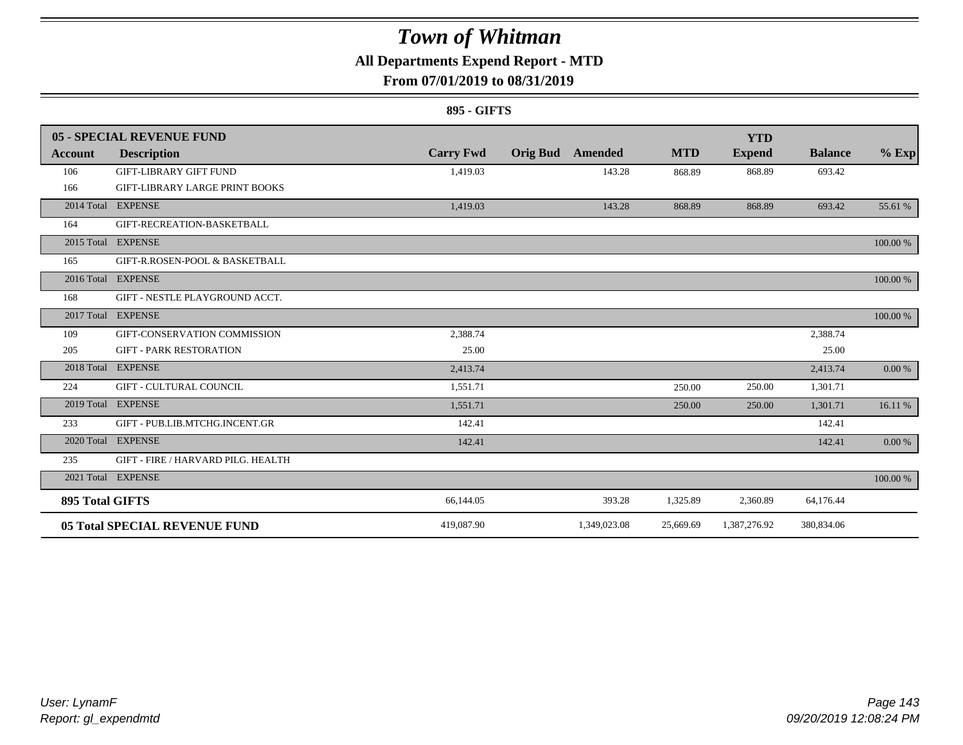### **All Departments Expend Report - MTD**

### **From 07/01/2019 to 08/31/2019**

### **895 - GIFTS**

|                        | 05 - SPECIAL REVENUE FUND             |                  |                 |              |            | <b>YTD</b>    |                |          |
|------------------------|---------------------------------------|------------------|-----------------|--------------|------------|---------------|----------------|----------|
| Account                | <b>Description</b>                    | <b>Carry Fwd</b> | <b>Orig Bud</b> | Amended      | <b>MTD</b> | <b>Expend</b> | <b>Balance</b> | $%$ Exp  |
| 106                    | <b>GIFT-LIBRARY GIFT FUND</b>         | 1,419.03         |                 | 143.28       | 868.89     | 868.89        | 693.42         |          |
| 166                    | <b>GIFT-LIBRARY LARGE PRINT BOOKS</b> |                  |                 |              |            |               |                |          |
|                        | 2014 Total EXPENSE                    | 1,419.03         |                 | 143.28       | 868.89     | 868.89        | 693.42         | 55.61 %  |
| 164                    | GIFT-RECREATION-BASKETBALL            |                  |                 |              |            |               |                |          |
|                        | 2015 Total EXPENSE                    |                  |                 |              |            |               |                | 100.00 % |
| 165                    | GIFT-R.ROSEN-POOL & BASKETBALL        |                  |                 |              |            |               |                |          |
|                        | 2016 Total EXPENSE                    |                  |                 |              |            |               |                | 100.00 % |
| 168                    | GIFT - NESTLE PLAYGROUND ACCT.        |                  |                 |              |            |               |                |          |
| 2017 Total             | <b>EXPENSE</b>                        |                  |                 |              |            |               |                | 100.00 % |
| 109                    | GIFT-CONSERVATION COMMISSION          | 2,388.74         |                 |              |            |               | 2,388.74       |          |
| 205                    | <b>GIFT - PARK RESTORATION</b>        | 25.00            |                 |              |            |               | 25.00          |          |
| 2018 Total             | <b>EXPENSE</b>                        | 2.413.74         |                 |              |            |               | 2,413.74       | 0.00 %   |
| 224                    | <b>GIFT - CULTURAL COUNCIL</b>        | 1,551.71         |                 |              | 250.00     | 250.00        | 1,301.71       |          |
|                        | 2019 Total EXPENSE                    | 1,551.71         |                 |              | 250.00     | 250.00        | 1,301.71       | 16.11 %  |
| 233                    | GIFT - PUB.LIB.MTCHG.INCENT.GR        | 142.41           |                 |              |            |               | 142.41         |          |
|                        | 2020 Total EXPENSE                    | 142.41           |                 |              |            |               | 142.41         | 0.00 %   |
| 235                    | GIFT - FIRE / HARVARD PILG. HEALTH    |                  |                 |              |            |               |                |          |
|                        | 2021 Total EXPENSE                    |                  |                 |              |            |               |                | 100.00 % |
| <b>895 Total GIFTS</b> |                                       | 66,144.05        |                 | 393.28       | 1,325.89   | 2,360.89      | 64,176.44      |          |
|                        | <b>05 Total SPECIAL REVENUE FUND</b>  | 419,087.90       |                 | 1,349,023.08 | 25,669.69  | 1,387,276.92  | 380,834.06     |          |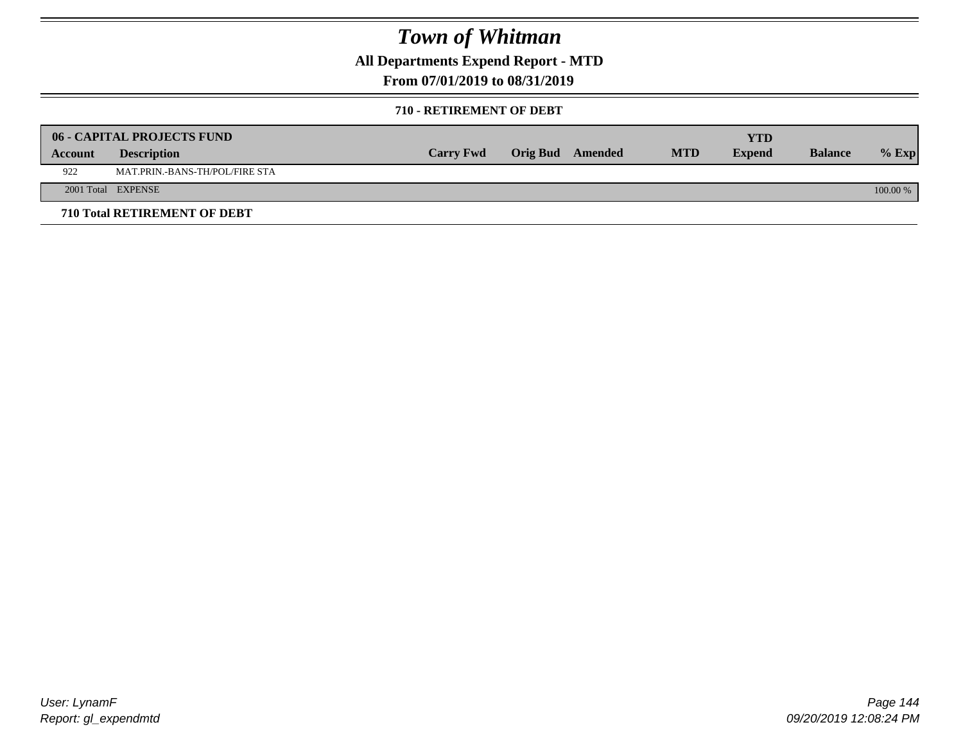**All Departments Expend Report - MTD**

**From 07/01/2019 to 08/31/2019**

#### **710 - RETIREMENT OF DEBT**

|         | <b>06 - CAPITAL PROJECTS FUND</b>     |                  |                  |            | <b>YTD</b>    |                |            |
|---------|---------------------------------------|------------------|------------------|------------|---------------|----------------|------------|
| Account | <b>Description</b>                    | <b>Carry Fwd</b> | Orig Bud Amended | <b>MTD</b> | <b>Expend</b> | <b>Balance</b> | $%$ Exp    |
| 922     | <b>MAT.PRIN.-BANS-TH/POL/FIRE STA</b> |                  |                  |            |               |                |            |
|         | 2001 Total EXPENSE                    |                  |                  |            |               |                | $100.00\%$ |
|         | 710 Total RETIREMENT OF DEBT          |                  |                  |            |               |                |            |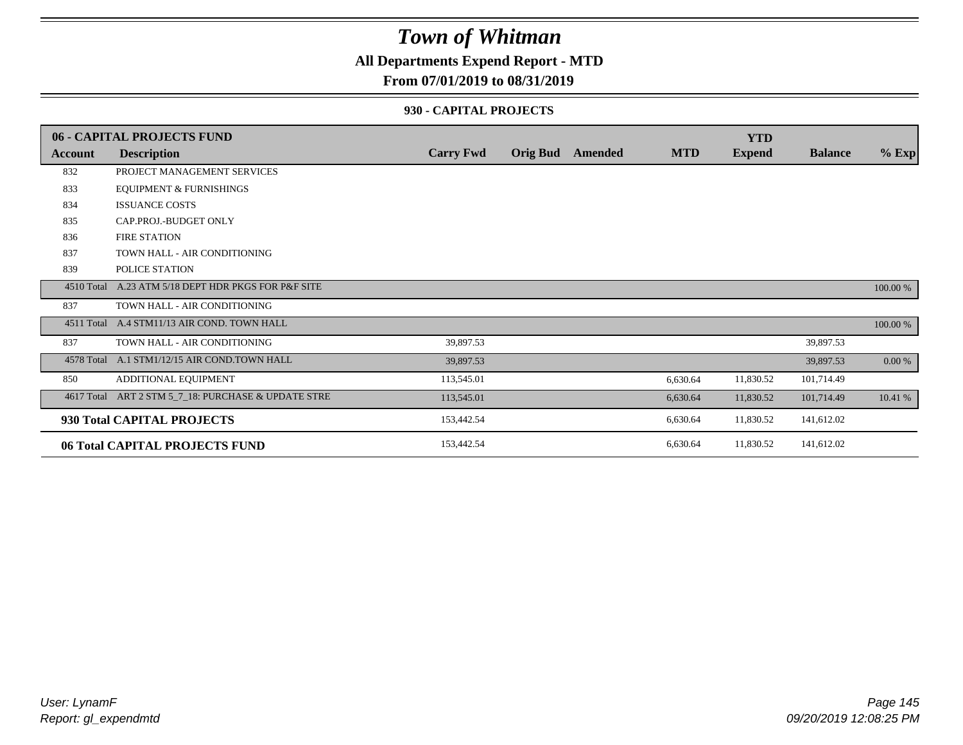### **All Departments Expend Report - MTD**

### **From 07/01/2019 to 08/31/2019**

#### **930 - CAPITAL PROJECTS**

|                | 06 - CAPITAL PROJECTS FUND                   |                  |                 |         |            | <b>YTD</b>    |                |          |
|----------------|----------------------------------------------|------------------|-----------------|---------|------------|---------------|----------------|----------|
| <b>Account</b> | <b>Description</b>                           | <b>Carry Fwd</b> | <b>Orig Bud</b> | Amended | <b>MTD</b> | <b>Expend</b> | <b>Balance</b> | $%$ Exp  |
| 832            | PROJECT MANAGEMENT SERVICES                  |                  |                 |         |            |               |                |          |
| 833            | <b>EQUIPMENT &amp; FURNISHINGS</b>           |                  |                 |         |            |               |                |          |
| 834            | <b>ISSUANCE COSTS</b>                        |                  |                 |         |            |               |                |          |
| 835            | CAP.PROJ.-BUDGET ONLY                        |                  |                 |         |            |               |                |          |
| 836            | <b>FIRE STATION</b>                          |                  |                 |         |            |               |                |          |
| 837            | TOWN HALL - AIR CONDITIONING                 |                  |                 |         |            |               |                |          |
| 839            | POLICE STATION                               |                  |                 |         |            |               |                |          |
| 4510 Total     | A.23 ATM 5/18 DEPT HDR PKGS FOR P&F SITE     |                  |                 |         |            |               |                | 100.00 % |
| 837            | TOWN HALL - AIR CONDITIONING                 |                  |                 |         |            |               |                |          |
|                | 4511 Total A.4 STM11/13 AIR COND. TOWN HALL  |                  |                 |         |            |               |                | 100.00 % |
| 837            | TOWN HALL - AIR CONDITIONING                 | 39,897.53        |                 |         |            |               | 39,897.53      |          |
|                | 4578 Total A.1 STM1/12/15 AIR COND.TOWN HALL | 39,897.53        |                 |         |            |               | 39,897.53      | 0.00 %   |
| 850            | ADDITIONAL EQUIPMENT                         | 113,545.01       |                 |         | 6,630.64   | 11,830.52     | 101,714.49     |          |
| 4617 Total     | ART 2 STM 5_7_18: PURCHASE & UPDATE STRE     | 113,545.01       |                 |         | 6,630.64   | 11,830.52     | 101,714.49     | 10.41 %  |
|                | 930 Total CAPITAL PROJECTS                   | 153,442.54       |                 |         | 6,630.64   | 11,830.52     | 141,612.02     |          |
|                | 06 Total CAPITAL PROJECTS FUND               | 153,442.54       |                 |         | 6,630.64   | 11,830.52     | 141,612.02     |          |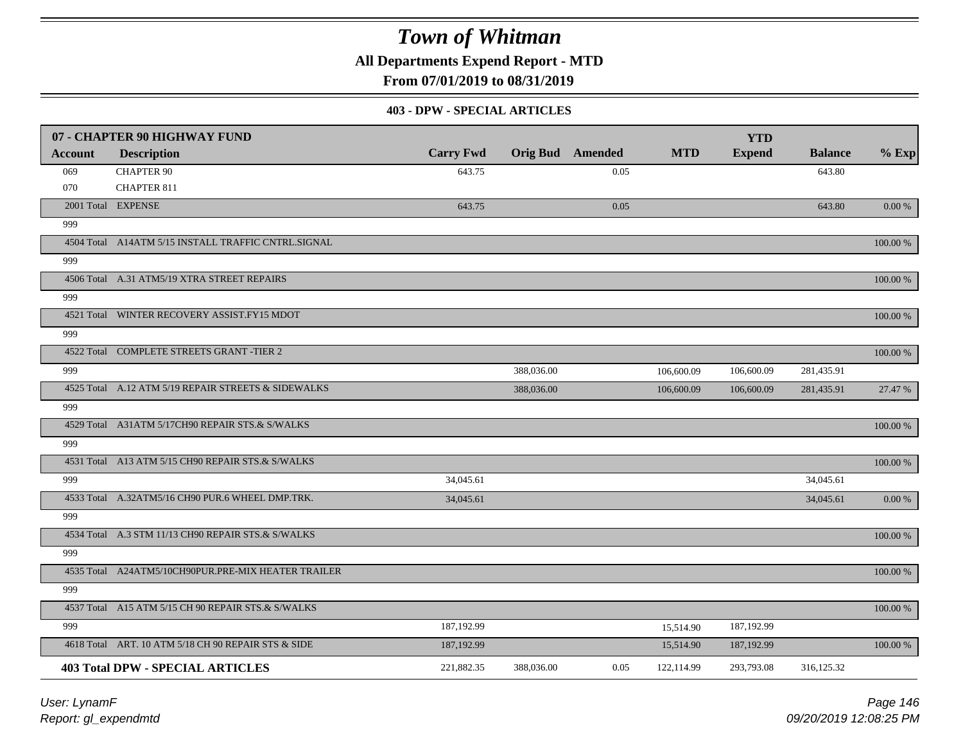**All Departments Expend Report - MTD**

**From 07/01/2019 to 08/31/2019**

#### **403 - DPW - SPECIAL ARTICLES**

|         | 07 - CHAPTER 90 HIGHWAY FUND                        |                  |            |                         |            | <b>YTD</b>    |                |          |
|---------|-----------------------------------------------------|------------------|------------|-------------------------|------------|---------------|----------------|----------|
| Account | <b>Description</b>                                  | <b>Carry Fwd</b> |            | <b>Orig Bud</b> Amended | <b>MTD</b> | <b>Expend</b> | <b>Balance</b> | $%$ Exp  |
| 069     | <b>CHAPTER 90</b>                                   | 643.75           |            | 0.05                    |            |               | 643.80         |          |
| 070     | <b>CHAPTER 811</b>                                  |                  |            |                         |            |               |                |          |
|         | 2001 Total EXPENSE                                  | 643.75           |            | 0.05                    |            |               | 643.80         | 0.00 %   |
| 999     |                                                     |                  |            |                         |            |               |                |          |
|         | 4504 Total A14ATM 5/15 INSTALL TRAFFIC CNTRL.SIGNAL |                  |            |                         |            |               |                | 100.00 % |
| 999     |                                                     |                  |            |                         |            |               |                |          |
|         | 4506 Total A.31 ATM5/19 XTRA STREET REPAIRS         |                  |            |                         |            |               |                | 100.00 % |
| 999     |                                                     |                  |            |                         |            |               |                |          |
|         | 4521 Total WINTER RECOVERY ASSIST.FY15 MDOT         |                  |            |                         |            |               |                | 100.00 % |
| 999     |                                                     |                  |            |                         |            |               |                |          |
|         | 4522 Total COMPLETE STREETS GRANT -TIER 2           |                  |            |                         |            |               |                | 100.00 % |
| 999     |                                                     |                  | 388,036.00 |                         | 106,600.09 | 106,600.09    | 281,435.91     |          |
|         | 4525 Total A.12 ATM 5/19 REPAIR STREETS & SIDEWALKS |                  | 388,036.00 |                         | 106,600.09 | 106,600.09    | 281,435.91     | 27.47 %  |
| 999     |                                                     |                  |            |                         |            |               |                |          |
|         | 4529 Total A31ATM 5/17CH90 REPAIR STS.& S/WALKS     |                  |            |                         |            |               |                | 100.00 % |
| 999     |                                                     |                  |            |                         |            |               |                |          |
|         | 4531 Total A13 ATM 5/15 CH90 REPAIR STS.& S/WALKS   |                  |            |                         |            |               |                | 100.00 % |
| 999     |                                                     | 34,045.61        |            |                         |            |               | 34,045.61      |          |
|         | 4533 Total A.32ATM5/16 CH90 PUR.6 WHEEL DMP.TRK.    | 34,045.61        |            |                         |            |               | 34,045.61      | 0.00%    |
| 999     |                                                     |                  |            |                         |            |               |                |          |
|         | 4534 Total A.3 STM 11/13 CH90 REPAIR STS.& S/WALKS  |                  |            |                         |            |               |                | 100.00 % |
| 999     |                                                     |                  |            |                         |            |               |                |          |
|         | 4535 Total A24ATM5/10CH90PUR.PRE-MIX HEATER TRAILER |                  |            |                         |            |               |                | 100.00 % |
| 999     |                                                     |                  |            |                         |            |               |                |          |
|         | 4537 Total A15 ATM 5/15 CH 90 REPAIR STS.& S/WALKS  |                  |            |                         |            |               |                | 100.00 % |
| 999     |                                                     | 187,192.99       |            |                         | 15,514.90  | 187,192.99    |                |          |
|         | 4618 Total ART. 10 ATM 5/18 CH 90 REPAIR STS & SIDE | 187,192.99       |            |                         | 15,514.90  | 187,192.99    |                | 100.00 % |
|         | <b>403 Total DPW - SPECIAL ARTICLES</b>             | 221,882.35       | 388,036.00 | 0.05                    | 122,114.99 | 293,793.08    | 316,125.32     |          |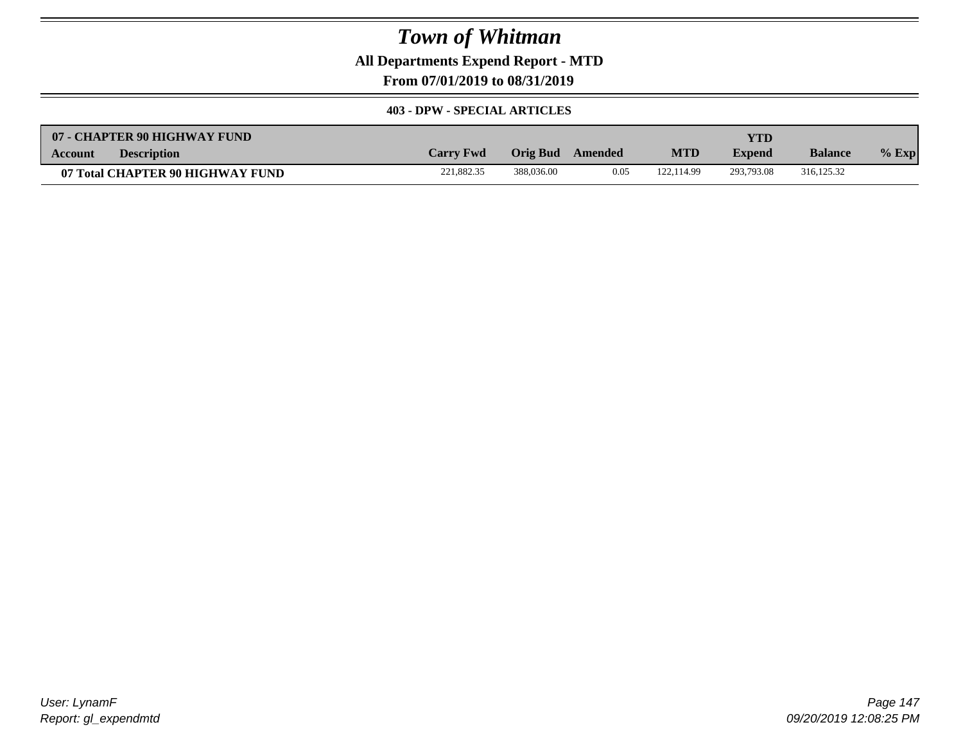**All Departments Expend Report - MTD**

**From 07/01/2019 to 08/31/2019**

#### **403 - DPW - SPECIAL ARTICLES**

| 07 - CHAPTER 90 HIGHWAY FUND     |                  |            |         |            | YTD           |                |         |
|----------------------------------|------------------|------------|---------|------------|---------------|----------------|---------|
| <b>Description</b><br>Account    | <b>Carry Fwd</b> | Orig Bud   | Amended | <b>MTD</b> | <b>Expend</b> | <b>Balance</b> | $%$ Exp |
| 07 Total CHAPTER 90 HIGHWAY FUND | 221.882.35       | 388,036.00 | 0.05    | 122.114.99 | 293,793.08    | 316.125.32     |         |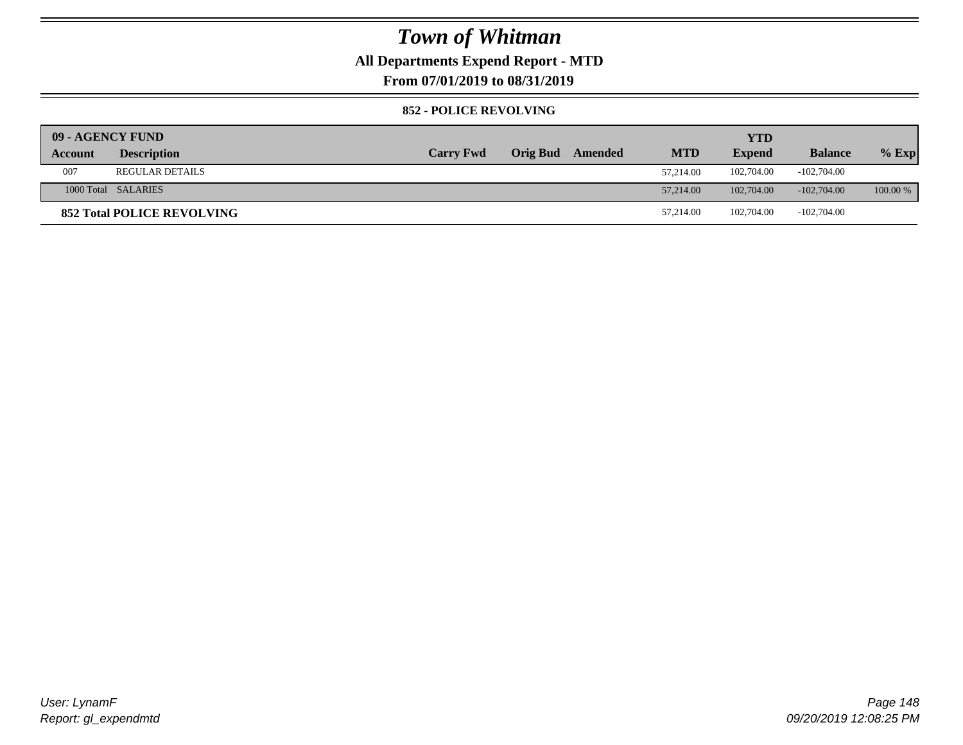### **All Departments Expend Report - MTD**

**From 07/01/2019 to 08/31/2019**

#### **852 - POLICE REVOLVING**

| 09 - AGENCY FUND |                                   |                  |          |         |            | <b>YTD</b>    |                |            |
|------------------|-----------------------------------|------------------|----------|---------|------------|---------------|----------------|------------|
| Account          | <b>Description</b>                | <b>Carry Fwd</b> | Orig Bud | Amended | <b>MTD</b> | <b>Expend</b> | <b>Balance</b> | $%$ Exp    |
| 007              | <b>REGULAR DETAILS</b>            |                  |          |         | 57.214.00  | 102,704.00    | $-102,704.00$  |            |
|                  | 1000 Total SALARIES               |                  |          |         | 57,214.00  | 102,704.00    | $-102,704,00$  | $100.00\%$ |
|                  | <b>852 Total POLICE REVOLVING</b> |                  |          |         | 57,214.00  | 102,704.00    | $-102,704.00$  |            |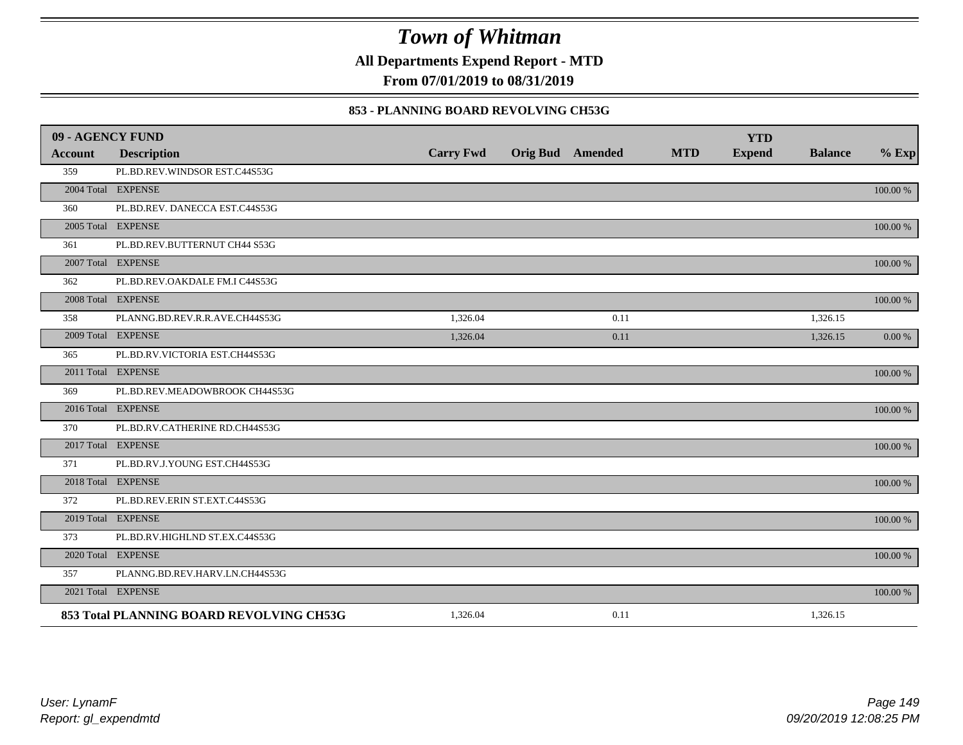**All Departments Expend Report - MTD**

**From 07/01/2019 to 08/31/2019**

### **853 - PLANNING BOARD REVOLVING CH53G**

| 09 - AGENCY FUND |                                          |                  |                         |            | <b>YTD</b>    |                |             |
|------------------|------------------------------------------|------------------|-------------------------|------------|---------------|----------------|-------------|
| <b>Account</b>   | <b>Description</b>                       | <b>Carry Fwd</b> | <b>Orig Bud</b> Amended | <b>MTD</b> | <b>Expend</b> | <b>Balance</b> | $%$ Exp     |
| 359              | PL.BD.REV.WINDSOR EST.C44S53G            |                  |                         |            |               |                |             |
|                  | 2004 Total EXPENSE                       |                  |                         |            |               |                | 100.00 %    |
| 360              | PL.BD.REV. DANECCA EST.C44S53G           |                  |                         |            |               |                |             |
|                  | 2005 Total EXPENSE                       |                  |                         |            |               |                | 100.00 %    |
| 361              | PL.BD.REV.BUTTERNUT CH44 S53G            |                  |                         |            |               |                |             |
|                  | 2007 Total EXPENSE                       |                  |                         |            |               |                | 100.00 %    |
| 362              | PL.BD.REV.OAKDALE FM.I C44S53G           |                  |                         |            |               |                |             |
|                  | 2008 Total EXPENSE                       |                  |                         |            |               |                | 100.00 %    |
| 358              | PLANNG.BD.REV.R.R.AVE.CH44S53G           | 1,326.04         | 0.11                    |            |               | 1,326.15       |             |
|                  | 2009 Total EXPENSE                       | 1,326.04         | 0.11                    |            |               | 1,326.15       | 0.00 %      |
| 365              | PL.BD.RV.VICTORIA EST.CH44S53G           |                  |                         |            |               |                |             |
|                  | 2011 Total EXPENSE                       |                  |                         |            |               |                | 100.00 %    |
| 369              | PL.BD.REV.MEADOWBROOK CH44S53G           |                  |                         |            |               |                |             |
|                  | 2016 Total EXPENSE                       |                  |                         |            |               |                | $100.00~\%$ |
| 370              | PL.BD.RV.CATHERINE RD.CH44S53G           |                  |                         |            |               |                |             |
|                  | 2017 Total EXPENSE                       |                  |                         |            |               |                | 100.00 %    |
| 371              | PL.BD.RV.J.YOUNG EST.CH44S53G            |                  |                         |            |               |                |             |
|                  | 2018 Total EXPENSE                       |                  |                         |            |               |                | 100.00 %    |
| 372              | PL.BD.REV.ERIN ST.EXT.C44S53G            |                  |                         |            |               |                |             |
|                  | 2019 Total EXPENSE                       |                  |                         |            |               |                | 100.00 %    |
| 373              | PL.BD.RV.HIGHLND ST.EX.C44S53G           |                  |                         |            |               |                |             |
|                  | 2020 Total EXPENSE                       |                  |                         |            |               |                | 100.00 %    |
| 357              | PLANNG.BD.REV.HARV.LN.CH44S53G           |                  |                         |            |               |                |             |
|                  | 2021 Total EXPENSE                       |                  |                         |            |               |                | 100.00 %    |
|                  | 853 Total PLANNING BOARD REVOLVING CH53G | 1,326.04         | 0.11                    |            |               | 1,326.15       |             |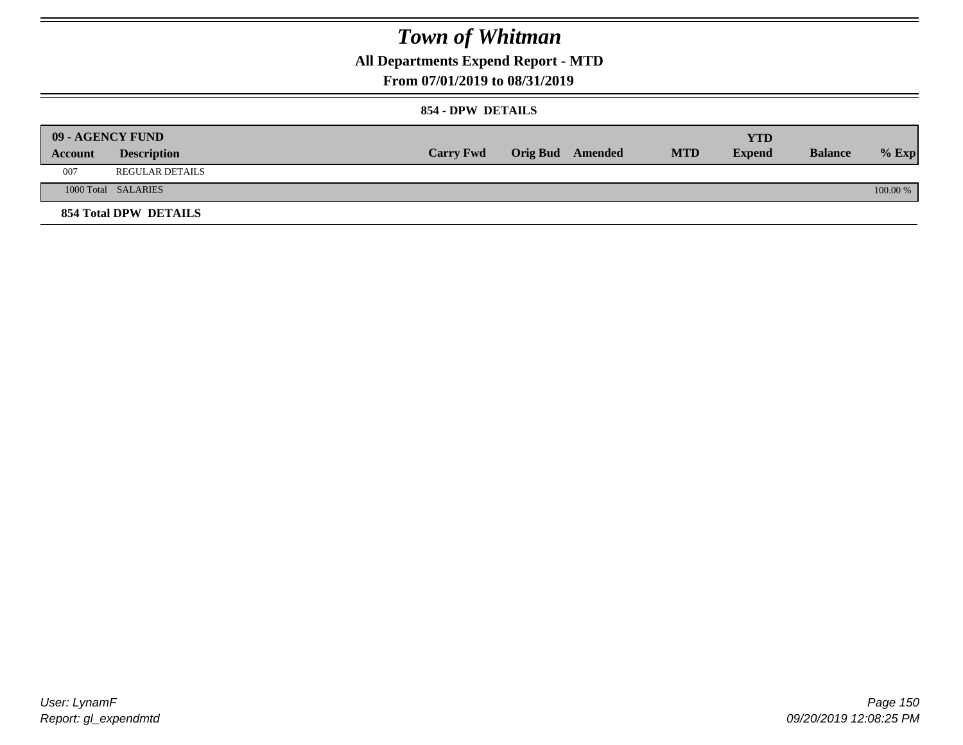**All Departments Expend Report - MTD**

### **From 07/01/2019 to 08/31/2019**

#### **854 - DPW DETAILS**

|         | <b>09 - AGENCY FUND</b> |                  |                         |            | <b>YTD</b> |                |            |
|---------|-------------------------|------------------|-------------------------|------------|------------|----------------|------------|
| Account | <b>Description</b>      | <b>Carry Fwd</b> | <b>Orig Bud</b> Amended | <b>MTD</b> | Expend     | <b>Balance</b> | $%$ Exp    |
| 007     | <b>REGULAR DETAILS</b>  |                  |                         |            |            |                |            |
|         | 1000 Total SALARIES     |                  |                         |            |            |                | $100.00\%$ |
|         | 854 Total DPW DETAILS   |                  |                         |            |            |                |            |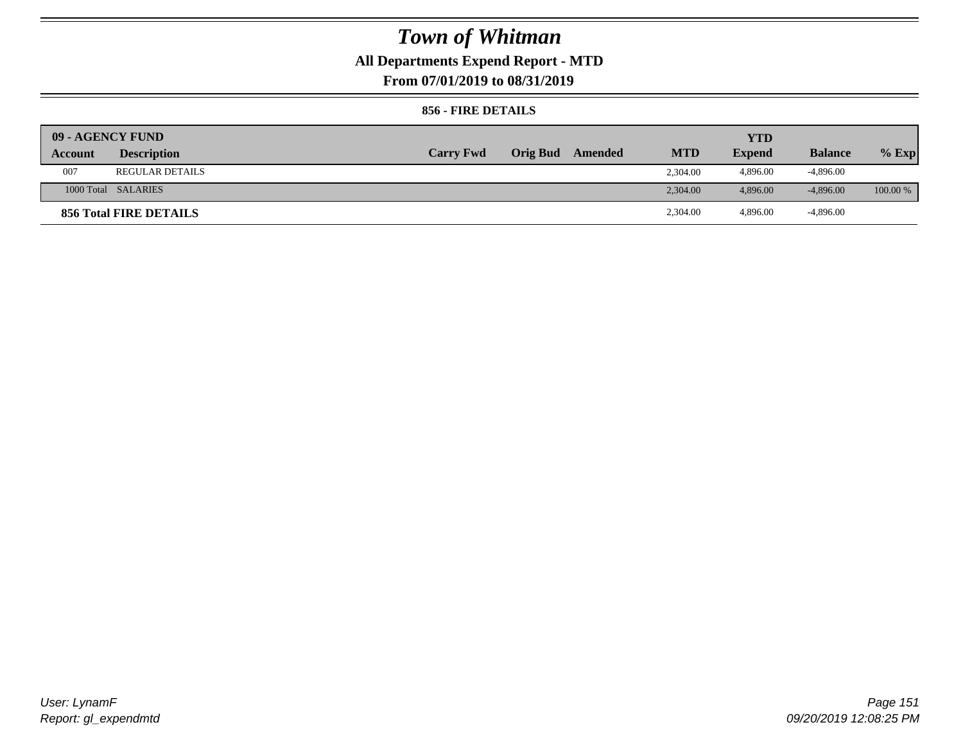## **All Departments Expend Report - MTD**

**From 07/01/2019 to 08/31/2019**

### **856 - FIRE DETAILS**

| 09 - AGENCY FUND |                        |                  |                 |         |            | <b>YTD</b>    |                |            |
|------------------|------------------------|------------------|-----------------|---------|------------|---------------|----------------|------------|
| Account          | <b>Description</b>     | <b>Carry Fwd</b> | <b>Orig Bud</b> | Amended | <b>MTD</b> | <b>Expend</b> | <b>Balance</b> | $%$ Exp    |
| 007              | <b>REGULAR DETAILS</b> |                  |                 |         | 2.304.00   | 4,896.00      | $-4,896.00$    |            |
|                  | 1000 Total SALARIES    |                  |                 |         | 2.304.00   | 4,896.00      | $-4,896.00$    | $100.00\%$ |
|                  | 856 Total FIRE DETAILS |                  |                 |         | 2,304.00   | 4,896.00      | $-4,896.00$    |            |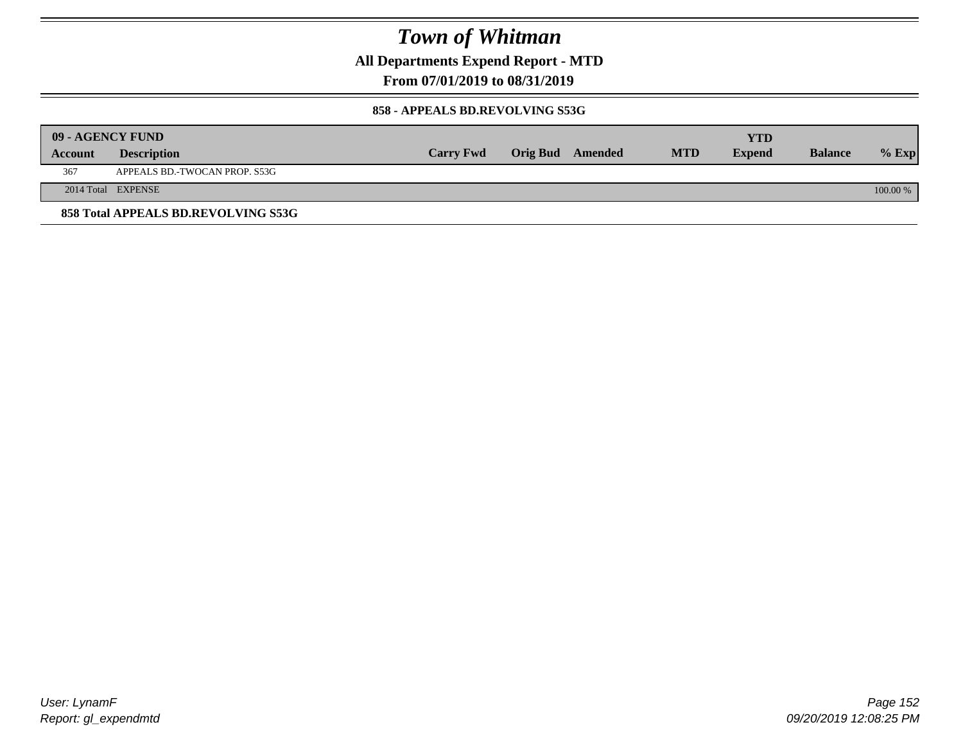**All Departments Expend Report - MTD**

**From 07/01/2019 to 08/31/2019**

#### **858 - APPEALS BD.REVOLVING S53G**

|         | 09 - AGENCY FUND                    |                  |                         |            | YTD           |                |            |
|---------|-------------------------------------|------------------|-------------------------|------------|---------------|----------------|------------|
| Account | <b>Description</b>                  | <b>Carry Fwd</b> | <b>Orig Bud</b> Amended | <b>MTD</b> | <b>Expend</b> | <b>Balance</b> | $%$ Exp    |
| 367     | APPEALS BD.-TWOCAN PROP. S53G       |                  |                         |            |               |                |            |
|         | 2014 Total EXPENSE                  |                  |                         |            |               |                | $100.00\%$ |
|         | 858 Total APPEALS BD.REVOLVING S53G |                  |                         |            |               |                |            |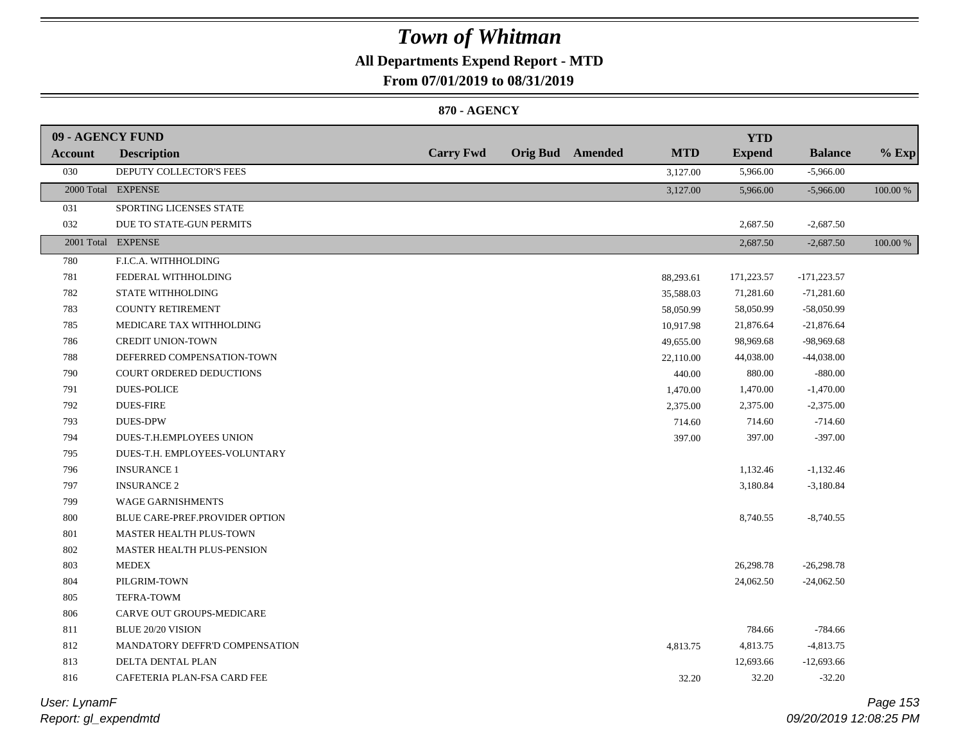### **All Departments Expend Report - MTD**

**From 07/01/2019 to 08/31/2019**

#### **870 - AGENCY**

| 09 - AGENCY FUND |                                 |                  |                         |            | <b>YTD</b>    |                |          |
|------------------|---------------------------------|------------------|-------------------------|------------|---------------|----------------|----------|
| Account          | <b>Description</b>              | <b>Carry Fwd</b> | <b>Orig Bud</b> Amended | <b>MTD</b> | <b>Expend</b> | <b>Balance</b> | $%$ Exp  |
| 030              | DEPUTY COLLECTOR'S FEES         |                  |                         | 3,127.00   | 5,966.00      | $-5,966.00$    |          |
|                  | 2000 Total EXPENSE              |                  |                         | 3,127.00   | 5,966.00      | $-5,966.00$    | 100.00 % |
| 031              | SPORTING LICENSES STATE         |                  |                         |            |               |                |          |
| 032              | DUE TO STATE-GUN PERMITS        |                  |                         |            | 2,687.50      | $-2,687.50$    |          |
|                  | 2001 Total EXPENSE              |                  |                         |            | 2,687.50      | $-2,687.50$    | 100.00 % |
| 780              | F.I.C.A. WITHHOLDING            |                  |                         |            |               |                |          |
| 781              | FEDERAL WITHHOLDING             |                  |                         | 88,293.61  | 171,223.57    | $-171,223.57$  |          |
| 782              | STATE WITHHOLDING               |                  |                         | 35,588.03  | 71,281.60     | $-71,281.60$   |          |
| 783              | <b>COUNTY RETIREMENT</b>        |                  |                         | 58,050.99  | 58,050.99     | -58,050.99     |          |
| 785              | MEDICARE TAX WITHHOLDING        |                  |                         | 10,917.98  | 21,876.64     | $-21,876.64$   |          |
| 786              | <b>CREDIT UNION-TOWN</b>        |                  |                         | 49,655.00  | 98,969.68     | -98,969.68     |          |
| 788              | DEFERRED COMPENSATION-TOWN      |                  |                         | 22,110.00  | 44,038.00     | $-44,038.00$   |          |
| 790              | <b>COURT ORDERED DEDUCTIONS</b> |                  |                         | 440.00     | 880.00        | $-880.00$      |          |
| 791              | <b>DUES-POLICE</b>              |                  |                         | 1,470.00   | 1,470.00      | $-1,470.00$    |          |
| 792              | <b>DUES-FIRE</b>                |                  |                         | 2,375.00   | 2,375.00      | $-2,375.00$    |          |
| 793              | <b>DUES-DPW</b>                 |                  |                         | 714.60     | 714.60        | $-714.60$      |          |
| 794              | DUES-T.H.EMPLOYEES UNION        |                  |                         | 397.00     | 397.00        | $-397.00$      |          |
| 795              | DUES-T.H. EMPLOYEES-VOLUNTARY   |                  |                         |            |               |                |          |
| 796              | <b>INSURANCE 1</b>              |                  |                         |            | 1,132.46      | $-1,132.46$    |          |
| 797              | <b>INSURANCE 2</b>              |                  |                         |            | 3,180.84      | $-3,180.84$    |          |
| 799              | WAGE GARNISHMENTS               |                  |                         |            |               |                |          |
| $800\,$          | BLUE CARE-PREF.PROVIDER OPTION  |                  |                         |            | 8,740.55      | $-8,740.55$    |          |
| 801              | MASTER HEALTH PLUS-TOWN         |                  |                         |            |               |                |          |
| 802              | MASTER HEALTH PLUS-PENSION      |                  |                         |            |               |                |          |
| 803              | <b>MEDEX</b>                    |                  |                         |            | 26,298.78     | $-26,298.78$   |          |
| 804              | PILGRIM-TOWN                    |                  |                         |            | 24,062.50     | $-24,062.50$   |          |
| 805              | <b>TEFRA-TOWM</b>               |                  |                         |            |               |                |          |
| 806              | CARVE OUT GROUPS-MEDICARE       |                  |                         |            |               |                |          |
| 811              | BLUE 20/20 VISION               |                  |                         |            | 784.66        | $-784.66$      |          |
| 812              | MANDATORY DEFFR'D COMPENSATION  |                  |                         | 4,813.75   | 4,813.75      | $-4,813.75$    |          |
| 813              | DELTA DENTAL PLAN               |                  |                         |            | 12,693.66     | $-12,693.66$   |          |
| 816              | CAFETERIA PLAN-FSA CARD FEE     |                  |                         | 32.20      | 32.20         | $-32.20$       |          |
|                  |                                 |                  |                         |            |               |                |          |

*Report: gl\_expendmtd User: LynamF*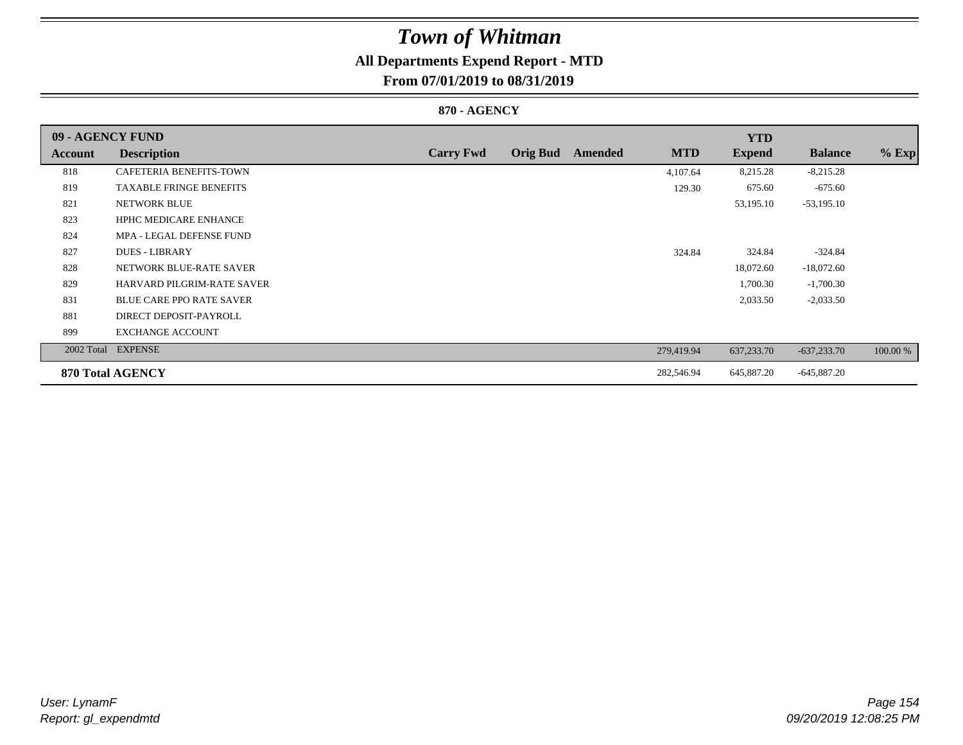## **All Departments Expend Report - MTD**

### **From 07/01/2019 to 08/31/2019**

#### **870 - AGENCY**

| 09 - AGENCY FUND |                                   |                  |                 |         |            | <b>YTD</b>    |                |          |
|------------------|-----------------------------------|------------------|-----------------|---------|------------|---------------|----------------|----------|
| Account          | <b>Description</b>                | <b>Carry Fwd</b> | <b>Orig Bud</b> | Amended | <b>MTD</b> | <b>Expend</b> | <b>Balance</b> | $%$ Exp  |
| 818              | <b>CAFETERIA BENEFITS-TOWN</b>    |                  |                 |         | 4,107.64   | 8,215.28      | $-8,215.28$    |          |
| 819              | <b>TAXABLE FRINGE BENEFITS</b>    |                  |                 |         | 129.30     | 675.60        | $-675.60$      |          |
| 821              | NETWORK BLUE                      |                  |                 |         |            | 53,195.10     | $-53,195.10$   |          |
| 823              | <b>HPHC MEDICARE ENHANCE</b>      |                  |                 |         |            |               |                |          |
| 824              | MPA - LEGAL DEFENSE FUND          |                  |                 |         |            |               |                |          |
| 827              | <b>DUES - LIBRARY</b>             |                  |                 |         | 324.84     | 324.84        | $-324.84$      |          |
| 828              | NETWORK BLUE-RATE SAVER           |                  |                 |         |            | 18,072.60     | $-18,072.60$   |          |
| 829              | <b>HARVARD PILGRIM-RATE SAVER</b> |                  |                 |         |            | 1,700.30      | $-1,700.30$    |          |
| 831              | <b>BLUE CARE PPO RATE SAVER</b>   |                  |                 |         |            | 2,033.50      | $-2,033.50$    |          |
| 881              | DIRECT DEPOSIT-PAYROLL            |                  |                 |         |            |               |                |          |
| 899              | <b>EXCHANGE ACCOUNT</b>           |                  |                 |         |            |               |                |          |
|                  | 2002 Total EXPENSE                |                  |                 |         | 279,419.94 | 637,233.70    | $-637,233.70$  | 100.00 % |
|                  | <b>870 Total AGENCY</b>           |                  |                 |         | 282,546.94 | 645,887.20    | $-645,887.20$  |          |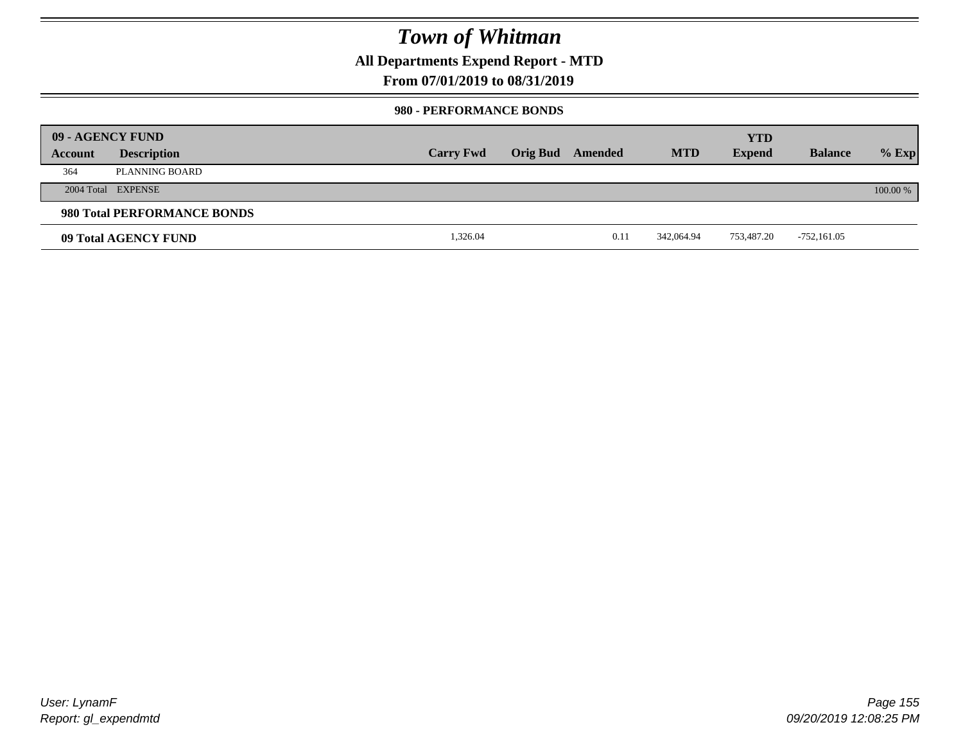**All Departments Expend Report - MTD**

### **From 07/01/2019 to 08/31/2019**

#### **980 - PERFORMANCE BONDS**

|         | 09 - AGENCY FUND            |                  |                 |         |            | <b>YTD</b>    |                |          |
|---------|-----------------------------|------------------|-----------------|---------|------------|---------------|----------------|----------|
| Account | <b>Description</b>          | <b>Carry Fwd</b> | <b>Orig Bud</b> | Amended | <b>MTD</b> | <b>Expend</b> | <b>Balance</b> | $%$ Exp  |
| 364     | PLANNING BOARD              |                  |                 |         |            |               |                |          |
|         | 2004 Total EXPENSE          |                  |                 |         |            |               |                | 100.00 % |
|         | 980 Total PERFORMANCE BONDS |                  |                 |         |            |               |                |          |
|         | 09 Total AGENCY FUND        | 1,326.04         |                 | 0.11    | 342,064.94 | 753.487.20    | -752,161.05    |          |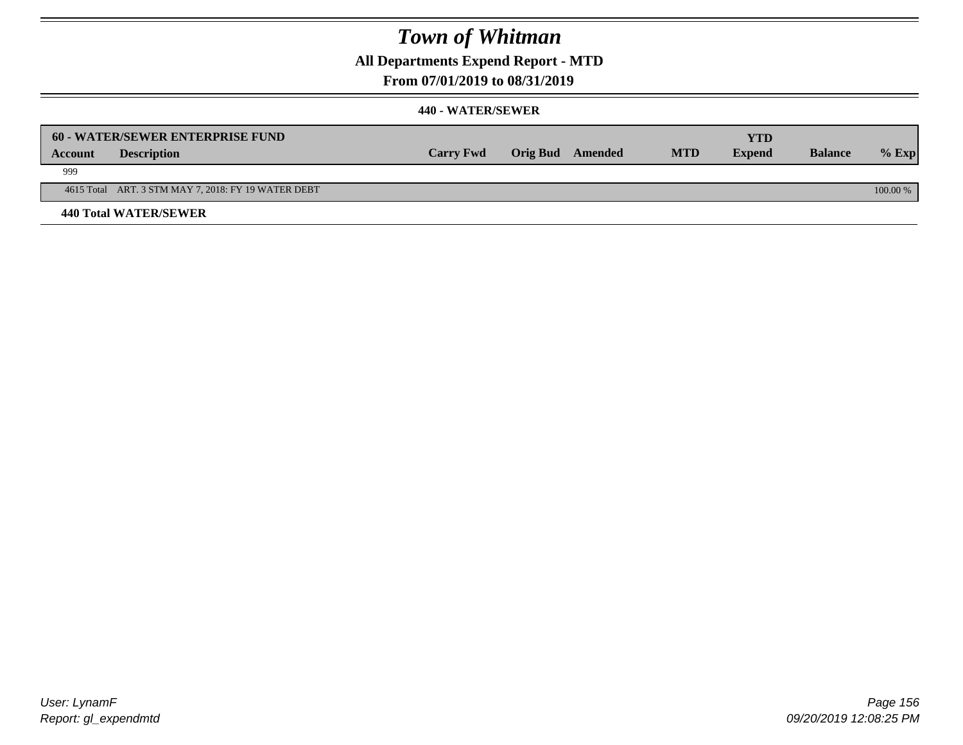**All Departments Expend Report - MTD**

**From 07/01/2019 to 08/31/2019**

|                | 60 - WATER/SEWER ENTERPRISE FUND                    |                  |                  |            | YTD           |                |            |
|----------------|-----------------------------------------------------|------------------|------------------|------------|---------------|----------------|------------|
| <b>Account</b> | <b>Description</b>                                  | <b>Carry Fwd</b> | Orig Bud Amended | <b>MTD</b> | <b>Expend</b> | <b>Balance</b> | $%$ Exp    |
| 999            |                                                     |                  |                  |            |               |                |            |
|                | 4615 Total ART. 3 STM MAY 7, 2018: FY 19 WATER DEBT |                  |                  |            |               |                | $100.00\%$ |
|                | <b>440 Total WATER/SEWER</b>                        |                  |                  |            |               |                |            |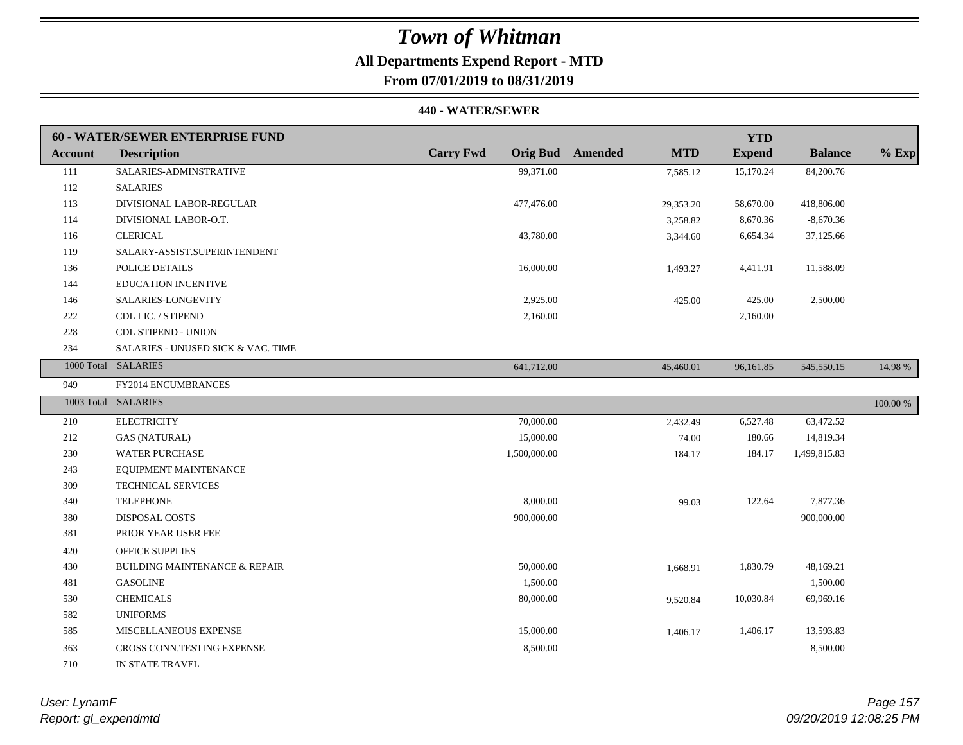### **All Departments Expend Report - MTD**

**From 07/01/2019 to 08/31/2019**

|                | 60 - WATER/SEWER ENTERPRISE FUND         |                  |                                       | <b>YTD</b>    |                |          |
|----------------|------------------------------------------|------------------|---------------------------------------|---------------|----------------|----------|
| <b>Account</b> | <b>Description</b>                       | <b>Carry Fwd</b> | <b>Orig Bud</b> Amended<br><b>MTD</b> | <b>Expend</b> | <b>Balance</b> | $%$ Exp  |
| 111            | SALARIES-ADMINSTRATIVE                   | 99,371.00        | 7,585.12                              | 15,170.24     | 84,200.76      |          |
| 112            | <b>SALARIES</b>                          |                  |                                       |               |                |          |
| 113            | DIVISIONAL LABOR-REGULAR                 | 477,476.00       | 29,353.20                             | 58,670.00     | 418,806.00     |          |
| 114            | DIVISIONAL LABOR-O.T.                    |                  | 3,258.82                              | 8,670.36      | $-8,670.36$    |          |
| 116            | <b>CLERICAL</b>                          | 43,780.00        | 3,344.60                              | 6,654.34      | 37,125.66      |          |
| 119            | SALARY-ASSIST.SUPERINTENDENT             |                  |                                       |               |                |          |
| 136            | POLICE DETAILS                           | 16,000.00        | 1,493.27                              | 4,411.91      | 11,588.09      |          |
| 144            | <b>EDUCATION INCENTIVE</b>               |                  |                                       |               |                |          |
| 146            | SALARIES-LONGEVITY                       | 2,925.00         | 425.00                                | 425.00        | 2,500.00       |          |
| 222            | CDL LIC. / STIPEND                       | 2,160.00         |                                       | 2,160.00      |                |          |
| 228            | <b>CDL STIPEND - UNION</b>               |                  |                                       |               |                |          |
| 234            | SALARIES - UNUSED SICK & VAC. TIME       |                  |                                       |               |                |          |
|                | 1000 Total SALARIES                      | 641,712.00       | 45,460.01                             | 96,161.85     | 545,550.15     | 14.98 %  |
| 949            | FY2014 ENCUMBRANCES                      |                  |                                       |               |                |          |
|                | 1003 Total SALARIES                      |                  |                                       |               |                | 100.00 % |
| 210            | <b>ELECTRICITY</b>                       | 70,000.00        | 2,432.49                              | 6,527.48      | 63,472.52      |          |
| 212            | <b>GAS (NATURAL)</b>                     | 15,000.00        | 74.00                                 | 180.66        | 14,819.34      |          |
| 230            | <b>WATER PURCHASE</b>                    | 1,500,000.00     | 184.17                                | 184.17        | 1,499,815.83   |          |
| 243            | EQUIPMENT MAINTENANCE                    |                  |                                       |               |                |          |
| 309            | <b>TECHNICAL SERVICES</b>                |                  |                                       |               |                |          |
| 340            | <b>TELEPHONE</b>                         | 8,000.00         | 99.03                                 | 122.64        | 7,877.36       |          |
| 380            | DISPOSAL COSTS                           | 900,000.00       |                                       |               | 900,000.00     |          |
| 381            | PRIOR YEAR USER FEE                      |                  |                                       |               |                |          |
| 420            | <b>OFFICE SUPPLIES</b>                   |                  |                                       |               |                |          |
| 430            | <b>BUILDING MAINTENANCE &amp; REPAIR</b> | 50,000.00        | 1,668.91                              | 1,830.79      | 48,169.21      |          |
| 481            | <b>GASOLINE</b>                          | 1,500.00         |                                       |               | 1,500.00       |          |
| 530            | <b>CHEMICALS</b>                         | 80,000.00        | 9,520.84                              | 10,030.84     | 69,969.16      |          |
| 582            | <b>UNIFORMS</b>                          |                  |                                       |               |                |          |
| 585            | MISCELLANEOUS EXPENSE                    | 15,000.00        | 1,406.17                              | 1,406.17      | 13,593.83      |          |
| 363            | CROSS CONN.TESTING EXPENSE               | 8,500.00         |                                       |               | 8,500.00       |          |
| 710            | IN STATE TRAVEL                          |                  |                                       |               |                |          |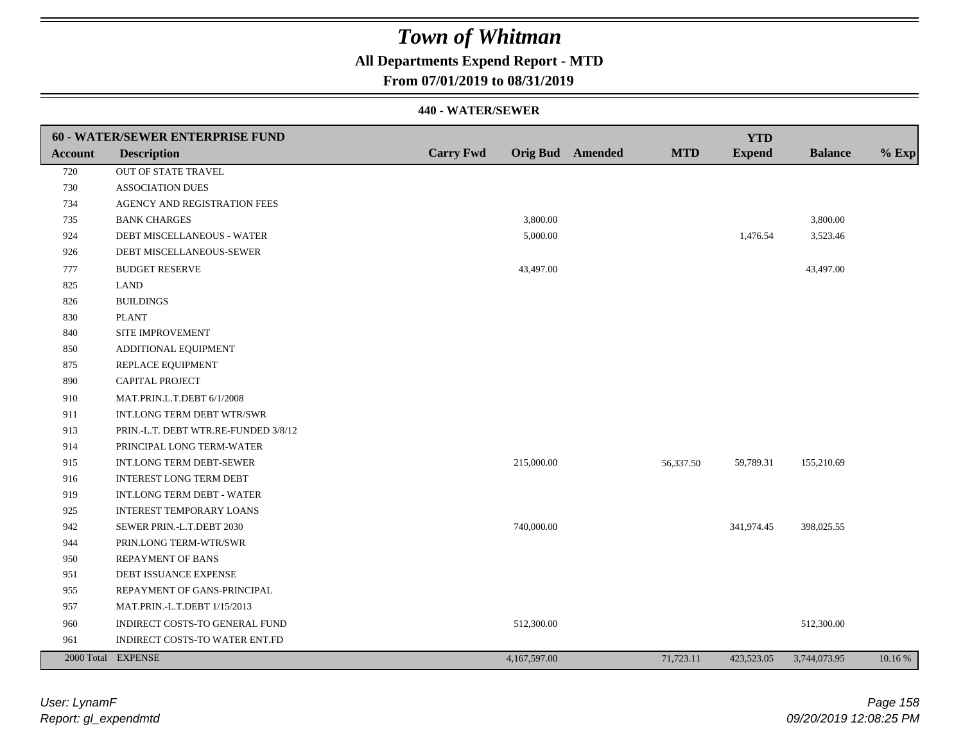### **All Departments Expend Report - MTD**

### **From 07/01/2019 to 08/31/2019**

|                | <b>60 - WATER/SEWER ENTERPRISE FUND</b> |                  |              |                         |            | <b>YTD</b>    |                |         |
|----------------|-----------------------------------------|------------------|--------------|-------------------------|------------|---------------|----------------|---------|
| <b>Account</b> | <b>Description</b>                      | <b>Carry Fwd</b> |              | <b>Orig Bud</b> Amended | <b>MTD</b> | <b>Expend</b> | <b>Balance</b> | $%$ Exp |
| 720            | OUT OF STATE TRAVEL                     |                  |              |                         |            |               |                |         |
| 730            | <b>ASSOCIATION DUES</b>                 |                  |              |                         |            |               |                |         |
| 734            | AGENCY AND REGISTRATION FEES            |                  |              |                         |            |               |                |         |
| 735            | <b>BANK CHARGES</b>                     |                  | 3,800.00     |                         |            |               | 3,800.00       |         |
| 924            | DEBT MISCELLANEOUS - WATER              |                  | 5,000.00     |                         |            | 1,476.54      | 3,523.46       |         |
| 926            | DEBT MISCELLANEOUS-SEWER                |                  |              |                         |            |               |                |         |
| 777            | <b>BUDGET RESERVE</b>                   |                  | 43,497.00    |                         |            |               | 43,497.00      |         |
| 825            | <b>LAND</b>                             |                  |              |                         |            |               |                |         |
| 826            | <b>BUILDINGS</b>                        |                  |              |                         |            |               |                |         |
| 830            | <b>PLANT</b>                            |                  |              |                         |            |               |                |         |
| 840            | SITE IMPROVEMENT                        |                  |              |                         |            |               |                |         |
| 850            | ADDITIONAL EQUIPMENT                    |                  |              |                         |            |               |                |         |
| 875            | REPLACE EQUIPMENT                       |                  |              |                         |            |               |                |         |
| 890            | <b>CAPITAL PROJECT</b>                  |                  |              |                         |            |               |                |         |
| 910            | MAT.PRIN.L.T.DEBT 6/1/2008              |                  |              |                         |            |               |                |         |
| 911            | INT.LONG TERM DEBT WTR/SWR              |                  |              |                         |            |               |                |         |
| 913            | PRIN.-L.T. DEBT WTR.RE-FUNDED 3/8/12    |                  |              |                         |            |               |                |         |
| 914            | PRINCIPAL LONG TERM-WATER               |                  |              |                         |            |               |                |         |
| 915            | INT.LONG TERM DEBT-SEWER                |                  | 215,000.00   |                         | 56,337.50  | 59,789.31     | 155,210.69     |         |
| 916            | <b>INTEREST LONG TERM DEBT</b>          |                  |              |                         |            |               |                |         |
| 919            | INT.LONG TERM DEBT - WATER              |                  |              |                         |            |               |                |         |
| 925            | <b>INTEREST TEMPORARY LOANS</b>         |                  |              |                         |            |               |                |         |
| 942            | SEWER PRIN.-L.T.DEBT 2030               |                  | 740,000.00   |                         |            | 341,974.45    | 398,025.55     |         |
| 944            | PRIN.LONG TERM-WTR/SWR                  |                  |              |                         |            |               |                |         |
| 950            | <b>REPAYMENT OF BANS</b>                |                  |              |                         |            |               |                |         |
| 951            | DEBT ISSUANCE EXPENSE                   |                  |              |                         |            |               |                |         |
| 955            | REPAYMENT OF GANS-PRINCIPAL             |                  |              |                         |            |               |                |         |
| 957            | MAT.PRIN.-L.T.DEBT 1/15/2013            |                  |              |                         |            |               |                |         |
| 960            | INDIRECT COSTS-TO GENERAL FUND          |                  | 512,300.00   |                         |            |               | 512,300.00     |         |
| 961            | INDIRECT COSTS-TO WATER ENT.FD          |                  |              |                         |            |               |                |         |
|                | 2000 Total EXPENSE                      |                  | 4,167,597.00 |                         | 71,723.11  | 423,523.05    | 3,744,073.95   | 10.16 % |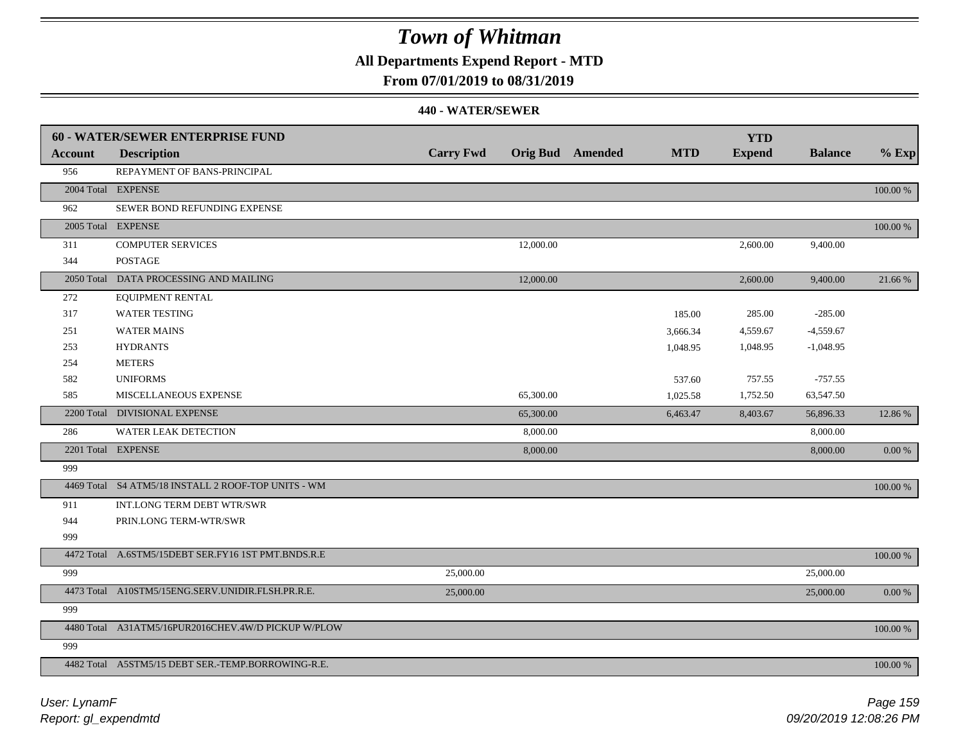**All Departments Expend Report - MTD**

### **From 07/01/2019 to 08/31/2019**

|                | 60 - WATER/SEWER ENTERPRISE FUND                    |                  |           |                         |            | <b>YTD</b>    |                |          |
|----------------|-----------------------------------------------------|------------------|-----------|-------------------------|------------|---------------|----------------|----------|
| <b>Account</b> | <b>Description</b>                                  | <b>Carry Fwd</b> |           | <b>Orig Bud</b> Amended | <b>MTD</b> | <b>Expend</b> | <b>Balance</b> | $%$ Exp  |
| 956            | REPAYMENT OF BANS-PRINCIPAL                         |                  |           |                         |            |               |                |          |
|                | 2004 Total EXPENSE                                  |                  |           |                         |            |               |                | 100.00 % |
| 962            | SEWER BOND REFUNDING EXPENSE                        |                  |           |                         |            |               |                |          |
|                | 2005 Total EXPENSE                                  |                  |           |                         |            |               |                | 100.00 % |
| 311            | <b>COMPUTER SERVICES</b>                            |                  | 12,000.00 |                         |            | 2,600.00      | 9,400.00       |          |
| 344            | <b>POSTAGE</b>                                      |                  |           |                         |            |               |                |          |
|                | 2050 Total DATA PROCESSING AND MAILING              |                  | 12,000.00 |                         |            | 2,600.00      | 9,400.00       | 21.66 %  |
| 272            | <b>EQUIPMENT RENTAL</b>                             |                  |           |                         |            |               |                |          |
| 317            | <b>WATER TESTING</b>                                |                  |           |                         | 185.00     | 285.00        | $-285.00$      |          |
| 251            | <b>WATER MAINS</b>                                  |                  |           |                         | 3,666.34   | 4,559.67      | $-4,559.67$    |          |
| 253            | <b>HYDRANTS</b>                                     |                  |           |                         | 1,048.95   | 1,048.95      | $-1,048.95$    |          |
| 254            | <b>METERS</b>                                       |                  |           |                         |            |               |                |          |
| 582            | <b>UNIFORMS</b>                                     |                  |           |                         | 537.60     | 757.55        | $-757.55$      |          |
| 585            | MISCELLANEOUS EXPENSE                               |                  | 65,300.00 |                         | 1,025.58   | 1,752.50      | 63,547.50      |          |
|                | 2200 Total DIVISIONAL EXPENSE                       |                  | 65,300.00 |                         | 6,463.47   | 8,403.67      | 56,896.33      | 12.86 %  |
| 286            | WATER LEAK DETECTION                                |                  | 8,000.00  |                         |            |               | 8,000.00       |          |
|                | 2201 Total EXPENSE                                  |                  | 8,000.00  |                         |            |               | 8,000.00       | 0.00 %   |
| 999            |                                                     |                  |           |                         |            |               |                |          |
|                | 4469 Total S4 ATM5/18 INSTALL 2 ROOF-TOP UNITS - WM |                  |           |                         |            |               |                | 100.00 % |
| 911            | INT.LONG TERM DEBT WTR/SWR                          |                  |           |                         |            |               |                |          |
| 944            | PRIN.LONG TERM-WTR/SWR                              |                  |           |                         |            |               |                |          |
| 999            |                                                     |                  |           |                         |            |               |                |          |
|                | 4472 Total A.6STM5/15DEBT SER.FY16 1ST PMT.BNDS.R.E |                  |           |                         |            |               |                | 100.00 % |
| 999            |                                                     | 25,000.00        |           |                         |            |               | 25,000.00      |          |
|                | 4473 Total A10STM5/15ENG.SERV.UNIDIR.FLSH.PR.R.E.   | 25,000.00        |           |                         |            |               | 25,000.00      | 0.00 %   |
| 999            |                                                     |                  |           |                         |            |               |                |          |
|                | 4480 Total A31ATM5/16PUR2016CHEV.4W/D PICKUP W/PLOW |                  |           |                         |            |               |                | 100.00 % |
| 999            |                                                     |                  |           |                         |            |               |                |          |
|                | 4482 Total A5STM5/15 DEBT SER.-TEMP.BORROWING-R.E.  |                  |           |                         |            |               |                | 100.00 % |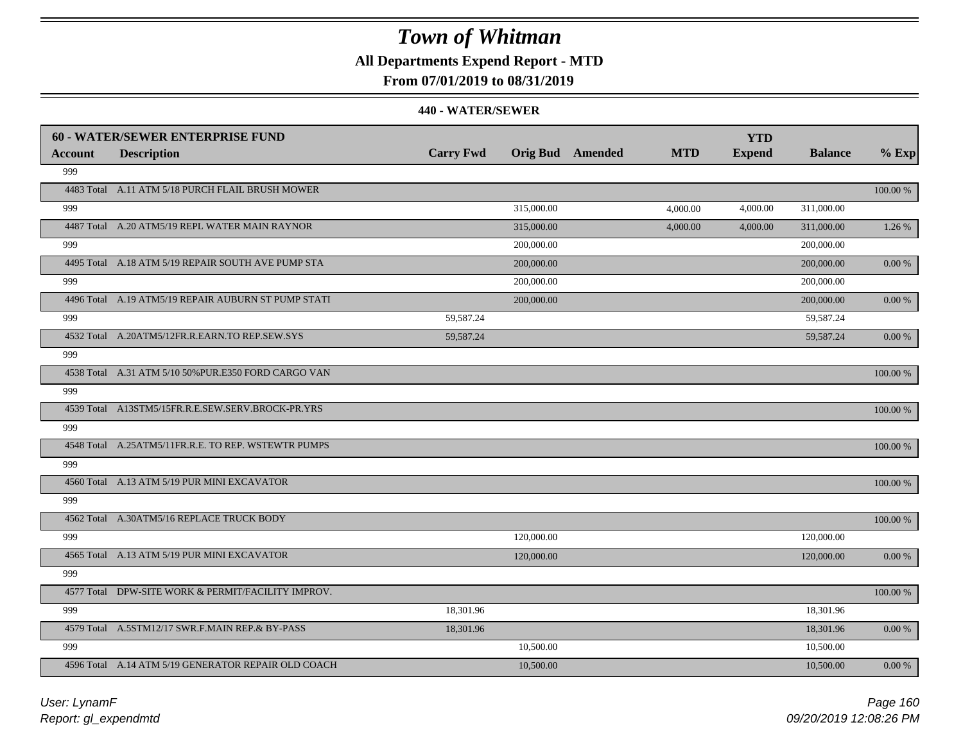### **All Departments Expend Report - MTD**

### **From 07/01/2019 to 08/31/2019**

|         | <b>60 - WATER/SEWER ENTERPRISE FUND</b>              |                  |            |                         |            | <b>YTD</b>    |                |             |
|---------|------------------------------------------------------|------------------|------------|-------------------------|------------|---------------|----------------|-------------|
| Account | <b>Description</b>                                   | <b>Carry Fwd</b> |            | <b>Orig Bud</b> Amended | <b>MTD</b> | <b>Expend</b> | <b>Balance</b> | $%$ Exp     |
| 999     |                                                      |                  |            |                         |            |               |                |             |
|         | 4483 Total A.11 ATM 5/18 PURCH FLAIL BRUSH MOWER     |                  |            |                         |            |               |                | 100.00 %    |
| 999     |                                                      |                  | 315,000.00 |                         | 4,000.00   | 4,000.00      | 311,000.00     |             |
|         | 4487 Total A.20 ATM5/19 REPL WATER MAIN RAYNOR       |                  | 315,000.00 |                         | 4,000.00   | 4,000.00      | 311,000.00     | 1.26 %      |
| 999     |                                                      |                  | 200,000.00 |                         |            |               | 200,000.00     |             |
|         | 4495 Total A.18 ATM 5/19 REPAIR SOUTH AVE PUMP STA   |                  | 200,000.00 |                         |            |               | 200,000.00     | 0.00 %      |
| 999     |                                                      |                  | 200,000.00 |                         |            |               | 200,000.00     |             |
|         | 4496 Total A.19 ATM5/19 REPAIR AUBURN ST PUMP STATI  |                  | 200,000.00 |                         |            |               | 200,000.00     | 0.00 %      |
| 999     |                                                      | 59,587.24        |            |                         |            |               | 59,587.24      |             |
|         | 4532 Total A.20ATM5/12FR.R.EARN.TO REP.SEW.SYS       | 59,587.24        |            |                         |            |               | 59,587.24      | 0.00 %      |
| 999     |                                                      |                  |            |                         |            |               |                |             |
|         | 4538 Total A.31 ATM 5/10 50% PUR.E350 FORD CARGO VAN |                  |            |                         |            |               |                | 100.00 %    |
| 999     |                                                      |                  |            |                         |            |               |                |             |
|         | 4539 Total A13STM5/15FR.R.E.SEW.SERV.BROCK-PR.YRS    |                  |            |                         |            |               |                | 100.00 %    |
| 999     |                                                      |                  |            |                         |            |               |                |             |
|         | 4548 Total A.25ATM5/11FR.R.E. TO REP. WSTEWTR PUMPS  |                  |            |                         |            |               |                | 100.00 %    |
| 999     |                                                      |                  |            |                         |            |               |                |             |
|         | 4560 Total A.13 ATM 5/19 PUR MINI EXCAVATOR          |                  |            |                         |            |               |                | 100.00 %    |
| 999     |                                                      |                  |            |                         |            |               |                |             |
|         | 4562 Total A.30ATM5/16 REPLACE TRUCK BODY            |                  |            |                         |            |               |                | $100.00~\%$ |
| 999     |                                                      |                  | 120,000.00 |                         |            |               | 120,000.00     |             |
|         | 4565 Total A.13 ATM 5/19 PUR MINI EXCAVATOR          |                  | 120,000.00 |                         |            |               | 120,000.00     | 0.00 %      |
| 999     |                                                      |                  |            |                         |            |               |                |             |
|         | 4577 Total DPW-SITE WORK & PERMIT/FACILITY IMPROV.   |                  |            |                         |            |               |                | 100.00 %    |
| 999     |                                                      | 18,301.96        |            |                         |            |               | 18,301.96      |             |
|         | 4579 Total A.5STM12/17 SWR.F.MAIN REP.& BY-PASS      | 18,301.96        |            |                         |            |               | 18,301.96      | 0.00%       |
| 999     |                                                      |                  | 10,500.00  |                         |            |               | 10,500.00      |             |
|         | 4596 Total A.14 ATM 5/19 GENERATOR REPAIR OLD COACH  |                  | 10,500.00  |                         |            |               | 10,500.00      | 0.00 %      |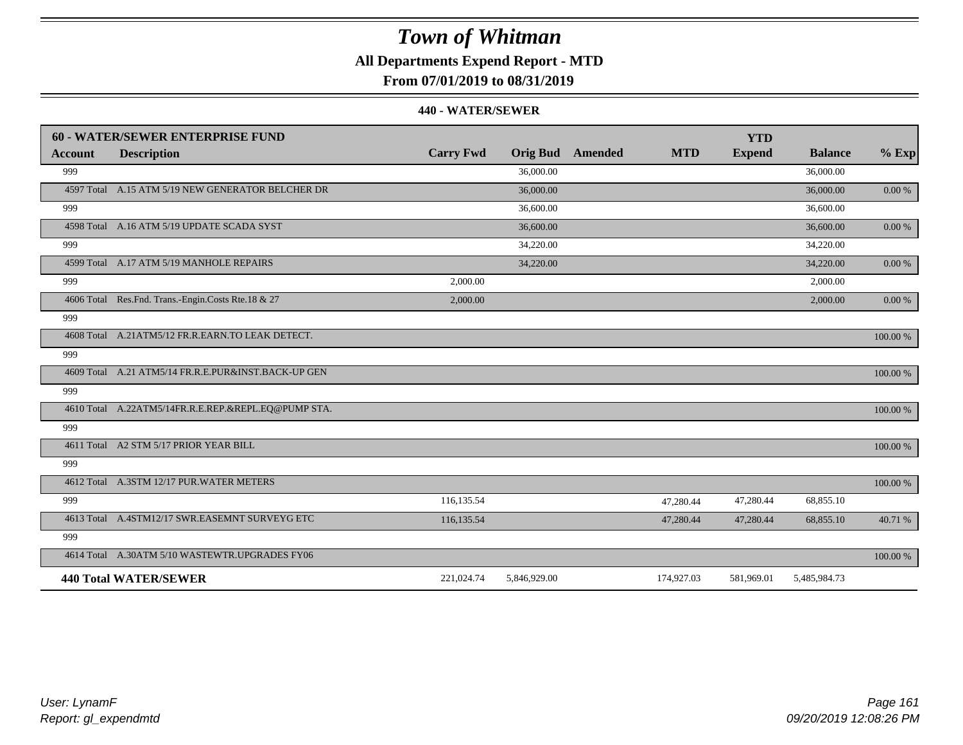### **All Departments Expend Report - MTD**

**From 07/01/2019 to 08/31/2019**

|                | <b>60 - WATER/SEWER ENTERPRISE FUND</b>               |                  |                 |         |            | <b>YTD</b>    |                |            |
|----------------|-------------------------------------------------------|------------------|-----------------|---------|------------|---------------|----------------|------------|
| <b>Account</b> | <b>Description</b>                                    | <b>Carry Fwd</b> | <b>Orig Bud</b> | Amended | <b>MTD</b> | <b>Expend</b> | <b>Balance</b> | $%$ Exp    |
| 999            |                                                       |                  | 36,000.00       |         |            |               | 36,000.00      |            |
|                | 4597 Total A.15 ATM 5/19 NEW GENERATOR BELCHER DR     |                  | 36,000.00       |         |            |               | 36,000.00      | $0.00\,\%$ |
| 999            |                                                       |                  | 36,600.00       |         |            |               | 36,600.00      |            |
|                | 4598 Total A.16 ATM 5/19 UPDATE SCADA SYST            |                  | 36,600.00       |         |            |               | 36,600.00      | $0.00~\%$  |
| 999            |                                                       |                  | 34,220.00       |         |            |               | 34,220.00      |            |
|                | 4599 Total A.17 ATM 5/19 MANHOLE REPAIRS              |                  | 34,220.00       |         |            |               | 34,220.00      | $0.00\ \%$ |
| 999            |                                                       | 2,000.00         |                 |         |            |               | 2,000.00       |            |
|                | 4606 Total Res. Fnd. Trans.-Engin. Costs Rte. 18 & 27 | 2,000.00         |                 |         |            |               | 2,000.00       | $0.00\ \%$ |
| 999            |                                                       |                  |                 |         |            |               |                |            |
|                | 4608 Total A.21ATM5/12 FR.R.EARN.TO LEAK DETECT.      |                  |                 |         |            |               |                | 100.00 %   |
| 999            |                                                       |                  |                 |         |            |               |                |            |
|                | 4609 Total A.21 ATM5/14 FR.R.E.PUR&INST.BACK-UP GEN   |                  |                 |         |            |               |                | 100.00 %   |
| 999            |                                                       |                  |                 |         |            |               |                |            |
|                | 4610 Total A.22ATM5/14FR.R.E.REP.&REPL.EQ@PUMP STA.   |                  |                 |         |            |               |                | 100.00 %   |
| 999            |                                                       |                  |                 |         |            |               |                |            |
|                | 4611 Total A2 STM 5/17 PRIOR YEAR BILL                |                  |                 |         |            |               |                | 100.00 %   |
| 999            |                                                       |                  |                 |         |            |               |                |            |
|                | 4612 Total A.3STM 12/17 PUR.WATER METERS              |                  |                 |         |            |               |                | 100.00 %   |
| 999            |                                                       | 116,135.54       |                 |         | 47,280.44  | 47,280.44     | 68,855.10      |            |
|                | 4613 Total A.4STM12/17 SWR.EASEMNT SURVEYG ETC        | 116,135.54       |                 |         | 47,280.44  | 47,280.44     | 68,855.10      | 40.71 %    |
| 999            |                                                       |                  |                 |         |            |               |                |            |
|                | 4614 Total A.30ATM 5/10 WASTEWTR.UPGRADES FY06        |                  |                 |         |            |               |                | 100.00 %   |
|                | <b>440 Total WATER/SEWER</b>                          | 221,024.74       | 5,846,929.00    |         | 174,927.03 | 581,969.01    | 5,485,984.73   |            |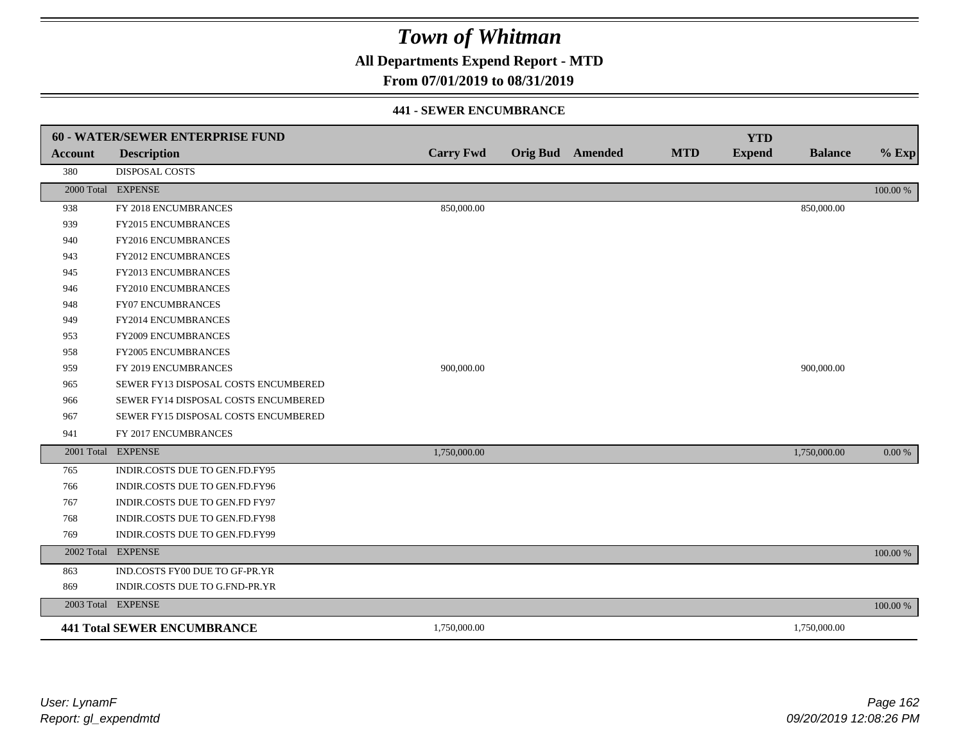**All Departments Expend Report - MTD**

### **From 07/01/2019 to 08/31/2019**

#### **441 - SEWER ENCUMBRANCE**

|                | <b>60 - WATER/SEWER ENTERPRISE FUND</b> |                  |                         |            | <b>YTD</b>    |                |          |
|----------------|-----------------------------------------|------------------|-------------------------|------------|---------------|----------------|----------|
| <b>Account</b> | <b>Description</b>                      | <b>Carry Fwd</b> | <b>Orig Bud</b> Amended | <b>MTD</b> | <b>Expend</b> | <b>Balance</b> | $%$ Exp  |
| 380            | <b>DISPOSAL COSTS</b>                   |                  |                         |            |               |                |          |
|                | 2000 Total EXPENSE                      |                  |                         |            |               |                | 100.00 % |
| 938            | FY 2018 ENCUMBRANCES                    | 850,000.00       |                         |            |               | 850,000.00     |          |
| 939            | FY2015 ENCUMBRANCES                     |                  |                         |            |               |                |          |
| 940            | FY2016 ENCUMBRANCES                     |                  |                         |            |               |                |          |
| 943            | <b>FY2012 ENCUMBRANCES</b>              |                  |                         |            |               |                |          |
| 945            | FY2013 ENCUMBRANCES                     |                  |                         |            |               |                |          |
| 946            | FY2010 ENCUMBRANCES                     |                  |                         |            |               |                |          |
| 948            | <b>FY07 ENCUMBRANCES</b>                |                  |                         |            |               |                |          |
| 949            | FY2014 ENCUMBRANCES                     |                  |                         |            |               |                |          |
| 953            | FY2009 ENCUMBRANCES                     |                  |                         |            |               |                |          |
| 958            | <b>FY2005 ENCUMBRANCES</b>              |                  |                         |            |               |                |          |
| 959            | FY 2019 ENCUMBRANCES                    | 900,000.00       |                         |            |               | 900,000.00     |          |
| 965            | SEWER FY13 DISPOSAL COSTS ENCUMBERED    |                  |                         |            |               |                |          |
| 966            | SEWER FY14 DISPOSAL COSTS ENCUMBERED    |                  |                         |            |               |                |          |
| 967            | SEWER FY15 DISPOSAL COSTS ENCUMBERED    |                  |                         |            |               |                |          |
| 941            | FY 2017 ENCUMBRANCES                    |                  |                         |            |               |                |          |
|                | 2001 Total EXPENSE                      | 1,750,000.00     |                         |            |               | 1,750,000.00   | 0.00 %   |
| 765            | INDIR.COSTS DUE TO GEN.FD.FY95          |                  |                         |            |               |                |          |
| 766            | INDIR.COSTS DUE TO GEN.FD.FY96          |                  |                         |            |               |                |          |
| 767            | INDIR.COSTS DUE TO GEN.FD FY97          |                  |                         |            |               |                |          |
| 768            | INDIR.COSTS DUE TO GEN.FD.FY98          |                  |                         |            |               |                |          |
| 769            | INDIR.COSTS DUE TO GEN.FD.FY99          |                  |                         |            |               |                |          |
| 2002 Total     | <b>EXPENSE</b>                          |                  |                         |            |               |                | 100.00 % |
| 863            | IND.COSTS FY00 DUE TO GF-PR.YR          |                  |                         |            |               |                |          |
| 869            | INDIR.COSTS DUE TO G.FND-PR.YR          |                  |                         |            |               |                |          |
|                | 2003 Total EXPENSE                      |                  |                         |            |               |                | 100.00 % |
|                | <b>441 Total SEWER ENCUMBRANCE</b>      | 1,750,000.00     |                         |            |               | 1,750,000.00   |          |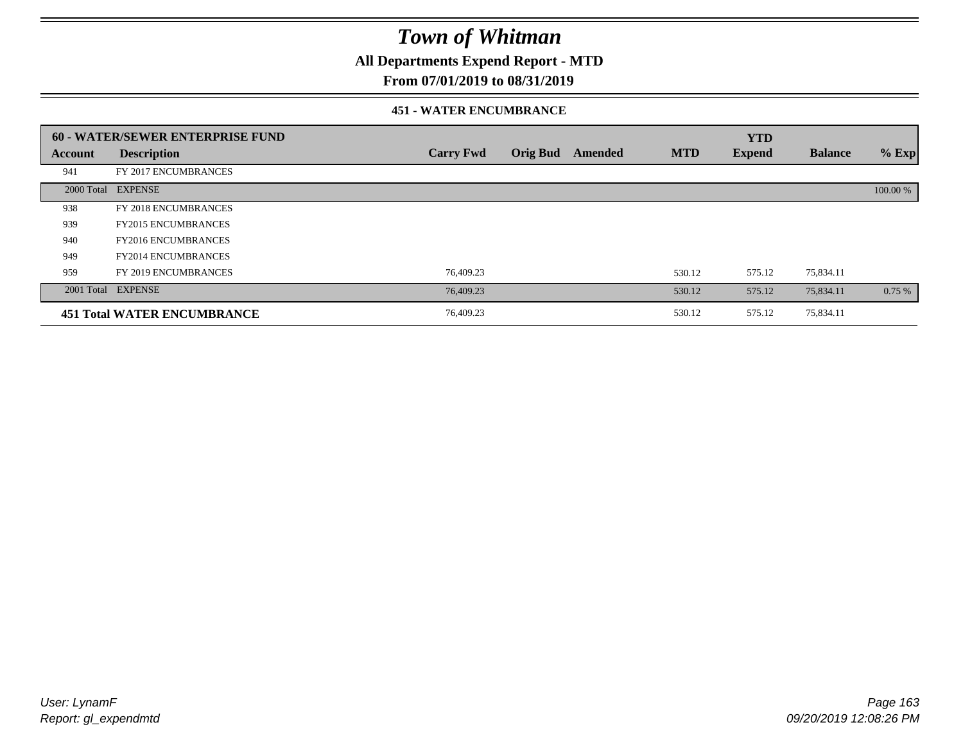**All Departments Expend Report - MTD**

### **From 07/01/2019 to 08/31/2019**

#### **451 - WATER ENCUMBRANCE**

|         | 60 - WATER/SEWER ENTERPRISE FUND   |                  |                 |         |            | <b>YTD</b>    |                |          |
|---------|------------------------------------|------------------|-----------------|---------|------------|---------------|----------------|----------|
| Account | <b>Description</b>                 | <b>Carry Fwd</b> | <b>Orig Bud</b> | Amended | <b>MTD</b> | <b>Expend</b> | <b>Balance</b> | $%$ Exp  |
| 941     | FY 2017 ENCUMBRANCES               |                  |                 |         |            |               |                |          |
|         | 2000 Total EXPENSE                 |                  |                 |         |            |               |                | 100.00 % |
| 938     | FY 2018 ENCUMBRANCES               |                  |                 |         |            |               |                |          |
| 939     | <b>FY2015 ENCUMBRANCES</b>         |                  |                 |         |            |               |                |          |
| 940     | <b>FY2016 ENCUMBRANCES</b>         |                  |                 |         |            |               |                |          |
| 949     | <b>FY2014 ENCUMBRANCES</b>         |                  |                 |         |            |               |                |          |
| 959     | FY 2019 ENCUMBRANCES               | 76,409.23        |                 |         | 530.12     | 575.12        | 75,834.11      |          |
|         | 2001 Total EXPENSE                 | 76,409.23        |                 |         | 530.12     | 575.12        | 75,834.11      | 0.75%    |
|         | <b>451 Total WATER ENCUMBRANCE</b> | 76,409.23        |                 |         | 530.12     | 575.12        | 75,834.11      |          |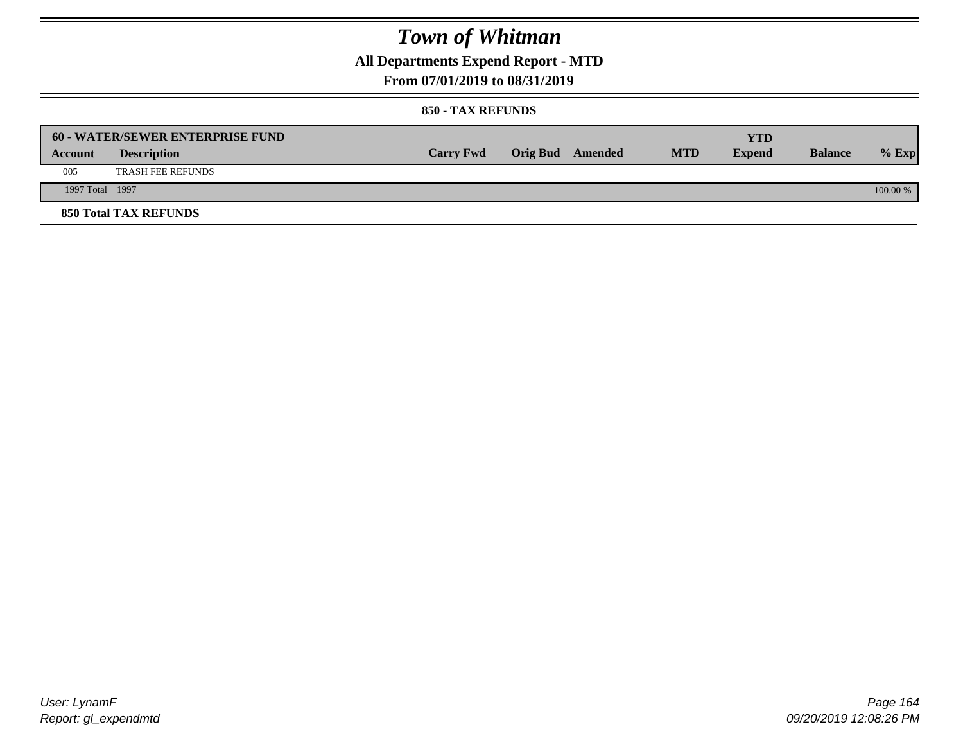**All Departments Expend Report - MTD**

### **From 07/01/2019 to 08/31/2019**

#### **850 - TAX REFUNDS**

|                 | <b>60 - WATER/SEWER ENTERPRISE FUND</b> |                  |                         |            | YTD           |                |            |
|-----------------|-----------------------------------------|------------------|-------------------------|------------|---------------|----------------|------------|
| Account         | <b>Description</b>                      | <b>Carry Fwd</b> | <b>Orig Bud</b> Amended | <b>MTD</b> | <b>Expend</b> | <b>Balance</b> | $%$ Exp    |
| 005             | <b>TRASH FEE REFUNDS</b>                |                  |                         |            |               |                |            |
| 1997 Total 1997 |                                         |                  |                         |            |               |                | $100.00\%$ |
|                 | <b>850 Total TAX REFUNDS</b>            |                  |                         |            |               |                |            |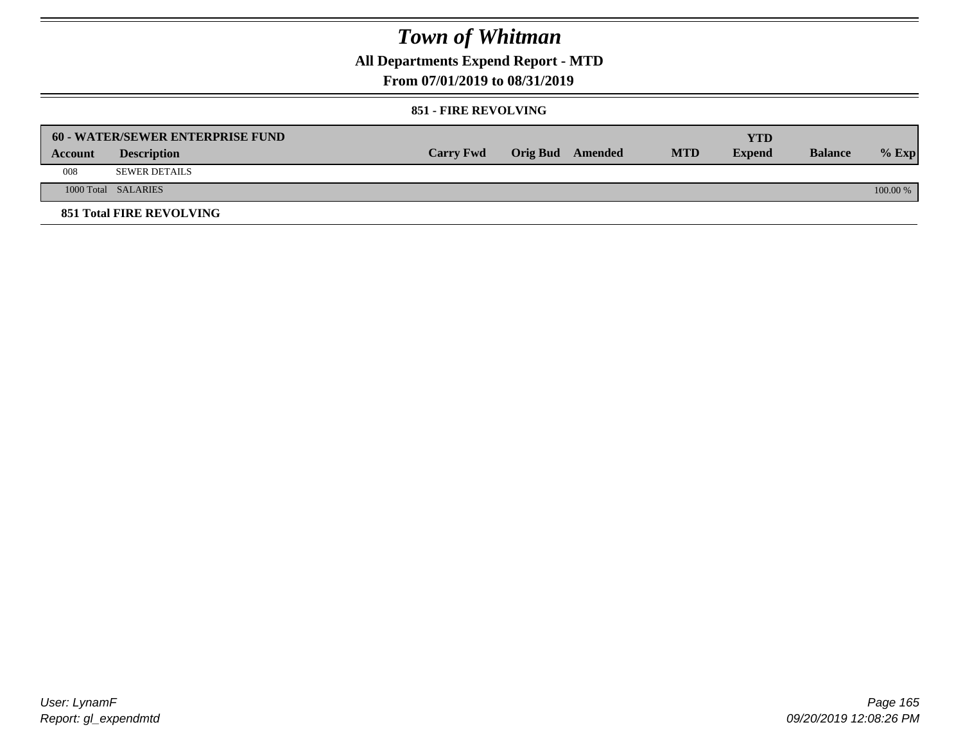**All Departments Expend Report - MTD**

**From 07/01/2019 to 08/31/2019**

#### **851 - FIRE REVOLVING**

|         | 60 - WATER/SEWER ENTERPRISE FUND |                  |                  |            | YTD           |                |          |
|---------|----------------------------------|------------------|------------------|------------|---------------|----------------|----------|
| Account | <b>Description</b>               | <b>Carry Fwd</b> | Orig Bud Amended | <b>MTD</b> | <b>Expend</b> | <b>Balance</b> | $%$ Exp  |
| 008     | <b>SEWER DETAILS</b>             |                  |                  |            |               |                |          |
|         | 1000 Total SALARIES              |                  |                  |            |               |                | 100.00 % |
|         | <b>851 Total FIRE REVOLVING</b>  |                  |                  |            |               |                |          |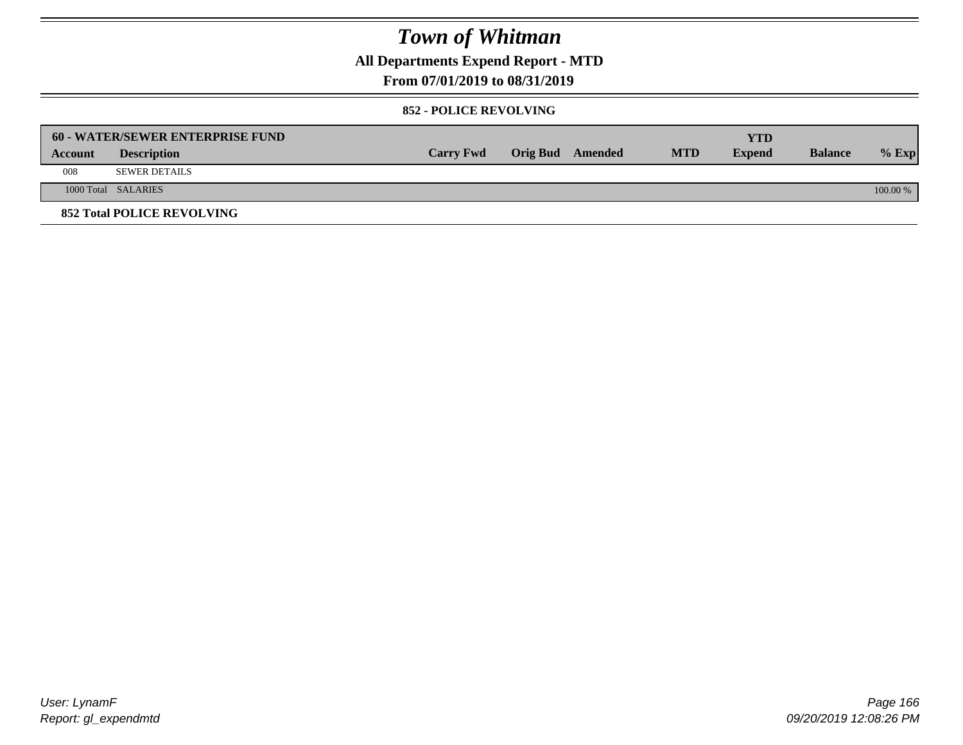**All Departments Expend Report - MTD**

### **From 07/01/2019 to 08/31/2019**

#### **852 - POLICE REVOLVING**

|         | 60 - WATER/SEWER ENTERPRISE FUND  |                  |                  |            | <b>YTD</b>    |                |            |
|---------|-----------------------------------|------------------|------------------|------------|---------------|----------------|------------|
| Account | <b>Description</b>                | <b>Carry Fwd</b> | Orig Bud Amended | <b>MTD</b> | <b>Expend</b> | <b>Balance</b> | $%$ Exp    |
| 008     | <b>SEWER DETAILS</b>              |                  |                  |            |               |                |            |
|         | 1000 Total SALARIES               |                  |                  |            |               |                | $100.00\%$ |
|         | <b>852 Total POLICE REVOLVING</b> |                  |                  |            |               |                |            |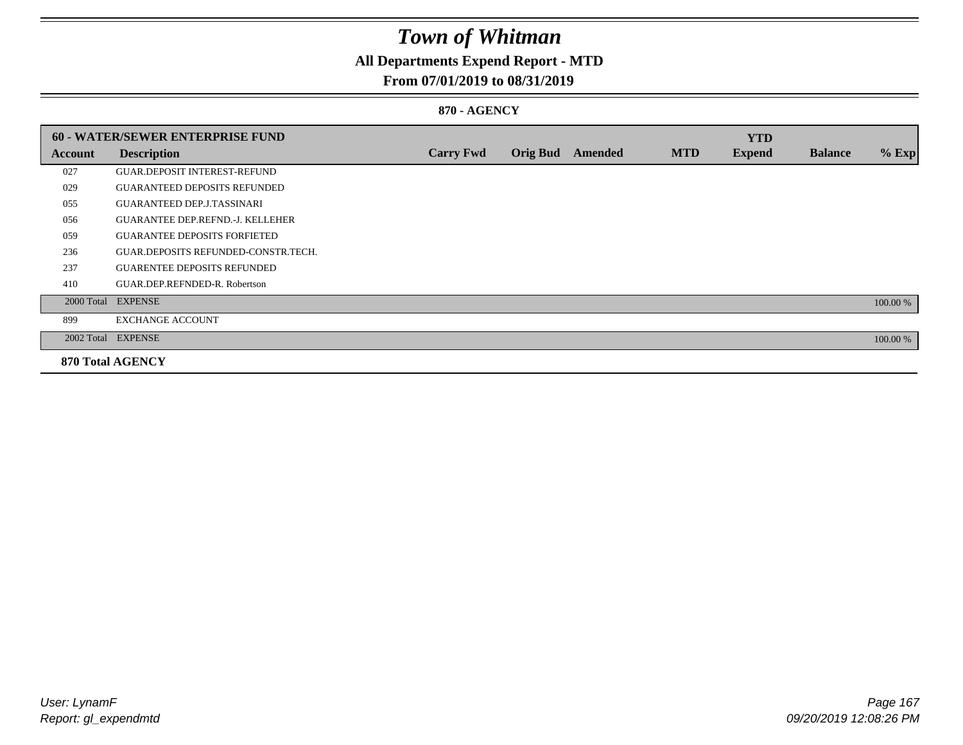## **All Departments Expend Report - MTD**

### **From 07/01/2019 to 08/31/2019**

#### **870 - AGENCY**

|         | <b>60 - WATER/SEWER ENTERPRISE FUND</b> |                  |                 |                |            | <b>YTD</b>    |                |          |
|---------|-----------------------------------------|------------------|-----------------|----------------|------------|---------------|----------------|----------|
| Account | <b>Description</b>                      | <b>Carry Fwd</b> | <b>Orig Bud</b> | <b>Amended</b> | <b>MTD</b> | <b>Expend</b> | <b>Balance</b> | $%$ Exp  |
| 027     | <b>GUAR.DEPOSIT INTEREST-REFUND</b>     |                  |                 |                |            |               |                |          |
| 029     | <b>GUARANTEED DEPOSITS REFUNDED</b>     |                  |                 |                |            |               |                |          |
| 055     | <b>GUARANTEED DEP.J.TASSINARI</b>       |                  |                 |                |            |               |                |          |
| 056     | <b>GUARANTEE DEP.REFND.-J. KELLEHER</b> |                  |                 |                |            |               |                |          |
| 059     | <b>GUARANTEE DEPOSITS FORFIETED</b>     |                  |                 |                |            |               |                |          |
| 236     | GUAR.DEPOSITS REFUNDED-CONSTR.TECH.     |                  |                 |                |            |               |                |          |
| 237     | <b>GUARENTEE DEPOSITS REFUNDED</b>      |                  |                 |                |            |               |                |          |
| 410     | GUAR.DEP.REFNDED-R. Robertson           |                  |                 |                |            |               |                |          |
|         | 2000 Total EXPENSE                      |                  |                 |                |            |               |                | 100.00 % |
| 899     | <b>EXCHANGE ACCOUNT</b>                 |                  |                 |                |            |               |                |          |
|         | 2002 Total EXPENSE                      |                  |                 |                |            |               |                | 100.00 % |
|         | <b>870 Total AGENCY</b>                 |                  |                 |                |            |               |                |          |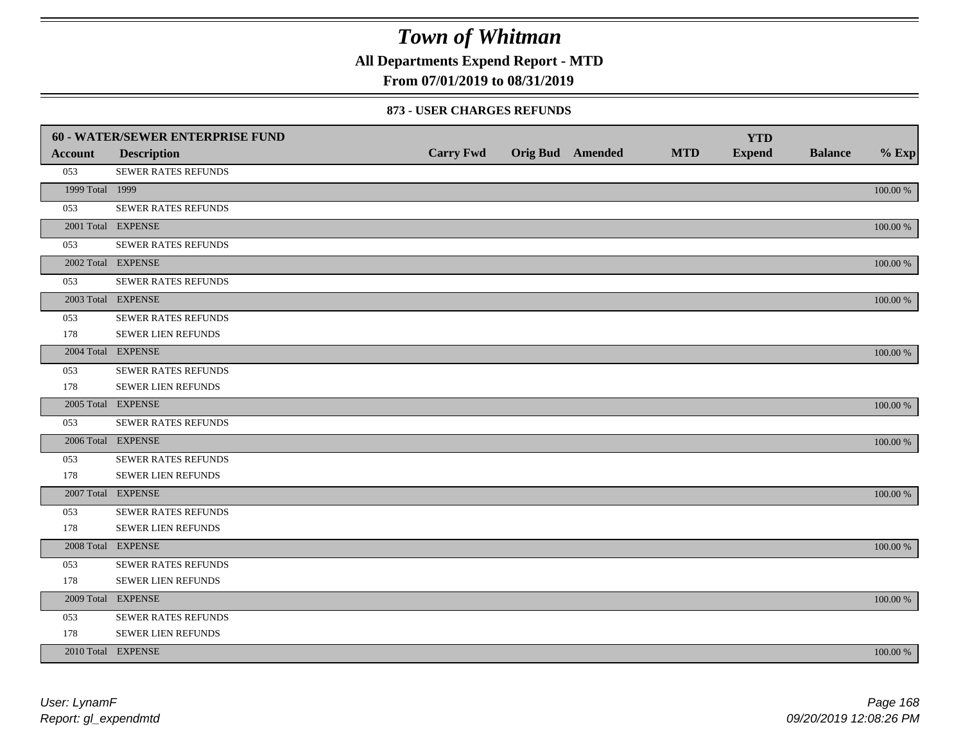**All Departments Expend Report - MTD**

### **From 07/01/2019 to 08/31/2019**

#### **873 - USER CHARGES REFUNDS**

|                 | 60 - WATER/SEWER ENTERPRISE FUND |                  |                  |            | <b>YTD</b>    |                |             |
|-----------------|----------------------------------|------------------|------------------|------------|---------------|----------------|-------------|
| <b>Account</b>  | <b>Description</b>               | <b>Carry Fwd</b> | Orig Bud Amended | <b>MTD</b> | <b>Expend</b> | <b>Balance</b> | $%$ Exp     |
| 053             | SEWER RATES REFUNDS              |                  |                  |            |               |                |             |
| 1999 Total 1999 |                                  |                  |                  |            |               |                | $100.00~\%$ |
| 053             | SEWER RATES REFUNDS              |                  |                  |            |               |                |             |
|                 | 2001 Total EXPENSE               |                  |                  |            |               |                | $100.00~\%$ |
| 053             | SEWER RATES REFUNDS              |                  |                  |            |               |                |             |
|                 | 2002 Total EXPENSE               |                  |                  |            |               |                | 100.00 %    |
| 053             | <b>SEWER RATES REFUNDS</b>       |                  |                  |            |               |                |             |
|                 | 2003 Total EXPENSE               |                  |                  |            |               |                | 100.00 %    |
| 053             | SEWER RATES REFUNDS              |                  |                  |            |               |                |             |
| 178             | SEWER LIEN REFUNDS               |                  |                  |            |               |                |             |
|                 | 2004 Total EXPENSE               |                  |                  |            |               |                | $100.00~\%$ |
| 053             | SEWER RATES REFUNDS              |                  |                  |            |               |                |             |
| 178             | SEWER LIEN REFUNDS               |                  |                  |            |               |                |             |
|                 | 2005 Total EXPENSE               |                  |                  |            |               |                | 100.00 %    |
| 053             | <b>SEWER RATES REFUNDS</b>       |                  |                  |            |               |                |             |
|                 | 2006 Total EXPENSE               |                  |                  |            |               |                | 100.00 %    |
| 053             | SEWER RATES REFUNDS              |                  |                  |            |               |                |             |
| 178             | <b>SEWER LIEN REFUNDS</b>        |                  |                  |            |               |                |             |
|                 | 2007 Total EXPENSE               |                  |                  |            |               |                | 100.00 %    |
| 053             | SEWER RATES REFUNDS              |                  |                  |            |               |                |             |
| 178             | SEWER LIEN REFUNDS               |                  |                  |            |               |                |             |
|                 | 2008 Total EXPENSE               |                  |                  |            |               |                | 100.00 %    |
| 053             | SEWER RATES REFUNDS              |                  |                  |            |               |                |             |
| 178             | <b>SEWER LIEN REFUNDS</b>        |                  |                  |            |               |                |             |
|                 | 2009 Total EXPENSE               |                  |                  |            |               |                | 100.00 %    |
| 053             | SEWER RATES REFUNDS              |                  |                  |            |               |                |             |
| 178             | SEWER LIEN REFUNDS               |                  |                  |            |               |                |             |
|                 | 2010 Total EXPENSE               |                  |                  |            |               |                | 100.00 %    |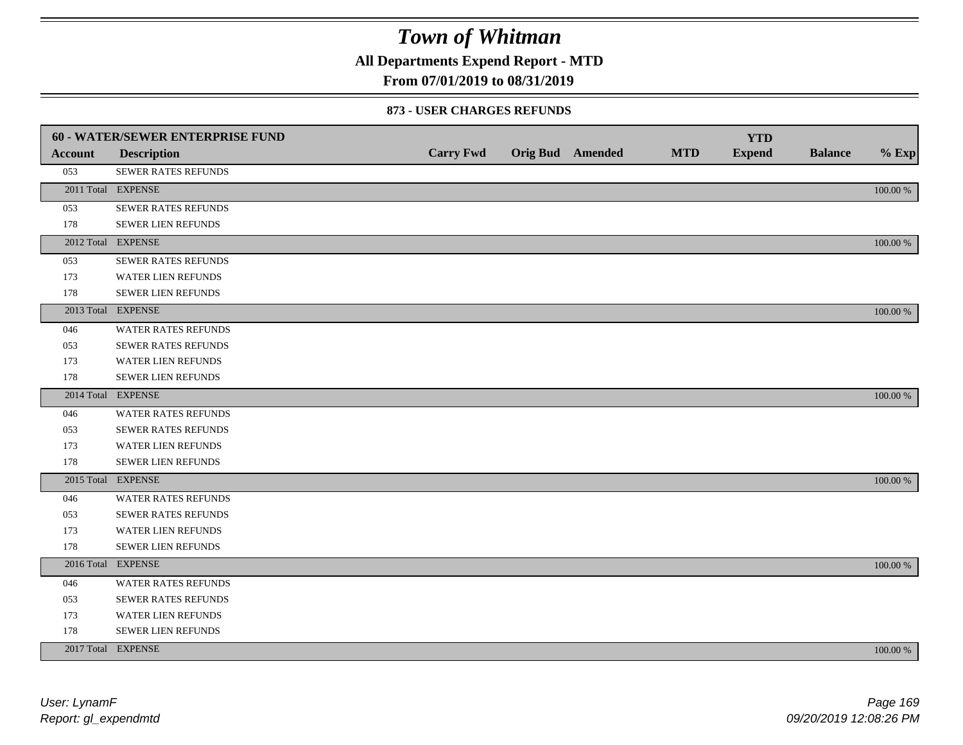**All Departments Expend Report - MTD**

### **From 07/01/2019 to 08/31/2019**

#### **873 - USER CHARGES REFUNDS**

|                | <b>60 - WATER/SEWER ENTERPRISE FUND</b> |                  |                         |            | <b>YTD</b>    |                |          |
|----------------|-----------------------------------------|------------------|-------------------------|------------|---------------|----------------|----------|
| <b>Account</b> | <b>Description</b>                      | <b>Carry Fwd</b> | <b>Orig Bud</b> Amended | <b>MTD</b> | <b>Expend</b> | <b>Balance</b> | $%$ Exp  |
| 053            | SEWER RATES REFUNDS                     |                  |                         |            |               |                |          |
|                | 2011 Total EXPENSE                      |                  |                         |            |               |                | 100.00 % |
| 053            | SEWER RATES REFUNDS                     |                  |                         |            |               |                |          |
| 178            | SEWER LIEN REFUNDS                      |                  |                         |            |               |                |          |
|                | 2012 Total EXPENSE                      |                  |                         |            |               |                | 100.00 % |
| 053            | SEWER RATES REFUNDS                     |                  |                         |            |               |                |          |
| 173            | <b>WATER LIEN REFUNDS</b>               |                  |                         |            |               |                |          |
| 178            | SEWER LIEN REFUNDS                      |                  |                         |            |               |                |          |
|                | 2013 Total EXPENSE                      |                  |                         |            |               |                | 100.00 % |
| 046            | WATER RATES REFUNDS                     |                  |                         |            |               |                |          |
| 053            | <b>SEWER RATES REFUNDS</b>              |                  |                         |            |               |                |          |
| 173            | WATER LIEN REFUNDS                      |                  |                         |            |               |                |          |
| 178            | SEWER LIEN REFUNDS                      |                  |                         |            |               |                |          |
|                | 2014 Total EXPENSE                      |                  |                         |            |               |                | 100.00 % |
| 046            | WATER RATES REFUNDS                     |                  |                         |            |               |                |          |
| 053            | SEWER RATES REFUNDS                     |                  |                         |            |               |                |          |
| 173            | WATER LIEN REFUNDS                      |                  |                         |            |               |                |          |
| 178            | SEWER LIEN REFUNDS                      |                  |                         |            |               |                |          |
|                | 2015 Total EXPENSE                      |                  |                         |            |               |                | 100.00 % |
| 046            | WATER RATES REFUNDS                     |                  |                         |            |               |                |          |
| 053            | SEWER RATES REFUNDS                     |                  |                         |            |               |                |          |
| 173            | <b>WATER LIEN REFUNDS</b>               |                  |                         |            |               |                |          |
| 178            | SEWER LIEN REFUNDS                      |                  |                         |            |               |                |          |
|                | 2016 Total EXPENSE                      |                  |                         |            |               |                | 100.00 % |
| 046            | WATER RATES REFUNDS                     |                  |                         |            |               |                |          |
| 053            | <b>SEWER RATES REFUNDS</b>              |                  |                         |            |               |                |          |
| 173            | WATER LIEN REFUNDS                      |                  |                         |            |               |                |          |
| 178            | SEWER LIEN REFUNDS                      |                  |                         |            |               |                |          |
|                | 2017 Total EXPENSE                      |                  |                         |            |               |                | 100.00 % |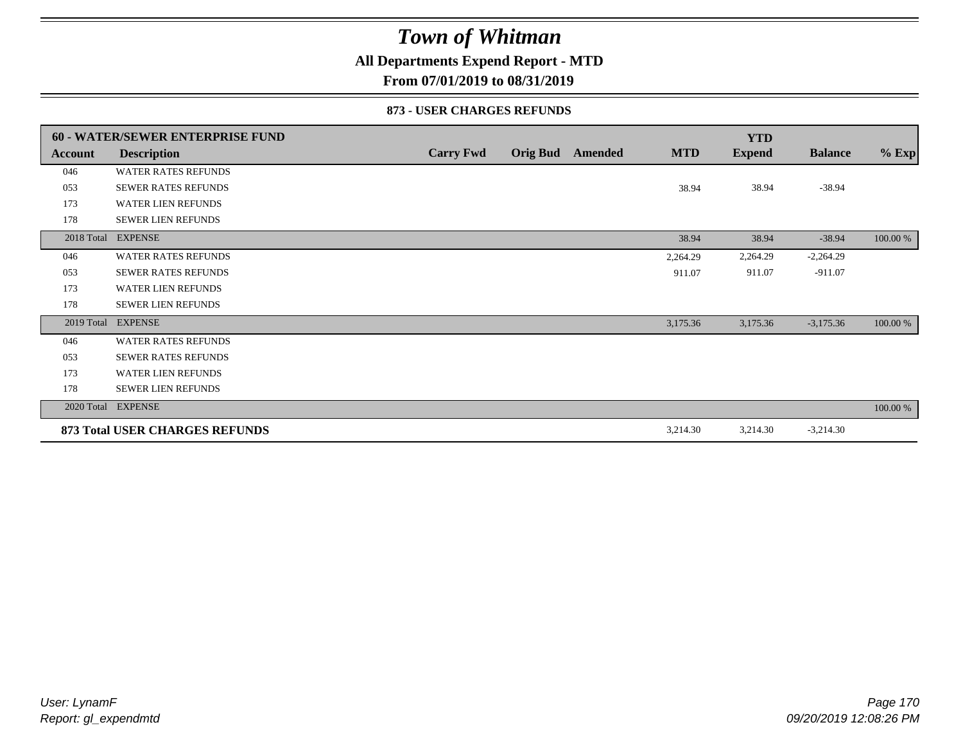### **All Departments Expend Report - MTD**

**From 07/01/2019 to 08/31/2019**

#### **873 - USER CHARGES REFUNDS**

|            | <b>60 - WATER/SEWER ENTERPRISE FUND</b> |                  |                  |            | <b>YTD</b>    |                |          |
|------------|-----------------------------------------|------------------|------------------|------------|---------------|----------------|----------|
| Account    | <b>Description</b>                      | <b>Carry Fwd</b> | Orig Bud Amended | <b>MTD</b> | <b>Expend</b> | <b>Balance</b> | $%$ Exp  |
| 046        | <b>WATER RATES REFUNDS</b>              |                  |                  |            |               |                |          |
| 053        | <b>SEWER RATES REFUNDS</b>              |                  |                  | 38.94      | 38.94         | $-38.94$       |          |
| 173        | <b>WATER LIEN REFUNDS</b>               |                  |                  |            |               |                |          |
| 178        | <b>SEWER LIEN REFUNDS</b>               |                  |                  |            |               |                |          |
|            | 2018 Total EXPENSE                      |                  |                  | 38.94      | 38.94         | $-38.94$       | 100.00 % |
| 046        | <b>WATER RATES REFUNDS</b>              |                  |                  | 2,264.29   | 2,264.29      | $-2,264.29$    |          |
| 053        | <b>SEWER RATES REFUNDS</b>              |                  |                  | 911.07     | 911.07        | $-911.07$      |          |
| 173        | <b>WATER LIEN REFUNDS</b>               |                  |                  |            |               |                |          |
| 178        | <b>SEWER LIEN REFUNDS</b>               |                  |                  |            |               |                |          |
| 2019 Total | <b>EXPENSE</b>                          |                  |                  | 3,175.36   | 3,175.36      | $-3,175.36$    | 100.00 % |
| 046        | <b>WATER RATES REFUNDS</b>              |                  |                  |            |               |                |          |
| 053        | <b>SEWER RATES REFUNDS</b>              |                  |                  |            |               |                |          |
| 173        | <b>WATER LIEN REFUNDS</b>               |                  |                  |            |               |                |          |
| 178        | <b>SEWER LIEN REFUNDS</b>               |                  |                  |            |               |                |          |
|            | 2020 Total EXPENSE                      |                  |                  |            |               |                | 100.00 % |
|            | 873 Total USER CHARGES REFUNDS          |                  |                  | 3,214.30   | 3,214.30      | $-3,214.30$    |          |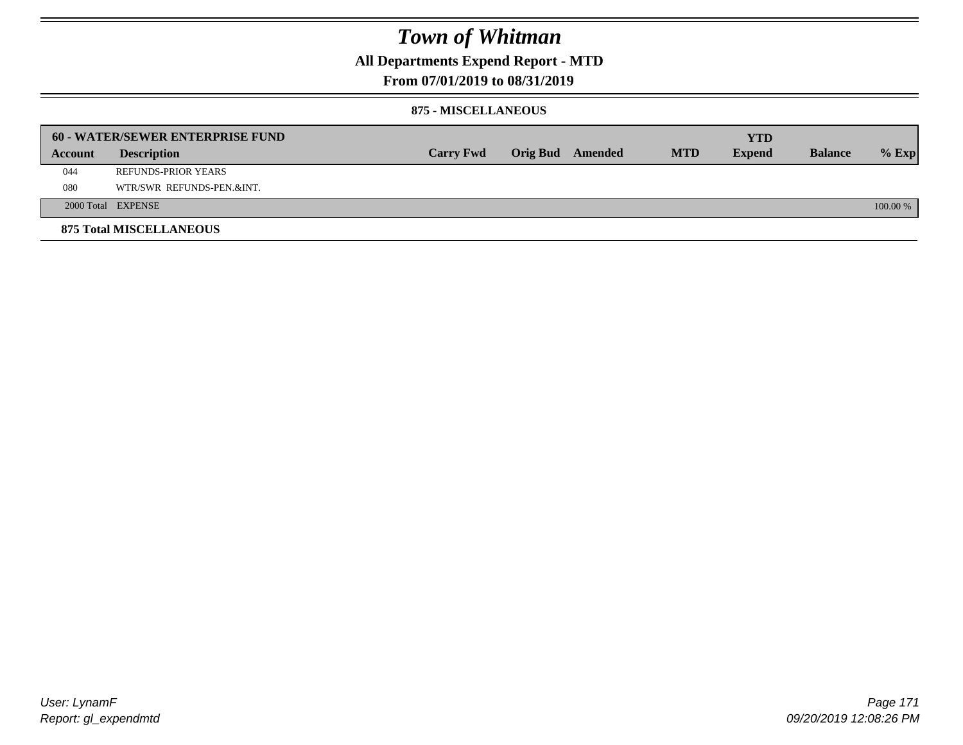**All Departments Expend Report - MTD**

### **From 07/01/2019 to 08/31/2019**

#### **875 - MISCELLANEOUS**

|         | <b>60 - WATER/SEWER ENTERPRISE FUND</b> |                  |  |                  |            | <b>YTD</b>    |                |            |
|---------|-----------------------------------------|------------------|--|------------------|------------|---------------|----------------|------------|
| Account | <b>Description</b>                      | <b>Carry Fwd</b> |  | Orig Bud Amended | <b>MTD</b> | <b>Expend</b> | <b>Balance</b> | $%$ Exp    |
| 044     | REFUNDS-PRIOR YEARS                     |                  |  |                  |            |               |                |            |
| 080     | WTR/SWR REFUNDS-PEN.&INT.               |                  |  |                  |            |               |                |            |
|         | 2000 Total EXPENSE                      |                  |  |                  |            |               |                | $100.00\%$ |
|         | <b>875 Total MISCELLANEOUS</b>          |                  |  |                  |            |               |                |            |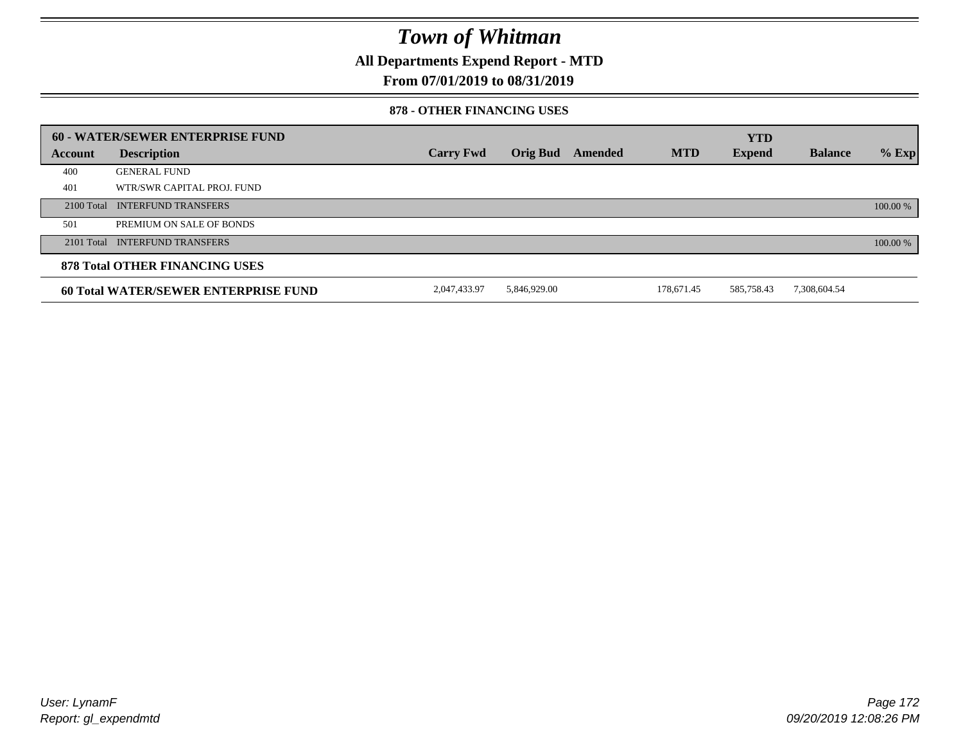**All Departments Expend Report - MTD**

### **From 07/01/2019 to 08/31/2019**

#### **878 - OTHER FINANCING USES**

|         | 60 - WATER/SEWER ENTERPRISE FUND            |                  |                 |                |            | <b>YTD</b>    |                |          |
|---------|---------------------------------------------|------------------|-----------------|----------------|------------|---------------|----------------|----------|
| Account | <b>Description</b>                          | <b>Carry Fwd</b> | <b>Orig Bud</b> | <b>Amended</b> | <b>MTD</b> | <b>Expend</b> | <b>Balance</b> | $%$ Exp  |
| 400     | <b>GENERAL FUND</b>                         |                  |                 |                |            |               |                |          |
| 401     | WTR/SWR CAPITAL PROJ. FUND                  |                  |                 |                |            |               |                |          |
|         | 2100 Total INTERFUND TRANSFERS              |                  |                 |                |            |               |                | 100.00 % |
| 501     | PREMIUM ON SALE OF BONDS                    |                  |                 |                |            |               |                |          |
|         | 2101 Total INTERFUND TRANSFERS              |                  |                 |                |            |               |                | 100.00 % |
|         | <b>878 Total OTHER FINANCING USES</b>       |                  |                 |                |            |               |                |          |
|         | <b>60 Total WATER/SEWER ENTERPRISE FUND</b> | 2,047,433.97     | 5,846,929.00    |                | 178,671.45 | 585,758.43    | 7,308,604.54   |          |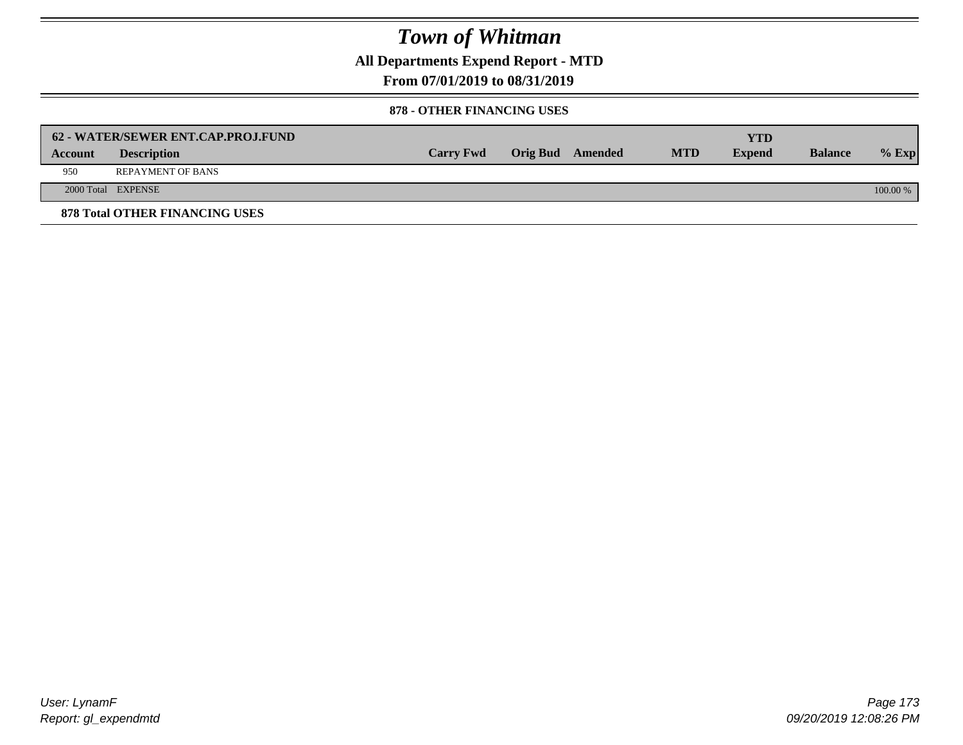**All Departments Expend Report - MTD**

**From 07/01/2019 to 08/31/2019**

#### **878 - OTHER FINANCING USES**

|         | 62 - WATER/SEWER ENT.CAP.PROJ.FUND    |                  |                  |            | <b>YTD</b>    |                |            |
|---------|---------------------------------------|------------------|------------------|------------|---------------|----------------|------------|
| Account | <b>Description</b>                    | <b>Carry Fwd</b> | Orig Bud Amended | <b>MTD</b> | <b>Expend</b> | <b>Balance</b> | $%$ Exp    |
| 950     | <b>REPAYMENT OF BANS</b>              |                  |                  |            |               |                |            |
|         | 2000 Total EXPENSE                    |                  |                  |            |               |                | $100.00\%$ |
|         | <b>878 Total OTHER FINANCING USES</b> |                  |                  |            |               |                |            |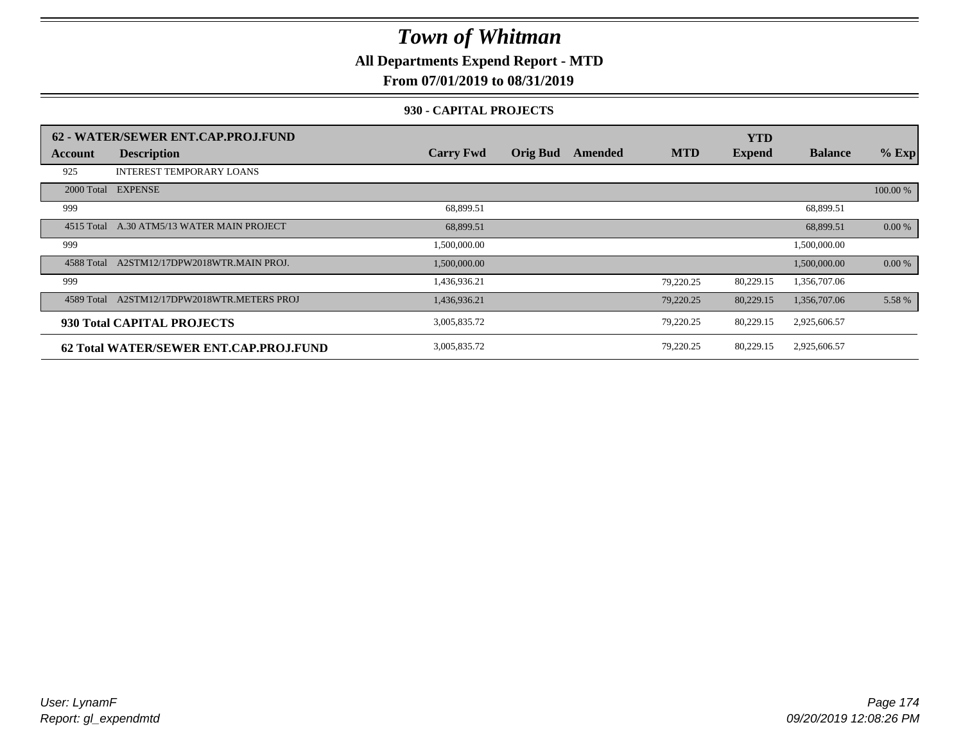**All Departments Expend Report - MTD**

### **From 07/01/2019 to 08/31/2019**

#### **930 - CAPITAL PROJECTS**

|            | 62 - WATER/SEWER ENT.CAP.PROJ.FUND     |                  |                 |         |            | <b>YTD</b>    |                |          |
|------------|----------------------------------------|------------------|-----------------|---------|------------|---------------|----------------|----------|
| Account    | <b>Description</b>                     | <b>Carry Fwd</b> | <b>Orig Bud</b> | Amended | <b>MTD</b> | <b>Expend</b> | <b>Balance</b> | $%$ Exp  |
| 925        | <b>INTEREST TEMPORARY LOANS</b>        |                  |                 |         |            |               |                |          |
| 2000 Total | <b>EXPENSE</b>                         |                  |                 |         |            |               |                | 100.00 % |
| 999        |                                        | 68,899.51        |                 |         |            |               | 68,899.51      |          |
| 4515 Total | A.30 ATM5/13 WATER MAIN PROJECT        | 68,899.51        |                 |         |            |               | 68,899.51      | 0.00 %   |
| 999        |                                        | 1,500,000.00     |                 |         |            |               | 1,500,000.00   |          |
| 4588 Total | A2STM12/17DPW2018WTR.MAIN PROJ.        | 1,500,000.00     |                 |         |            |               | 1,500,000.00   | $0.00\%$ |
| 999        |                                        | 1,436,936.21     |                 |         | 79.220.25  | 80,229.15     | 1,356,707.06   |          |
| 4589 Total | A2STM12/17DPW2018WTR.METERS PROJ       | 1,436,936.21     |                 |         | 79,220.25  | 80,229.15     | 1,356,707.06   | 5.58 %   |
|            | 930 Total CAPITAL PROJECTS             | 3,005,835.72     |                 |         | 79,220.25  | 80,229.15     | 2,925,606.57   |          |
|            | 62 Total WATER/SEWER ENT.CAP.PROJ.FUND | 3,005,835.72     |                 |         | 79,220.25  | 80,229.15     | 2,925,606.57   |          |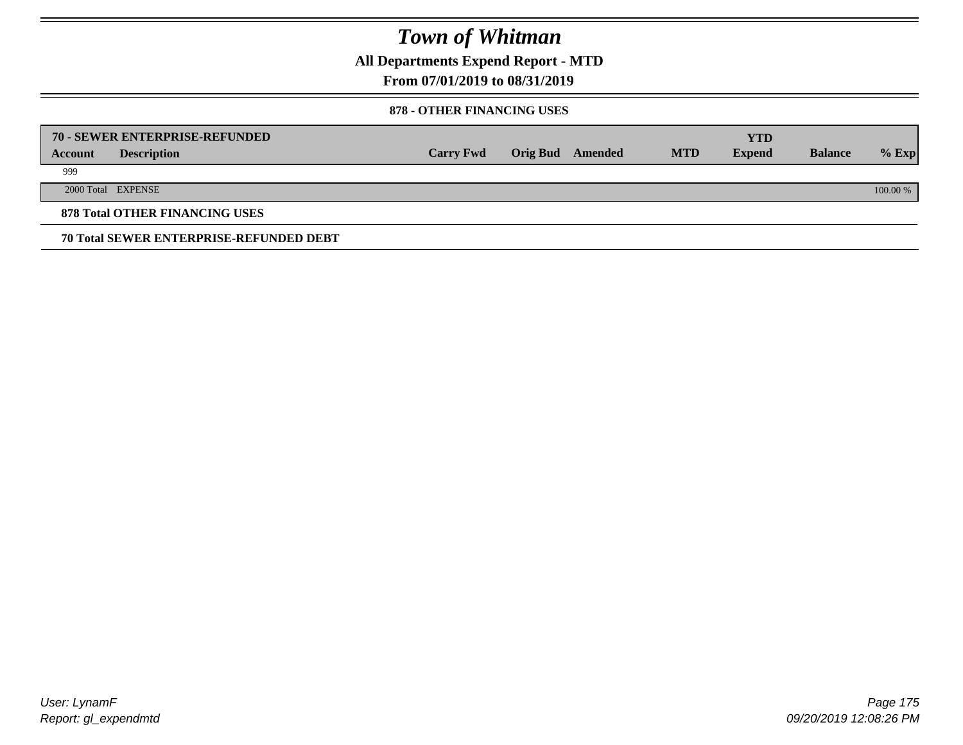**All Departments Expend Report - MTD**

**From 07/01/2019 to 08/31/2019**

#### **878 - OTHER FINANCING USES**

|         | 70 - SEWER ENTERPRISE-REFUNDED                 |                  |                 |         |            | <b>YTD</b>    |                |          |
|---------|------------------------------------------------|------------------|-----------------|---------|------------|---------------|----------------|----------|
| Account | <b>Description</b>                             | <b>Carry Fwd</b> | <b>Orig Bud</b> | Amended | <b>MTD</b> | <b>Expend</b> | <b>Balance</b> | $%$ Exp  |
| 999     |                                                |                  |                 |         |            |               |                |          |
|         | 2000 Total EXPENSE                             |                  |                 |         |            |               |                | 100.00 % |
|         | <b>878 Total OTHER FINANCING USES</b>          |                  |                 |         |            |               |                |          |
|         | <b>70 Total SEWER ENTERPRISE-REFUNDED DEBT</b> |                  |                 |         |            |               |                |          |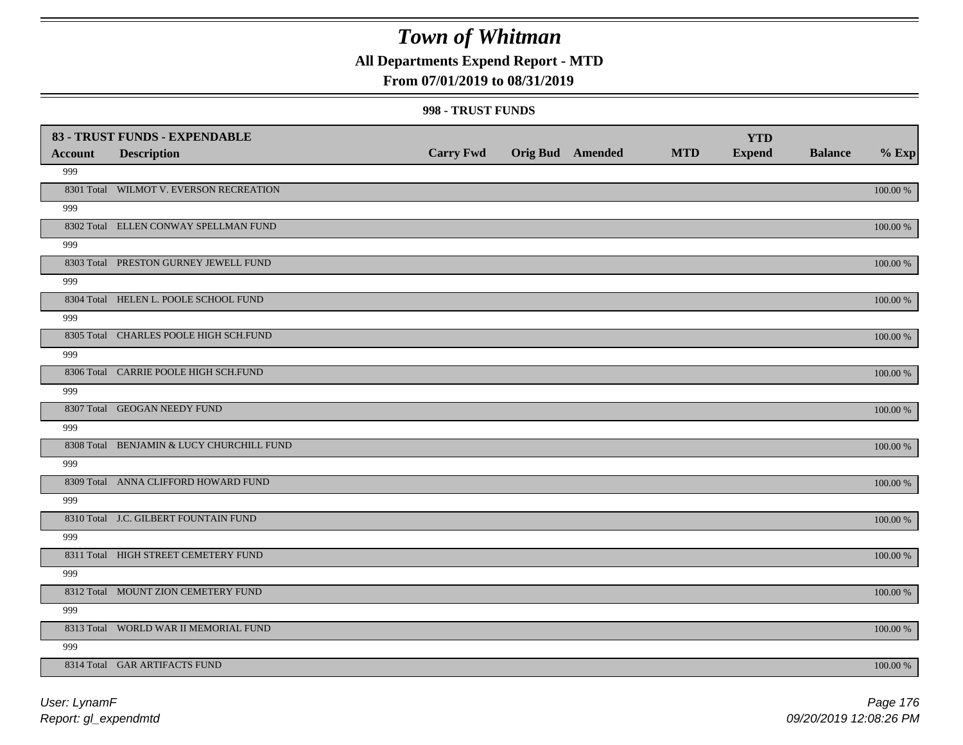### **All Departments Expend Report - MTD**

### **From 07/01/2019 to 08/31/2019**

#### **998 - TRUST FUNDS**

| <b>Account</b> | 83 - TRUST FUNDS - EXPENDABLE             | <b>Carry Fwd</b> | <b>Orig Bud Amended</b> | <b>MTD</b> | <b>YTD</b><br><b>Expend</b> | <b>Balance</b> | $%$ Exp     |
|----------------|-------------------------------------------|------------------|-------------------------|------------|-----------------------------|----------------|-------------|
| 999            | <b>Description</b>                        |                  |                         |            |                             |                |             |
|                | 8301 Total WILMOT V. EVERSON RECREATION   |                  |                         |            |                             |                | $100.00~\%$ |
| 999            |                                           |                  |                         |            |                             |                |             |
|                | 8302 Total ELLEN CONWAY SPELLMAN FUND     |                  |                         |            |                             |                | 100.00 %    |
| 999            |                                           |                  |                         |            |                             |                |             |
|                | 8303 Total PRESTON GURNEY JEWELL FUND     |                  |                         |            |                             |                | 100.00 %    |
| 999            |                                           |                  |                         |            |                             |                |             |
|                | 8304 Total HELEN L. POOLE SCHOOL FUND     |                  |                         |            |                             |                | 100.00 %    |
| 999            |                                           |                  |                         |            |                             |                |             |
|                | 8305 Total CHARLES POOLE HIGH SCH.FUND    |                  |                         |            |                             |                | 100.00 %    |
| 999            |                                           |                  |                         |            |                             |                |             |
|                | 8306 Total CARRIE POOLE HIGH SCH.FUND     |                  |                         |            |                             |                | 100.00 %    |
| 999            |                                           |                  |                         |            |                             |                |             |
|                | 8307 Total GEOGAN NEEDY FUND              |                  |                         |            |                             |                | 100.00 %    |
| 999            |                                           |                  |                         |            |                             |                |             |
|                | 8308 Total BENJAMIN & LUCY CHURCHILL FUND |                  |                         |            |                             |                | 100.00 %    |
| 999            |                                           |                  |                         |            |                             |                |             |
|                | 8309 Total ANNA CLIFFORD HOWARD FUND      |                  |                         |            |                             |                | $100.00~\%$ |
| 999            |                                           |                  |                         |            |                             |                |             |
|                | 8310 Total J.C. GILBERT FOUNTAIN FUND     |                  |                         |            |                             |                | 100.00 %    |
| 999            |                                           |                  |                         |            |                             |                |             |
|                | 8311 Total HIGH STREET CEMETERY FUND      |                  |                         |            |                             |                | 100.00 %    |
| 999            |                                           |                  |                         |            |                             |                |             |
|                | 8312 Total MOUNT ZION CEMETERY FUND       |                  |                         |            |                             |                | 100.00 %    |
| 999            | 8313 Total WORLD WAR II MEMORIAL FUND     |                  |                         |            |                             |                |             |
| 999            |                                           |                  |                         |            |                             |                | $100.00~\%$ |
|                | 8314 Total GAR ARTIFACTS FUND             |                  |                         |            |                             |                | 100.00 %    |
|                |                                           |                  |                         |            |                             |                |             |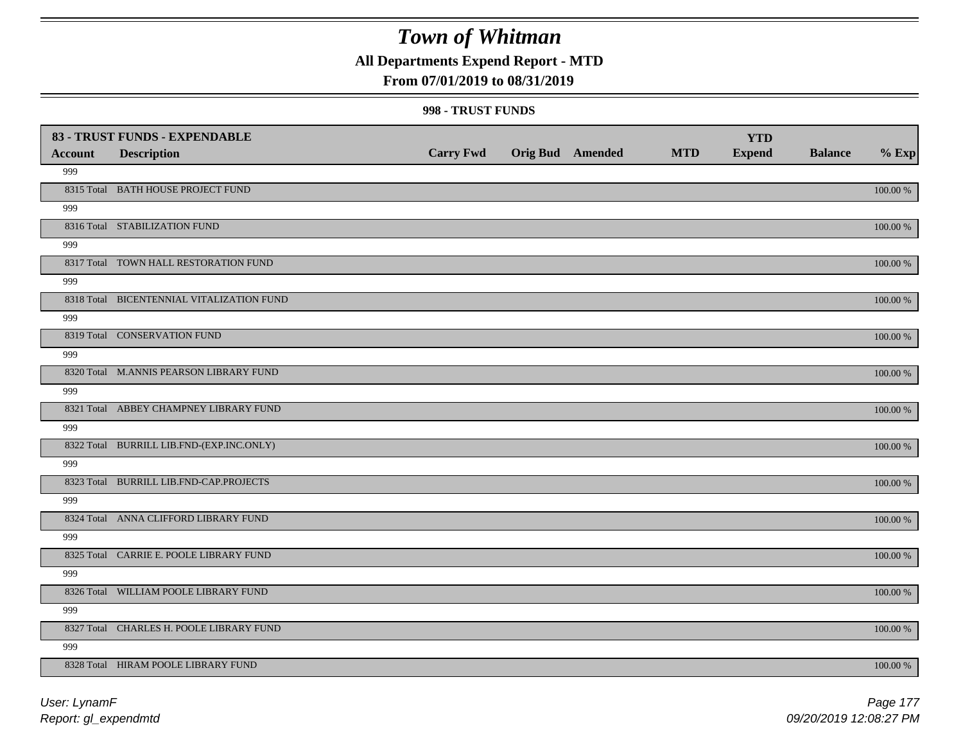### **All Departments Expend Report - MTD**

### **From 07/01/2019 to 08/31/2019**

#### **998 - TRUST FUNDS**

|                | 83 - TRUST FUNDS - EXPENDABLE             |                  |                         |            | <b>YTD</b>    |                |             |
|----------------|-------------------------------------------|------------------|-------------------------|------------|---------------|----------------|-------------|
| <b>Account</b> | <b>Description</b>                        | <b>Carry Fwd</b> | <b>Orig Bud Amended</b> | <b>MTD</b> | <b>Expend</b> | <b>Balance</b> | $%$ Exp     |
| 999            |                                           |                  |                         |            |               |                |             |
|                | 8315 Total BATH HOUSE PROJECT FUND        |                  |                         |            |               |                | $100.00~\%$ |
| 999            |                                           |                  |                         |            |               |                |             |
|                | 8316 Total STABILIZATION FUND             |                  |                         |            |               |                | $100.00~\%$ |
| 999            |                                           |                  |                         |            |               |                |             |
|                | 8317 Total TOWN HALL RESTORATION FUND     |                  |                         |            |               |                | $100.00~\%$ |
| 999            |                                           |                  |                         |            |               |                |             |
|                | 8318 Total BICENTENNIAL VITALIZATION FUND |                  |                         |            |               |                | $100.00~\%$ |
| 999            |                                           |                  |                         |            |               |                |             |
|                | 8319 Total CONSERVATION FUND              |                  |                         |            |               |                | 100.00 %    |
| 999            |                                           |                  |                         |            |               |                |             |
|                | 8320 Total M.ANNIS PEARSON LIBRARY FUND   |                  |                         |            |               |                | 100.00 %    |
| 999            |                                           |                  |                         |            |               |                |             |
|                | 8321 Total ABBEY CHAMPNEY LIBRARY FUND    |                  |                         |            |               |                | 100.00 %    |
| 999            |                                           |                  |                         |            |               |                |             |
|                | 8322 Total BURRILL LIB.FND-(EXP.INC.ONLY) |                  |                         |            |               |                | 100.00 %    |
| 999            |                                           |                  |                         |            |               |                |             |
|                | 8323 Total BURRILL LIB.FND-CAP.PROJECTS   |                  |                         |            |               |                | 100.00 %    |
| 999            |                                           |                  |                         |            |               |                |             |
|                | 8324 Total ANNA CLIFFORD LIBRARY FUND     |                  |                         |            |               |                | 100.00 %    |
| 999            |                                           |                  |                         |            |               |                |             |
|                | 8325 Total CARRIE E. POOLE LIBRARY FUND   |                  |                         |            |               |                | 100.00 %    |
| 999            |                                           |                  |                         |            |               |                |             |
|                | 8326 Total WILLIAM POOLE LIBRARY FUND     |                  |                         |            |               |                | $100.00~\%$ |
| 999            |                                           |                  |                         |            |               |                |             |
|                | 8327 Total CHARLES H. POOLE LIBRARY FUND  |                  |                         |            |               |                | $100.00~\%$ |
| 999            |                                           |                  |                         |            |               |                |             |
|                | 8328 Total HIRAM POOLE LIBRARY FUND       |                  |                         |            |               |                | 100.00 %    |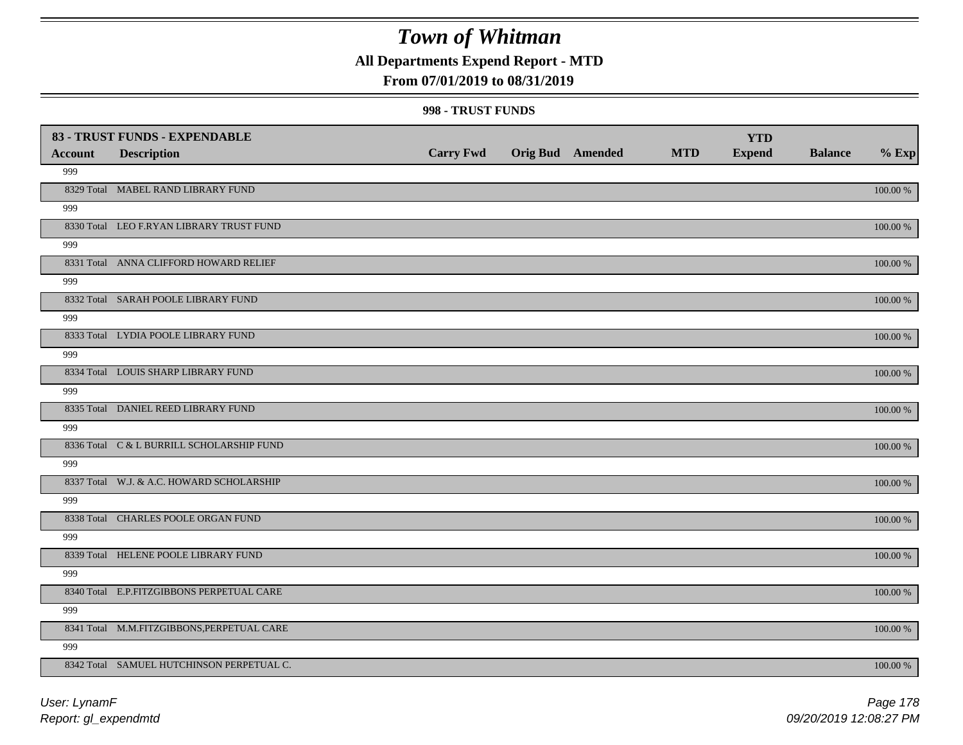### **All Departments Expend Report - MTD**

### **From 07/01/2019 to 08/31/2019**

#### **998 - TRUST FUNDS**

| <b>Account</b> | 83 - TRUST FUNDS - EXPENDABLE<br><b>Description</b> | <b>Carry Fwd</b> | Orig Bud Amended | <b>MTD</b> | <b>YTD</b><br><b>Expend</b> | <b>Balance</b> | $%$ Exp      |
|----------------|-----------------------------------------------------|------------------|------------------|------------|-----------------------------|----------------|--------------|
| 999            |                                                     |                  |                  |            |                             |                |              |
|                | 8329 Total MABEL RAND LIBRARY FUND                  |                  |                  |            |                             |                | $100.00~\%$  |
| 999            |                                                     |                  |                  |            |                             |                |              |
|                | 8330 Total LEO F.RYAN LIBRARY TRUST FUND            |                  |                  |            |                             |                | $100.00\%$   |
| 999            |                                                     |                  |                  |            |                             |                |              |
|                | 8331 Total ANNA CLIFFORD HOWARD RELIEF              |                  |                  |            |                             |                | 100.00 %     |
| 999            |                                                     |                  |                  |            |                             |                |              |
|                | 8332 Total SARAH POOLE LIBRARY FUND                 |                  |                  |            |                             |                | $100.00\%$   |
| 999            |                                                     |                  |                  |            |                             |                |              |
|                | 8333 Total LYDIA POOLE LIBRARY FUND                 |                  |                  |            |                             |                | $100.00\ \%$ |
| 999            |                                                     |                  |                  |            |                             |                |              |
|                | 8334 Total LOUIS SHARP LIBRARY FUND                 |                  |                  |            |                             |                | 100.00 %     |
| 999            |                                                     |                  |                  |            |                             |                |              |
|                | 8335 Total DANIEL REED LIBRARY FUND                 |                  |                  |            |                             |                | 100.00 %     |
| 999            |                                                     |                  |                  |            |                             |                |              |
|                | 8336 Total C & L BURRILL SCHOLARSHIP FUND           |                  |                  |            |                             |                | $100.00\%$   |
| 999            |                                                     |                  |                  |            |                             |                |              |
|                | 8337 Total W.J. & A.C. HOWARD SCHOLARSHIP           |                  |                  |            |                             |                | $100.00~\%$  |
| 999            |                                                     |                  |                  |            |                             |                |              |
|                | 8338 Total CHARLES POOLE ORGAN FUND                 |                  |                  |            |                             |                | $100.00\ \%$ |
| 999            |                                                     |                  |                  |            |                             |                |              |
|                | 8339 Total HELENE POOLE LIBRARY FUND                |                  |                  |            |                             |                | $100.00\ \%$ |
| 999            |                                                     |                  |                  |            |                             |                |              |
|                | 8340 Total E.P.FITZGIBBONS PERPETUAL CARE           |                  |                  |            |                             |                | $100.00\%$   |
| 999            |                                                     |                  |                  |            |                             |                |              |
|                | 8341 Total M.M.FITZGIBBONS, PERPETUAL CARE          |                  |                  |            |                             |                | $100.00\%$   |
| 999            |                                                     |                  |                  |            |                             |                |              |
|                | 8342 Total SAMUEL HUTCHINSON PERPETUAL C.           |                  |                  |            |                             |                | 100.00 %     |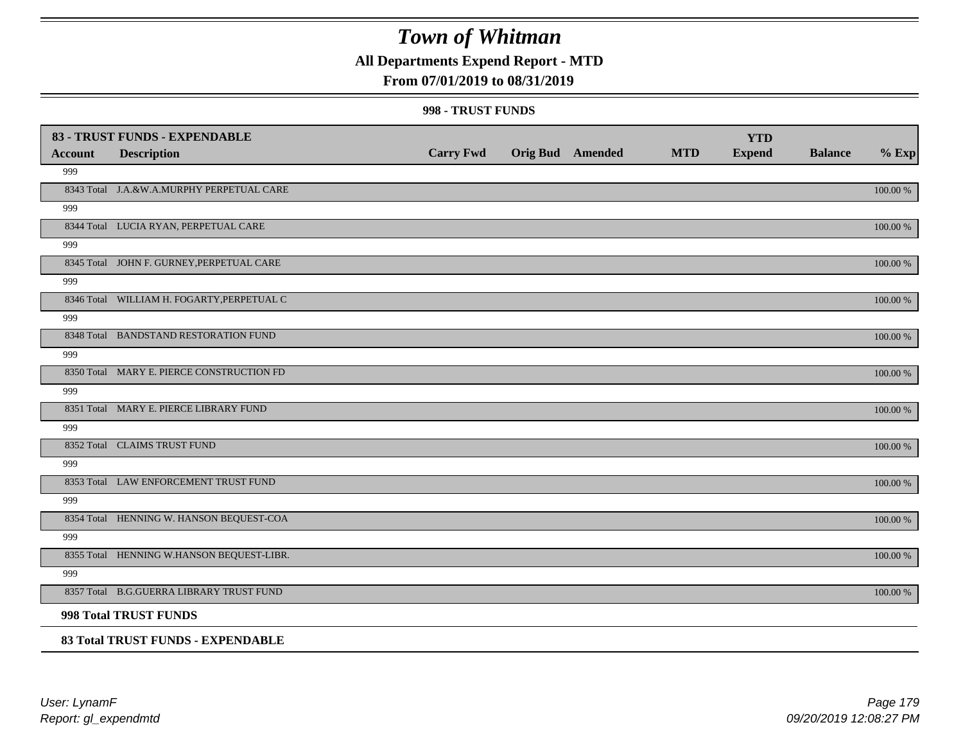### **All Departments Expend Report - MTD**

#### **From 07/01/2019 to 08/31/2019**

#### **998 - TRUST FUNDS**

| <b>Account</b> | 83 - TRUST FUNDS - EXPENDABLE<br><b>Description</b> | <b>Carry Fwd</b> | <b>Orig Bud</b> Amended | <b>MTD</b> | <b>YTD</b><br><b>Expend</b> | <b>Balance</b> | $%$ Exp  |
|----------------|-----------------------------------------------------|------------------|-------------------------|------------|-----------------------------|----------------|----------|
| 999            |                                                     |                  |                         |            |                             |                |          |
|                | 8343 Total J.A.&W.A.MURPHY PERPETUAL CARE           |                  |                         |            |                             |                | 100.00 % |
| 999            |                                                     |                  |                         |            |                             |                |          |
|                | 8344 Total LUCIA RYAN, PERPETUAL CARE               |                  |                         |            |                             |                | 100.00 % |
| 999            |                                                     |                  |                         |            |                             |                |          |
|                | 8345 Total JOHN F. GURNEY, PERPETUAL CARE           |                  |                         |            |                             |                | 100.00 % |
| 999            |                                                     |                  |                         |            |                             |                |          |
|                | 8346 Total WILLIAM H. FOGARTY, PERPETUAL C          |                  |                         |            |                             |                | 100.00 % |
| 999            |                                                     |                  |                         |            |                             |                |          |
|                | 8348 Total BANDSTAND RESTORATION FUND               |                  |                         |            |                             |                | 100.00 % |
| 999            |                                                     |                  |                         |            |                             |                |          |
|                | 8350 Total MARY E. PIERCE CONSTRUCTION FD           |                  |                         |            |                             |                | 100.00 % |
| 999            |                                                     |                  |                         |            |                             |                |          |
|                | 8351 Total MARY E. PIERCE LIBRARY FUND              |                  |                         |            |                             |                | 100.00 % |
| 999            |                                                     |                  |                         |            |                             |                |          |
|                | 8352 Total CLAIMS TRUST FUND                        |                  |                         |            |                             |                | 100.00 % |
| 999            |                                                     |                  |                         |            |                             |                |          |
|                | 8353 Total LAW ENFORCEMENT TRUST FUND               |                  |                         |            |                             |                | 100.00 % |
| 999            |                                                     |                  |                         |            |                             |                |          |
|                | 8354 Total HENNING W. HANSON BEQUEST-COA            |                  |                         |            |                             |                | 100.00 % |
| 999            |                                                     |                  |                         |            |                             |                |          |
|                | 8355 Total HENNING W.HANSON BEQUEST-LIBR.           |                  |                         |            |                             |                | 100.00 % |
| 999            |                                                     |                  |                         |            |                             |                |          |
|                | 8357 Total B.G.GUERRA LIBRARY TRUST FUND            |                  |                         |            |                             |                | 100.00 % |
|                | <b>998 Total TRUST FUNDS</b>                        |                  |                         |            |                             |                |          |
|                | 83 Total TRUST FUNDS - EXPENDABLE                   |                  |                         |            |                             |                |          |

*Report: gl\_expendmtd User: LynamF*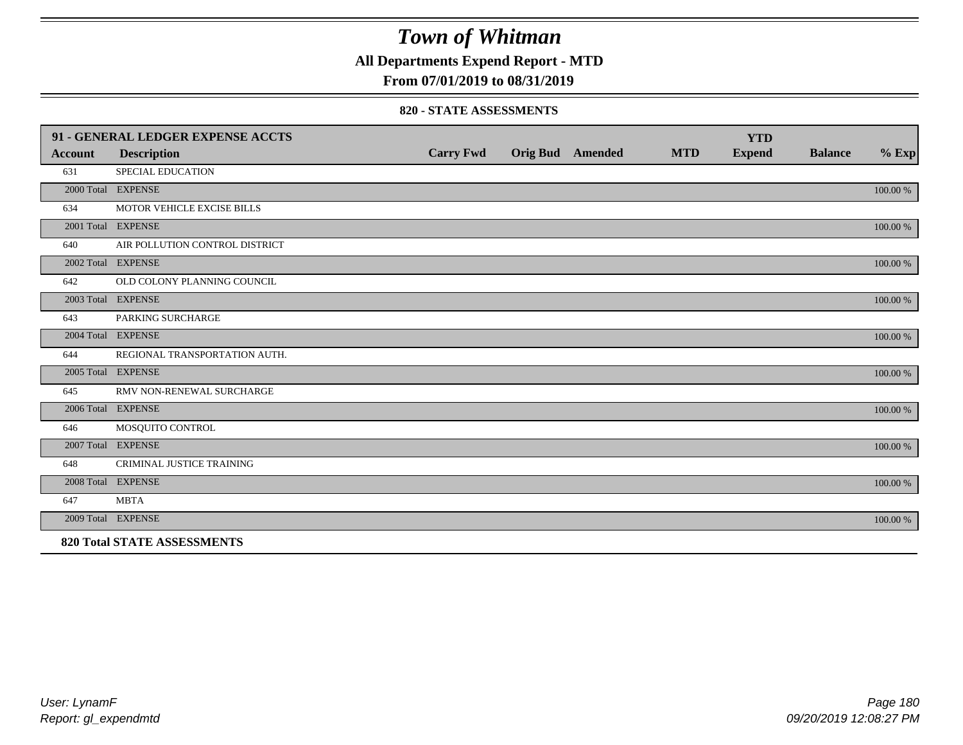**All Departments Expend Report - MTD**

### **From 07/01/2019 to 08/31/2019**

#### **820 - STATE ASSESSMENTS**

|                | 91 - GENERAL LEDGER EXPENSE ACCTS  |                  |                         |            | <b>YTD</b>    |                |          |
|----------------|------------------------------------|------------------|-------------------------|------------|---------------|----------------|----------|
| <b>Account</b> | <b>Description</b>                 | <b>Carry Fwd</b> | <b>Orig Bud Amended</b> | <b>MTD</b> | <b>Expend</b> | <b>Balance</b> | $%$ Exp  |
| 631            | <b>SPECIAL EDUCATION</b>           |                  |                         |            |               |                |          |
|                | 2000 Total EXPENSE                 |                  |                         |            |               |                | 100.00 % |
| 634            | MOTOR VEHICLE EXCISE BILLS         |                  |                         |            |               |                |          |
|                | 2001 Total EXPENSE                 |                  |                         |            |               |                | 100.00 % |
| 640            | AIR POLLUTION CONTROL DISTRICT     |                  |                         |            |               |                |          |
|                | 2002 Total EXPENSE                 |                  |                         |            |               |                | 100.00 % |
| 642            | OLD COLONY PLANNING COUNCIL        |                  |                         |            |               |                |          |
|                | 2003 Total EXPENSE                 |                  |                         |            |               |                | 100.00 % |
| 643            | PARKING SURCHARGE                  |                  |                         |            |               |                |          |
|                | 2004 Total EXPENSE                 |                  |                         |            |               |                | 100.00 % |
| 644            | REGIONAL TRANSPORTATION AUTH.      |                  |                         |            |               |                |          |
|                | 2005 Total EXPENSE                 |                  |                         |            |               |                | 100.00 % |
| 645            | RMV NON-RENEWAL SURCHARGE          |                  |                         |            |               |                |          |
|                | 2006 Total EXPENSE                 |                  |                         |            |               |                | 100.00 % |
| 646            | MOSQUITO CONTROL                   |                  |                         |            |               |                |          |
|                | 2007 Total EXPENSE                 |                  |                         |            |               |                | 100.00 % |
| 648            | CRIMINAL JUSTICE TRAINING          |                  |                         |            |               |                |          |
|                | 2008 Total EXPENSE                 |                  |                         |            |               |                | 100.00 % |
| 647            | <b>MBTA</b>                        |                  |                         |            |               |                |          |
|                | 2009 Total EXPENSE                 |                  |                         |            |               |                | 100.00 % |
|                | <b>820 Total STATE ASSESSMENTS</b> |                  |                         |            |               |                |          |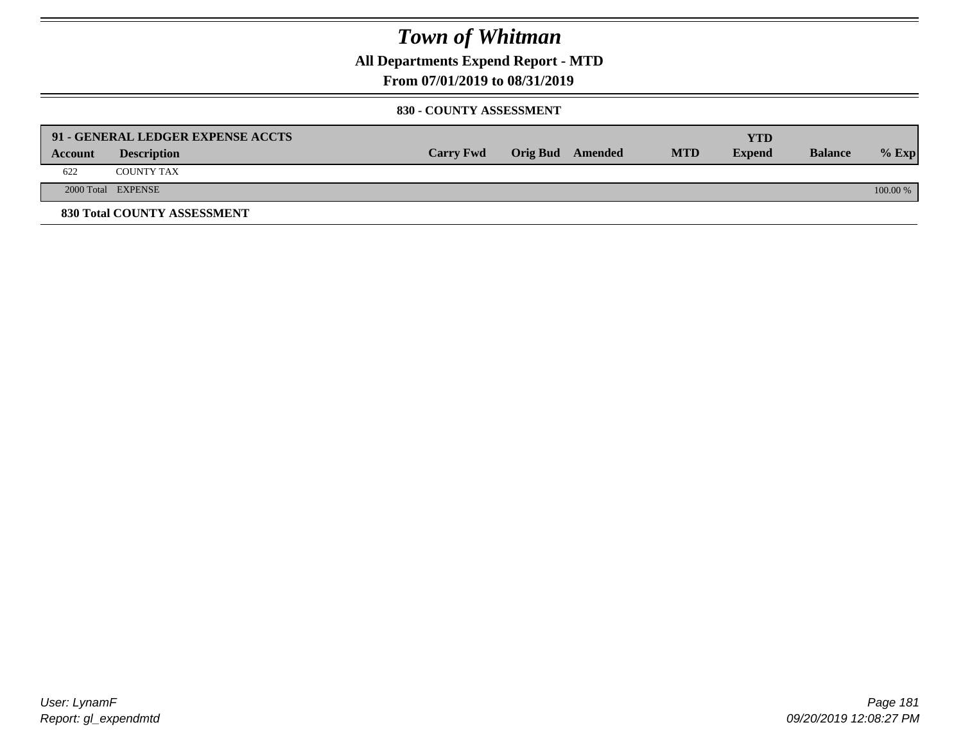**All Departments Expend Report - MTD**

**From 07/01/2019 to 08/31/2019**

#### **830 - COUNTY ASSESSMENT**

|         | 91 - GENERAL LEDGER EXPENSE ACCTS |                  |                  |            | <b>YTD</b>    |                |            |
|---------|-----------------------------------|------------------|------------------|------------|---------------|----------------|------------|
| Account | <b>Description</b>                | <b>Carry Fwd</b> | Orig Bud Amended | <b>MTD</b> | <b>Expend</b> | <b>Balance</b> | $%$ Exp    |
| 622     | <b>COUNTY TAX</b>                 |                  |                  |            |               |                |            |
|         | 2000 Total EXPENSE                |                  |                  |            |               |                | $100.00\%$ |
|         | 830 Total COUNTY ASSESSMENT       |                  |                  |            |               |                |            |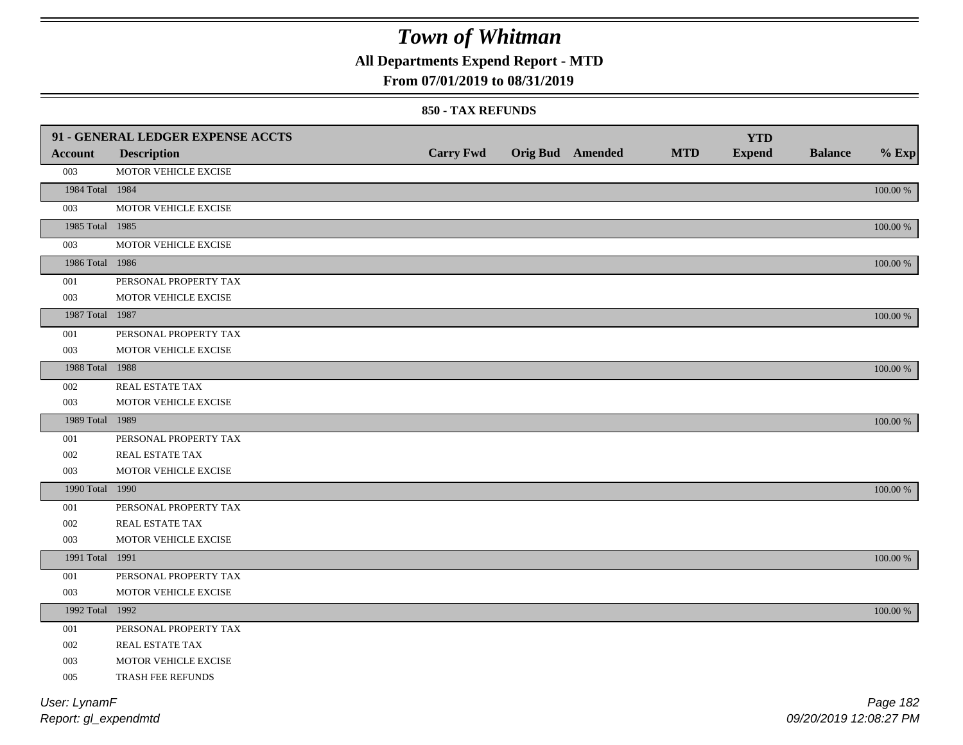**All Departments Expend Report - MTD**

### **From 07/01/2019 to 08/31/2019**

#### **850 - TAX REFUNDS**

|                 | 91 - GENERAL LEDGER EXPENSE ACCTS |                  |                  |            | <b>YTD</b>    |                |             |
|-----------------|-----------------------------------|------------------|------------------|------------|---------------|----------------|-------------|
| <b>Account</b>  | <b>Description</b>                | <b>Carry Fwd</b> | Orig Bud Amended | <b>MTD</b> | <b>Expend</b> | <b>Balance</b> | $%$ Exp     |
| 003             | MOTOR VEHICLE EXCISE              |                  |                  |            |               |                |             |
| 1984 Total 1984 |                                   |                  |                  |            |               |                | $100.00~\%$ |
| 003             | MOTOR VEHICLE EXCISE              |                  |                  |            |               |                |             |
| 1985 Total 1985 |                                   |                  |                  |            |               |                | 100.00 %    |
| 003             | MOTOR VEHICLE EXCISE              |                  |                  |            |               |                |             |
| 1986 Total 1986 |                                   |                  |                  |            |               |                | 100.00 %    |
| 001             | PERSONAL PROPERTY TAX             |                  |                  |            |               |                |             |
| 003             | MOTOR VEHICLE EXCISE              |                  |                  |            |               |                |             |
| 1987 Total 1987 |                                   |                  |                  |            |               |                | $100.00~\%$ |
| 001             | PERSONAL PROPERTY TAX             |                  |                  |            |               |                |             |
| 003             | MOTOR VEHICLE EXCISE              |                  |                  |            |               |                |             |
| 1988 Total 1988 |                                   |                  |                  |            |               |                | 100.00 %    |
| 002             | <b>REAL ESTATE TAX</b>            |                  |                  |            |               |                |             |
| 003             | MOTOR VEHICLE EXCISE              |                  |                  |            |               |                |             |
| 1989 Total 1989 |                                   |                  |                  |            |               |                | 100.00 %    |
| 001             | PERSONAL PROPERTY TAX             |                  |                  |            |               |                |             |
| 002             | REAL ESTATE TAX                   |                  |                  |            |               |                |             |
| 003             | MOTOR VEHICLE EXCISE              |                  |                  |            |               |                |             |
| 1990 Total 1990 |                                   |                  |                  |            |               |                | 100.00 %    |
| 001             | PERSONAL PROPERTY TAX             |                  |                  |            |               |                |             |
| 002             | REAL ESTATE TAX                   |                  |                  |            |               |                |             |
| 003             | MOTOR VEHICLE EXCISE              |                  |                  |            |               |                |             |
| 1991 Total 1991 |                                   |                  |                  |            |               |                | 100.00 %    |
| 001             | PERSONAL PROPERTY TAX             |                  |                  |            |               |                |             |
| 003             | MOTOR VEHICLE EXCISE              |                  |                  |            |               |                |             |
| 1992 Total 1992 |                                   |                  |                  |            |               |                | 100.00 %    |
| 001             | PERSONAL PROPERTY TAX             |                  |                  |            |               |                |             |
| 002             | REAL ESTATE TAX                   |                  |                  |            |               |                |             |
| 003             | MOTOR VEHICLE EXCISE              |                  |                  |            |               |                |             |
| 005             | TRASH FEE REFUNDS                 |                  |                  |            |               |                |             |
| User: LynamF    |                                   |                  |                  |            |               |                | Page 182    |

*Report: gl\_expendmtd*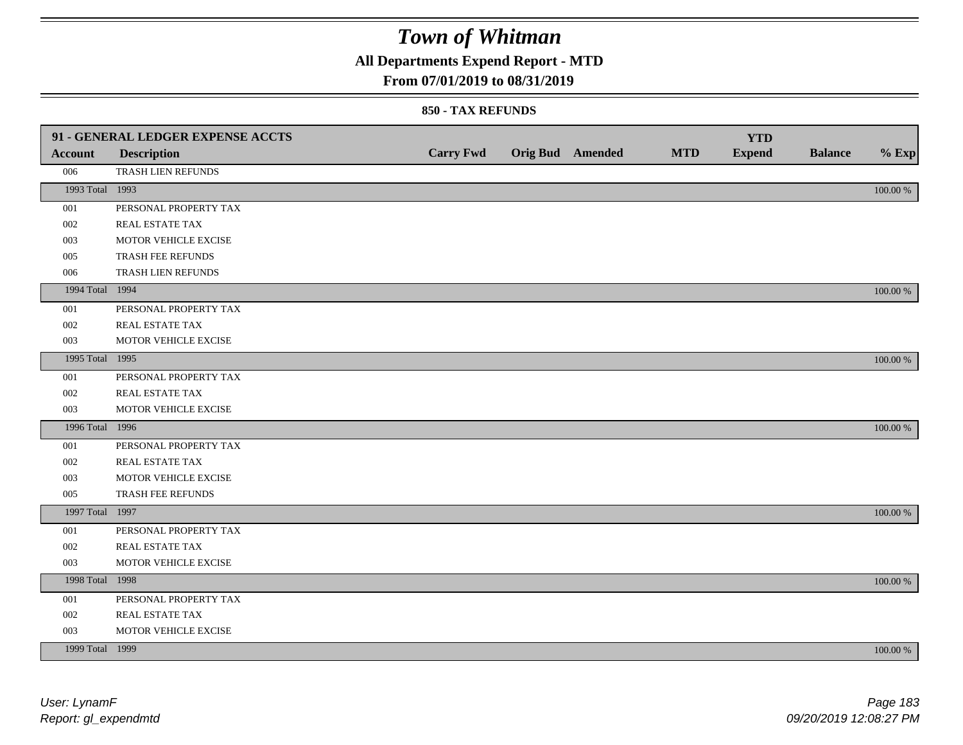## **All Departments Expend Report - MTD**

### **From 07/01/2019 to 08/31/2019**

|                 | 91 - GENERAL LEDGER EXPENSE ACCTS |                  |                  |            | <b>YTD</b>    |                |             |
|-----------------|-----------------------------------|------------------|------------------|------------|---------------|----------------|-------------|
| <b>Account</b>  | <b>Description</b>                | <b>Carry Fwd</b> | Orig Bud Amended | <b>MTD</b> | <b>Expend</b> | <b>Balance</b> | $%$ Exp     |
| 006             | TRASH LIEN REFUNDS                |                  |                  |            |               |                |             |
| 1993 Total 1993 |                                   |                  |                  |            |               |                | $100.00~\%$ |
| 001             | PERSONAL PROPERTY TAX             |                  |                  |            |               |                |             |
| 002             | REAL ESTATE TAX                   |                  |                  |            |               |                |             |
| 003             | MOTOR VEHICLE EXCISE              |                  |                  |            |               |                |             |
| 005             | TRASH FEE REFUNDS                 |                  |                  |            |               |                |             |
| 006             | TRASH LIEN REFUNDS                |                  |                  |            |               |                |             |
| 1994 Total 1994 |                                   |                  |                  |            |               |                | 100.00 %    |
| 001             | PERSONAL PROPERTY TAX             |                  |                  |            |               |                |             |
| 002             | REAL ESTATE TAX                   |                  |                  |            |               |                |             |
| 003             | MOTOR VEHICLE EXCISE              |                  |                  |            |               |                |             |
| 1995 Total 1995 |                                   |                  |                  |            |               |                | 100.00 %    |
| 001             | PERSONAL PROPERTY TAX             |                  |                  |            |               |                |             |
| 002             | REAL ESTATE TAX                   |                  |                  |            |               |                |             |
| 003             | MOTOR VEHICLE EXCISE              |                  |                  |            |               |                |             |
| 1996 Total 1996 |                                   |                  |                  |            |               |                | 100.00 %    |
| 001             | PERSONAL PROPERTY TAX             |                  |                  |            |               |                |             |
| 002             | REAL ESTATE TAX                   |                  |                  |            |               |                |             |
| 003             | MOTOR VEHICLE EXCISE              |                  |                  |            |               |                |             |
| 005             | TRASH FEE REFUNDS                 |                  |                  |            |               |                |             |
| 1997 Total 1997 |                                   |                  |                  |            |               |                | 100.00 %    |
| 001             | PERSONAL PROPERTY TAX             |                  |                  |            |               |                |             |
| 002             | REAL ESTATE TAX                   |                  |                  |            |               |                |             |
| 003             | MOTOR VEHICLE EXCISE              |                  |                  |            |               |                |             |
| 1998 Total 1998 |                                   |                  |                  |            |               |                | 100.00 %    |
| 001             | PERSONAL PROPERTY TAX             |                  |                  |            |               |                |             |
| 002             | REAL ESTATE TAX                   |                  |                  |            |               |                |             |
| 003             | MOTOR VEHICLE EXCISE              |                  |                  |            |               |                |             |
| 1999 Total 1999 |                                   |                  |                  |            |               |                | 100.00 %    |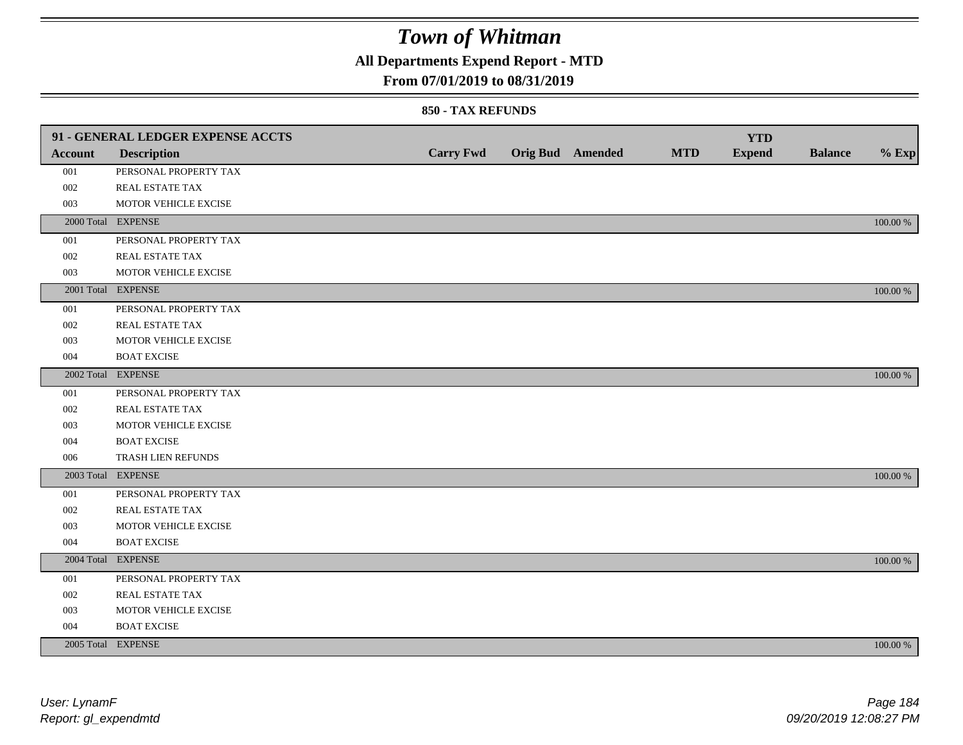## **All Departments Expend Report - MTD**

### **From 07/01/2019 to 08/31/2019**

|                | 91 - GENERAL LEDGER EXPENSE ACCTS |                  |                         |            | <b>YTD</b>    |                |             |
|----------------|-----------------------------------|------------------|-------------------------|------------|---------------|----------------|-------------|
| <b>Account</b> | <b>Description</b>                | <b>Carry Fwd</b> | <b>Orig Bud</b> Amended | <b>MTD</b> | <b>Expend</b> | <b>Balance</b> | $%$ Exp     |
| 001            | PERSONAL PROPERTY TAX             |                  |                         |            |               |                |             |
| 002            | <b>REAL ESTATE TAX</b>            |                  |                         |            |               |                |             |
| 003            | MOTOR VEHICLE EXCISE              |                  |                         |            |               |                |             |
|                | 2000 Total EXPENSE                |                  |                         |            |               |                | 100.00 %    |
| 001            | PERSONAL PROPERTY TAX             |                  |                         |            |               |                |             |
| 002            | REAL ESTATE TAX                   |                  |                         |            |               |                |             |
| 003            | MOTOR VEHICLE EXCISE              |                  |                         |            |               |                |             |
|                | 2001 Total EXPENSE                |                  |                         |            |               |                | 100.00 %    |
| 001            | PERSONAL PROPERTY TAX             |                  |                         |            |               |                |             |
| 002            | REAL ESTATE TAX                   |                  |                         |            |               |                |             |
| 003            | MOTOR VEHICLE EXCISE              |                  |                         |            |               |                |             |
| 004            | <b>BOAT EXCISE</b>                |                  |                         |            |               |                |             |
|                | 2002 Total EXPENSE                |                  |                         |            |               |                | 100.00 %    |
| 001            | PERSONAL PROPERTY TAX             |                  |                         |            |               |                |             |
| 002            | REAL ESTATE TAX                   |                  |                         |            |               |                |             |
| 003            | MOTOR VEHICLE EXCISE              |                  |                         |            |               |                |             |
| 004            | <b>BOAT EXCISE</b>                |                  |                         |            |               |                |             |
| 006            | TRASH LIEN REFUNDS                |                  |                         |            |               |                |             |
|                | 2003 Total EXPENSE                |                  |                         |            |               |                | 100.00 %    |
| 001            | PERSONAL PROPERTY TAX             |                  |                         |            |               |                |             |
| 002            | REAL ESTATE TAX                   |                  |                         |            |               |                |             |
| 003            | MOTOR VEHICLE EXCISE              |                  |                         |            |               |                |             |
| 004            | <b>BOAT EXCISE</b>                |                  |                         |            |               |                |             |
|                | 2004 Total EXPENSE                |                  |                         |            |               |                | 100.00 %    |
| 001            | PERSONAL PROPERTY TAX             |                  |                         |            |               |                |             |
| 002            | REAL ESTATE TAX                   |                  |                         |            |               |                |             |
| 003            | MOTOR VEHICLE EXCISE              |                  |                         |            |               |                |             |
| 004            | <b>BOAT EXCISE</b>                |                  |                         |            |               |                |             |
|                | 2005 Total EXPENSE                |                  |                         |            |               |                | $100.00~\%$ |
|                |                                   |                  |                         |            |               |                |             |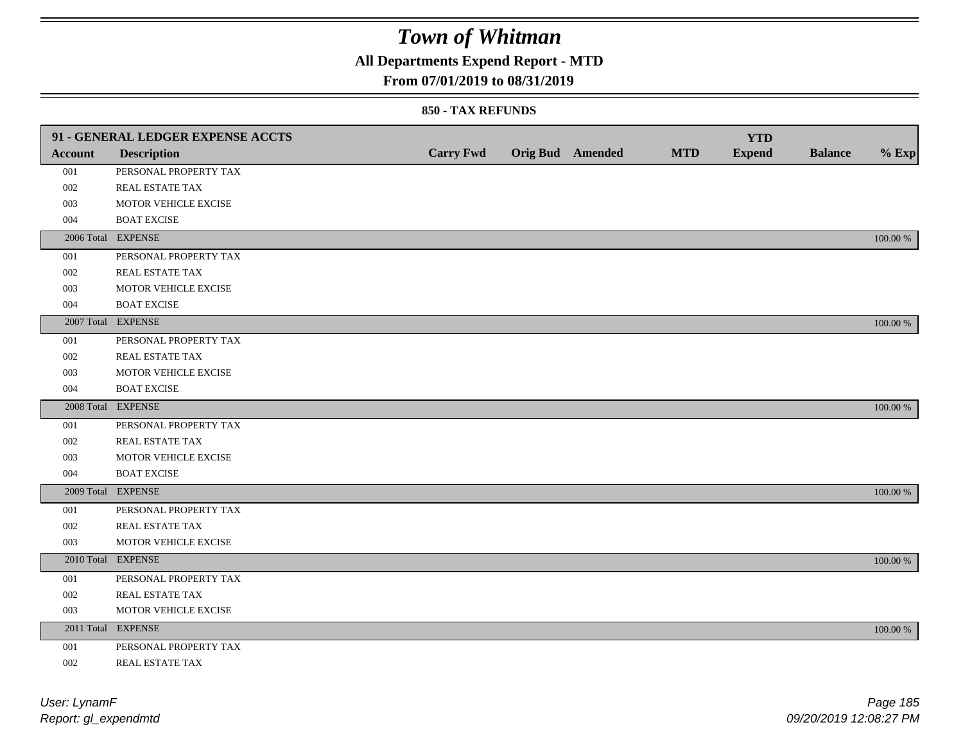## **All Departments Expend Report - MTD**

### **From 07/01/2019 to 08/31/2019**

|         | 91 - GENERAL LEDGER EXPENSE ACCTS |                  |                         |            | <b>YTD</b>    |                |             |
|---------|-----------------------------------|------------------|-------------------------|------------|---------------|----------------|-------------|
| Account | <b>Description</b>                | <b>Carry Fwd</b> | <b>Orig Bud</b> Amended | <b>MTD</b> | <b>Expend</b> | <b>Balance</b> | $%$ Exp     |
| 001     | PERSONAL PROPERTY TAX             |                  |                         |            |               |                |             |
| 002     | REAL ESTATE TAX                   |                  |                         |            |               |                |             |
| 003     | MOTOR VEHICLE EXCISE              |                  |                         |            |               |                |             |
| 004     | <b>BOAT EXCISE</b>                |                  |                         |            |               |                |             |
|         | 2006 Total EXPENSE                |                  |                         |            |               |                | 100.00 %    |
| 001     | PERSONAL PROPERTY TAX             |                  |                         |            |               |                |             |
| 002     | REAL ESTATE TAX                   |                  |                         |            |               |                |             |
| 003     | MOTOR VEHICLE EXCISE              |                  |                         |            |               |                |             |
| 004     | <b>BOAT EXCISE</b>                |                  |                         |            |               |                |             |
|         | 2007 Total EXPENSE                |                  |                         |            |               |                | 100.00 %    |
| 001     | PERSONAL PROPERTY TAX             |                  |                         |            |               |                |             |
| 002     | REAL ESTATE TAX                   |                  |                         |            |               |                |             |
| 003     | MOTOR VEHICLE EXCISE              |                  |                         |            |               |                |             |
| 004     | <b>BOAT EXCISE</b>                |                  |                         |            |               |                |             |
|         | 2008 Total EXPENSE                |                  |                         |            |               |                | 100.00 %    |
| 001     | PERSONAL PROPERTY TAX             |                  |                         |            |               |                |             |
| 002     | <b>REAL ESTATE TAX</b>            |                  |                         |            |               |                |             |
| 003     | MOTOR VEHICLE EXCISE              |                  |                         |            |               |                |             |
| 004     | <b>BOAT EXCISE</b>                |                  |                         |            |               |                |             |
|         | 2009 Total EXPENSE                |                  |                         |            |               |                | 100.00 %    |
| 001     | PERSONAL PROPERTY TAX             |                  |                         |            |               |                |             |
| 002     | REAL ESTATE TAX                   |                  |                         |            |               |                |             |
| 003     | MOTOR VEHICLE EXCISE              |                  |                         |            |               |                |             |
|         | 2010 Total EXPENSE                |                  |                         |            |               |                | 100.00 %    |
| 001     | PERSONAL PROPERTY TAX             |                  |                         |            |               |                |             |
| 002     | REAL ESTATE TAX                   |                  |                         |            |               |                |             |
| 003     | MOTOR VEHICLE EXCISE              |                  |                         |            |               |                |             |
|         | 2011 Total EXPENSE                |                  |                         |            |               |                | $100.00~\%$ |
| 001     | PERSONAL PROPERTY TAX             |                  |                         |            |               |                |             |
| 002     | REAL ESTATE TAX                   |                  |                         |            |               |                |             |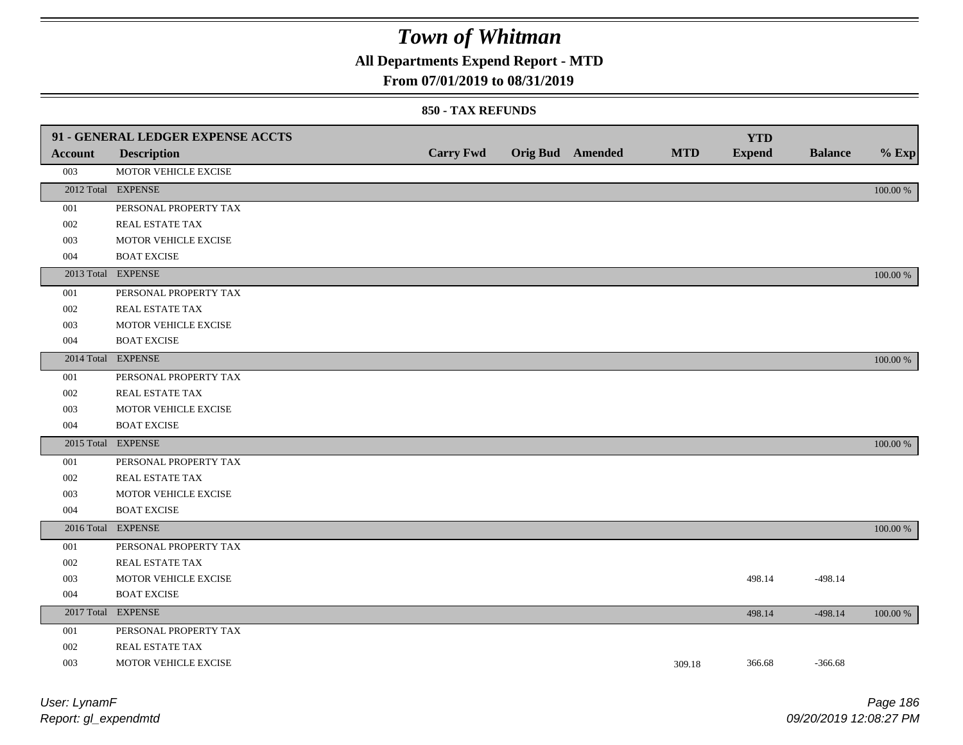## **All Departments Expend Report - MTD**

### **From 07/01/2019 to 08/31/2019**

|                | 91 - GENERAL LEDGER EXPENSE ACCTS |                  |                         |            | <b>YTD</b>    |                |             |
|----------------|-----------------------------------|------------------|-------------------------|------------|---------------|----------------|-------------|
| <b>Account</b> | <b>Description</b>                | <b>Carry Fwd</b> | <b>Orig Bud</b> Amended | <b>MTD</b> | <b>Expend</b> | <b>Balance</b> | $%$ Exp     |
| 003            | MOTOR VEHICLE EXCISE              |                  |                         |            |               |                |             |
|                | 2012 Total EXPENSE                |                  |                         |            |               |                | 100.00 %    |
| 001            | PERSONAL PROPERTY TAX             |                  |                         |            |               |                |             |
| $002\,$        | REAL ESTATE TAX                   |                  |                         |            |               |                |             |
| 003            | MOTOR VEHICLE EXCISE              |                  |                         |            |               |                |             |
| 004            | <b>BOAT EXCISE</b>                |                  |                         |            |               |                |             |
|                | 2013 Total EXPENSE                |                  |                         |            |               |                | 100.00 %    |
| 001            | PERSONAL PROPERTY TAX             |                  |                         |            |               |                |             |
| 002            | REAL ESTATE TAX                   |                  |                         |            |               |                |             |
| 003            | MOTOR VEHICLE EXCISE              |                  |                         |            |               |                |             |
| 004            | <b>BOAT EXCISE</b>                |                  |                         |            |               |                |             |
|                | 2014 Total EXPENSE                |                  |                         |            |               |                | 100.00 %    |
| 001            | PERSONAL PROPERTY TAX             |                  |                         |            |               |                |             |
| 002            | REAL ESTATE TAX                   |                  |                         |            |               |                |             |
| 003            | MOTOR VEHICLE EXCISE              |                  |                         |            |               |                |             |
| 004            | <b>BOAT EXCISE</b>                |                  |                         |            |               |                |             |
|                | 2015 Total EXPENSE                |                  |                         |            |               |                | 100.00 %    |
| 001            | PERSONAL PROPERTY TAX             |                  |                         |            |               |                |             |
| 002            | REAL ESTATE TAX                   |                  |                         |            |               |                |             |
| 003            | MOTOR VEHICLE EXCISE              |                  |                         |            |               |                |             |
| 004            | <b>BOAT EXCISE</b>                |                  |                         |            |               |                |             |
|                | 2016 Total EXPENSE                |                  |                         |            |               |                | 100.00 %    |
| 001            | PERSONAL PROPERTY TAX             |                  |                         |            |               |                |             |
| 002            | REAL ESTATE TAX                   |                  |                         |            |               |                |             |
| 003            | MOTOR VEHICLE EXCISE              |                  |                         |            | 498.14        | $-498.14$      |             |
| 004            | <b>BOAT EXCISE</b>                |                  |                         |            |               |                |             |
|                | 2017 Total EXPENSE                |                  |                         |            | 498.14        | $-498.14$      | $100.00~\%$ |
| 001            | PERSONAL PROPERTY TAX             |                  |                         |            |               |                |             |
| 002            | REAL ESTATE TAX                   |                  |                         |            |               |                |             |
| 003            | MOTOR VEHICLE EXCISE              |                  |                         | 309.18     | 366.68        | $-366.68$      |             |
|                |                                   |                  |                         |            |               |                |             |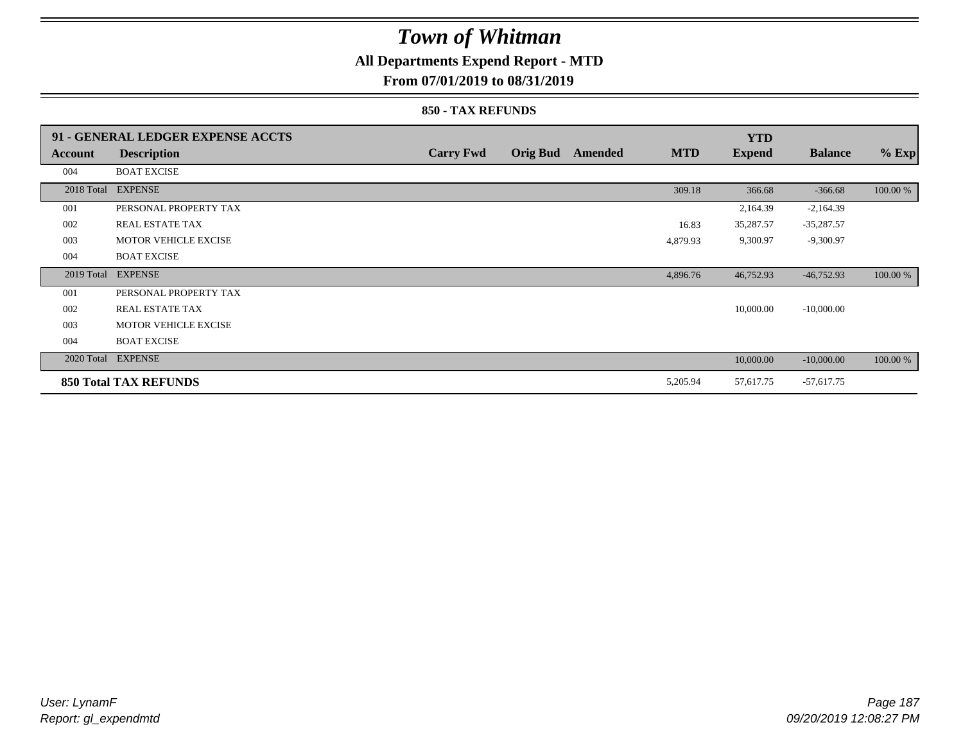### **All Departments Expend Report - MTD**

**From 07/01/2019 to 08/31/2019**

|            | 91 - GENERAL LEDGER EXPENSE ACCTS |                  |                 |                |            | <b>YTD</b>    |                |          |
|------------|-----------------------------------|------------------|-----------------|----------------|------------|---------------|----------------|----------|
| Account    | <b>Description</b>                | <b>Carry Fwd</b> | <b>Orig Bud</b> | <b>Amended</b> | <b>MTD</b> | <b>Expend</b> | <b>Balance</b> | $%$ Exp  |
| 004        | <b>BOAT EXCISE</b>                |                  |                 |                |            |               |                |          |
|            | 2018 Total EXPENSE                |                  |                 |                | 309.18     | 366.68        | $-366.68$      | 100.00 % |
| 001        | PERSONAL PROPERTY TAX             |                  |                 |                |            | 2,164.39      | $-2,164.39$    |          |
| 002        | <b>REAL ESTATE TAX</b>            |                  |                 |                | 16.83      | 35,287.57     | $-35,287.57$   |          |
| 003        | <b>MOTOR VEHICLE EXCISE</b>       |                  |                 |                | 4,879.93   | 9,300.97      | $-9,300.97$    |          |
| 004        | <b>BOAT EXCISE</b>                |                  |                 |                |            |               |                |          |
| 2019 Total | <b>EXPENSE</b>                    |                  |                 |                | 4,896.76   | 46,752.93     | $-46,752.93$   | 100.00 % |
| 001        | PERSONAL PROPERTY TAX             |                  |                 |                |            |               |                |          |
| 002        | REAL ESTATE TAX                   |                  |                 |                |            | 10,000.00     | $-10,000.00$   |          |
| 003        | <b>MOTOR VEHICLE EXCISE</b>       |                  |                 |                |            |               |                |          |
| 004        | <b>BOAT EXCISE</b>                |                  |                 |                |            |               |                |          |
|            | 2020 Total EXPENSE                |                  |                 |                |            | 10,000.00     | $-10,000.00$   | 100.00 % |
|            | <b>850 Total TAX REFUNDS</b>      |                  |                 |                | 5,205.94   | 57,617.75     | $-57,617.75$   |          |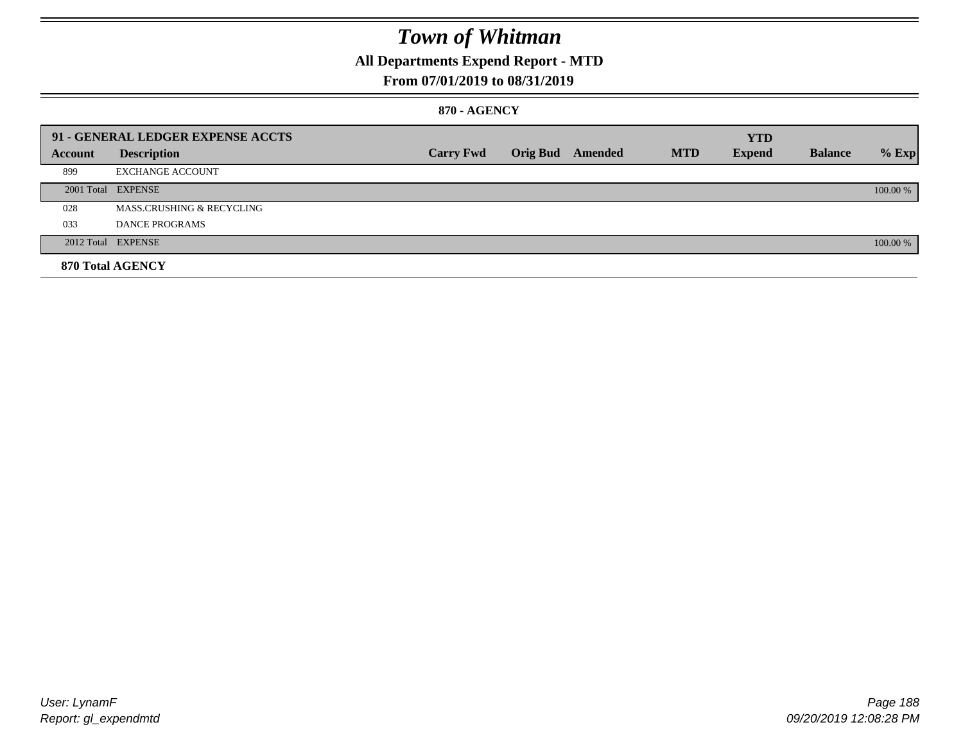## **All Departments Expend Report - MTD**

### **From 07/01/2019 to 08/31/2019**

#### **870 - AGENCY**

|         | 91 - GENERAL LEDGER EXPENSE ACCTS |                  |                         |            | <b>YTD</b>    |                |          |
|---------|-----------------------------------|------------------|-------------------------|------------|---------------|----------------|----------|
| Account | <b>Description</b>                | <b>Carry Fwd</b> | <b>Orig Bud</b> Amended | <b>MTD</b> | <b>Expend</b> | <b>Balance</b> | $%$ Exp  |
| 899     | <b>EXCHANGE ACCOUNT</b>           |                  |                         |            |               |                |          |
|         | 2001 Total EXPENSE                |                  |                         |            |               |                | 100.00 % |
| 028     | MASS.CRUSHING & RECYCLING         |                  |                         |            |               |                |          |
| 033     | <b>DANCE PROGRAMS</b>             |                  |                         |            |               |                |          |
|         | 2012 Total EXPENSE                |                  |                         |            |               |                | 100.00 % |
|         | 870 Total AGENCY                  |                  |                         |            |               |                |          |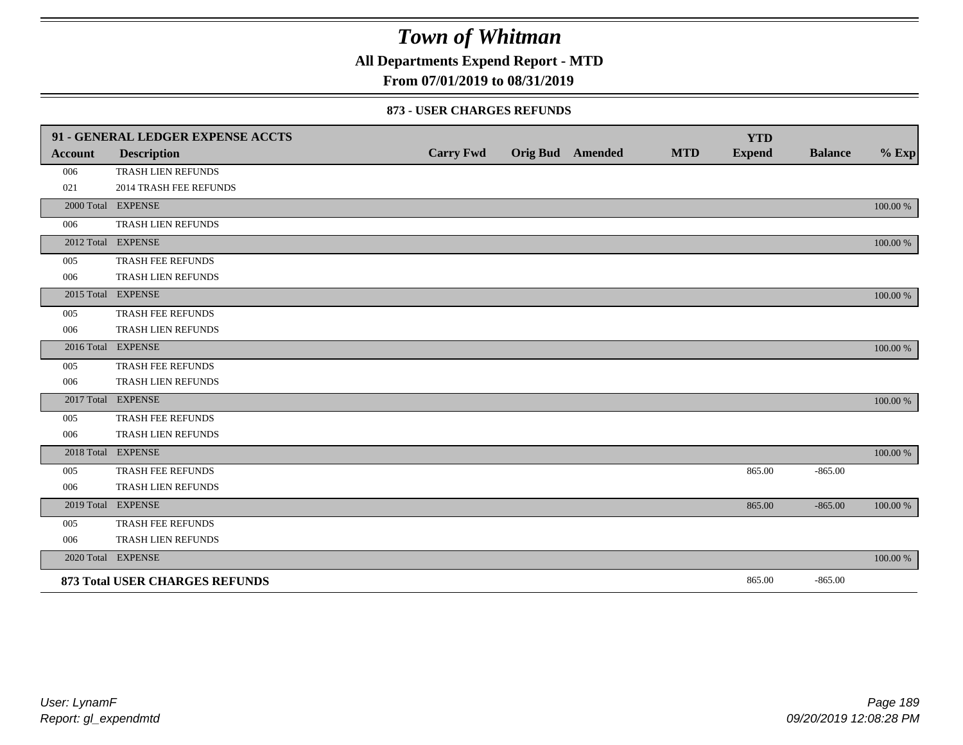**All Departments Expend Report - MTD**

### **From 07/01/2019 to 08/31/2019**

#### **873 - USER CHARGES REFUNDS**

|                | 91 - GENERAL LEDGER EXPENSE ACCTS     |                  |                  |            | <b>YTD</b>    |                |          |
|----------------|---------------------------------------|------------------|------------------|------------|---------------|----------------|----------|
| <b>Account</b> | <b>Description</b>                    | <b>Carry Fwd</b> | Orig Bud Amended | <b>MTD</b> | <b>Expend</b> | <b>Balance</b> | $%$ Exp  |
| 006            | TRASH LIEN REFUNDS                    |                  |                  |            |               |                |          |
| 021            | 2014 TRASH FEE REFUNDS                |                  |                  |            |               |                |          |
|                | 2000 Total EXPENSE                    |                  |                  |            |               |                | 100.00 % |
| 006            | TRASH LIEN REFUNDS                    |                  |                  |            |               |                |          |
|                | 2012 Total EXPENSE                    |                  |                  |            |               |                | 100.00 % |
| 005            | TRASH FEE REFUNDS                     |                  |                  |            |               |                |          |
| 006            | TRASH LIEN REFUNDS                    |                  |                  |            |               |                |          |
|                | 2015 Total EXPENSE                    |                  |                  |            |               |                | 100.00 % |
| 005            | TRASH FEE REFUNDS                     |                  |                  |            |               |                |          |
| 006            | TRASH LIEN REFUNDS                    |                  |                  |            |               |                |          |
|                | 2016 Total EXPENSE                    |                  |                  |            |               |                | 100.00 % |
| 005            | TRASH FEE REFUNDS                     |                  |                  |            |               |                |          |
| 006            | TRASH LIEN REFUNDS                    |                  |                  |            |               |                |          |
|                | 2017 Total EXPENSE                    |                  |                  |            |               |                | 100.00 % |
| 005            | TRASH FEE REFUNDS                     |                  |                  |            |               |                |          |
| 006            | TRASH LIEN REFUNDS                    |                  |                  |            |               |                |          |
|                | 2018 Total EXPENSE                    |                  |                  |            |               |                | 100.00 % |
| 005            | TRASH FEE REFUNDS                     |                  |                  |            | 865.00        | $-865.00$      |          |
| 006            | TRASH LIEN REFUNDS                    |                  |                  |            |               |                |          |
|                | 2019 Total EXPENSE                    |                  |                  |            | 865.00        | $-865.00$      | 100.00 % |
| 005            | TRASH FEE REFUNDS                     |                  |                  |            |               |                |          |
| 006            | TRASH LIEN REFUNDS                    |                  |                  |            |               |                |          |
|                | 2020 Total EXPENSE                    |                  |                  |            |               |                | 100.00 % |
|                | <b>873 Total USER CHARGES REFUNDS</b> |                  |                  |            | 865.00        | $-865.00$      |          |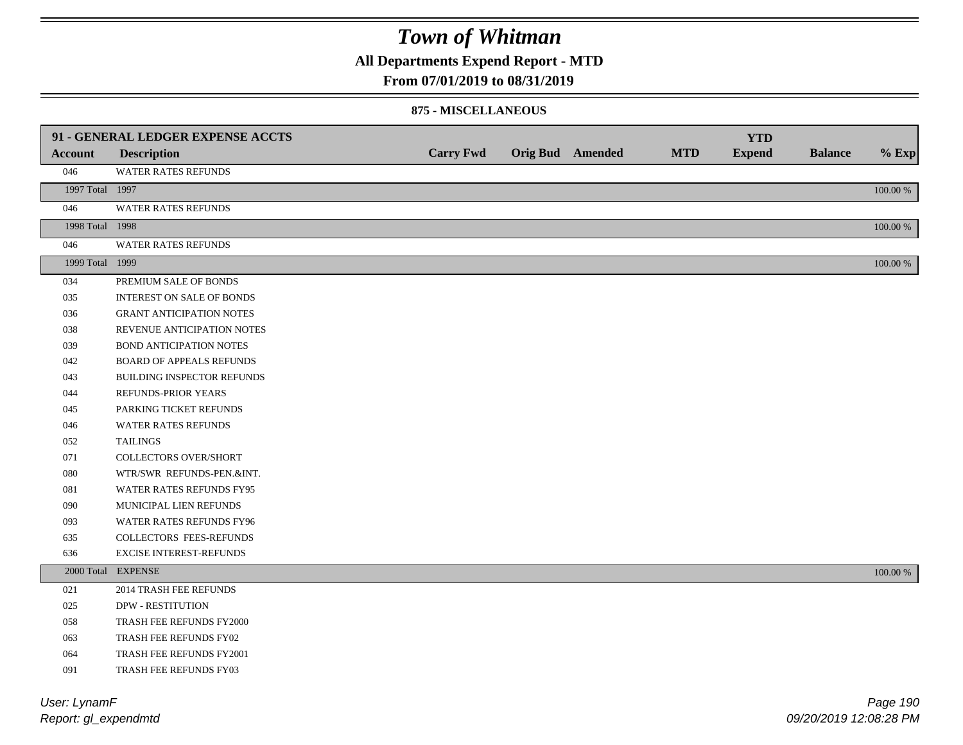**All Departments Expend Report - MTD**

#### **From 07/01/2019 to 08/31/2019**

#### **875 - MISCELLANEOUS**

|                 | 91 - GENERAL LEDGER EXPENSE ACCTS |                  |                         |            | <b>YTD</b>    |                |             |
|-----------------|-----------------------------------|------------------|-------------------------|------------|---------------|----------------|-------------|
| <b>Account</b>  | <b>Description</b>                | <b>Carry Fwd</b> | <b>Orig Bud</b> Amended | <b>MTD</b> | <b>Expend</b> | <b>Balance</b> | $%$ Exp     |
| 046             | WATER RATES REFUNDS               |                  |                         |            |               |                |             |
| 1997 Total 1997 |                                   |                  |                         |            |               |                | 100.00 %    |
| 046             | <b>WATER RATES REFUNDS</b>        |                  |                         |            |               |                |             |
| 1998 Total 1998 |                                   |                  |                         |            |               |                | 100.00 %    |
| 046             | <b>WATER RATES REFUNDS</b>        |                  |                         |            |               |                |             |
| 1999 Total 1999 |                                   |                  |                         |            |               |                | $100.00~\%$ |
| 034             | PREMIUM SALE OF BONDS             |                  |                         |            |               |                |             |
| 035             | <b>INTEREST ON SALE OF BONDS</b>  |                  |                         |            |               |                |             |
| 036             | <b>GRANT ANTICIPATION NOTES</b>   |                  |                         |            |               |                |             |
| 038             | REVENUE ANTICIPATION NOTES        |                  |                         |            |               |                |             |
| 039             | <b>BOND ANTICIPATION NOTES</b>    |                  |                         |            |               |                |             |
| 042             | <b>BOARD OF APPEALS REFUNDS</b>   |                  |                         |            |               |                |             |
| 043             | BUILDING INSPECTOR REFUNDS        |                  |                         |            |               |                |             |
| 044             | REFUNDS-PRIOR YEARS               |                  |                         |            |               |                |             |
| 045             | PARKING TICKET REFUNDS            |                  |                         |            |               |                |             |
| 046             | WATER RATES REFUNDS               |                  |                         |            |               |                |             |
| 052             | <b>TAILINGS</b>                   |                  |                         |            |               |                |             |
| 071             | <b>COLLECTORS OVER/SHORT</b>      |                  |                         |            |               |                |             |
| 080             | WTR/SWR REFUNDS-PEN.&INT.         |                  |                         |            |               |                |             |
| 081             | WATER RATES REFUNDS FY95          |                  |                         |            |               |                |             |
| 090             | MUNICIPAL LIEN REFUNDS            |                  |                         |            |               |                |             |
| 093             | WATER RATES REFUNDS FY96          |                  |                         |            |               |                |             |
| 635             | COLLECTORS FEES-REFUNDS           |                  |                         |            |               |                |             |
| 636             | <b>EXCISE INTEREST-REFUNDS</b>    |                  |                         |            |               |                |             |
|                 | 2000 Total EXPENSE                |                  |                         |            |               |                | 100.00 %    |
| 021             | 2014 TRASH FEE REFUNDS            |                  |                         |            |               |                |             |
| 025             | <b>DPW - RESTITUTION</b>          |                  |                         |            |               |                |             |
| 058             | TRASH FEE REFUNDS FY2000          |                  |                         |            |               |                |             |
| 063             | TRASH FEE REFUNDS FY02            |                  |                         |            |               |                |             |
| 064             | TRASH FEE REFUNDS FY2001          |                  |                         |            |               |                |             |
| 091             | <b>TRASH FEE REFUNDS FY03</b>     |                  |                         |            |               |                |             |

*Report: gl\_expendmtd User: LynamF*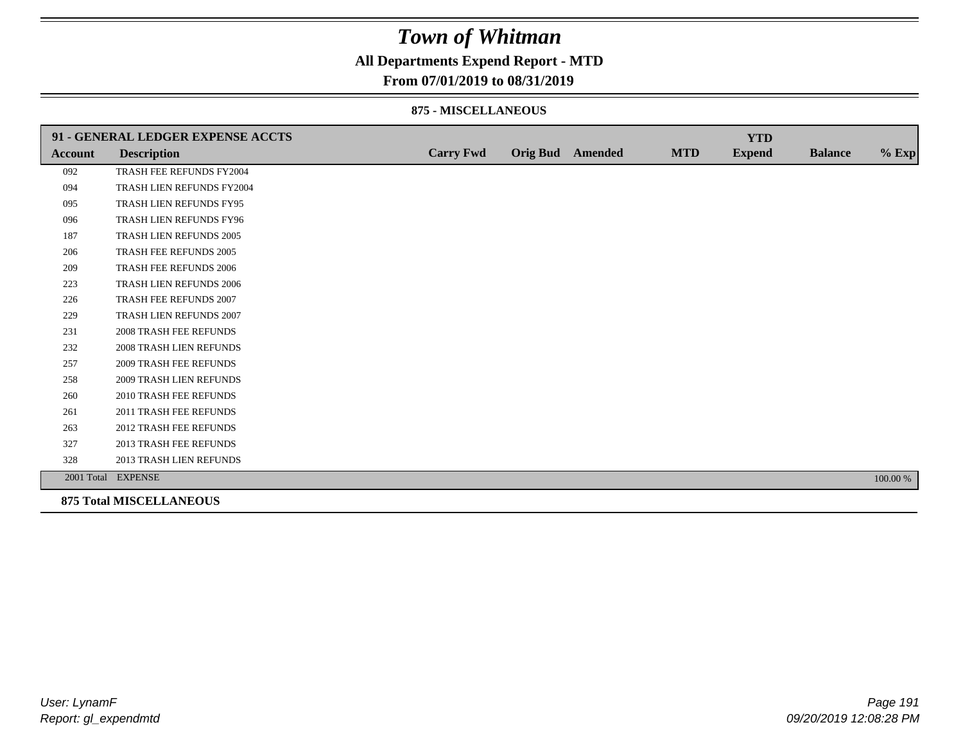### **All Departments Expend Report - MTD**

#### **From 07/01/2019 to 08/31/2019**

#### **875 - MISCELLANEOUS**

|                | 91 - GENERAL LEDGER EXPENSE ACCTS |                  |                  |            | <b>YTD</b>    |                |          |
|----------------|-----------------------------------|------------------|------------------|------------|---------------|----------------|----------|
| <b>Account</b> | <b>Description</b>                | <b>Carry Fwd</b> | Orig Bud Amended | <b>MTD</b> | <b>Expend</b> | <b>Balance</b> | $%$ Exp  |
| 092            | TRASH FEE REFUNDS FY2004          |                  |                  |            |               |                |          |
| 094            | TRASH LIEN REFUNDS FY2004         |                  |                  |            |               |                |          |
| 095            | TRASH LIEN REFUNDS FY95           |                  |                  |            |               |                |          |
| 096            | TRASH LIEN REFUNDS FY96           |                  |                  |            |               |                |          |
| 187            | TRASH LIEN REFUNDS 2005           |                  |                  |            |               |                |          |
| 206            | TRASH FEE REFUNDS 2005            |                  |                  |            |               |                |          |
| 209            | <b>TRASH FEE REFUNDS 2006</b>     |                  |                  |            |               |                |          |
| 223            | <b>TRASH LIEN REFUNDS 2006</b>    |                  |                  |            |               |                |          |
| 226            | TRASH FEE REFUNDS 2007            |                  |                  |            |               |                |          |
| 229            | TRASH LIEN REFUNDS 2007           |                  |                  |            |               |                |          |
| 231            | <b>2008 TRASH FEE REFUNDS</b>     |                  |                  |            |               |                |          |
| 232            | <b>2008 TRASH LIEN REFUNDS</b>    |                  |                  |            |               |                |          |
| 257            | <b>2009 TRASH FEE REFUNDS</b>     |                  |                  |            |               |                |          |
| 258            | 2009 TRASH LIEN REFUNDS           |                  |                  |            |               |                |          |
| 260            | 2010 TRASH FEE REFUNDS            |                  |                  |            |               |                |          |
| 261            | 2011 TRASH FEE REFUNDS            |                  |                  |            |               |                |          |
| 263            | <b>2012 TRASH FEE REFUNDS</b>     |                  |                  |            |               |                |          |
| 327            | <b>2013 TRASH FEE REFUNDS</b>     |                  |                  |            |               |                |          |
| 328            | 2013 TRASH LIEN REFUNDS           |                  |                  |            |               |                |          |
|                | 2001 Total EXPENSE                |                  |                  |            |               |                | 100.00 % |
|                | <b>875 Total MISCELLANEOUS</b>    |                  |                  |            |               |                |          |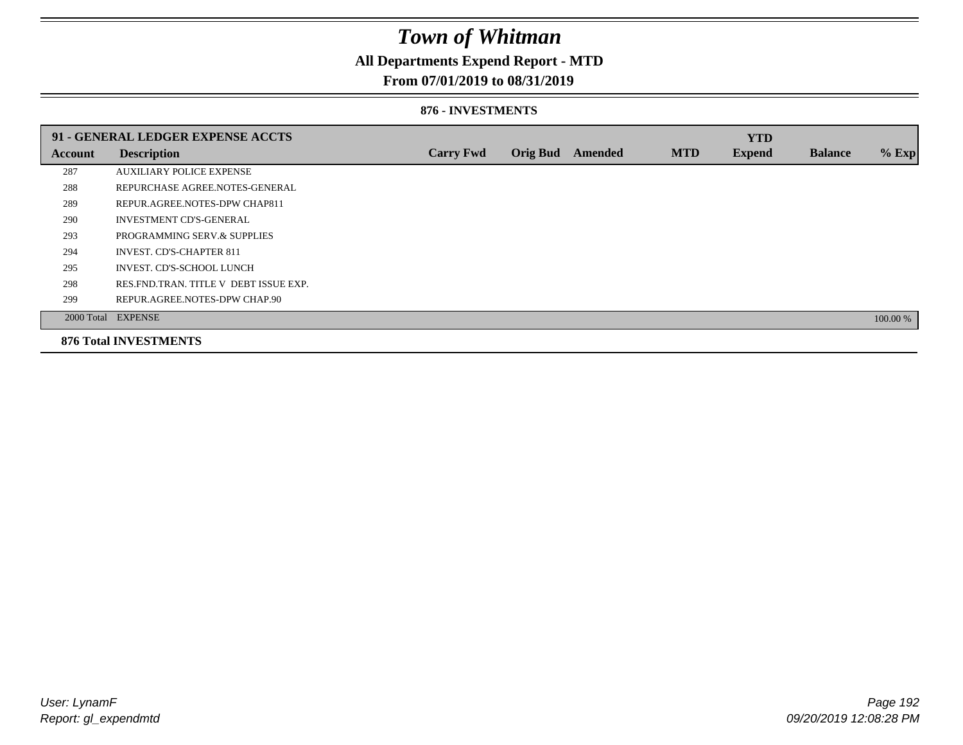### **All Departments Expend Report - MTD**

### **From 07/01/2019 to 08/31/2019**

#### **876 - INVESTMENTS**

|         | 91 - GENERAL LEDGER EXPENSE ACCTS       |                  |                 |                |            | <b>YTD</b>    |                |          |
|---------|-----------------------------------------|------------------|-----------------|----------------|------------|---------------|----------------|----------|
| Account | <b>Description</b>                      | <b>Carry Fwd</b> | <b>Orig Bud</b> | <b>Amended</b> | <b>MTD</b> | <b>Expend</b> | <b>Balance</b> | $%$ Exp  |
| 287     | <b>AUXILIARY POLICE EXPENSE</b>         |                  |                 |                |            |               |                |          |
| 288     | REPURCHASE AGREE.NOTES-GENERAL          |                  |                 |                |            |               |                |          |
| 289     | REPUR.AGREE.NOTES-DPW CHAP811           |                  |                 |                |            |               |                |          |
| 290     | <b>INVESTMENT CD'S-GENERAL</b>          |                  |                 |                |            |               |                |          |
| 293     | PROGRAMMING SERV.& SUPPLIES             |                  |                 |                |            |               |                |          |
| 294     | <b>INVEST. CD'S-CHAPTER 811</b>         |                  |                 |                |            |               |                |          |
| 295     | INVEST. CD'S-SCHOOL LUNCH               |                  |                 |                |            |               |                |          |
| 298     | RES. FND. TRAN. TITLE V DEBT ISSUE EXP. |                  |                 |                |            |               |                |          |
| 299     | REPUR.AGREE.NOTES-DPW CHAP.90           |                  |                 |                |            |               |                |          |
|         | 2000 Total EXPENSE                      |                  |                 |                |            |               |                | 100.00 % |
|         | <b>876 Total INVESTMENTS</b>            |                  |                 |                |            |               |                |          |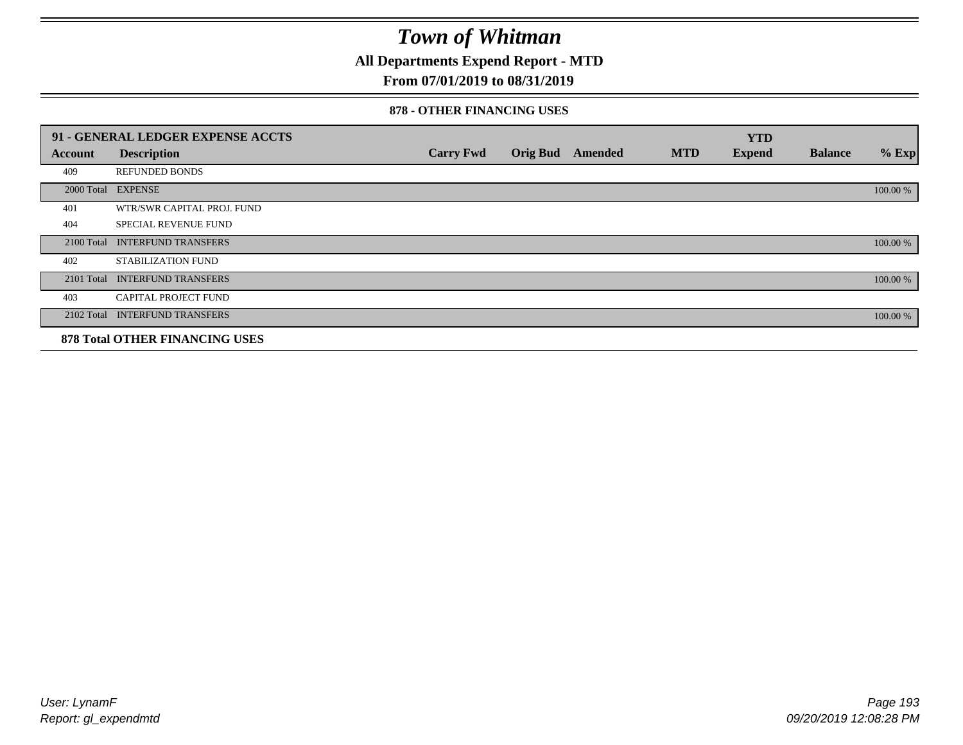**All Departments Expend Report - MTD**

### **From 07/01/2019 to 08/31/2019**

#### **878 - OTHER FINANCING USES**

|            | 91 - GENERAL LEDGER EXPENSE ACCTS     |                  |                 |         |            | <b>YTD</b>    |                |          |
|------------|---------------------------------------|------------------|-----------------|---------|------------|---------------|----------------|----------|
| Account    | <b>Description</b>                    | <b>Carry Fwd</b> | <b>Orig Bud</b> | Amended | <b>MTD</b> | <b>Expend</b> | <b>Balance</b> | $%$ Exp  |
| 409        | <b>REFUNDED BONDS</b>                 |                  |                 |         |            |               |                |          |
| 2000 Total | <b>EXPENSE</b>                        |                  |                 |         |            |               |                | 100.00 % |
| 401        | WTR/SWR CAPITAL PROJ. FUND            |                  |                 |         |            |               |                |          |
| 404        | <b>SPECIAL REVENUE FUND</b>           |                  |                 |         |            |               |                |          |
| 2100 Total | <b>INTERFUND TRANSFERS</b>            |                  |                 |         |            |               |                | 100.00 % |
| 402        | STABILIZATION FUND                    |                  |                 |         |            |               |                |          |
| 2101 Total | <b>INTERFUND TRANSFERS</b>            |                  |                 |         |            |               |                | 100.00 % |
| 403        | CAPITAL PROJECT FUND                  |                  |                 |         |            |               |                |          |
| 2102 Total | <b>INTERFUND TRANSFERS</b>            |                  |                 |         |            |               |                | 100.00 % |
|            | <b>878 Total OTHER FINANCING USES</b> |                  |                 |         |            |               |                |          |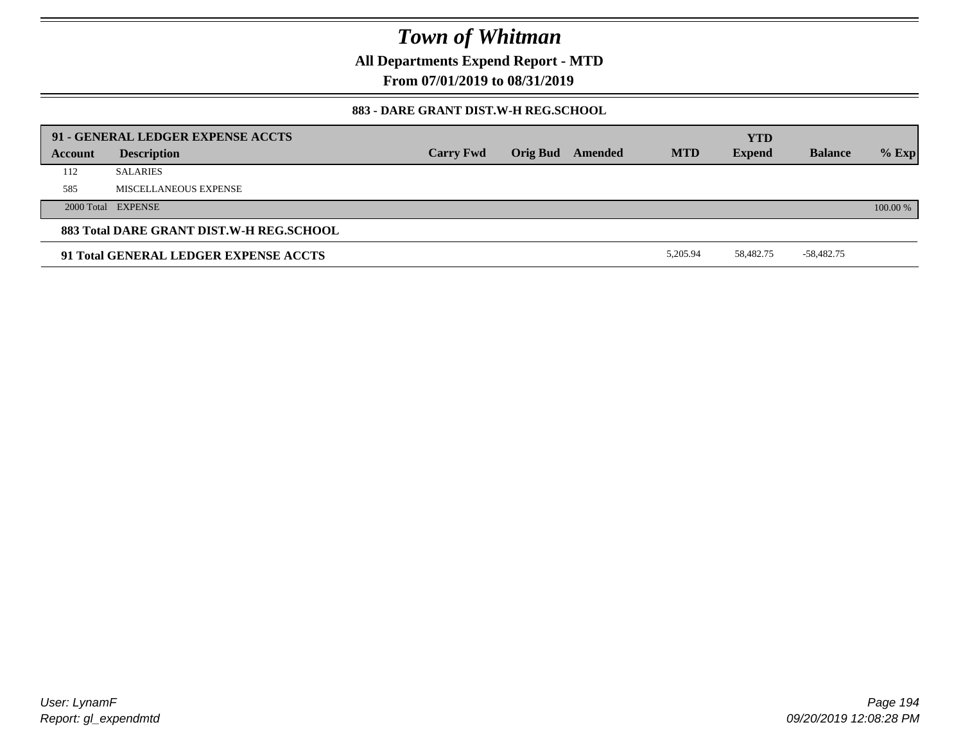**All Departments Expend Report - MTD**

**From 07/01/2019 to 08/31/2019**

### **883 - DARE GRANT DIST.W-H REG.SCHOOL**

| 91 - GENERAL LEDGER EXPENSE ACCTS<br><b>YTD</b> |                       |                  |  |                         |            |               |                |          |
|-------------------------------------------------|-----------------------|------------------|--|-------------------------|------------|---------------|----------------|----------|
| Account                                         | <b>Description</b>    | <b>Carry Fwd</b> |  | <b>Orig Bud</b> Amended | <b>MTD</b> | <b>Expend</b> | <b>Balance</b> | $%$ Exp  |
| 112                                             | <b>SALARIES</b>       |                  |  |                         |            |               |                |          |
| 585                                             | MISCELLANEOUS EXPENSE |                  |  |                         |            |               |                |          |
|                                                 | 2000 Total EXPENSE    |                  |  |                         |            |               |                | 100.00 % |
| 883 Total DARE GRANT DIST.W-H REG.SCHOOL        |                       |                  |  |                         |            |               |                |          |
| 91 Total GENERAL LEDGER EXPENSE ACCTS           |                       |                  |  |                         | 5.205.94   | 58,482.75     | -58,482.75     |          |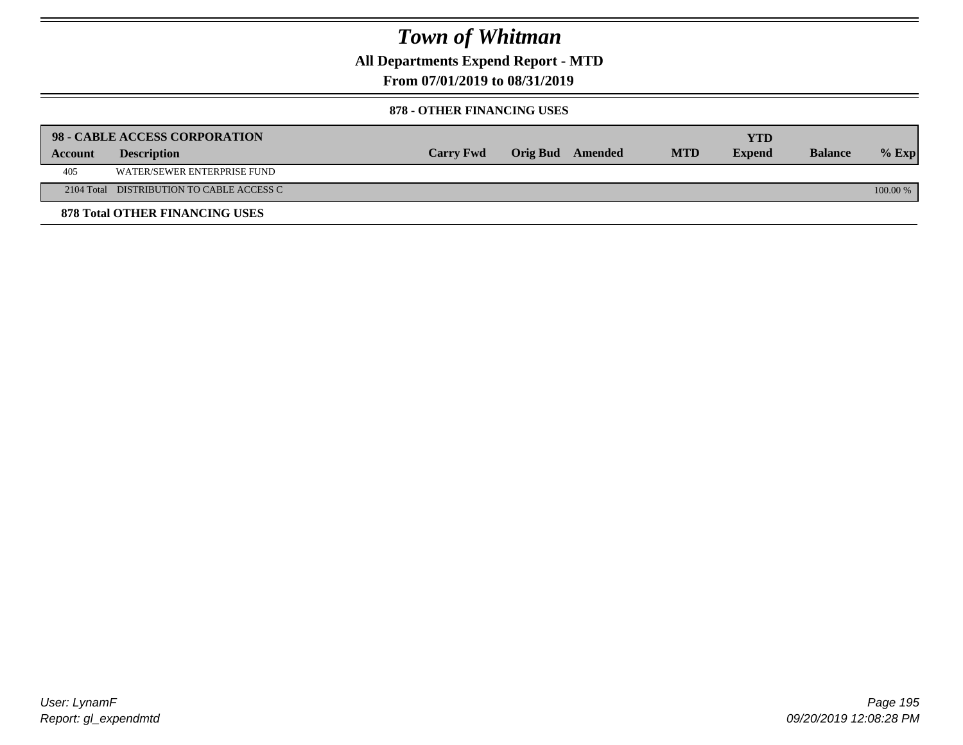**All Departments Expend Report - MTD**

**From 07/01/2019 to 08/31/2019**

#### **878 - OTHER FINANCING USES**

|         | 98 - CABLE ACCESS CORPORATION             |                  |                  |            | YTD           |                |          |
|---------|-------------------------------------------|------------------|------------------|------------|---------------|----------------|----------|
| Account | <b>Description</b>                        | <b>Carry Fwd</b> | Orig Bud Amended | <b>MTD</b> | <b>Expend</b> | <b>Balance</b> | $%$ Exp  |
| 405     | WATER/SEWER ENTERPRISE FUND               |                  |                  |            |               |                |          |
|         | 2104 Total DISTRIBUTION TO CABLE ACCESS C |                  |                  |            |               |                | 100.00 % |
|         | <b>878 Total OTHER FINANCING USES</b>     |                  |                  |            |               |                |          |